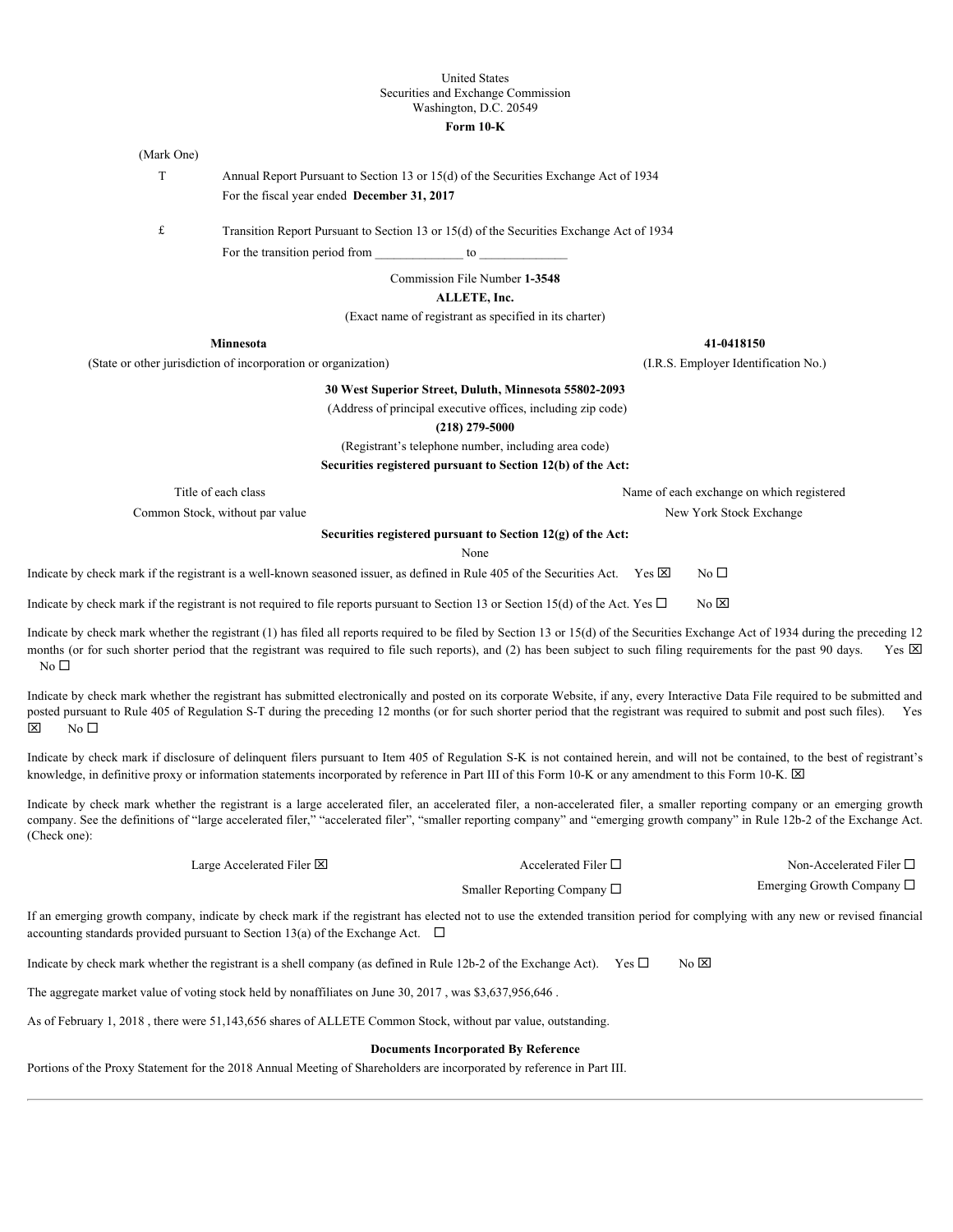#### United States Securities and Exchange Commission Washington, D.C. 20549

#### **Form 10-K**

#### (Mark One)

T Annual Report Pursuant to Section 13 or 15(d) of the Securities Exchange Act of 1934 For the fiscal year ended **December 31, 2017**

£ Transition Report Pursuant to Section 13 or 15(d) of the Securities Exchange Act of 1934

For the transition period from to  $\sim$ 

Commission File Number **1-3548**

**ALLETE, Inc.**

(Exact name of registrant as specified in its charter)

| <b>Minnesota</b>                                                                                                                                                                                                                                                                                                                                                                            |                                                               | 41-0418150                                |
|---------------------------------------------------------------------------------------------------------------------------------------------------------------------------------------------------------------------------------------------------------------------------------------------------------------------------------------------------------------------------------------------|---------------------------------------------------------------|-------------------------------------------|
| (State or other jurisdiction of incorporation or organization)                                                                                                                                                                                                                                                                                                                              |                                                               | (I.R.S. Employer Identification No.)      |
|                                                                                                                                                                                                                                                                                                                                                                                             | 30 West Superior Street, Duluth, Minnesota 55802-2093         |                                           |
|                                                                                                                                                                                                                                                                                                                                                                                             | (Address of principal executive offices, including zip code)  |                                           |
|                                                                                                                                                                                                                                                                                                                                                                                             | $(218)$ 279-5000                                              |                                           |
|                                                                                                                                                                                                                                                                                                                                                                                             | (Registrant's telephone number, including area code)          |                                           |
|                                                                                                                                                                                                                                                                                                                                                                                             | Securities registered pursuant to Section 12(b) of the Act:   |                                           |
| Title of each class                                                                                                                                                                                                                                                                                                                                                                         |                                                               | Name of each exchange on which registered |
| Common Stock, without par value                                                                                                                                                                                                                                                                                                                                                             |                                                               | New York Stock Exchange                   |
|                                                                                                                                                                                                                                                                                                                                                                                             | Securities registered pursuant to Section $12(g)$ of the Act: |                                           |
| Indicate by check mark if the registrant is a well-known seasoned issuer, as defined in Rule 405 of the Securities Act. Yes $\boxtimes$                                                                                                                                                                                                                                                     | None<br>No $\Box$                                             |                                           |
| Indicate by check mark if the registrant is not required to file reports pursuant to Section 13 or Section 15(d) of the Act. Yes $\Box$                                                                                                                                                                                                                                                     | $No \n  \boxtimes$                                            |                                           |
| Indicate by check mark whether the registrant (1) has filed all reports required to be filed by Section 13 or 15(d) of the Securities Exchange Act of 1934 during the preceding 12<br>months (or for such shorter period that the registrant was required to file such reports), and (2) has been subject to such filing requirements for the past 90 days. Yes $\boxtimes$<br>No $\square$ |                                                               |                                           |
| Indicate by check mark whether the registrant has submitted electronically and posted on its corporate Website, if any, every Interactive Data File required to be submitted and<br>posted pursuant to Rule 405 of Regulation S-T during the preceding 12 months (or for such shorter period that the registrant was required to submit and post such files). Yes<br>$X \tN_0 \square$      |                                                               |                                           |
| Indicate by check mark if disclosure of delinquent filers pursuant to Item 405 of Regulation S-K is not contained herein, and will not be contained, to the best of registrant's<br>knowledge, in definitive proxy or information statements incorporated by reference in Part III of this Form 10-K or any amendment to this Form 10-K. $\boxtimes$                                        |                                                               |                                           |
| Indicate by check mark whether the registrant is a large accelerated filer, an accelerated filer, a non-accelerated filer, a smaller reporting company or an emerging growth<br>company. See the definitions of "large accelerated filer," "accelerated filer", "smaller reporting company" and "emerging growth company" in Rule 12b-2 of the Exchange Act.<br>(Check one):                |                                                               |                                           |
| Large Accelerated Filer $\boxtimes$                                                                                                                                                                                                                                                                                                                                                         | Accelerated Filer $\Box$                                      | Non-Accelerated Filer $\square$           |
|                                                                                                                                                                                                                                                                                                                                                                                             | Smaller Reporting Company $\Box$                              | Emerging Growth Company $\Box$            |
| If an emerging growth company, indicate by check mark if the registrant has elected not to use the extended transition period for complying with any new or revised financial<br>accounting standards provided pursuant to Section 13(a) of the Exchange Act. $\Box$                                                                                                                        |                                                               |                                           |

Indicate by check mark whether the registrant is a shell company (as defined in Rule 12b-2 of the Exchange Act). Yes  $\Box$ No  $\overline{\mathbf{x}}$ 

The aggregate market value of voting stock held by nonaffiliates on June 30, 2017 , was \$3,637,956,646 .

As of February 1, 2018 , there were 51,143,656 shares of ALLETE Common Stock, without par value, outstanding.

#### **Documents Incorporated By Reference**

Portions of the Proxy Statement for the 2018 Annual Meeting of Shareholders are incorporated by reference in Part III.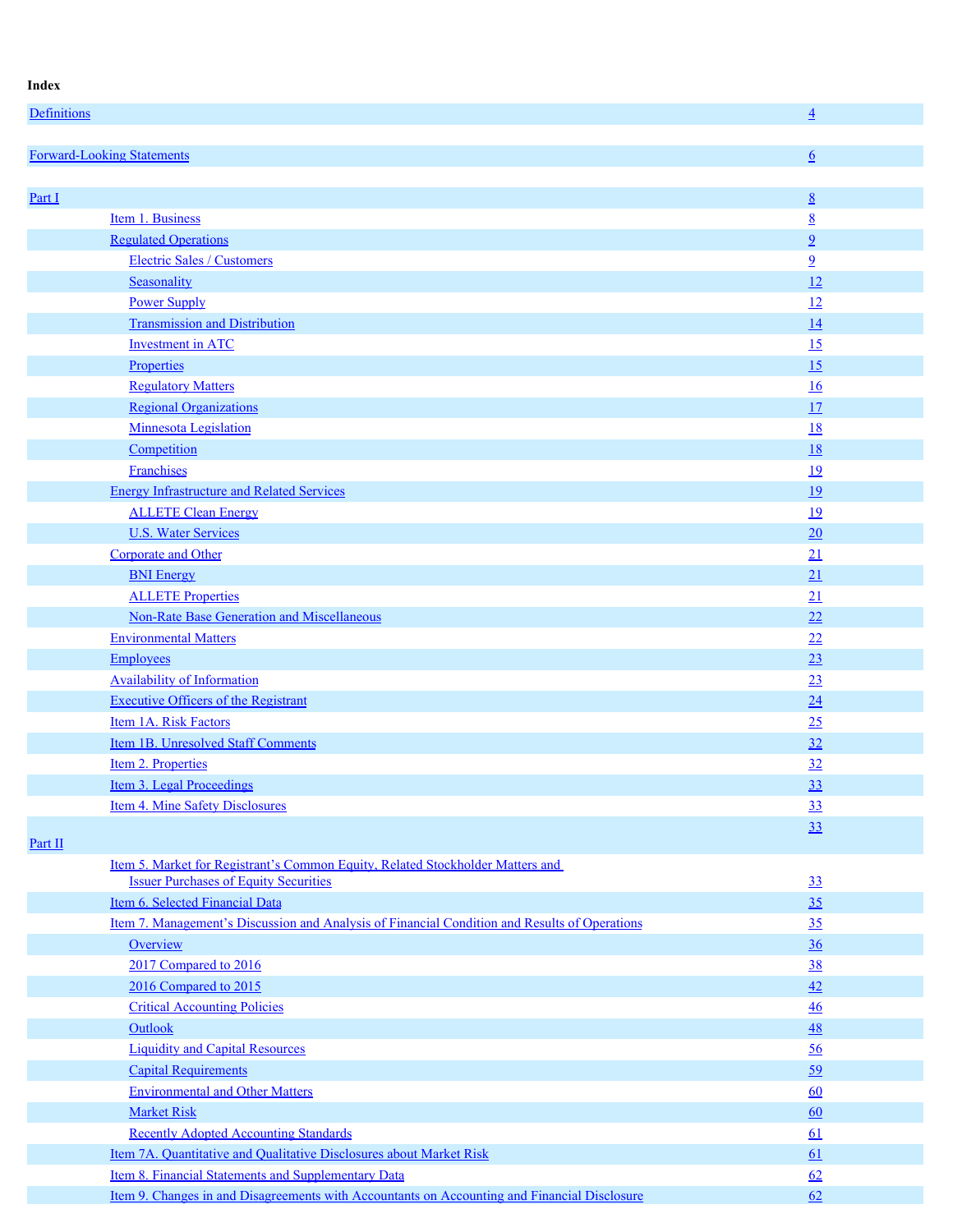# **Index**

| Definitions |                                                                                                                                | $\overline{4}$   |
|-------------|--------------------------------------------------------------------------------------------------------------------------------|------------------|
|             |                                                                                                                                |                  |
|             | <b>Forward-Looking Statements</b>                                                                                              | 6                |
|             |                                                                                                                                |                  |
| Part I      |                                                                                                                                | 8                |
|             | Item 1. Business                                                                                                               | $\underline{8}$  |
|             | <b>Regulated Operations</b>                                                                                                    | $\overline{9}$   |
|             | <b>Electric Sales / Customers</b>                                                                                              | $\overline{2}$   |
|             | Seasonality                                                                                                                    | 12               |
|             | <b>Power Supply</b>                                                                                                            | 12               |
|             | <b>Transmission and Distribution</b>                                                                                           | 14               |
|             | <b>Investment in ATC</b>                                                                                                       | 15               |
|             | Properties                                                                                                                     | 15               |
|             | <b>Regulatory Matters</b>                                                                                                      | 16               |
|             | <b>Regional Organizations</b>                                                                                                  | 17               |
|             | <b>Minnesota Legislation</b>                                                                                                   | 18               |
|             | Competition                                                                                                                    | <u>18</u>        |
|             | <b>Franchises</b>                                                                                                              | 19               |
|             | <b>Energy Infrastructure and Related Services</b>                                                                              | 19               |
|             | <b>ALLETE Clean Energy</b>                                                                                                     | 19               |
|             | <b>U.S. Water Services</b>                                                                                                     | 20               |
|             | Corporate and Other                                                                                                            | 21               |
|             | <b>BNI</b> Energy                                                                                                              | 21               |
|             | <b>ALLETE Properties</b>                                                                                                       | 21               |
|             | <b>Non-Rate Base Generation and Miscellaneous</b>                                                                              | 22               |
|             | <b>Environmental Matters</b>                                                                                                   | 22               |
|             | <b>Employees</b>                                                                                                               | 23               |
|             | <b>Availability of Information</b>                                                                                             | 23               |
|             | <b>Executive Officers of the Registrant</b>                                                                                    | 24               |
|             | Item 1A. Risk Factors                                                                                                          | 25               |
|             | Item 1B. Unresolved Staff Comments                                                                                             | 32               |
|             | Item 2. Properties                                                                                                             | 32               |
|             | Item 3. Legal Proceedings                                                                                                      | 33               |
|             | <b>Item 4. Mine Safety Disclosures</b>                                                                                         | 33               |
|             |                                                                                                                                | 33               |
| Part II     |                                                                                                                                |                  |
|             | Item 5. Market for Registrant's Common Equity, Related Stockholder Matters and<br><b>Issuer Purchases of Equity Securities</b> | 33               |
|             | Item 6. Selected Financial Data                                                                                                | 35               |
|             | <u>Item 7. Management's Discussion and Analysis of Financial Condition and Results of Operations</u>                           | 35               |
|             | Overview                                                                                                                       | $\frac{36}{5}$   |
|             | 2017 Compared to 2016                                                                                                          | 38               |
|             | 2016 Compared to 2015                                                                                                          | 42               |
|             | <b>Critical Accounting Policies</b>                                                                                            | $\frac{46}{5}$   |
|             | Outlook                                                                                                                        | $\frac{48}{5}$   |
|             | <b>Liquidity and Capital Resources</b>                                                                                         | $\underline{56}$ |
|             | <b>Capital Requirements</b>                                                                                                    | 59               |
|             | <b>Environmental and Other Matters</b>                                                                                         | 60               |
|             | <b>Market Risk</b>                                                                                                             | 60               |
|             | <b>Recently Adopted Accounting Standards</b>                                                                                   |                  |
|             | Item 7A. Quantitative and Qualitative Disclosures about Market Risk                                                            | 61               |
|             | Item 8. Financial Statements and Supplementary Data                                                                            | 61               |
|             | <u>Item 9. Changes in and Disagreements with Accountants on Accounting and Financial Disclosure</u>                            | 62               |
|             |                                                                                                                                | 62               |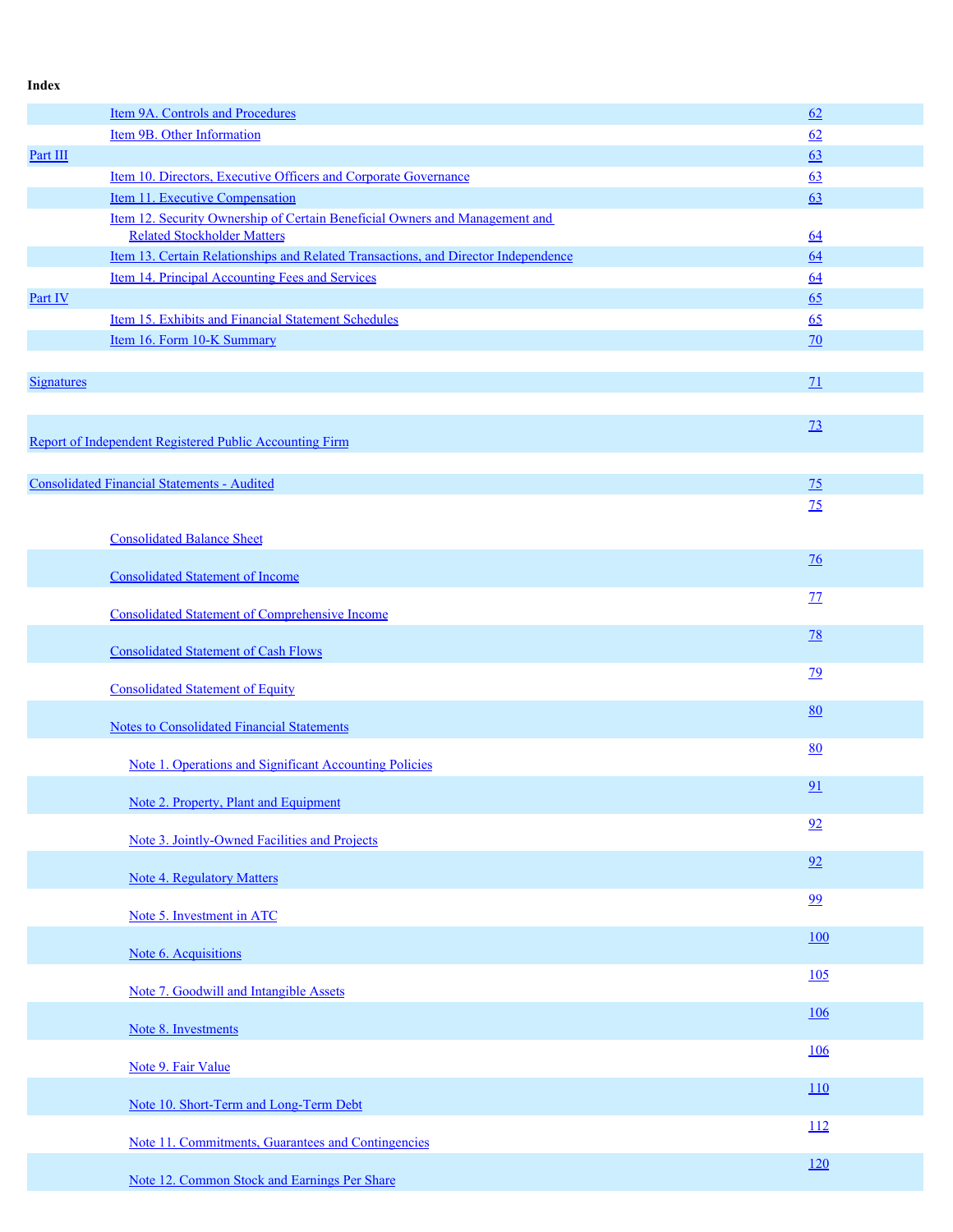| <b>Index</b> |
|--------------|
|--------------|

|                   | Item 9A. Controls and Procedures                                                                                  | 62               |
|-------------------|-------------------------------------------------------------------------------------------------------------------|------------------|
|                   | Item 9B. Other Information                                                                                        | 62               |
| Part III          |                                                                                                                   | 63               |
|                   | Item 10. Directors, Executive Officers and Corporate Governance                                                   | 63               |
|                   | Item 11. Executive Compensation                                                                                   | 63               |
|                   | Item 12. Security Ownership of Certain Beneficial Owners and Management and<br><b>Related Stockholder Matters</b> | 64               |
|                   | Item 13. Certain Relationships and Related Transactions, and Director Independence                                | $\underline{64}$ |
|                   | <u>Item 14. Principal Accounting Fees and Services</u>                                                            | 64               |
| Part IV           |                                                                                                                   | 65               |
|                   | Item 15. Exhibits and Financial Statement Schedules                                                               | 65               |
|                   | Item 16. Form 10-K Summary                                                                                        | $\overline{20}$  |
|                   |                                                                                                                   |                  |
| <b>Signatures</b> |                                                                                                                   | 71               |
|                   |                                                                                                                   |                  |
|                   | Report of Independent Registered Public Accounting Firm                                                           | 73               |
|                   |                                                                                                                   |                  |
|                   | <b>Consolidated Financial Statements - Audited</b>                                                                | $\overline{25}$  |
|                   |                                                                                                                   | $\frac{75}{2}$   |
|                   |                                                                                                                   |                  |
|                   | <b>Consolidated Balance Sheet</b>                                                                                 |                  |
|                   |                                                                                                                   | $\frac{76}{9}$   |
|                   | <b>Consolidated Statement of Income</b>                                                                           | 77               |
|                   | <b>Consolidated Statement of Comprehensive Income</b>                                                             |                  |
|                   |                                                                                                                   | $\frac{78}{2}$   |
|                   | <b>Consolidated Statement of Cash Flows</b>                                                                       |                  |
|                   | <b>Consolidated Statement of Equity</b>                                                                           | <u>79</u>        |
|                   |                                                                                                                   | 80               |
|                   | <b>Notes to Consolidated Financial Statements</b>                                                                 |                  |
|                   |                                                                                                                   | 80               |
|                   | Note 1. Operations and Significant Accounting Policies                                                            |                  |
|                   | Note 2. Property, Plant and Equipment                                                                             | 91               |
|                   |                                                                                                                   | 92               |
|                   | Note 3. Jointly-Owned Facilities and Projects                                                                     |                  |
|                   |                                                                                                                   | 92               |
|                   | <b>Note 4. Regulatory Matters</b>                                                                                 |                  |
|                   |                                                                                                                   | 99               |
|                   | Note 5. Investment in ATC                                                                                         | 100              |
|                   | Note 6. Acquisitions                                                                                              |                  |
|                   |                                                                                                                   | <u>105</u>       |
|                   | Note 7. Goodwill and Intangible Assets                                                                            |                  |
|                   |                                                                                                                   | <u>106</u>       |
|                   | Note 8. Investments                                                                                               |                  |
|                   | Note 9. Fair Value                                                                                                | <u>106</u>       |
|                   |                                                                                                                   | 110              |
|                   | Note 10. Short-Term and Long-Term Debt                                                                            |                  |
|                   |                                                                                                                   | 112              |
|                   | Note 11. Commitments, Guarantees and Contingencies                                                                |                  |
|                   | Note 12. Common Stock and Earnings Per Share                                                                      | 120              |
|                   |                                                                                                                   |                  |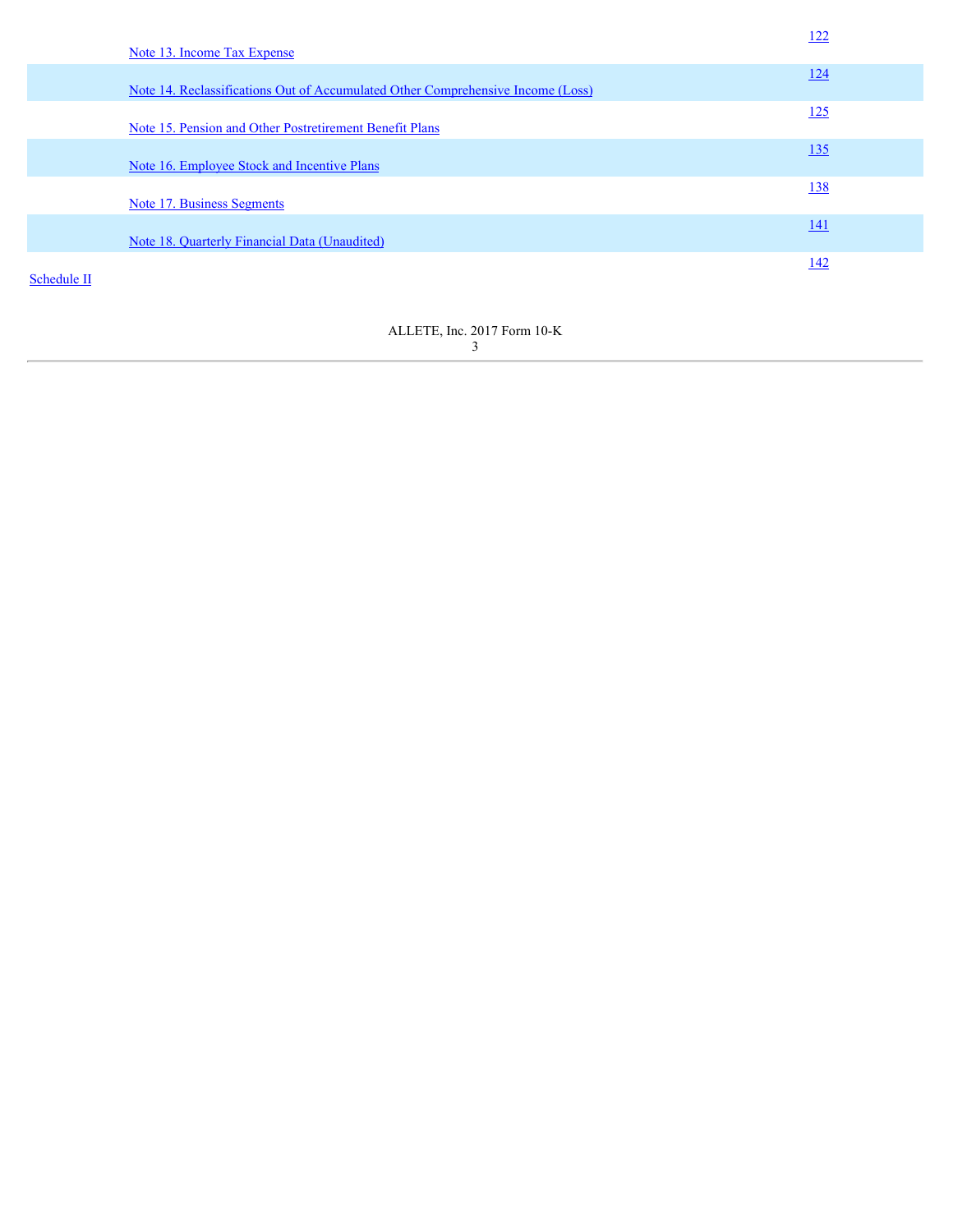|                    | Note 13. Income Tax Expense                                                     | 122        |
|--------------------|---------------------------------------------------------------------------------|------------|
|                    | Note 14. Reclassifications Out of Accumulated Other Comprehensive Income (Loss) | <u>124</u> |
|                    | Note 15. Pension and Other Postretirement Benefit Plans                         | 125        |
|                    | Note 16. Employee Stock and Incentive Plans                                     | <u>135</u> |
|                    | Note 17. Business Segments                                                      | <u>138</u> |
|                    | Note 18. Quarterly Financial Data (Unaudited)                                   | 141        |
| <b>Schedule II</b> |                                                                                 | <u>142</u> |
|                    |                                                                                 |            |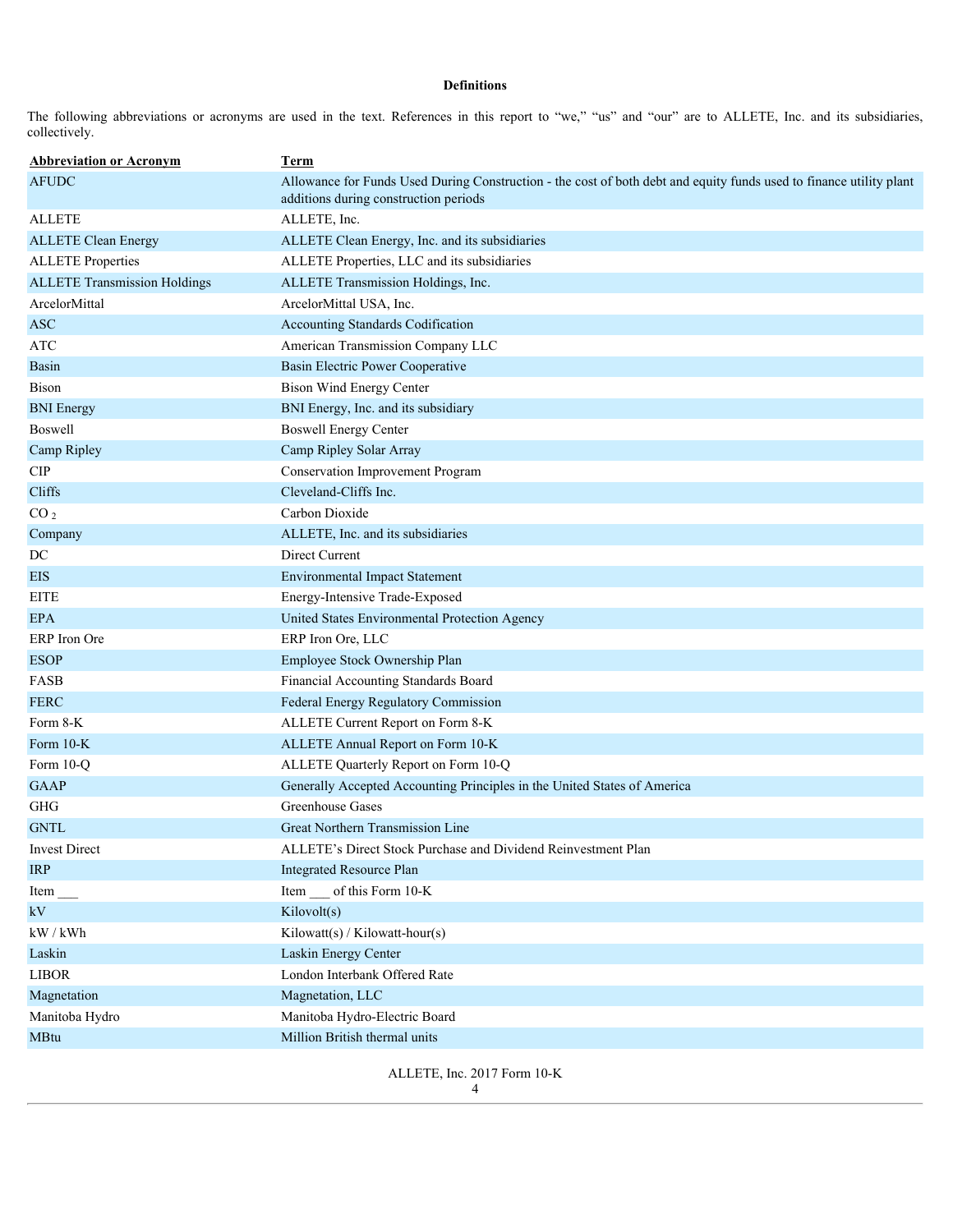# <span id="page-5-0"></span>**Definitions**

|                                            | <b>Definitions</b>                                                                                                                                           |
|--------------------------------------------|--------------------------------------------------------------------------------------------------------------------------------------------------------------|
| collectively.                              | The following abbreviations or acronyms are used in the text. References in this report to "we," "us" and "our" are to ALLETE, Inc. and its subsidiaries,    |
| <b>Abbreviation or Acronym</b>             | <b>Term</b>                                                                                                                                                  |
| <b>AFUDC</b>                               | Allowance for Funds Used During Construction - the cost of both debt and equity funds used to finance utility plant<br>additions during construction periods |
| <b>ALLETE</b>                              | ALLETE, Inc.                                                                                                                                                 |
| <b>ALLETE</b> Clean Energy                 | ALLETE Clean Energy, Inc. and its subsidiaries                                                                                                               |
| <b>ALLETE Properties</b>                   | ALLETE Properties, LLC and its subsidiaries                                                                                                                  |
| <b>ALLETE Transmission Holdings</b>        | ALLETE Transmission Holdings, Inc.                                                                                                                           |
| ArcelorMittal                              | ArcelorMittal USA, Inc.                                                                                                                                      |
| $\operatorname{ASC}$                       | Accounting Standards Codification                                                                                                                            |
| $\rm{ATC}$                                 | American Transmission Company LLC                                                                                                                            |
| Basin                                      | <b>Basin Electric Power Cooperative</b>                                                                                                                      |
| Bison                                      | <b>Bison Wind Energy Center</b>                                                                                                                              |
| <b>BNI</b> Energy                          | BNI Energy, Inc. and its subsidiary                                                                                                                          |
| Boswell                                    | <b>Boswell Energy Center</b>                                                                                                                                 |
| Camp Ripley<br>$\ensuremath{\mathrm{CIP}}$ | Camp Ripley Solar Array<br>Conservation Improvement Program                                                                                                  |
| Cliffs                                     | Cleveland-Cliffs Inc.                                                                                                                                        |
| CO $_{2}$                                  | Carbon Dioxide                                                                                                                                               |
| Company                                    | ALLETE, Inc. and its subsidiaries                                                                                                                            |
| $\operatorname{DC}$                        | Direct Current                                                                                                                                               |
| ${\rm EIS}$                                | <b>Environmental Impact Statement</b>                                                                                                                        |
| ${\rm EITE}$                               | Energy-Intensive Trade-Exposed                                                                                                                               |
| $\rm{EPA}$                                 | United States Environmental Protection Agency                                                                                                                |
| ERP Iron Ore                               | ERP Iron Ore, LLC                                                                                                                                            |
| <b>ESOP</b>                                | Employee Stock Ownership Plan                                                                                                                                |
| FASB                                       | Financial Accounting Standards Board                                                                                                                         |
| <b>FERC</b>                                | Federal Energy Regulatory Commission                                                                                                                         |
| Form 8-K<br>Form 10-K                      | ALLETE Current Report on Form 8-K                                                                                                                            |
| Form 10-Q                                  | ALLETE Annual Report on Form 10-K<br>ALLETE Quarterly Report on Form 10-Q                                                                                    |
| <b>GAAP</b>                                | Generally Accepted Accounting Principles in the United States of America                                                                                     |
| GHG                                        | Greenhouse Gases                                                                                                                                             |
| $\mbox{GNTL}$                              | Great Northern Transmission Line                                                                                                                             |
| <b>Invest Direct</b>                       | ALLETE's Direct Stock Purchase and Dividend Reinvestment Plan                                                                                                |
| $\ensuremath{\mathsf{IRP}}\xspace$         | <b>Integrated Resource Plan</b>                                                                                                                              |
| Item $\_\_$                                | Item __ of this Form 10-K                                                                                                                                    |
| $\rm kV$                                   | Kilovolt(s)                                                                                                                                                  |
| kW / kWh                                   | Kilowatt(s) / Kilowatt-hour(s)                                                                                                                               |
| Laskin                                     | Laskin Energy Center                                                                                                                                         |
| ${\rm LIBOR}$                              | London Interbank Offered Rate                                                                                                                                |
|                                            | Magnetation, LLC                                                                                                                                             |
| Magnetation                                |                                                                                                                                                              |
| Manitoba Hydro<br>MBtu                     | Manitoba Hydro-Electric Board<br>Million British thermal units                                                                                               |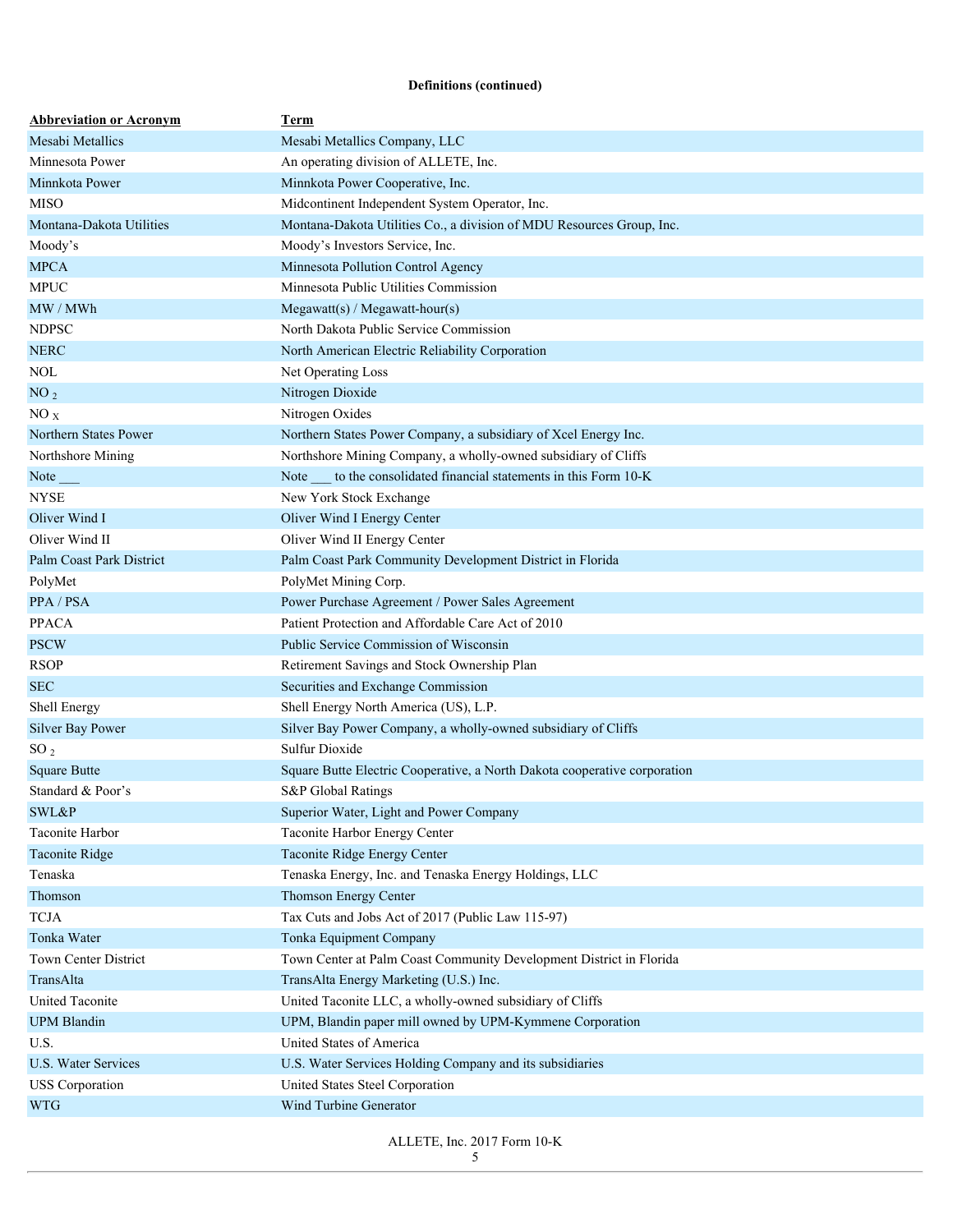# **Definitions (continued)**

| <b>Abbreviation or Acronym</b> | Term                                                                      |
|--------------------------------|---------------------------------------------------------------------------|
| Mesabi Metallics               | Mesabi Metallics Company, LLC                                             |
| Minnesota Power                | An operating division of ALLETE, Inc.                                     |
| Minnkota Power                 | Minnkota Power Cooperative, Inc.                                          |
| MISO                           | Midcontinent Independent System Operator, Inc.                            |
| Montana-Dakota Utilities       | Montana-Dakota Utilities Co., a division of MDU Resources Group, Inc.     |
| Moody's                        | Moody's Investors Service, Inc.                                           |
| <b>MPCA</b>                    | Minnesota Pollution Control Agency                                        |
| <b>MPUC</b>                    | Minnesota Public Utilities Commission                                     |
| MW / MWh                       | $Megawatt(s) / Megawatt-hour(s)$                                          |
| <b>NDPSC</b>                   | North Dakota Public Service Commission                                    |
| <b>NERC</b>                    | North American Electric Reliability Corporation                           |
| NOL                            | Net Operating Loss                                                        |
| NO <sub>2</sub>                | Nitrogen Dioxide                                                          |
| $NO_{X}$                       | Nitrogen Oxides                                                           |
| Northern States Power          | Northern States Power Company, a subsidiary of Xcel Energy Inc.           |
| Northshore Mining              | Northshore Mining Company, a wholly-owned subsidiary of Cliffs            |
| Note                           | Note to the consolidated financial statements in this Form 10-K           |
| NYSE                           | New York Stock Exchange                                                   |
| Oliver Wind I                  | Oliver Wind I Energy Center                                               |
| Oliver Wind II                 | Oliver Wind II Energy Center                                              |
| Palm Coast Park District       | Palm Coast Park Community Development District in Florida                 |
| PolyMet                        | PolyMet Mining Corp.                                                      |
| PPA / PSA                      | Power Purchase Agreement / Power Sales Agreement                          |
| <b>PPACA</b>                   | Patient Protection and Affordable Care Act of 2010                        |
| <b>PSCW</b>                    | Public Service Commission of Wisconsin                                    |
| <b>RSOP</b>                    | Retirement Savings and Stock Ownership Plan                               |
| <b>SEC</b>                     | Securities and Exchange Commission                                        |
| Shell Energy                   | Shell Energy North America (US), L.P.                                     |
| <b>Silver Bay Power</b>        | Silver Bay Power Company, a wholly-owned subsidiary of Cliffs             |
| $SO_2$                         | <b>Sulfur Dioxide</b>                                                     |
| <b>Square Butte</b>            | Square Butte Electric Cooperative, a North Dakota cooperative corporation |
| Standard & Poor's              | S&P Global Ratings                                                        |
| <b>SWL&amp;P</b>               | Superior Water, Light and Power Company                                   |
| Taconite Harbor                | Taconite Harbor Energy Center                                             |
| <b>Taconite Ridge</b>          | Taconite Ridge Energy Center                                              |
| Tenaska                        | Tenaska Energy, Inc. and Tenaska Energy Holdings, LLC                     |
| Thomson                        | Thomson Energy Center                                                     |
| <b>TCJA</b>                    | Tax Cuts and Jobs Act of 2017 (Public Law 115-97)                         |
| Tonka Water                    | Tonka Equipment Company                                                   |
| Town Center District           | Town Center at Palm Coast Community Development District in Florida       |
| TransAlta                      | TransAlta Energy Marketing (U.S.) Inc.                                    |
| <b>United Taconite</b>         | United Taconite LLC, a wholly-owned subsidiary of Cliffs                  |
| <b>UPM Blandin</b>             | UPM, Blandin paper mill owned by UPM-Kymmene Corporation                  |
| U.S.                           | United States of America                                                  |
| U.S. Water Services            | U.S. Water Services Holding Company and its subsidiaries                  |
| <b>USS</b> Corporation         | United States Steel Corporation                                           |
| <b>WTG</b>                     | Wind Turbine Generator                                                    |
|                                |                                                                           |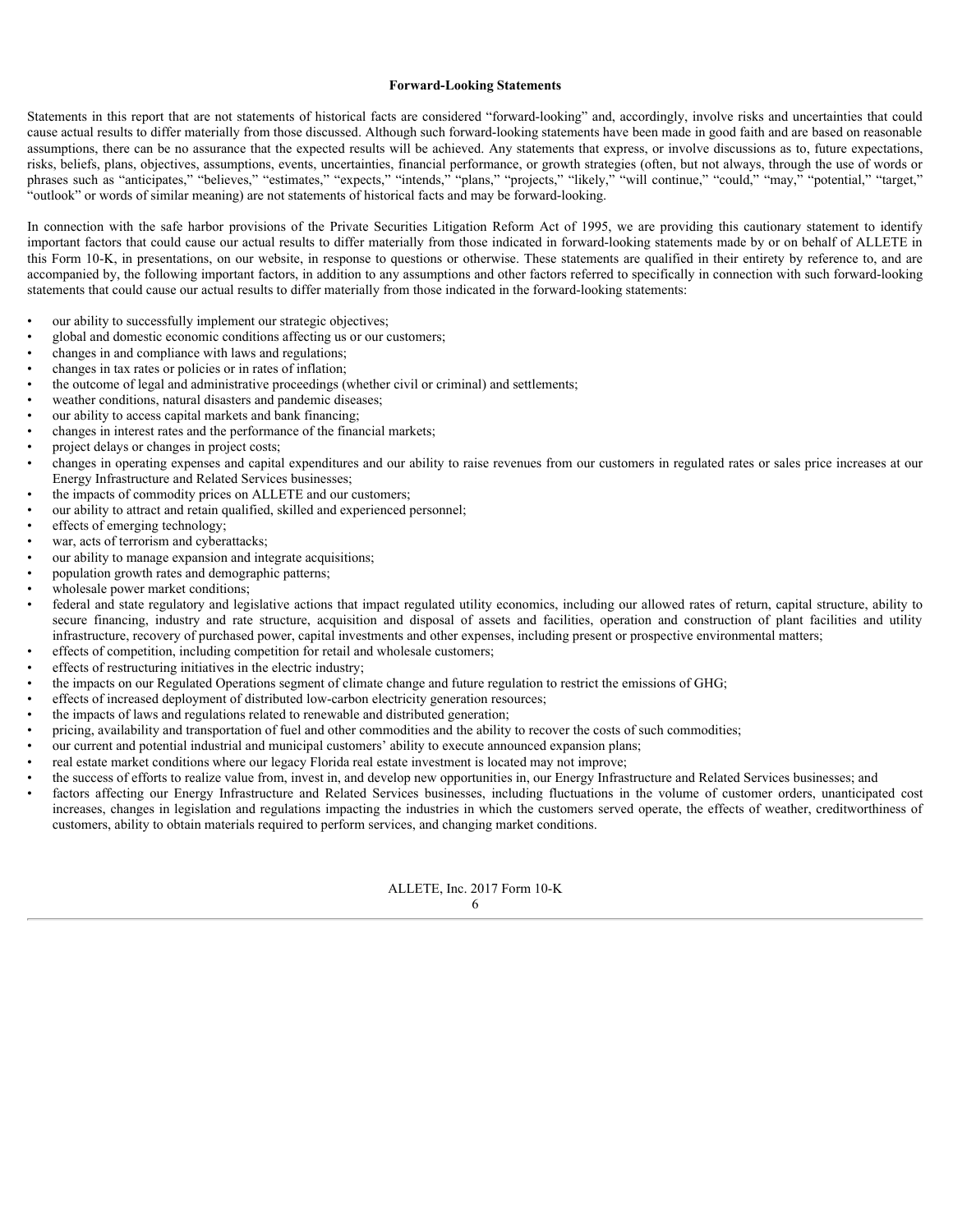#### **Forward-Looking Statements**

Statements in this report that are not statements of historical facts are considered "forward-looking" and, accordingly, involve risks and uncertainties that could cause actual results to differ materially from those discussed. Although such forward-looking statements have been made in good faith and are based on reasonable assumptions, there can be no assurance that the expected results will be achieved. Any statements that express, or involve discussions as to, future expectations, risks, beliefs, plans, objectives, assumptions, events, uncertainties, financial performance, or growth strategies (often, but not always, through the use of words or phrases such as "anticipates," "believes," "estimates," "expects," "intends," "plans," "projects," "likely," "will continue," "could," "may," "potential," "target," "outlook" or words of similar meaning) are not statements of historical facts and may be forward-looking. **Internetts** in this report that are not statements of historical facts are considered "forward-looking" and accordingly, involve risks and uncertainties that could<br>cause actual results to differ materially from those disc secure in this report that are not attentions of linionical television consisted with collect and more therefore, the constructure in the structure of assets and more than the structure of a more than the structure financi

<span id="page-7-0"></span>important factors that could cause our actual results to differ materially from those indicated in forward-looking statements made by or on behalf of ALLETE in this Form 10-K, in presentations, on our website, in response to questions or otherwise. These statements are qualified in their entirety by reference to, and are accompanied by, the following important factors, in addition to any assumptions and other factors referred to specifically in connection with such forward-looking statements that could cause our actual results to differ materially from those indicated in the forward-looking statements:

- our ability to successfully implement our strategic objectives;
- global and domestic economic conditions affecting us or our customers;
- changes in and compliance with laws and regulations;
- changes in tax rates or policies or in rates of inflation;
- the outcome of legal and administrative proceedings (whether civil or criminal) and settlements;
- weather conditions, natural disasters and pandemic diseases;
- our ability to access capital markets and bank financing;
- changes in interest rates and the performance of the financial markets;
- project delays or changes in project costs;
- changes in operating expenses and capital expenditures and our ability to raise revenues from our customers in regulated rates or sales price increases at our Energy Infrastructure and Related Services businesses;
- the impacts of commodity prices on ALLETE and our customers;
- our ability to attract and retain qualified, skilled and experienced personnel;
- effects of emerging technology;
- war, acts of terrorism and cyberattacks;
- our ability to manage expansion and integrate acquisitions;
- population growth rates and demographic patterns;
- wholesale power market conditions;
- federal and state regulatory and legislative actions that impact regulated utility economics, including our allowed rates of return, capital structure, ability to infrastructure, recovery of purchased power, capital investments and other expenses, including present or prospective environmental matters;
- effects of competition, including competition for retail and wholesale customers;
- effects of restructuring initiatives in the electric industry;
- the impacts on our Regulated Operations segment of climate change and future regulation to restrict the emissions of GHG;
- effects of increased deployment of distributed low-carbon electricity generation resources;
- the impacts of laws and regulations related to renewable and distributed generation;
- pricing, availability and transportation of fuel and other commodities and the ability to recover the costs of such commodities;
- our current and potential industrial and municipal customers' ability to execute announced expansion plans;
- real estate market conditions where our legacy Florida real estate investment is located may not improve;
- the success of efforts to realize value from, invest in, and develop new opportunities in, our Energy Infrastructure and Related Services businesses; and
- whenevel that could cance our actual results to third metantaly from these moleculations affectively. The main the state of the state of the state of the state of the state of the state of the state of the state of the increases, changes in legislation and regulations impacting the industries in which the customers served operate, the effects of weather, creditworthiness of customers, ability to obtain materials required to perform services, and changing market conditions.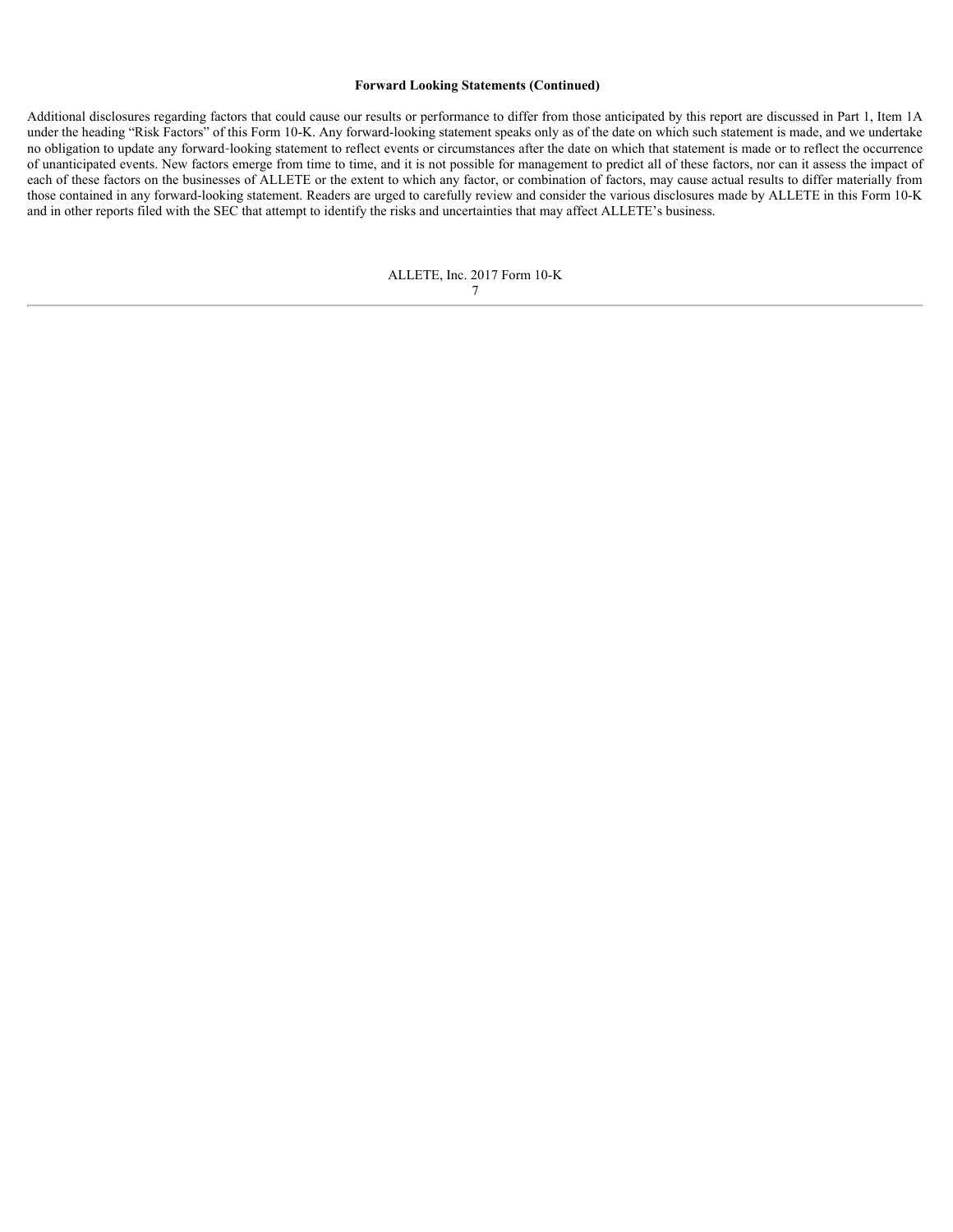#### **Forward Looking Statements (Continued)**

Additional disclosures regarding factors that could cause our results or performance to differ from those anticipated by this report are discussed in Part 1, Item 1A under the heading "Risk Factors" of this Form 10-K. Any forward-looking statement speaks only as of the date on which such statement is made, and we undertake no obligation to update any forward-looking statement to reflect events or circumstances after the date on which that statement is made or to reflect the occurrence of unanticipated events. New factors emerge from time to time, and it is not possible for management to predict all of these factors, nor can it assess the impact of each of these factors on the businesses of ALLETE or the extent to which any factor, or combination of factors, may cause actual results to differ materially from those contained in any forward-looking statement. Readers are urged to carefully review and consider the various disclosures made by ALLETE in this Form 10-K and in other reports filed with the SEC that attempt to identify the risks and uncertainties that may affect ALLETE's business.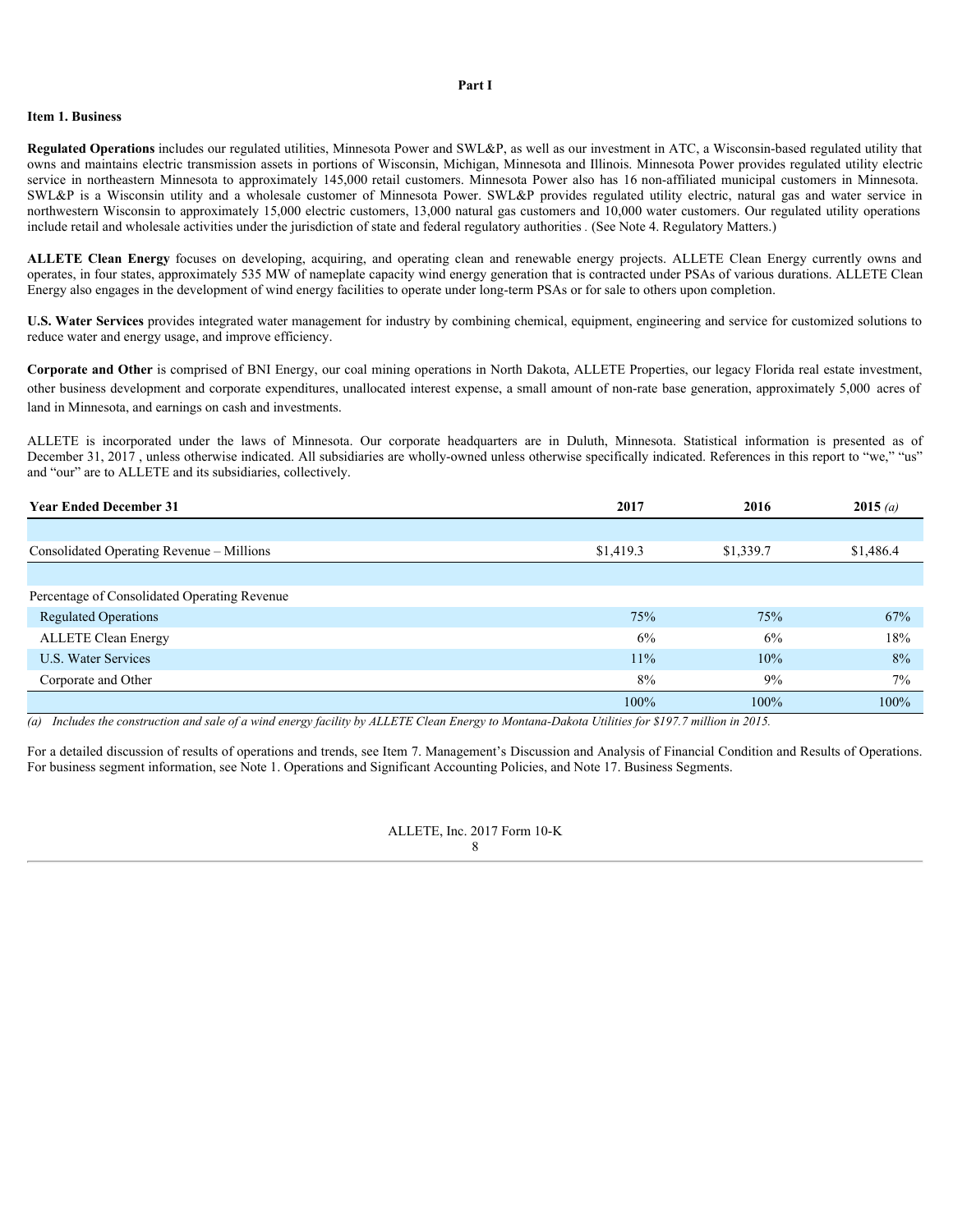#### **Part I**

#### <span id="page-9-1"></span><span id="page-9-0"></span>**Item 1. Business**

**Regulated Operations** includes our regulated utilities, Minnesota Power and SWL&P, as well as our investment in ATC, a Wisconsin-based regulated utility that owns and maintains electric transmission assets in portions of Wisconsin, Michigan, Minnesota and Illinois. Minnesota Power provides regulated utility electric **Fact 1**<br>**Regulated Operations** includes our regulated utilities, Minnesota Power and SWL&P, as well as our investment in ATC, a Wisconsin-based regulated utility that<br>**Regulated Operations** includes our regulated utilitie **Example is a Wisconsin utility and a wholesale customer and SWL&P, as well as our investment in ATC, a Wisconsin-based regulated utility that Regulated Depression incredible customers in portions of Wisconsin, Michigan, M** northwestern Wisconsin to approximately 15,000 electric customers, 13,000 natural gas customers and 10,000 water customers. Our regulated utility operations include retail and wholesale activities under the jurisdiction of state and federal regulatory authorities *.* (See Note 4. Regulatory Matters.) **ALLETE Clean Energy Constraines Security Clean ALLETE Clean ALLETE Clean Energy acquiring the Security and DRIF Clean ALLETE Clean ALLETE Clean And Security and Figure 2012 and The Security and Figure 2012 and Figure 2012 Part 1**<br> **Regulated Operations** includes our regulated utilities, Minnesota Pover and SWL&P, as well as our investigated in ATC, a Wisconsib-based regulated Units that<br>
over and minimizes clearer transmission assess in pr

operates, in four states, approximately 535 MW of nameplate capacity wind energy generation that is contracted under PSAs of various durations. ALLETE Clean Energy also engages in the development of wind energy facilities to operate under long-term PSAs or for sale to others upon completion.

**U.S. Water Services** provides integrated water management for industry by combining chemical, equipment, engineering and service for customized solutions to reduce water and energy usage, and improve efficiency.

**Corporate and Other** is comprised of BNI Energy, our coal mining operations in North Dakota, ALLETE Properties, our legacy Florida real estate investment, other business development and corporate expenditures, unallocated interest expense, a small amount of non-rate base generation, approximately 5,000 acres of land in Minnesota, and earnings on cash and investments.

December 31, 2017 , unless otherwise indicated. All subsidiaries are wholly-owned unless otherwise specifically indicated. References in this report to "we," "us" and "our" are to ALLETE and its subsidiaries, collectively.

| <b>Year Ended December 31</b>                | 2017      | 2016      | <b>2015</b> ( <i>a</i> ) |
|----------------------------------------------|-----------|-----------|--------------------------|
|                                              |           |           |                          |
| Consolidated Operating Revenue - Millions    | \$1,419.3 | \$1,339.7 | \$1,486.4                |
|                                              |           |           |                          |
| Percentage of Consolidated Operating Revenue |           |           |                          |
| <b>Regulated Operations</b>                  | 75%       | 75%       | 67%                      |
| <b>ALLETE Clean Energy</b>                   | 6%        | 6%        | 18%                      |
| U.S. Water Services                          | 11%       | 10%       | 8%                       |
| Corporate and Other                          | 8%        | 9%        | 7%                       |
|                                              | 100%      | 100%      | 100%                     |

*(a) Includes the construction and sale of a wind energy facility by ALLETE Clean Energy to Montana-Dakota Utilities for \$197.7 million in 2015.*

For a detailed discussion of results of operations and trends, see Item 7. Management's Discussion and Analysis of Financial Condition and Results of Operations. For business segment information, see Note 1. Operations and Significant Accounting Policies, and Note 17. Business Segments.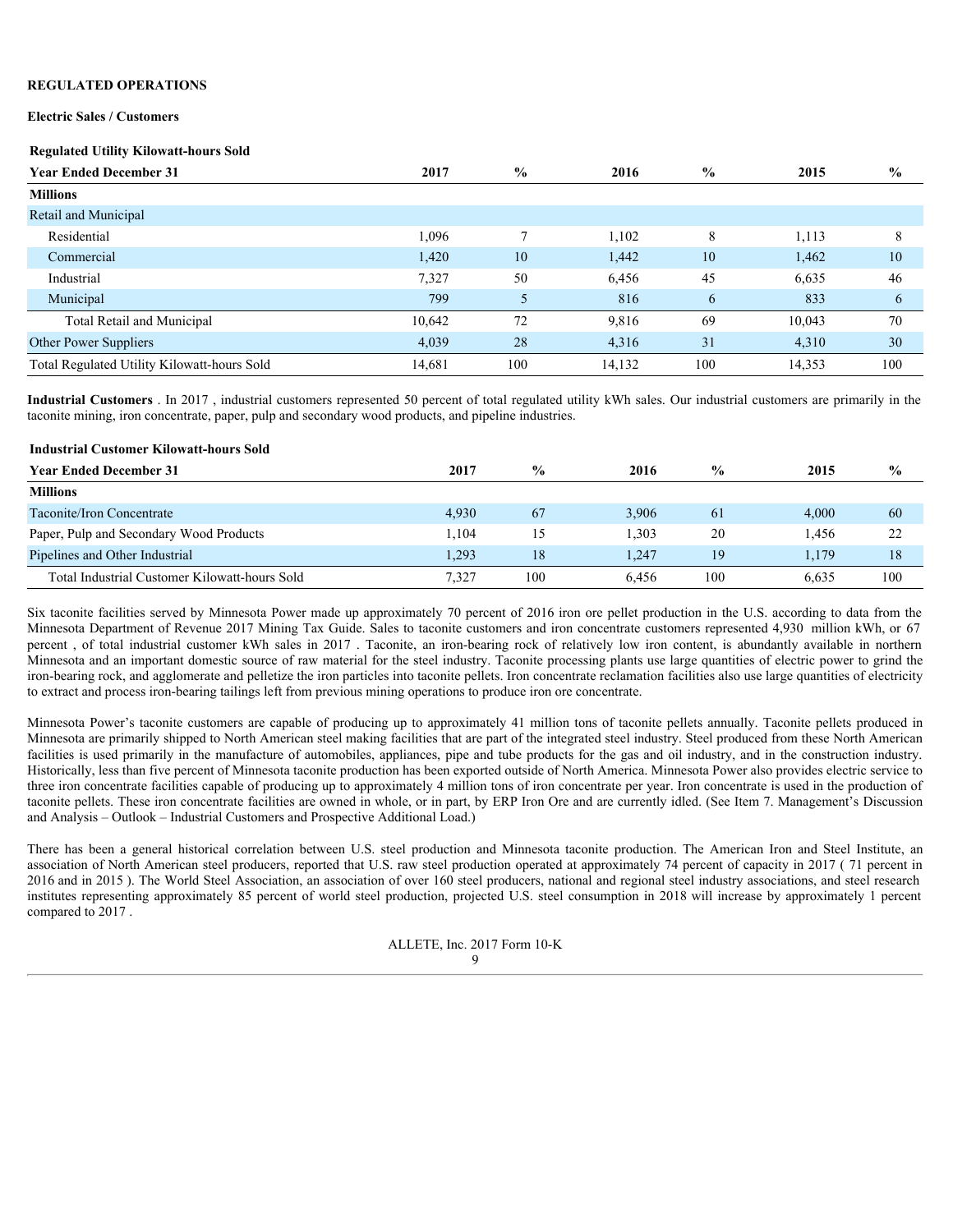# <span id="page-10-0"></span>**REGULATED OPERATIONS**

#### <span id="page-10-1"></span>**Electric Sales / Customers**

# **Regulated Utility Kilowatt-hours Sold**

| <b>Regulated Utility Kilowatt-hours Sold</b>                                                                                                                                                                                                                                                                             |        |                 |        |               |        |      |
|--------------------------------------------------------------------------------------------------------------------------------------------------------------------------------------------------------------------------------------------------------------------------------------------------------------------------|--------|-----------------|--------|---------------|--------|------|
| <b>Year Ended December 31</b>                                                                                                                                                                                                                                                                                            | 2017   | $\frac{0}{0}$   | 2016   | $\frac{6}{6}$ | 2015   | $\%$ |
| <b>Millions</b>                                                                                                                                                                                                                                                                                                          |        |                 |        |               |        |      |
| Retail and Municipal                                                                                                                                                                                                                                                                                                     |        |                 |        |               |        |      |
| Residential                                                                                                                                                                                                                                                                                                              | 1,096  | $7\phantom{.0}$ | 1,102  | 8             | 1,113  | 8    |
| Commercial                                                                                                                                                                                                                                                                                                               | 1,420  | 10              | 1,442  | 10            | 1,462  | 10   |
| Industrial                                                                                                                                                                                                                                                                                                               | 7,327  | 50              | 6,456  | 45            | 6,635  | 46   |
| Municipal                                                                                                                                                                                                                                                                                                                | 799    | 5               | 816    | 6             | 833    | 6    |
| <b>Total Retail and Municipal</b>                                                                                                                                                                                                                                                                                        | 10,642 | $72\,$          | 9,816  | 69            | 10,043 | 70   |
| Other Power Suppliers                                                                                                                                                                                                                                                                                                    | 4,039  | 28              | 4,316  | 31            | 4,310  | 30   |
| Total Regulated Utility Kilowatt-hours Sold                                                                                                                                                                                                                                                                              | 14,681 | 100             | 14,132 | 100           | 14,353 |      |
| Industrial Customers. In 2017, industrial customers represented 50 percent of total regulated utility kWh sales. Our industrial customers are primarily in the<br>taconite mining, iron concentrate, paper, pulp and secondary wood products, and pipeline industries.<br><b>Industrial Customer Kilowatt-hours Sold</b> |        |                 |        |               |        | 100  |
| <b>Year Ended December 31</b>                                                                                                                                                                                                                                                                                            | 2017   |                 | 2016   | $\%$          | 2015   | $\%$ |
| <b>Millions</b>                                                                                                                                                                                                                                                                                                          |        | $\frac{6}{6}$   |        |               |        |      |
| Taconite/Iron Concentrate                                                                                                                                                                                                                                                                                                | 4,930  | 67              | 3,906  | 61            | 4,000  | 60   |
| Paper, Pulp and Secondary Wood Products                                                                                                                                                                                                                                                                                  | 1,104  | 15              | 1,303  | 20            | 1,456  | 22   |
| Pipelines and Other Industrial                                                                                                                                                                                                                                                                                           | 1,293  | 18              | 1,247  | 19            | 1,179  | 18   |

#### **Industrial Customer Kilowatt-hours Sold**

| Other Power Suppliers                                                                                                                                                                                                                                                                                                                                                                                                                                                                                                                                                                                                                                                                                                                                                                                                                                                                                                                                                                                                                                                                                                                                                                                                                                                                                                                                                                                | 4,039  | 28            | 4,316  | 31            | 4,310  | 30     |
|------------------------------------------------------------------------------------------------------------------------------------------------------------------------------------------------------------------------------------------------------------------------------------------------------------------------------------------------------------------------------------------------------------------------------------------------------------------------------------------------------------------------------------------------------------------------------------------------------------------------------------------------------------------------------------------------------------------------------------------------------------------------------------------------------------------------------------------------------------------------------------------------------------------------------------------------------------------------------------------------------------------------------------------------------------------------------------------------------------------------------------------------------------------------------------------------------------------------------------------------------------------------------------------------------------------------------------------------------------------------------------------------------|--------|---------------|--------|---------------|--------|--------|
| Total Regulated Utility Kilowatt-hours Sold                                                                                                                                                                                                                                                                                                                                                                                                                                                                                                                                                                                                                                                                                                                                                                                                                                                                                                                                                                                                                                                                                                                                                                                                                                                                                                                                                          | 14,681 | 100           | 14,132 | 100           | 14,353 | 100    |
| Industrial Customers. In 2017, industrial customers represented 50 percent of total regulated utility kWh sales. Our industrial customers are primarily in the<br>taconite mining, iron concentrate, paper, pulp and secondary wood products, and pipeline industries.                                                                                                                                                                                                                                                                                                                                                                                                                                                                                                                                                                                                                                                                                                                                                                                                                                                                                                                                                                                                                                                                                                                               |        |               |        |               |        |        |
| <b>Industrial Customer Kilowatt-hours Sold</b>                                                                                                                                                                                                                                                                                                                                                                                                                                                                                                                                                                                                                                                                                                                                                                                                                                                                                                                                                                                                                                                                                                                                                                                                                                                                                                                                                       |        |               |        |               |        |        |
| <b>Year Ended December 31</b>                                                                                                                                                                                                                                                                                                                                                                                                                                                                                                                                                                                                                                                                                                                                                                                                                                                                                                                                                                                                                                                                                                                                                                                                                                                                                                                                                                        | 2017   | $\frac{6}{6}$ | 2016   | $\frac{0}{0}$ | 2015   | $\%$   |
| <b>Millions</b>                                                                                                                                                                                                                                                                                                                                                                                                                                                                                                                                                                                                                                                                                                                                                                                                                                                                                                                                                                                                                                                                                                                                                                                                                                                                                                                                                                                      |        |               |        |               |        |        |
| Taconite/Iron Concentrate                                                                                                                                                                                                                                                                                                                                                                                                                                                                                                                                                                                                                                                                                                                                                                                                                                                                                                                                                                                                                                                                                                                                                                                                                                                                                                                                                                            | 4,930  | 67            | 3,906  | 61            | 4,000  | 60     |
| Paper, Pulp and Secondary Wood Products                                                                                                                                                                                                                                                                                                                                                                                                                                                                                                                                                                                                                                                                                                                                                                                                                                                                                                                                                                                                                                                                                                                                                                                                                                                                                                                                                              | 1,104  | 15            | 1,303  | 20            | 1,456  | $22\,$ |
| Pipelines and Other Industrial                                                                                                                                                                                                                                                                                                                                                                                                                                                                                                                                                                                                                                                                                                                                                                                                                                                                                                                                                                                                                                                                                                                                                                                                                                                                                                                                                                       | 1,293  | 18            | 1,247  | 19            | 1,179  | $18\,$ |
| Total Industrial Customer Kilowatt-hours Sold                                                                                                                                                                                                                                                                                                                                                                                                                                                                                                                                                                                                                                                                                                                                                                                                                                                                                                                                                                                                                                                                                                                                                                                                                                                                                                                                                        | 7,327  | 100           | 6,456  | 100           | 6,635  | 100    |
| to extract and process iron-bearing tailings left from previous mining operations to produce iron ore concentrate.<br>Minnesota Power's taconite customers are capable of producing up to approximately 41 million tons of taconite pellets annually. Taconite pellets produced in<br>Minnesota are primarily shipped to North American steel making facilities that are part of the integrated steel industry. Steel produced from these North American<br>facilities is used primarily in the manufacture of automobiles, appliances, pipe and tube products for the gas and oil industry, and in the construction industry.<br>Historically, less than five percent of Minnesota taconite production has been exported outside of North America. Minnesota Power also provides electric service to<br>three iron concentrate facilities capable of producing up to approximately 4 million tons of iron concentrate per year. Iron concentrate is used in the production of<br>taconite pellets. These iron concentrate facilities are owned in whole, or in part, by ERP Iron Ore and are currently idled. (See Item 7. Management's Discussion<br>and Analysis - Outlook - Industrial Customers and Prospective Additional Load.)<br>There has been a general historical correlation between U.S. steel production and Minnesota taconite production. The American Iron and Steel Institute, an |        |               |        |               |        |        |
| association of North American steel producers, reported that U.S. raw steel production operated at approximately 74 percent of capacity in 2017 (71 percent in<br>2016 and in 2015). The World Steel Association, an association of over 160 steel producers, national and regional steel industry associations, and steel research<br>institutes representing approximately 85 percent of world steel production, projected U.S. steel consumption in 2018 will increase by approximately 1 percent<br>compared to 2017.                                                                                                                                                                                                                                                                                                                                                                                                                                                                                                                                                                                                                                                                                                                                                                                                                                                                            |        |               |        |               |        |        |
|                                                                                                                                                                                                                                                                                                                                                                                                                                                                                                                                                                                                                                                                                                                                                                                                                                                                                                                                                                                                                                                                                                                                                                                                                                                                                                                                                                                                      |        |               |        |               |        |        |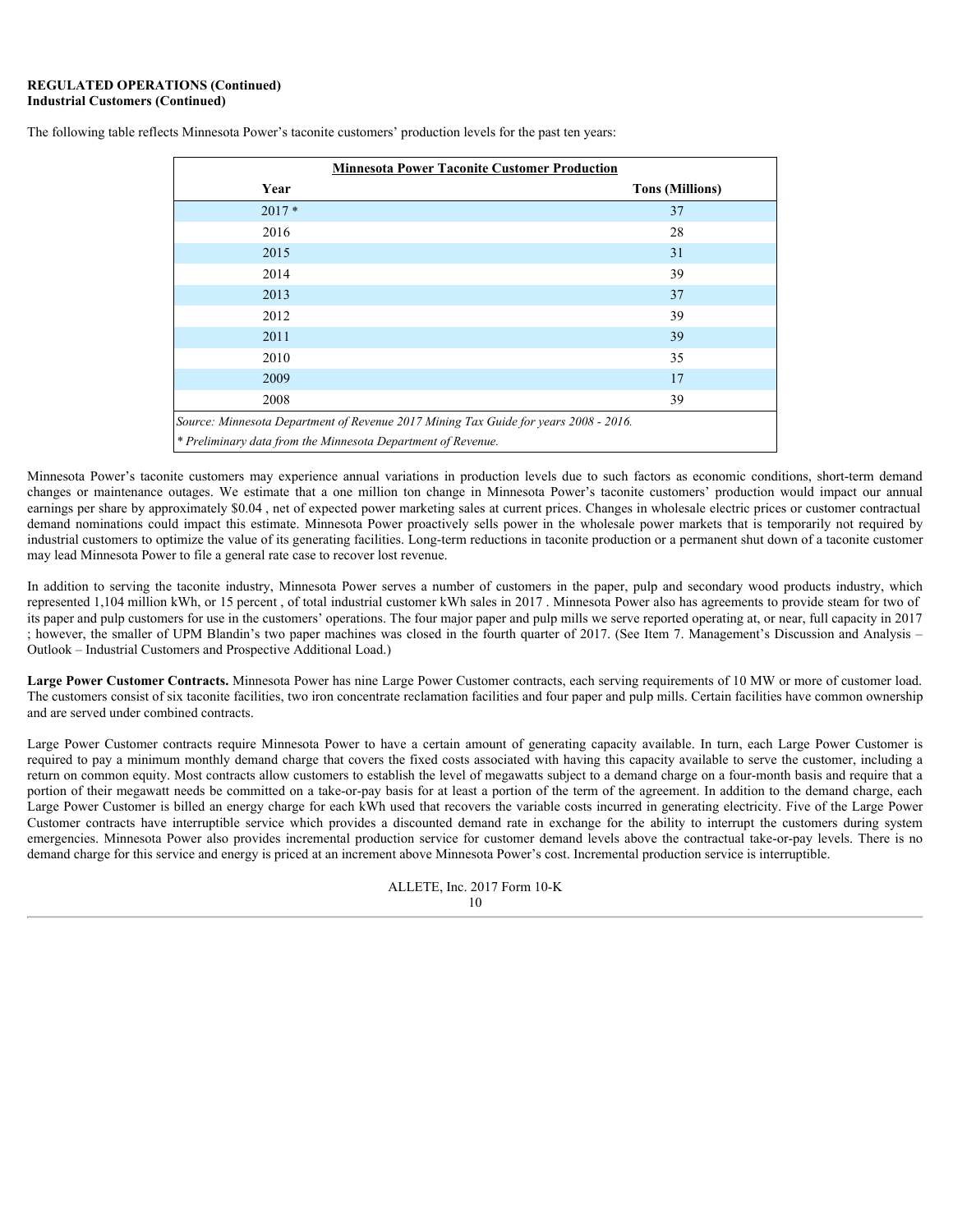# **REGULATED OPERATIONS (Continued) Industrial Customers (Continued)**

| <b>REGULATED OPERATIONS (Continued)</b><br><b>Industrial Customers (Continued)</b> |                                                                                                                                                                                                                                                                                                                   |                                                                                                                                                                                                                                                                                                                                                                                                                                                                                                                                                                                                                                                                                                                                                                                                                                                                                                                                                                                                                                                                                                                                                                    |
|------------------------------------------------------------------------------------|-------------------------------------------------------------------------------------------------------------------------------------------------------------------------------------------------------------------------------------------------------------------------------------------------------------------|--------------------------------------------------------------------------------------------------------------------------------------------------------------------------------------------------------------------------------------------------------------------------------------------------------------------------------------------------------------------------------------------------------------------------------------------------------------------------------------------------------------------------------------------------------------------------------------------------------------------------------------------------------------------------------------------------------------------------------------------------------------------------------------------------------------------------------------------------------------------------------------------------------------------------------------------------------------------------------------------------------------------------------------------------------------------------------------------------------------------------------------------------------------------|
|                                                                                    | The following table reflects Minnesota Power's taconite customers' production levels for the past ten years:                                                                                                                                                                                                      |                                                                                                                                                                                                                                                                                                                                                                                                                                                                                                                                                                                                                                                                                                                                                                                                                                                                                                                                                                                                                                                                                                                                                                    |
|                                                                                    |                                                                                                                                                                                                                                                                                                                   |                                                                                                                                                                                                                                                                                                                                                                                                                                                                                                                                                                                                                                                                                                                                                                                                                                                                                                                                                                                                                                                                                                                                                                    |
|                                                                                    | Year                                                                                                                                                                                                                                                                                                              | <b>Minnesota Power Taconite Customer Production</b><br><b>Tons (Millions)</b>                                                                                                                                                                                                                                                                                                                                                                                                                                                                                                                                                                                                                                                                                                                                                                                                                                                                                                                                                                                                                                                                                      |
|                                                                                    | $2017*$                                                                                                                                                                                                                                                                                                           | 37                                                                                                                                                                                                                                                                                                                                                                                                                                                                                                                                                                                                                                                                                                                                                                                                                                                                                                                                                                                                                                                                                                                                                                 |
|                                                                                    | 2016                                                                                                                                                                                                                                                                                                              | 28                                                                                                                                                                                                                                                                                                                                                                                                                                                                                                                                                                                                                                                                                                                                                                                                                                                                                                                                                                                                                                                                                                                                                                 |
|                                                                                    | 2015                                                                                                                                                                                                                                                                                                              | 31                                                                                                                                                                                                                                                                                                                                                                                                                                                                                                                                                                                                                                                                                                                                                                                                                                                                                                                                                                                                                                                                                                                                                                 |
|                                                                                    | 2014                                                                                                                                                                                                                                                                                                              | 39                                                                                                                                                                                                                                                                                                                                                                                                                                                                                                                                                                                                                                                                                                                                                                                                                                                                                                                                                                                                                                                                                                                                                                 |
|                                                                                    | 2013                                                                                                                                                                                                                                                                                                              | 37                                                                                                                                                                                                                                                                                                                                                                                                                                                                                                                                                                                                                                                                                                                                                                                                                                                                                                                                                                                                                                                                                                                                                                 |
|                                                                                    | 2012                                                                                                                                                                                                                                                                                                              | 39                                                                                                                                                                                                                                                                                                                                                                                                                                                                                                                                                                                                                                                                                                                                                                                                                                                                                                                                                                                                                                                                                                                                                                 |
|                                                                                    | 2011<br>2010                                                                                                                                                                                                                                                                                                      | 39<br>35                                                                                                                                                                                                                                                                                                                                                                                                                                                                                                                                                                                                                                                                                                                                                                                                                                                                                                                                                                                                                                                                                                                                                           |
|                                                                                    | 2009                                                                                                                                                                                                                                                                                                              | 17                                                                                                                                                                                                                                                                                                                                                                                                                                                                                                                                                                                                                                                                                                                                                                                                                                                                                                                                                                                                                                                                                                                                                                 |
|                                                                                    | 2008                                                                                                                                                                                                                                                                                                              | 39                                                                                                                                                                                                                                                                                                                                                                                                                                                                                                                                                                                                                                                                                                                                                                                                                                                                                                                                                                                                                                                                                                                                                                 |
|                                                                                    | Source: Minnesota Department of Revenue 2017 Mining Tax Guide for years 2008 - 2016.                                                                                                                                                                                                                              |                                                                                                                                                                                                                                                                                                                                                                                                                                                                                                                                                                                                                                                                                                                                                                                                                                                                                                                                                                                                                                                                                                                                                                    |
|                                                                                    | * Preliminary data from the Minnesota Department of Revenue.                                                                                                                                                                                                                                                      |                                                                                                                                                                                                                                                                                                                                                                                                                                                                                                                                                                                                                                                                                                                                                                                                                                                                                                                                                                                                                                                                                                                                                                    |
|                                                                                    |                                                                                                                                                                                                                                                                                                                   |                                                                                                                                                                                                                                                                                                                                                                                                                                                                                                                                                                                                                                                                                                                                                                                                                                                                                                                                                                                                                                                                                                                                                                    |
|                                                                                    | Minnesota Power's taconite customers may experience annual variations in production levels due to such factors as economic conditions, short-term demand<br>changes or maintenance outages. We estimate that a one million ton change in Minnesota Power's taconite customers' production would impact our annual |                                                                                                                                                                                                                                                                                                                                                                                                                                                                                                                                                                                                                                                                                                                                                                                                                                                                                                                                                                                                                                                                                                                                                                    |
|                                                                                    |                                                                                                                                                                                                                                                                                                                   | earnings per share by approximately \$0.04, net of expected power marketing sales at current prices. Changes in wholesale electric prices or customer contractual<br>demand nominations could impact this estimate. Minnesota Power proactively sells power in the wholesale power markets that is temporarily not required by                                                                                                                                                                                                                                                                                                                                                                                                                                                                                                                                                                                                                                                                                                                                                                                                                                     |
|                                                                                    |                                                                                                                                                                                                                                                                                                                   | industrial customers to optimize the value of its generating facilities. Long-term reductions in taconite production or a permanent shut down of a taconite customer                                                                                                                                                                                                                                                                                                                                                                                                                                                                                                                                                                                                                                                                                                                                                                                                                                                                                                                                                                                               |
|                                                                                    | may lead Minnesota Power to file a general rate case to recover lost revenue.                                                                                                                                                                                                                                     |                                                                                                                                                                                                                                                                                                                                                                                                                                                                                                                                                                                                                                                                                                                                                                                                                                                                                                                                                                                                                                                                                                                                                                    |
|                                                                                    |                                                                                                                                                                                                                                                                                                                   | In addition to serving the taconite industry, Minnesota Power serves a number of customers in the paper, pulp and secondary wood products industry, which<br>represented 1,104 million kWh, or 15 percent, of total industrial customer kWh sales in 2017. Minnesota Power also has agreements to provide steam for two of                                                                                                                                                                                                                                                                                                                                                                                                                                                                                                                                                                                                                                                                                                                                                                                                                                         |
|                                                                                    |                                                                                                                                                                                                                                                                                                                   | its paper and pulp customers for use in the customers' operations. The four major paper and pulp mills we serve reported operating at, or near, full capacity in 2017                                                                                                                                                                                                                                                                                                                                                                                                                                                                                                                                                                                                                                                                                                                                                                                                                                                                                                                                                                                              |
|                                                                                    |                                                                                                                                                                                                                                                                                                                   | ; however, the smaller of UPM Blandin's two paper machines was closed in the fourth quarter of 2017. (See Item 7. Management's Discussion and Analysis -                                                                                                                                                                                                                                                                                                                                                                                                                                                                                                                                                                                                                                                                                                                                                                                                                                                                                                                                                                                                           |
|                                                                                    | Outlook – Industrial Customers and Prospective Additional Load.)                                                                                                                                                                                                                                                  |                                                                                                                                                                                                                                                                                                                                                                                                                                                                                                                                                                                                                                                                                                                                                                                                                                                                                                                                                                                                                                                                                                                                                                    |
|                                                                                    |                                                                                                                                                                                                                                                                                                                   |                                                                                                                                                                                                                                                                                                                                                                                                                                                                                                                                                                                                                                                                                                                                                                                                                                                                                                                                                                                                                                                                                                                                                                    |
|                                                                                    |                                                                                                                                                                                                                                                                                                                   |                                                                                                                                                                                                                                                                                                                                                                                                                                                                                                                                                                                                                                                                                                                                                                                                                                                                                                                                                                                                                                                                                                                                                                    |
|                                                                                    |                                                                                                                                                                                                                                                                                                                   |                                                                                                                                                                                                                                                                                                                                                                                                                                                                                                                                                                                                                                                                                                                                                                                                                                                                                                                                                                                                                                                                                                                                                                    |
|                                                                                    |                                                                                                                                                                                                                                                                                                                   |                                                                                                                                                                                                                                                                                                                                                                                                                                                                                                                                                                                                                                                                                                                                                                                                                                                                                                                                                                                                                                                                                                                                                                    |
|                                                                                    |                                                                                                                                                                                                                                                                                                                   |                                                                                                                                                                                                                                                                                                                                                                                                                                                                                                                                                                                                                                                                                                                                                                                                                                                                                                                                                                                                                                                                                                                                                                    |
| and are served under combined contracts.                                           |                                                                                                                                                                                                                                                                                                                   |                                                                                                                                                                                                                                                                                                                                                                                                                                                                                                                                                                                                                                                                                                                                                                                                                                                                                                                                                                                                                                                                                                                                                                    |
|                                                                                    |                                                                                                                                                                                                                                                                                                                   | Large Power Customer Contracts. Minnesota Power has nine Large Power Customer contracts, each serving requirements of 10 MW or more of customer load.<br>The customers consist of six taconite facilities, two iron concentrate reclamation facilities and four paper and pulp mills. Certain facilities have common ownership<br>Large Power Customer contracts require Minnesota Power to have a certain amount of generating capacity available. In turn, each Large Power Customer is<br>required to pay a minimum monthly demand charge that covers the fixed costs associated with having this capacity available to serve the customer, including a<br>return on common equity. Most contracts allow customers to establish the level of megawatts subject to a demand charge on a four-month basis and require that a<br>portion of their megawatt needs be committed on a take-or-pay basis for at least a portion of the term of the agreement. In addition to the demand charge, each<br>Large Power Customer is billed an energy charge for each kWh used that recovers the variable costs incurred in generating electricity. Five of the Large Power |
|                                                                                    |                                                                                                                                                                                                                                                                                                                   | Customer contracts have interruptible service which provides a discounted demand rate in exchange for the ability to interrupt the customers during system<br>emergencies. Minnesota Power also provides incremental production service for customer demand levels above the contractual take-or-pay levels. There is no<br>demand charge for this service and energy is priced at an increment above Minnesota Power's cost. Incremental production service is interruptible.                                                                                                                                                                                                                                                                                                                                                                                                                                                                                                                                                                                                                                                                                     |

required to pay a minimum monthly demand charge that covers the fixed costs associated with having this capacity available to serve the customer, including a return on common equity. Most contracts allow customers to establish the level of megawatts subject to a demand charge on a four-month basis and require that a portion of their megawatt needs be committed on a take-or-pay basis for at least a portion of the term of the agreement. In addition to the demand charge, each Large Power Customer is billed an energy charge for each kWh used that recovers the variable costs incurred in generating electricity. Five of the Large Power 2011<br>
2011 - 2010<br>
2010 - 2018 - 2018 - 2018 - 2018 - 2018 - 2018 - 2018 - 2018 - 2019 - 2018 - 2019 - 2019 - 2019 - 2019 - 2019 - 2019 - 2019 - 2019 - 2019 - 2019 - 2019 - 2019 - 2019 - 2019 - 2019 - 2019 - 2019 - 2019 -2013<br>
2019<br>
2019<br>
2019<br>
2018<br>
2018<br>
2018<br>
2018<br>
2018<br>
2018<br>
2018<br>
2018<br>
2018<br>
2018<br>
2018<br>
2018<br>
2018<br>
2018<br>
2018<br>
2018<br>
2018 Chinese Advance Agreed above the Monetary Provides in production levels due to also from the con demand charge for this service and energy is priced at an increment above Minnesota Power's cost. Incremental production service is interruptible.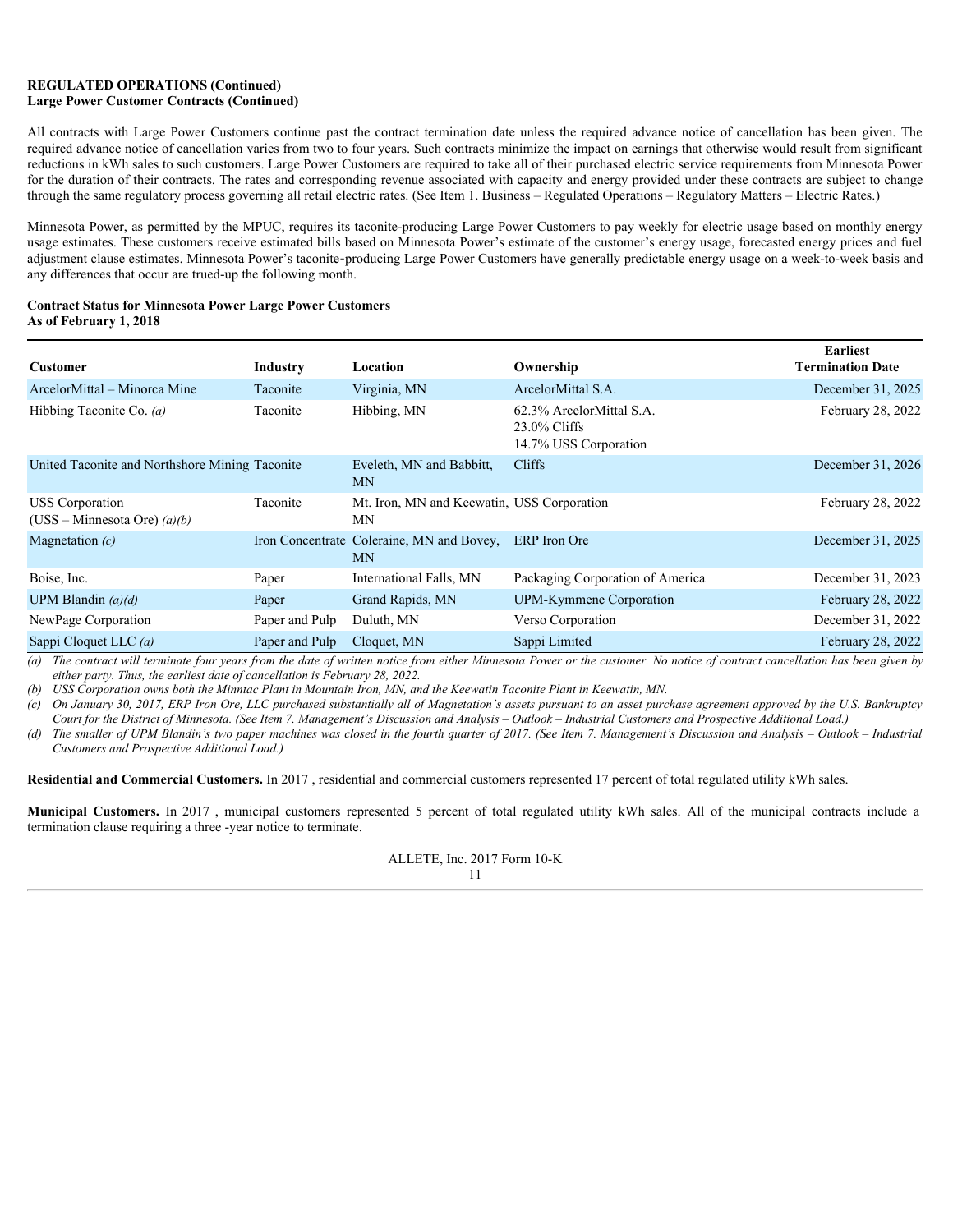# **REGULATED OPERATIONS (Continued) Large Power Customer Contracts (Continued)**

**REGULATED OPERATIONS (Continued)**<br>Large Power Customer Contracts (Continued)<br>All contracts with Large Power Customers continue past the contract termination date unless the required advance notice of cancellation has been required advance notice of cancellation varies from two to four years. Such contracts minimize the impact on earnings that otherwise would result from significant reductions in kWh sales to such customers. Large Power Customers are required to take all of their purchased electric service requirements from Minnesota Power for the duration of their contracts. The rates and corresponding revenue associated with capacity and energy provided under these contracts are subject to change through the same regulatory process governing all retail electric rates. (See Item 1. Business – Regulated Operations – Regulatory Matters – Electric Rates.)

Minnesota Power, as permitted by the MPUC, requires its taconite-producing Large Power Customers to pay weekly for electric usage based on monthly energy usage estimates. These customers receive estimated bills based on Minnesota Power's estimate of the customer's energy usage, forecasted energy prices and fuel adjustment clause estimates. Minnesota Power's taconite‑producing Large Power Customers have generally predictable energy usage on a week-to-week basis and any differences that occur are trued-up the following month.

#### **Contract Status for Minnesota Power Large Power Customers As of February 1, 2018**

| <b>Contract Status for Minnesota Power Large Power Customers</b><br>As of February 1, 2018                                                                                                                                                           |                            |                                                                     |                                                                                                                                                                                                                                                                                                                                                                                                                                                                                                                                                                                                                                                                                               |                                            |
|------------------------------------------------------------------------------------------------------------------------------------------------------------------------------------------------------------------------------------------------------|----------------------------|---------------------------------------------------------------------|-----------------------------------------------------------------------------------------------------------------------------------------------------------------------------------------------------------------------------------------------------------------------------------------------------------------------------------------------------------------------------------------------------------------------------------------------------------------------------------------------------------------------------------------------------------------------------------------------------------------------------------------------------------------------------------------------|--------------------------------------------|
| <b>Customer</b>                                                                                                                                                                                                                                      | Industry                   | Location                                                            | Ownership                                                                                                                                                                                                                                                                                                                                                                                                                                                                                                                                                                                                                                                                                     | <b>Earliest</b><br><b>Termination Date</b> |
| ArcelorMittal - Minorca Mine                                                                                                                                                                                                                         | Taconite                   | Virginia, MN                                                        | ArcelorMittal S.A.                                                                                                                                                                                                                                                                                                                                                                                                                                                                                                                                                                                                                                                                            | December 31, 2025                          |
| Hibbing Taconite Co. $(a)$                                                                                                                                                                                                                           | Taconite                   | Hibbing, MN                                                         | 62.3% ArcelorMittal S.A.<br>23.0% Cliffs<br>14.7% USS Corporation                                                                                                                                                                                                                                                                                                                                                                                                                                                                                                                                                                                                                             | February 28, 2022                          |
| United Taconite and Northshore Mining Taconite                                                                                                                                                                                                       |                            | Eveleth, MN and Babbitt,<br><b>MN</b>                               | <b>Cliffs</b>                                                                                                                                                                                                                                                                                                                                                                                                                                                                                                                                                                                                                                                                                 | December 31, 2026                          |
| <b>USS</b> Corporation<br>$(USS - Minnesota Ore)$ (a)(b)                                                                                                                                                                                             | Taconite                   | Mt. Iron, MN and Keewatin, USS Corporation<br>MN                    |                                                                                                                                                                                                                                                                                                                                                                                                                                                                                                                                                                                                                                                                                               | February 28, 2022                          |
| Magnetation $(c)$                                                                                                                                                                                                                                    |                            | Iron Concentrate Coleraine, MN and Bovey, ERP Iron Ore<br><b>MN</b> |                                                                                                                                                                                                                                                                                                                                                                                                                                                                                                                                                                                                                                                                                               | December 31, 2025                          |
| Boise, Inc.                                                                                                                                                                                                                                          | Paper                      | International Falls, MN                                             | Packaging Corporation of America                                                                                                                                                                                                                                                                                                                                                                                                                                                                                                                                                                                                                                                              | December 31, 2023                          |
| UPM Blandin $(a)(d)$                                                                                                                                                                                                                                 | Paper                      | Grand Rapids, MN                                                    | UPM-Kymmene Corporation                                                                                                                                                                                                                                                                                                                                                                                                                                                                                                                                                                                                                                                                       | February 28, 2022                          |
| NewPage Corporation                                                                                                                                                                                                                                  | Paper and Pulp             | Duluth, MN                                                          | Verso Corporation                                                                                                                                                                                                                                                                                                                                                                                                                                                                                                                                                                                                                                                                             | December 31, 2022                          |
| Sappi Cloquet LLC $(a)$                                                                                                                                                                                                                              | Paper and Pulp Cloquet, MN |                                                                     | Sappi Limited                                                                                                                                                                                                                                                                                                                                                                                                                                                                                                                                                                                                                                                                                 | February 28, 2022                          |
| either party. Thus, the earliest date of cancellation is February 28, 2022.<br>(b) USS Corporation owns both the Minntac Plant in Mountain Iron, MN, and the Keewatin Taconite Plant in Keewatin, MN.<br>Customers and Prospective Additional Load.) |                            |                                                                     | (a) The contract will terminate four years from the date of written notice from either Minnesota Power or the customer. No notice of contract cancellation has been given by<br>(c) On January 30, 2017, ERP Iron Ore, LLC purchased substantially all of Magnetation's assets pursuant to an asset purchase agreement approved by the U.S. Bankruptcy<br>Court for the District of Minnesota. (See Item 7. Management's Discussion and Analysis - Outlook - Industrial Customers and Prospective Additional Load.)<br>(d) The smaller of UPM Blandin's two paper machines was closed in the fourth quarter of 2017. (See Item 7. Management's Discussion and Analysis - Outlook - Industrial |                                            |
|                                                                                                                                                                                                                                                      |                            |                                                                     | Residential and Commercial Customers. In 2017, residential and commercial customers represented 17 percent of total regulated utility kWh sales.                                                                                                                                                                                                                                                                                                                                                                                                                                                                                                                                              |                                            |
| termination clause requiring a three -year notice to terminate.                                                                                                                                                                                      |                            |                                                                     | Municipal Customers. In 2017, municipal customers represented 5 percent of total regulated utility kWh sales. All of the municipal contracts include a                                                                                                                                                                                                                                                                                                                                                                                                                                                                                                                                        |                                            |
|                                                                                                                                                                                                                                                      |                            | ALLETE, Inc. 2017 Form 10-K                                         |                                                                                                                                                                                                                                                                                                                                                                                                                                                                                                                                                                                                                                                                                               |                                            |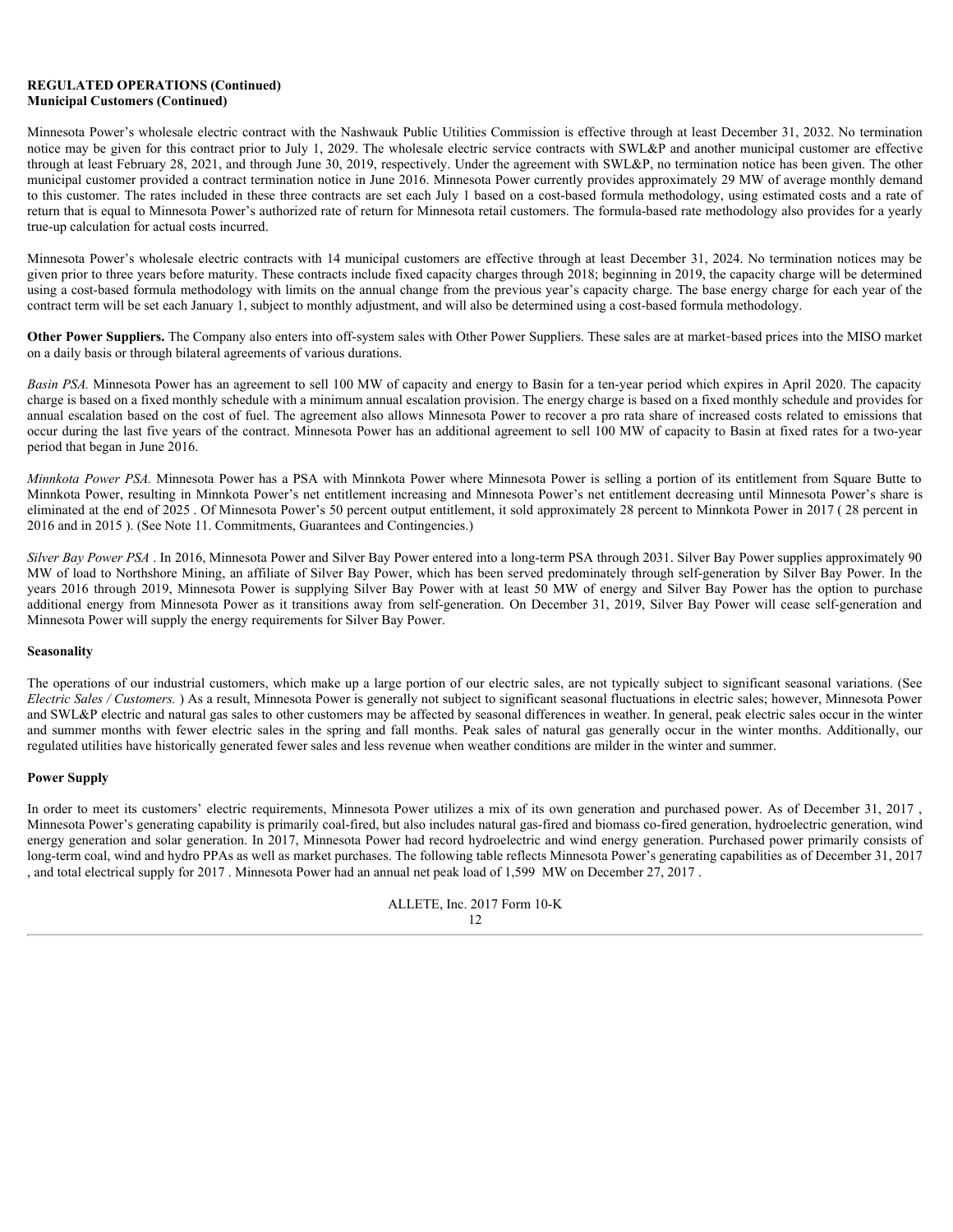## **REGULATED OPERATIONS (Continued) Municipal Customers (Continued)**

Minnesota Power's wholesale electric contract with the Nashwauk Public Utilities Commission is effective through at least December 31, 2032. No termination notice may be given for this contract prior to July 1, 2029. The wholesale electric service contracts with SWL&P and another municipal customer are effective through at least February 28, 2021, and through June 30, 2019, respectively. Under the agreement with SWL&P, no termination notice has been given. The other municipal customer provided a contract termination notice in June 2016. Minnesota Power currently provides approximately 29 MW of average monthly demand to this customer. The rates included in these three contracts are set each July 1 based on a cost-based formula methodology, using estimated costs and a rate of return that is equal to Minnesota Power's authorized rate of return for Minnesota retail customers. The formula-based rate methodology also provides for a yearly true-up calculation for actual costs incurred. RECULATED OTERATIONS (Conducted through a between the subsect of the conduction is effective distributed in the United Consensus Power is a method of the subsect of the subsect of the subsect of the subsect of the subsect Municipal Cuttomers (Continued)<br>Minnesota Power's wholesale cheretor contrar with the Nabiwal Public Cultimas Continues in effective fluority also Receives 1, 2022. No environments and the Nabigated Continues are the Minn

Minnesota Power's wholesale electric contracts with 14 municipal customers are effective through at least December 31, 2024. No termination notices may be given prior to three years before maturity. These contracts include fixed capacity charges through 2018; beginning in 2019, the capacity charge will be determined using a cost-based formula methodology with limits on the annual change from the previous year's capacity charge. The base energy charge for each year of the contract term will be set each January 1, subject to monthly adjustment, and will also be determined using a cost-based formula methodology.

**Other Power Suppliers.** The Company also enters into off-system sales with Other Power Suppliers. These sales are at market‑based prices into the MISO market on a daily basis or through bilateral agreements of various durations.

*Basin PSA.* Minnesota Power has an agreement to sell 100 MW of capacity and energy to Basin for a ten-year period which expires in April 2020. The capacity charge is based on a fixed monthly schedule with a minimum annual escalation provision. The energy charge is based on a fixed monthly schedule and provides for annual escalation based on the cost of fuel. The agreement also allows Minnesota Power to recover a pro rata share of increased costs related to emissions that occur during the last five years of the contract. Minnesota Power has an additional agreement to sell 100 MW of capacity to Basin at fixed rates for a two-year period that began in June 2016.

*Minnkota Power PSA.* Minnesota Power has a PSA with Minnkota Power where Minnesota Power is selling a portion of its entitlement from Square Butte to Minnkota Power, resulting in Minnkota Power's net entitlement increasing and Minnesota Power's net entitlement decreasing until Minnesota Power's share is eliminated at the end of 2025 . Of Minnesota Power's 50 percent output entitlement, it sold approximately 28 percent to Minnkota Power in 2017 ( 28 percent in 2016 and in 2015 ). (See Note 11. Commitments, Guarantees and Contingencies.)

*Silver Bay Power PSA* . In 2016, Minnesota Power and Silver Bay Power entered into a long-term PSA through 2031. Silver Bay Power supplies approximately 90 MW of load to Northshore Mining, an affiliate of Silver Bay Power, which has been served predominately through self-generation by Silver Bay Power. In the years 2016 through 2019, Minnesota Power is supplying Silver Bay Po Minnesota Power will supply the energy requirements for Silver Bay Power. and the spread summation of a reduction the summer months with few random and effective function in the spring and the spring and the spring and the spring and the spring and the spring and the spring and the spring and th

#### <span id="page-13-0"></span>**Seasonality**

The operations of our industrial customers, which make up a large portion of our electric sales, are not typically subject to significant seasonal variations. (See *Electric Sales / Customers.* ) As a result, Minnesota Power is generally not subject to significant seasonal fluctuations in electric sales; however, Minnesota Power and SWL&P electric and natural gas sales to other customers may be affected by seasonal differences in weather. In general, peak electric sales occur in the winter regulated utilities have historically generated fewer sales and less revenue when weather conditions are milder in the winter and summer.

# <span id="page-13-1"></span>**Power Supply**

In order to meet its customers' electric requirements, Minnesota Power utilizes a mix of its own generation and purchased power. As of December 31, 2017 , Minnesota Power's generating capability is primarily coal-fired, but also includes natural gas-fired and biomass co-fired generation, hydroelectric generation, wind energy generation and solar generation. In 2017, Minnesota Power had record hydroelectric and wind energy generation. Purchased power primarily consists of long-term coal, wind and hydro PPAs as well as market purchases. The following table reflects Minnesota Power's generating capabilities as of December 31, 2017 , and total electrical supply for 2017 . Minnesota Power had an annual net peak load of 1,599 MW on December 27, 2017 .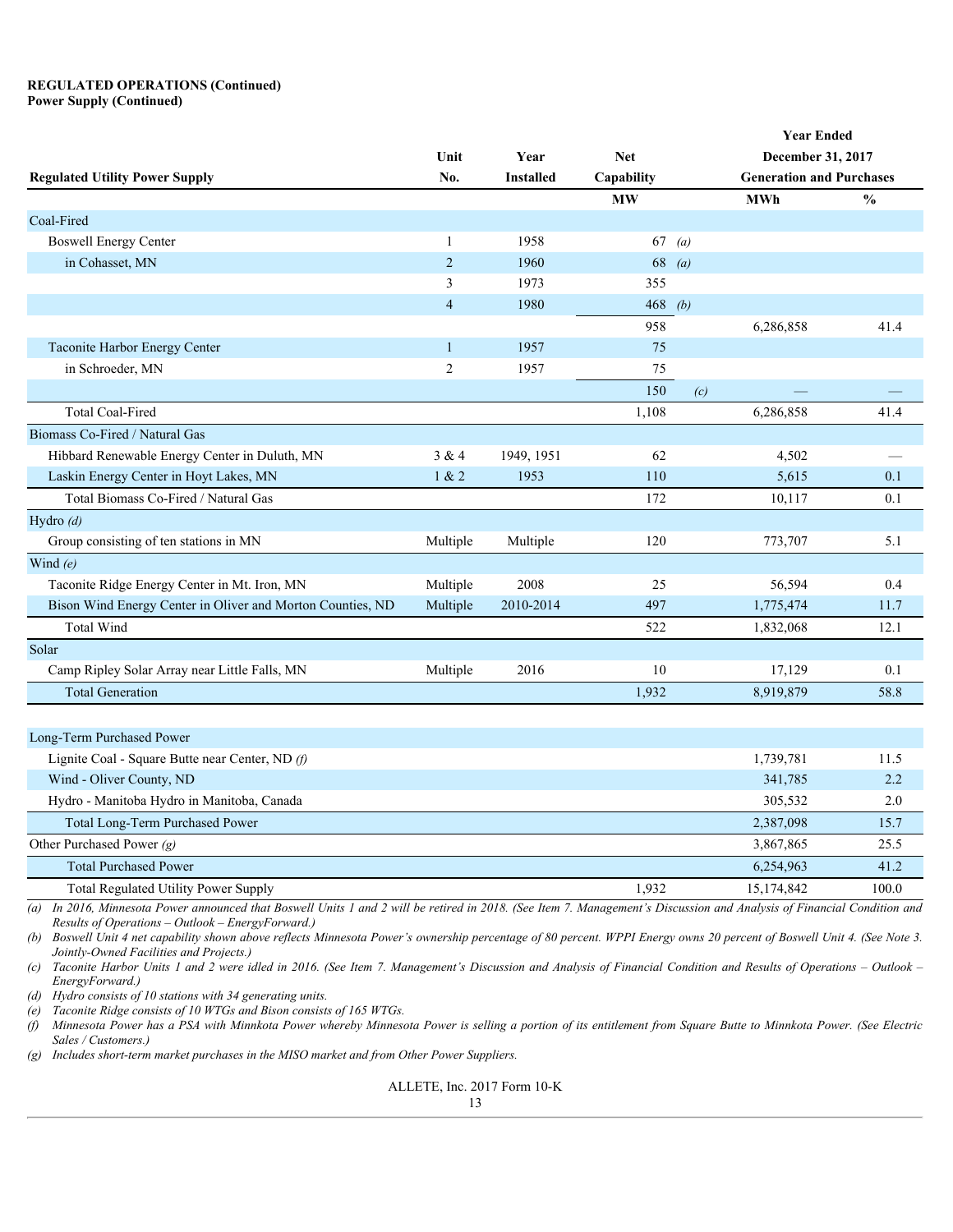# **REGULATED OPERATIONS (Continued)**

**Power Supply (Continued)**

|                                                            |                |                  |                 | <b>Year Ended</b>               |               |  |
|------------------------------------------------------------|----------------|------------------|-----------------|---------------------------------|---------------|--|
|                                                            | Unit           | Year             | <b>Net</b>      | December 31, 2017               |               |  |
| <b>Regulated Utility Power Supply</b>                      | No.            | <b>Installed</b> | Capability      | <b>Generation and Purchases</b> |               |  |
|                                                            |                |                  | <b>MW</b>       | <b>MWh</b>                      | $\frac{0}{0}$ |  |
| Coal-Fired                                                 |                |                  |                 |                                 |               |  |
| <b>Boswell Energy Center</b>                               |                | 1958             | $67$ (a)        |                                 |               |  |
| in Cohasset, MN                                            | 2              | 1960             | 68 ( <i>a</i> ) |                                 |               |  |
|                                                            | 3              | 1973             | 355             |                                 |               |  |
|                                                            | $\overline{4}$ | 1980             | 468 (b)         |                                 |               |  |
|                                                            |                |                  | 958             | 6,286,858                       | 41.4          |  |
| Taconite Harbor Energy Center                              |                | 1957             | 75              |                                 |               |  |
| in Schroeder, MN                                           | $\overline{2}$ | 1957             | 75              |                                 |               |  |
|                                                            |                |                  | 150<br>(c)      | $\qquad \qquad -$               |               |  |
| Total Coal-Fired                                           |                |                  | 1,108           | 6,286,858                       | 41.4          |  |
| Biomass Co-Fired / Natural Gas                             |                |                  |                 |                                 |               |  |
| Hibbard Renewable Energy Center in Duluth, MN              | 3 & 4          | 1949, 1951       | 62              | 4,502                           |               |  |
| Laskin Energy Center in Hoyt Lakes, MN                     | 1 & 2          | 1953             | 110             | 5,615                           | 0.1           |  |
| Total Biomass Co-Fired / Natural Gas                       |                |                  | 172             | 10,117                          | 0.1           |  |
| Hydro $(d)$                                                |                |                  |                 |                                 |               |  |
| Group consisting of ten stations in MN                     | Multiple       | Multiple         | 120             | 773,707                         | 5.1           |  |
| Wind $(e)$                                                 |                |                  |                 |                                 |               |  |
| Taconite Ridge Energy Center in Mt. Iron, MN               | Multiple       | 2008             | 25              | 56,594                          | 0.4           |  |
| Bison Wind Energy Center in Oliver and Morton Counties, ND | Multiple       | 2010-2014        | 497             | 1,775,474                       | 11.7          |  |
| Total Wind                                                 |                |                  | 522             | 1,832,068                       | 12.1          |  |
| Solar                                                      |                |                  |                 |                                 |               |  |
|                                                            |                | 2016             | $10\,$          | 17,129                          | 0.1           |  |
| Camp Ripley Solar Array near Little Falls, MN              | Multiple       |                  |                 |                                 |               |  |
| <b>Total Generation</b>                                    |                |                  | 1,932           | 8,919,879                       | 58.8          |  |
|                                                            |                |                  |                 |                                 |               |  |
| Long-Term Purchased Power                                  |                |                  |                 |                                 |               |  |
| Lignite Coal - Square Butte near Center, ND (f)            |                |                  |                 | 1,739,781                       | 11.5          |  |
| Wind - Oliver County, ND                                   |                |                  |                 | 341,785                         | 2.2           |  |
| Hydro - Manitoba Hydro in Manitoba, Canada                 |                |                  |                 | 305,532                         | 2.0           |  |
| Total Long-Term Purchased Power                            |                |                  |                 | 2,387,098                       | 15.7          |  |
| Other Purchased Power (g)                                  |                |                  |                 | 3,867,865                       | 25.5          |  |
| <b>Total Purchased Power</b>                               |                |                  |                 | 6,254,963                       | 41.2          |  |
| <b>Total Regulated Utility Power Supply</b>                |                |                  | 1,932           | 15,174,842                      | 100.0         |  |
| 2016.16<br>$\mathbf{r}$                                    |                |                  |                 |                                 |               |  |

*(a) In 2016, Minnesota Power announced that Boswell Units 1 and 2 will be retired in 2018. (See Item 7. Management's Discussion and Analysis of Financial Condition and Results of Operations – Outlook – EnergyForward.)*

*(b) Boswell Unit 4 net capability shown above reflects Minnesota Power's ownership percentage of 80 percent. WPPI Energy owns 20 percent of Boswell Unit 4. (See Note 3. Jointly-Owned Facilities and Projects.)*

*(c) Taconite Harbor Units 1 and 2 were idled in 2016. (See Item 7. Management's Discussion and Analysis of Financial Condition and Results of Operations – Outlook – EnergyForward.)*

*(d) Hydro consists of 10 stations with 34 generating units.*

*(e) Taconite Ridge consists of 10 WTGs and Bison consists of 165 WTGs.*

*(f) Minnesota Power has a PSA with Minnkota Power whereby Minnesota Power is selling a portion of its entitlement from Square Butte to Minnkota Power. (See Electric Sales / Customers.)*

*(g) Includes short-term market purchases in the MISO market and from Other Power Suppliers.*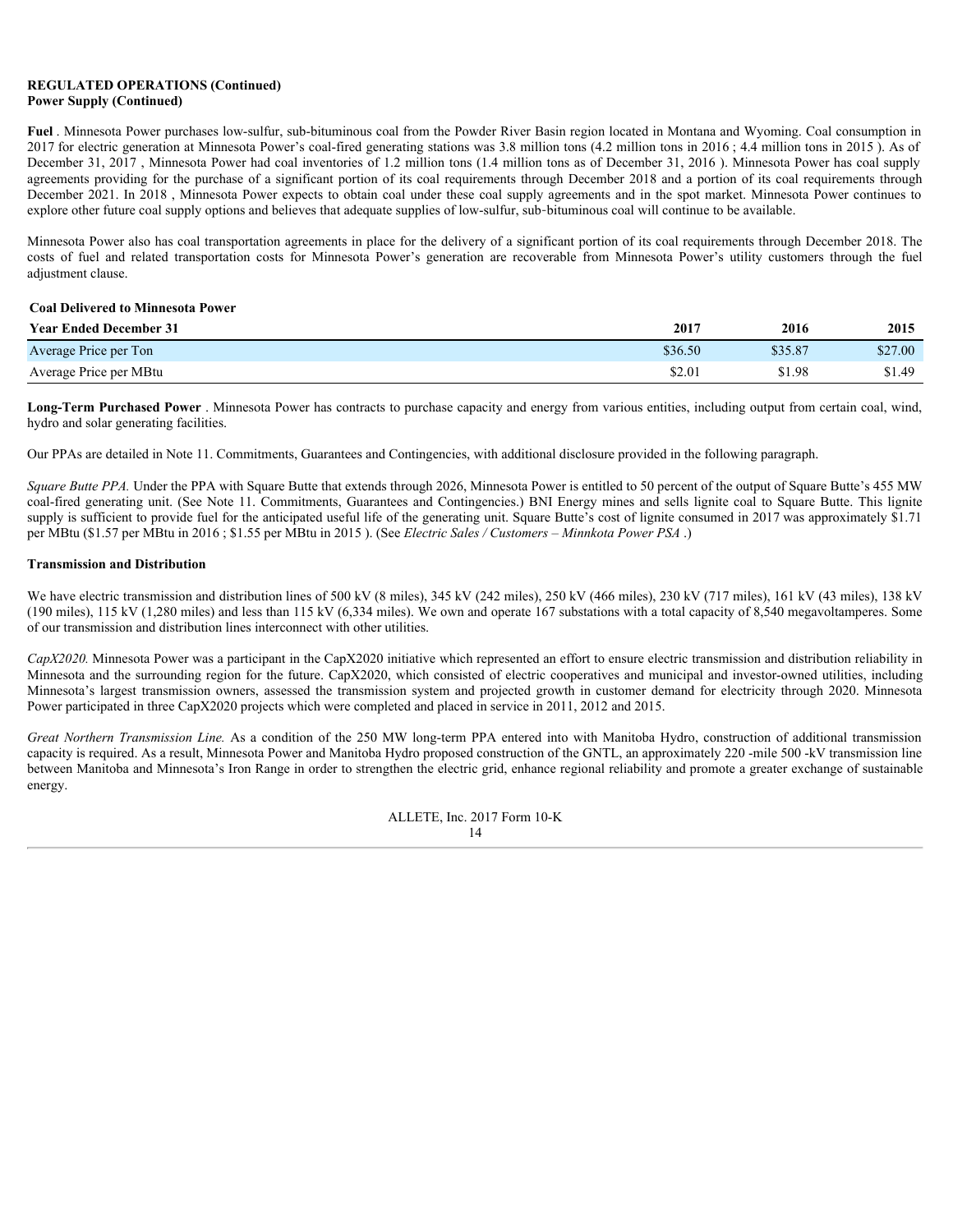# **REGULATED OPERATIONS (Continued) Power Supply (Continued)**

**Fuel** . Minnesota Power purchases low-sulfur, sub-bituminous coal from the Powder River Basin region located in Montana and Wyoming. Coal consumption in 2017 for electric generation at Minnesota Power's coal-fired generating stations was 3.8 million tons (4.2 million tons in 2016 ; 4.4 million tons in 2015 ). As of December 31, 2017 , Minnesota Power had coal inventories of 1.2 million tons (1.4 million tons as of December 31, 2016 ). Minnesota Power has coal supply agreements providing for the purchase of a significant portion of its coal requirements through December 2018 and a portion of its coal requirements through December 2021. In 2018 , Minnesota Power expects to obtain coal under these coal supply agreements and in the spot market. Minnesota Power continues to explore other future coal supply options and believes that adequate supplies of low-sulfur, sub-bituminous coal will continue to be available. REGULATED OPERATIONS (Continued)<br>
Power Supply (Continued)<br>
Tower Supply (Continued)<br>
2017 for electric generation at Minnesota Power's cool-fired generating sations was 3.8 million tons in 2016, at 4 million tons in 2015 **EVALUE ATTD OPERATIONS (Cantimore)**<br>**Fore: Supply Continues)**<br>**Fore: Supply Continues)**<br>**Continues liven pulsears low-milier, sub-biuninears coal-fired generating stations was 5.8 million tons in 2016: 44 million tons in** 

# **Coal Delivered to Minnesota Power**

| agreements providing for the purchase of a significant portion of its coal requirements through December 2018 and a portion of its coal requirements through<br>December 2021. In 2018, Minnesota Power expects to obtain coal under these coal supply agreements and in the spot market. Minnesota Power continues to<br>explore other future coal supply options and believes that adequate supplies of low-sulfur, sub-bituminous coal will continue to be available.                                                                                                                                                |         |         |         |  |
|-------------------------------------------------------------------------------------------------------------------------------------------------------------------------------------------------------------------------------------------------------------------------------------------------------------------------------------------------------------------------------------------------------------------------------------------------------------------------------------------------------------------------------------------------------------------------------------------------------------------------|---------|---------|---------|--|
| Minnesota Power also has coal transportation agreements in place for the delivery of a significant portion of its coal requirements through December 2018. The<br>costs of fuel and related transportation costs for Minnesota Power's generation are recoverable from Minnesota Power's utility customers through the fuel<br>adjustment clause.                                                                                                                                                                                                                                                                       |         |         |         |  |
| <b>Coal Delivered to Minnesota Power</b>                                                                                                                                                                                                                                                                                                                                                                                                                                                                                                                                                                                |         |         |         |  |
| <b>Year Ended December 31</b>                                                                                                                                                                                                                                                                                                                                                                                                                                                                                                                                                                                           | 2017    | 2016    | 2015    |  |
| Average Price per Ton                                                                                                                                                                                                                                                                                                                                                                                                                                                                                                                                                                                                   | \$36.50 | \$35.87 | \$27.00 |  |
| Average Price per MBtu                                                                                                                                                                                                                                                                                                                                                                                                                                                                                                                                                                                                  | \$2.01  | \$1.98  | \$1.49  |  |
| hydro and solar generating facilities.<br>Our PPAs are detailed in Note 11. Commitments, Guarantees and Contingencies, with additional disclosure provided in the following paragraph.<br>Square Butte PPA. Under the PPA with Square Butte that extends through 2026, Minnesota Power is entitled to 50 percent of the output of Square Butte's 455 MW                                                                                                                                                                                                                                                                 |         |         |         |  |
| coal-fired generating unit. (See Note 11. Commitments, Guarantees and Contingencies.) BNI Energy mines and sells lignite coal to Square Butte. This lignite<br>supply is sufficient to provide fuel for the anticipated useful life of the generating unit. Square Butte's cost of lignite consumed in 2017 was approximately \$1.71<br>per MBtu (\$1.57 per MBtu in 2016 ; \$1.55 per MBtu in 2015 ). (See Electric Sales / Customers - Minnkota Power PSA.)                                                                                                                                                           |         |         |         |  |
| <b>Transmission and Distribution</b>                                                                                                                                                                                                                                                                                                                                                                                                                                                                                                                                                                                    |         |         |         |  |
| We have electric transmission and distribution lines of 500 kV (8 miles), 345 kV (242 miles), 250 kV (466 miles), 230 kV (717 miles), 161 kV (43 miles), 138 kV<br>(190 miles), 115 kV (1,280 miles) and less than 115 kV (6,334 miles). We own and operate 167 substations with a total capacity of 8,540 megavoltamperes. Some<br>of our transmission and distribution lines interconnect with other utilities.                                                                                                                                                                                                       |         |         |         |  |
| $CapX2020$ . Minnesota Power was a participant in the CapX2020 initiative which represented an effort to ensure electric transmission and distribution reliability in<br>Minnesota and the surrounding region for the future. CapX2020, which consisted of electric cooperatives and municipal and investor-owned utilities, including<br>Minnesota's largest transmission owners, assessed the transmission system and projected growth in customer demand for electricity through 2020. Minnesota<br>Power participated in three CapX2020 projects which were completed and placed in service in 2011, 2012 and 2015. |         |         |         |  |
| Great Northern Transmission Line. As a condition of the 250 MW long-term PPA entered into with Manitoba Hydro, construction of additional transmission<br>capacity is required. As a result, Minnesota Power and Manitoba Hydro proposed construction of the GNTL, an approximately 220 -mile 500 -kV transmission line<br>between Manitoba and Minnesota's Iron Range in order to strengthen the electric grid, enhance regional reliability and promote a greater exchange of sustainable<br>energy.                                                                                                                  |         |         |         |  |
| ALLETE, Inc. 2017 Form 10-K                                                                                                                                                                                                                                                                                                                                                                                                                                                                                                                                                                                             |         |         |         |  |
| 14                                                                                                                                                                                                                                                                                                                                                                                                                                                                                                                                                                                                                      |         |         |         |  |

### <span id="page-15-0"></span>**Transmission and Distribution**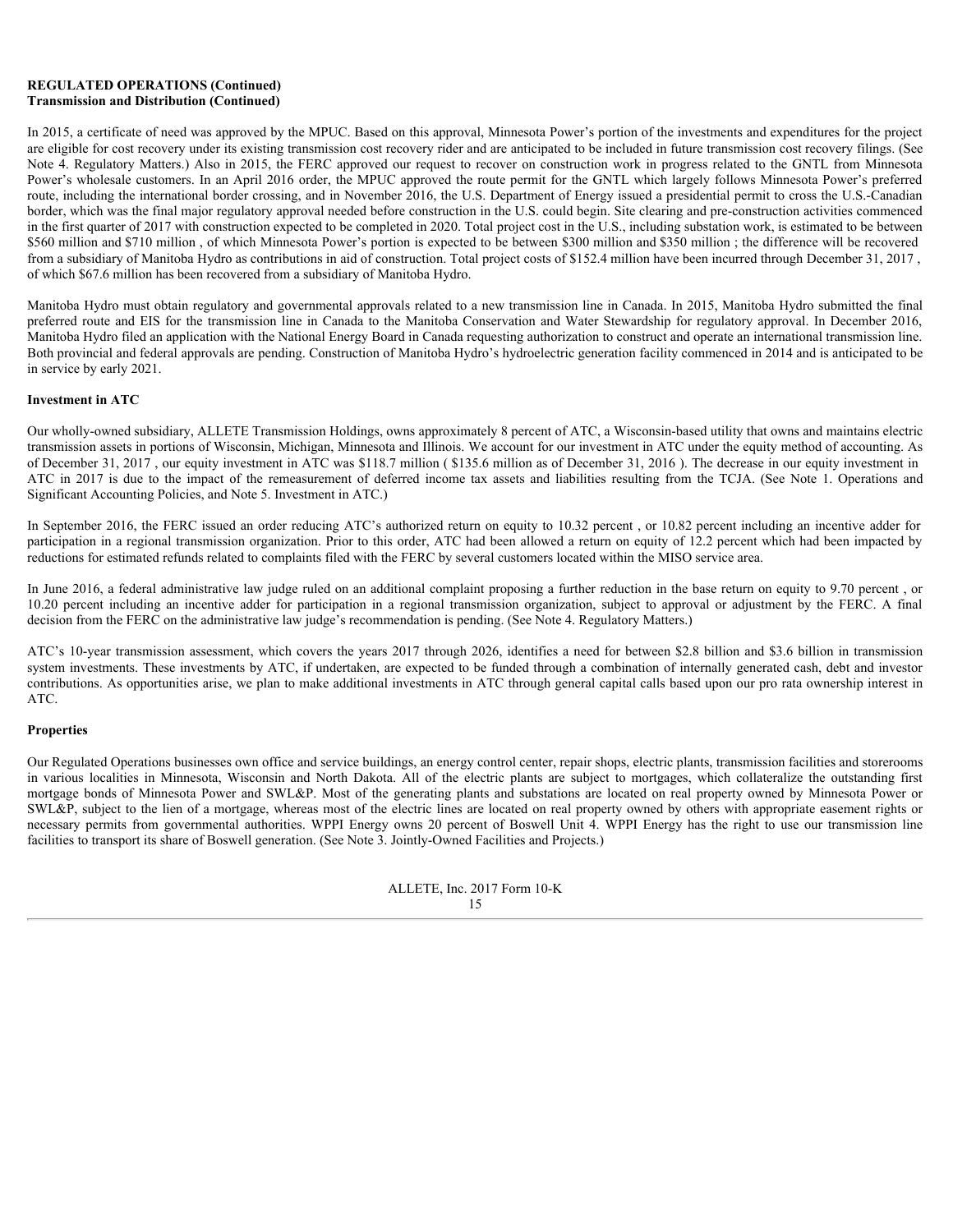## **REGULATED OPERATIONS (Continued) Transmission and Distribution (Continued)**

In 2015, a certificate of need was approved by the MPUC. Based on this approval, Minnesota Power's portion of the investments and expenditures for the project are eligible for cost recovery under its existing transmission cost recovery rider and are anticipated to be included in future transmission cost recovery filings. (See Note 4. Regulatory Matters.) Also in 2015, the FERC approved our request to recover on construction work in progress related to the GNTL from Minnesota Power's wholesale customers. In an April 2016 order, the MPUC approved the route permit for the GNTL which largely follows Minnesota Power's preferred route, including the international border crossing, and in November 2016, the U.S. Department of Energy issued a presidential permit to cross the U.S.-Canadian border, which was the final major regulatory approval needed before construction in the U.S. could begin. Site clearing and pre-construction activities commenced in the first quarter of 2017 with construction expected to be completed in 2020. Total project cost in the U.S., including substation work, is estimated to be between \$560 million and \$710 million, of which Minnesota Power's portion is expected to be between \$300 million and \$350 million; the difference will be recovered from a subsidiary of Manitoba Hydro as contributions in aid of construction. Total project costs of \$152.4 million have been incurred through December 31, 2017 , of which \$67.6 million has been recovered from a subsidiary of Manitoba Hydro. **EFFECTS** CONSULTERT CONSULTERT (Communed)<br> **Franconical and Distribution (Communed)**<br>
Transmission of the improved by the MPCC. Bused on this approval, Minnesota Power's period of the interstinents and expeditives for th Transmission and Distribution (Continuer)<br>
10. 2015, a certificate of each out approved by the MPLC. Burst or the manuele measurements to according to the manuele measurement in a region of the certification in a region o

Manitoba Hydro must obtain regulatory and governmental approvals related to a new transmission line in Canada. In 2015, Manitoba Hydro submitted the final preferred route and EIS for the transmission line in Canada to the Manitoba Conservation and Water Stewardship for regulatory approval. In December 2016, Manitoba Hydro filed an application with the National Energy Board in Canada requesting authorization to construct and operate an international transmission line. Both provincial and federal approvals are pending. Construction of Manitoba Hydro's hydroelectric generation facility commenced in 2014 and is anticipated to be in service by early 2021.

# <span id="page-16-0"></span>**Investment in ATC**

Our wholly-owned subsidiary, ALLETE Transmission Holdings, owns approximately 8 percent of ATC, a Wisconsin-based utility that owns and maintains electric transmission assets in portions of Wisconsin, Michigan, Minnesota and Illinois. We account for our investment in ATC under the equity method of accounting. As of December 31, 2017 , our equity investment in ATC was \$118.7 million ( \$135.6 million as of December 31, 2016 ). The decrease in our equity investment in Significant Accounting Policies, and Note 5. Investment in ATC.)

In September 2016, the FERC issued an order reducing ATC's authorized return on equity to 10.32 percent, or 10.82 percent including an incentive adder for participation in a regional transmission organization. Prior to this order, ATC had been allowed a return on equity of 12.2 percent which had been impacted by reductions for estimated refunds related to complaints filed with the FERC by several customers located within the MISO service area.

In June 2016, a federal administrative law judge ruled on an additional complaint proposing a further reduction in the base return on equity to 9.70 percent , or decision from the FERC on the administrative law judge's recommendation is pending. (See Note 4. Regulatory Matters.)

ATC's 10-year transmission assessment, which covers the years 2017 through 2026, identifies a need for between \$2.8 billion and \$3.6 billion in transmission system investments. These investments by ATC, if undertaken, are expected to be funded through a combination of internally generated cash, debt and investor contributions. As opportunities arise, we plan to make additional investments in ATC through general capital calls based upon our pro rata ownership interest in ATC.

#### <span id="page-16-1"></span>**Properties**

Our Regulated Operations businesses own office and service buildings, an energy control center, repair shops, electric plants, transmission facilities and storerooms in various localities in Minnesota, Wisconsin and North of which he Yo malom has been recovered from a subsidient y of Variation Hydros are consistent in Cases in Fig. 2015. Minister By the electric plants are subject to the electric plants are subject to the electric plants ar Morthols liveto entit exploiter and governmental approach relation one membrisco line in Canada. In 2015, Mostron Hydro and European and the generation and the generations are located one and European and the generations SWL&P, subject to the lien of a mortgage, whereas most of the electric lines are located on real property owned by others with appropriate easement rights or protein one and 18 Mm charamontaring the methods of the Manuals Christian Connective and which shows allow the proposition in the Boswell Unit 1. We consider the regular transmission line of Boswell Information Interpret facilities to transport its share of Boswell generation. (See Note 3. Jointly-Owned Facilities and Projects.)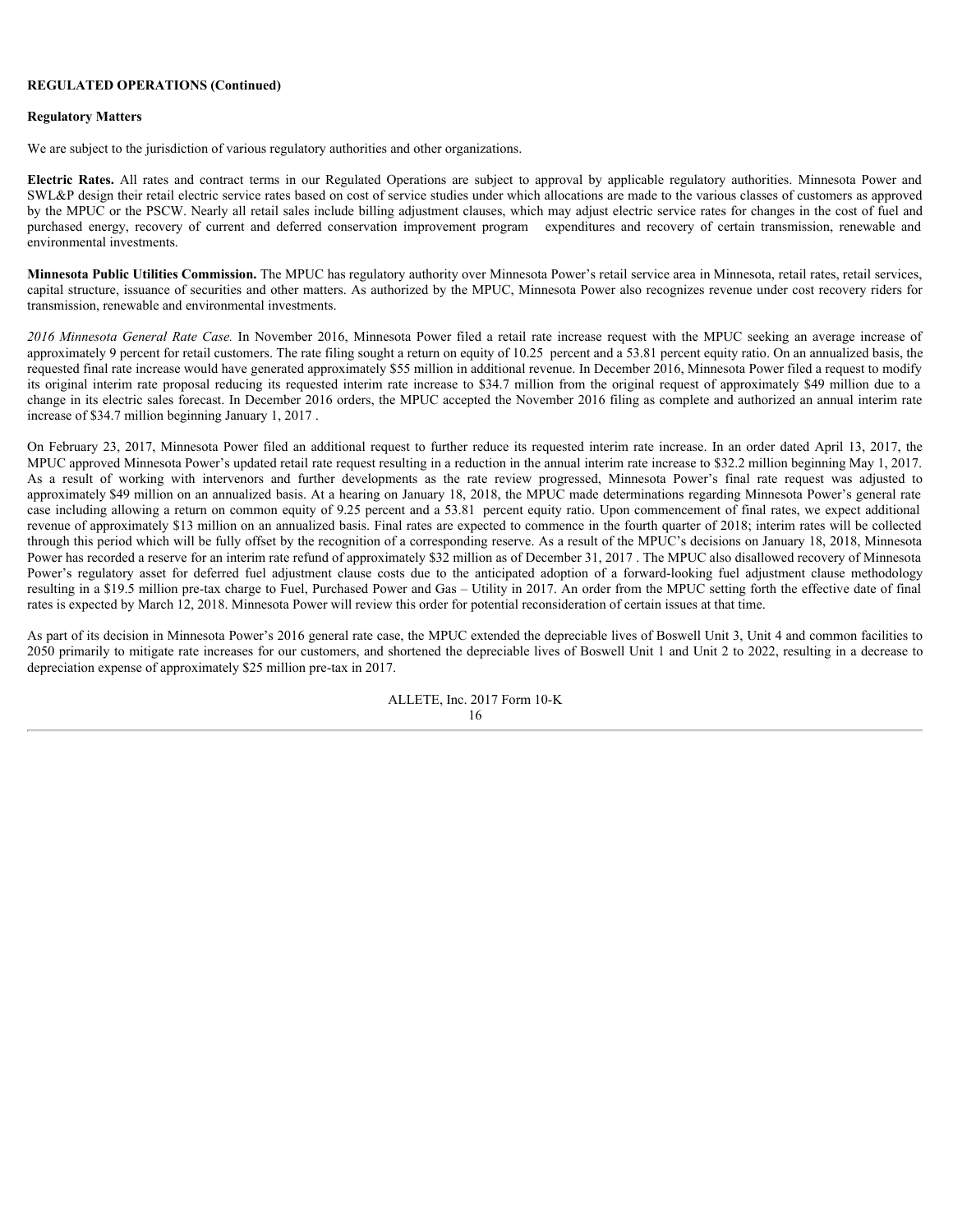# <span id="page-17-0"></span>**REGULATED OPERATIONS (Continued)**

#### **Regulatory Matters**

We are subject to the jurisdiction of various regulatory authorities and other organizations.

**Regulatory Matters**<br>
We are subject to the jurisdiction of various regulatory authorities and other organizations.<br> **Electric Rates.** All rates and contract terms in our Regulated Operations are subject to approval by app SWL&P design their retail electric service rates based on cost of service studies under which allocations are made to the various classes of customers as approved by the MPUC or the PSCW. Nearly all retail sales include billing adjustment clauses, which may adjust electric service rates for changes in the cost of fuel and purchased energy, recovery of current and deferred conservati **REGULATED OPERATIONS (Continued)**<br> **Regulatory Matters**<br> **Recovery of current and contract terms** in our Regulated Operations are subject to approval by applicable regulatory authorities. Minnesota Power and<br> **ENCIC RAES.** environmental investments.

**Minnesota Public Utilities Commission.** The MPUC has regulatory authority over Minnesota Power's retail service area in Minnesota, retail rates, retail services, capital structure, issuance of securities and other matters. As authorized by the MPUC, Minnesota Power also recognizes revenue under cost recovery riders for transmission, renewable and environmental investments.

*Regulatory Matters*<br>**2020** We are subject to the junction of various regulatory authorities and other organizations.<br> **2020** Extert Rates All rates and contract terms in our Regulated Operations are subject to approval approximately 9 percent for retail customers. The rate filing sought a return on equity of 10.25 percent and a 53.81 percent equity ratio. On an annualized basis, the requested final rate increase would have generated approximately \$55 million in additional revenue. In December 2016, Minnesota Power filed a request to modify its original interim rate proposal reducing its requested inte REGULATED OPERATIONS (Cuntinued)<br>
We are subject to the jurisdiction of various regulatory amborities and other operations,<br>
We are subject to the jurisdiction of various tegulatory amborities and other operations,<br>
SEV a change in its electric sales forecast. In December 2016 orders, the MPUC accepted the November 2016 filing as complete and authorized an annual interim rate increase of \$34.7 million beginning January 1, 2017 .

On February 23, 2017, Minnesota Power filed an additional request to further reduce its requested interim rate increase. In an order dated April 13, 2017, the MPUC approved Minnesota Power's updated retail rate request resulting in a reduction in the annual interim rate increase to \$32.2 million beginning May 1, 2017.<br>As a result of working with intervenors and further developme **REGULATED OPERATIONS (Cuntimust)**<br>
Ne are subject to the pursule correct varies to an Regulatory and wither originary and the regulatory Minicipal Developments are subject to approved by poplicable regulators. Minicipal P approximately \$49 million on an annualized basis. At a hearing on January 18, 2018, the MPUC made determinations regarding Minnesota Power's general rate case including allowing a return on common equity of 9.25 percent and a 53.81 percent equity ratio. Upon commencement of final rates, we expect additional revenue of approximately \$13 million on an annualized basis. Final rates are expected to commence in the fourth quarter of 2018; interim rates will be collected through this period which will be fully offset by the recognition of a corresponding reserve. As a result of the MPUC's decisions on January 18, 2018, Minnesota Power has recorded a reserve for an interim rate refund of approximately \$32 million as of December 31, 2017 . The MPUC also disallowed recovery of Minnesota Retail.A.TRD OPERATIONS (Comfinest)<br>
We are subject to the jurisdiction of various regulatory ambienties and other organizations.<br>
We are subject to the jurisdiction of various regulator of excellents are analyzed by appli resulting in a \$19.5 million pre-tax charge to Fuel, Purchased Power and Gas – Utility in 2017. An order from the MPUC setting forth the effective date of final rates is expected by March 12, 2018. Minnesota Power will review this order for potential reconsideration of certain issues at that time.

As part of its decision in Minnesota Power's 2016 general rate case, the MPUC extended the depreciable lives of Boswell Unit 3, Unit 4 and common facilities to 2050 primarily to mitigate rate increases for our customers, and shortened the depreciable lives of Boswell Unit 1 and Unit 2 to 2022, resulting in a decrease to depreciation expense of approximately \$25 million pre-tax in 2017.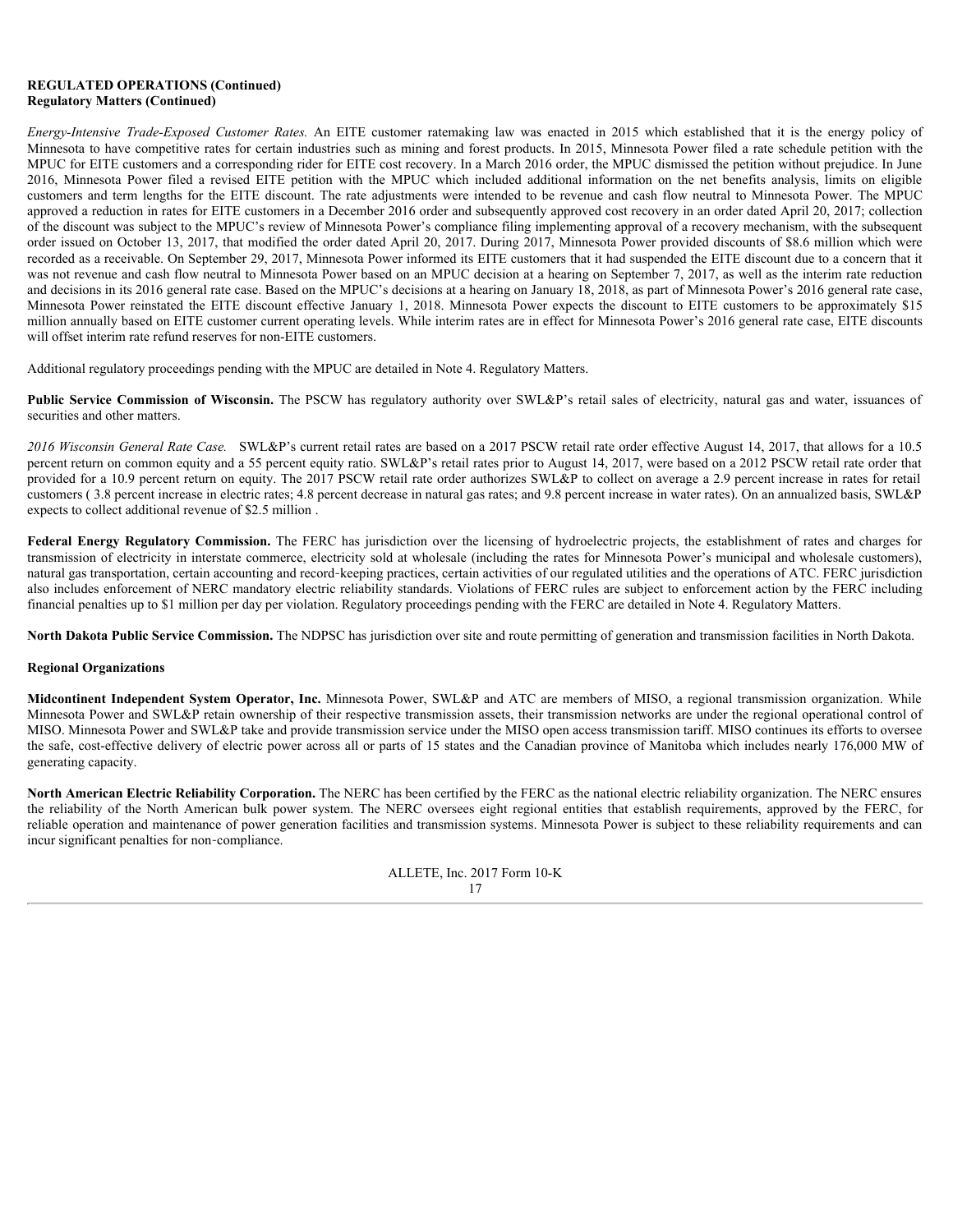# **REGULATED OPERATIONS (Continued) Regulatory Matters (Continued)**

**REGULATED OPERATIONS (Continued)**<br>*Energy-Intensive Trade-Exposed Customer Rates.* An EITE customer ratemaking law was enacted in 2015 which established that it is the energy policy of<br>*Minnesota to have competitive rates* Minnesota to have competitive rates for certain industries such as mining and forest products. In 2015, Minnesota Power filed a rate schedule petition with the MPUC for EITE customers and a corresponding rider for EITE cost recovery. In a March 2016 order, the MPUC dismissed the petition without prejudice. In June **REGULATED OPERATIONS (Continued)**<br>**Regulatory Matters (Continued)**<br>**Energy-Intensive Trade-Exposed Customer Rates.** An EITE customer ratemaking law was enacted in 2015 which established that it is the energy policy of<br>Mim **REGULATED OPERATIONS (Continued)**<br>**Regulatory Matters (Continued)**<br>*Energy-Intersive Trade-Exposed Customer Rates.* An EITE customer ratemaking law was enacted in 2015 which established that it is the energy policy of<br>Min approved a reduction in rates for EITE customers in a December 2016 order and subsequently approved cost recovery in an order dated April 20, 2017; collection of the discount was subject to the MPUC's review of Minnesota Power's compliance filing implementing approval of a recovery mechanism, with the subsequent order issued on October 13, 2017, that modified the order dated April 20, 2017. During 2017, Minnesota Power provided discounts of \$8.6 million which were recorded as a receivable. On September 29, 2017, Minnesota Power informed its EITE customers that it had suspended the EITE discount due to a concern that it was not revenue and cash flow neutral to Minnesota Power based on an MPUC decision at a hearing on September 7, 2017, as well as the interim rate reduction and decisions in its 2016 general rate case. Based on the MPUC's decisions at a hearing on January 18, 2018, as part of Minnesota Power's 2016 general rate case, REGULATED OPERATIONS (Continued)<br>
Regulatory Matters (Continued)<br>
Engentlement in the EITE discount Education and the EITE contemporary and a formal functions. In 2015. Minnesota Dover Chief a matter is discount to have c million annually based on EITE customer current operating levels. While interim rates are in effect for Minnesota Power's 2016 general rate case, EITE discounts will offset interim rate refund reserves for non-EITE customers. **REGULATED OPERATIONS (Centinued)**<br>**Regulatory Matters (Continued)**<br>**Regulatory Matters (Continued)**<br>**Regulatory Matters (Continued)**<br>**Regulatory Matters (Continued)**<br>**MATC** for FITs common case composition of the PMPC inc REGULATED OPERATIONS (Continued)<br>Regulatory 77nds-Spoof Casoner Reas, An FIT: casewer starming law was encoded a 2015 when endeled additional for the FERC has probability and for the FERC has forest field and the FERC has continent and term toppies by the Minnesota Discussion was maintain to be received solid by the solid of the System Operator, Inc. Minnesota Power, Inc. Minnesota Power, Inc. Minnesota Power, Inc. Minnesota Power, Inc. Min

Additional regulatory proceedings pending with the MPUC are detailed in Note 4. Regulatory Matters.

securities and other matters.

2016 Wisconsin General Rate Case. SWL&P's current retail rates are based on a 2017 PSCW retail rate order effective August 14, 2017, that allows for a 10.5 percent return on common equity and a 55 percent equity ratio. SWL&P's retail rates prior to August 14, 2017, were based on a 2012 PSCW retail rate order that provided for a 10.9 percent return on equity. The 2017 PSCW retail rate order authorizes SWL&P to collect on average a 2.9 percent increase in rates for retail customers ( 3.8 percent increase in electric rates; 4.8 percent decrease in natural gas rates; and 9.8 percent increase in water rates). On an annualized basis, SWL&P

transmission of electricity in interstate commerce, electricity sold at wholesale (including the rates for Minnesota Power's municipal and wholesale customers), natural gas transportation, certain accounting and record-keeping practices, certain activities of our regulated utilities and the operations of ATC. FERC jurisdiction also includes enforcement of NERC mandatory electric reliability standards. Violations of FERC rules are subject to enforcement action by the FERC including financial penalties up to \$1 million per day per violation. Regulatory proceedings pending with the FERC are detailed in Note 4. Regulatory Matters.

**North Dakota Public Service Commission.** The NDPSC has jurisdiction over site and route permitting of generation and transmission facilities in North Dakota.

# <span id="page-18-0"></span>**Regional Organizations**

Minnesota Power and SWL&P retain ownership of their respective transmission assets, their transmission networks are under the regional operational control of MISO. Minnesota Power and SWL&P take and provide transmission service under the MISO open access transmission tariff. MISO continues its efforts to oversee the safe, cost-effective delivery of electric power across all or parts of 15 states and the Canadian province of Manitoba which includes nearly 176,000 MW of generating capacity. Minnesta From critics and its 2111 theories power share). 2011 Numerial Prove expects the decorations the reliability of the North American bulk power system. The NERC oversel is the North American bulk power system. The N

**North American Electric Reliability Corporation.** The NERC has been certified by the FERC as the national electric reliability organization. The NERC ensures reliable operation and maintenance of power generation facilities and transmission systems. Minnesota Power is subject to these reliability requirements and can incur significant penalties for non‑compliance.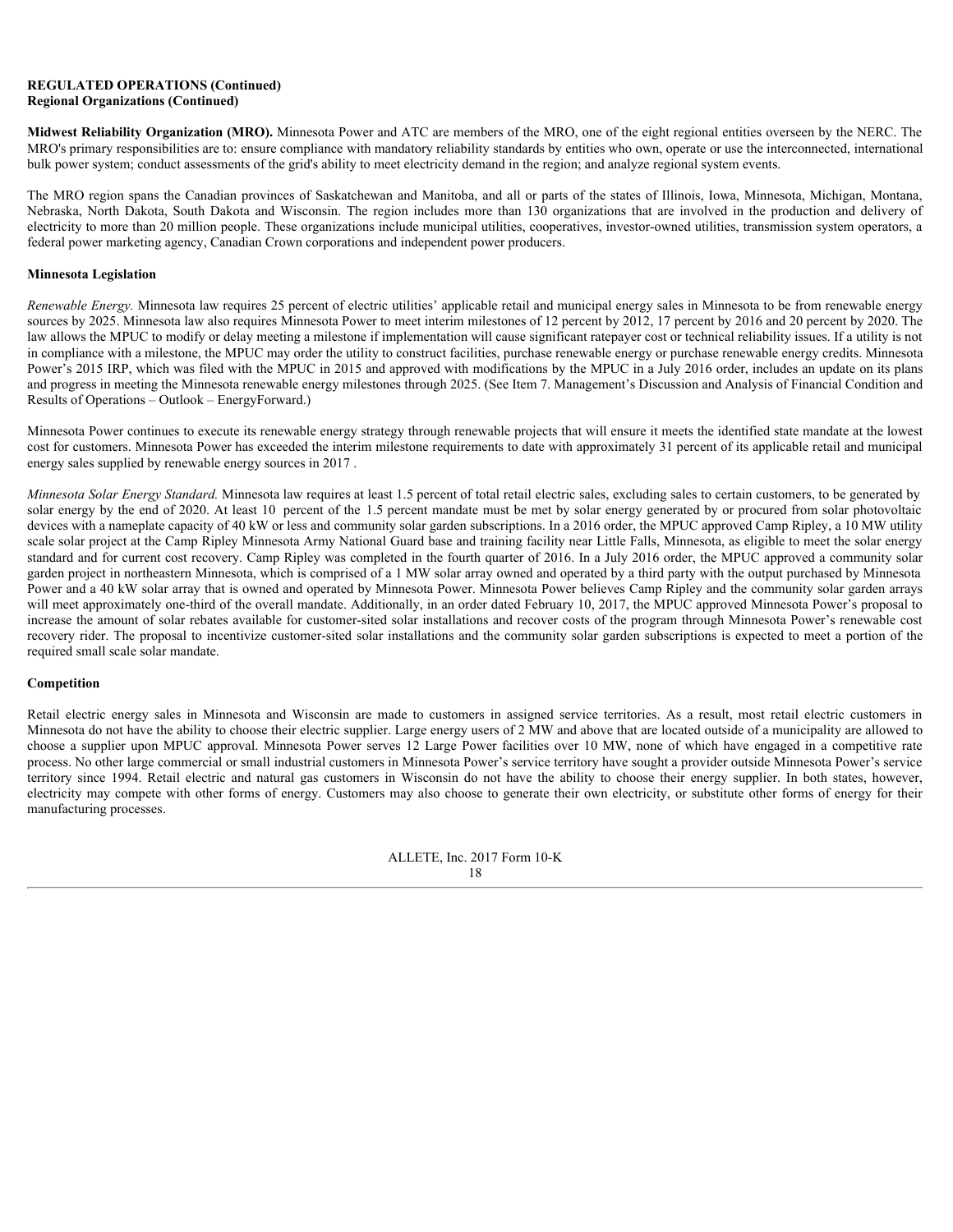#### **REGULATED OPERATIONS (Continued) Regional Organizations (Continued)**

**Midwest Reliability Organization (MRO).** Minnesota Power and ATC are members of the MRO, one of the eight regional entities overseen by the NERC. The MRO's primary responsibilities are to: ensure compliance with mandatory reliability standards by entities who own, operate or use the interconnected, international bulk power system; conduct assessments of the grid's ability to meet electricity demand in the region; and analyze regional system events.

The MRO region spans the Canadian provinces of Saskatchewan and Manitoba, and all or parts of the states of Illinois, Iowa, Minnesota, Michigan, Montana, Nebraska, North Dakota, South Dakota and Wisconsin. The region inclu **REGULATED OPERATIONS (Continued)**<br> **Regional Organizations (Continued)**<br> **Midwest Reliability Organization (MRO)**. Minnesota Power and ATC are members of the MRO, one of the eight regional entities overseen by the NERC. T electricity to more than 20 million people. These organizations include municipal utilities, cooperatives, investor-owned utilities, transmission system operators, a federal power marketing agency, Canadian Crown corporations and independent power producers.

# <span id="page-19-0"></span>**Minnesota Legislation**

*Renewable Energy.* Minnesota law requires 25 percent of electric utilities' applicable retail and municipal energy sales in Minnesota to be from renewable energy sources by 2025. Minnesota law also requires Minnesota Power to meet interim milestones of 12 percent by 2012, 17 percent by 2016 and 20 percent by 2020. The law allows the MPUC to modify or delay meeting a milestone if implementation will cause significant ratepayer cost or technical reliability issues. If a utility is not in compliance with a milestone, the MPUC may order the utility to construct facilities, purchase renewable energy or purchase renewable energy credits. Minnesota Power's 2015 IRP, which was filed with the MPUC in 2015 and approved with modifications by the MPUC in a July 2016 order, includes an update on its plans and progress in meeting the Minnesota renewable energy milestones through 2025. (See Item 7. Management's Discussion and Analysis of Financial Condition and Results of Operations – Outlook – EnergyForward.)

Minnesota Power continues to execute its renewable energy strategy through renewable projects that will ensure it meets the identified state mandate at the lowest cost for customers. Minnesota Power has exceeded the interim milestone requirements to date with approximately 31 percent of its applicable retail and municipal energy sales supplied by renewable energy sources in 2017 .

*Minnesota Solar Energy Standard.* Minnesota law requires at least 1.5 percent of total retail electric sales, excluding sales to certain customers, to be generated by solar energy by the end of 2020. At least 10 percent of the 1.5 percent mandate must be met by solar energy generated by or procured from solar photovoltaic devices with a nameplate capacity of 40 kW or less and community solar garden subscriptions. In a 2016 order, the MPUC approved Camp Ripley, a 10 MW utility scale solar project at the Camp Ripley Minnesota Army National Guard base and training facility near Little Falls, Minnesota, as eligible to meet the solar energy standard and for current cost recovery. Camp Ripley was completed in the fourth quarter of 2016. In a July 2016 order, the MPUC approved a community solar garden project in northeastern Minnesota, which is comprised of a 1 MW solar array owned and operated by a third party with the output purchased by Minnesota Power and a 40 kW solar array that is owned and operated by Minnesota Power. Minnesota Power believes Camp Ripley and the community solar garden arrays will meet approximately one-third of the overall mandate. Additionally, in an order dated February 10, 2017, the MPUC approved Minnesota Power's proposal to increase the amount of solar rebates available for customer-sited solar installations and recover costs of the program through Minnesota Power's renewable cost recovery rider. The proposal to incentivize customer-sited solar installations and the community solar garden subscriptions is expected to meet a portion of the required small scale solar mandate. Nelson. New Docks, New Minnesota and Wisconsin are region made in more than the Nelson Minnesota and incredible preservices in the nelson of the Nins and Wisconsin and intervention and the Nins and Nelson Minnesota and pow choose a supplier by the supplier of the choose and independent power positions. This is a supplier that the supplier that the supplier and the supplier of the supplier of the supplier of the supplier of the supplier of th **Minneesis Legislation**<br>
Minnesotic Energy, Minnesoti has required 25 percent of electric angles in guidable since the ability of the retained relationship in the ability to consider and natural gas customers in the abili

#### <span id="page-19-1"></span>**Competition**

Minnesota do not have the ability to choose their electric supplier. Large energy users of 2 MW and above that are located outside of a municipality are allowed to choose a supplier upon MPUC approval. Minnesota Power serv process. No other large commercial or small industrial customers in Minnesota Power's service territory have sought a provider outside Minnesota Power's service territory since 1994. Retail electric and natural gas custome electricity may compete with other forms of energy. Customers may also choose to generate their own electricity, or substitute other forms of energy for their manufacturing processes.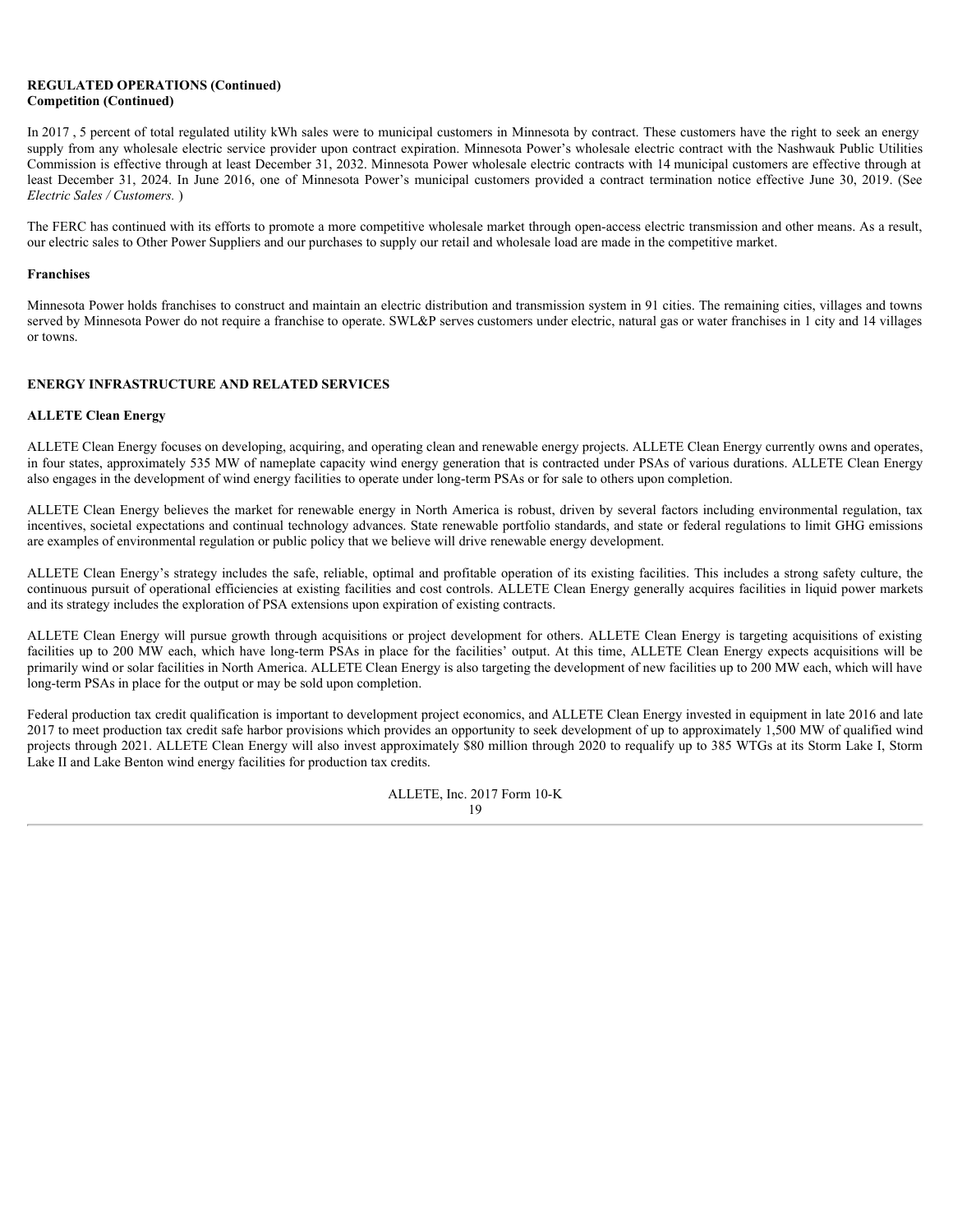# **REGULATED OPERATIONS (Continued) Competition (Continued)**

In 2017, 5 percent of total regulated utility kWh sales were to municipal customers in Minnesota by contract. These customers have the right to seek an energy supply from any wholesale electric service provider upon contract expiration. Minnesota Power's wholesale electric contract with the Nashwauk Public Utilities Commission is effective through at least December 31, 2032. Minnesota Power wholesale electric contracts with 14 municipal customers are effective through at **REGULATED OPERATIONS (Continued)**<br>
Competition (Continued)<br>
In 2017, 5 percent of total regulated utility kWh sales were to municipal customers in Minnesota by contract. These customers have the right to seek an energy<br>
s *Electric Sales / Customers.* )

The FERC has continued with its efforts to promote a more competitive wholesale market through open-access electric transmission and other means. As a result, our electric sales to Other Power Suppliers and our purchases to supply our retail and wholesale load are made in the competitive market.

#### <span id="page-20-0"></span>**Franchises**

Minnesota Power holds franchises to construct and maintain an electric distribution and transmission system in 91 cities. The remaining cities, villages and towns served by Minnesota Power do not require a franchise to operate. SWL&P serves customers under electric, natural gas or water franchises in 1 city and 14 villages or towns.

# <span id="page-20-1"></span>**ENERGY INFRASTRUCTURE AND RELATED SERVICES**

#### <span id="page-20-2"></span>**ALLETE Clean Energy**

ALLETE Clean Energy focuses on developing, acquiring, and operating clean and renewable energy projects. ALLETE Clean Energy currently owns and operates, in four states, approximately 535 MW of nameplate capacity wind energy generation that is contracted under PSAs of various durations. ALLETE Clean Energy also engages in the development of wind energy facilities to operate under long-term PSAs or for sale to others upon completion.

ALLETE Clean Energy believes the market for renewable energy in North America is robust, driven by several factors including environmental regulation, tax incentives, societal expectations and continual technology advances. State renewable portfolio standards, and state or federal regulations to limit GHG emissions are examples of environmental regulation or public policy that we believe will drive renewable energy development.

ALLETE Clean Energy's strategy includes the safe, reliable, optimal and profitable operation of its existing facilities. This includes a strong safety culture, the continuous pursuit of operational efficiencies at existing facilities and cost controls. ALLETE Clean Energy generally acquires facilities in liquid power markets and its strategy includes the exploration of PSA extensions upon expiration of existing contracts.

ALLETE Clean Energy will pursue growth through acquisitions or project development for others. ALLETE Clean Energy is targeting acquisitions of existing facilities up to 200 MW each, which have long-term PSAs in place for the facilities' output. At this time, ALLETE Clean Energy expects acquisitions will be primarily wind or solar facilities in North America. ALLETE Clean Energy is also targeting the development of new facilities up to 200 MW each, which will have long-term PSAs in place for the output or may be sold upon completion.

Federal production tax credit qualification is important to development project economics, and ALLETE Clean Energy invested in equipment in late 2016 and late 2017 to meet production tax credit safe harbor provisions which provides an opportunity to seek development of up to approximately 1,500 MW of qualified wind projects through 2021. ALLETE Clean Energy will also invest approximately \$80 million through 2020 to requalify up to 385 WTGs at its Storm Lake I, Storm Lake II and Lake Benton wind energy facilities for production tax credits.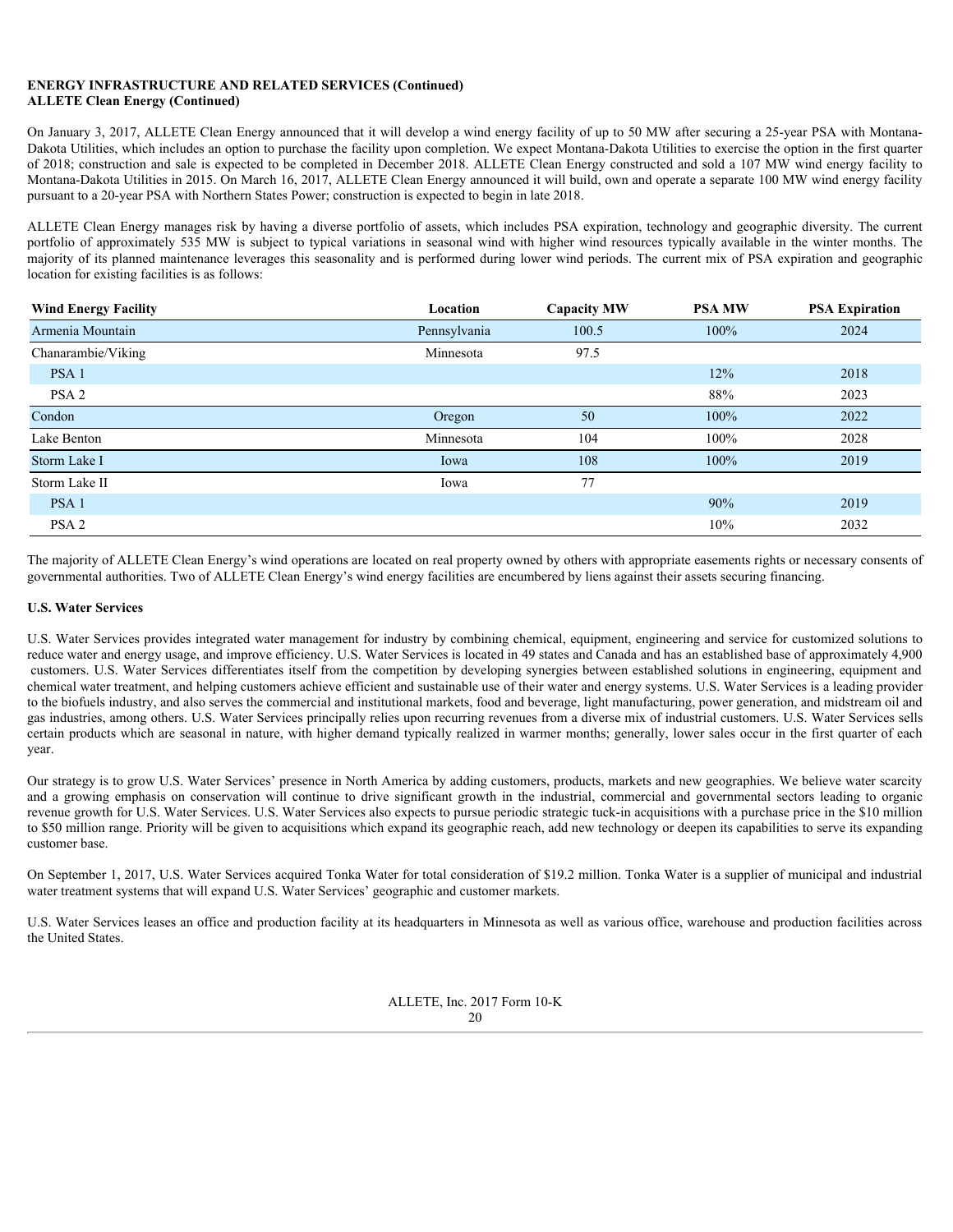# **ENERGY INFRASTRUCTURE AND RELATED SERVICES (Continued) ALLETE Clean Energy (Continued)**

On January 3, 2017, ALLETE Clean Energy announced that it will develop a wind energy facility of up to 50 MW after securing a 25-year PSA with Montana-Dakota Utilities, which includes an option to purchase the facility upon completion. We expect Montana-Dakota Utilities to exercise the option in the first quarter of 2018; construction and sale is expected to be completed in December 2018. ALLETE Clean Energy constructed and sold a 107 MW wind energy facility to Montana-Dakota Utilities in 2015. On March 16, 2017, ALLETE Clean Energy announced it will build, own and operate a separate 100 MW wind energy facility pursuant to a 20-year PSA with Northern States Power; construction is expected to begin in late 2018. **EXERGY INFRASTRUCTURE AND RELATED SERVICES (Continued)**<br> **ALLETE Clean Energy (Continued)**<br> **On January 3, 2017, ALLETE Clean Energy amounced that it will develop a wind energy facility of up to 50 MW after securing a 25-**

ALLETE Clean Energy manages risk by having a diverse portfolio of assets, which includes PSA expiration, technology and geographic diversity. The current majority of its planned maintenance leverages this seasonality and is performed during lower wind periods. The current mix of PSA expiration and geographic location for existing facilities is as follows:

| <b>Wind Energy Facility</b>                                                                                                                                                                                                                                                                                                                                                                                                                                                                                                                                                                                                                                                                                                                                                                                                                                                                                                                                                                                                                                                                                                                                                                                                                                                                                                                                      | Location     | <b>Capacity MW</b> | <b>PSA MW</b> | <b>PSA Expiration</b> |
|------------------------------------------------------------------------------------------------------------------------------------------------------------------------------------------------------------------------------------------------------------------------------------------------------------------------------------------------------------------------------------------------------------------------------------------------------------------------------------------------------------------------------------------------------------------------------------------------------------------------------------------------------------------------------------------------------------------------------------------------------------------------------------------------------------------------------------------------------------------------------------------------------------------------------------------------------------------------------------------------------------------------------------------------------------------------------------------------------------------------------------------------------------------------------------------------------------------------------------------------------------------------------------------------------------------------------------------------------------------|--------------|--------------------|---------------|-----------------------|
| Armenia Mountain                                                                                                                                                                                                                                                                                                                                                                                                                                                                                                                                                                                                                                                                                                                                                                                                                                                                                                                                                                                                                                                                                                                                                                                                                                                                                                                                                 | Pennsylvania | 100.5              | 100%          | 2024                  |
| Chanarambie/Viking                                                                                                                                                                                                                                                                                                                                                                                                                                                                                                                                                                                                                                                                                                                                                                                                                                                                                                                                                                                                                                                                                                                                                                                                                                                                                                                                               | Minnesota    | 97.5               |               |                       |
| PSA <sub>1</sub>                                                                                                                                                                                                                                                                                                                                                                                                                                                                                                                                                                                                                                                                                                                                                                                                                                                                                                                                                                                                                                                                                                                                                                                                                                                                                                                                                 |              |                    | 12%           | 2018                  |
| PSA <sub>2</sub>                                                                                                                                                                                                                                                                                                                                                                                                                                                                                                                                                                                                                                                                                                                                                                                                                                                                                                                                                                                                                                                                                                                                                                                                                                                                                                                                                 |              |                    | 88%           | 2023                  |
| Condon                                                                                                                                                                                                                                                                                                                                                                                                                                                                                                                                                                                                                                                                                                                                                                                                                                                                                                                                                                                                                                                                                                                                                                                                                                                                                                                                                           | Oregon       | 50                 | 100%          | 2022                  |
| Lake Benton                                                                                                                                                                                                                                                                                                                                                                                                                                                                                                                                                                                                                                                                                                                                                                                                                                                                                                                                                                                                                                                                                                                                                                                                                                                                                                                                                      | Minnesota    | 104                | 100%          | 2028                  |
| Storm Lake I                                                                                                                                                                                                                                                                                                                                                                                                                                                                                                                                                                                                                                                                                                                                                                                                                                                                                                                                                                                                                                                                                                                                                                                                                                                                                                                                                     | Iowa         | 108                | 100%          | 2019                  |
| Storm Lake II                                                                                                                                                                                                                                                                                                                                                                                                                                                                                                                                                                                                                                                                                                                                                                                                                                                                                                                                                                                                                                                                                                                                                                                                                                                                                                                                                    | Iowa         | 77                 |               |                       |
| PSA <sub>1</sub>                                                                                                                                                                                                                                                                                                                                                                                                                                                                                                                                                                                                                                                                                                                                                                                                                                                                                                                                                                                                                                                                                                                                                                                                                                                                                                                                                 |              |                    | 90%           | 2019                  |
| PSA <sub>2</sub>                                                                                                                                                                                                                                                                                                                                                                                                                                                                                                                                                                                                                                                                                                                                                                                                                                                                                                                                                                                                                                                                                                                                                                                                                                                                                                                                                 |              |                    | 10%           | 2032                  |
| U.S. Water Services provides integrated water management for industry by combining chemical, equipment, engineering and service for customized solutions to<br>reduce water and energy usage, and improve efficiency. U.S. Water Services is located in 49 states and Canada and has an established base of approximately 4,900<br>customers. U.S. Water Services differentiates itself from the competition by developing synergies between established solutions in engineering, equipment and<br>chemical water treatment, and helping customers achieve efficient and sustainable use of their water and energy systems. U.S. Water Services is a leading provider<br>to the biofuels industry, and also serves the commercial and institutional markets, food and beverage, light manufacturing, power generation, and midstream oil and<br>gas industries, among others. U.S. Water Services principally relies upon recurring revenues from a diverse mix of industrial customers. U.S. Water Services sells<br>certain products which are seasonal in nature, with higher demand typically realized in warmer months; generally, lower sales occur in the first quarter of each<br>year.<br>Our strategy is to grow U.S. Water Services' presence in North America by adding customers, products, markets and new geographies. We believe water scarcity |              |                    |               |                       |
| and a growing emphasis on conservation will continue to drive significant growth in the industrial, commercial and governmental sectors leading to organic<br>revenue growth for U.S. Water Services. U.S. Water Services also expects to pursue periodic strategic tuck-in acquisitions with a purchase price in the \$10 million<br>to \$50 million range. Priority will be given to acquisitions which expand its geographic reach, add new technology or deepen its capabilities to serve its expanding<br>customer base.<br>On September 1, 2017, U.S. Water Services acquired Tonka Water for total consideration of \$19.2 million. Tonka Water is a supplier of municipal and industrial<br>water treatment systems that will expand U.S. Water Services' geographic and customer markets.                                                                                                                                                                                                                                                                                                                                                                                                                                                                                                                                                               |              |                    |               |                       |
| U.S. Water Services leases an office and production facility at its headquarters in Minnesota as well as various office, warehouse and production facilities across                                                                                                                                                                                                                                                                                                                                                                                                                                                                                                                                                                                                                                                                                                                                                                                                                                                                                                                                                                                                                                                                                                                                                                                              |              |                    |               |                       |

# <span id="page-21-0"></span>**U.S. Water Services**

U.S. Water Services leases an office and production facility at its headquarters in Minnesota as well as various office, warehouse and production facilities across the United States.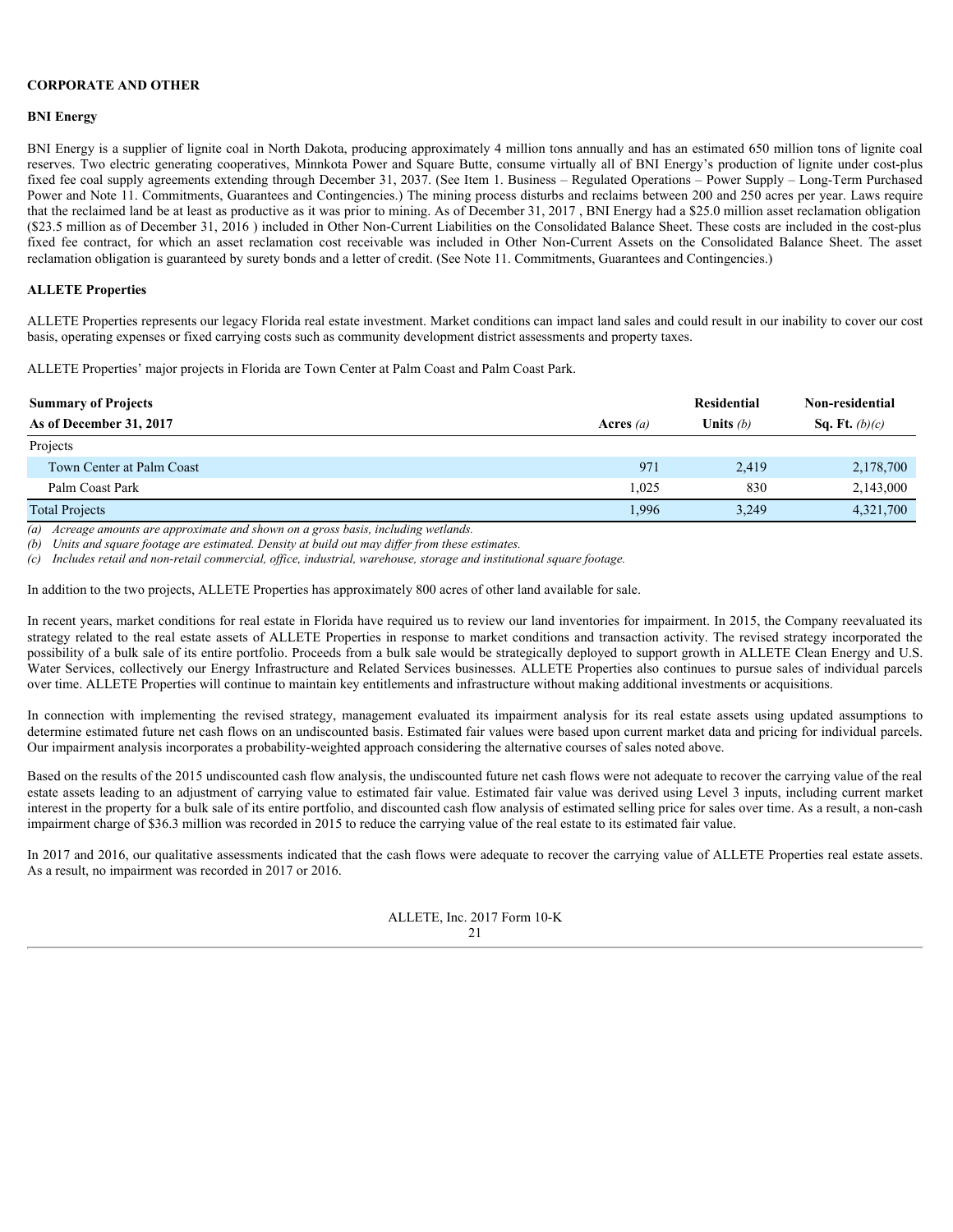# <span id="page-22-0"></span>**CORPORATE AND OTHER**

#### <span id="page-22-1"></span>**BNI Energy**

BNI Energy is a supplier of lignite coal in North Dakota, producing approximately 4 million tons annually and has an estimated 650 million tons of lignite coal reserves. Two electric generating cooperatives, Minnkota Power and Square Butte, consume virtually all of BNI Energy's production of lignite under cost-plus fixed fee coal supply agreements extending through December 31, 2037. (See Item 1. Business – Regulated Operations – Power Supply – Long-Term Purchased Power and Note 11. Commitments, Guarantees and Contingencies.) The mining process disturbs and reclaims between 200 and 250 acres per year. Laws require that the reclaimed land be at least as productive as it was prior to mining. As of December 31, 2017 , BNI Energy had a \$25.0 million asset reclamation obligation (\$23.5 million as of December 31, 2016 ) included in Other Non-Current Liabilities on the Consolidated Balance Sheet. These costs are included in the cost-plus **EORPORATE AND OTHER**<br>**ENI Energy** is a supplier of lignite coal in North Dakota, producing approximately 4 million tons annually and has an estimated 650 million tons of lignite coal<br>restrects. Two electing generating con reclamation obligation is guaranteed by surety bonds and a letter of credit. (See Note 11. Commitments, Guarantees and Contingencies.)

# <span id="page-22-2"></span>**ALLETE Properties**

| that the reclaimed land be at least as productive as it was prior to mining. As of December 31, 2017, BNI Energy had a \$25.0 million asset reclamation obligation<br>(\$23.5 million as of December 31, 2016) included in Other Non-Current Liabilities on the Consolidated Balance Sheet. These costs are included in the cost-plus<br>fixed fee contract, for which an asset reclamation cost receivable was included in Other Non-Current Assets on the Consolidated Balance Sheet. The asset<br>reclamation obligation is guaranteed by surety bonds and a letter of credit. (See Note 11. Commitments, Guarantees and Contingencies.)                                                                                                                                                  |             |                    |                  |
|----------------------------------------------------------------------------------------------------------------------------------------------------------------------------------------------------------------------------------------------------------------------------------------------------------------------------------------------------------------------------------------------------------------------------------------------------------------------------------------------------------------------------------------------------------------------------------------------------------------------------------------------------------------------------------------------------------------------------------------------------------------------------------------------|-------------|--------------------|------------------|
| <b>ALLETE Properties</b>                                                                                                                                                                                                                                                                                                                                                                                                                                                                                                                                                                                                                                                                                                                                                                     |             |                    |                  |
| ALLETE Properties represents our legacy Florida real estate investment. Market conditions can impact land sales and could result in our inability to cover our cost<br>basis, operating expenses or fixed carrying costs such as community development district assessments and property taxes.                                                                                                                                                                                                                                                                                                                                                                                                                                                                                              |             |                    |                  |
| ALLETE Properties' major projects in Florida are Town Center at Palm Coast and Palm Coast Park.                                                                                                                                                                                                                                                                                                                                                                                                                                                                                                                                                                                                                                                                                              |             |                    |                  |
| <b>Summary of Projects</b>                                                                                                                                                                                                                                                                                                                                                                                                                                                                                                                                                                                                                                                                                                                                                                   |             | <b>Residential</b> | Non-residential  |
| As of December 31, 2017                                                                                                                                                                                                                                                                                                                                                                                                                                                                                                                                                                                                                                                                                                                                                                      | Acres $(a)$ | Units $(b)$        | Sq. Ft. $(b)(c)$ |
| Projects                                                                                                                                                                                                                                                                                                                                                                                                                                                                                                                                                                                                                                                                                                                                                                                     |             |                    |                  |
| Town Center at Palm Coast                                                                                                                                                                                                                                                                                                                                                                                                                                                                                                                                                                                                                                                                                                                                                                    | 971         | 2,419              | 2,178,700        |
| Palm Coast Park                                                                                                                                                                                                                                                                                                                                                                                                                                                                                                                                                                                                                                                                                                                                                                              | 1,025       | 830                | 2,143,000        |
| <b>Total Projects</b>                                                                                                                                                                                                                                                                                                                                                                                                                                                                                                                                                                                                                                                                                                                                                                        | 1,996       | 3,249              | 4,321,700        |
| $\overline{a}$ Acreage amounts are approximate and shown on a gross basis, including wetlands.<br>(b) Units and square footage are estimated. Density at build out may differ from these estimates.<br>(c) Includes retail and non-retail commercial, office, industrial, warehouse, storage and institutional square footage.<br>In addition to the two projects, ALLETE Properties has approximately 800 acres of other land available for sale.<br>In recent years, market conditions for real estate in Florida have required us to review our land inventories for impairment. In 2015, the Company reevaluated its<br>strategy related to the real estate assets of ALLETE Properties in response to market conditions and transaction activity. The revised strategy incorporated the |             |                    |                  |
| possibility of a bulk sale of its entire portfolio. Proceeds from a bulk sale would be strategically deployed to support growth in ALLETE Clean Energy and U.S.<br>Water Services, collectively our Energy Infrastructure and Related Services businesses. ALLETE Properties also continues to pursue sales of individual parcels<br>over time. ALLETE Properties will continue to maintain key entitlements and infrastructure without making additional investments or acquisitions.                                                                                                                                                                                                                                                                                                       |             |                    |                  |
| In connection with implementing the revised strategy, management evaluated its impairment analysis for its real estate assets using updated assumptions to<br>determine estimated future net cash flows on an undiscounted basis. Estimated fair values were based upon current market data and pricing for individual parcels.<br>Our impairment analysis incorporates a probability-weighted approach considering the alternative courses of sales noted above.                                                                                                                                                                                                                                                                                                                            |             |                    |                  |
| Based on the results of the 2015 undiscounted cash flow analysis, the undiscounted future net cash flows were not adequate to recover the carrying value of the real<br>estate assets leading to an adjustment of carrying value to estimated fair value. Estimated fair value was derived using Level 3 inputs, including current market<br>interest in the property for a bulk sale of its entire portfolio, and discounted cash flow analysis of estimated selling price for sales over time. As a result, a non-cash<br>impairment charge of \$36.3 million was recorded in 2015 to reduce the carrying value of the real estate to its estimated fair value.                                                                                                                            |             |                    |                  |

In 2017 and 2016, our qualitative assessments indicated that the cash flows were adequate to recover the carrying value of ALLETE Properties real estate assets. As a result, no impairment was recorded in 2017 or 2016.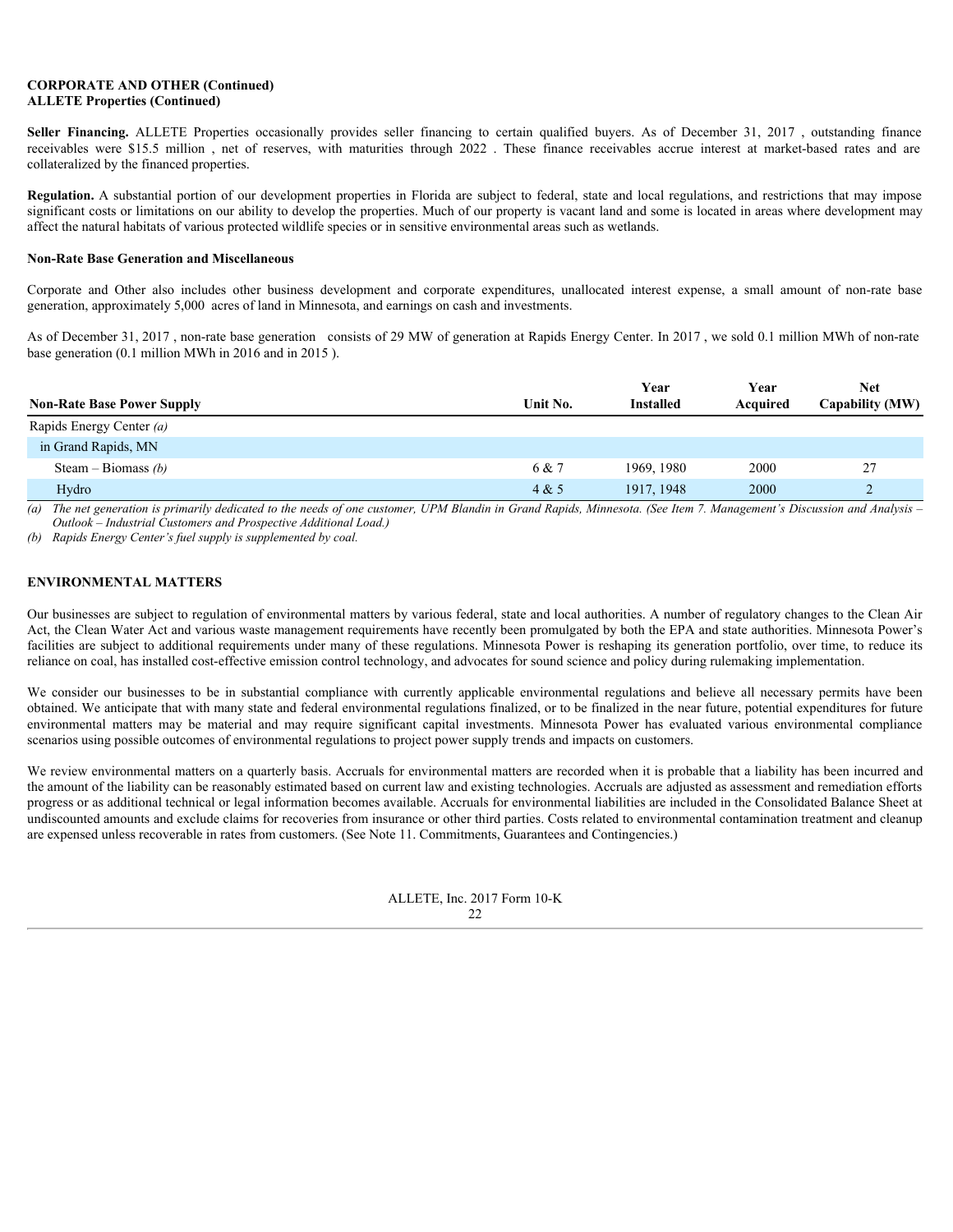### **CORPORATE AND OTHER (Continued) ALLETE Properties (Continued)**

collateralized by the financed properties.

**SERICH FINANCION CONTROO SET CONTINUES**<br> **Seller Financing.** ALLETE Properties occasionally provides seller financing to certain qualified buyers. As of December 31, 2017, outstanding finance<br>
receivables were \$15.5 milli **CORPORATE AND OTHER (Continued)**<br> **ALLETE Properties (Continued)**<br> **Seller Financing.** ALLETE Properties occasionally provides seller financing to certain qualified buyers. As of December 31, 2017, outstanding finance<br>
re **Regulation.** A substantial portion of our development properties in Florida are subject to federal, state and local regulations, and restrictions that may impose significant costs or limitations on our ability to develop the properties. Much of our property is vacant land and some is located in areas where development may affect the natural habitats of various protected wildlife species or in sensitive environmental areas such as wetlands. CORPORATE AND OTHER (Continued)<br>
Seler Financing, ALLET: Properties occasionally provides seller financing to certain qualified buyers. As of December 31, 2017, outstanding finance<br>
receivables were \$15.5 million, net of r

## <span id="page-23-0"></span>**Non-Rate Base Generation and Miscellaneous**

| Regulation. A substantial portion of our development properties in Florida are subject to federal, state and local regulations, and restrictions that may impose<br>significant costs or limitations on our ability to develop the properties. Much of our property is vacant land and some is located in areas where development may<br>affect the natural habitats of various protected wildlife species or in sensitive environmental areas such as wetlands.                                                                                                                                                                                                                                                                                                                                          |          |                          |                  |                               |  |  |
|-----------------------------------------------------------------------------------------------------------------------------------------------------------------------------------------------------------------------------------------------------------------------------------------------------------------------------------------------------------------------------------------------------------------------------------------------------------------------------------------------------------------------------------------------------------------------------------------------------------------------------------------------------------------------------------------------------------------------------------------------------------------------------------------------------------|----------|--------------------------|------------------|-------------------------------|--|--|
| <b>Non-Rate Base Generation and Miscellaneous</b>                                                                                                                                                                                                                                                                                                                                                                                                                                                                                                                                                                                                                                                                                                                                                         |          |                          |                  |                               |  |  |
| Corporate and Other also includes other business development and corporate expenditures, unallocated interest expense, a small amount of non-rate base<br>generation, approximately 5,000 acres of land in Minnesota, and earnings on cash and investments.                                                                                                                                                                                                                                                                                                                                                                                                                                                                                                                                               |          |                          |                  |                               |  |  |
| As of December 31, 2017, non-rate base generation consists of 29 MW of generation at Rapids Energy Center. In 2017, we sold 0.1 million MWh of non-rate<br>base generation (0.1 million MWh in 2016 and in 2015).                                                                                                                                                                                                                                                                                                                                                                                                                                                                                                                                                                                         |          |                          |                  |                               |  |  |
| <b>Non-Rate Base Power Supply</b>                                                                                                                                                                                                                                                                                                                                                                                                                                                                                                                                                                                                                                                                                                                                                                         | Unit No. | Year<br><b>Installed</b> | Year<br>Acquired | <b>Net</b><br>Capability (MW) |  |  |
| Rapids Energy Center (a)                                                                                                                                                                                                                                                                                                                                                                                                                                                                                                                                                                                                                                                                                                                                                                                  |          |                          |                  |                               |  |  |
| in Grand Rapids, MN                                                                                                                                                                                                                                                                                                                                                                                                                                                                                                                                                                                                                                                                                                                                                                                       |          |                          |                  |                               |  |  |
| Steam – Biomass $(b)$                                                                                                                                                                                                                                                                                                                                                                                                                                                                                                                                                                                                                                                                                                                                                                                     | 6 & 7    | 1969, 1980               | 2000             | 27                            |  |  |
| Hydro                                                                                                                                                                                                                                                                                                                                                                                                                                                                                                                                                                                                                                                                                                                                                                                                     | 4 & 5    | 1917, 1948               | 2000             | $\mathcal{D}$                 |  |  |
| Outlook - Industrial Customers and Prospective Additional Load.)<br>(b) Rapids Energy Center's fuel supply is supplemented by coal.<br><b>ENVIRONMENTAL MATTERS</b>                                                                                                                                                                                                                                                                                                                                                                                                                                                                                                                                                                                                                                       |          |                          |                  |                               |  |  |
| Our businesses are subject to regulation of environmental matters by various federal, state and local authorities. A number of regulatory changes to the Clean Air<br>Act, the Clean Water Act and various waste management requirements have recently been promulgated by both the EPA and state authorities. Minnesota Power's<br>facilities are subject to additional requirements under many of these regulations. Minnesota Power is reshaping its generation portfolio, over time, to reduce its<br>reliance on coal, has installed cost-effective emission control technology, and advocates for sound science and policy during rulemaking implementation.                                                                                                                                        |          |                          |                  |                               |  |  |
| We consider our businesses to be in substantial compliance with currently applicable environmental regulations and believe all necessary permits have been<br>obtained. We anticipate that with many state and federal environmental regulations finalized, or to be finalized in the near future, potential expenditures for future<br>environmental matters may be material and may require significant capital investments. Minnesota Power has evaluated various environmental compliance<br>scenarios using possible outcomes of environmental regulations to project power supply trends and impacts on customers.                                                                                                                                                                                  |          |                          |                  |                               |  |  |
| We review environmental matters on a quarterly basis. Accruals for environmental matters are recorded when it is probable that a liability has been incurred and<br>the amount of the liability can be reasonably estimated based on current law and existing technologies. Accruals are adjusted as assessment and remediation efforts<br>progress or as additional technical or legal information becomes available. Accruals for environmental liabilities are included in the Consolidated Balance Sheet at<br>undiscounted amounts and exclude claims for recoveries from insurance or other third parties. Costs related to environmental contamination treatment and cleanup<br>are expensed unless recoverable in rates from customers. (See Note 11. Commitments, Guarantees and Contingencies.) |          |                          |                  |                               |  |  |

# <span id="page-23-1"></span>**ENVIRONMENTAL MATTERS**

| ALLETE, Inc. 2017 Form 10-K |  |
|-----------------------------|--|
| ົ                           |  |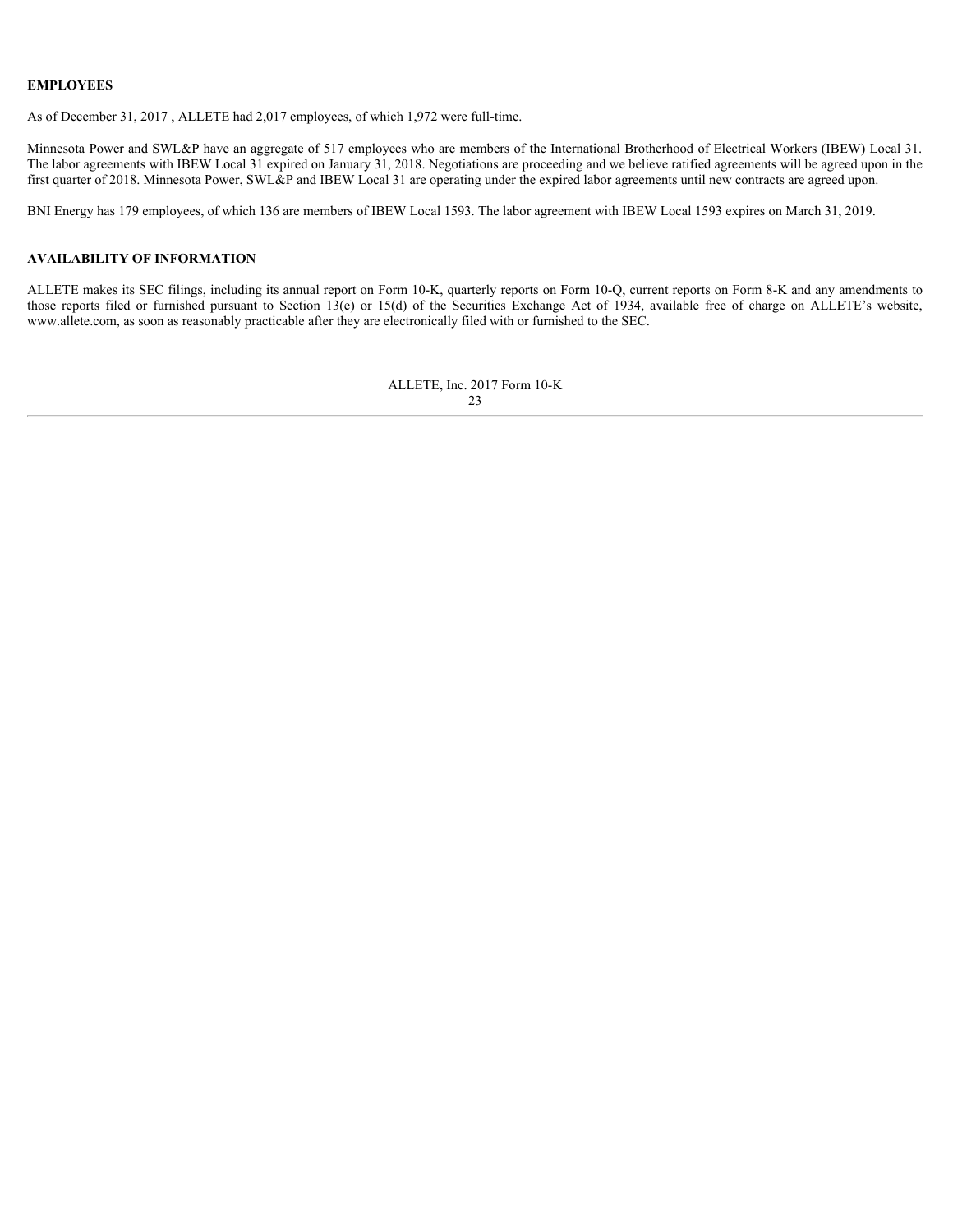# <span id="page-24-0"></span>**EMPLOYEES**

As of December 31, 2017 , ALLETE had 2,017 employees, of which 1,972 were full-time.

Minnesota Power and SWL&P have an aggregate of 517 employees who are members of the International Brotherhood of Electrical Workers (IBEW) Local 31. The labor agreements with IBEW Local 31 expired on January 31, 2018. Negotiations are proceeding and we believe ratified agreements will be agreed upon in the first quarter of 2018. Minnesota Power, SWL&P and IBEW Local 31 are operating under the expired labor agreements until new contracts are agreed upon. EXAMPLOYEES<br>As of December 31, 2017, ALLETE had 2,017 employees, of which 1,972 were full-time.<br>The labor agreements with IBEW Local 31 expired on January 31, 2018. Negotiations are proceeding and we believe rafified agre

BNI Energy has 179 employees, of which 136 are members of IBEW Local 1593. The labor agreement with IBEW Local 1593 expires on March 31, 2019.

# <span id="page-24-1"></span>**AVAILABILITY OF INFORMATION**

ALLETE makes its SEC filings, including its annual report on Form 10-K, quarterly reports on Form 10-Q, current reports on Form 8-K and any amendments to those reports filed or furnished pursuant to Section 13(e) or 15(d) www.allete.com, as soon as reasonably practicable after they are electronically filed with or furnished to the SEC.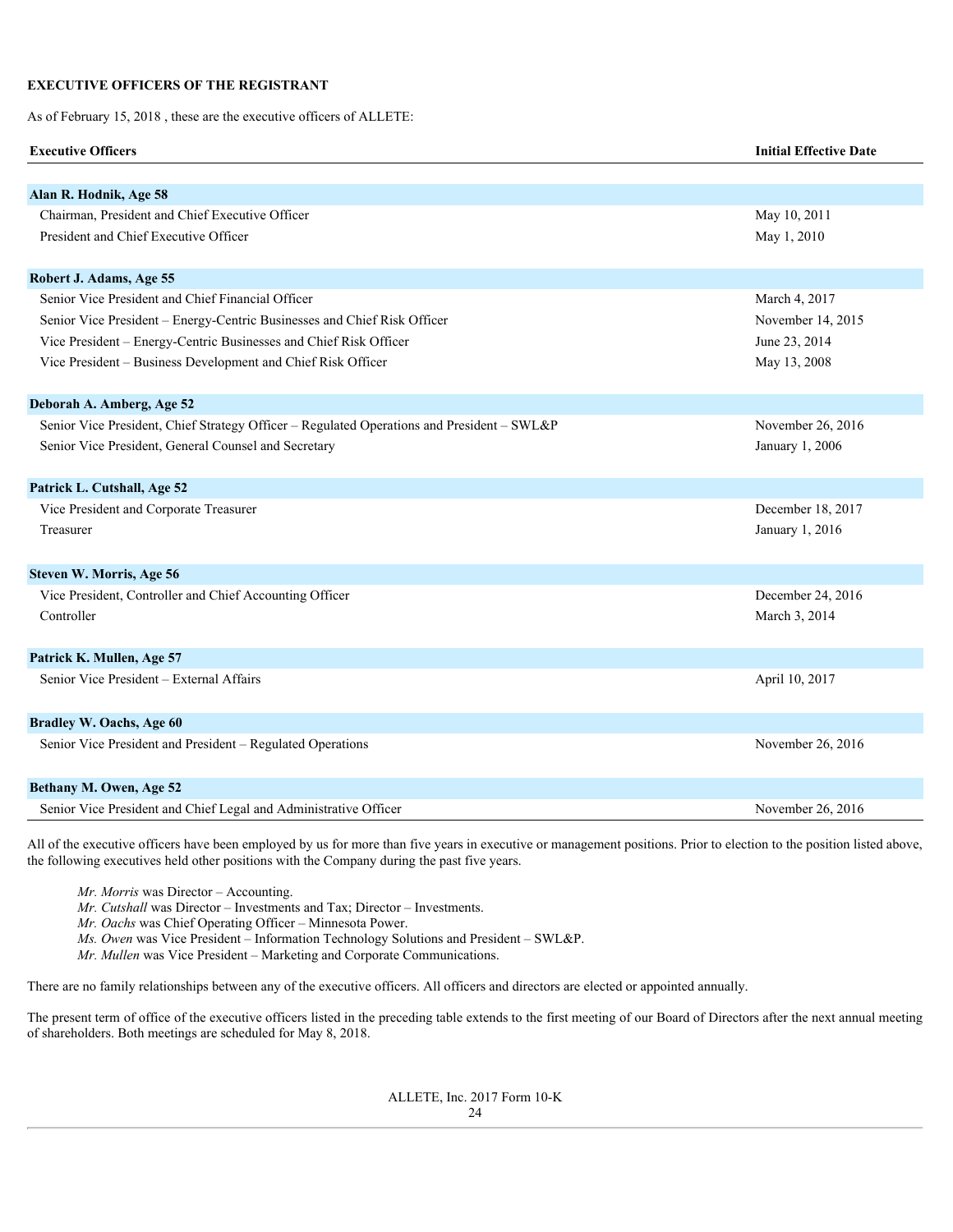# <span id="page-25-0"></span>**EXECUTIVE OFFICERS OF THE REGISTRANT**

As of February 15, 2018 , these are the executive officers of ALLETE:

| <b>Executive Officers</b>                                                                  | <b>Initial Effective Date</b> |
|--------------------------------------------------------------------------------------------|-------------------------------|
|                                                                                            |                               |
| Alan R. Hodnik, Age 58                                                                     |                               |
| Chairman, President and Chief Executive Officer                                            | May 10, 2011                  |
| President and Chief Executive Officer                                                      | May 1, 2010                   |
| Robert J. Adams, Age 55                                                                    |                               |
| Senior Vice President and Chief Financial Officer                                          | March 4, 2017                 |
| Senior Vice President - Energy-Centric Businesses and Chief Risk Officer                   | November 14, 2015             |
| Vice President - Energy-Centric Businesses and Chief Risk Officer                          | June 23, 2014                 |
| Vice President - Business Development and Chief Risk Officer                               |                               |
|                                                                                            | May 13, 2008                  |
| Deborah A. Amberg, Age 52                                                                  |                               |
| Senior Vice President, Chief Strategy Officer - Regulated Operations and President - SWL&P | November 26, 2016             |
| Senior Vice President, General Counsel and Secretary                                       | January 1, 2006               |
|                                                                                            |                               |
| Patrick L. Cutshall, Age 52                                                                |                               |
| Vice President and Corporate Treasurer                                                     | December 18, 2017             |
| Treasurer                                                                                  | January 1, 2016               |
|                                                                                            |                               |
| Steven W. Morris, Age 56                                                                   |                               |
| Vice President, Controller and Chief Accounting Officer                                    | December 24, 2016             |
| Controller                                                                                 | March 3, 2014                 |
|                                                                                            |                               |
| Patrick K. Mullen, Age 57                                                                  |                               |
| Senior Vice President - External Affairs                                                   | April 10, 2017                |
|                                                                                            |                               |
| Bradley W. Oachs, Age 60                                                                   |                               |
| Senior Vice President and President - Regulated Operations                                 | November 26, 2016             |
|                                                                                            |                               |
| Bethany M. Owen, Age 52                                                                    |                               |
| Senior Vice President and Chief Legal and Administrative Officer                           | November 26, 2016             |

All of the executive officers have been employed by us for more than five years in executive or management positions. Prior to election to the position listed above, the following executives held other positions with the Company during the past five years.

*Mr. Morris* was Director – Accounting.

- *Mr. Cutshall* was Director Investments and Tax; Director Investments.
- *Mr. Oachs* was Chief Operating Officer Minnesota Power.
- *Ms. Owen* was Vice President Information Technology Solutions and President SWL&P.
- *Mr. Mullen* was Vice President Marketing and Corporate Communications.

There are no family relationships between any of the executive officers. All officers and directors are elected or appointed annually.

The present term of office of the executive officers listed in the preceding table extends to the first meeting of our Board of Directors after the next annual meeting of shareholders. Both meetings are scheduled for May 8, 2018.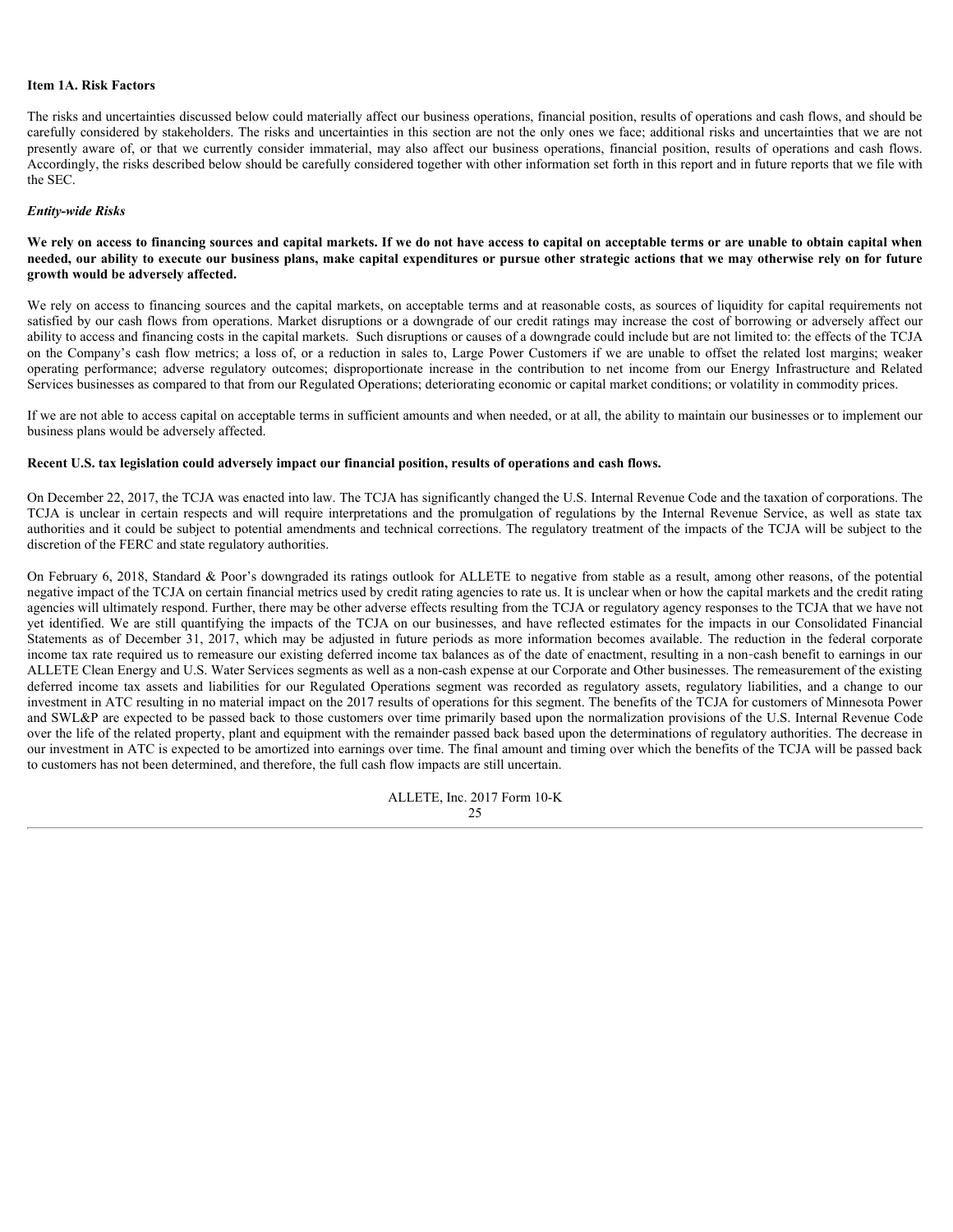### <span id="page-26-0"></span>**Item 1A. Risk Factors**

The risks and uncertainties discussed below could materially affect our business operations, financial position, results of operations and cash flows, and should be carefully considered by stakeholders. The risks and uncertainties in this section are not the only ones we face; additional risks and uncertainties that we are not **The risks and uncertainties discussed below could materially affect our business operations, financial position, results of operations and cash flows, and should be carefully considered by stakhedders. The risks and const** Accordingly, the risks described below should be carefully considered together with other information set forth in this report and in future reports that we file with the SEC.

#### *Entity-wide Risks*

#### **We rely on access to financing sources and capital markets. If we do not have access to capital on acceptable terms or are unable to obtain capital when needed, our ability to execute our business plans, make capital expenditures or pursue other strategic actions that we may otherwise rely on for future growth would be adversely affected.**

We rely on access to financing sources and the capital markets, on acceptable terms and at reasonable costs, as sources of liquidity for capital requirements not satisfied by our cash flows from operations. Market disruptions or a downgrade of our credit ratings may increase the cost of borrowing or adversely affect our ability to access and financing costs in the capital markets. Such disruptions or causes of a downgrade could include but are not limited to: the effects of the TCJA Item 1A. Risk Factors<br>
Ite raisk and uncertainties discussed below could materially affect our business operations, financial position, results of operations and cash flows, and should be<br>
The Come and uncertainties can be Iften IA. Risk Factors<br>The inst and uncertainties discussed below could materially affect our business operations, financial position, results of operations and eash flows, and should be<br>mentially considered by stakeholder Services businesses as compared to that from our Regulated Operations; deteriorating economic or capital market conditions; or volatility in commodity prices. If the Link Fators<br>The risks and meetrified discussed below could mustally affect our busisces operations, financial position, results of operations and cash flows, and about be<br>provided yo subsequently consider the intern

If we are not able to access capital on acceptable terms in sufficient amounts and when needed, or at all, the ability to maintain our businesses or to implement our business plans would be adversely affected.

#### **Recent U.S. tax legislation could adversely impact our financial position, results of operations and cash flows.**

On December 22, 2017, the TCJA was enacted into law. The TCJA has significantly changed the U.S. Internal Revenue Code and the taxation of corporations. The authorities and it could be subject to potential amendments and technical corrections. The regulatory treatment of the impacts of the TCJA will be subject to the discretion of the FERC and state regulatory authorities.

On February 6, 2018, Standard & Poor's downgraded its ratings outlook for ALLETE to negative from stable as a result, among other reasons, of the potential negative impact of the TCJA on certain financial metrics used by credit rating agencies to rate us. It is unclear when or how the capital markets and the credit rating agencies will ultimately respond. Further, there may be other adverse effects resulting from the TCJA or regulatory agency responses to the TCJA that we have not yet identified. We are still quantifying the impacts of the The risk and successinto chosened between the interesting of the interesting. financial points, financial points, financial points, financial points, consider our business of the interesting terms of the interesting the in stately considered by statedooles. The raists and uncertainties in this tectoio to as of the consistent of the reduction information into the reduction intervents as more into the reduction intervents as the reduction of t income tax rate required us to remeasure our existing deferred income tax balances as of the date of enactment, resulting in a non-cash benefit to earnings in our ALLETE Clean Energy and U.S. Water Services segments as well as a non-cash expense at our Corporate and Other businesses. The remeasurement of the existing des SEC.<br>
The red income tax assets and equilibrancies plan, make capital expeditures or pursue other strategie calous that we may otherwise rely on for thus<br>
metabol our Regulatory of the capital expediture or pursue offe investment in ATC resulting in no material impact on the 2017 results of operations for this segment. The benefits of the TCJA for customers of Minnesota Power and SWL&P are expected to be passed back to those customers over time primarily based upon the normalization provisions of the U.S. Internal Revenue Code over the life of the related property, plant and equipment with the remainder passed back based upon the determinations of regulatory authorities. The decrease in our investment in ATC is expected to be amortized into earnings over time. The final amount and timing over which the benefits of the TCJA will be passed back to customers has not been determined, and therefore, the full cash flow impacts are still uncertain.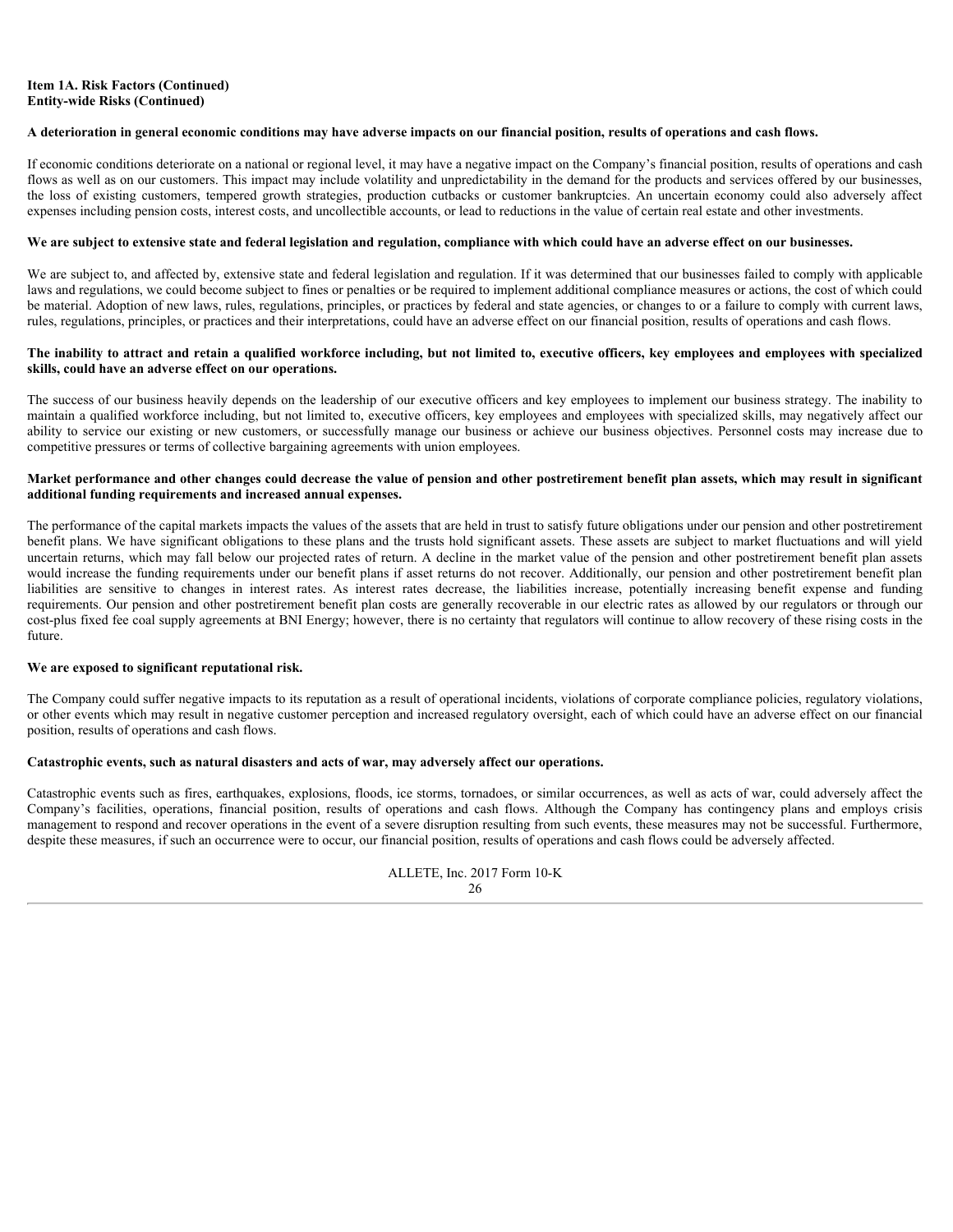#### **Item 1A. Risk Factors (Continued) Entity-wide Risks (Continued)**

#### **A deterioration in general economic conditions may have adverse impacts on our financial position, results of operations and cash flows.**

If economic conditions deteriorate on a national or regional level, it may have a negative impact on the Company's financial position, results of operations and cash flows as well as on our customers. This impact may include volatility and unpredictability in the demand for the products and services offered by our businesses, the loss of existing customers, tempered growth strategies, The lass Factors (Continued)<br>
A deterioration in general economic conditions may have adverse impacts on our financial position, results of operations and cash flows.<br>
If economic conditions deteriorate on a national or re expenses including pension costs, interest costs, and uncollectible accounts, or lead to reductions in the value of certain real estate and other investments. Item 1A. Risk Factors (Continued)<br>Entity-wide Risks (Continued)<br>
Entity-wide Risks (Continued)<br>
If a convention denotes our antitonion regional level, it may have a negative migration the Company's financial position,<br>
If

#### **We are subject to extensive state and federal legislation and regulation, compliance with which could have an adverse effect on our businesses.**

We are subject to, and affected by, extensive state and federal legislation and regulation. If it was determined that our businesses failed to comply with applicable laws and regulations, we could become subject to fines or penalties or be required to implement additional compliance measures or actions, the cost of which could be material. Adoption of new laws, rules, regulations, principles, or practices by federal and state agencies, or changes to or a failure to comply with current laws, rules, regulations, principles, or practices and their interpretations, could have an adverse effect on our financial position, results of operations and cash flows.

#### **The inability to attract and retain a qualified workforce including, but not limited to, executive officers, key employees and employees with specialized skills, could have an adverse effect on our operations.**

The success of our business heavily depends on the leadership of our executive officers and key employees to implement our business strategy. The inability to maintain a qualified workforce including, but not limited to, executive officers, key employees and employees with specialized skills, may negatively affect our competitive pressures or terms of collective bargaining agreements with union employees.

#### **Market performance and other changes could decrease the value of pension and other postretirement benefit plan assets, which may result in significant additional funding requirements and increased annual expenses.**

The performance of the capital markets impacts the values of the assets that are held in trust to satisfy future obligations under our pension and other postretirement benefit plans. We have significant obligations to these plans and the trusts hold significant assets. These assets are subject to market fluctuations and will yield uncertain returns, which may fall below our projected rates of return. A decline in the market value of the pension and other postretirement benefit plan assets would increase the funding requirements under our benefit plans if asset returns do not recover. Additionally, our pension and other postretirement benefit plan liabilities are sensitive to changes in interest rates. As in lies alternative interest rates. The interest results are sensitive to the sensitive to change in interest rates. As in the sensitive to change the change of the controll of the change of the change of the controll of the requirements. Our pension and other postretirement benefit plan costs are generally recoverable in our electric rates as allowed by our regulators or through our cost-plus fixed fee coal supply agreements at BNI Energy; however, there is no certainty that regulators will continue to allow recovery of these rising costs in the future. In principal Adoption of new loos, this, equidient principles, or practices by districtions, providing the proposition of the company of the company of the company of the company of the company of the company. The indical

# **We are exposed to significant reputational risk.**

The Company could suffer negative impacts to its reputation as a result of operational incidents, violations of corporate compliance policies, regulatory violations, or other events which may result in negative customer perception and increased regulatory oversight, each of which could have an adverse effect on our financial position, results of operations and cash flows.

#### **Catastrophic events, such as natural disasters and acts of war, may adversely affect our operations.**

Catastrophic events such as fires, earthquakes, explosions, floods, ice storms, tornadoes, or similar occurrences, as well as acts of war, could adversely affect the management to respond and recover operations in the event of a severe disruption resulting from such events, these measures may not be successful. Furthermore, despite these measures, if such an occurrence were to occur, our financial position, results of operations and cash flows could be adversely affected.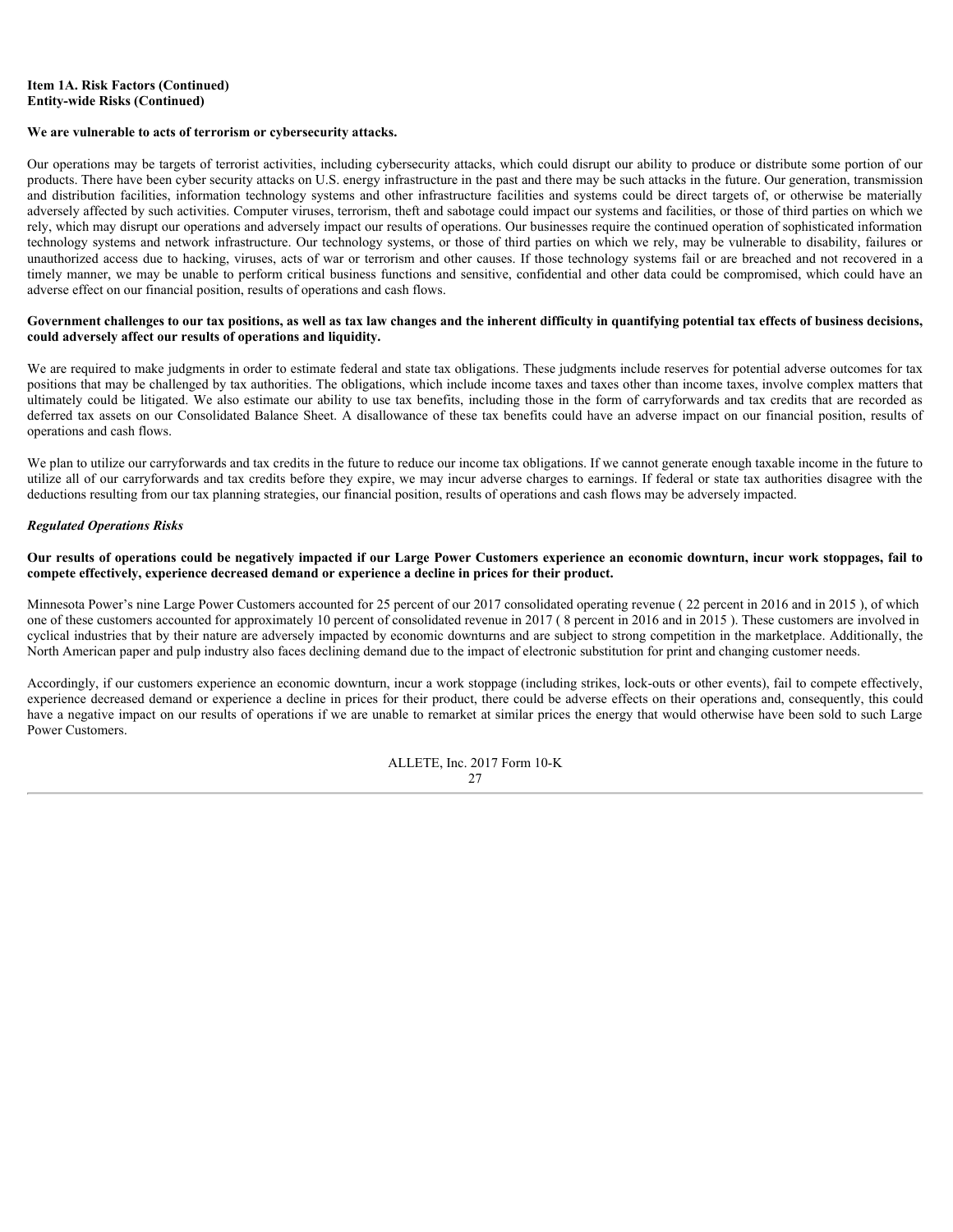### **Item 1A. Risk Factors (Continued) Entity-wide Risks (Continued)**

#### **We are vulnerable to acts of terrorism or cybersecurity attacks.**

Our operations may be targets of terrorist activities, including cybersecurity attacks, which could disrupt our ability to produce or distribute some portion of our products. There have been cyber security attacks on U.S. energy infrastructure in the past and there may be such attacks in the future. Our generation, transmission and distribution facilities, information technology syste **Example 1.4. Risk Factors (Continued)**<br>
We are vulnerable to acts of terrorism or eybersecurity attacks.<br>
Our operations may be targets of terrorist activities, including cybersecurity attacks, which could disrupt our abi adversely affected by such activities. Computer viruses, terrorism, theft and sabotage could impact our systems and facilities, or those of third parties on which we rely, which may disrupt our operations and adversely impact our results of operations. Our businesses require the continued operation of sophisticated information technology systems and network infrastructure. Our technology systems, or those of third parties on which we rely, may be vulnerable to disability, failures or unauthorized access due to hacking, viruses, acts of war or terrorism and other causes. If those technology systems fail or are breached and not recovered in a timely manner, we may be unable to perform critical business functions and sensitive, confidential and other data could be compromised, which could have an adverse effect on our financial position, results of operations and cash flows.

#### **Government challenges to our tax positions, as well as tax law changes and the inherent difficulty in quantifying potential tax effects of business decisions, could adversely affect our results of operations and liquidity.**

We are required to make judgments in order to estimate federal and state tax obligations. These judgments include reserves for potential adverse outcomes for tax positions that may be challenged by tax authorities. The obligations, which include income taxes and taxes other than income taxes, involve complex matters that ultimately could be litigated. We also estimate our ability to use tax benefits, including those in the form of carryforwards and tax credits that are recorded as deferred tax assets on our Consolidated Balance Sheet. A disallowance of these tax benefits could have an adverse impact on our financial position, results of operations and cash flows.

We plan to utilize our carryforwards and tax credits in the future to reduce our income tax obligations. If we cannot generate enough taxable income in the future to utilize all of our carryforwards and tax credits before they expire, we may incur adverse charges to earnings. If federal or state tax authorities disagree with the deductions resulting from our tax planning strategies, our financial position, results of operations and cash flows may be adversely impacted.

#### *Regulated Operations Risks*

**Our results of operations could be negatively impacted if our Large Power Customers experience an economic downturn, incur work stoppages, fail to compete effectively, experience decreased demand or experience a decline in prices for their product.**

Minnesota Power's nine Large Power Customers accounted for 25 percent of our 2017 consolidated operating revenue ( 22 percent in 2016 and in 2015 ), of which one of these customers accounted for approximately 10 percent of consolidated revenue in 2017 ( 8 percent in 2016 and in 2015 ). These customers are involved in cyclical industries that by their nature are adversely impacted by economic downturns and are subject to strong competition in the marketplace. Additionally, the North American paper and pulp industry also faces declining demand due to the impact of electronic substitution for print and changing customer needs.

Accordingly, if our customers experience an economic downturn, incur a work stoppage (including strikes, lock-outs or other events), fail to compete effectively, experience decreased demand or experience a decline in prices for their product, there could be adverse effects on their operations and, consequently, this could have a negative impact on our results of operations if we are unable to remarket at similar prices the energy that would otherwise have been sold to such Large Power Customers.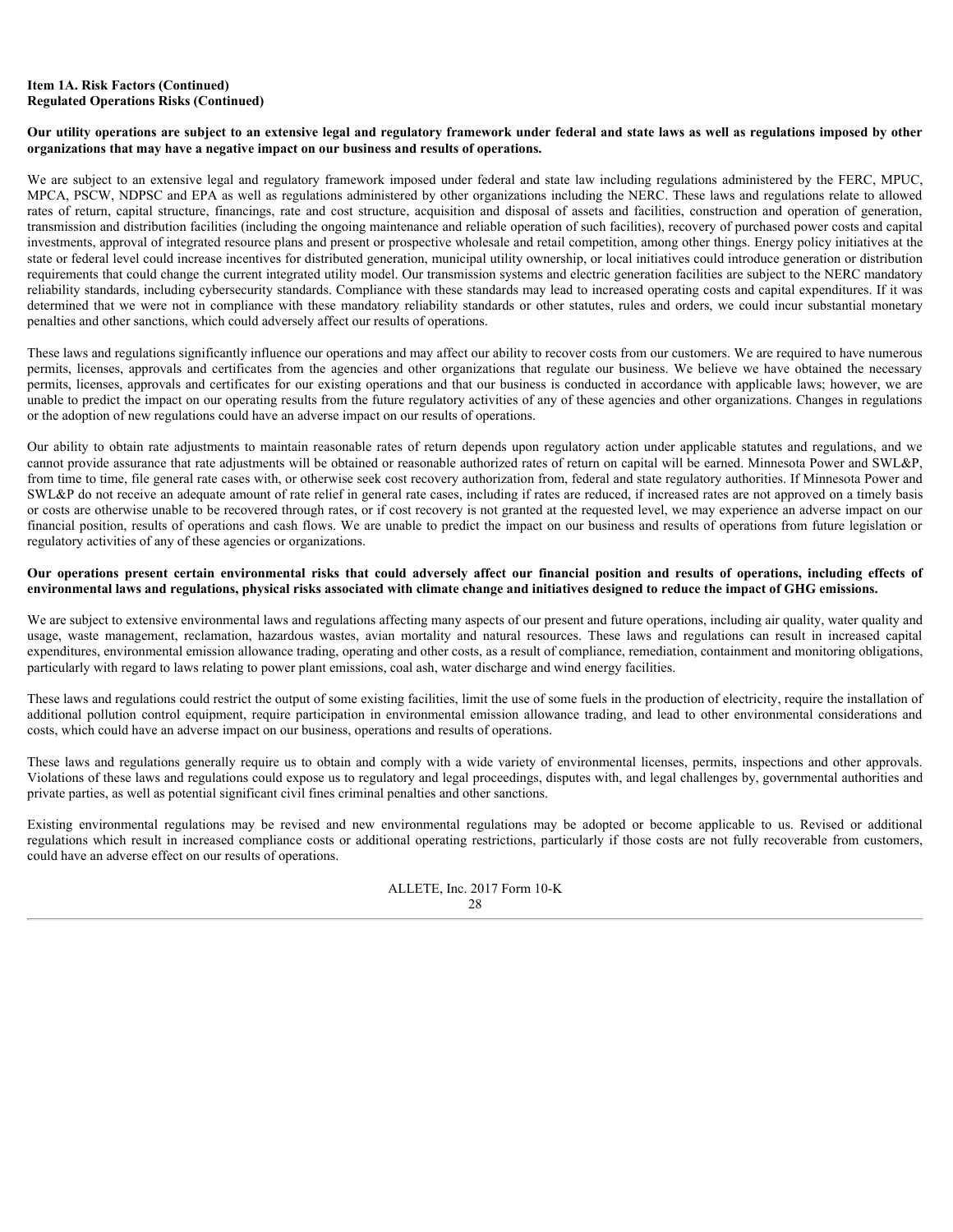# **Item 1A. Risk Factors (Continued) Regulated Operations Risks (Continued)**

#### **Our utility operations are subject to an extensive legal and regulatory framework under federal and state laws as well as regulations imposed by other organizations that may have a negative impact on our business and results of operations.**

Rem 1A. Risk Factors (Continued)<br>
Regulated Operations Risks (Continued)<br>
Our utility operations that may have a negative impact on our business and regulatory framework under federal and state law including regulations af MPCA, PSCW, NDPSC and EPA as well as regulations administered by other organizations including the NERC. These laws and regulations relate to allowed Hem 1A. Risk Factors (Continued)<br>Regulated Operations Risks (Continued)<br>Our utility operations straks (Continued)<br>or regulations structure, the exercisive legal and regulatory framework under federal and state law as well transmission and distribution facilities (including the ongoing maintenance and reliable operation of such facilities), recovery of purchased power costs and capital investments, approval of integrated resource plans and present or prospective wholesale and retail competition, among other things. Energy policy initiatives at the state or federal level could increase incentives for distributed generation, municipal utility ownership, or local initiatives could introduce generation or distribution requirements that could change the current integrated utility model. Our transmission systems and electric generation facilities are subject to the NERC mandatory reliability standards, including cybersecurity standards. Compliance with these standards may lead to increased operating costs and capital expenditures. If it was Item I.A. Risk Factors (Continued)<br>
Regulated Operations Kisks (Continued)<br>
Our artistive operations Kisks (Continued)<br>
Our artistive operations was applied to an extensive legal and regulatory framework under federal and penalties and other sanctions, which could adversely affect our results of operations. Iftem I.A. Risk Farbra (Continued)<br>Regulated Operations Risks (Continued)<br>Regulated Operations stack (Continued)<br>Our utility operations stack (Continued)<br>Our utility operations are subject to an extensive ingredient our bu Item 1A. Risk Factors (Continued)<br>Regulated Operations Risks (Continued)<br>Regulated Operations are subject to an extensive legal and regulatory framework under federal and state laws as well as regulations imposed by other<br> **Item 1A. Risk** Freder (Cominent)<br>Regulated Derations Risks Comment)<br>
Regulated portations are subject to an extensive legal and regulatery framework under federal and state laws as well as regulations imposed by other<br>org Our tullity operations are subject to an extentive legal and regulator praneters has required by other Capital and the consistent of the consistent of the consistent of the consistent of the consistent of the state of the adoe receive a point showled into a maximum control emission control emission and a space of reduction control emission and operation in environmental encircles and a maximum control emission and encircles and a policy pol

These laws and regulations significantly influence our operations and may affect our ability to recover costs from our customers. We are required to have numerous permits, licenses, approvals and certificates for our existing operations and that our business is conducted in accordance with applicable laws; however, we are unable to predict the impact on our operating results from the future regulatory activities of any of these agencies and other organizations. Changes in regulations or the adoption of new regulations could have an adverse impact on our results of operations.

cannot provide assurance that rate adjustments will be obtained or reasonable authorized rates of return on capital will be earned. Minnesota Power and SWL&P, from time to time, file general rate cases with, or otherwise seek cost recovery authorization from, federal and state regulatory authorities. If Minnesota Power and SWL&P do not receive an adequate amount of rate relief in general rate cases, including if rates are reduced, if increased rates are not approved on a timely basis or costs are otherwise unable to be recovered through rates, or if cost recovery is not granted at the requested level, we may experience an adverse impact on our financial position, results of operations and cash flows. We are unable to predict the impact on our business and results of operations from future legislation or regulatory activities of any of these agencies or organizations. produces and regulations costable oriental regulations in the signal oriental regulations may be respected and another and may filter one control to the respected and regulations in the signal regulations produces may be Free loss and regulations significantly influence our operations and other deplates or additional second complete that is increased controllations. We have a complete the complete the specifical from the agostome and regu

# **environmental laws and regulations, physical risks associated with climate change and initiatives designed to reduce the impact of GHG emissions.**

We are subject to extensive environmental laws and regulations affecting many aspects of our present and future operations, including air quality, water quality and expenditures, environmental emission allowance trading, operating and other costs, as a result of compliance, remediation, containment and monitoring obligations, particularly with regard to laws relating to power plant emissions, coal ash, water discharge and wind energy facilities.

These laws and regulations could restrict the output of some existing facilities, limit the use of some fuels in the production of electricity, require the installation of costs, which could have an adverse impact on our business, operations and results of operations.

These laws and regulations generally require us to obtain and comply with a wide variety of environmental licenses, permits, inspections and other approvals. Violations of these laws and regulations could expose us to regulatory and legal proceedings, disputes with, and legal challenges by, governmental authorities and private parties, as well as potential significant civil fines criminal penalties and other sanctions.

could have an adverse effect on our results of operations.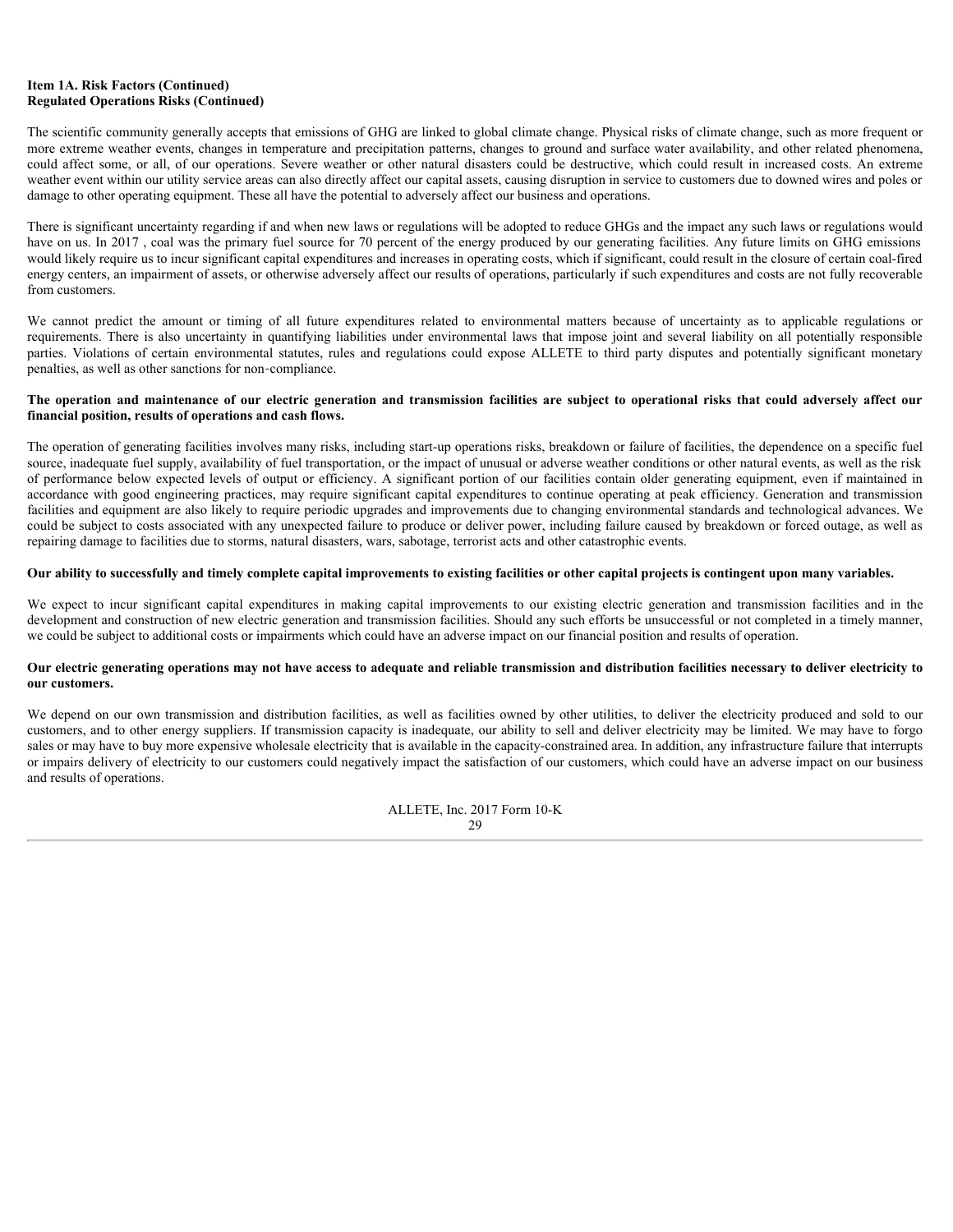# **Item 1A. Risk Factors (Continued) Regulated Operations Risks (Continued)**

The scientific community generally accepts that emissions of GHG are linked to global climate change. Physical risks of climate change, such as more frequent or more extreme weather events, changes in temperature and precipitation patterns, changes to ground and surface water availability, and other related phenomena, **Item 1A. Risk Factors (Continued)**<br>**Regulated Operations Risks (Continued)**<br>The scientific community generally accepts that emissions of GHG are linked to global climate change. Physical risks of climate change, such as m weather event within our utility service areas can also directly affect our capital assets, causing disruption in service to customers due to downed wires and poles or damage to other operating equipment. These all have the potential to adversely affect our business and operations.

There is significant uncertainty regarding if and when new laws or regulations will be adopted to reduce GHGs and the impact any such laws or regulations would have on us. In 2017, coal was the primary fuel source for 70 percent of the energy produced by our generating facilities. Any future limits on GHG emissions would likely require us to incur significant capital expenditures and increases in operating costs, which if significant, could result in the closure of certain coal-fired energy centers, an impairment of assets, or otherwise adversely affect our results of operations, particularly if such expenditures and costs are not fully recoverable from customers. Hem I.A. Risk Factors (Continued)<br>
We pulated Operations Risks (Continued)<br>
The scientific community generally accepts that emissions of GHG are linked to global climate change. Physical risks of climate change, such as mo **Regulated Operations (Continued)**<br>Regulated Operation Risks (Continued)<br>The scientific community generally accepts that emissions of GHG are linked to global climate change. Physical risks of climate change, such as more Item 1.A. Risk Factors (Continued)<br>Regulated Operations Risks (Continued)<br>The seiemine centeral research, changes in the<br>mental reason of GHG inter langes in entireprenations particles and<br>note of certain environmental sta

penalties, as well as other sanctions for non‑compliance.

# **financial position, results of operations and cash flows.**

**II:m 1A. Risk Factors (Centinued)**<br>**Regulared Operations Risks (Continued)**<br>**The scientific community generative scores the contribution of orbital risks to algorithmic substitutes are provided in<br>the outer of our electri** The operation of generating facilities involves many risks, including start-up operations risks, breakdown or failure of facilities, the dependence on a specific fuel source, inadequate fuel supply, availability of fuel transportation, or the impact of unusual or adverse weather conditions or other natural events, as well as the risk of performance below expected levels of output or efficiency. A significant portion of our facilities contain older generating equipment, even if maintained in accordance with good engineering practices, may require significant capital expenditures to continue operating at peak efficiency. Generation and transmission facilities and equipment are also likely to require periodic upgrades and improvements due to changing environmental standards and technological advances. We could be subject to costs associated with any unexpected failure to produce or deliver power, including failure caused by breakdown or forced outage, as well as repairing damage to facilities due to storms, natural disasters, wars, sabotage, terrorist acts and other catastrophic events. Regalated Operations Risks (Confunct)<br>Regalated Operations Second for the missions of GHG are listed to global circumstrance which confund the mission of the confund term in the significant capital expectitions of the cont

# **Our ability to successfully and timely complete capital improvements to existing facilities or other capital projects is contingent upon many variables.**

development and construction of new electric generation and transmission facilities. Should any such efforts be unsuccessful or not completed in a timely manner, we could be subject to additional costs or impairments which could have an adverse impact on our financial position and results of operation.

# **Our electric generating operations may not have access to adequate and reliable transmission and distribution facilities necessary to deliver electricity to our customers.**

We depend on our own transmission and distribution facilities, as well as facilities owned by other utilities, to deliver the electricity produced and sold to our customers, and to other energy suppliers. If transmission capacity is inadequate, our ability to sell and deliver electricity may be limited. We may have to forgo sales or may have to buy more expensive wholesale electricity that is available in the capacity-constrained area. In addition, any infrastructure failure that interrupts or impairs delivery of electricity to our customers could negatively impact the satisfaction of our customers, which could have an adverse impact on our business and results of operations.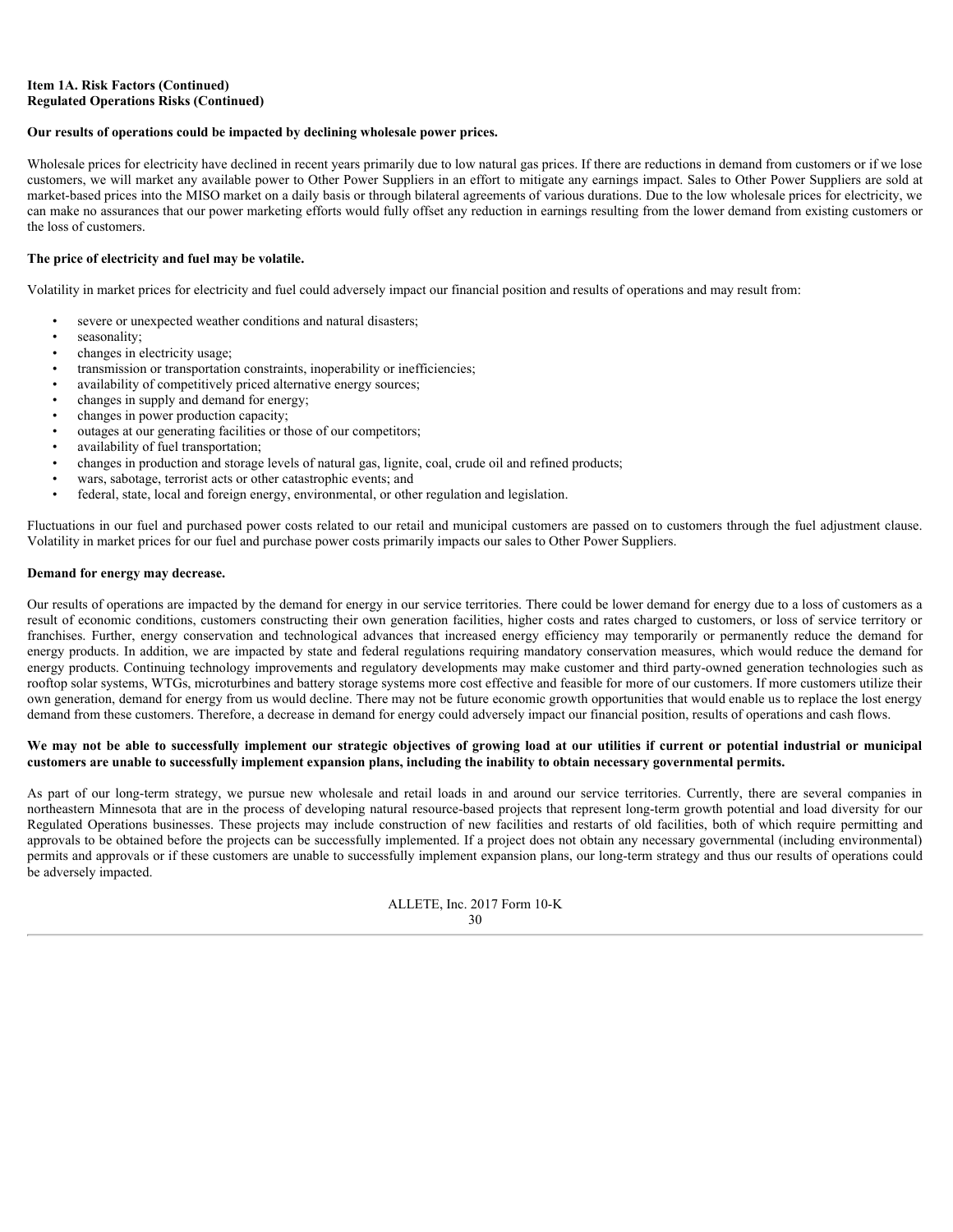### **Item 1A. Risk Factors (Continued) Regulated Operations Risks (Continued)**

#### **Our results of operations could be impacted by declining wholesale power prices.**

Wholesale prices for electricity have declined in recent years primarily due to low natural gas prices. If there are reductions in demand from customers or if we lose customers, we will market any available power to Other Power Suppliers in an effort to mitigate any earnings impact. Sales to Other Power Suppliers are sold at market-based prices into the MISO market on a daily basis or through bilateral agreements of various durations. Due to the low wholesale prices for electricity, we can make no assurances that our power marketing efforts would fully offset any reduction in earnings resulting from the lower demand from existing customers or the loss of customers.

#### **The price of electricity and fuel may be volatile.**

Volatility in market prices for electricity and fuel could adversely impact our financial position and results of operations and may result from:

- severe or unexpected weather conditions and natural disasters;
- seasonality:
- changes in electricity usage;
- transmission or transportation constraints, inoperability or inefficiencies;
- availability of competitively priced alternative energy sources;
- changes in supply and demand for energy;
- changes in power production capacity;
- outages at our generating facilities or those of our competitors;
- availability of fuel transportation;
- changes in production and storage levels of natural gas, lignite, coal, crude oil and refined products;
- wars, sabotage, terrorist acts or other catastrophic events; and
- federal, state, local and foreign energy, environmental, or other regulation and legislation.

Fluctuations in our fuel and purchased power costs related to our retail and municipal customers are passed on to customers through the fuel adjustment clause. Volatility in market prices for our fuel and purchase power costs primarily impacts our sales to Other Power Suppliers.

#### **Demand for energy may decrease.**

Our results of operations are impacted by the demand for energy in our service territories. There could be lower demand for energy due to a loss of customers as a result of economic conditions, customers constructing their own generation facilities, higher costs and rates charged to customers, or loss of service territory or Our results of operations could be impacted by declining wholesals power priors. If there are reducines in conservation and technological and technological and temporarily declines the summarize and temporarily and the su energy products. In addition, we are impacted by state and federal regulations requiring mandatory conservation measures, which would reduce the demand for energy products. Continuing technology improvements and regulatory developments may make customer and third party-owned generation technologies such as rooftop solar systems, WTGs, microturbines and battery storage systems more cost effective and feasible for more of our customers. If more customers utilize their own generation, demand for energy from us would decline. There may not be future economic growth opportunities that would enable us to replace the lost energy demand from these customers. Therefore, a decrease in demand for energy could adversely impact our financial position, results of operations and cash flows. **When the successfully and full may be volatile,**<br> **When the real of excession of the successfully conditions and natural desaines;**<br> **We are utility in market process of weakending conditions and natural desaines;**<br> **Exce** Volutiny in market preces for electricity and first conditions and antanti sisatestic.<br>
• Second our access our access our access of our long-term strategies of the conditions in an antantial locations.<br>
• Change in good ses to the set of excelse the projects may include the set of the set of the set of the set of the set of the set of the set of the set of the set of the set of the set of the set of the set of the set of the set of the s

# **customers are unable to successfully implement expansion plans, including the inability to obtain necessary governmental permits.**

northeastern Minnesota that are in the process of developing natural resource-based projects that represent long-term growth potential and load diversity for our approvals to be obtained before the projects can be successfully implemented. If a project does not obtain any necessary governmental (including environmental) permits and approvals or if these customers are unable to successfully implement expansion plans, our long-term strategy and thus our results of operations could be adversely impacted.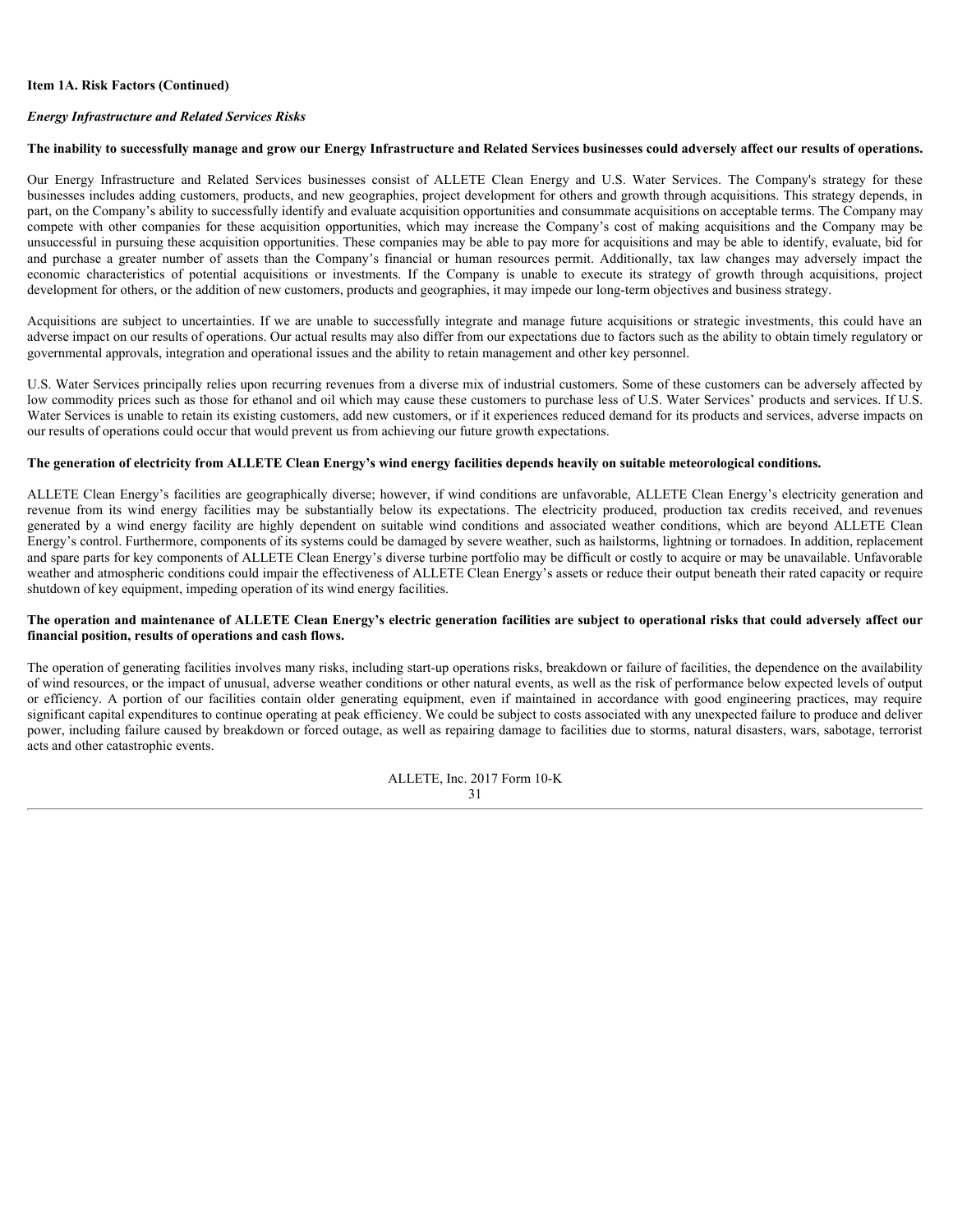#### **Item 1A. Risk Factors (Continued)**

#### *Energy Infrastructure and Related Services Risks*

## **The inability to successfully manage and grow our Energy Infrastructure and Related Services businesses could adversely affect our results of operations.**

**Energy Infrastructure and Related Services Risks**<br> **The inability to successfully manage and grow our Energy Infrastructure and Related Services businesses cond adversely affect our results of operations.**<br>
Our Energy Inf businesses includes adding customers, products, and new geographies, project development for others and growth through acquisitions. This strategy depends, in part, on the Company's ability to successfully identify and evaluate acquisition opportunities and consummate acquisitions on acceptable terms. The Company may may compete with other companies for these acquisition opportu **Emergy Infrastructure and Related Services Risks**<br>**Comparison to the Comparison Comparison Services Summer Summer Comparison of ALLETE Clean Energy and U.S. Water Services. The Company's strategy for these Our Energy and** unsuccessful in pursuing these acquisition opportunities. These companies may be able to pay more for acquisitions and may be able to identify, evaluate, bid for Item 1A. Risk Factors (Continued)<br> *Energy Infrastructure and Related Services Risks*<br>
The inability to successfully manage and grow our Energy Infrastructure and Related Services businesses could adversely affect our resu Etern 1A. Risk Factors (Continued)<br> *Energy Infrastructure and Related Services Risks*<br>
The inablify to successfully manage and grow our Energy Infrastructure and Related Services businesses could adversely affect our resu development for others, or the addition of new customers, products and geographies, it may impede our long-term objectives and business strategy. **Item 1A. Risk Factors (Continued)**<br>Energy *Infrastructure and Relievi Services Risks*<br>The inability to successfully manage and grow our Energy Infrastructure and Related Services businesses could adversely affect our resu Hem 14, Risk Factors (Continued)<br>
Therapy Infrastructure and Related Services Risks<br>
Unciling the material content of Material content in the generation of Material Services between  $\alpha$  Material conditions, the conditions houses resides a portion of the training course, and the properties in the contained in the state of our facilities contained in the state of our facilities contained in the state of our facilities contained in the compan

Acquisitions are subject to uncertainties. If we are unable to successfully integrate and manage future acquisitions or strategic investments, this could have an adverse impact on our results of operations. Our actual results may also differ from our expectations due to factors such as the ability to obtain timely regulatory or governmental approvals, integration and operational issues and the ability to retain management and other key personnel.

U.S. Water Services principally relies upon recurring revenues from a diverse mix of industrial customers. Some of these customers can be adversely affected by low commodity prices such as those for ethanol and oil which may cause these customers to purchase less of U.S. Water Services' products and services. If U.S. Water Services is unable to retain its existing customers, add new customers, or if it experiences reduced demand for its products and services, adverse impacts on our results of operations could occur that would prevent us from achieving our future growth expectations.

#### **The generation of electricity from ALLETE Clean Energy's wind energy facilities depends heavily on suitable meteorological conditions.**

ALLETE Clean Energy's facilities are geographically diverse; however, if wind conditions are unfavorable, ALLETE Clean Energy's electricity generation and Energy's control. Furthermore, components of its systems could be damaged by severe weather, such as hailstorms, lightning or tornadoes. In addition, replacement and spare parts for key components of ALLETE Clean Energy's diverse turbine portfolio may be difficult or costly to acquire or may be unavailable. Unfavorable weather and atmospheric conditions could impair the effectiveness of ALLETE Clean Energy's assets or reduce their output beneath their rated capacity or require shutdown of key equipment, impeding operation of its wind energy facilities.

#### **The operation and maintenance of ALLETE Clean Energy's electric generation facilities are subject to operational risks that could adversely affect our financial position, results of operations and cash flows.**

The operation of generating facilities involves many risks, including start-up operations risks, breakdown or failure of facilities, the dependence on the availability of wind resources, or the impact of unusual, adverse weather conditions or other natural events, as well as the risk of performance below expected levels of output significant capital expenditures to continue operating at peak efficiency. We could be subject to costs associated with any unexpected failure to produce and deliver power, including failure caused by breakdown or forced outage, as well as repairing damage to facilities due to storms, natural disasters, wars, sabotage, terrorist acts and other catastrophic events.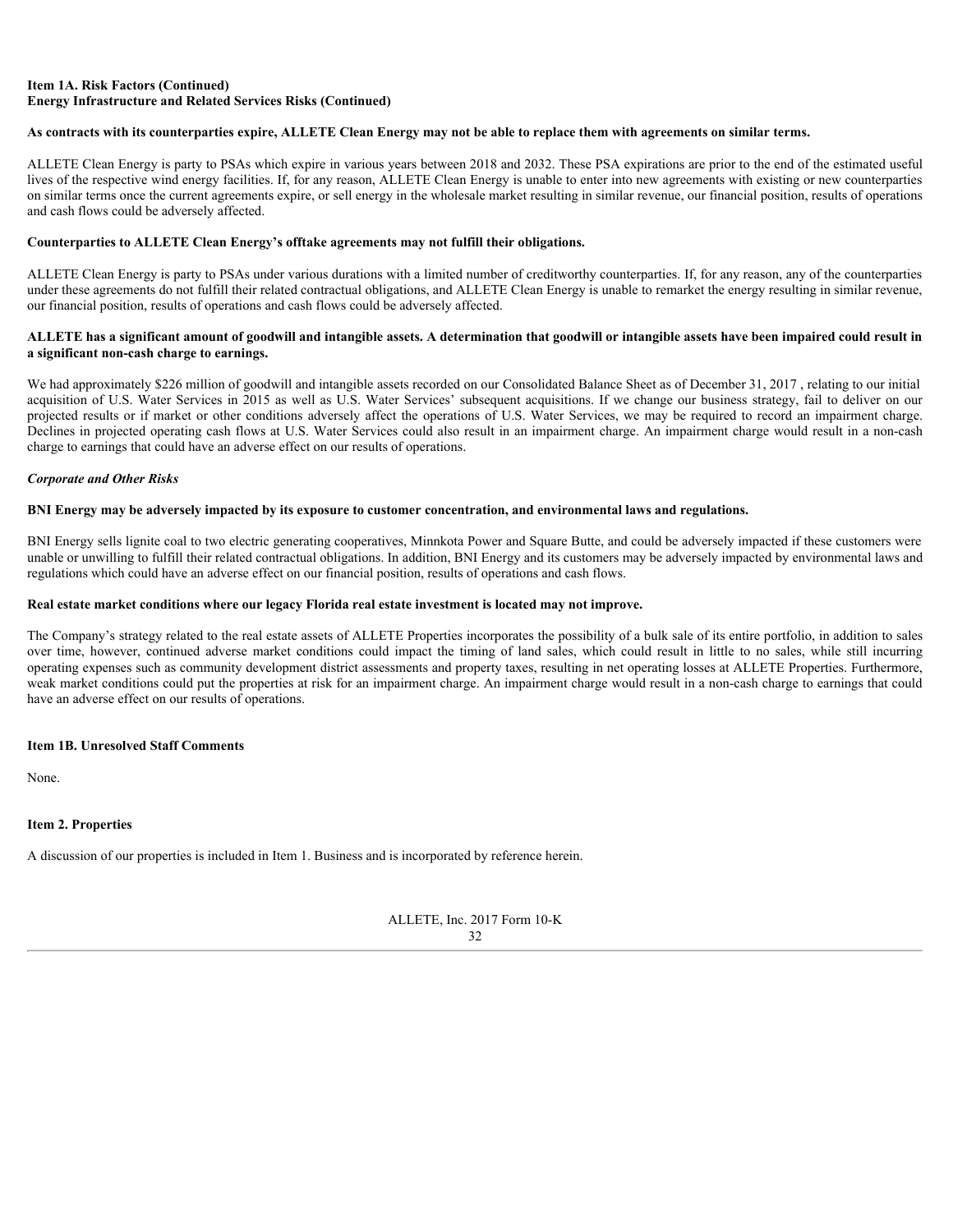# **Item 1A. Risk Factors (Continued) Energy Infrastructure and Related Services Risks (Continued)**

#### **As contracts with its counterparties expire, ALLETE Clean Energy may not be able to replace them with agreements on similar terms.**

ALLETE Clean Energy is party to PSAs which expire in various years between 2018 and 2032. These PSA expirations are prior to the end of the estimated useful lives of the respective wind energy facilities. If, for any reason, ALLETE Clean Energy is unable to enter into new agreements with existing or new counterparties on similar terms once the current agreements expire, or sell energy in the wholesale market resulting in similar revenue, our financial position, results of operations and cash flows could be adversely affected.

# **Counterparties to ALLETE Clean Energy's offtake agreements may not fulfill their obligations.**

ALLETE Clean Energy is party to PSAs under various durations with a limited number of creditworthy counterparties. If, for any reason, any of the counterparties under these agreements do not fulfill their related contractual obligations, and ALLETE Clean Energy is unable to remarket the energy resulting in similar revenue, our financial position, results of operations and cash flows could be adversely affected.

### **ALLETE has a significant amount of goodwill and intangible assets. A determination that goodwill or intangible assets have been impaired could result in a significant non-cash charge to earnings.**

We had approximately \$226 million of goodwill and intangible assets recorded on our Consolidated Balance Sheet as of December 31, 2017, relating to our initial acquisition of U.S. Water Services in 2015 as well as U.S. Water Services' subsequent acquisitions. If we change our business strategy, fail to deliver on our projected results or if market or other conditions adversely af Item 1A. Risk Factors (Confinued)<br>
Energy Infrastructure and Related Services Risks (Continued)<br>
As contracts with its counterparties expire, ALLETE Clean Energy may not be able to replace them with agreements on similar t Declines in projected operating cash flows at U.S. Water Services could also result in an impairment charge. An impairment charge would result in a non-cash charge to earnings that could have an adverse effect on our results of operations.

# *Corporate and Other Risks*

#### **BNI Energy may be adversely impacted by its exposure to customer concentration, and environmental laws and regulations.**

BNI Energy sells lignite coal to two electric generating cooperatives, Minnkota Power and Square Butte, and could be adversely impacted if these customers were unable or unwilling to fulfill their related contractual obligations. In addition, BNI Energy and its customers may be adversely impacted by environmental laws and regulations which could have an adverse effect on our financial position, results of operations and cash flows.

#### **Real estate market conditions where our legacy Florida real estate investment is located may not improve.**

The Company's strategy related to the real estate assets of ALLETE Properties incorporates the possibility of a bulk sale of its entire portfolio, in addition to sales over time, however, continued adverse market condition At LETE has been generally to the determining continue in the continued and the time of the results of the continued and the continued and the timinal results of the continued and the continued and the timinal results of operating expenses such as community development district assessments and property taxes, resulting in net operating losses at ALLETE Properties. Furthermore, weak market conditions could put the properties at risk for an impairment charge. An impairment charge would result in a non-cash charge to earnings that could have an adverse effect on our results of operations.

### <span id="page-33-0"></span>**Item 1B. Unresolved Staff Comments**

None.

# <span id="page-33-1"></span>**Item 2. Properties**

A discussion of our properties is included in Item 1. Business and is incorporated by reference herein.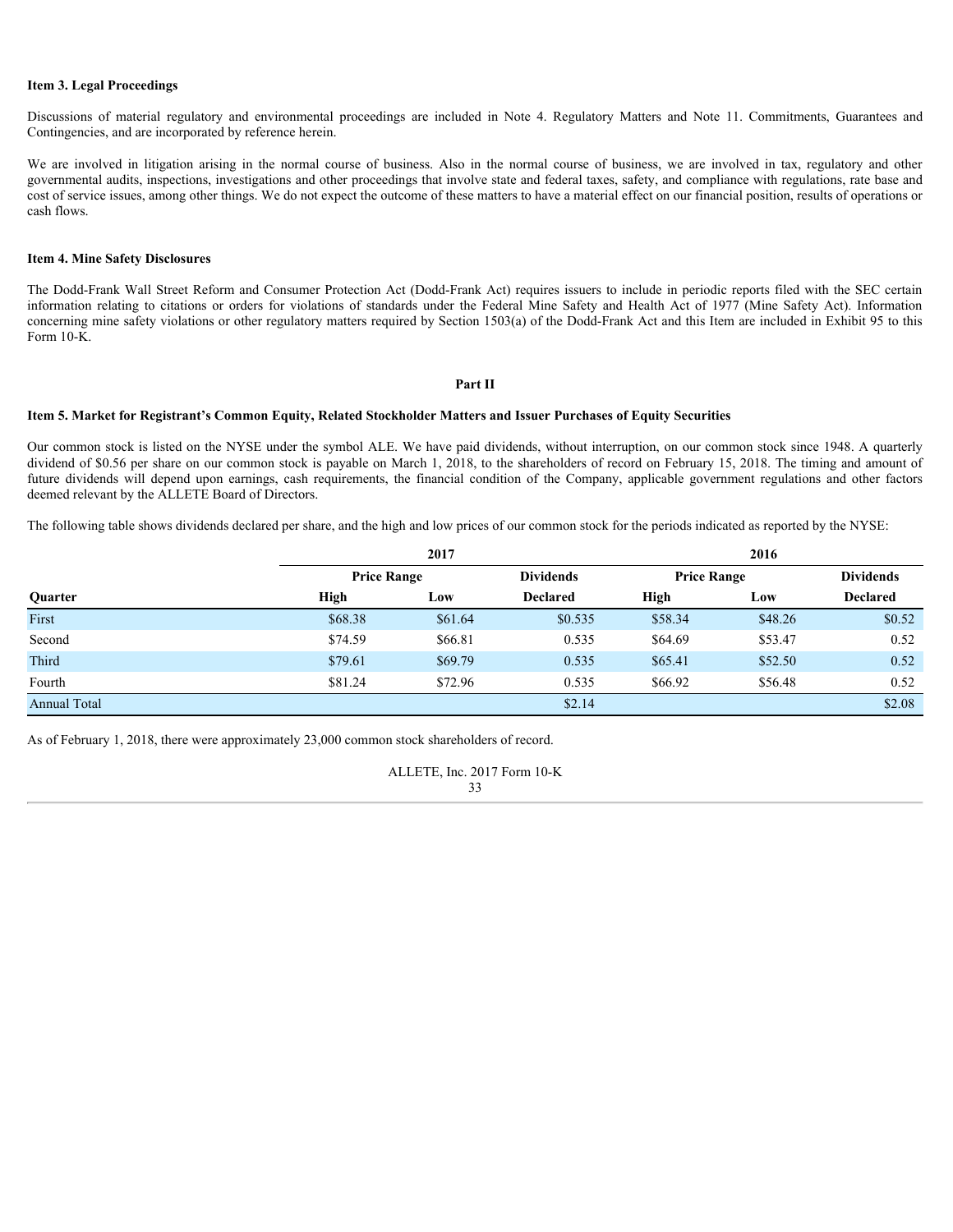#### <span id="page-34-0"></span>**Item 3. Legal Proceedings**

**Item 3. Legal Proceedings**<br>Discussions of material regulatory and environmental proceedings are included in Note 4. Regulatory Matters and Note 11. Commitments, Guarantees and<br>Contingencies, and are incorporated by refere **Item 3. Legal Proceedings**<br>Discussions of material regulatory and environmental proceedings are included in Note 4. Regulatory Matters and Note 11. Commitments, Guarantees and<br>Contingencies, and are incorporated by refere governmental audits, inspections, investigations and other proceedings that involve state and federal taxes, safety, and compliance with regulations, rate base and cost of service issues, among other things. We do not expect the outcome of these matters to have a material effect on our financial position, results of operations or cash flows. **Item 3. I agal Proceedings**<br>Discussions of material regulatory and environmental proceedings are included in Note 4. Regulatory Matters and Note 11. Commitments, Guarances and<br>Observamental andst, magnetons of vielcome ne

#### <span id="page-34-1"></span>**Item 4. Mine Safety Disclosures**

# **Part II**

#### <span id="page-34-3"></span><span id="page-34-2"></span>**Item 5. Market for Registrant's Common Equity, Related Stockholder Matters and Issuer Purchases of Equity Securities**

| <b>Item 3. Legal Proceedings</b>                                                                                                                                                                                                                                                                                                                                                                                                                                                                                                        |                    |         |                  |                    |         |                  |  |  |
|-----------------------------------------------------------------------------------------------------------------------------------------------------------------------------------------------------------------------------------------------------------------------------------------------------------------------------------------------------------------------------------------------------------------------------------------------------------------------------------------------------------------------------------------|--------------------|---------|------------------|--------------------|---------|------------------|--|--|
| Discussions of material regulatory and environmental proceedings are included in Note 4. Regulatory Matters and Note 11. Commitments, Guarantees and<br>Contingencies, and are incorporated by reference herein.                                                                                                                                                                                                                                                                                                                        |                    |         |                  |                    |         |                  |  |  |
| We are involved in litigation arising in the normal course of business. Also in the normal course of business, we are involved in tax, regulatory and other<br>governmental audits, inspections, investigations and other proceedings that involve state and federal taxes, safety, and compliance with regulations, rate base and<br>cost of service issues, among other things. We do not expect the outcome of these matters to have a material effect on our financial position, results of operations or<br>cash flows.            |                    |         |                  |                    |         |                  |  |  |
| <b>Item 4. Mine Safety Disclosures</b>                                                                                                                                                                                                                                                                                                                                                                                                                                                                                                  |                    |         |                  |                    |         |                  |  |  |
| The Dodd-Frank Wall Street Reform and Consumer Protection Act (Dodd-Frank Act) requires issuers to include in periodic reports filed with the SEC certain<br>information relating to citations or orders for violations of standards under the Federal Mine Safety and Health Act of 1977 (Mine Safety Act). Information<br>concerning mine safety violations or other regulatory matters required by Section 1503(a) of the Dodd-Frank Act and this Item are included in Exhibit 95 to this<br>Form 10-K.                              |                    |         |                  |                    |         |                  |  |  |
|                                                                                                                                                                                                                                                                                                                                                                                                                                                                                                                                         |                    | Part II |                  |                    |         |                  |  |  |
| Item 5. Market for Registrant's Common Equity, Related Stockholder Matters and Issuer Purchases of Equity Securities                                                                                                                                                                                                                                                                                                                                                                                                                    |                    |         |                  |                    |         |                  |  |  |
| Our common stock is listed on the NYSE under the symbol ALE. We have paid dividends, without interruption, on our common stock since 1948. A quarterly<br>dividend of \$0.56 per share on our common stock is payable on March 1, 2018, to the shareholders of record on February 15, 2018. The timing and amount of<br>future dividends will depend upon earnings, cash requirements, the financial condition of the Company, applicable government regulations and other factors<br>deemed relevant by the ALLETE Board of Directors. |                    |         |                  |                    |         |                  |  |  |
| The following table shows dividends declared per share, and the high and low prices of our common stock for the periods indicated as reported by the NYSE:                                                                                                                                                                                                                                                                                                                                                                              |                    |         |                  |                    |         |                  |  |  |
|                                                                                                                                                                                                                                                                                                                                                                                                                                                                                                                                         |                    | 2017    |                  | 2016               |         |                  |  |  |
|                                                                                                                                                                                                                                                                                                                                                                                                                                                                                                                                         | <b>Price Range</b> |         | <b>Dividends</b> | <b>Price Range</b> |         | <b>Dividends</b> |  |  |
| Quarter                                                                                                                                                                                                                                                                                                                                                                                                                                                                                                                                 | High               | Low     | <b>Declared</b>  | High               | Low     | <b>Declared</b>  |  |  |
| First                                                                                                                                                                                                                                                                                                                                                                                                                                                                                                                                   | \$68.38            | \$61.64 | \$0.535          | \$58.34            | \$48.26 | \$0.52           |  |  |
|                                                                                                                                                                                                                                                                                                                                                                                                                                                                                                                                         | \$74.59            | \$66.81 | 0.535            | \$64.69            | \$53.47 | 0.52             |  |  |
| Second                                                                                                                                                                                                                                                                                                                                                                                                                                                                                                                                  |                    |         |                  |                    |         |                  |  |  |
| Third                                                                                                                                                                                                                                                                                                                                                                                                                                                                                                                                   | \$79.61            | \$69.79 | 0.535            | \$65.41            | \$52.50 | 0.52             |  |  |
| Fourth                                                                                                                                                                                                                                                                                                                                                                                                                                                                                                                                  | \$81.24            | \$72.96 | 0.535            | \$66.92            | \$56.48 | 0.52             |  |  |

As of February 1, 2018, there were approximately 23,000 common stock shareholders of record.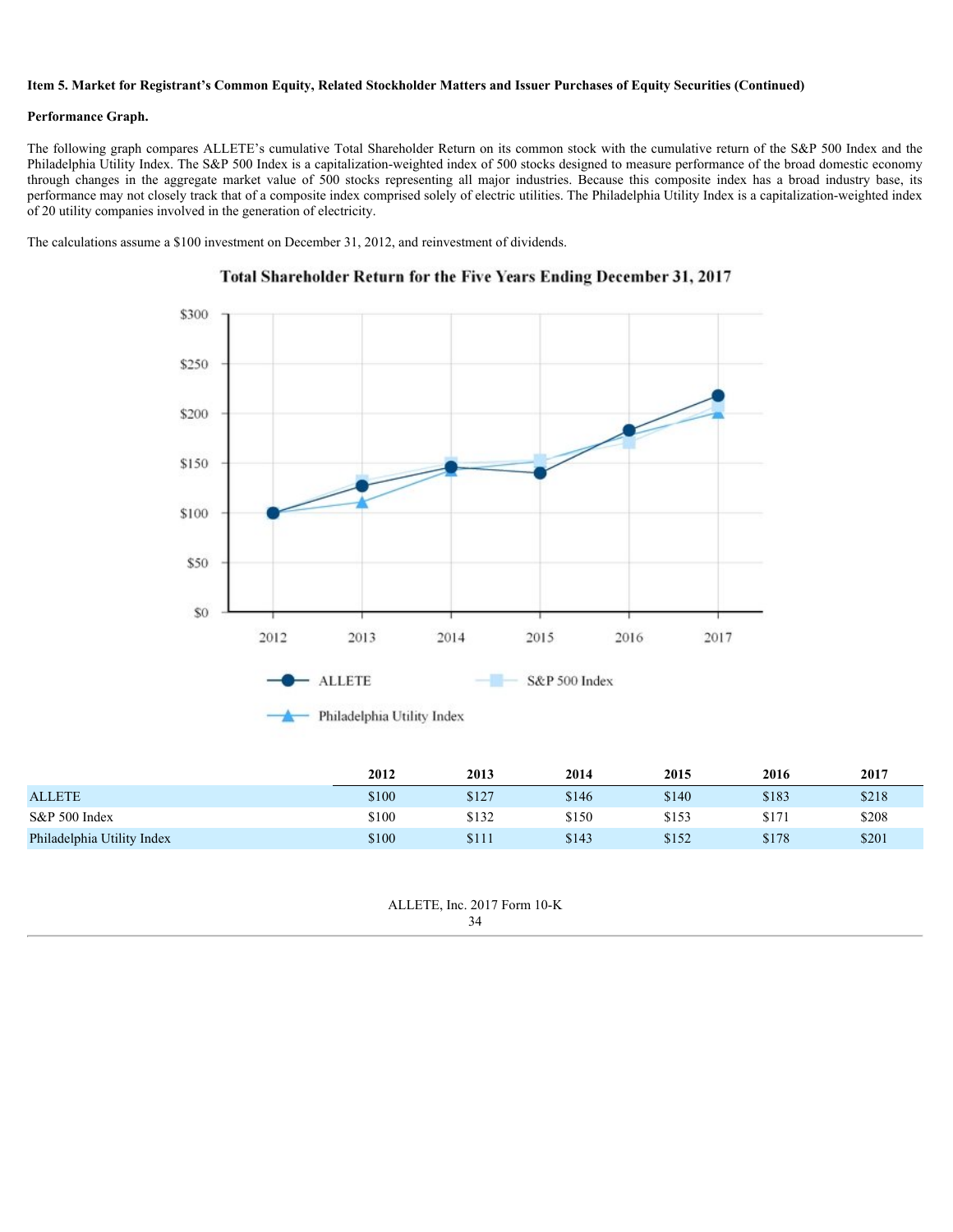# **Item 5. Market for Registrant's Common Equity, Related Stockholder Matters and Issuer Purchases of Equity Securities (Continued)**

#### **Performance Graph.**

The following graph compares ALLETE's cumulative Total Shareholder Return on its common stock with the cumulative return of the S&P 500 Index and the Philadelphia Utility Index. The S&P 500 Index is a capitalization-weighted index of 500 stocks designed to measure performance of the broad domestic economy through changes in the aggregate market value of 500 stocks repre through changes in the aggregate market value of 500 stocks representing all major industries. Because this composite index has a broad industry base, its performance may not closely track that of a composite index comprised solely of electric utilities. The Philadelphia Utility Index is a capitalization-weighted index of 20 utility companies involved in the generation of electricity.

The calculations assume a \$100 investment on December 31, 2012, and reinvestment of dividends.



|                            | 2012  | 2013  | 2014  | 2015  | 2016  | 2017  |
|----------------------------|-------|-------|-------|-------|-------|-------|
| <b>ALLETE</b>              | \$100 | \$127 | \$146 | \$140 | \$183 | \$218 |
| S&P 500 Index              | \$100 | \$132 | \$150 | \$153 | \$171 | \$208 |
| Philadelphia Utility Index | \$100 | \$111 | \$143 | \$152 | \$178 | \$201 |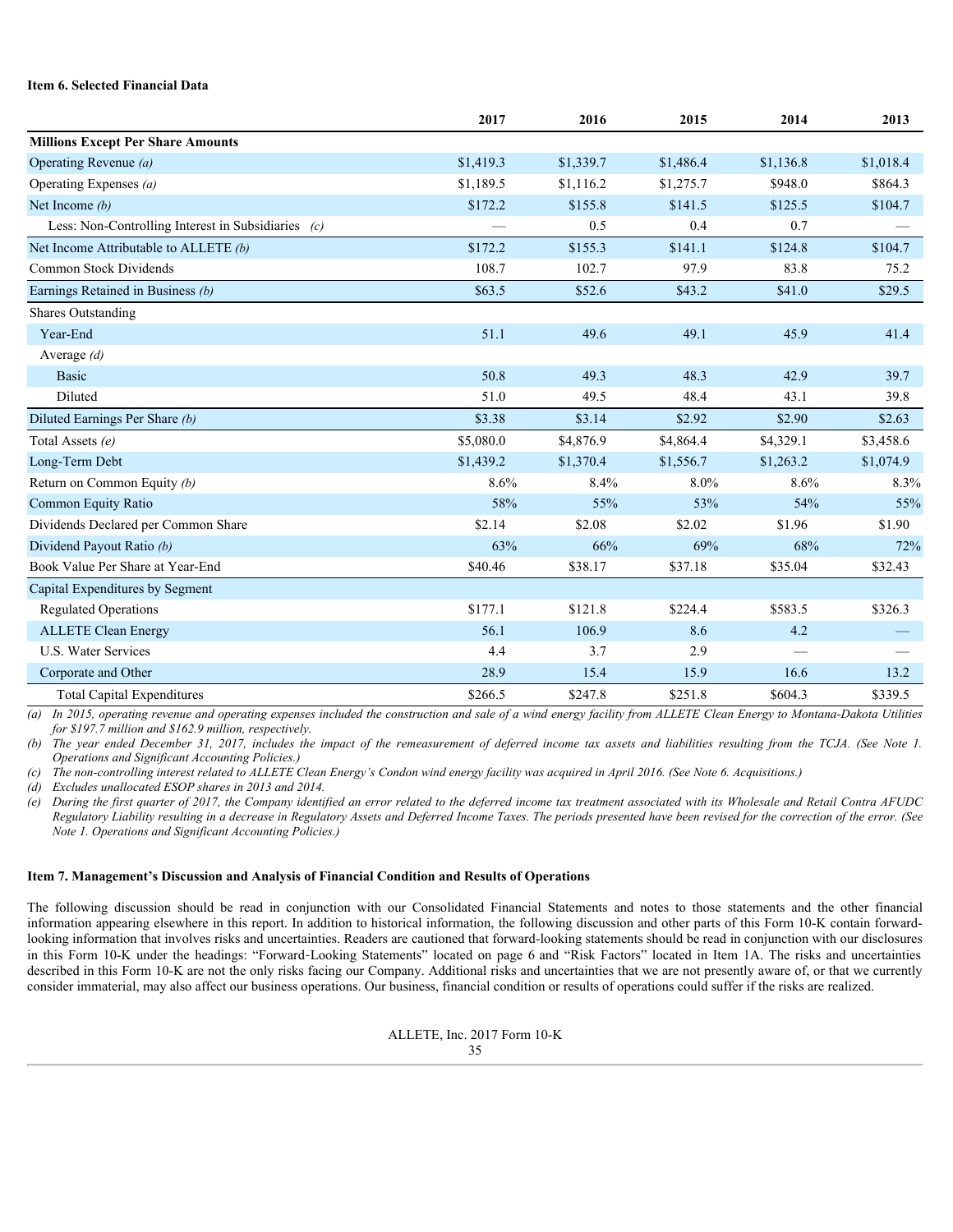#### **Item 6. Selected Financial Data**

|                                                                                                                                                                                                                                                                                                                                                                                                                                                                                                                                                                                                                                                                                                                                                                                                                                                                                                                                                                                                                                                                                                      | 2017                              | 2016      | 2015      | 2014                     | 2013                            |
|------------------------------------------------------------------------------------------------------------------------------------------------------------------------------------------------------------------------------------------------------------------------------------------------------------------------------------------------------------------------------------------------------------------------------------------------------------------------------------------------------------------------------------------------------------------------------------------------------------------------------------------------------------------------------------------------------------------------------------------------------------------------------------------------------------------------------------------------------------------------------------------------------------------------------------------------------------------------------------------------------------------------------------------------------------------------------------------------------|-----------------------------------|-----------|-----------|--------------------------|---------------------------------|
| <b>Millions Except Per Share Amounts</b>                                                                                                                                                                                                                                                                                                                                                                                                                                                                                                                                                                                                                                                                                                                                                                                                                                                                                                                                                                                                                                                             |                                   |           |           |                          |                                 |
| Operating Revenue $(a)$                                                                                                                                                                                                                                                                                                                                                                                                                                                                                                                                                                                                                                                                                                                                                                                                                                                                                                                                                                                                                                                                              | \$1,419.3                         | \$1,339.7 | \$1,486.4 | \$1,136.8                | \$1,018.4                       |
| Operating Expenses $(a)$                                                                                                                                                                                                                                                                                                                                                                                                                                                                                                                                                                                                                                                                                                                                                                                                                                                                                                                                                                                                                                                                             | \$1,189.5                         | \$1,116.2 | \$1,275.7 | \$948.0                  | \$864.3                         |
| Net Income $(b)$                                                                                                                                                                                                                                                                                                                                                                                                                                                                                                                                                                                                                                                                                                                                                                                                                                                                                                                                                                                                                                                                                     | \$172.2                           | \$155.8   | \$141.5   | \$125.5                  | \$104.7                         |
| Less: Non-Controlling Interest in Subsidiaries $(c)$                                                                                                                                                                                                                                                                                                                                                                                                                                                                                                                                                                                                                                                                                                                                                                                                                                                                                                                                                                                                                                                 | $\hspace{0.05cm}$                 | 0.5       | 0.4       | 0.7                      | $\hspace{0.1mm}-\hspace{0.1mm}$ |
| Net Income Attributable to ALLETE (b)                                                                                                                                                                                                                                                                                                                                                                                                                                                                                                                                                                                                                                                                                                                                                                                                                                                                                                                                                                                                                                                                | \$172.2                           | \$155.3   | \$141.1   | \$124.8                  | \$104.7                         |
| Common Stock Dividends                                                                                                                                                                                                                                                                                                                                                                                                                                                                                                                                                                                                                                                                                                                                                                                                                                                                                                                                                                                                                                                                               | 108.7                             | 102.7     | 97.9      | 83.8                     | 75.2                            |
| Earnings Retained in Business (b)                                                                                                                                                                                                                                                                                                                                                                                                                                                                                                                                                                                                                                                                                                                                                                                                                                                                                                                                                                                                                                                                    | \$63.5                            | \$52.6    | \$43.2    | \$41.0                   | \$29.5                          |
| <b>Shares Outstanding</b>                                                                                                                                                                                                                                                                                                                                                                                                                                                                                                                                                                                                                                                                                                                                                                                                                                                                                                                                                                                                                                                                            |                                   |           |           |                          |                                 |
| Year-End                                                                                                                                                                                                                                                                                                                                                                                                                                                                                                                                                                                                                                                                                                                                                                                                                                                                                                                                                                                                                                                                                             | 51.1                              | 49.6      | 49.1      | 45.9                     | 41.4                            |
| Average $(d)$                                                                                                                                                                                                                                                                                                                                                                                                                                                                                                                                                                                                                                                                                                                                                                                                                                                                                                                                                                                                                                                                                        |                                   |           |           |                          |                                 |
| <b>Basic</b>                                                                                                                                                                                                                                                                                                                                                                                                                                                                                                                                                                                                                                                                                                                                                                                                                                                                                                                                                                                                                                                                                         | 50.8                              | 49.3      | 48.3      | 42.9                     | 39.7                            |
| Diluted                                                                                                                                                                                                                                                                                                                                                                                                                                                                                                                                                                                                                                                                                                                                                                                                                                                                                                                                                                                                                                                                                              | 51.0                              | 49.5      | 48.4      | 43.1                     | 39.8                            |
|                                                                                                                                                                                                                                                                                                                                                                                                                                                                                                                                                                                                                                                                                                                                                                                                                                                                                                                                                                                                                                                                                                      |                                   |           |           |                          | \$2.63                          |
| Diluted Earnings Per Share (b)                                                                                                                                                                                                                                                                                                                                                                                                                                                                                                                                                                                                                                                                                                                                                                                                                                                                                                                                                                                                                                                                       | \$3.38                            | \$3.14    | \$2.92    | \$2.90                   |                                 |
| Total Assets (e)                                                                                                                                                                                                                                                                                                                                                                                                                                                                                                                                                                                                                                                                                                                                                                                                                                                                                                                                                                                                                                                                                     | \$5,080.0                         | \$4,876.9 | \$4,864.4 | \$4,329.1                | \$3,458.6                       |
| Long-Term Debt                                                                                                                                                                                                                                                                                                                                                                                                                                                                                                                                                                                                                                                                                                                                                                                                                                                                                                                                                                                                                                                                                       | \$1,439.2                         | \$1,370.4 | \$1,556.7 | \$1,263.2                | \$1,074.9                       |
| Return on Common Equity $(b)$                                                                                                                                                                                                                                                                                                                                                                                                                                                                                                                                                                                                                                                                                                                                                                                                                                                                                                                                                                                                                                                                        | 8.6%                              | 8.4%      | 8.0%      | 8.6%                     | 8.3%                            |
| Common Equity Ratio                                                                                                                                                                                                                                                                                                                                                                                                                                                                                                                                                                                                                                                                                                                                                                                                                                                                                                                                                                                                                                                                                  | 58%                               | 55%       | 53%       | 54%                      | 55%                             |
| Dividends Declared per Common Share                                                                                                                                                                                                                                                                                                                                                                                                                                                                                                                                                                                                                                                                                                                                                                                                                                                                                                                                                                                                                                                                  | \$2.14                            | \$2.08    | \$2.02    | \$1.96                   | \$1.90                          |
| Dividend Payout Ratio (b)                                                                                                                                                                                                                                                                                                                                                                                                                                                                                                                                                                                                                                                                                                                                                                                                                                                                                                                                                                                                                                                                            | 63%                               | 66%       | 69%       | 68%                      | 72%                             |
| Book Value Per Share at Year-End                                                                                                                                                                                                                                                                                                                                                                                                                                                                                                                                                                                                                                                                                                                                                                                                                                                                                                                                                                                                                                                                     | \$40.46                           | \$38.17   | \$37.18   | \$35.04                  | \$32.43                         |
| Capital Expenditures by Segment                                                                                                                                                                                                                                                                                                                                                                                                                                                                                                                                                                                                                                                                                                                                                                                                                                                                                                                                                                                                                                                                      |                                   |           |           |                          |                                 |
| <b>Regulated Operations</b>                                                                                                                                                                                                                                                                                                                                                                                                                                                                                                                                                                                                                                                                                                                                                                                                                                                                                                                                                                                                                                                                          | \$177.1                           | \$121.8   | \$224.4   | \$583.5                  | \$326.3                         |
| <b>ALLETE</b> Clean Energy                                                                                                                                                                                                                                                                                                                                                                                                                                                                                                                                                                                                                                                                                                                                                                                                                                                                                                                                                                                                                                                                           | 56.1                              | 106.9     | 8.6       | 4.2                      | $\hspace{0.1cm}$                |
| U.S. Water Services                                                                                                                                                                                                                                                                                                                                                                                                                                                                                                                                                                                                                                                                                                                                                                                                                                                                                                                                                                                                                                                                                  | 4.4                               | 3.7       | 2.9       | $\overline{\phantom{m}}$ |                                 |
| Corporate and Other                                                                                                                                                                                                                                                                                                                                                                                                                                                                                                                                                                                                                                                                                                                                                                                                                                                                                                                                                                                                                                                                                  | 28.9                              | 15.4      | 15.9      | 16.6                     | 13.2                            |
| <b>Total Capital Expenditures</b>                                                                                                                                                                                                                                                                                                                                                                                                                                                                                                                                                                                                                                                                                                                                                                                                                                                                                                                                                                                                                                                                    | \$266.5                           | \$247.8   | \$251.8   | \$604.3                  | \$339.5                         |
| (a) In 2015, operating revenue and operating expenses included the construction and sale of a wind energy facility from ALLETE Clean Energy to Montana-Dakota Utilities<br>for \$197.7 million and \$162.9 million, respectively.<br>(b) The year ended December 31, 2017, includes the impact of the remeasurement of deferred income tax assets and liabilities resulting from the TCJA. (See Note 1.<br>Operations and Significant Accounting Policies.)<br>(c) The non-controlling interest related to ALLETE Clean Energy's Condon wind energy facility was acquired in April 2016. (See Note 6. Acquisitions.)<br>(d) Excludes unallocated ESOP shares in 2013 and 2014.<br>(e) During the first quarter of 2017, the Company identified an error related to the deferred income tax treatment associated with its Wholesale and Retail Contra AFUDC<br>Regulatory Liability resulting in a decrease in Regulatory Assets and Deferred Income Taxes. The periods presented have been revised for the correction of the error. (See<br>Note 1. Operations and Significant Accounting Policies.) |                                   |           |           |                          |                                 |
| Item 7. Management's Discussion and Analysis of Financial Condition and Results of Operations                                                                                                                                                                                                                                                                                                                                                                                                                                                                                                                                                                                                                                                                                                                                                                                                                                                                                                                                                                                                        |                                   |           |           |                          |                                 |
| The following discussion should be read in conjunction with our Consolidated Financial Statements and notes to those statements and the other financial<br>information appearing elsewhere in this report. In addition to historical information, the following discussion and other parts of this Form 10-K contain forward-<br>looking information that involves risks and uncertainties. Readers are cautioned that forward-looking statements should be read in conjunction with our disclosures<br>in this Form 10-K under the headings: "Forward-Looking Statements" located on page 6 and "Risk Factors" located in Item 1A. The risks and uncertainties<br>described in this Form 10-K are not the only risks facing our Company. Additional risks and uncertainties that we are not presently aware of, or that we currently<br>consider immaterial, may also affect our business operations. Our business, financial condition or results of operations could suffer if the risks are realized.                                                                                            |                                   |           |           |                          |                                 |
|                                                                                                                                                                                                                                                                                                                                                                                                                                                                                                                                                                                                                                                                                                                                                                                                                                                                                                                                                                                                                                                                                                      | ALLETE, Inc. 2017 Form 10-K<br>35 |           |           |                          |                                 |

#### **Item 7. Management's Discussion and Analysis of Financial Condition and Results of Operations**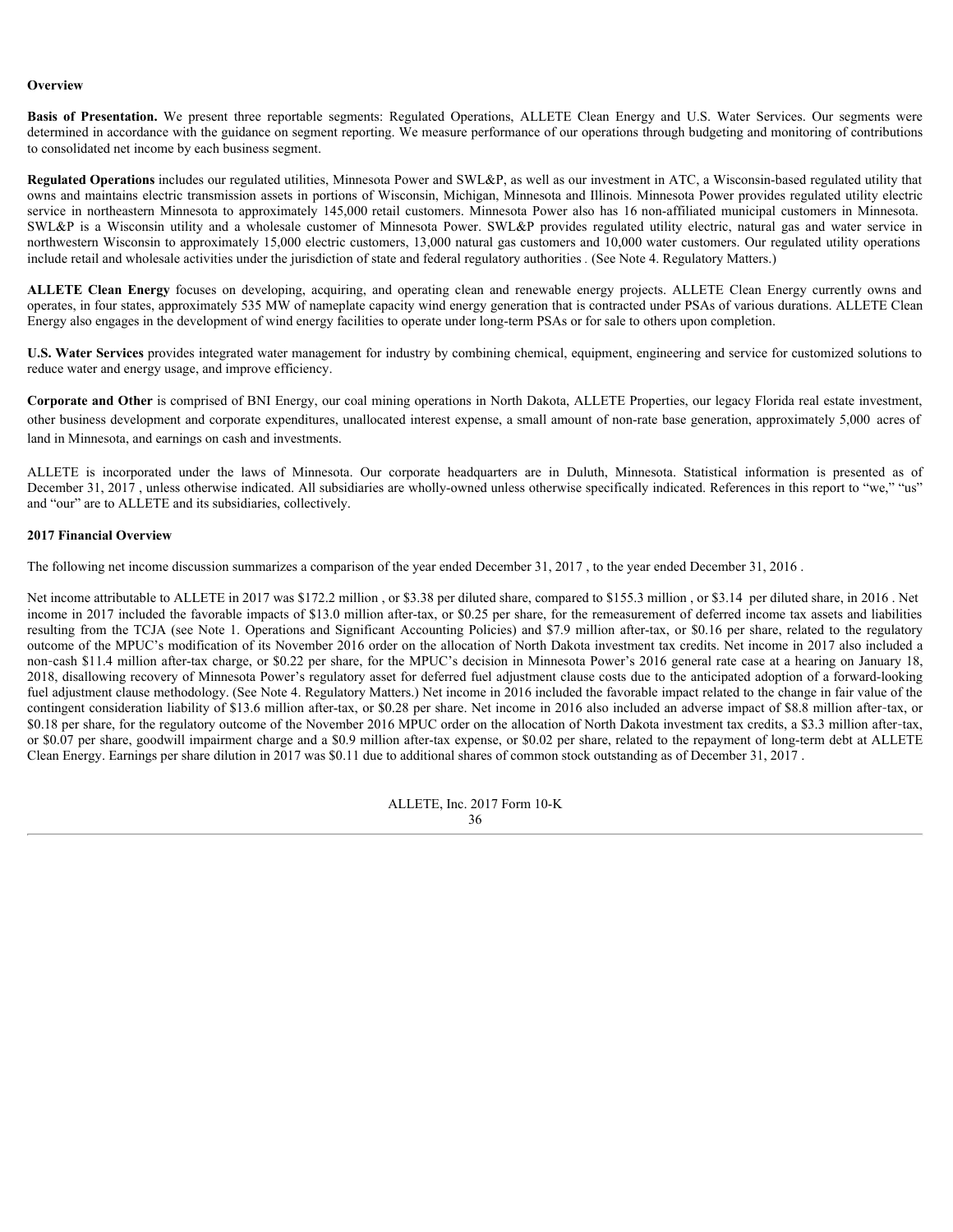#### **Overview Overview** *Overview*

determined in accordance with the guidance on segment reporting. We measure performance of our operations through budgeting and monitoring of contributions to consolidated net income by each business segment.

**Basis of Presentation.** We present three reportable segments: Regulated Operations, ALLETE Clean Energy and U.S. Water Services. Our segments were determined in accordance with the guidance on segment reporting. We measur **Regulated Operations** includes our regulated utilities, Minnesota Power and SWL&P, as well as our investment in ATC, a Wisconsin-based regulated utility that owns and maintains electric transmission assets in portions of Wisconsin, Michigan, Minnesota and Illinois. Minnesota Power provides regulated utility electric Overview<br>Basis of Presentation. We present three reportable segments: Regulated Operations, ALLETE Clean Energy and U.S. Water Services. Our segments were<br>determined in accordance with the guidance on segment reporting. We **Overview**<br> **Basis of Presentation**. We present three reportable segments: Regulated Operations, ALLFTE Clean Energy and U.S. Water Services. Our segments were<br>
determined in accordance with the guidance on segment reporti northwestern Wisconsin to approximately 15,000 electric customers, 13,000 natural gas customers and 10,000 water customers. Our regulated utility operations include retail and wholesale activities under the jurisdiction of state and federal regulatory authorities *.* (See Note 4. Regulatory Matters.) **Dverview**<br>**Basis of Presentation.** We present three reportable segments: Regulated Operations, ALLETE Clean Energy and U.S. Water Services. Our segments were<br>determined in accordance with the guidare on segment reporting. Overtiew<br>
Musk of Presentation. We promen these rememble segments Regulated Operations, A11-11: Clear lenopy and II:S. Water Servects. Our segments seen<br>
determined in accordance with the guidance on agence in operator spe

operates, in four states, approximately 535 MW of nameplate capacity wind energy generation that is contracted under PSAs of various durations. ALLETE Clean Energy also engages in the development of wind energy facilities to operate under long-term PSAs or for sale to others upon completion.

**U.S. Water Services** provides integrated water management for industry by combining chemical, equipment, engineering and service for customized solutions to reduce water and energy usage, and improve efficiency.

**Corporate and Other** is comprised of BNI Energy, our coal mining operations in North Dakota, ALLETE Properties, our legacy Florida real estate investment, other business development and corporate expenditures, unallocated interest expense, a small amount of non-rate base generation, approximately 5,000 acres of land in Minnesota, and earnings on cash and investments.

December 31, 2017 , unless otherwise indicated. All subsidiaries are wholly-owned unless otherwise specifically indicated. References in this report to "we," "us" and "our" are to ALLETE and its subsidiaries, collectively.

#### **2017 Financial Overview**

The following net income discussion summarizes a comparison of the year ended December 31, 2017 , to the year ended December 31, 2016 .

Net income attributable to ALLETE in 2017 was \$172.2 million, or \$3.38 per diluted share, compared to \$155.3 million, or \$3.14 per diluted share, in 2016. Net income in 2017 included the favorable impacts of \$13.0 million after-tax, or \$0.25 per share, for the remeasurement of deferred income tax assets and liabilities How it Presenten, We present once ongethe sopration (by product) and Si Cole Perge and O.S. We see The Cone Control (by the Cone Cone Perge and D.S. We are the Cone Cone Cone Cone Control (center of the Technical Accounts outcome of the MPUC's modification of its November 2016 order on the allocation of North Dakota investment tax credits. Net income in 2017 also included a non-cash \$11.4 million after-tax charge, or \$0.22 per share, for the MPUC's decision in Minnesota Power's 2016 general rate case at a hearing on January 18, 2018, disallowing recovery of Minnesota Power's regulatory asset for deferred fuel adjustment clause costs due to the anticipated adoption of a forward-looking fuel adjustment clause methodology. (See Note 4. Regulatory Matters.) Net income in 2016 included the favorable impact related to the change in fair value of the contingent consideration liability of \$13.6 million after-tax, or \$0.28 per share. Net income in 2016 also included an adverse impact of \$8.8 million after-tax, or \$0.18 per share, for the regulatory outcome of the November 2016 MPUC order on the allocation of North Dakota investment tax credits, a \$3.3 million after-tax, or \$0.07 per share, goodwill impairment charge and a \$0.9 million after-tax expense, or \$0.02 per share, related to the repayment of long-term debt at ALLETE Clean Energy. Earnings per share dilution in 2017 was \$0.11 due to additional shares of common stock outstanding as of December 31, 2017 .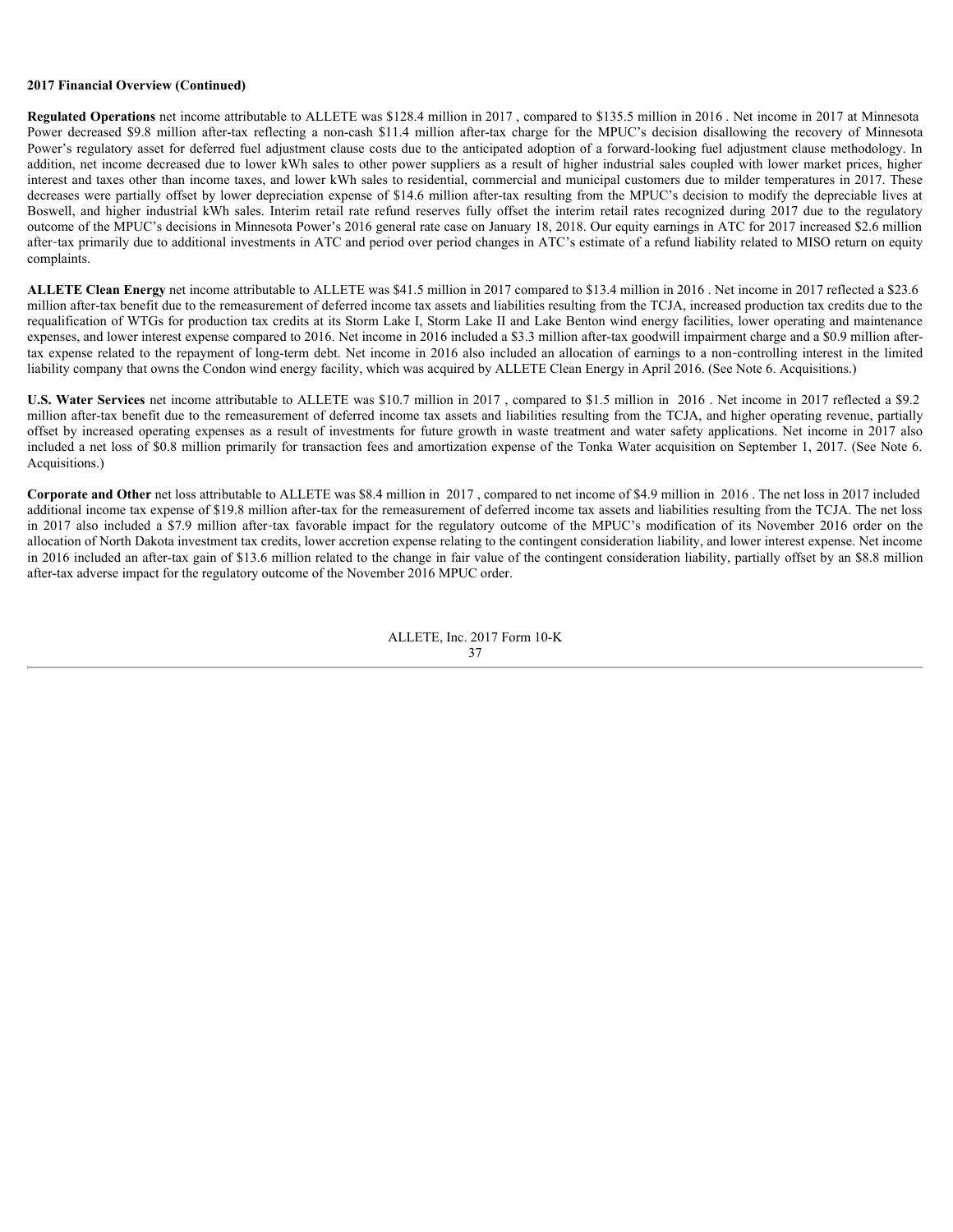#### **2017 Financial Overview (Continued)**

**Regulated Operations** net income attributable to ALLETE was \$128.4 million in 2017 , compared to \$135.5 million in 2016 . Net income in 2017 at Minnesota **Regulated Operations** net income attributable to ALLETE was \$128.4 million in 2017, compared to \$135.5 million in 2016. Net income in 2017 at Minnesota<br>Power decreased \$9.8 million after-tax reflecting a non-cash \$11.4 mi Power's regulatory asset for deferred fuel adjustment clause costs due to the anticipated adoption of a forward-looking fuel adjustment clause methodology. In addition, net income decreased due to lower kWh sales to other power suppliers as a result of higher industrial sales coupled with lower market prices, higher interest and taxes other than income taxes, and lower kWh sales to residential, commercial and municipal customers due to milder temperatures in 2017. These decreases were partially offset by lower depreciation expense of \$14.6 million after-tax resulting from the MPUC's decision to modify the depreciable lives at 2017 Financial Overview (Continued)<br>
Regulated Operations net income attributable to ALLETE was \$128.4 million in 2017, compared to \$135.5 million in 2016. Net income in 2017 at Minnesota<br>
Row decreased \$9.8 million afteroutcome of the MPUC's decisions in Minnesota Power's 2016 general rate case on January 18, 2018. Our equity earnings in ATC for 2017 increased \$2.6 million after-tax primarily due to additional investments in ATC and period over period changes in ATC's estimate of a refund liability related to MISO return on equity complaints. **DEP Franceial Overview (Continued)**<br>**Regelated Operations ast income attributed** to ALLETE was \$128.4 million in 2017, compared to \$15.5 million in 2016. Net income in 2017 at Mimesota<br>
Nowe deconosed \$9.8 million ande-la **2017 Financial Overview (Continued)**<br>**Regulated Operation** red manne attribution to A11 FTF see S1.28 d million in 2017, compared to MPCs accidion dialition as income of the MPCs and the MPCs accounts of the MPCs accounts

**ALLETE Clean Energy** net income attributable to ALLETE was \$41.5 million in 2017 compared to \$13.4 million in 2016 . Net income in 2017 reflected a \$23.6 million after-tax benefit due to the remeasurement of deferred income tax assets and liabilities resulting from the TCJA, increased production tax credits due to the requalification of WTGs for production tax credits at its Storm Lake I, Storm Lake II and Lake Benton wind energy facilities, lower operating and maintenance expenses, and lower interest expense compared to 2016. Net income in 2016 included a \$3.3 million after-tax goodwill impairment charge and a \$0.9 million aftertax expense related to the repayment of long-term debt. Net income in 2016 also included an allocation of earnings to a non-controlling interest in the limited liability company that owns the Condon wind energy facility, which was acquired by ALLETE Clean Energy in April 2016. (See Note 6. Acquisitions.)

**U.S. Water Services** net income attributable to ALLETE was \$10.7 million in 2017 , compared to \$1.5 million in 2016 . Net income in 2017 reflected a \$9.2 million after-tax benefit due to the remeasurement of deferred income tax assets and liabilities resulting from the TCJA, and higher operating revenue, partially offset by increased operating expenses as a result of invest included a net loss of \$0.8 million primarily for transaction fees and amortization expense of the Tonka Water acquisition on September 1, 2017. (See Note 6. Acquisitions.)

**Corporate and Other** net loss attributable to ALLETE was \$8.4 million in 2017 , compared to net income of \$4.9 million in 2016 . The net loss in 2017 included additional income tax expense of \$19.8 million after-tax for the remeasurement of deferred income tax assets and liabilities resulting from the TCJA. The net loss allocation of North Dakota investment tax credits, lower accretion expense relating to the contingent consideration liability, and lower interest expense. Net income in 2016 included an after-tax gain of \$13.6 million related to the change in fair value of the contingent consideration liability, partially offset by an \$8.8 million after-tax adverse impact for the regulatory outcome of the November 2016 MPUC order.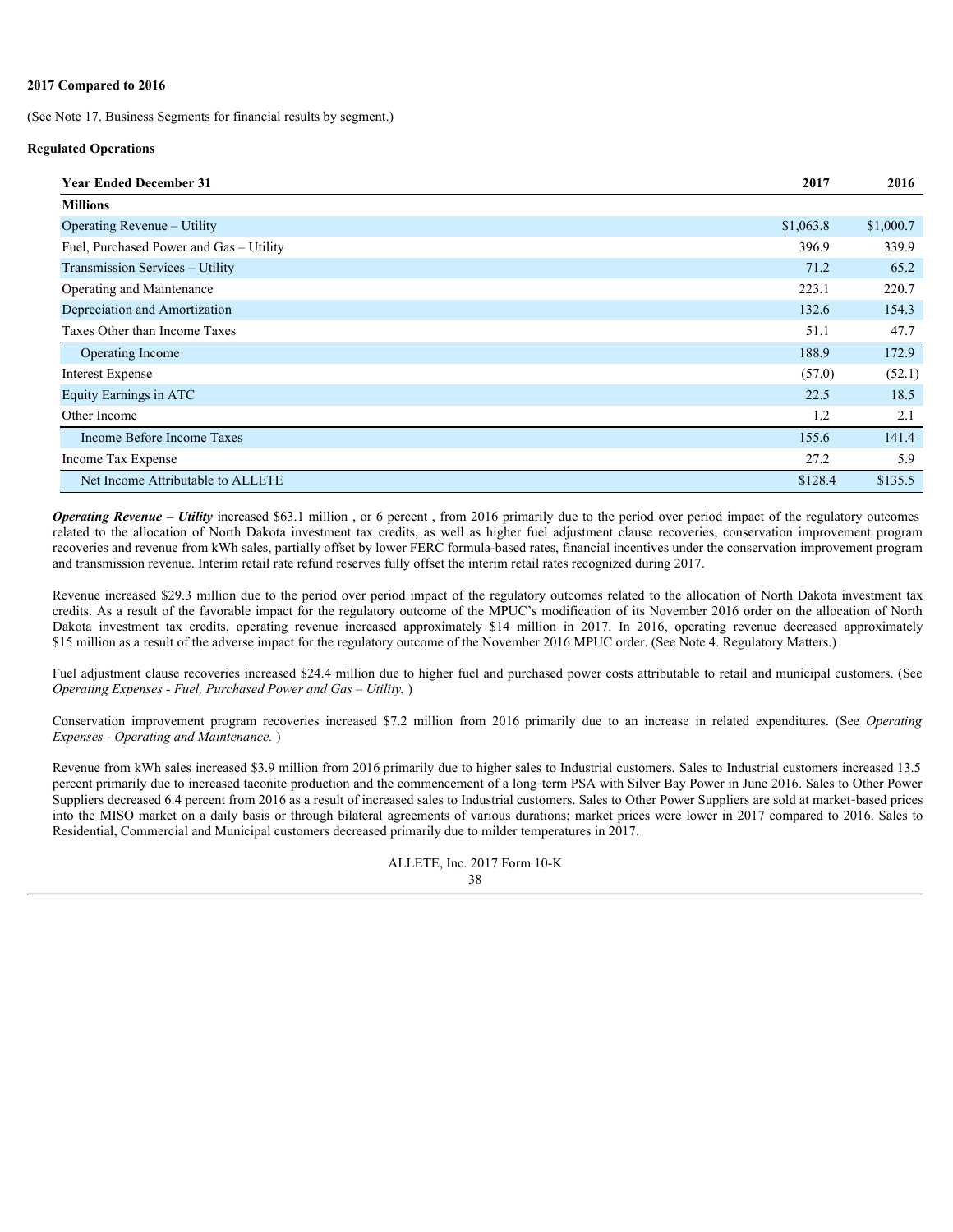#### **2017 Compared to 2016**

(See Note 17. Business Segments for financial results by segment.)

#### **Regulated Operations**

| 7 Compared to 2016                                                                                                                                                                                                                                                                                                                                                                                                                                                                                                                                                                                                                                                                                                                                                                  |           |           |
|-------------------------------------------------------------------------------------------------------------------------------------------------------------------------------------------------------------------------------------------------------------------------------------------------------------------------------------------------------------------------------------------------------------------------------------------------------------------------------------------------------------------------------------------------------------------------------------------------------------------------------------------------------------------------------------------------------------------------------------------------------------------------------------|-----------|-----------|
| e Note 17. Business Segments for financial results by segment.)                                                                                                                                                                                                                                                                                                                                                                                                                                                                                                                                                                                                                                                                                                                     |           |           |
|                                                                                                                                                                                                                                                                                                                                                                                                                                                                                                                                                                                                                                                                                                                                                                                     |           |           |
| zulated Operations                                                                                                                                                                                                                                                                                                                                                                                                                                                                                                                                                                                                                                                                                                                                                                  |           |           |
| <b>Year Ended December 31</b>                                                                                                                                                                                                                                                                                                                                                                                                                                                                                                                                                                                                                                                                                                                                                       | 2017      | 2016      |
| <b>Millions</b>                                                                                                                                                                                                                                                                                                                                                                                                                                                                                                                                                                                                                                                                                                                                                                     |           |           |
| Operating Revenue – Utility                                                                                                                                                                                                                                                                                                                                                                                                                                                                                                                                                                                                                                                                                                                                                         | \$1,063.8 | \$1,000.7 |
| Fuel, Purchased Power and Gas - Utility                                                                                                                                                                                                                                                                                                                                                                                                                                                                                                                                                                                                                                                                                                                                             | 396.9     | 339.9     |
| Transmission Services - Utility                                                                                                                                                                                                                                                                                                                                                                                                                                                                                                                                                                                                                                                                                                                                                     | 71.2      | 65.2      |
| Operating and Maintenance                                                                                                                                                                                                                                                                                                                                                                                                                                                                                                                                                                                                                                                                                                                                                           | 223.1     | 220.7     |
| Depreciation and Amortization                                                                                                                                                                                                                                                                                                                                                                                                                                                                                                                                                                                                                                                                                                                                                       | 132.6     | 154.3     |
| Taxes Other than Income Taxes                                                                                                                                                                                                                                                                                                                                                                                                                                                                                                                                                                                                                                                                                                                                                       | 51.1      | 47.7      |
| Operating Income                                                                                                                                                                                                                                                                                                                                                                                                                                                                                                                                                                                                                                                                                                                                                                    | 188.9     | 172.9     |
| <b>Interest Expense</b>                                                                                                                                                                                                                                                                                                                                                                                                                                                                                                                                                                                                                                                                                                                                                             | (57.0)    | (52.1)    |
| Equity Earnings in ATC                                                                                                                                                                                                                                                                                                                                                                                                                                                                                                                                                                                                                                                                                                                                                              | 22.5      | 18.5      |
| Other Income                                                                                                                                                                                                                                                                                                                                                                                                                                                                                                                                                                                                                                                                                                                                                                        | 1.2       | 2.1       |
| Income Before Income Taxes                                                                                                                                                                                                                                                                                                                                                                                                                                                                                                                                                                                                                                                                                                                                                          | 155.6     | 141.4     |
| Income Tax Expense                                                                                                                                                                                                                                                                                                                                                                                                                                                                                                                                                                                                                                                                                                                                                                  | 27.2      | 5.9       |
| Net Income Attributable to ALLETE                                                                                                                                                                                                                                                                                                                                                                                                                                                                                                                                                                                                                                                                                                                                                   | \$128.4   | \$135.5   |
| <b>Operating Revenue – Utility</b> increased \$63.1 million, or 6 percent, from 2016 primarily due to the period over period impact of the regulatory outcomes<br>related to the allocation of North Dakota investment tax credits, as well as higher fuel adjustment clause recoveries, conservation improvement program<br>recoveries and revenue from kWh sales, partially offset by lower FERC formula-based rates, financial incentives under the conservation improvement program<br>and transmission revenue. Interim retail rate refund reserves fully offset the interim retail rates recognized during 2017.<br>Revenue increased \$29.3 million due to the period over period impact of the regulatory outcomes related to the allocation of North Dakota investment tax |           |           |
| credits. As a result of the favorable impact for the regulatory outcome of the MPUC's modification of its November 2016 order on the allocation of North<br>Dakota investment tax credits, operating revenue increased approximately \$14 million in 2017. In 2016, operating revenue decreased approximately<br>\$15 million as a result of the adverse impact for the regulatory outcome of the November 2016 MPUC order. (See Note 4. Regulatory Matters.)                                                                                                                                                                                                                                                                                                                       |           |           |
| Fuel adjustment clause recoveries increased \$24.4 million due to higher fuel and purchased power costs attributable to retail and municipal customers. (See<br>Operating Expenses - Fuel, Purchased Power and Gas - Utility.)                                                                                                                                                                                                                                                                                                                                                                                                                                                                                                                                                      |           |           |
| Conservation improvement program recoveries increased \$7.2 million from 2016 primarily due to an increase in related expenditures. (See Operating<br>Expenses - Operating and Maintenance.)                                                                                                                                                                                                                                                                                                                                                                                                                                                                                                                                                                                        |           |           |
| Revenue from kWh sales increased \$3.9 million from 2016 primarily due to higher sales to Industrial customers. Sales to Industrial customers increased 13.5<br>percent primarily due to increased taconite production and the commencement of a long-term PSA with Silver Bay Power in June 2016. Sales to Other Power<br>Suppliers decreased 6.4 percent from 2016 as a result of increased sales to Industrial customers. Sales to Other Power Suppliers are sold at market-based prices<br>into the MISO market on a daily basis or through bilateral agreements of various durations; market prices were lower in 2017 compared to 2016. Sales to<br>Residential, Commercial and Municipal customers decreased primarily due to milder temperatures in 2017.                   |           |           |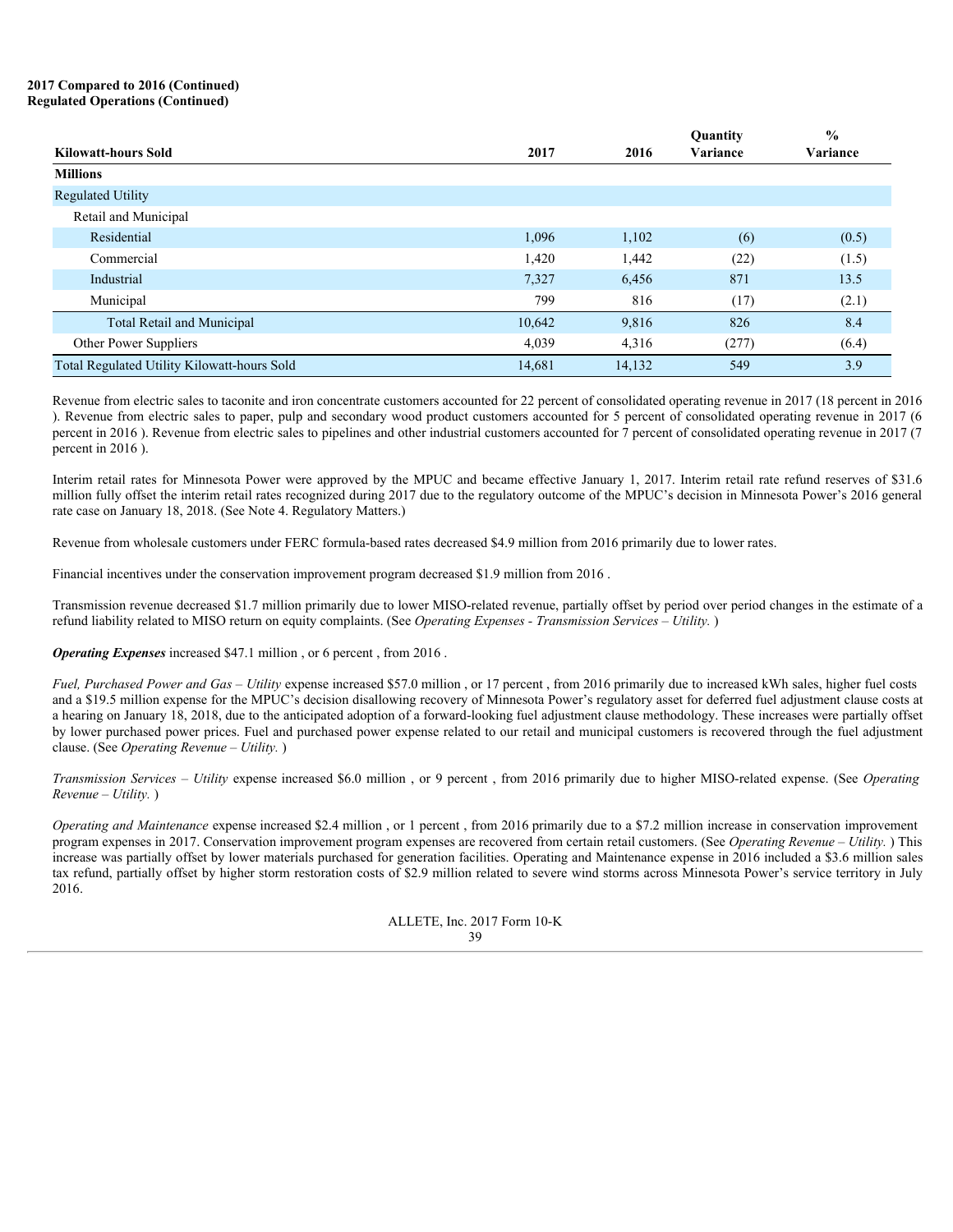#### **2017 Compared to 2016 (Continued) Regulated Operations (Continued)**

| 7 Compared to 2016 (Continued)                                                                                                                                                                                                                                                                                                                                                                                                                                                                                 |        |        |                      |               |
|----------------------------------------------------------------------------------------------------------------------------------------------------------------------------------------------------------------------------------------------------------------------------------------------------------------------------------------------------------------------------------------------------------------------------------------------------------------------------------------------------------------|--------|--------|----------------------|---------------|
| ulated Operations (Continued)                                                                                                                                                                                                                                                                                                                                                                                                                                                                                  |        |        |                      |               |
|                                                                                                                                                                                                                                                                                                                                                                                                                                                                                                                |        |        |                      | $\frac{6}{6}$ |
| <b>Kilowatt-hours Sold</b>                                                                                                                                                                                                                                                                                                                                                                                                                                                                                     | 2017   | 2016   | Quantity<br>Variance | Variance      |
| <b>Millions</b>                                                                                                                                                                                                                                                                                                                                                                                                                                                                                                |        |        |                      |               |
| <b>Regulated Utility</b>                                                                                                                                                                                                                                                                                                                                                                                                                                                                                       |        |        |                      |               |
| Retail and Municipal                                                                                                                                                                                                                                                                                                                                                                                                                                                                                           |        |        |                      |               |
| Residential                                                                                                                                                                                                                                                                                                                                                                                                                                                                                                    | 1,096  | 1,102  | (6)                  | (0.5)         |
| Commercial                                                                                                                                                                                                                                                                                                                                                                                                                                                                                                     | 1,420  | 1,442  | (22)                 | (1.5)         |
| Industrial                                                                                                                                                                                                                                                                                                                                                                                                                                                                                                     | 7,327  | 6,456  | 871                  | 13.5          |
| Municipal                                                                                                                                                                                                                                                                                                                                                                                                                                                                                                      | 799    | 816    | (17)                 | (2.1)         |
| <b>Total Retail and Municipal</b>                                                                                                                                                                                                                                                                                                                                                                                                                                                                              | 10,642 | 9,816  | 826                  | 8.4           |
| Other Power Suppliers                                                                                                                                                                                                                                                                                                                                                                                                                                                                                          | 4,039  | 4,316  | (277)                | (6.4)         |
| Total Regulated Utility Kilowatt-hours Sold                                                                                                                                                                                                                                                                                                                                                                                                                                                                    | 14,681 | 14,132 | 549                  | 3.9           |
| Interim retail rates for Minnesota Power were approved by the MPUC and became effective January 1, 2017. Interim retail rate refund reserves of \$31.6<br>million fully offset the interim retail rates recognized during 2017 due to the regulatory outcome of the MPUC's decision in Minnesota Power's 2016 general<br>rate case on January 18, 2018. (See Note 4. Regulatory Matters.)                                                                                                                      |        |        |                      |               |
|                                                                                                                                                                                                                                                                                                                                                                                                                                                                                                                |        |        |                      |               |
| Revenue from wholesale customers under FERC formula-based rates decreased \$4.9 million from 2016 primarily due to lower rates.                                                                                                                                                                                                                                                                                                                                                                                |        |        |                      |               |
| Financial incentives under the conservation improvement program decreased \$1.9 million from 2016.                                                                                                                                                                                                                                                                                                                                                                                                             |        |        |                      |               |
| Transmission revenue decreased \$1.7 million primarily due to lower MISO-related revenue, partially offset by period over period changes in the estimate of a<br>refund liability related to MISO return on equity complaints. (See Operating Expenses - Transmission Services - Utility.)                                                                                                                                                                                                                     |        |        |                      |               |
| Operating Expenses increased \$47.1 million, or 6 percent, from 2016.                                                                                                                                                                                                                                                                                                                                                                                                                                          |        |        |                      |               |
| Fuel, Purchased Power and Gas - Utility expense increased \$57.0 million, or 17 percent, from 2016 primarily due to increased kWh sales, higher fuel costs<br>by lower purchased power prices. Fuel and purchased power expense related to our retail and municipal customers is recovered through the fuel adjustment<br>clause. (See Operating Revenue - Utility.)                                                                                                                                           |        |        |                      |               |
| and a \$19.5 million expense for the MPUC's decision disallowing recovery of Minnesota Power's regulatory asset for deferred fuel adjustment clause costs at<br>a hearing on January 18, 2018, due to the anticipated adoption of a forward-looking fuel adjustment clause methodology. These increases were partially offset<br>Transmission Services – Utility expense increased \$6.0 million, or 9 percent, from 2016 primarily due to higher MISO-related expense. (See Operating<br>$Revenue-Utility.$ ) |        |        |                      |               |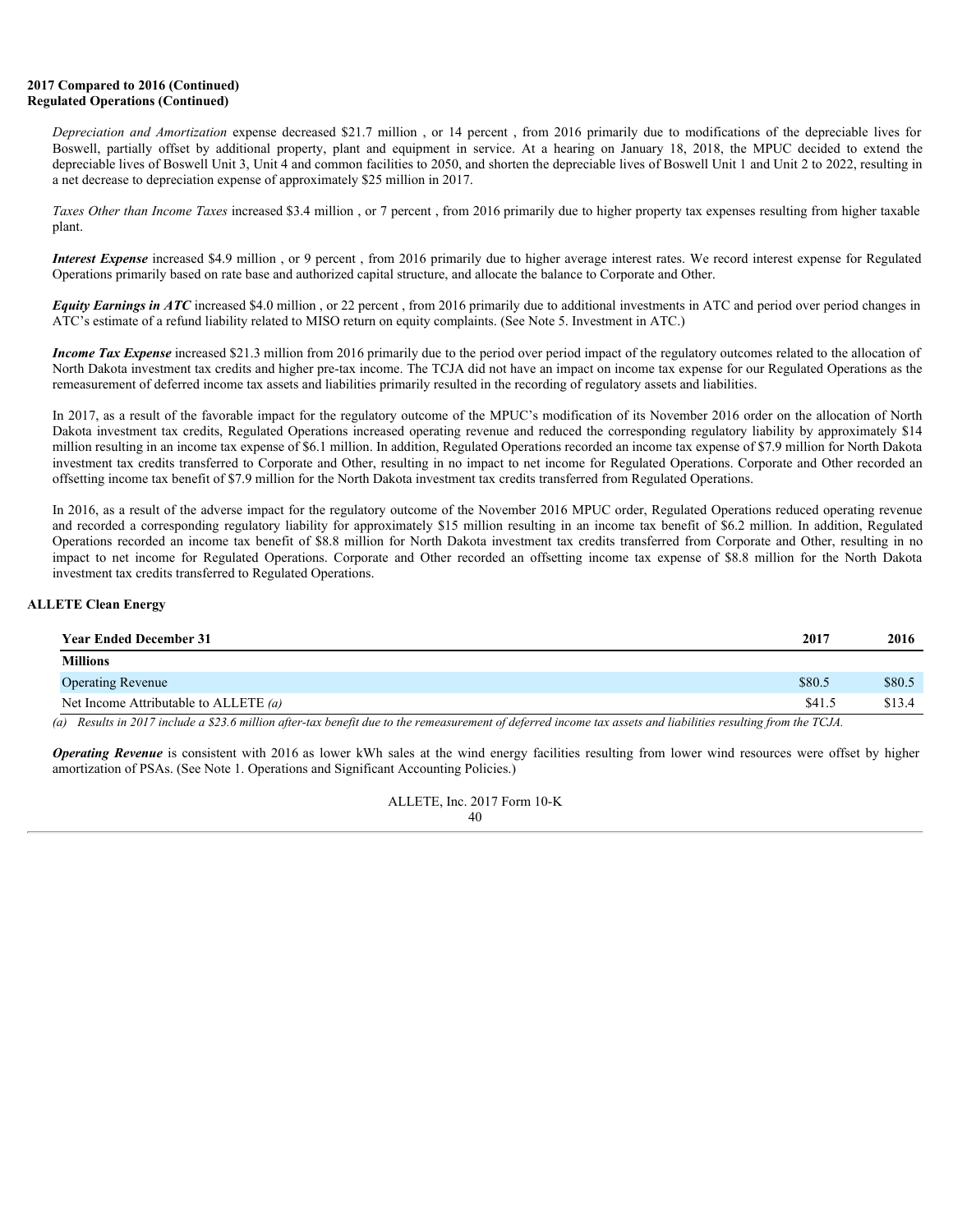# **2017 Compared to 2016 (Continued) Regulated Operations (Continued)**

*Depreciation and Amortization* expense decreased \$21.7 million , or 14 percent , from 2016 primarily due to modifications of the depreciable lives for *Boswell*, partially offset by additional property, plant and equipmen Compared to 2016 (Continued)<br>
Depreciation and Amortization expense decreased \$21.7 million , or 14 percent , from 2016 primarily due to modifications of the depreciable lives for<br>
Boswell, partially offset by additional p depreciable lives of Boswell Unit 3, Unit 4 and common facilities to 2050, and shorten the depreciable lives of Boswell Unit 1 and Unit 2 to 2022, resulting in a net decrease to depreciation expense of approximately \$25 million in 2017.

*Taxes Other than Income Taxes* increased \$3.4 million , or 7 percent , from 2016 primarily due to higher property tax expenses resulting from higher taxable plant.

In 2017, as a result of the favorable impact for the regulatory outcome of the MPUC's modification of its November 2016 order on the allocation of North Dakota investment tax credits, Regulated Operations increased operating revenue and reduced the corresponding regulatory liability by approximately \$14 million resulting in an income tax expense of \$6.1 million. In addition, Regulated Operations recorded an income tax expense of \$7.9 million for North Dakota investment tax credits transferred to Corporate and Other, resulting in no impact to net income for Regulated Operations. Corporate and Other recorded an offsetting income tax benefit of \$7.9 million for the North Dakota investment tax credits transferred from Regulated Operations. Compared to 2016 (Comfined)<br>
Deprecision and Americanics expense deceased \$21.7 million, or 14 peceas. from 2016 primarily due to medifications of the deprecision from the decease of approximately \$25 million r. or 14 pece Compared in 2016 (Continued)<br>
Diproclaimed the Continues)<br>
Diproclaimed Operations reported and considerate an income tax benefit on the Maring on Hamilton for the Maring in Hamilton for North Dakota in the Sole North part Compared to 2016 (Continued)<br>
direct Operations (Continued)<br>
direct Operations (Continued)<br>
direct Continued)<br>
Universitions continued profits and continued profits. The million is expected an other shares in J. S. 2018, t

# **ALLETE Clean Energy**

| Interest Expense increased \$4.9 million, or 9 percent, from 2016 primarily due to higher average interest rates. We record interest expense for Regulated<br>Operations primarily based on rate base and authorized capital structure, and allocate the balance to Corporate and Other.<br>Equity Earnings in ATC increased \$4.0 million, or 22 percent, from 2016 primarily due to additional investments in ATC and period over period changes in<br>ATC's estimate of a refund liability related to MISO return on equity complaints. (See Note 5. Investment in ATC.)<br>North Dakota investment tax credits and higher pre-tax income. The TCJA did not have an impact on income tax expense for our Regulated Operations as the<br>remeasurement of deferred income tax assets and liabilities primarily resulted in the recording of regulatory assets and liabilities.<br>million resulting in an income tax expense of \$6.1 million. In addition, Regulated Operations recorded an income tax expense of \$7.9 million for North Dakota<br>Operations recorded an income tax benefit of \$8.8 million for North Dakota investment tax credits transferred from Corporate and Other, resulting in no<br>investment tax credits transferred to Regulated Operations.<br><b>ETE Clean Energy</b><br><b>Year Ended December 31</b><br>2017<br>2016<br><b>Millions</b><br><b>Operating Revenue</b><br>\$80.5<br>\$80.5<br>Net Income Attributable to ALLETE $(a)$<br>\$41.5<br>\$13.4 |                                                                                                                                                                |  |
|----------------------------------------------------------------------------------------------------------------------------------------------------------------------------------------------------------------------------------------------------------------------------------------------------------------------------------------------------------------------------------------------------------------------------------------------------------------------------------------------------------------------------------------------------------------------------------------------------------------------------------------------------------------------------------------------------------------------------------------------------------------------------------------------------------------------------------------------------------------------------------------------------------------------------------------------------------------------------------------------------------------------------------------------------------------------------------------------------------------------------------------------------------------------------------------------------------------------------------------------------------------------------------------------------------------------------------------------------------------------------------------------------------------------------------------------------------------------------------------------|----------------------------------------------------------------------------------------------------------------------------------------------------------------|--|
|                                                                                                                                                                                                                                                                                                                                                                                                                                                                                                                                                                                                                                                                                                                                                                                                                                                                                                                                                                                                                                                                                                                                                                                                                                                                                                                                                                                                                                                                                              |                                                                                                                                                                |  |
| <b>Income Tax Expense</b> increased \$21.3 million from 2016 primarily due to the period over period impact of the regulatory outcomes related to the allocation of<br>In 2017, as a result of the favorable impact for the regulatory outcome of the MPUC's modification of its November 2016 order on the allocation of North<br>Dakota investment tax credits, Regulated Operations increased operating revenue and reduced the corresponding regulatory liability by approximately \$14<br>investment tax credits transferred to Corporate and Other, resulting in no impact to net income for Regulated Operations. Corporate and Other recorded an<br>offsetting income tax benefit of \$7.9 million for the North Dakota investment tax credits transferred from Regulated Operations.<br>In 2016, as a result of the adverse impact for the regulatory outcome of the November 2016 MPUC order, Regulated Operations reduced operating revenue<br>and recorded a corresponding regulatory liability for approximately \$15 million resulting in an income tax benefit of \$6.2 million. In addition, Regulated<br>impact to net income for Regulated Operations. Corporate and Other recorded an offsetting income tax expense of \$8.8 million for the North Dakota                                                                                                                                                                                                                 |                                                                                                                                                                |  |
|                                                                                                                                                                                                                                                                                                                                                                                                                                                                                                                                                                                                                                                                                                                                                                                                                                                                                                                                                                                                                                                                                                                                                                                                                                                                                                                                                                                                                                                                                              |                                                                                                                                                                |  |
|                                                                                                                                                                                                                                                                                                                                                                                                                                                                                                                                                                                                                                                                                                                                                                                                                                                                                                                                                                                                                                                                                                                                                                                                                                                                                                                                                                                                                                                                                              |                                                                                                                                                                |  |
|                                                                                                                                                                                                                                                                                                                                                                                                                                                                                                                                                                                                                                                                                                                                                                                                                                                                                                                                                                                                                                                                                                                                                                                                                                                                                                                                                                                                                                                                                              |                                                                                                                                                                |  |
|                                                                                                                                                                                                                                                                                                                                                                                                                                                                                                                                                                                                                                                                                                                                                                                                                                                                                                                                                                                                                                                                                                                                                                                                                                                                                                                                                                                                                                                                                              |                                                                                                                                                                |  |
|                                                                                                                                                                                                                                                                                                                                                                                                                                                                                                                                                                                                                                                                                                                                                                                                                                                                                                                                                                                                                                                                                                                                                                                                                                                                                                                                                                                                                                                                                              |                                                                                                                                                                |  |
|                                                                                                                                                                                                                                                                                                                                                                                                                                                                                                                                                                                                                                                                                                                                                                                                                                                                                                                                                                                                                                                                                                                                                                                                                                                                                                                                                                                                                                                                                              |                                                                                                                                                                |  |
|                                                                                                                                                                                                                                                                                                                                                                                                                                                                                                                                                                                                                                                                                                                                                                                                                                                                                                                                                                                                                                                                                                                                                                                                                                                                                                                                                                                                                                                                                              |                                                                                                                                                                |  |
|                                                                                                                                                                                                                                                                                                                                                                                                                                                                                                                                                                                                                                                                                                                                                                                                                                                                                                                                                                                                                                                                                                                                                                                                                                                                                                                                                                                                                                                                                              |                                                                                                                                                                |  |
|                                                                                                                                                                                                                                                                                                                                                                                                                                                                                                                                                                                                                                                                                                                                                                                                                                                                                                                                                                                                                                                                                                                                                                                                                                                                                                                                                                                                                                                                                              | (a) Results in 2017 include a \$23.6 million after-tax benefit due to the remeasurement of deferred income tax assets and liabilities resulting from the TCJA. |  |
|                                                                                                                                                                                                                                                                                                                                                                                                                                                                                                                                                                                                                                                                                                                                                                                                                                                                                                                                                                                                                                                                                                                                                                                                                                                                                                                                                                                                                                                                                              |                                                                                                                                                                |  |
| amortization of PSAs. (See Note 1. Operations and Significant Accounting Policies.)<br>ALLETE, Inc. 2017 Form 10-K<br>40                                                                                                                                                                                                                                                                                                                                                                                                                                                                                                                                                                                                                                                                                                                                                                                                                                                                                                                                                                                                                                                                                                                                                                                                                                                                                                                                                                     |                                                                                                                                                                |  |
| Operating Revenue is consistent with 2016 as lower kWh sales at the wind energy facilities resulting from lower wind resources were offset by higher                                                                                                                                                                                                                                                                                                                                                                                                                                                                                                                                                                                                                                                                                                                                                                                                                                                                                                                                                                                                                                                                                                                                                                                                                                                                                                                                         |                                                                                                                                                                |  |
|                                                                                                                                                                                                                                                                                                                                                                                                                                                                                                                                                                                                                                                                                                                                                                                                                                                                                                                                                                                                                                                                                                                                                                                                                                                                                                                                                                                                                                                                                              |                                                                                                                                                                |  |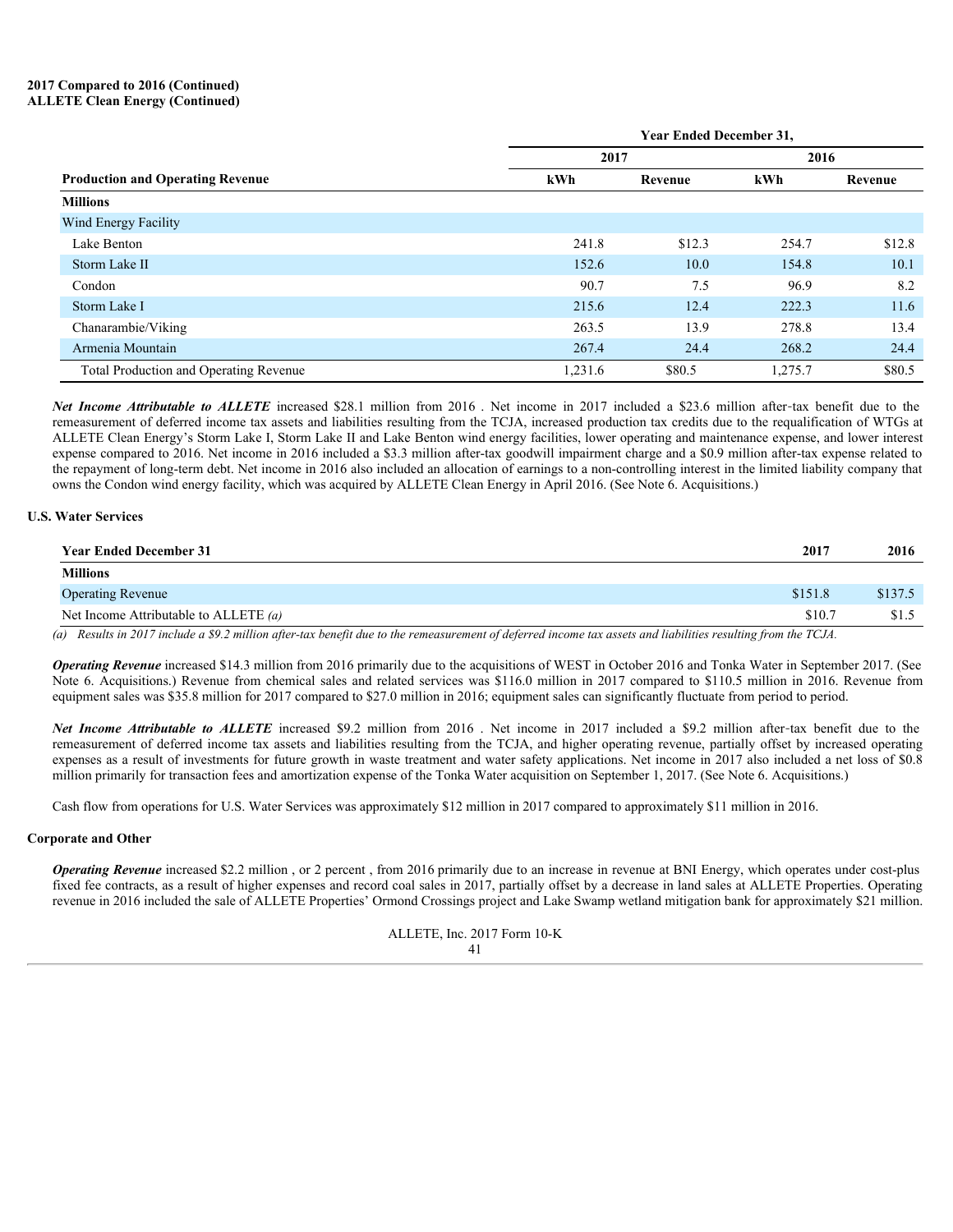#### **2017 Compared to 2016 (Continued) ALLETE Clean Energy (Continued)**

|                                                                                                                                                                                                                                                                                                                                                                                                                                                                                                                                                                                                                                                                                                                                                                                                                                                                                                                                                                  |         | <b>Year Ended December 31,</b> |                   |                  |
|------------------------------------------------------------------------------------------------------------------------------------------------------------------------------------------------------------------------------------------------------------------------------------------------------------------------------------------------------------------------------------------------------------------------------------------------------------------------------------------------------------------------------------------------------------------------------------------------------------------------------------------------------------------------------------------------------------------------------------------------------------------------------------------------------------------------------------------------------------------------------------------------------------------------------------------------------------------|---------|--------------------------------|-------------------|------------------|
|                                                                                                                                                                                                                                                                                                                                                                                                                                                                                                                                                                                                                                                                                                                                                                                                                                                                                                                                                                  | 2017    |                                | 2016              |                  |
| <b>Production and Operating Revenue</b>                                                                                                                                                                                                                                                                                                                                                                                                                                                                                                                                                                                                                                                                                                                                                                                                                                                                                                                          | kWh     | Revenue                        | kWh               | Revenue          |
| <b>Millions</b>                                                                                                                                                                                                                                                                                                                                                                                                                                                                                                                                                                                                                                                                                                                                                                                                                                                                                                                                                  |         |                                |                   |                  |
| Wind Energy Facility                                                                                                                                                                                                                                                                                                                                                                                                                                                                                                                                                                                                                                                                                                                                                                                                                                                                                                                                             |         |                                |                   |                  |
| Lake Benton                                                                                                                                                                                                                                                                                                                                                                                                                                                                                                                                                                                                                                                                                                                                                                                                                                                                                                                                                      | 241.8   | \$12.3                         | 254.7             | \$12.8           |
| Storm Lake II                                                                                                                                                                                                                                                                                                                                                                                                                                                                                                                                                                                                                                                                                                                                                                                                                                                                                                                                                    | 152.6   | 10.0                           | 154.8             | 10.1             |
| Condon                                                                                                                                                                                                                                                                                                                                                                                                                                                                                                                                                                                                                                                                                                                                                                                                                                                                                                                                                           | 90.7    | 7.5                            | 96.9              | 8.2              |
|                                                                                                                                                                                                                                                                                                                                                                                                                                                                                                                                                                                                                                                                                                                                                                                                                                                                                                                                                                  |         |                                | 222.3             | 11.6             |
| Storm Lake I                                                                                                                                                                                                                                                                                                                                                                                                                                                                                                                                                                                                                                                                                                                                                                                                                                                                                                                                                     | 215.6   | 12.4                           |                   |                  |
| Chanarambie/Viking                                                                                                                                                                                                                                                                                                                                                                                                                                                                                                                                                                                                                                                                                                                                                                                                                                                                                                                                               | 263.5   | 13.9                           | 278.8             | 13.4             |
| Armenia Mountain                                                                                                                                                                                                                                                                                                                                                                                                                                                                                                                                                                                                                                                                                                                                                                                                                                                                                                                                                 | 267.4   | 24.4                           | 268.2             | 24.4             |
| Total Production and Operating Revenue                                                                                                                                                                                                                                                                                                                                                                                                                                                                                                                                                                                                                                                                                                                                                                                                                                                                                                                           | 1,231.6 | \$80.5                         | 1,275.7           | \$80.5           |
| Net Income Attributable to ALLETE increased \$28.1 million from 2016. Net income in 2017 included a \$23.6 million after-tax benefit due to the<br>remeasurement of deferred income tax assets and liabilities resulting from the TCJA, increased production tax credits due to the requalification of WTGs at<br>ALLETE Clean Energy's Storm Lake I, Storm Lake II and Lake Benton wind energy facilities, lower operating and maintenance expense, and lower interest<br>expense compared to 2016. Net income in 2016 included a \$3.3 million after-tax goodwill impairment charge and a \$0.9 million after-tax expense related to<br>the repayment of long-term debt. Net income in 2016 also included an allocation of earnings to a non-controlling interest in the limited liability company that<br>owns the Condon wind energy facility, which was acquired by ALLETE Clean Energy in April 2016. (See Note 6. Acquisitions.)<br><b>Water Services</b> |         |                                |                   |                  |
| <b>Year Ended December 31</b>                                                                                                                                                                                                                                                                                                                                                                                                                                                                                                                                                                                                                                                                                                                                                                                                                                                                                                                                    |         |                                | 2017              | 2016             |
| <b>Millions</b>                                                                                                                                                                                                                                                                                                                                                                                                                                                                                                                                                                                                                                                                                                                                                                                                                                                                                                                                                  |         |                                |                   |                  |
| <b>Operating Revenue</b><br>Net Income Attributable to ALLETE (a)                                                                                                                                                                                                                                                                                                                                                                                                                                                                                                                                                                                                                                                                                                                                                                                                                                                                                                |         |                                | \$151.8<br>\$10.7 | \$137.5<br>\$1.5 |

# **U.S. Water Services**

| <b>Year Ended December 31</b>                |                           |                        | 2017                   | 2016    |
|----------------------------------------------|---------------------------|------------------------|------------------------|---------|
| <b>Millions</b>                              |                           |                        |                        |         |
| <b>Operating Revenue</b>                     |                           |                        | \$151.8                | \$137.5 |
| Net Income Attributable to ALLETE $(a)$      |                           |                        | \$10.7                 | \$1.5   |
| $\cdot \mathbf{11} \cdot$<br>00 <sub>0</sub> | $c + c$<br>$\mathbf{r}$ . | $1.1 \cdot 1.1 \cdot $ | T(T)<br>$\mathbf{z}$ . |         |

#### **Corporate and Other**

*Operating Revenue* increased \$2.2 million, or 2 percent, from 2016 primarily due to an increase in revenue at BNI Energy, which operates under cost-plus fixed fee contracts, as a result of higher expenses and record coal sales in 2017, partially offset by a decrease in land sales at ALLETE Properties. Operating revenue in 2016 included the sale of ALLETE Properties' Ormond Crossings project and Lake Swamp wetland mitigation bank for approximately \$21 million.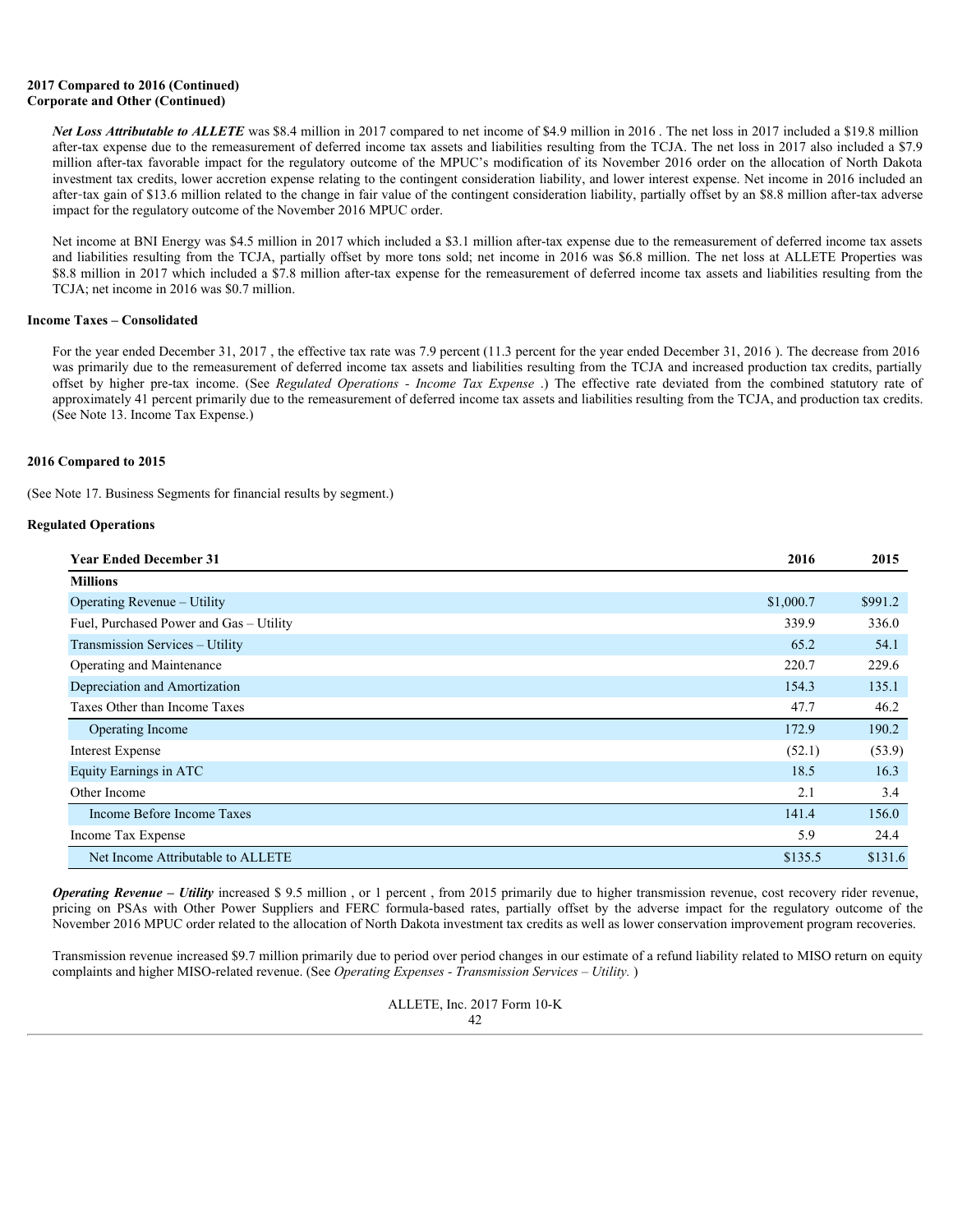# **2017 Compared to 2016 (Continued) Corporate and Other (Continued)**

*Net Loss Attributable to ALLETE* was \$8.4 million in 2017 compared to net income of \$4.9 million in 2016 . The net loss in 2017 included a \$19.8 million after-tax expense due to the remeasurement of deferred income tax assets and liabilities resulting from the TCJA. The net loss in 2017 also included a \$7.9 million after-tax favorable impact for the regulatory outcome of the MPUC's modification of its November 2016 order on the allocation of North Dakota investment tax credits, lower accretion expense relating to the contingent consideration liability, and lower interest expense. Net income in 2016 included an after-tax gain of \$13.6 million related to the change in fair value of the contingent consideration liability, partially offset by an \$8.8 million after-tax adverse impact for the regulatory outcome of the November 2016 MPUC order. Compared to 2016 (Continued)<br>
Net Loss Attahutable to ALLETE was \$8.4 million in 2017 compared to net incomes of \$4.9 million in 2016. The net loss in 2017 included a \$19.8 million<br>
Inter-distributed by the effective funct

Net income at BNI Energy was \$4.5 million in 2017 which included a \$3.1 million after-tax expense due to the remeasurement of deferred income tax assets and liabilities resulting from the TCJA, partially offset by more tons sold; net income in 2016 was \$6.8 million. The net loss at ALLETE Properties was \$8.8 million in 2017 which included a \$7.8 million after-tax expense for the remeasurement of deferred income tax assets and liabilities resulting from the TCJA; net income in 2016 was \$0.7 million.

# **Income Taxes – Consolidated**

For the year ended December 31, 2017 , the effective tax rate was 7.9 percent (11.3 percent for the year ended December 31, 2016 ). The decrease from 2016 was primarily due to the remeasurement of deferred income tax assets and liabilities resulting from the TCJA and increased production tax credits, partially offset by higher pre-tax income. (See *Regulated Operations - Inc* approximately 41 percent primarily due to the remeasurement of deferred income tax assets and liabilities resulting from the TCJA, and production tax credits. (See Note 13. Income Tax Expense.)

# **2016 Compared to 2015**

(See Note 17. Business Segments for financial results by segment.)

# **Regulated Operations**

| Compared to 2015                                              |           |         |
|---------------------------------------------------------------|-----------|---------|
| Note 17. Business Segments for financial results by segment.) |           |         |
| ulated Operations                                             |           |         |
| <b>Year Ended December 31</b>                                 | 2016      | 2015    |
| <b>Millions</b>                                               |           |         |
| Operating Revenue - Utility                                   | \$1,000.7 | \$991.2 |
| Fuel, Purchased Power and Gas - Utility                       | 339.9     | 336.0   |
| Transmission Services - Utility                               | 65.2      | 54.1    |
| Operating and Maintenance                                     | 220.7     | 229.6   |
| Depreciation and Amortization                                 | 154.3     | 135.1   |
| Taxes Other than Income Taxes                                 | 47.7      | 46.2    |
| <b>Operating Income</b>                                       | 172.9     | 190.2   |
| <b>Interest Expense</b>                                       | (52.1)    | (53.9)  |
| <b>Equity Earnings in ATC</b>                                 | 18.5      | 16.3    |
| Other Income                                                  | 2.1       | 3.4     |
| Income Before Income Taxes                                    | 141.4     | 156.0   |
| Income Tax Expense                                            | 5.9       | 24.4    |
| Net Income Attributable to ALLETE                             | \$135.5   | \$131.6 |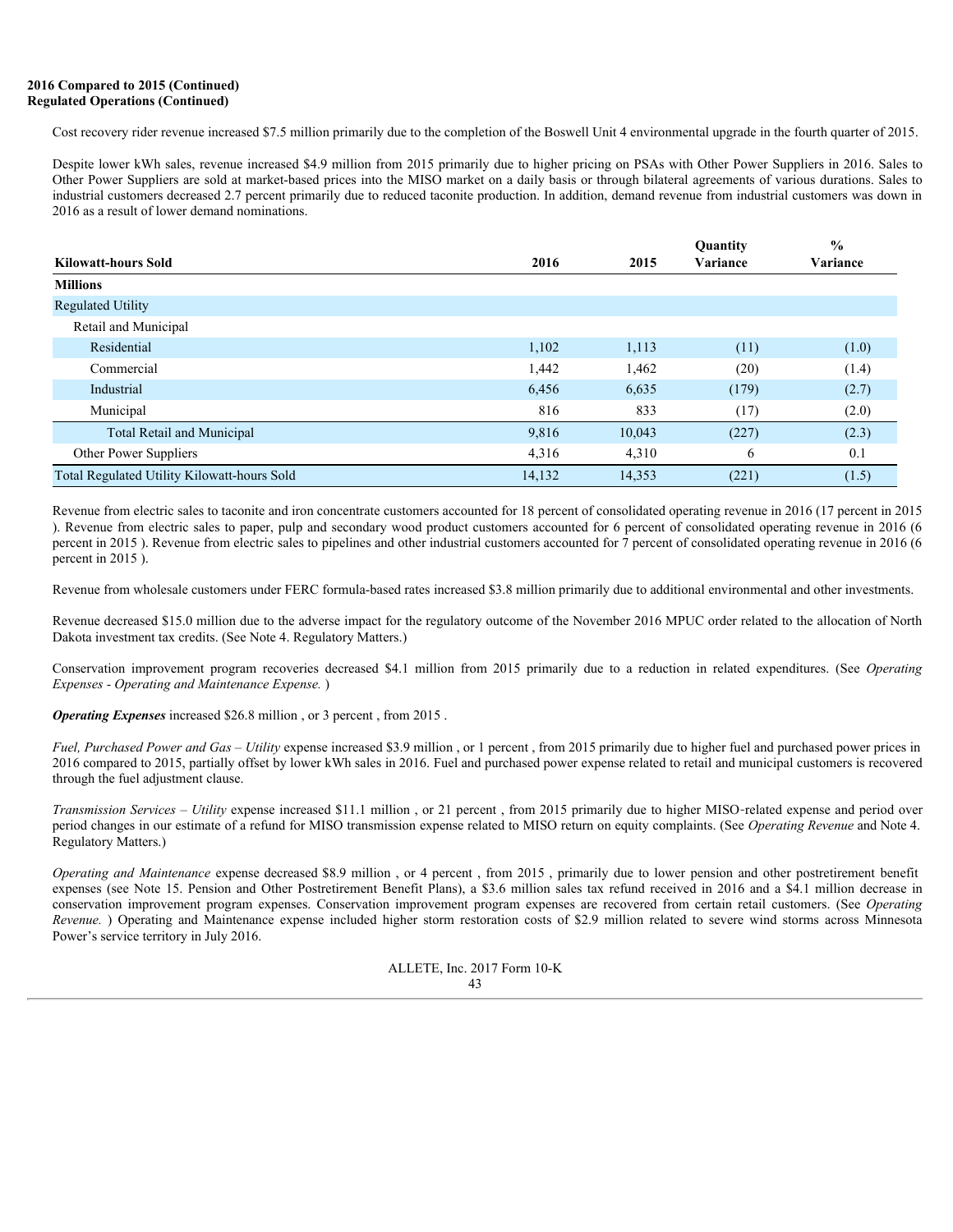# **2016 Compared to 2015 (Continued) Regulated Operations (Continued)**

Cost recovery rider revenue increased \$7.5 million primarily due to the completion of the Boswell Unit 4 environmental upgrade in the fourth quarter of 2015.

| <b>Kilowatt-hours Sold</b>                                                                                                                                                                                                                                                                                                                                                                                                                                                                                                                                                                                                                                                                                                                                                                                                                                                                                                                                                                                                                                                                                                                                                                                                                                                                                                                                                                                                                                                                                                                                                                                                                                                                                                                                                                                                                                                                                                 | 2016                        | 2015   | Quantity<br>Variance | $\frac{0}{0}$<br>Variance |
|----------------------------------------------------------------------------------------------------------------------------------------------------------------------------------------------------------------------------------------------------------------------------------------------------------------------------------------------------------------------------------------------------------------------------------------------------------------------------------------------------------------------------------------------------------------------------------------------------------------------------------------------------------------------------------------------------------------------------------------------------------------------------------------------------------------------------------------------------------------------------------------------------------------------------------------------------------------------------------------------------------------------------------------------------------------------------------------------------------------------------------------------------------------------------------------------------------------------------------------------------------------------------------------------------------------------------------------------------------------------------------------------------------------------------------------------------------------------------------------------------------------------------------------------------------------------------------------------------------------------------------------------------------------------------------------------------------------------------------------------------------------------------------------------------------------------------------------------------------------------------------------------------------------------------|-----------------------------|--------|----------------------|---------------------------|
| <b>Millions</b>                                                                                                                                                                                                                                                                                                                                                                                                                                                                                                                                                                                                                                                                                                                                                                                                                                                                                                                                                                                                                                                                                                                                                                                                                                                                                                                                                                                                                                                                                                                                                                                                                                                                                                                                                                                                                                                                                                            |                             |        |                      |                           |
| <b>Regulated Utility</b>                                                                                                                                                                                                                                                                                                                                                                                                                                                                                                                                                                                                                                                                                                                                                                                                                                                                                                                                                                                                                                                                                                                                                                                                                                                                                                                                                                                                                                                                                                                                                                                                                                                                                                                                                                                                                                                                                                   |                             |        |                      |                           |
| Retail and Municipal                                                                                                                                                                                                                                                                                                                                                                                                                                                                                                                                                                                                                                                                                                                                                                                                                                                                                                                                                                                                                                                                                                                                                                                                                                                                                                                                                                                                                                                                                                                                                                                                                                                                                                                                                                                                                                                                                                       |                             |        |                      |                           |
| Residential                                                                                                                                                                                                                                                                                                                                                                                                                                                                                                                                                                                                                                                                                                                                                                                                                                                                                                                                                                                                                                                                                                                                                                                                                                                                                                                                                                                                                                                                                                                                                                                                                                                                                                                                                                                                                                                                                                                | 1,102                       | 1,113  | (11)                 | (1.0)                     |
| Commercial                                                                                                                                                                                                                                                                                                                                                                                                                                                                                                                                                                                                                                                                                                                                                                                                                                                                                                                                                                                                                                                                                                                                                                                                                                                                                                                                                                                                                                                                                                                                                                                                                                                                                                                                                                                                                                                                                                                 | 1,442                       | 1,462  | (20)                 | (1.4)                     |
| Industrial                                                                                                                                                                                                                                                                                                                                                                                                                                                                                                                                                                                                                                                                                                                                                                                                                                                                                                                                                                                                                                                                                                                                                                                                                                                                                                                                                                                                                                                                                                                                                                                                                                                                                                                                                                                                                                                                                                                 | 6,456                       | 6,635  | (179)                | (2.7)                     |
| Municipal                                                                                                                                                                                                                                                                                                                                                                                                                                                                                                                                                                                                                                                                                                                                                                                                                                                                                                                                                                                                                                                                                                                                                                                                                                                                                                                                                                                                                                                                                                                                                                                                                                                                                                                                                                                                                                                                                                                  | 816                         | 833    | (17)                 | (2.0)                     |
| <b>Total Retail and Municipal</b>                                                                                                                                                                                                                                                                                                                                                                                                                                                                                                                                                                                                                                                                                                                                                                                                                                                                                                                                                                                                                                                                                                                                                                                                                                                                                                                                                                                                                                                                                                                                                                                                                                                                                                                                                                                                                                                                                          | 9,816                       | 10,043 | (227)                | (2.3)                     |
| Other Power Suppliers                                                                                                                                                                                                                                                                                                                                                                                                                                                                                                                                                                                                                                                                                                                                                                                                                                                                                                                                                                                                                                                                                                                                                                                                                                                                                                                                                                                                                                                                                                                                                                                                                                                                                                                                                                                                                                                                                                      | 4,316                       | 4,310  |                      | 0.1                       |
| Total Regulated Utility Kilowatt-hours Sold                                                                                                                                                                                                                                                                                                                                                                                                                                                                                                                                                                                                                                                                                                                                                                                                                                                                                                                                                                                                                                                                                                                                                                                                                                                                                                                                                                                                                                                                                                                                                                                                                                                                                                                                                                                                                                                                                | 14,132                      | 14,353 | 6<br>(221)           | (1.5)                     |
|                                                                                                                                                                                                                                                                                                                                                                                                                                                                                                                                                                                                                                                                                                                                                                                                                                                                                                                                                                                                                                                                                                                                                                                                                                                                                                                                                                                                                                                                                                                                                                                                                                                                                                                                                                                                                                                                                                                            |                             |        |                      |                           |
| percent in 2015). Revenue from electric sales to pipelines and other industrial customers accounted for 7 percent of consolidated operating revenue in 2016 (6<br>percent in 2015).<br>Revenue from wholesale customers under FERC formula-based rates increased \$3.8 million primarily due to additional environmental and other investments.                                                                                                                                                                                                                                                                                                                                                                                                                                                                                                                                                                                                                                                                                                                                                                                                                                                                                                                                                                                                                                                                                                                                                                                                                                                                                                                                                                                                                                                                                                                                                                            |                             |        |                      |                           |
|                                                                                                                                                                                                                                                                                                                                                                                                                                                                                                                                                                                                                                                                                                                                                                                                                                                                                                                                                                                                                                                                                                                                                                                                                                                                                                                                                                                                                                                                                                                                                                                                                                                                                                                                                                                                                                                                                                                            |                             |        |                      |                           |
| Revenue decreased \$15.0 million due to the adverse impact for the regulatory outcome of the November 2016 MPUC order related to the allocation of North<br>Dakota investment tax credits. (See Note 4. Regulatory Matters.)<br>Conservation improvement program recoveries decreased \$4.1 million from 2015 primarily due to a reduction in related expenditures. (See Operating<br>Expenses - Operating and Maintenance Expense.)<br><b>Operating Expenses</b> increased \$26.8 million, or 3 percent, from 2015.<br>Fuel, Purchased Power and Gas - Utility expense increased \$3.9 million, or 1 percent, from 2015 primarily due to higher fuel and purchased power prices in<br>2016 compared to 2015, partially offset by lower kWh sales in 2016. Fuel and purchased power expense related to retail and municipal customers is recovered<br>through the fuel adjustment clause.<br>Transmission Services – Utility expense increased \$11.1 million, or 21 percent, from 2015 primarily due to higher MISO-related expense and period over<br>period changes in our estimate of a refund for MISO transmission expense related to MISO return on equity complaints. (See Operating Revenue and Note 4.<br><b>Regulatory Matters.)</b><br>Operating and Maintenance expense decreased \$8.9 million, or 4 percent, from 2015, primarily due to lower pension and other postretirement benefit<br>expenses (see Note 15. Pension and Other Postretirement Benefit Plans), a \$3.6 million sales tax refund received in 2016 and a \$4.1 million decrease in<br>conservation improvement program expenses. Conservation improvement program expenses are recovered from certain retail customers. (See Operating<br>Revenue. ) Operating and Maintenance expense included higher storm restoration costs of \$2.9 million related to severe wind storms across Minnesota<br>Power's service territory in July 2016. |                             |        |                      |                           |
|                                                                                                                                                                                                                                                                                                                                                                                                                                                                                                                                                                                                                                                                                                                                                                                                                                                                                                                                                                                                                                                                                                                                                                                                                                                                                                                                                                                                                                                                                                                                                                                                                                                                                                                                                                                                                                                                                                                            | ALLETE, Inc. 2017 Form 10-K |        |                      |                           |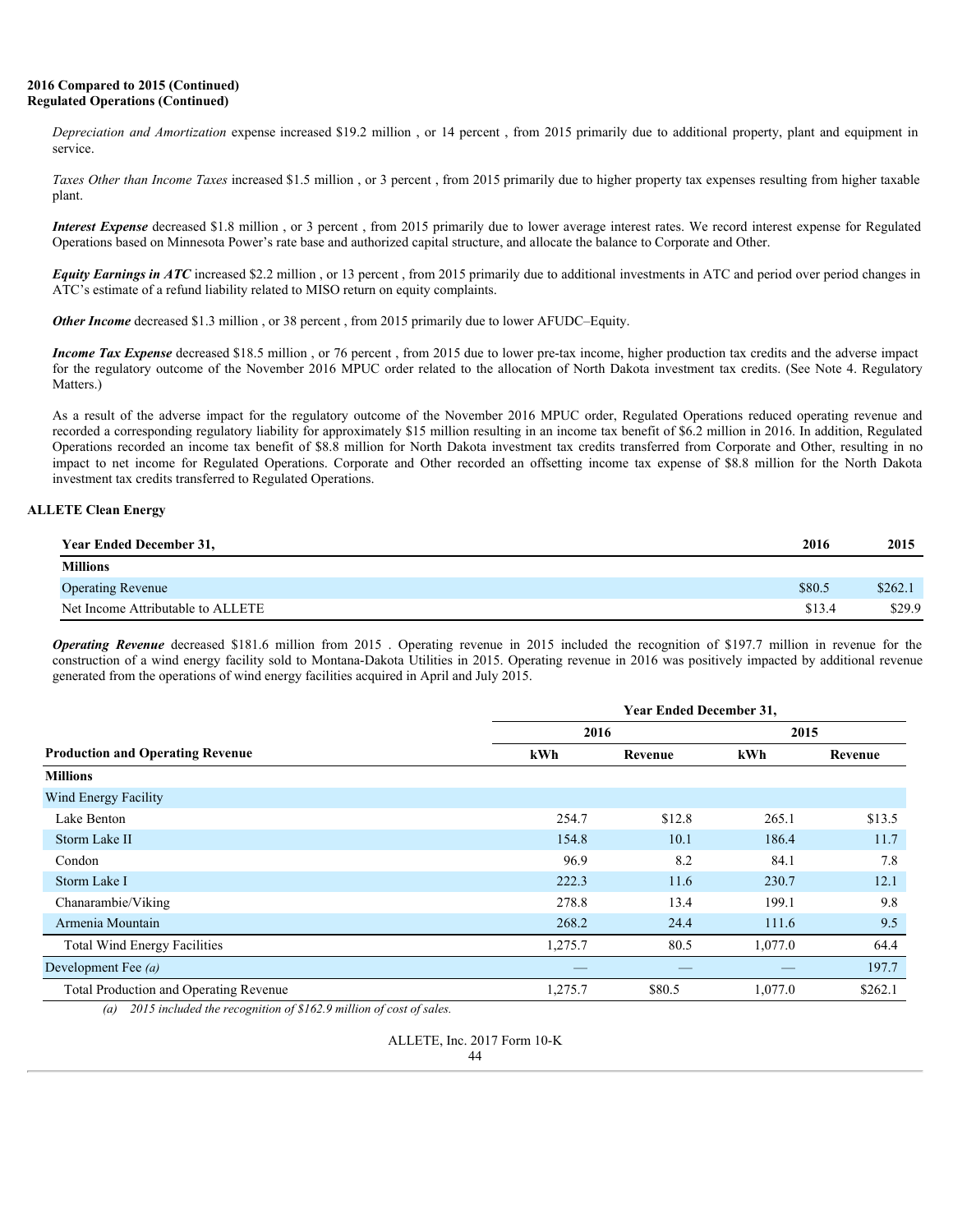## **2016 Compared to 2015 (Continued) Regulated Operations (Continued)**

service.

*Depreciation and Amortization* expense increased \$19.2 million , or 14 percent , from 2015 primarily due to additional property, plant and equipment in *Service.*<br>*Taxes Other than Income Taxes* increased \$1.5 million , o *Interest Expense* decreased \$1.8 million, or 3 percent, from 2015 primarily due to lower average interest rates. We record interest expense for Regulated Operations based on Minnesota Power's rate base and authorized capital structure, and allocate the balance to Corporate and Other.

**Compared to 2015 (Continued)**<br>
alated Operations (Continued)<br>
Depreciation and Amoricanion sxpease increased \$15.2 million , or 14 percent , from 2015 primarily due to higher property tax expenses realting from higher ta recorded a corresponding regulatory liability for approximately \$15 million resulting in an income tax benefit of \$6.2 million in 2016. In addition, Regulated Compared to 2015 (Continued)<br>
alated Operations continued)<br>
Depresentions and Americanion representes and S19.2 million , or 14 percent, from 2015 primarily due to side report tax capcuses reading from higher taxable<br>
pla **i**Compared to 2015 (Continued)<br>
dated Operations continued)<br>
dated Operations and Anoritation expense increased 519.2 million, or 14 percent, from 2015 primarily due to additional property, plant and equipment in<br>
Factor investment tax credits transferred to Regulated Operations.

# **ALLETE Clean Energy**

| 2016<br><b>Year Ended December 31,</b><br><b>Millions</b><br><b>Operating Revenue</b><br>\$80.5<br>\$262.1<br>Net Income Attributable to ALLETE<br>\$13.4<br>\$29.9<br><b>Operating Revenue</b> decreased \$181.6 million from 2015. Operating revenue in 2015 included the recognition of \$197.7 million in revenue for the<br>construction of a wind energy facility sold to Montana-Dakota Utilities in 2015. Operating revenue in 2016 was positively impacted by additional revenue<br>generated from the operations of wind energy facilities acquired in April and July 2015.<br><b>Year Ended December 31,</b><br>2016<br>2015<br>roduction and Operating Revenue<br>kWh<br>Revenue<br>kWh<br>Revenue                                                                                                                                                                                                                                                                                                                                                                                                         | <b>ETE Clean Energy</b> |  |      |
|------------------------------------------------------------------------------------------------------------------------------------------------------------------------------------------------------------------------------------------------------------------------------------------------------------------------------------------------------------------------------------------------------------------------------------------------------------------------------------------------------------------------------------------------------------------------------------------------------------------------------------------------------------------------------------------------------------------------------------------------------------------------------------------------------------------------------------------------------------------------------------------------------------------------------------------------------------------------------------------------------------------------------------------------------------------------------------------------------------------------|-------------------------|--|------|
|                                                                                                                                                                                                                                                                                                                                                                                                                                                                                                                                                                                                                                                                                                                                                                                                                                                                                                                                                                                                                                                                                                                        |                         |  |      |
|                                                                                                                                                                                                                                                                                                                                                                                                                                                                                                                                                                                                                                                                                                                                                                                                                                                                                                                                                                                                                                                                                                                        |                         |  |      |
|                                                                                                                                                                                                                                                                                                                                                                                                                                                                                                                                                                                                                                                                                                                                                                                                                                                                                                                                                                                                                                                                                                                        |                         |  |      |
|                                                                                                                                                                                                                                                                                                                                                                                                                                                                                                                                                                                                                                                                                                                                                                                                                                                                                                                                                                                                                                                                                                                        |                         |  |      |
|                                                                                                                                                                                                                                                                                                                                                                                                                                                                                                                                                                                                                                                                                                                                                                                                                                                                                                                                                                                                                                                                                                                        |                         |  |      |
|                                                                                                                                                                                                                                                                                                                                                                                                                                                                                                                                                                                                                                                                                                                                                                                                                                                                                                                                                                                                                                                                                                                        |                         |  |      |
|                                                                                                                                                                                                                                                                                                                                                                                                                                                                                                                                                                                                                                                                                                                                                                                                                                                                                                                                                                                                                                                                                                                        |                         |  |      |
|                                                                                                                                                                                                                                                                                                                                                                                                                                                                                                                                                                                                                                                                                                                                                                                                                                                                                                                                                                                                                                                                                                                        |                         |  |      |
|                                                                                                                                                                                                                                                                                                                                                                                                                                                                                                                                                                                                                                                                                                                                                                                                                                                                                                                                                                                                                                                                                                                        |                         |  |      |
|                                                                                                                                                                                                                                                                                                                                                                                                                                                                                                                                                                                                                                                                                                                                                                                                                                                                                                                                                                                                                                                                                                                        |                         |  |      |
|                                                                                                                                                                                                                                                                                                                                                                                                                                                                                                                                                                                                                                                                                                                                                                                                                                                                                                                                                                                                                                                                                                                        |                         |  |      |
|                                                                                                                                                                                                                                                                                                                                                                                                                                                                                                                                                                                                                                                                                                                                                                                                                                                                                                                                                                                                                                                                                                                        |                         |  |      |
|                                                                                                                                                                                                                                                                                                                                                                                                                                                                                                                                                                                                                                                                                                                                                                                                                                                                                                                                                                                                                                                                                                                        |                         |  | 2015 |
| investment tax credits transferred to Regulated Operations.                                                                                                                                                                                                                                                                                                                                                                                                                                                                                                                                                                                                                                                                                                                                                                                                                                                                                                                                                                                                                                                            |                         |  |      |
|                                                                                                                                                                                                                                                                                                                                                                                                                                                                                                                                                                                                                                                                                                                                                                                                                                                                                                                                                                                                                                                                                                                        |                         |  |      |
|                                                                                                                                                                                                                                                                                                                                                                                                                                                                                                                                                                                                                                                                                                                                                                                                                                                                                                                                                                                                                                                                                                                        |                         |  |      |
| Matters.)                                                                                                                                                                                                                                                                                                                                                                                                                                                                                                                                                                                                                                                                                                                                                                                                                                                                                                                                                                                                                                                                                                              |                         |  |      |
|                                                                                                                                                                                                                                                                                                                                                                                                                                                                                                                                                                                                                                                                                                                                                                                                                                                                                                                                                                                                                                                                                                                        |                         |  |      |
| Other Income decreased \$1.3 million, or 38 percent, from 2015 primarily due to lower AFUDC-Equity.                                                                                                                                                                                                                                                                                                                                                                                                                                                                                                                                                                                                                                                                                                                                                                                                                                                                                                                                                                                                                    |                         |  |      |
|                                                                                                                                                                                                                                                                                                                                                                                                                                                                                                                                                                                                                                                                                                                                                                                                                                                                                                                                                                                                                                                                                                                        |                         |  |      |
| Equity Earnings in ATC increased \$2.2 million, or 13 percent, from 2015 primarily due to additional investments in ATC and period over period changes in<br>Income Tax Expense decreased \$18.5 million, or 76 percent, from 2015 due to lower pre-tax income, higher production tax credits and the adverse impact<br>for the regulatory outcome of the November 2016 MPUC order related to the allocation of North Dakota investment tax credits. (See Note 4. Regulatory<br>As a result of the adverse impact for the regulatory outcome of the November 2016 MPUC order, Regulated Operations reduced operating revenue and<br>recorded a corresponding regulatory liability for approximately \$15 million resulting in an income tax benefit of \$6.2 million in 2016. In addition, Regulated<br>Operations recorded an income tax benefit of \$8.8 million for North Dakota investment tax credits transferred from Corporate and Other, resulting in no<br>impact to net income for Regulated Operations. Corporate and Other recorded an offsetting income tax expense of \$8.8 million for the North Dakota |                         |  |      |
|                                                                                                                                                                                                                                                                                                                                                                                                                                                                                                                                                                                                                                                                                                                                                                                                                                                                                                                                                                                                                                                                                                                        |                         |  |      |
| plant.<br>Interest Expense decreased \$1.8 million, or 3 percent, from 2015 primarily due to lower average interest rates. We record interest expense for Regulated<br>Operations based on Minnesota Power's rate base and authorized capital structure, and allocate the balance to Corporate and Other.<br>ATC's estimate of a refund liability related to MISO return on equity complaints.                                                                                                                                                                                                                                                                                                                                                                                                                                                                                                                                                                                                                                                                                                                         |                         |  |      |
| Taxes Other than Income Taxes increased \$1.5 million, or 3 percent, from 2015 primarily due to higher property tax expenses resulting from higher taxable                                                                                                                                                                                                                                                                                                                                                                                                                                                                                                                                                                                                                                                                                                                                                                                                                                                                                                                                                             |                         |  |      |
| service.                                                                                                                                                                                                                                                                                                                                                                                                                                                                                                                                                                                                                                                                                                                                                                                                                                                                                                                                                                                                                                                                                                               |                         |  |      |

|                                         |         | Year Ended December 31, |         |         |
|-----------------------------------------|---------|-------------------------|---------|---------|
|                                         | 2016    |                         | 2015    |         |
| <b>Production and Operating Revenue</b> | kWh     | Revenue                 | kWh     | Revenue |
| <b>Millions</b>                         |         |                         |         |         |
| Wind Energy Facility                    |         |                         |         |         |
| Lake Benton                             | 254.7   | \$12.8                  | 265.1   | \$13.5  |
| Storm Lake II                           | 154.8   | 10.1                    | 186.4   | 11.7    |
| Condon                                  | 96.9    | 8.2                     | 84.1    | 7.8     |
| Storm Lake I                            | 222.3   | 11.6                    | 230.7   | 12.1    |
| Chanarambie/Viking                      | 278.8   | 13.4                    | 199.1   | 9.8     |
| Armenia Mountain                        | 268.2   | 24.4                    | 111.6   | 9.5     |
| <b>Total Wind Energy Facilities</b>     | 1,275.7 | 80.5                    | 1,077.0 | 64.4    |
| Development Fee $(a)$                   |         |                         |         | 197.7   |
| Total Production and Operating Revenue  | 1,275.7 | \$80.5                  | 1,077.0 | \$262.1 |

*(a) 2015 included the recognition of \$162.9 million of cost of sales.*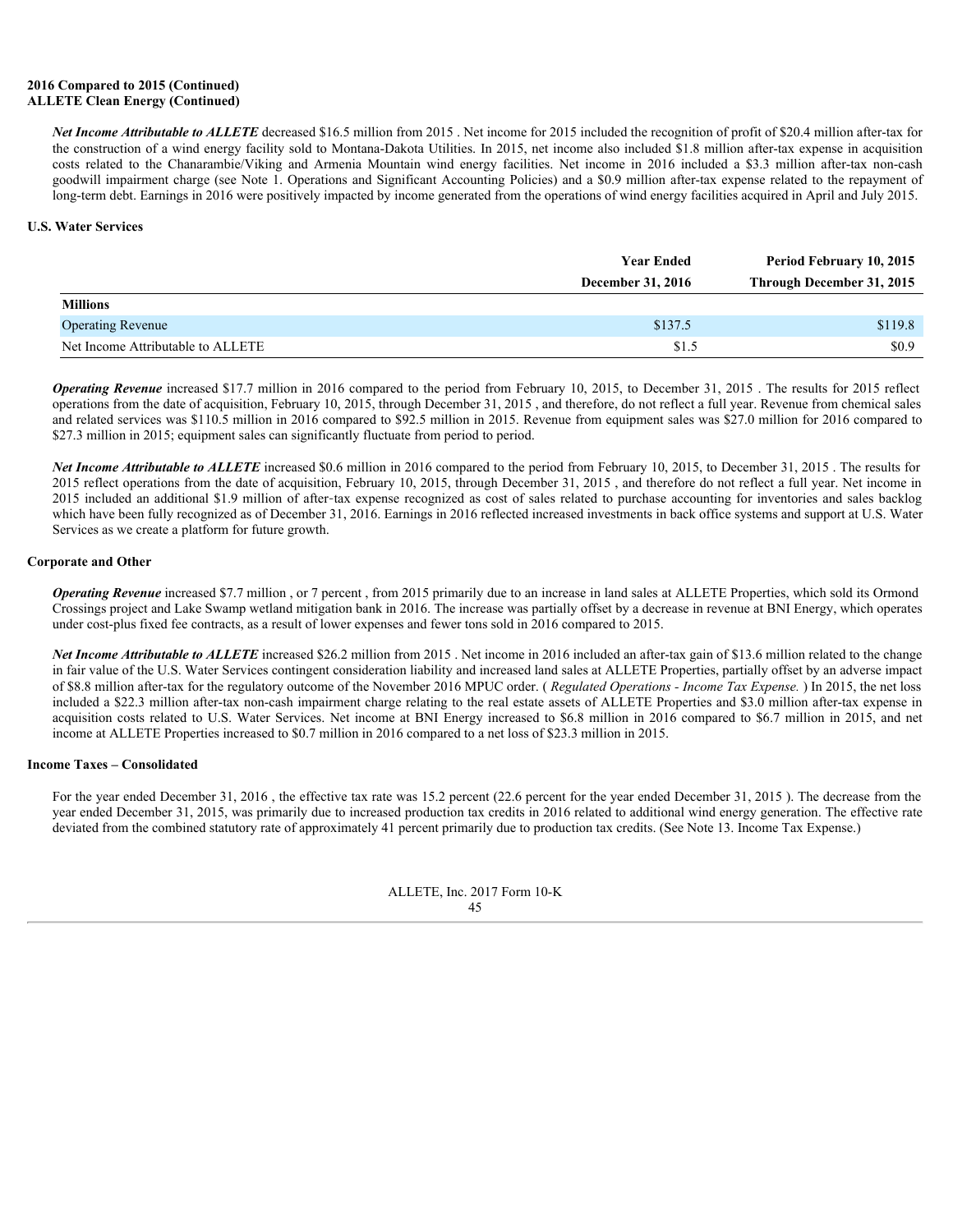# **2016 Compared to 2015 (Continued) ALLETE Clean Energy (Continued)**

*Net Income Attributable to ALLETE* decreased \$16.5 million from 2015 . Net income for 2015 included the recognition of profit of \$20.4 million after-tax for the construction of a wind energy facility sold to Montana-Dakota Utilities. In 2015, net income also included \$1.8 million after-tax expense in acquisition Compared to 2015 (Continued)<br>
CETE Clean Energy (Continued)<br>
Net Income for 2015 included the recognition of profit of \$20.4 million after-tax for<br>
the construction of a wind energy facility sold to Montana-Dakota Utilitie goodwill impairment charge (see Note 1. Operations and Significant Accounting Policies) and a \$0.9 million after-tax expense related to the repayment of long-term debt. Earnings in 2016 were positively impacted by income generated from the operations of wind energy facilities acquired in April and July 2015.

## **U.S. Water Services**

#### **Corporate and Other**

#### **Income Taxes – Consolidated**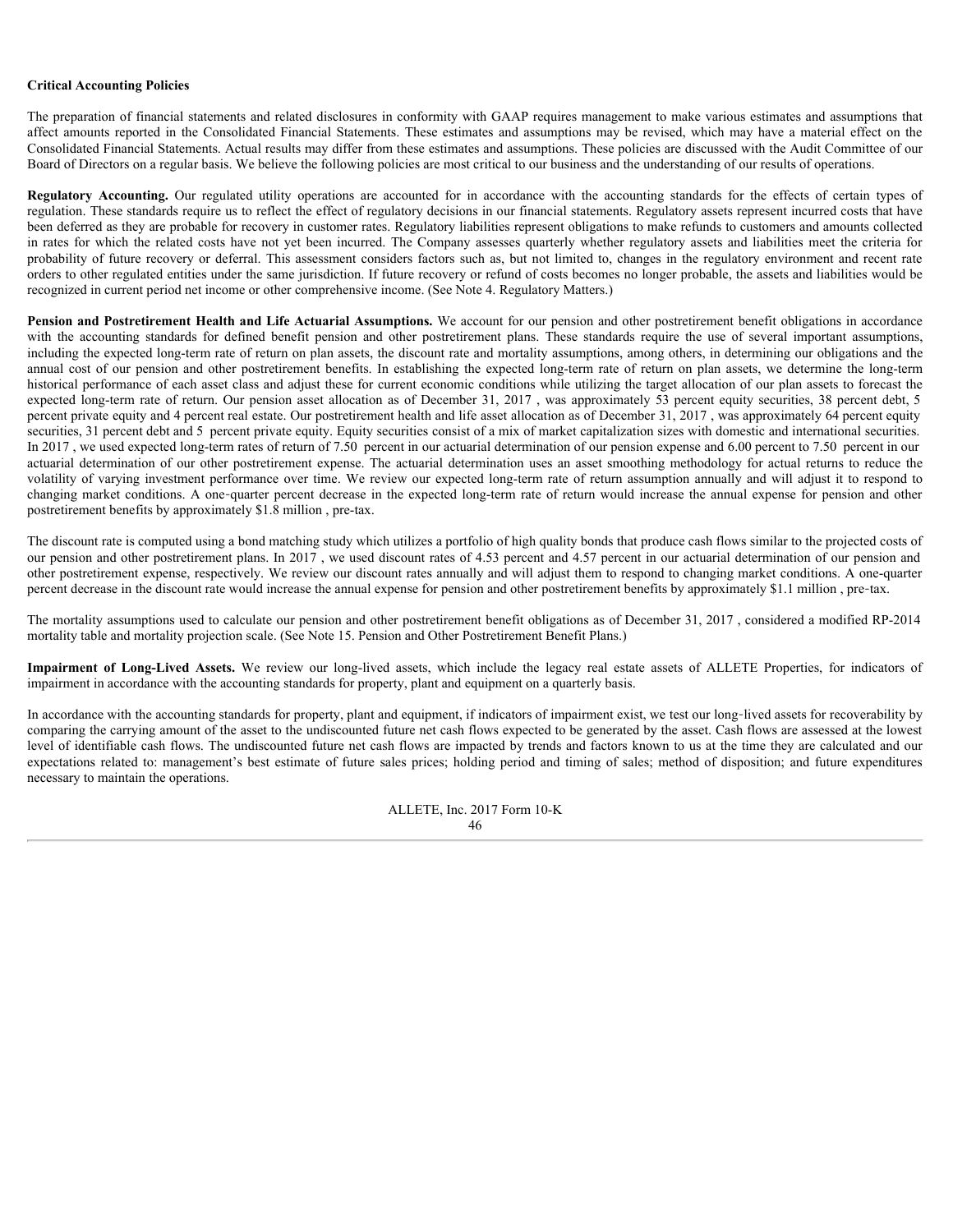#### **Critical Accounting Policies**

The preparation of financial statements and related disclosures in conformity with GAAP requires management to make various estimates and assumptions that Consolidated Financial Statements. Actual results may differ from these estimates and assumptions. These policies are discussed with the Audit Committee of our Board of Directors on a regular basis. We believe the following policies are most critical to our business and the understanding of our results of operations.

**Critical Accounting Policies**<br>The preparation of financial statements and related disclosures in conformity with GAAP requires management to make various estimates and assumptions that<br>affect amounts reported in the Conso **Critical Accounting Policies**<br>The preparation of financial statements and related disclosures in conformity with GAAP requires management to make various estimates and assumptions that<br>affect amounts reported in the Conso regulation. These standards require us to reflect the effect of regulatory decisions in our financial statements. Regulatory assets represent incurred costs that have been deferred as they are probable for recovery in customer rates. Regulatory liabilities represent obligations to make refunds to customers and amounts collected Critical Accounting Policies<br>The preparation of financial statements and related disclosures in conformity with GAAP requires management to make various estimates and assumptions that<br>affect amounts reproduint the Consolid probability of future recovery or deferral. This assessment considers factors such as, but not limited to, changes in the regulatory environment and recent rate orders to other regulated entities under the same jurisdiction. If future recovery or refund of costs becomes no longer probable, the assets and liabilities would be recognized in current period net income or other comprehensive income. (See Note 4. Regulatory Matters.)

**Pension and Postretirement Health and Life Actuarial Assumptions.** We account for our pension and other postretirement benefit obligations in accordance Critical Accounting Policies<br>The preparation of funncial statements and related disclosures in conformity with GAAP requires management to make various estimates and assumptions that<br>affect amounts reported in the Consoli including the expected long-term rate of return on plan assets, the discount rate and mortality assumptions, among others, in determining our obligations and the Critical Accounting Policies<br>The preparation of financial statements and related disclosures in conformity with GAAP requires management to make various estimates and assumptions that<br>The preparation of financial Statemen historical performance of each asset class and adjust these for current economic conditions while utilizing the target allocation of our plan assets to forecast the Critical Accounting Policies<br>The preparation of financial siatements and related disclosures in conferming with GAAP requires management to ranke various existent and assumptions that<br>affect annouas reported in the consid percent private equity and 4 percent real estate. Our postretirement health and life asset allocation as of December 31, 2017 , was approximately 64 percent equity securities, 31 percent debt and 5 percent private equity. Equity securities consist of a mix of market capitalization sizes with domestic and international securities. In 2017 , we used expected long-term rates of return of 7.50 percent in our actuarial determination of our pension expense and 6.00 percent to 7.50 percent in our Critical Accounting Policies<br>The preparation of financial distortation and related disobenes in conforming with GAAP requires nonagement to make various regions that<br>offer furthermore control one Cross-bustees and conformi Critical Accounting Palities<br>The proporation of financial statements and related disclosures in conformity with GAAP requires management to make various estimates and assumptions that<br>offere amental refused on the Consolid changing market conditions. A one-quarter percent decrease in the expected long-term rate of return would increase the annual expense for pension and other postretirement benefits by approximately \$1.8 million , pre-tax. **ISearch Of Every and a required basis.** We believe the following policis as nont entired with the assets of the accounting that we respect the accounting that the respect of the accounting such as the respect of the respe produces of future scowery or taken in this associate consider active sales, then the there is a presenct in the sales prior of future in the sales prior of future sales prior the sales prior of the sales prior of the sal

The discount rate is computed using a bond matching study which utilizes a portfolio of high quality bonds that produce cash flows similar to the projected costs of our pension and other postretirement plans. In 2017 , we used discount rates of 4.53 percent and 4.57 percent in our actuarial determination of our pension and other postretirement expense, respectively. We review our discount rates annually and will adjust them to respond to changing market conditions. A one-quarter percent decrease in the discount rate would increase the annual expense for pension and other postretirement benefits by approximately \$1.1 million , pre-tax.

The mortality assumptions used to calculate our pension and other postretirement benefit obligations as of December 31, 2017 , considered a modified RP-2014 mortality table and mortality projection scale. (See Note 15. Pension and Other Postretirement Benefit Plans.)

impairment in accordance with the accounting standards for property, plant and equipment on a quarterly basis.

In accordance with the accounting standards for property, plant and equipment, if indicators of impairment exist, we test our long-lived assets for recoverability by comparing the carrying amount of the asset to the undiscounted future net cash flows expected to be generated by the asset. Cash flows are assessed at the lowest level of identifiable cash flows. The undiscounted future net cash flows are impacted by trends and factors known to us at the time they are calculated and our expectations related to: management's best estimate of future necessary to maintain the operations.

ALLETE, Inc. 2017 Form 10-K

46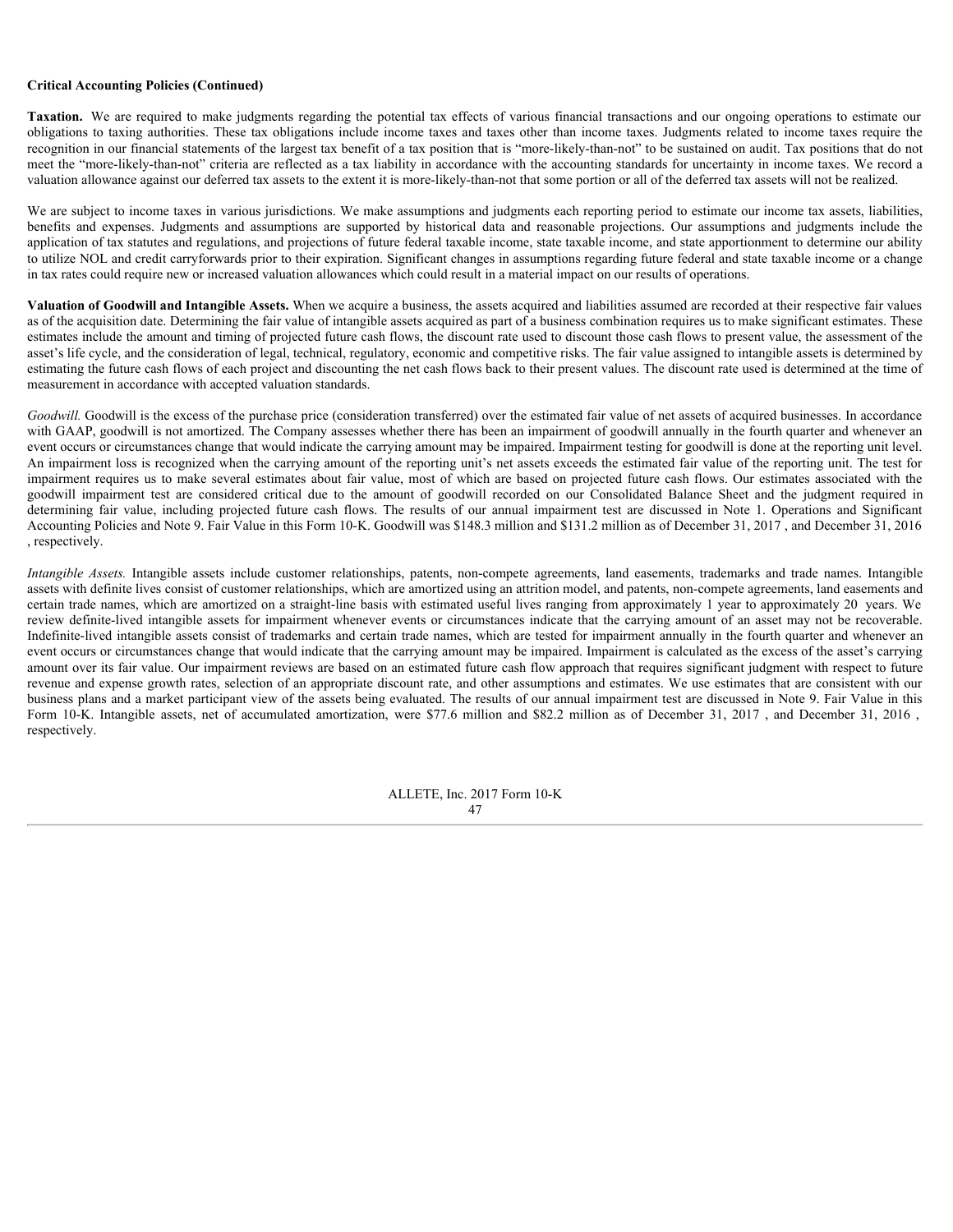#### **Critical Accounting Policies (Continued)**

Taxation. We are required to make judgments regarding the potential tax effects of various financial transactions and our ongoing operations to estimate our obligations to taxing authorities. These tax obligations include income taxes and taxes other than income taxes. Judgments related to income taxes require the recognition in our financial statements of the largest tax benefit of a tax position that is "more-likely-than-not" to be sustained on audit. Tax positions that do not meet the "more-likely-than-not" criteria are reflected as a tax liability in accordance with the accounting standards for uncertainty in income taxes. We record a valuation allowance against our deferred tax assets to the extent it is more-likely-than-not that some portion or all of the deferred tax assets will not be realized. Critical Accounting Policies (Continued)<br>
Taxation. We are required to make judgments regarding the potential tax effects of various financial transactions and our ongoing operations to eximate our<br>
obligations to taxing a

We are subject to income taxes in various jurisdictions. We make assumptions and judgments each reporting period to estimate our income tax assets, liabilities, benefits and expenses. Judgments and assumptions are supporte application of tax statutes and regulations, and projections of future federal taxable income, state taxable income, and state apportionment to determine our ability to utilize NOL and credit carryforwards prior to their expiration. Significant changes in assumptions regarding future federal and state taxable income or a change in tax rates could require new or increased valuation allowances which could result in a material impact on our results of operations.

**Valuation of Goodwill and Intangible Assets.** When we acquire a business, the assets acquired and liabilities assumed are recorded at their respective fair values as of the acquisition date. Determining the fair value of intangible assets acquired as part of a business combination requires us to make significant estimates. These estimates include the amount and timing of projected future cash flows, the discount rate used to discount those cash flows to present value, the assessment of the asset's life cycle, and the consideration of legal, technical, regulatory, economic and competitive risks. The fair value assigned to intangible assets is determined by estimating the future cash flows of each project and discounting the net cash flows back to their present values. The discount rate used is determined at the time of measurement in accordance with accepted valuation standards.

*Goodwill.* Goodwill is the excess of the purchase price (consideration transferred) over the estimated fair value of net assets of acquired businesses. In accordance with GAAP, goodwill is not amortized. The Company assesses whether there has been an impairment of goodwill annually in the fourth quarter and whenever an event occurs or circumstances change that would indicate the carrying amount may be impaired. Impairment testing for goodwill is done at the reporting unit level. An impairment loss is recognized when the carrying amount of the reporting unit's net assets exceeds the estimated fair value of the reporting unit. The test for Critical Accounting Palicies (Cantinues)<br> **Traxide.** We are conjusted to make judgments reparation for projection face of which contracts and our consider several estimates about the considered on the projected with consid Critical Accounting Policies (Continuos)<br>Taxation. We are required to rads judgment regarding the potential tax effects of various funderal transactions and our considered recordered are are computed are inter-<br>any pairme Critical Accounting Policies (Continued)<br>
Taxation. We are equality to make judgments regarding the protestial tax effects of various flame-interactions and our ougaing systemes to estimate our accounter projection in tes Accounting Policies and Note 9. Fair Value in this Form 10-K. Goodwill was \$148.3 million and \$131.2 million as of December 31, 2017 , and December 31, 2016 , respectively. Critical Accounting Policies (Clustinum)<br> **INTENTAL WAS assets independent systems** the presential assets of the asset of the material Consentionship including the competent informations in the system including and the for

assets with definite lives consist of customer relationships, which are amortized using an attrition model, and patents, non-compete agreements, land easements and certain trade names, which are amortized on a straight-line basis with estimated useful lives ranging from approximately 1 year to approximately 20 years. We review definite-lived intangible assets for impairment whenever events or circumstances indicate that the carrying amount of an asset may not be recoverable. Indefinite-lived intangible assets consist of trademarks and certain trade names, which are tested for impairment annually in the fourth quarter and whenever an event occurs or circumstances change that would indicate that the carrying amount may be impaired. Impairment is calculated as the excess of the asset's carrying amount over its fair value. Our impairment reviews are based on an estimated future cash flow approach that requires significant judgment with respect to future revenue and expense growth rates, selection of an appropriate discount rate, and other assumptions and estimates. We use estimates that are consistent with our business plans and a market participant view of the assets being evaluated. The results of our annual impairment test are discussed in Note 9. Fair Value in this We not subject to move the constraines. We reade something and induced and required to accumulate to the accumulated amore that the constraints are presented and equilibrium of a constraint of a constraint of a constraint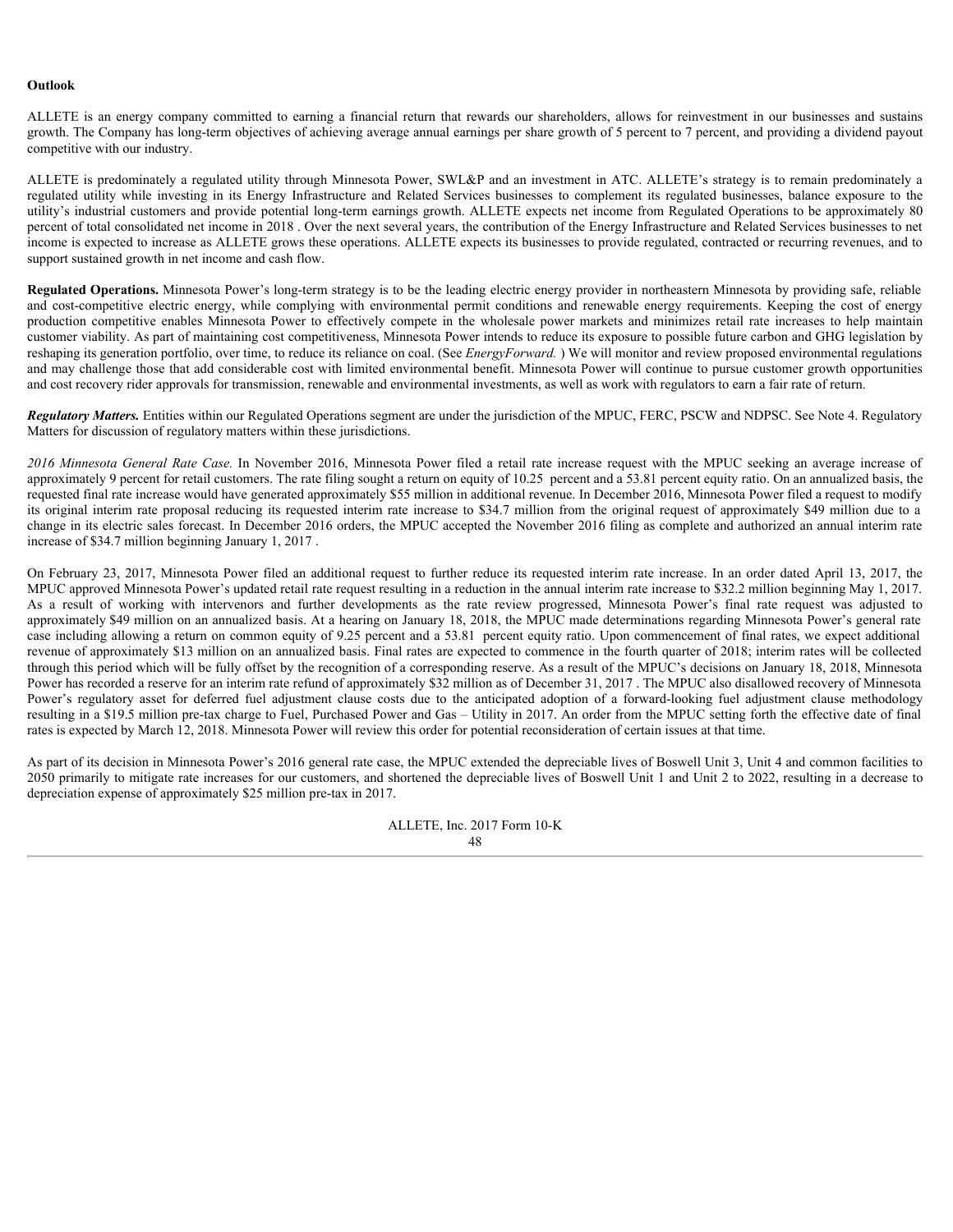#### **Outlook**

growth. The Company has long-term objectives of achieving average annual earnings per share growth of 5 percent to 7 percent, and providing a dividend payout competitive with our industry.

**ALLETE** is an energy company committed to earning a financial return that rewards our shareholders, allows for reinvestment in our businesses and sustains growth. The Company has long-term objectives of achieving average ALLETE is predominately a regulated utility through Minnesota Power, SWL&P and an investment in ATC. ALLETE's strategy is to remain predominately a regulated utility while investing in its Energy Infrastructure and Related **Outlook**<br>ALLETE is an energy company committed to earning a financial return that rewards our shareholders, allows for reinvestment in our businesses and sustains<br>growth. The is predominately a regulated utility through M utility's industrial customers and provide potential long-term earnings growth. ALLETE expects net income from Regulated Operations to be approximately 80 percent of total consolidated net income in 2018 . Over the next several years, the contribution of the Energy Infrastructure and Related Services businesses to net income is expected to increase as ALLETE grows these operations. ALLETE expects its businesses to provide regulated, contracted or recurring revenues, and to support sustained growth in net income and cash flow.

**Regulated Operations.** Minnesota Power's long-term strategy is to be the leading electric energy provider in northeastern Minnesota by providing safe, reliable **Outlook**<br>ALLETE is an energy company committed to earning a financial return that rewards our shareholders, allows for reinvestment in our businesses and sustains<br>competitive with our mladsary.<br>
something the permit only **Outlook**<br>ALLETE is an energy company committed to eurning a financial return that rewards our shareholders, allows for reinvestment in our basinesses and sustains<br>Excellent in company has long-term objectives of achieving customer viability. As part of maintaining cost competitiveness, Minnesota Power intends to reduce its exposure to possible future carbon and GHG legislation by reshaping its generation portfolio, over time, to reduce its reliance on coal. (See *EnergyForward.* ) We will monitor and review proposed environmental regulations and may challenge those that add considerable cost with limited environmental benefit. Minnesota Power will continue to pursue customer growth opportunities and cost recovery rider approvals for transmission, renewable and environmental investments, as well as work with regulators to earn a fair rate of return. **Outlook**<br> **ALLETE** is as energy company committed to earning a financial return that reveads our shareholders, allows for religious The Company increases competent increases and an increase competent increases competent i **Outlook**<br>ALLETE is an energy company committed to entaing a financial return that rewards our shareholders, allows for circures in an entained interimental interimental interimental interimental interimental interimental

*Regulatory Matters.* Entities within our Regulated Operations segment are under the jurisdiction of the MPUC, FERC, PSCW and NDPSC. See Note 4. Regulatory Matters for discussion of regulatory matters within these jurisdictions.

approximately 9 percent for retail customers. The rate filing sought a return on equity of 10.25 percent and a 53.81 percent equity ratio. On an annualized basis, the requested final rate increase would have generated approximately \$55 million in additional revenue. In December 2016, Minnesota Power filed a request to modify change in its electric sales forecast. In December 2016 orders, the MPUC accepted the November 2016 filing as complete and authorized an annual interim rate increase of \$34.7 million beginning January 1, 2017 .

On February 23, 2017, Minnesota Power filed an additional request to further reduce its requested interim rate increase. In an order dated April 13, 2017, the MPUC approved Minnesota Power's updated retail rate request resulting in a reduction in the annual interim rate increase to \$32.2 million beginning May 1, 2017. Attain is an empty company commulation emmty a financial reum that results on shareholders, aftered intervenors and ansiems competitive and the results are the results and the results and the rate results and probability approximately \$49 million on an annualized basis. At a hearing on January 18, 2018, the MPUC made determinations regarding Minnesota Power's general rate case including allowing a return on common equity of 9.25 percent and a 53.81 percent equity ratio. Upon commencement of final rates, we expect additional revenue of approximately \$13 million on an annualized basis. Final rates are expected to commence in the fourth quarter of 2018; interim rates will be collected through this period which will be fully offset by the recognition of a corresponding reserve. As a result of the MPUC's decisions on January 18, 2018, Minnesota Power has recorded a reserve for an interim rate refund of approximately \$32 million as of December 31, 2017 . The MPUC also disallowed recovery of Minnesota regulate this restricts regulate the method into the regulate the control of the control of the state of the costs of the costs due to the costs due to the anticipate the regulate the state of the anticipate of the anticip resulting in a \$19.5 million pre-tax charge to Fuel, Purchased Power and Gas – Utility in 2017. An order from the MPUC setting forth the effective date of final rates is expected by March 12, 2018. Minnesota Power will review this order for potential reconsideration of certain issues at that time.

As part of its decision in Minnesota Power's 2016 general rate case, the MPUC extended the depreciable lives of Boswell Unit 3, Unit 4 and common facilities to 2050 primarily to mitigate rate increases for our customers, and shortened the depreciable lives of Boswell Unit 1 and Unit 2 to 2022, resulting in a decrease to depreciation expense of approximately \$25 million pre-tax in 2017.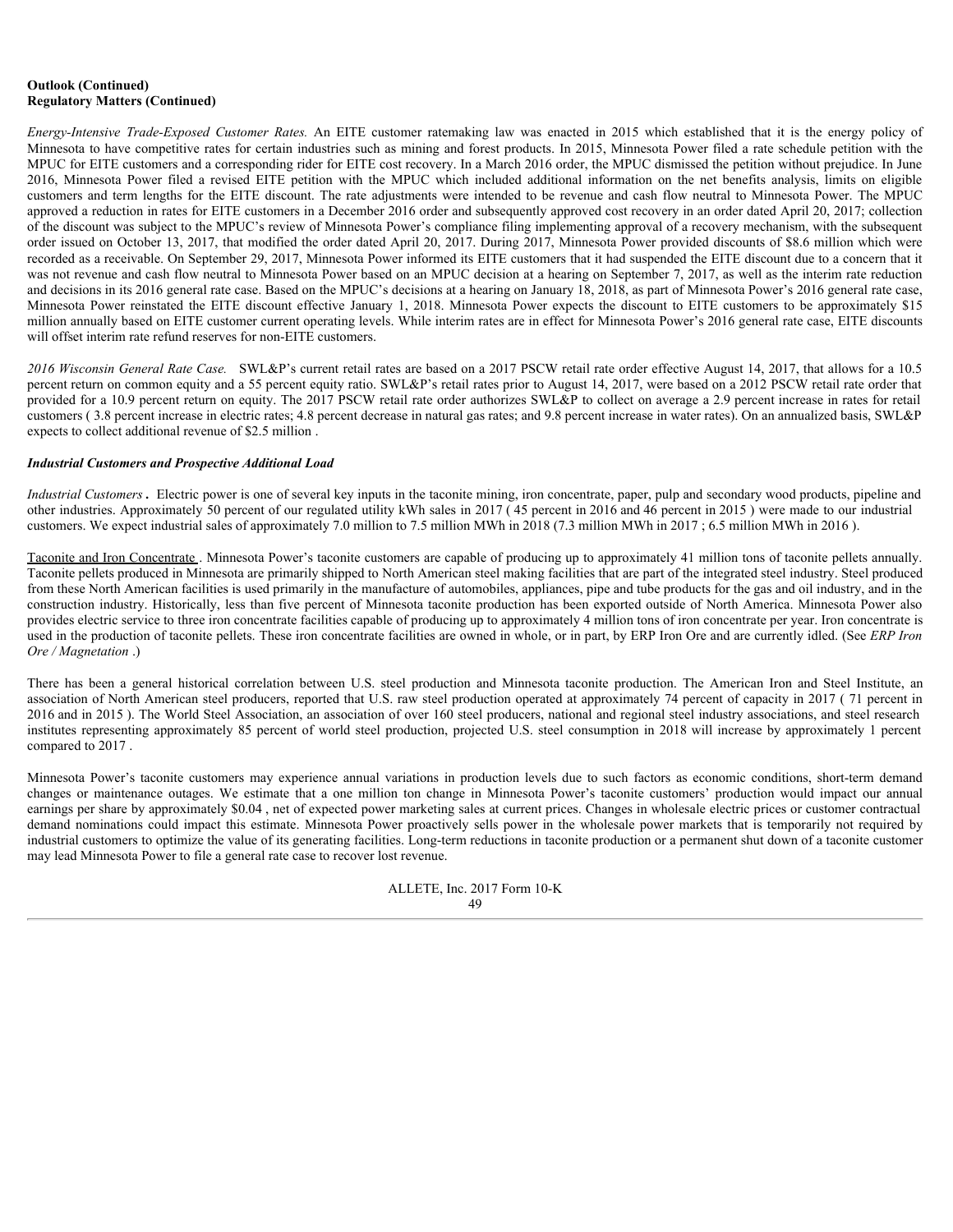# **Outlook (Continued) Regulatory Matters (Continued)**

**Continued)**<br>*Energy-Intensive Trade-Exposed Customer Rates.* An EITE customer ratemaking law was enacted in 2015 which established that it is the energy policy of<br>*Minnesota to have competitive rates for certain industrie* Minnesota to have competitive rates for certain industries such as mining and forest products. In 2015, Minnesota Power filed a rate schedule petition with the MPUC for EITE customers and a corresponding rider for EITE cost recovery. In a March 2016 order, the MPUC dismissed the petition without prejudice. In June **Outlook (Continued)**<br>**Regulatory Matters (Continued)**<br>**Regulatory Matters (Continued)**<br>*Rimensota to have competitive rates for certain industries such as mining and forest products. In 2015, Minnesota to have competitive* **Cuntinued)**<br>**Chargy-Intersive Trade-Exposed Customer Rates.** An ETTE customer ratemaking law was enacted in 2015 which established that it is the energy policy of Minnesota to have competitive rates for ceration industrie approved a reduction in rates for EITE customers in a December 2016 order and subsequently approved cost recovery in an order dated April 20, 2017; collection of the discount was subject to the MPUC's review of Minnesota Power's compliance filing implementing approval of a recovery mechanism, with the subsequent order issued on October 13, 2017, that modified the order dated April 20, 2017. During 2017, Minnesota Power provided discounts of \$8.6 million which were recorded as a receivable. On September 29, 2017, Minnesota Power informed its EITE customers that it had suspended the EITE discount due to a concern that it was not revenue and cash flow neutral to Minnesota Power based on an MPUC decision at a hearing on September 7, 2017, as well as the interim rate reduction and decisions in its 2016 general rate case. Based on the MPUC's decisions at a hearing on January 18, 2018, as part of Minnesota Power's 2016 general rate case, **Outlook (Continued)**<br>Regentary Matters (Continued)<br>Respectively Matters (Continued)<br>Remeasure Track-Kreocol discounter Rates, An EITE contreponent returnals and the six controls and a corresponding rider for EITE contrep million annually based on EITE customer current operating levels. While interim rates are in effect for Minnesota Power's 2016 general rate case, EITE discounts will offset interim rate refund reserves for non-EITE customers. 2016. Ministed Persis a crist of EVI Primary the anti-steel production and the second and the second and the second and the second and the second and the second and the second and the second and the second in the second be in the discussion will be the systems of the system of the system in the properties approximately approximately approximately approximately approximately approximately approximately approximately approximately approximatel

2016 Wisconsin General Rate Case. SWL&P's current retail rates are based on a 2017 PSCW retail rate order effective August 14, 2017, that allows for a 10.5 percent return on common equity and a 55 percent equity ratio. SWL&P's retail rates prior to August 14, 2017, were based on a 2012 PSCW retail rate order that provided for a 10.9 percent return on equity. The 2017 PSCW retail rate order authorizes SWL&P to collect on average a 2.9 percent increase in rates for retail customers ( 3.8 percent increase in electric rates; 4.8 percent decrease in natural gas rates; and 9.8 percent increase in water rates). On an annualized basis, SWL&P expects to collect additional revenue of \$2.5 million .

#### *Industrial Customers and Prospective Additional Load*

*Industrial Customers*. Electric power is one of several key inputs in the taconite mining, iron concentrate, paper, pulp and secondary wood products, pipeline and other industries. Approximately 50 percent of our regulated utility kWh sales in 2017 ( 45 percent in 2016 and 46 percent in 2015 ) were made to our industrial customers. We expect industrial sales of approximately 7.0 million to 7.5 million MWh in 2018 (7.3 million MWh in 2017 ; 6.5 million MWh in 2016 ).

Taconite and Iron Concentrate . Minnesota Power's taconite customers are capable of producing up to approximately 41 million tons of taconite pellets annually. Taconite pellets produced in Minnesota are primarily shipped to North American steel making facilities that are part of the integrated steel industry. Steel produced from these North American facilities is used primarily in the manufacture of automobiles, appliances, pipe and tube products for the gas and oil industry, and in the construction industry. Historically, less than five percent of Minnesota taconite production has been exported outside of North America. Minnesota Power also provides electric service to three iron concentrate facilities capable of producing up to approximately 4 million tons of iron concentrate per year. Iron concentrate is used in the production of taconite pellets. These iron concentrate facilities are owned in whole, or in part, by ERP Iron Ore and are currently idled. (See *ERP Iron Ore / Magnetation* .) compared to 2017 . Herric reasons the Nissan Development and a business may experiment an internal of the next has experiment an internal variations in the Nissan Development and the material state in the Hill content in t and discussions in a 2010 goal and a change in the third which and a hountgate in the set of the control in the set of the set of the set of the set of the set of the set of the set of the set of the set of the set of the milime mandly best on the interest of the stimate method in the minimum data are at the interest of the stimate and the minimum data are at the interest of the stimate of the stimate of the stimate of the stimate of the s

association of North American steel producers, reported that U.S. raw steel production operated at approximately 74 percent of capacity in 2017 ( 71 percent in 2016 and in 2015 ). The World Steel Association, an association of over 160 steel producers, national and regional steel industry associations, and steel research

earnings per share by approximately \$0.04 , net of expected power marketing sales at current prices. Changes in wholesale electric prices or customer contractual industrial customers to optimize the value of its generating facilities. Long-term reductions in taconite production or a permanent shut down of a taconite customer may lead Minnesota Power to file a general rate case to recover lost revenue.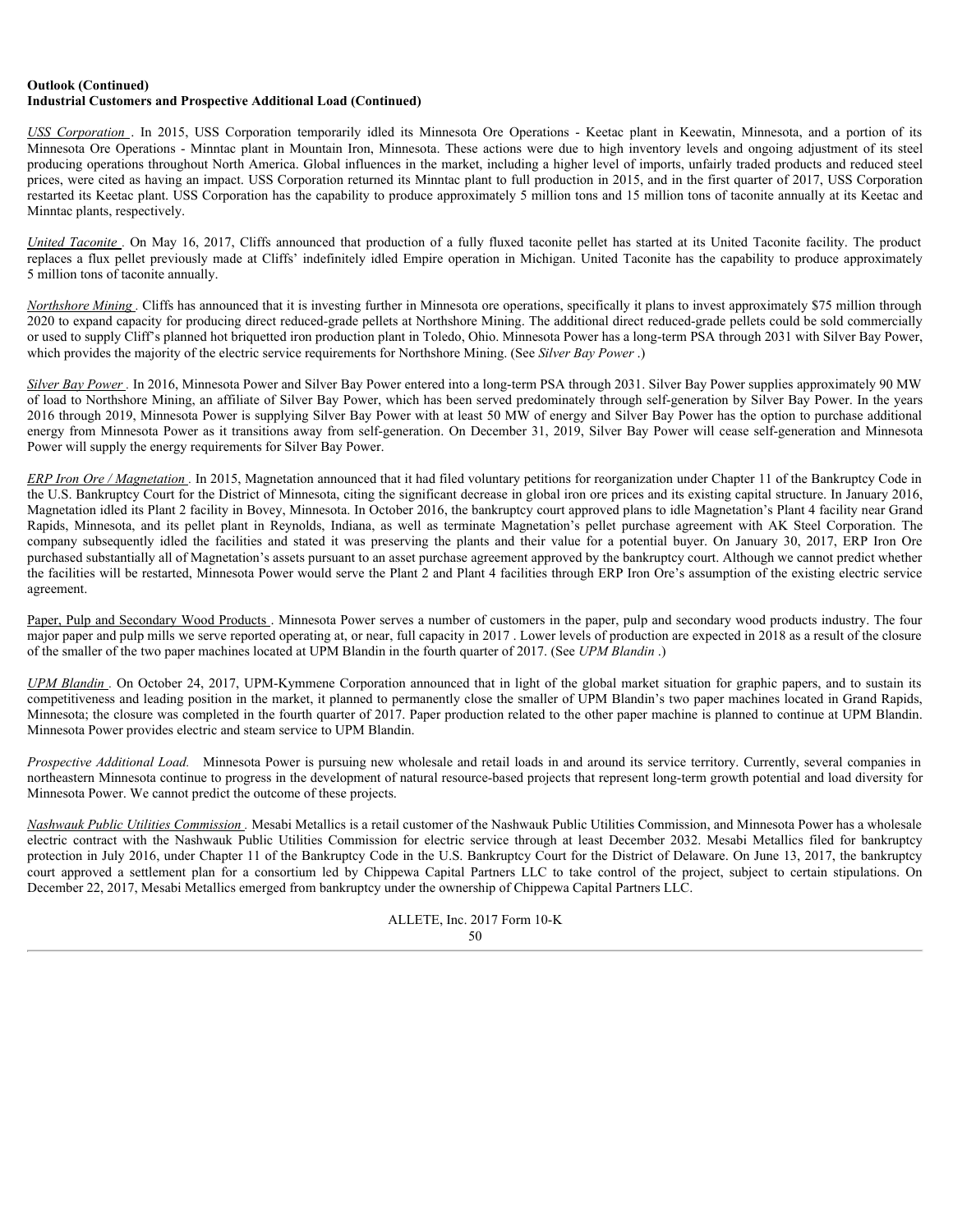# **Outlook (Continued) Industrial Customers and Prospective Additional Load (Continued)**

**Continued)**<br> **Industrial Customers and Prospective Additional Load (Continued)**<br>
<u>*USS Corporation* . In 2015, USS Corporation temporarily idled its Minnesota Ore Operations - Keetac plant in Keewatin, Minnesota, and a po</u> **Outlook (Continued)**<br> **Industrial Customers and Prospective Additional Load (Continued)**<br> *USS Corporation* . In 2015, USS Corporation temporarily ided its Minnesota Ore Operations - Keetac plant in Keewatin, Minnesota, a producing operations throughout North America. Global influences in the market, including a higher level of imports, unfairly traded products and reduced steel prices, were cited as having an impact. USS Corporation returned its Minntac plant to full production in 2015, and in the first quarter of 2017, USS Corporation restarted its Keetac plant. USS Corporation has the capability to produce approximately 5 million tons and 15 million tons of taconite annually at its Keetac and Minntac plants, respectively. **IDENTIFY CONFIDENTIFY CONFIDENTIFY CONFIDENTIFY DEVALUATION UNITED CONFIDENTIFY UNITED CONFIDENTIFY CONFIDENTIFY CONFIDENTIFY UNITED CONFIDENTIFY UNITED CONFIDENTIFY CONFIDENTIFY CONFIDENTIFY CONFI** 

replaces a flux pellet previously made at Cliffs' indefinitely idled Empire operation in Michigan. United Taconite has the capability to produce approximately 5 million tons of taconite annually.

*Northshore Mining*. Cliffs has announced that it is investing further in Minnesota ore operations, specifically it plans to invest approximately \$75 million through 2020 to expand capacity for producing direct reduced-grade pellets at Northshore Mining. The additional direct reduced-grade pellets could be sold commercially or used to supply Cliff's planned hot briquetted iron production plant in Toledo, Ohio. Minnesota Power has a long-term PSA through 2031 with Silver Bay Power, which provides the majority of the electric service requirements for Northshore Mining. (See *Silver Bay Power* .)

*Silver Bay Power .* In 2016, Minnesota Power and Silver Bay Power entered into a long-term PSA through 2031. Silver Bay Power supplies approximately 90 MW of load to Northshore Mining, an affiliate of Silver Bay Power, which has been served predominately through self-generation by Silver Bay Power. In the years 2016 through 2019, Minnesota Power is supplying Silver Bay Power with at least 50 MW of energy and Silver Bay Power has the option to purchase additional energy from Minnesota Power as it transitions away from self-generation. On December 31, 2019, Silver Bay Power will cease self-generation and Minnesota Power will supply the energy requirements for Silver Bay Power.

*ERP Iron Ore / Magnetation* . In 2015, Magnetation announced that it had filed voluntary petitions for reorganization under Chapter 11 of the Bankruptcy Code in the U.S. Bankruptcy Court for the District of Minnesota, citing the significant decrease in global iron ore prices and its existing capital structure. In January 2016, Magnetation idled its Plant 2 facility in Bovey, Minnesota. In October 2016, the bankruptcy court approved plans to idle Magnetation's Plant 4 facility near Grand Outlook (Cantinued)<br>
Holidarial Constant in Reynolds and Continued)<br>
Holidarial Constant in Section America Gobal infusions of the periods - Kestus plant in Kestusia, Minnesota, and a periods of the<br>
Explorement in Section Company (Company) company is and the facilities and (Continues)<br>
Engine Company subsequently ideals and the facilities and stated in the facilities and the facilities and the facilities and the facilities and the facilitie purchased substantially all of Magnetation's assets pursuant to an asset purchase agreement approved by the bankruptcy court. Although we cannot predict whether the facilities will be restarted, Minnesota Power would serve the Plant 2 and Plant 4 facilities through ERP Iron Ore's assumption of the existing electric service agreement. electric contract with the Nashwauk Public Utilities production paint in Total Observable Provide Solution For the Nashwauk Public Utility interaction for electric active compiles (Solution For electric active compiles Com court approximation of the method in the settlement plan for a consortion of the plane in New York and Definition of the Chippey (SP and Definition and Definition and Definition and Definition of the Chippey and Definition

Paper, Pulp and Secondary Wood Products . Minnesota Power serves a number of customers in the paper, pulp and secondary wood products industry. The four major paper and pulp mills we serve reported operating at, or near, full capacity in 2017 . Lower levels of production are expected in 2018 as a result of the closure of the smaller of the two paper machines located at UPM Blandin in the fourth quarter of 2017. (See *UPM Blandin* .)

*UPM Blandin .* On October 24, 2017, UPM-Kymmene Corporation announced that in light of the global market situation for graphic papers, and to sustain its competitiveness and leading position in the market, it planned to permanently close the smaller of UPM Blandin's two paper machines located in Grand Rapids, Minnesota; the closure was completed in the fourth quarter of 2017. Paper production related to the other paper machine is planned to continue at UPM Blandin. Minnesota Power provides electric and steam service to UPM Blandin.

*Prospective Additional Load.* Minnesota Power is pursuing new wholesale and retail loads in and around its service territory. Currently, several companies in northeastern Minnesota continue to progress in the development of natural resource-based projects that represent long-term growth potential and load diversity for Minnesota Power. We cannot predict the outcome of these projects.

*Nashwauk Public Utilities Commission .* Mesabi Metallics is a retail customer of the Nashwauk Public Utilities Commission, and Minnesota Power has a wholesale protection in July 2016, under Chapter 11 of the Bankruptcy Code in the U.S. Bankruptcy Court for the District of Delaware. On June 13, 2017, the bankruptcy court approved a settlement plan for a consortium led by Chippewa December 22, 2017, Mesabi Metallics emerged from bankruptcy under the ownership of Chippewa Capital Partners LLC.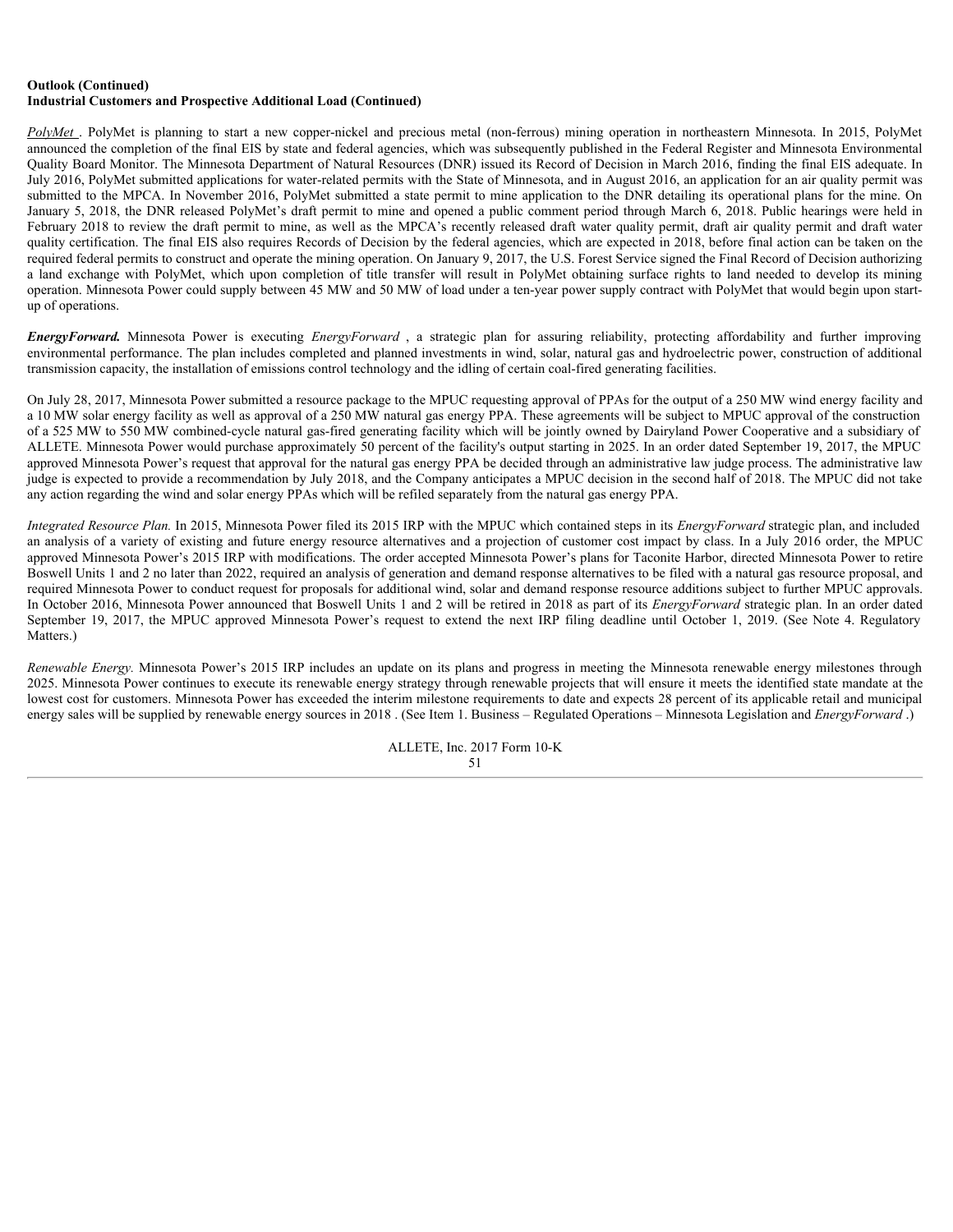#### **Outlook (Continued) Industrial Customers and Prospective Additional Load (Continued)**

**Outlook (Continued)**<br> **Industrial Customers and Prospective Additional Load (Continued)**<br> *PohyMet* . PolyMet is planning to start a new copper-nickel and precious metal (non-ferrous) mining operation in northeastern Minn announced the completion of the final EIS by state and federal agencies, which was subsequently published in the Federal Register and Minnesota Environmental Quality Board Monitor. The Minnesota Department of Natural Resources (DNR) issued its Record of Decision in March 2016, finding the final EIS adequate. In July 2016, PolyMet submitted applications for water-related permits with the State of Minnesota, and in August 2016, an application for an air quality permit was submitted to the MPCA. In November 2016, PolyMet submitted a state permit to mine application to the DNR detailing its operational plans for the mine. On January 5, 2018, the DNR released PolyMet's draft permit to mine and opened a public comment period through March 6, 2018. Public hearings were held in February 2018 to review the draft permit to mine, as well as the MPCA's recently released draft water quality permit, draft air quality permit and draft water quality certification. The final EIS also requires Records of Decision by the federal agencies, which are expected in 2018, before final action can be taken on the required federal permits to construct and operate the mining operation. On January 9, 2017, the U.S. Forest Service signed the Final Record of Decision authorizing **Dutlook (Continued)**<br> **Daulydec** - PolyMet is planning to start a new copper-nicel and precious metal (on-ferrous) minis operation in northeastern Minnssota. In 2015, PolyMet<br> **Randomeed the completion of the final EIS b** operation. Minnesota Power could supply between 45 MW and 50 MW of load under a ten-year power supply contract with PolyMet that would begin upon startup of operations. med) and Prospective Additional Load (Continued)<br>
in is a famine to fare In the famini agencies weblish was also<br>consult paiding one ratio and ER by state and Factorial consults and the massive consults and the<br>
multiplica Coolectic, Usylvei is planent is out in two cupper riskel and precisio mail (now Entouch minister) on the Minnesota Power River in the Minnesota Power River in the River and Ninnesota Power River and Minnesota Power River

**EnergyForward.** Minnesota Power is executing *EnergyForward*, a strategic plan for assuring reliability, protecting affordability and further improving environmental performance. The plan includes completed and planned investments in wind, solar, natural gas and hydroelectric power, construction of additional transmission capacity, the installation of emissions control technology and the idling of certain coal-fired generating facilities.

On July 28, 2017, Minnesota Power submitted a resource package to the MPUC requesting approval of PPAs for the output of a 250 MW wind energy facility and a 10 MW solar energy facility as well as approval of a 250 MW natural gas energy PPA. These agreements will be subject to MPUC approval of the construction of a 525 MW to 550 MW combined-cycle natural gas-fired generating facility which will be jointly owned by Dairyland Power Cooperative and a subsidiary of ALLETE. Minnesota Power would purchase approximately 50 percent of the facility's output starting in 2025. In an order dated September 19, 2017, the MPUC approved Minnesota Power's request that approval for the natural gas energy PPA be decided through an administrative law judge process. The administrative law judge is expected to provide a recommendation by July 2018, and the Company anticipates a MPUC decision in the second half of 2018. The MPUC did not take any action regarding the wind and solar energy PPAs which will be refiled separately from the natural gas energy PPA.

*Integrated Resource Plan.* In 2015, Minnesota Power filed its 2015 IRP with the MPUC which contained steps in its *EnergyForward* strategic plan, and included an analysis of a variety of existing and future energy resource alternatives and a projection of customer cost impact by class. In a July 2016 order, the MPUC approved Minnesota Power's 2015 IRP with modifications. The order accepted Minnesota Power's plans for Taconite Harbor, directed Minnesota Power to retire Boswell Units 1 and 2 no later than 2022, required an analysis of generation and demand response alternatives to be filed with a natural gas resource proposal, and required Minnesota Power to conduct request for proposals for additional wind, solar and demand response resource additions subject to further MPUC approvals. In October 2016, Minnesota Power announced that Boswell Units 1 and 2 will be retired in 2018 as part of its *EnergyForward* strategic plan. In an order dated Matters.)

*Renewable Energy.* Minnesota Power's 2015 IRP includes an update on its plans and progress in meeting the Minnesota renewable energy milestones through 2025. Minnesota Power continues to execute its renewable energy strategy through renewable projects that will ensure it meets the identified state mandate at the lowest cost for customers. Minnesota Power has exceeded the interim milestone requirements to date and expects 28 percent of its applicable retail and municipal energy sales will be supplied by renewable energy sources in 2018 . (See Item 1. Business – Regulated Operations – Minnesota Legislation and *EnergyForward* .)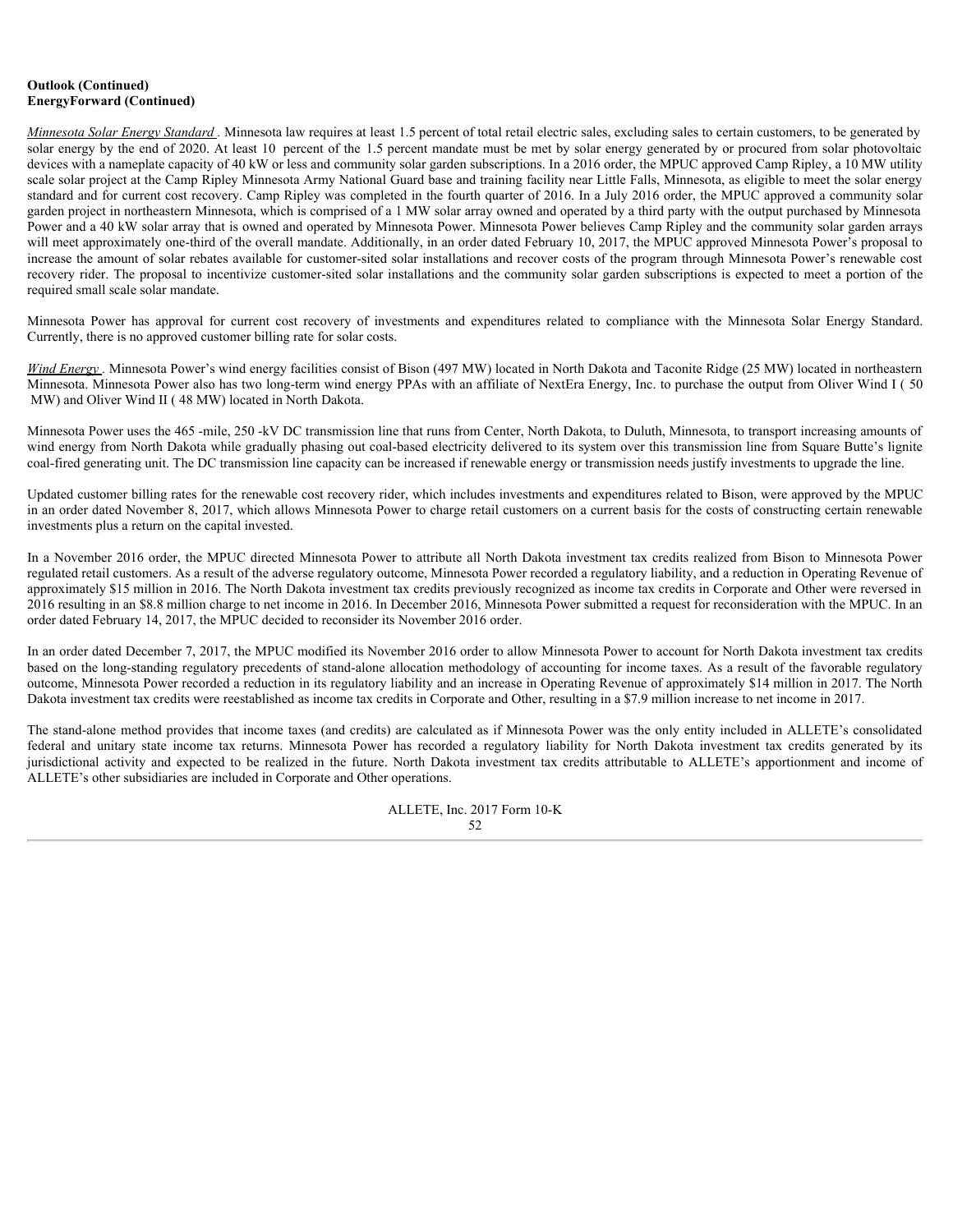# **Outlook (Continued) EnergyForward (Continued)**

*Minnesota Solar Energy Standard .* Minnesota law requires at least 1.5 percent of total retail electric sales, excluding sales to certain customers, to be generated by solar energy by the end of 2020. At least 10 percent of the 1.5 percent mandate must be met by solar energy generated by or procured from solar photovoltaic devices with a nameplate capacity of 40 kW or less and community solar garden subscriptions. In a 2016 order, the MPUC approved Camp Ripley, a 10 MW utility scale solar project at the Camp Ripley Minnesota Army National Guard base and training facility near Little Falls, Minnesota, as eligible to meet the solar energy standard and for current cost recovery. Camp Ripley was completed in the fourth quarter of 2016. In a July 2016 order, the MPUC approved a community solar garden project in northeastern Minnesota, which is comprised of a 1 MW solar array owned and operated by a third party with the output purchased by Minnesota Power and a 40 kW solar array that is owned and operated by Minnesota Power. Minnesota Power believes Camp Ripley and the community solar garden arrays will meet approximately one-third of the overall mandate. Additionally, in an order dated February 10, 2017, the MPUC approved Minnesota Power's proposal to increase the amount of solar rebates available for customer-sited solar installations and recover costs of the program through Minnesota Power's renewable cost recovery rider. The proposal to incentivize customer-sited solar installations and the community solar garden subscriptions is expected to meet a portion of the required small scale solar mandate. **Outleak (Continued)**<br> **Energy Forward (Continued)**<br> **Energy Forward (Continued)**<br> **Minnesota Move relates to recover of the 1.5 percent of the light expect investments be not by solar or<br>energy increase the minimal forces** 

Currently, there is no approved customer billing rate for solar costs.

*Wind Energy .* Minnesota Power's wind energy facilities consist of Bison (497 MW) located in North Dakota and Taconite Ridge (25 MW) located in northeastern Minnesota. Minnesota Power also has two long-term wind energy PPAs with an affiliate of NextEra Energy, Inc. to purchase the output from Oliver Wind I ( 50 MW) and Oliver Wind II ( 48 MW) located in North Dakota.

Minnesota Power uses the 465 -mile, 250 -kV DC transmission line that runs from Center, North Dakota, to Duluth, Minnesota, to transport increasing amounts of wind energy from North Dakota while gradually phasing out coal-based electricity delivered to its system over this transmission line from Square Butte's lignite coal-fired generating unit. The DC transmission line capacity can be increased if renewable energy or transmission needs justify investments to upgrade the line.

Updated customer billing rates for the renewable cost recovery rider, which includes investments and expenditures related to Bison, were approved by the MPUC in an order dated November 8, 2017, which allows Minnesota Power to charge retail customers on a current basis for the costs of constructing certain renewable investments plus a return on the capital invested.

In a November 2016 order, the MPUC directed Minnesota Power to attribute all North Dakota investment tax credits realized from Bison to Minnesota Power regulated retail customers. As a result of the adverse regulatory outcome, Minnesota Power recorded a regulatory liability, and a reduction in Operating Revenue of approximately \$15 million in 2016. The North Dakota investment tax credits previously recognized as income tax credits in Corporate and Other were reversed in 2016 resulting in an \$8.8 million charge to net income in 2016. In December 2016, Minnesota Power submitted a request for reconsideration with the MPUC. In an order dated February 14, 2017, the MPUC decided to reconsider its November 2016 order. will meet the state in the constitution of the state income tax returns. All account the state income tax returns in the state of the state income to the state income the state income to the state income tax returns the st jurisdictional activity and the south of the realistic in the future investment in the future properties and the future of the realistic state of the realistic line of the future of the future of the future of the future o

In an order dated December 7, 2017, the MPUC modified its November 2016 order to allow Minnesota Power to account for North Dakota investment tax credits based on the long-standing regulatory precedents of stand-alone allocation methodology of accounting for income taxes. As a result of the favorable regulatory outcome, Minnesota Power recorded a reduction in its regulatory liability and an increase in Operating Revenue of approximately \$14 million in 2017. The North Dakota investment tax credits were reestablished as income tax credits in Corporate and Other, resulting in a \$7.9 million increase to net income in 2017.

The stand-alone method provides that income taxes (and credits) are calculated as if Minnesota Power was the only entity included in ALLETE's consolidated ALLETE's other subsidiaries are included in Corporate and Other operations.

ALLETE, Inc. 2017 Form 10-K

#### 52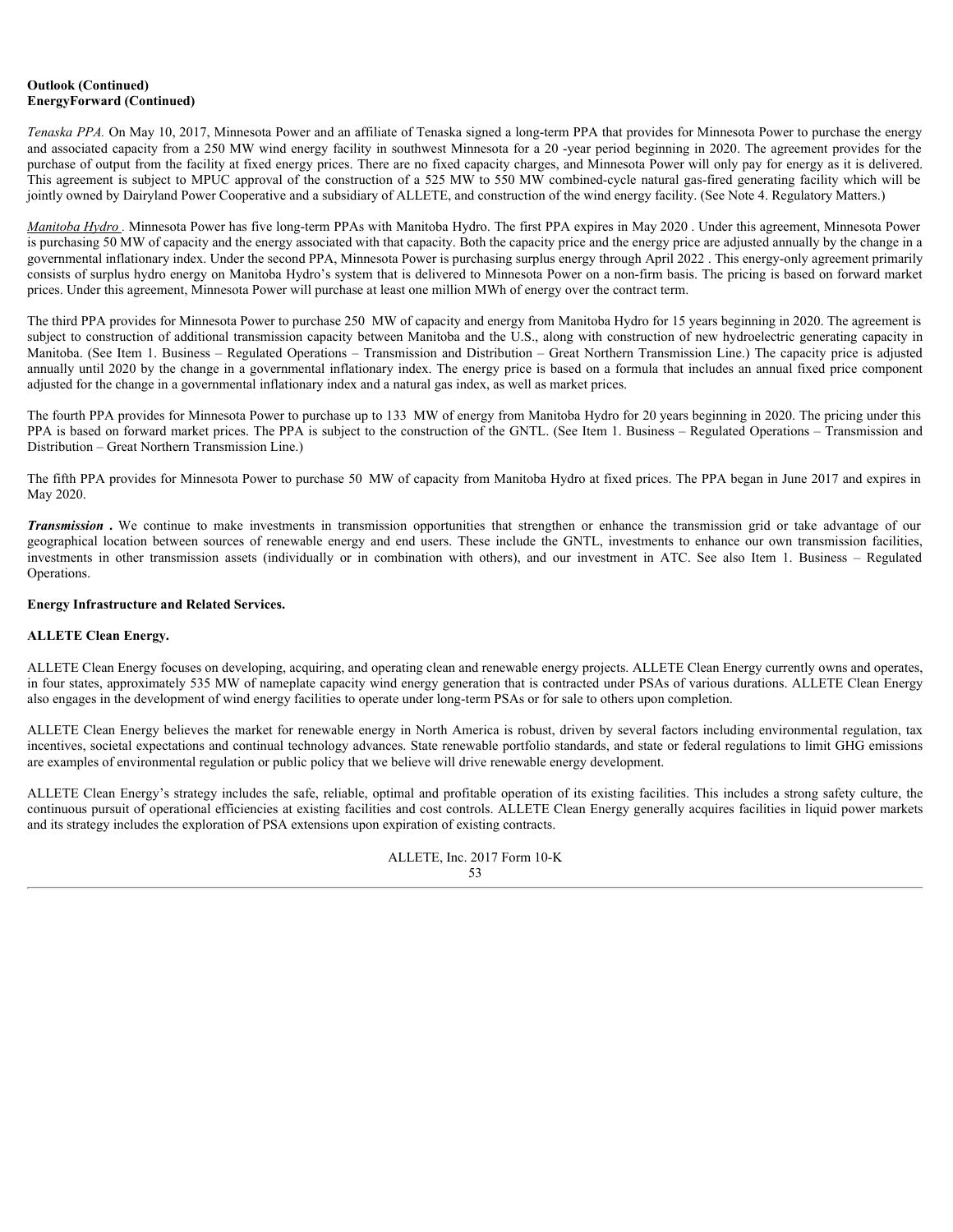# **Outlook (Continued) EnergyForward (Continued)**

*Tenaska PPA.* On May 10, 2017, Minnesota Power and an affiliate of Tenaska signed a long-term PPA that provides for Minnesota Power to purchase the energy and associated capacity from a 250 MW wind energy facility in southwest Minnesota for a 20 -year period beginning in 2020. The agreement provides for the purchase of output from the facility at fixed energy prices. There are no fixed capacity charges, and Minnesota Power will only pay for energy as it is delivered. This agreement is subject to MPUC approval of the construction of a 525 MW to 550 MW combined-cycle natural gas-fired generating facility which will be jointly owned by Dairyland Power Cooperative and a subsidiary of ALLETE, and construction of the wind energy facility. (See Note 4. Regulatory Matters.)

*Manitoba Hydro .* Minnesota Power has five long-term PPAs with Manitoba Hydro. The first PPA expires in May 2020 . Under this agreement, Minnesota Power is purchasing 50 MW of capacity and the energy associated with that capacity. Both the capacity price and the energy price are adjusted annually by the change in a governmental inflationary index. Under the second PPA, Minnesota Power is purchasing surplus energy through April 2022 . This energy-only agreement primarily consists of surplus hydro energy on Manitoba Hydro's system that is delivered to Minnesota Power on a non-firm basis. The pricing is based on forward market prices. Under this agreement, Minnesota Power will purchase at least one million MWh of energy over the contract term.

The third PPA provides for Minnesota Power to purchase 250 MW of capacity and energy from Manitoba Hydro for 15 years beginning in 2020. The agreement is subject to construction of additional transmission capacity between Manitoba and the U.S., along with construction of new hydroelectric generating capacity in Manitoba. (See Item 1. Business – Regulated Operations – Transmission and Distribution – Great Northern Transmission Line.) The capacity price is adjusted annually until 2020 by the change in a governmental inflationary index. The energy price is based on a formula that includes an annual fixed price component adjusted for the change in a governmental inflationary index and a natural gas index, as well as market prices. **direct)**<br> **(Continue to make investments in training of Tensha signed a long-term PPA but previoles for Minnosoh Power to purchase the energy put to the material purchase in the transmission of the transmission of the tra** Onlines (Cantimed)<br>Troncha PPs: (1) Norman Power and an affiliate of Tennsis agent at long-term PPA bat provides in Formosta Power to purchase the energy formula and streated energy formula and streated energy formula and Outlook (Continued)<br>Intergree-ard (Continued)<br>Intergree-ard (Continued)<br>Forest Price (in Michael Power and an iffiliate of Tennia highed Jong-tem PPA foli provide is Ministed Power to purchas for our investments of our<br>pro

The fourth PPA provides for Minnesota Power to purchase up to 133 MW of energy from Manitoba Hydro for 20 years beginning in 2020. The pricing under this PPA is based on forward market prices. The PPA is subject to the construction of the GNTL. (See Item 1. Business – Regulated Operations – Transmission and Distribution – Great Northern Transmission Line.)

The fifth PPA provides for Minnesota Power to purchase 50 MW of capacity from Manitoba Hydro at fixed prices. The PPA began in June 2017 and expires in May 2020.

*Transmission*. We continue to make investments in transmission opportunities that strengthen or enhance the transmission grid or take advantage of our Operations.

# **Energy Infrastructure and Related Services.**

# **ALLETE Clean Energy.**

ALLETE Clean Energy focuses on developing, acquiring, and operating clean and renewable energy projects. ALLETE Clean Energy currently owns and operates, in four states, approximately 535 MW of nameplate capacity wind energy generation that is contracted under PSAs of various durations. ALLETE Clean Energy also engages in the development of wind energy facilities to operate under long-term PSAs or for sale to others upon completion.

ALLETE Clean Energy believes the market for renewable energy in North America is robust, driven by several factors including environmental regulation, tax incentives, societal expectations and continual technology advances. State renewable portfolio standards, and state or federal regulations to limit GHG emissions are examples of environmental regulation or public policy that we believe will drive renewable energy development.

ALLETE Clean Energy's strategy includes the safe, reliable, optimal and profitable operation of its existing facilities. This includes a strong safety culture, the continuous pursuit of operational efficiencies at existing facilities and cost controls. ALLETE Clean Energy generally acquires facilities in liquid power markets and its strategy includes the exploration of PSA extensions upon expiration of existing contracts.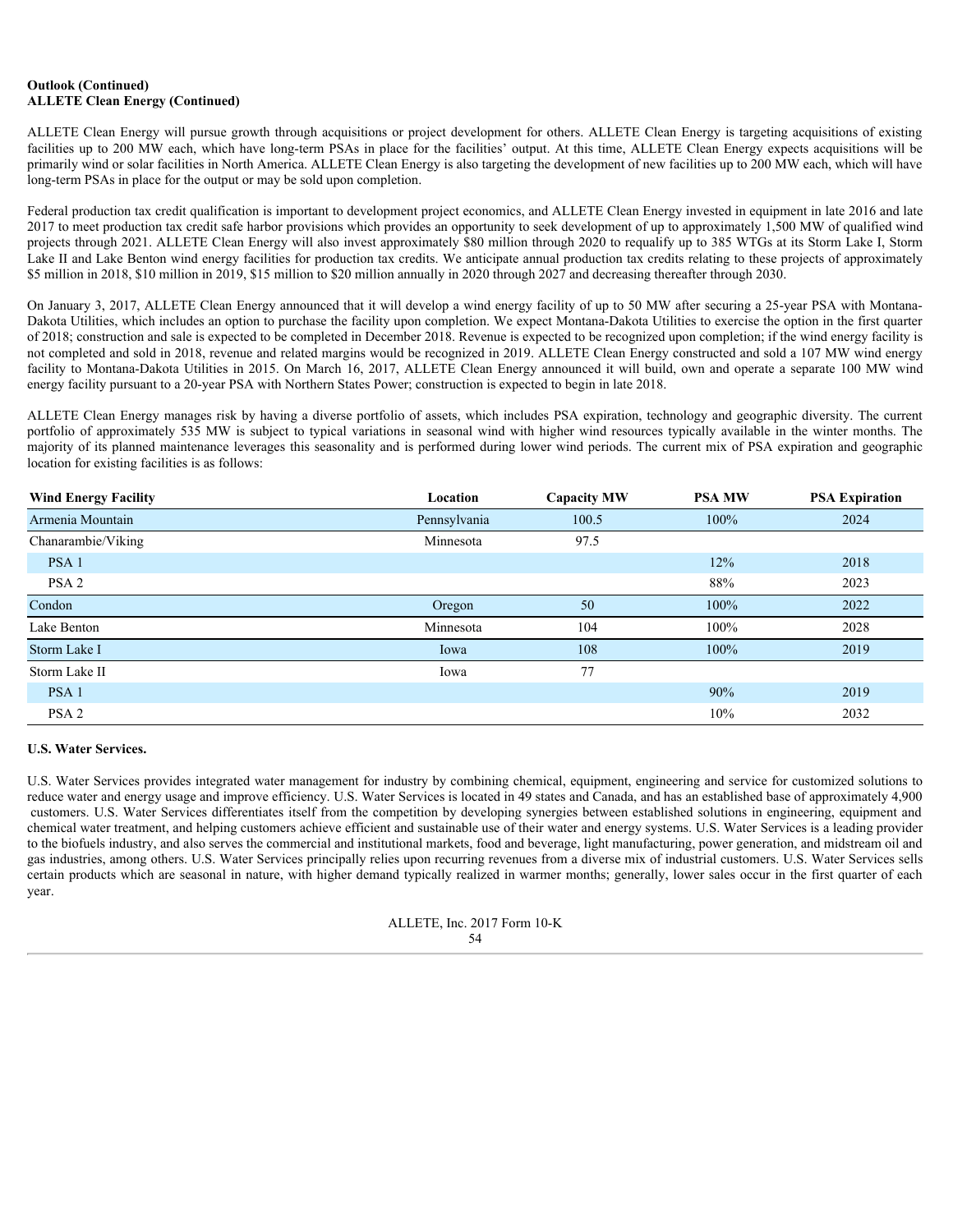# **Outlook (Continued) ALLETE Clean Energy (Continued)**

ALLETE Clean Energy will pursue growth through acquisitions or project development for others. ALLETE Clean Energy is targeting acquisitions of existing facilities up to 200 MW each, which have long-term PSAs in place for the facilities' output. At this time, ALLETE Clean Energy expects acquisitions will be primarily wind or solar facilities in North America. ALLETE Clean Energy is also targeting the development of new facilities up to 200 MW each, which will have long-term PSAs in place for the output or may be sold upon completion.

Federal production tax credit qualification is important to development project economics, and ALLETE Clean Energy invested in equipment in late 2016 and late 2017 to meet production tax credit safe harbor provisions which provides an opportunity to seek development of up to approximately 1,500 MW of qualified wind projects through 2021. ALLETE Clean Energy will also invest approximately \$80 million through 2020 to requalify up to 385 WTGs at its Storm Lake I, Storm Lake II and Lake Benton wind energy facilities for production tax credits. We anticipate annual production tax credits relating to these projects of approximately \$5 million in 2018, \$10 million in 2019, \$15 million to \$20 million annually in 2020 through 2027 and decreasing thereafter through 2030.

On January 3, 2017, ALLETE Clean Energy announced that it will develop a wind energy facility of up to 50 MW after securing a 25-year PSA with Montana-Dakota Utilities, which includes an option to purchase the facility upon completion. We expect Montana-Dakota Utilities to exercise the option in the first quarter of 2018; construction and sale is expected to be completed in December 2018. Revenue is expected to be recognized upon completion; if the wind energy facility is not completed and sold in 2018, revenue and related margins would be recognized in 2019. ALLETE Clean Energy constructed and sold a 107 MW wind energy facility to Montana-Dakota Utilities in 2015. On March 16, 2017, ALLETE Clean Energy announced it will build, own and operate a separate 100 MW wind energy facility pursuant to a 20-year PSA with Northern States Power; construction is expected to begin in late 2018. **Outleek (Continued)**<br>
ALLETE Clean Fasegy of largost growth frough acquisitions or project development for ches. ATLETE Clean Frangy is targeting sequisitions of evising<br>
metrinty with exact fractions in Newton ALLETE Cle

ALLETE Clean Energy manages risk by having a diverse portfolio of assets, which includes PSA expiration, technology and geographic diversity. The current majority of its planned maintenance leverages this seasonality and is performed during lower wind periods. The current mix of PSA expiration and geographic location for existing facilities is as follows:

| <b>Wind Energy Facility</b> | Location     | <b>Capacity MW</b> | <b>PSA MW</b> | <b>PSA Expiration</b> |
|-----------------------------|--------------|--------------------|---------------|-----------------------|
| Armenia Mountain            | Pennsylvania | 100.5              | 100%          | 2024                  |
| Chanarambie/Viking          | Minnesota    | 97.5               |               |                       |
| PSA <sub>1</sub>            |              |                    | 12%           | 2018                  |
| PSA <sub>2</sub>            |              |                    | 88%           | 2023                  |
| Condon                      | Oregon       | 50                 | 100%          | 2022                  |
| Lake Benton                 | Minnesota    | 104                | $100\%$       | 2028                  |
| Storm Lake I                | Iowa         | 108                | 100%          | 2019                  |
| Storm Lake II               | Iowa         | 77                 |               |                       |
| PSA <sub>1</sub>            |              |                    | 90%           | 2019                  |
| PSA <sub>2</sub>            |              |                    | 10%           | 2032                  |

#### **U.S. Water Services.**

U.S. Water Services provides integrated water management for industry by combining chemical, equipment, engineering and service for customized solutions to reduce water and energy usage and improve efficiency. U.S. Water Services is located in 49 states and Canada, and has an established base of approximately 4,900 customers. U.S. Water Services differentiates itself from the competition by developing synergies between established solutions in engineering, equipment and chemical water treatment, and helping customers achieve efficient and sustainable use of their water and energy systems. U.S. Water Services is a leading provider to the biofuels industry, and also serves the commercial and institutional markets, food and beverage, light manufacturing, power generation, and midstream oil and gas industries, among others. U.S. Water Services principally relies upon recurring revenues from a diverse mix of industrial customers. U.S. Water Services sells certain products which are seasonal in nature, with higher demand typically realized in warmer months; generally, lower sales occur in the first quarter of each year.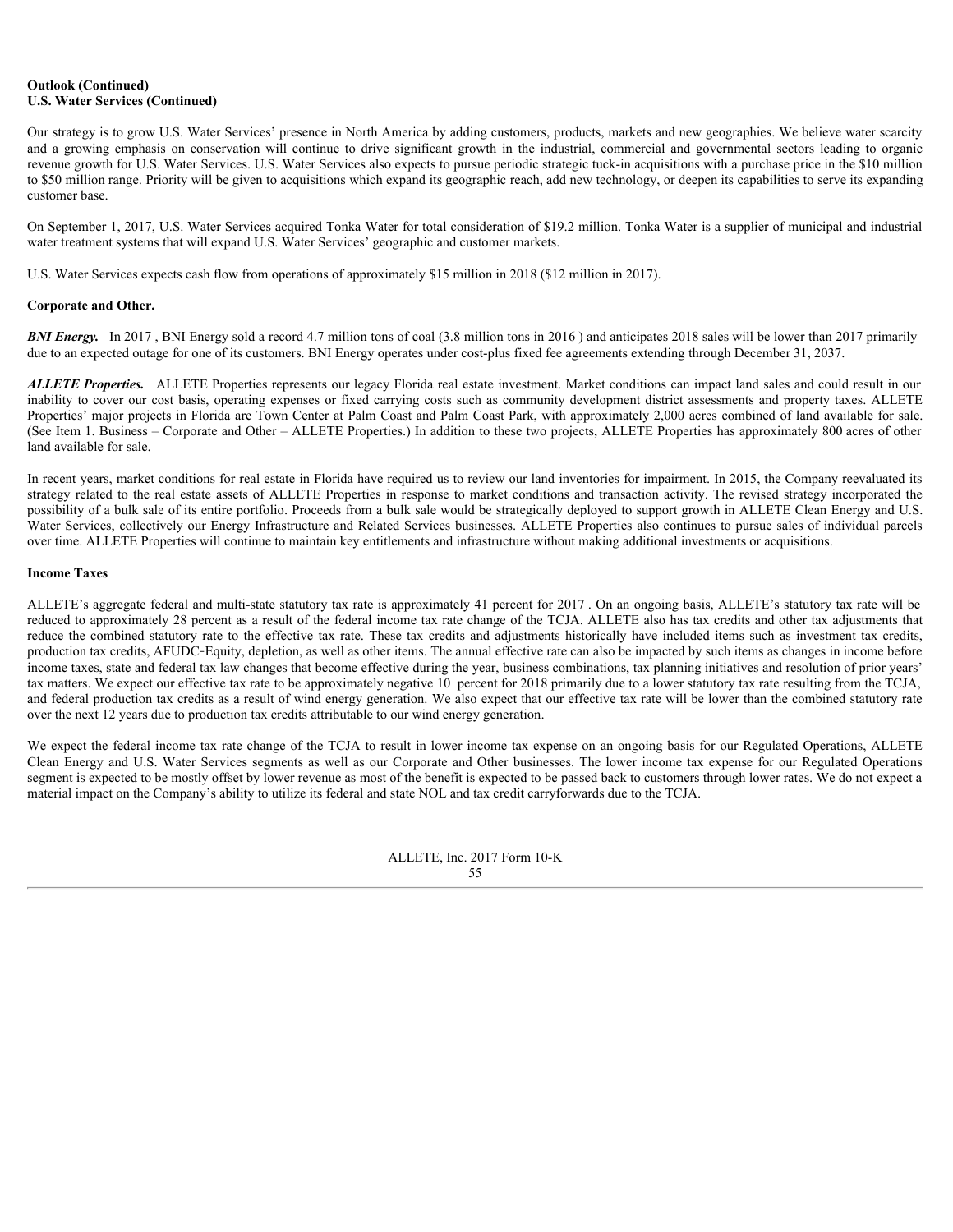# **Outlook (Continued) U.S. Water Services (Continued)**

Our strategy is to grow U.S. Water Services' presence in North America by adding customers, products, markets and new geographies. We believe water scarcity **Outlook (Continued)**<br>
U.S. Water Services (Continued)<br>
Our strategy is to grow U.S. Water Services' presence in North America by adding customers, products, markets and new geographies. We believe water scarcity<br>
Our Stra revenue growth for U.S. Water Services. U.S. Water Services also expects to pursue periodic strategic tuck-in acquisitions with a purchase price in the \$10 million to \$50 million range. Priority will be given to acquisitions which expand its geographic reach, add new technology, or deepen its capabilities to serve its expanding customer base.

On September 1, 2017, U.S. Water Services acquired Tonka Water for total consideration of \$19.2 million. Tonka Water is a supplier of municipal and industrial water treatment systems that will expand U.S. Water Services' geographic and customer markets.

U.S. Water Services expects cash flow from operations of approximately \$15 million in 2018 (\$12 million in 2017).

#### **Corporate and Other.**

**BNI Energy.** In 2017, BNI Energy sold a record 4.7 million tons of coal (3.8 million tons in 2016) and anticipates 2018 sales will be lower than 2017 primarily due to an expected outage for one of its customers. BNI Energy operates under cost-plus fixed fee agreements extending through December 31, 2037.

*ALLETE Properties.* ALLETE Properties represents our legacy Florida real estate investment. Market conditions can impact land sales and could result in our inability to cover our cost basis, operating expenses or fixed carrying costs such as community development district assessments and property taxes. ALLETE Properties' major projects in Florida are Town Center at Palm Coast and Palm Coast Park, with approximately 2,000 acres combined of land available for sale. (See Item 1. Business – Corporate and Other – ALLETE Properties.) In addition to these two projects, ALLETE Properties has approximately 800 acres of other land available for sale.

In recent years, market conditions for real estate in Florida have required us to review our land inventories for impairment. In 2015, the Company reevaluated its strategy related to the real estate assets of ALLETE Properties in response to market conditions and transaction activity. The revised strategy incorporated the possibility of a bulk sale of its entire portfolio. Proceeds from a bulk sale would be strategically deployed to support growth in ALLETE Clean Energy and U.S. Water Services, collectively our Energy Infrastructure and Related Services businesses. ALLETE Properties also continues to pursue sales of individual parcels over time. ALLETE Properties will continue to maintain key entitlements and infrastructure without making additional investments or acquisitions.

#### **Income Taxes**

ALLETE's aggregate federal and multi-state statutory tax rate is approximately 41 percent for 2017 . On an ongoing basis, ALLETE's statutory tax rate will be reduced to approximately 28 percent as a result of the federal income tax rate change of the TCJA. ALLETE also has tax credits and other tax adjustments that Our antereduce to go we U.S. Wars Service in precise in Newtonbey and adjustments pointed, and advantage in the effective transfer in the effective transfer in the effective transfer in the effective transfer in the effec production tax credits, AFUDC-Equity, depletion, as well as other items. The annual effective rate can also be impacted by such items as changes in income before income taxes, state and federal tax law changes that become effective during the year, business combinations, tax planning initiatives and resolution of prior years' tax matters. We expect our effective tax rate to be approximately negative 10 percent for 2018 primarily due to a lower statutory tax rate resulting from the TCJA, and federal production tax credits as a result of wind energy generation. We also expect that our effective tax rate will be lower than the combined statutory rate over the next 12 years due to production tax credits attributable to our wind energy generation. CLE Water Services expect cash that from the core of the two sets in the search is the secure of the base and the corporation of the services of the services of the lower income in 2015 and assignments and Other.<br>Any Lear

We expect the federal income tax rate change of the TCJA to result in lower income tax expense on an ongoing basis for our Regulated Operations, ALLETE segment is expected to be mostly offset by lower revenue as most of the benefit is expected to be passed back to customers through lower rates. We do not expect a material impact on the Company's ability to utilize its federal and state NOL and tax credit carryforwards due to the TCJA.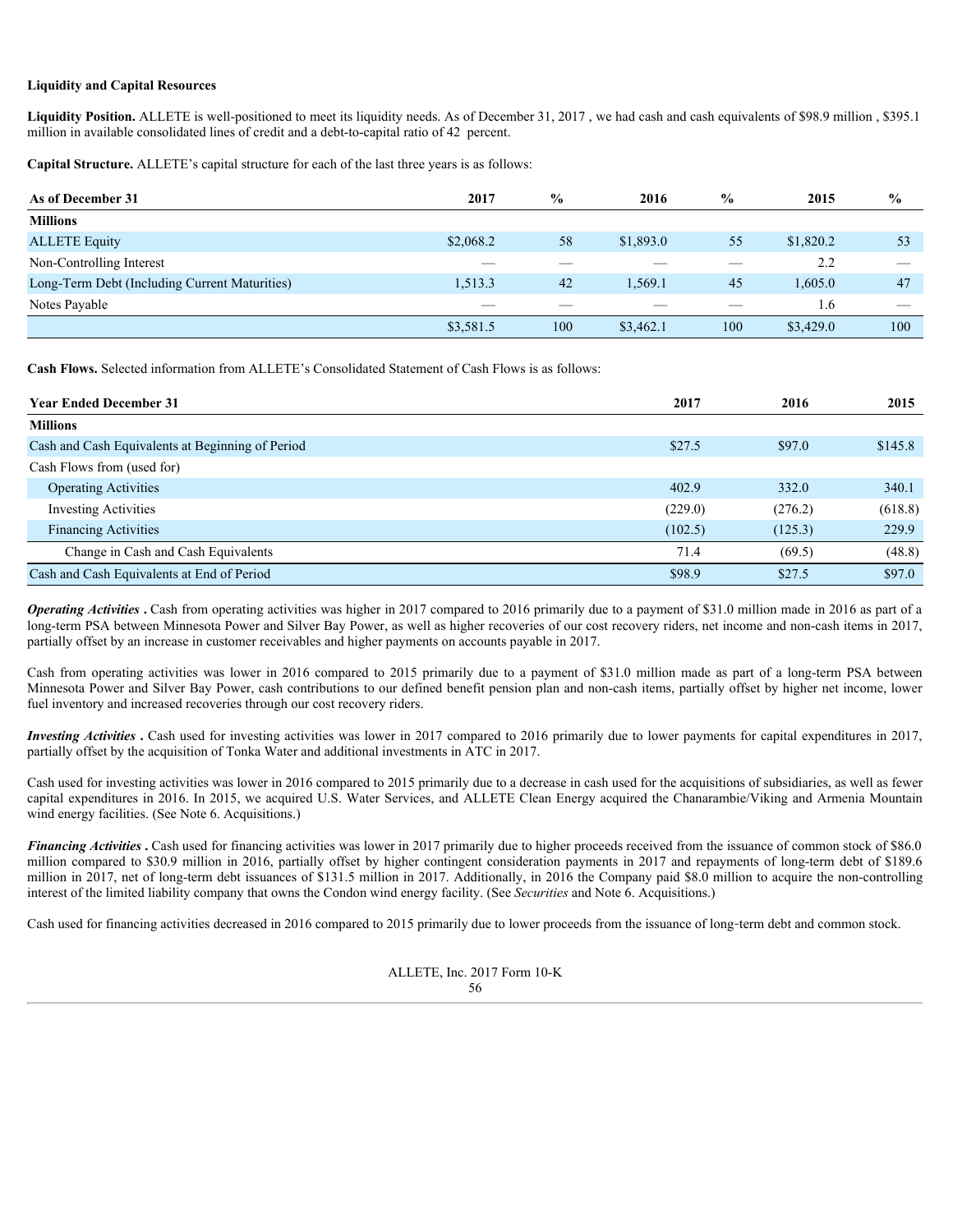#### **Liquidity and Capital Resources**

**Liquidity Position.** ALLETE is well-positioned to meet its liquidity needs. As of December 31, 2017 , we had cash and cash equivalents of \$98.9 million , \$395.1 million in available consolidated lines of credit and a debt-to-capital ratio of 42 percent.

**Capital Structure.** ALLETE's capital structure for each of the last three years is as follows:

| As of December 31                             | 2017                            | $\frac{0}{0}$                   | 2016                            | $\frac{6}{9}$            | 2015      | $\frac{0}{0}$                   |
|-----------------------------------------------|---------------------------------|---------------------------------|---------------------------------|--------------------------|-----------|---------------------------------|
| <b>Millions</b>                               |                                 |                                 |                                 |                          |           |                                 |
| <b>ALLETE Equity</b>                          | \$2,068.2                       | 58                              | \$1,893.0                       | 55                       | \$1,820.2 | 53                              |
| Non-Controlling Interest                      | $\overline{\phantom{a}}$        |                                 | $\overbrace{\hspace{25mm}}^{}$  | $\overline{\phantom{a}}$ | 2.2       | $\overbrace{\hspace{25mm}}^{}$  |
| Long-Term Debt (Including Current Maturities) | 1,513.3                         | 42                              | 1,569.1                         | 45                       | 1,605.0   | 47                              |
| Notes Payable                                 | $\hspace{0.1mm}-\hspace{0.1mm}$ | $\hspace{0.1mm}-\hspace{0.1mm}$ | $\hspace{0.1mm}-\hspace{0.1mm}$ | $\overline{\phantom{m}}$ | 1.0       | $\hspace{0.1mm}-\hspace{0.1mm}$ |
|                                               | \$3,581.5                       | 100                             | \$3,462.1                       | 100                      | \$3,429.0 | 100                             |

| As of December 31                                                                                                                                                                                                                                                                                                                                                                                                                                                                                                                                                                                                                                                                | 2017                        | $\%$ | 2016      | $\%$              | 2015      | $\%$            |
|----------------------------------------------------------------------------------------------------------------------------------------------------------------------------------------------------------------------------------------------------------------------------------------------------------------------------------------------------------------------------------------------------------------------------------------------------------------------------------------------------------------------------------------------------------------------------------------------------------------------------------------------------------------------------------|-----------------------------|------|-----------|-------------------|-----------|-----------------|
| <b>Millions</b>                                                                                                                                                                                                                                                                                                                                                                                                                                                                                                                                                                                                                                                                  |                             |      |           |                   |           |                 |
| <b>ALLETE Equity</b>                                                                                                                                                                                                                                                                                                                                                                                                                                                                                                                                                                                                                                                             | \$2,068.2                   | 58   | \$1,893.0 | 55                | \$1,820.2 | 53              |
| Non-Controlling Interest                                                                                                                                                                                                                                                                                                                                                                                                                                                                                                                                                                                                                                                         |                             |      |           | $\qquad \qquad$   | 2.2       | $\qquad \qquad$ |
| Long-Term Debt (Including Current Maturities)                                                                                                                                                                                                                                                                                                                                                                                                                                                                                                                                                                                                                                    | 1,513.3                     | 42   | 1,569.1   | 45                | 1,605.0   | 47              |
| Notes Payable                                                                                                                                                                                                                                                                                                                                                                                                                                                                                                                                                                                                                                                                    |                             |      |           | $\hspace{0.05cm}$ | 1.6       | $\qquad \qquad$ |
|                                                                                                                                                                                                                                                                                                                                                                                                                                                                                                                                                                                                                                                                                  | \$3,581.5                   | 100  | \$3,462.1 | 100               | \$3,429.0 | 100             |
| Cash Flows. Selected information from ALLETE's Consolidated Statement of Cash Flows is as follows:                                                                                                                                                                                                                                                                                                                                                                                                                                                                                                                                                                               |                             |      |           |                   |           |                 |
| <b>Year Ended December 31</b>                                                                                                                                                                                                                                                                                                                                                                                                                                                                                                                                                                                                                                                    |                             |      | 2017      |                   | 2016      | 2015            |
| <b>Millions</b>                                                                                                                                                                                                                                                                                                                                                                                                                                                                                                                                                                                                                                                                  |                             |      |           |                   |           |                 |
| Cash and Cash Equivalents at Beginning of Period                                                                                                                                                                                                                                                                                                                                                                                                                                                                                                                                                                                                                                 |                             |      | \$27.5    |                   | \$97.0    | \$145.8         |
| Cash Flows from (used for)                                                                                                                                                                                                                                                                                                                                                                                                                                                                                                                                                                                                                                                       |                             |      |           |                   |           |                 |
| <b>Operating Activities</b>                                                                                                                                                                                                                                                                                                                                                                                                                                                                                                                                                                                                                                                      |                             |      | 402.9     |                   | 332.0     | 340.1           |
| <b>Investing Activities</b>                                                                                                                                                                                                                                                                                                                                                                                                                                                                                                                                                                                                                                                      |                             |      | (229.0)   |                   | (276.2)   | (618.8)         |
| <b>Financing Activities</b>                                                                                                                                                                                                                                                                                                                                                                                                                                                                                                                                                                                                                                                      |                             |      | (102.5)   |                   | (125.3)   | 229.9           |
| Change in Cash and Cash Equivalents                                                                                                                                                                                                                                                                                                                                                                                                                                                                                                                                                                                                                                              |                             |      | 71.4      |                   | (69.5)    | (48.8)          |
| Cash and Cash Equivalents at End of Period                                                                                                                                                                                                                                                                                                                                                                                                                                                                                                                                                                                                                                       |                             |      | \$98.9    |                   | \$27.5    | \$97.0          |
| long-term PSA between Minnesota Power and Silver Bay Power, as well as higher recoveries of our cost recovery riders, net income and non-cash items in 2017,<br>partially offset by an increase in customer receivables and higher payments on accounts payable in 2017.<br>Cash from operating activities was lower in 2016 compared to 2015 primarily due to a payment of \$31.0 million made as part of a long-term PSA between<br>Minnesota Power and Silver Bay Power, cash contributions to our defined benefit pension plan and non-cash items, partially offset by higher net income, lower<br>fuel inventory and increased recoveries through our cost recovery riders. |                             |      |           |                   |           |                 |
| Investing Activities . Cash used for investing activities was lower in 2017 compared to 2016 primarily due to lower payments for capital expenditures in 2017,<br>partially offset by the acquisition of Tonka Water and additional investments in ATC in 2017.                                                                                                                                                                                                                                                                                                                                                                                                                  |                             |      |           |                   |           |                 |
| Cash used for investing activities was lower in 2016 compared to 2015 primarily due to a decrease in cash used for the acquisitions of subsidiaries, as well as fewer<br>capital expenditures in 2016. In 2015, we acquired U.S. Water Services, and ALLETE Clean Energy acquired the Chanarambie/Viking and Armenia Mountain<br>wind energy facilities. (See Note 6. Acquisitions.)                                                                                                                                                                                                                                                                                             |                             |      |           |                   |           |                 |
| Financing Activities . Cash used for financing activities was lower in 2017 primarily due to higher proceeds received from the issuance of common stock of \$86.0<br>million compared to \$30.9 million in 2016, partially offset by higher contingent consideration payments in 2017 and repayments of long-term debt of \$189.6<br>million in 2017, net of long-term debt issuances of \$131.5 million in 2017. Additionally, in 2016 the Company paid \$8.0 million to acquire the non-controlling<br>interest of the limited liability company that owns the Condon wind energy facility. (See Securities and Note 6. Acquisitions.)                                         |                             |      |           |                   |           |                 |
| Cash used for financing activities decreased in 2016 compared to 2015 primarily due to lower proceeds from the issuance of long-term debt and common stock.                                                                                                                                                                                                                                                                                                                                                                                                                                                                                                                      |                             |      |           |                   |           |                 |
|                                                                                                                                                                                                                                                                                                                                                                                                                                                                                                                                                                                                                                                                                  | ALLETE, Inc. 2017 Form 10-K |      |           |                   |           |                 |
|                                                                                                                                                                                                                                                                                                                                                                                                                                                                                                                                                                                                                                                                                  | 56                          |      |           |                   |           |                 |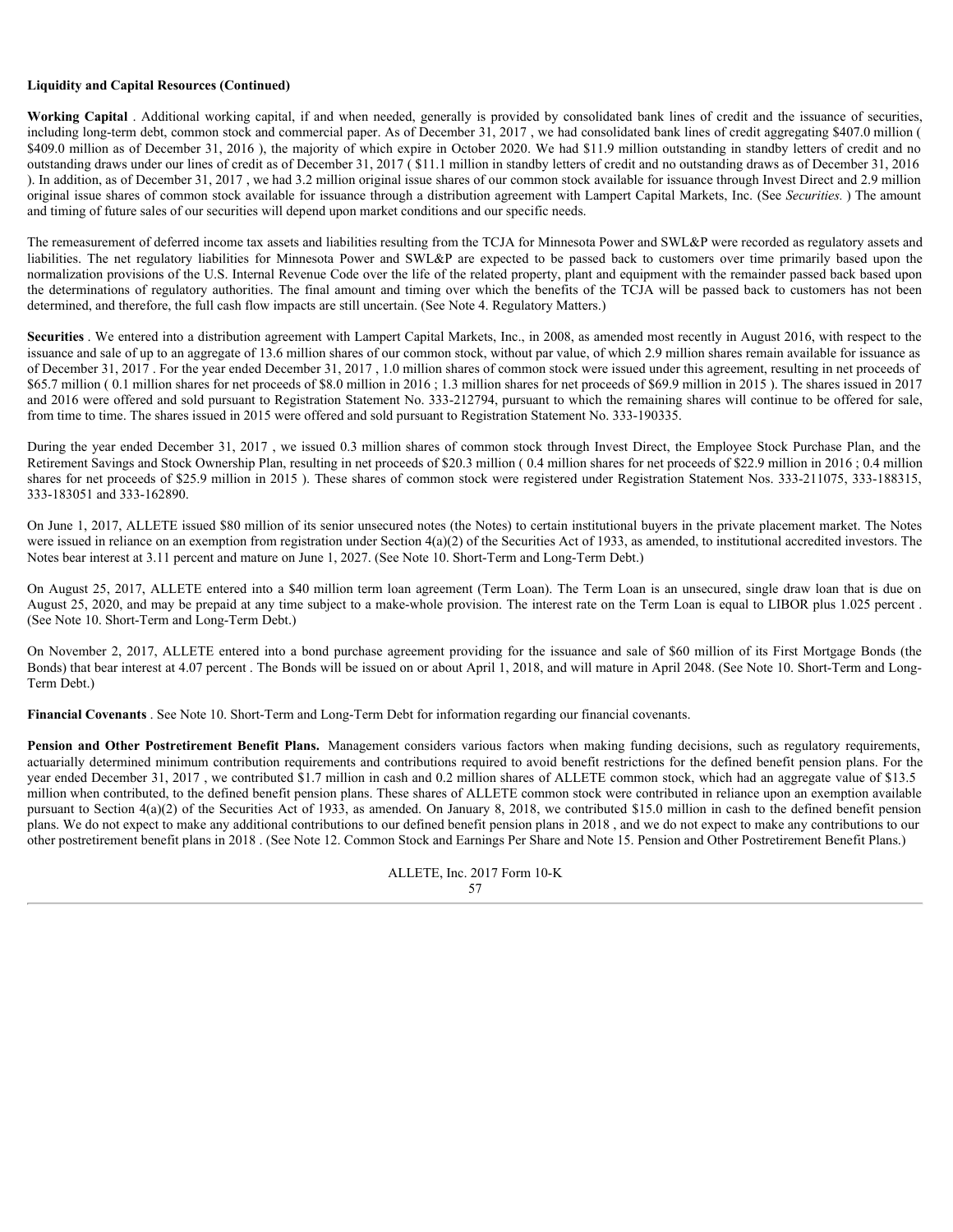# **Liquidity and Capital Resources (Continued)**

**Liquidity and Capital Resources (Continued)**<br> **Working Capital** . Additional working capital, if and when needed, generally is provided by consolidated bank lines of credit and the issuance of securities, including long-t including long-term debt, common stock and commercial paper. As of December 31, 2017 , we had consolidated bank lines of credit aggregating \$407.0 million ( \$409.0 million as of December 31, 2016), the majority of which expire in October 2020. We had \$11.9 million outstanding in standby letters of credit and no outstanding draws under our lines of credit as of December 31, 2017 ( \$11.1 million in standby letters of credit and no outstanding draws as of December 31, 2016 ). In addition, as of December 31, 2017 , we had 3.2 million original issue shares of our common stock available for issuance through Invest Direct and 2.9 million original issue shares of common stock available for issuance through a distribution agreement with Lampert Capital Markets, Inc. (See *Securities.* ) The amount and timing of future sales of our securities will depend upon market conditions and our specific needs. **Liquidity and Capital Resources (Continued)**<br> **Working Capital** . Additional working capital, if and when needed, generally is provided by consolidated bank lines of credit and the issuance of securities, satisfy compute

The remeasurement of deferred income tax assets and liabilities resulting from the TCJA for Minnesota Power and SWL&P were recorded as regulatory assets and normalization provisions of the U.S. Internal Revenue Code over the life of the related property, plant and equipment with the remainder passed back based upon the determinations of regulatory authorities. The final amount and timing over which the benefits of the TCJA will be passed back to customers has not been determined, and therefore, the full cash flow impacts are still uncertain. (See Note 4. Regulatory Matters.)

**Securities** . We entered into a distribution agreement with Lampert Capital Markets, Inc., in 2008, as amended most recently in August 2016, with respect to the issuance and sale of up to an aggregate of 13.6 million shares of our common stock, without par value, of which 2.9 million shares remain available for issuance as of December 31, 2017 . For the year ended December 31, 2017 , 1.0 million shares of common stock were issued under this agreement, resulting in net proceeds of \$65.7 million ( 0.1 million shares for net proceeds of \$8.0 million in 2016 ; 1.3 million shares for net proceeds of \$69.9 million in 2015 ). The shares issued in 2017 and 2016 were offered and sold pursuant to Registration Statement No. 333-212794, pursuant to which the remaining shares will continue to be offered for sale, from time to time. The shares issued in 2015 were offered and sold pursuant to Registration Statement No. 333-190335. S400 all 2016 care of becomes 3). Color, S60 million is the interest of the interest of the interest of the interest of the interest of the interest of the interest of the interest of the interest of the interest of the in

During the year ended December 31, 2017 , we issued 0.3 million shares of common stock through Invest Direct, the Employee Stock Purchase Plan, and the Retirement Savings and Stock Ownership Plan, resulting in net proceeds of \$20.3 million ( 0.4 million shares for net proceeds of \$22.9 million in 2016 ; 0.4 million shares for net proceeds of \$25.9 million in 2015 ). These shares of common stock were registered under Registration Statement Nos. 333-211075, 333-188315, 333-183051 and 333-162890.

On June 1, 2017, ALLETE issued \$80 million of its senior unsecured notes (the Notes) to certain institutional buyers in the private placement market. The Notes were issued in reliance on an exemption from registration under Section 4(a)(2) of the Securities Act of 1933, as amended, to institutional accredited investors. The Notes bear interest at 3.11 percent and mature on June 1, 2027. (See Note 10. Short-Term and Long-Term Debt.)

On August 25, 2017, ALLETE entered into a \$40 million term loan agreement (Term Loan). The Term Loan is an unsecured, single draw loan that is due on August 25, 2020, and may be prepaid at any time subject to a make-whole provision. The interest rate on the Term Loan is equal to LIBOR plus 1.025 percent . (See Note 10. Short-Term and Long-Term Debt.)

Bonds) that bear interest at 4.07 percent . The Bonds will be issued on or about April 1, 2018, and will mature in April 2048. (See Note 10. Short-Term and Long-Term Debt.)

**Financial Covenants** . See Note 10. Short-Term and Long-Term Debt for information regarding our financial covenants.

The memorial original track in the states in the state of the media in consider the Management of the Management of the Management of the Management of the U.S. and NM and NM and NM and NM and NM and NM and NM and NM and actuarially determined minimum contribution requirements and contributions required to avoid benefit restrictions for the defined benefit pension plans. For the year ended December 31, 2017 , we contributed \$1.7 million in cash and 0.2 million shares of ALLETE common stock, which had an aggregate value of \$13.5 million when contributed, to the defined benefit pension plans. These shares of ALLETE common stock were contributed in reliance upon an exemption available pursuant to Section 4(a)(2) of the Securities Act of 1933, as amended. On January 8, 2018, we contributed \$15.0 million in cash to the defined benefit pension plans. We do not expect to make any additional contributions to our defined benefit pension plans in 2018 , and we do not expect to make any contributions to our other postretirement benefit plans in 2018 . (See Note 12. Common Stock and Earnings Per Share and Note 15. Pension and Other Postretirement Benefit Plans.)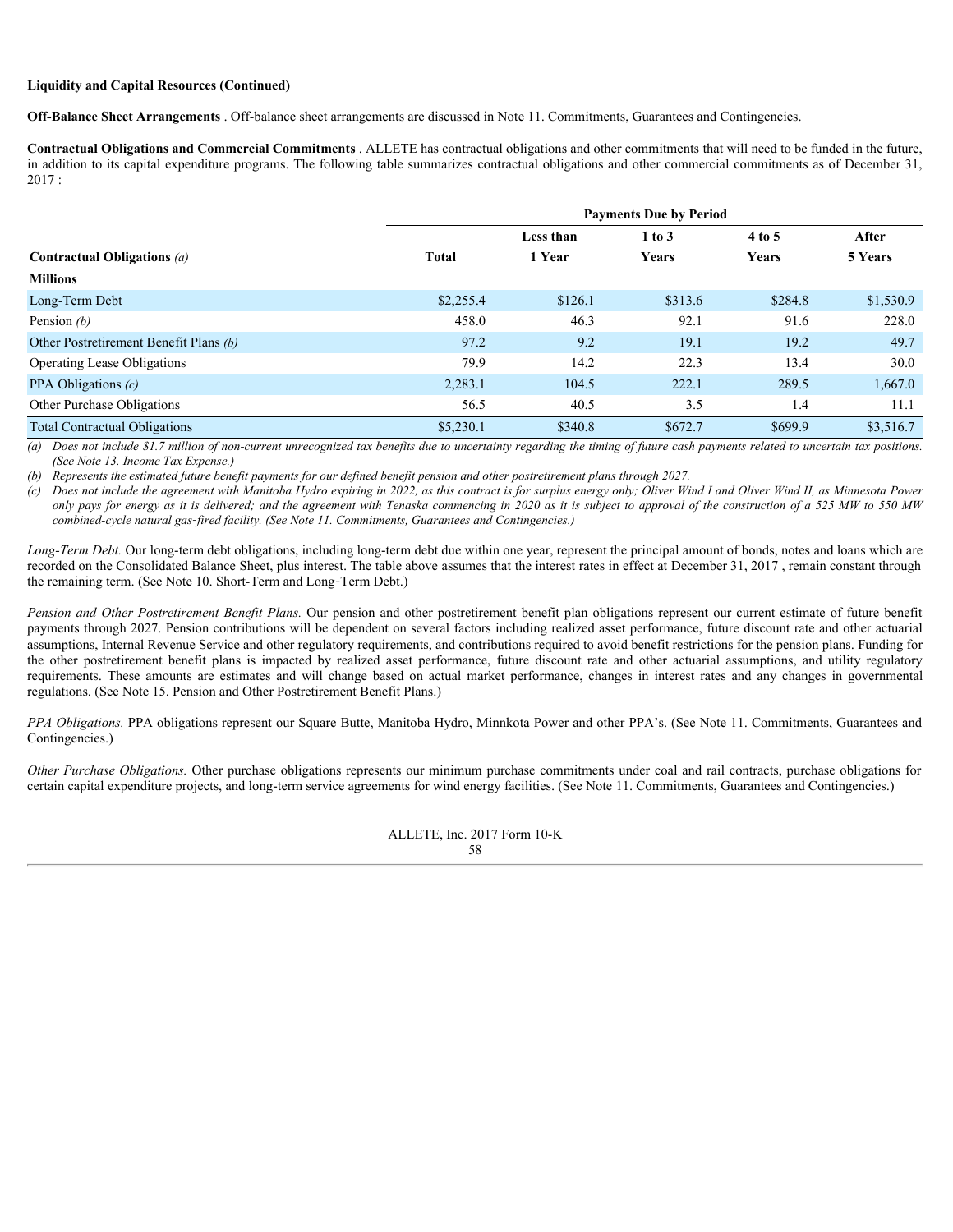## **Liquidity and Capital Resources (Continued)**

**Off-Balance Sheet Arrangements** . Off-balance sheet arrangements are discussed in Note 11. Commitments, Guarantees and Contingencies.

**Contractual Obligations and Commercial Commitments** . ALLETE has contractual obligations and other commitments that will need to be funded in the future, in addition to its capital expenditure programs. The following table summarizes contractual obligations and other commercial commitments as of December 31,  $2017$ 

|                                                                                                                                                                                                                                                                                                                                                                                                                                                                                                                                                                                                                                                                                                                                                                                                                                                                                                                                                                                                                                                                                                     |              |           | <b>Payments Due by Period</b> |         |                                                                                                                                                                                 |
|-----------------------------------------------------------------------------------------------------------------------------------------------------------------------------------------------------------------------------------------------------------------------------------------------------------------------------------------------------------------------------------------------------------------------------------------------------------------------------------------------------------------------------------------------------------------------------------------------------------------------------------------------------------------------------------------------------------------------------------------------------------------------------------------------------------------------------------------------------------------------------------------------------------------------------------------------------------------------------------------------------------------------------------------------------------------------------------------------------|--------------|-----------|-------------------------------|---------|---------------------------------------------------------------------------------------------------------------------------------------------------------------------------------|
|                                                                                                                                                                                                                                                                                                                                                                                                                                                                                                                                                                                                                                                                                                                                                                                                                                                                                                                                                                                                                                                                                                     |              | Less than | 1 to 3                        | 4 to 5  | After                                                                                                                                                                           |
| Contractual Obligations (a)                                                                                                                                                                                                                                                                                                                                                                                                                                                                                                                                                                                                                                                                                                                                                                                                                                                                                                                                                                                                                                                                         | <b>Total</b> | 1 Year    | Years                         | Years   | 5 Years                                                                                                                                                                         |
| <b>Millions</b>                                                                                                                                                                                                                                                                                                                                                                                                                                                                                                                                                                                                                                                                                                                                                                                                                                                                                                                                                                                                                                                                                     |              |           |                               |         |                                                                                                                                                                                 |
| Long-Term Debt                                                                                                                                                                                                                                                                                                                                                                                                                                                                                                                                                                                                                                                                                                                                                                                                                                                                                                                                                                                                                                                                                      | \$2,255.4    | \$126.1   | \$313.6                       | \$284.8 | \$1,530.9                                                                                                                                                                       |
| Pension $(b)$                                                                                                                                                                                                                                                                                                                                                                                                                                                                                                                                                                                                                                                                                                                                                                                                                                                                                                                                                                                                                                                                                       | 458.0        | 46.3      | 92.1                          | 91.6    | 228.0                                                                                                                                                                           |
| Other Postretirement Benefit Plans (b)                                                                                                                                                                                                                                                                                                                                                                                                                                                                                                                                                                                                                                                                                                                                                                                                                                                                                                                                                                                                                                                              | 97.2         | 9.2       | 19.1                          | 19.2    | 49.7                                                                                                                                                                            |
| <b>Operating Lease Obligations</b>                                                                                                                                                                                                                                                                                                                                                                                                                                                                                                                                                                                                                                                                                                                                                                                                                                                                                                                                                                                                                                                                  | 79.9         | 14.2      | 22.3                          | 13.4    | 30.0                                                                                                                                                                            |
| PPA Obligations $(c)$                                                                                                                                                                                                                                                                                                                                                                                                                                                                                                                                                                                                                                                                                                                                                                                                                                                                                                                                                                                                                                                                               | 2,283.1      | 104.5     | 222.1                         | 289.5   | 1,667.0                                                                                                                                                                         |
| Other Purchase Obligations                                                                                                                                                                                                                                                                                                                                                                                                                                                                                                                                                                                                                                                                                                                                                                                                                                                                                                                                                                                                                                                                          | 56.5         | 40.5      | 3.5                           | 1.4     | 11.1                                                                                                                                                                            |
| <b>Total Contractual Obligations</b>                                                                                                                                                                                                                                                                                                                                                                                                                                                                                                                                                                                                                                                                                                                                                                                                                                                                                                                                                                                                                                                                | \$5,230.1    | \$340.8   | \$672.7                       | \$699.9 | \$3,516.7                                                                                                                                                                       |
| (See Note 13. Income Tax Expense.)<br>(b) Represents the estimated future benefit payments for our defined benefit pension and other postretirement plans through 2027.<br>(c) Does not include the agreement with Manitoba Hydro expiring in 2022, as this contract is for surplus energy only; Oliver Wind I and Oliver Wind II, as Minnesota Power<br>only pays for energy as it is delivered; and the agreement with Tenaska commencing in 2020 as it is subject to approval of the construction of a 525 MW to 550 MW                                                                                                                                                                                                                                                                                                                                                                                                                                                                                                                                                                          |              |           |                               |         | (a) Does not include \$1.7 million of non-current unrecognized tax benefits due to uncertainty regarding the timing of future cash payments related to uncertain tax positions. |
| combined-cycle natural gas-fired facility. (See Note 11. Commitments, Guarantees and Contingencies.)<br>Long-Term Debt. Our long-term debt obligations, including long-term debt due within one year, represent the principal amount of bonds, notes and loans which are<br>recorded on the Consolidated Balance Sheet, plus interest. The table above assumes that the interest rates in effect at December 31, 2017, remain constant through<br>the remaining term. (See Note 10. Short-Term and Long-Term Debt.)                                                                                                                                                                                                                                                                                                                                                                                                                                                                                                                                                                                 |              |           |                               |         |                                                                                                                                                                                 |
|                                                                                                                                                                                                                                                                                                                                                                                                                                                                                                                                                                                                                                                                                                                                                                                                                                                                                                                                                                                                                                                                                                     |              |           |                               |         |                                                                                                                                                                                 |
| Pension and Other Postretirement Benefit Plans. Our pension and other postretirement benefit plan obligations represent our current estimate of future benefit<br>payments through 2027. Pension contributions will be dependent on several factors including realized asset performance, future discount rate and other actuarial<br>assumptions, Internal Revenue Service and other regulatory requirements, and contributions required to avoid benefit restrictions for the pension plans. Funding for<br>the other postretirement benefit plans is impacted by realized asset performance, future discount rate and other actuarial assumptions, and utility regulatory<br>requirements. These amounts are estimates and will change based on actual market performance, changes in interest rates and any changes in governmental<br>regulations. (See Note 15. Pension and Other Postretirement Benefit Plans.)<br>PPA Obligations. PPA obligations represent our Square Butte, Manitoba Hydro, Minnkota Power and other PPA's. (See Note 11. Commitments, Guarantees and<br>Contingencies.) |              |           |                               |         |                                                                                                                                                                                 |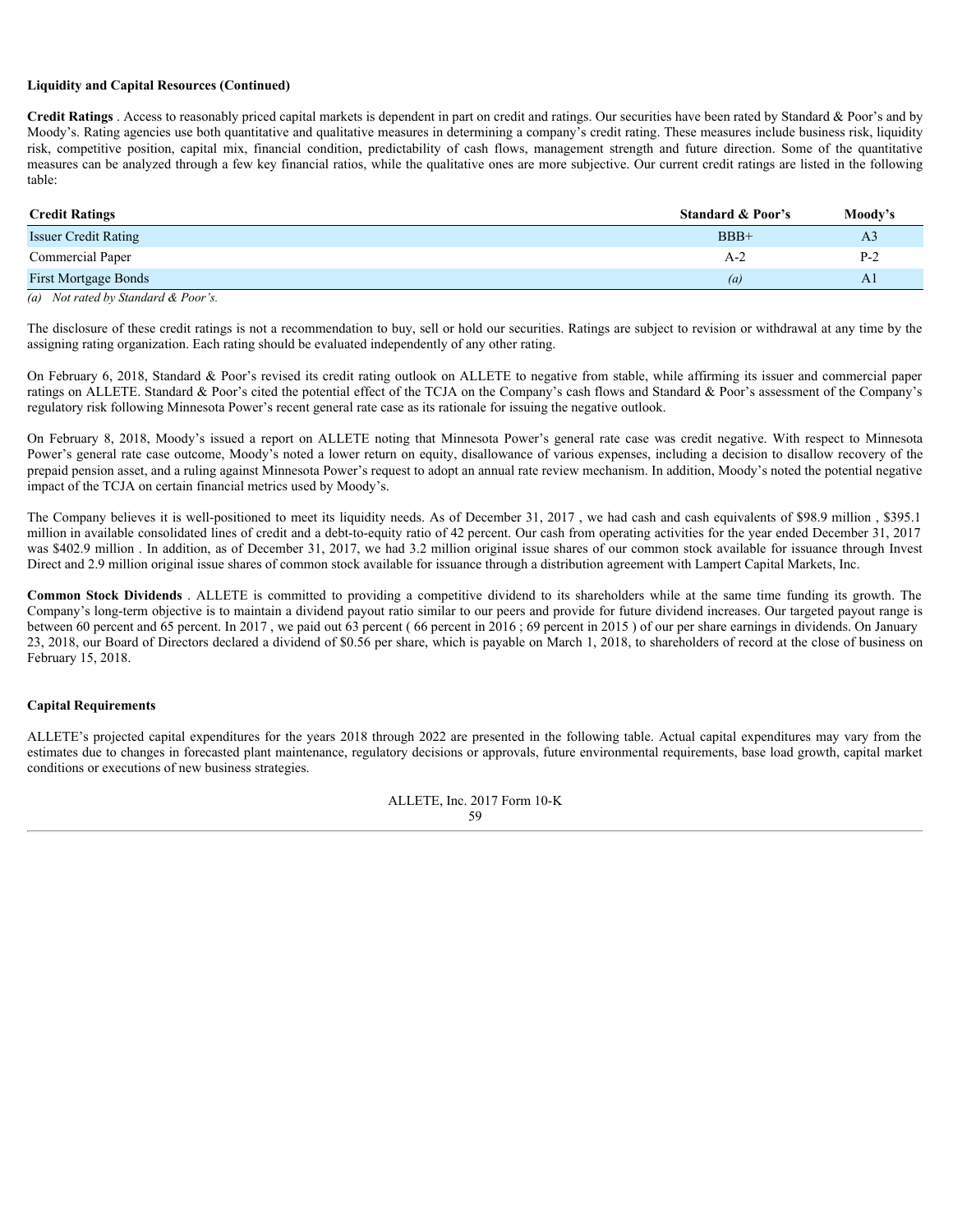## **Liquidity and Capital Resources (Continued)**

**Credit Ratings** . Access to reasonably priced capital markets is dependent in part on credit and ratings. Our securities have been rated by Standard & Poor's and by Moody's. Rating agencies use both quantitative and qualitative measures in determining a company's credit rating. These measures include business risk, liquidity **Credit Ratings** Access to reasonably priced capital markets is dependent in part on credit and ratings. Our securities have been rated by Standard & Poor's and by  $\text{Mod}(y)$ 's Roding agencies use both quantitative and qua measures can be analyzed through a few key financial ratios, while the qualitative ones are more subjective. Our current credit ratings are listed in the following table:

| <b>Liquidity and Capital Resources (Continued)</b>                                                                                                                                                                                                                                                                                                                                                                                                                                                                                                                                                                                                                                            |                              |                |
|-----------------------------------------------------------------------------------------------------------------------------------------------------------------------------------------------------------------------------------------------------------------------------------------------------------------------------------------------------------------------------------------------------------------------------------------------------------------------------------------------------------------------------------------------------------------------------------------------------------------------------------------------------------------------------------------------|------------------------------|----------------|
| Credit Ratings. Access to reasonably priced capital markets is dependent in part on credit and ratings. Our securities have been rated by Standard & Poor's and by<br>Moody's. Rating agencies use both quantitative and qualitative measures in determining a company's credit rating. These measures include business risk, liquidity<br>risk, competitive position, capital mix, financial condition, predictability of cash flows, management strength and future direction. Some of the quantitative<br>measures can be analyzed through a few key financial ratios, while the qualitative ones are more subjective. Our current credit ratings are listed in the following<br>table:    |                              |                |
| <b>Credit Ratings</b>                                                                                                                                                                                                                                                                                                                                                                                                                                                                                                                                                                                                                                                                         | <b>Standard &amp; Poor's</b> | Moody's        |
| <b>Issuer Credit Rating</b>                                                                                                                                                                                                                                                                                                                                                                                                                                                                                                                                                                                                                                                                   | $BBB+$                       | A <sub>3</sub> |
| Commercial Paper                                                                                                                                                                                                                                                                                                                                                                                                                                                                                                                                                                                                                                                                              | $A-2$                        | $P-2$          |
| <b>First Mortgage Bonds</b>                                                                                                                                                                                                                                                                                                                                                                                                                                                                                                                                                                                                                                                                   | (a)                          | A <sub>1</sub> |
| (a) Not rated by Standard & Poor's.                                                                                                                                                                                                                                                                                                                                                                                                                                                                                                                                                                                                                                                           |                              |                |
| The disclosure of these credit ratings is not a recommendation to buy, sell or hold our securities. Ratings are subject to revision or withdrawal at any time by the<br>assigning rating organization. Each rating should be evaluated independently of any other rating.                                                                                                                                                                                                                                                                                                                                                                                                                     |                              |                |
| On February 6, 2018, Standard & Poor's revised its credit rating outlook on ALLETE to negative from stable, while affirming its issuer and commercial paper<br>ratings on ALLETE. Standard & Poor's cited the potential effect of the TCJA on the Company's cash flows and Standard & Poor's assessment of the Company's<br>regulatory risk following Minnesota Power's recent general rate case as its rationale for issuing the negative outlook.                                                                                                                                                                                                                                           |                              |                |
| On February 8, 2018, Moody's issued a report on ALLETE noting that Minnesota Power's general rate case was credit negative. With respect to Minnesota<br>Power's general rate case outcome, Moody's noted a lower return on equity, disallowance of various expenses, including a decision to disallow recovery of the<br>prepaid pension asset, and a ruling against Minnesota Power's request to adopt an annual rate review mechanism. In addition, Moody's noted the potential negative<br>impact of the TCJA on certain financial metrics used by Moody's.                                                                                                                               |                              |                |
| The Company believes it is well-positioned to meet its liquidity needs. As of December 31, 2017, we had cash and cash equivalents of \$98.9 million, \$395.1<br>million in available consolidated lines of credit and a debt-to-equity ratio of 42 percent. Our cash from operating activities for the year ended December 31, 2017<br>was \$402.9 million. In addition, as of December 31, 2017, we had 3.2 million original issue shares of our common stock available for issuance through Invest<br>Direct and 2.9 million original issue shares of common stock available for issuance through a distribution agreement with Lampert Capital Markets, Inc.                               |                              |                |
| <b>Common Stock Dividends</b> . ALLETE is committed to providing a competitive dividend to its shareholders while at the same time funding its growth. The<br>Company's long-term objective is to maintain a dividend payout ratio similar to our peers and provide for future dividend increases. Our targeted payout range is<br>between 60 percent and 65 percent. In 2017, we paid out 63 percent (66 percent in 2016; 69 percent in 2015) of our per share earnings in dividends. On January<br>23, 2018, our Board of Directors declared a dividend of \$0.56 per share, which is payable on March 1, 2018, to shareholders of record at the close of business on<br>February 15, 2018. |                              |                |
| <b>Capital Requirements</b>                                                                                                                                                                                                                                                                                                                                                                                                                                                                                                                                                                                                                                                                   |                              |                |

#### **Capital Requirements**

ALLETE's projected capital expenditures for the years 2018 through 2022 are presented in the following table. Actual capital expenditures may vary from the estimates due to changes in forecasted plant maintenance, regulatory decisions or approvals, future environmental requirements, base load growth, capital market conditions or executions of new business strategies.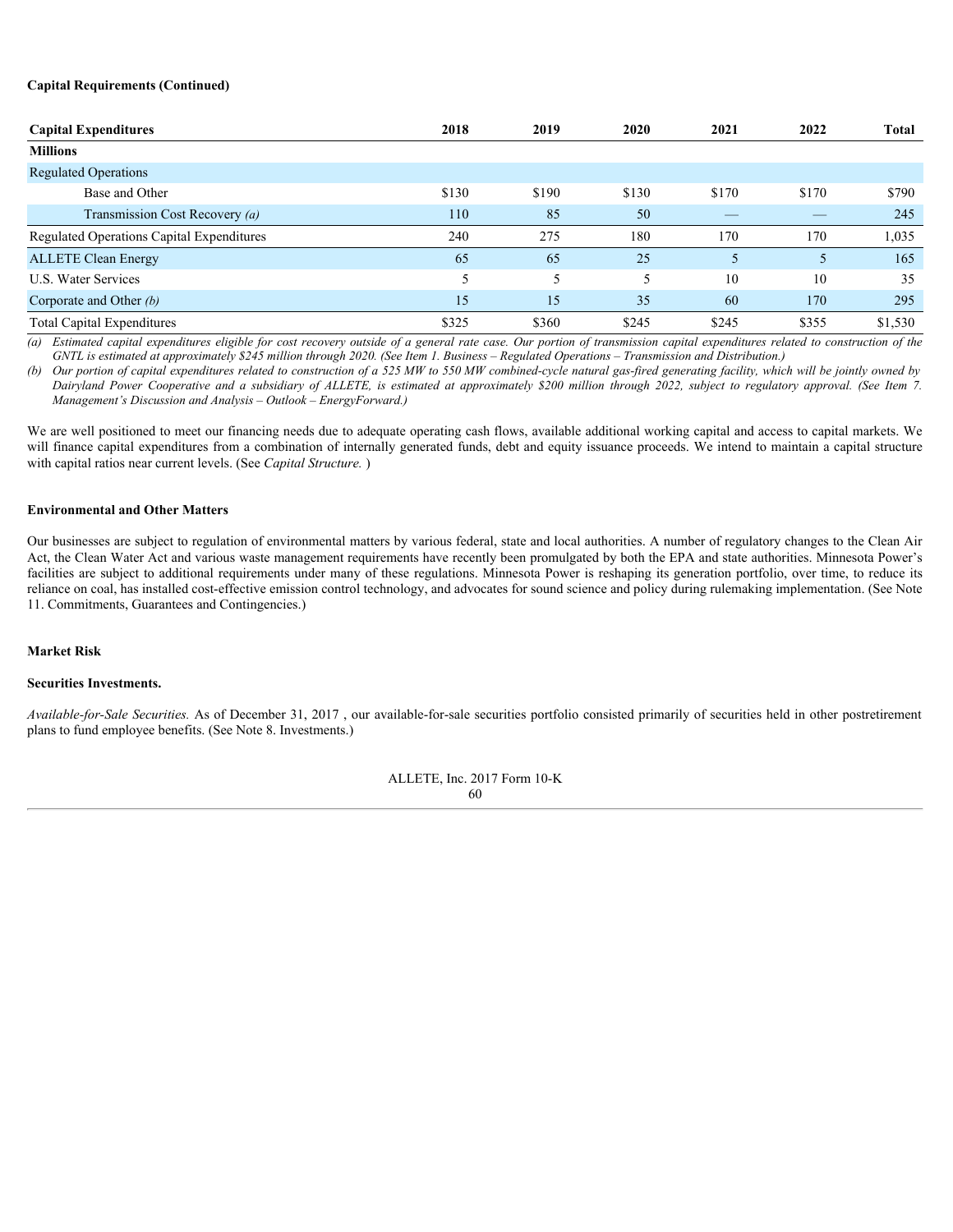## **Capital Requirements (Continued)**

| <b>Capital Requirements (Continued)</b>                                                                                                                                                                                                                                                                                                                                                                                                                                                                                                                                                                                                                                                                                                                                                                                                                                                                                                                                                                                                                                                                                                                        |       |       |       |                                 |                                 |              |
|----------------------------------------------------------------------------------------------------------------------------------------------------------------------------------------------------------------------------------------------------------------------------------------------------------------------------------------------------------------------------------------------------------------------------------------------------------------------------------------------------------------------------------------------------------------------------------------------------------------------------------------------------------------------------------------------------------------------------------------------------------------------------------------------------------------------------------------------------------------------------------------------------------------------------------------------------------------------------------------------------------------------------------------------------------------------------------------------------------------------------------------------------------------|-------|-------|-------|---------------------------------|---------------------------------|--------------|
|                                                                                                                                                                                                                                                                                                                                                                                                                                                                                                                                                                                                                                                                                                                                                                                                                                                                                                                                                                                                                                                                                                                                                                |       |       |       |                                 |                                 |              |
| <b>Capital Expenditures</b>                                                                                                                                                                                                                                                                                                                                                                                                                                                                                                                                                                                                                                                                                                                                                                                                                                                                                                                                                                                                                                                                                                                                    | 2018  | 2019  | 2020  | 2021                            | 2022                            | <b>Total</b> |
| <b>Millions</b>                                                                                                                                                                                                                                                                                                                                                                                                                                                                                                                                                                                                                                                                                                                                                                                                                                                                                                                                                                                                                                                                                                                                                |       |       |       |                                 |                                 |              |
| <b>Regulated Operations</b>                                                                                                                                                                                                                                                                                                                                                                                                                                                                                                                                                                                                                                                                                                                                                                                                                                                                                                                                                                                                                                                                                                                                    |       |       |       |                                 |                                 |              |
| Base and Other                                                                                                                                                                                                                                                                                                                                                                                                                                                                                                                                                                                                                                                                                                                                                                                                                                                                                                                                                                                                                                                                                                                                                 | \$130 | \$190 | \$130 | \$170                           | \$170                           | \$790        |
| Transmission Cost Recovery (a)                                                                                                                                                                                                                                                                                                                                                                                                                                                                                                                                                                                                                                                                                                                                                                                                                                                                                                                                                                                                                                                                                                                                 | 110   | 85    | 50    | $\hspace{0.1mm}-\hspace{0.1mm}$ | $\hspace{0.1mm}-\hspace{0.1mm}$ | 245          |
| <b>Regulated Operations Capital Expenditures</b>                                                                                                                                                                                                                                                                                                                                                                                                                                                                                                                                                                                                                                                                                                                                                                                                                                                                                                                                                                                                                                                                                                               | 240   | 275   | 180   | 170                             | 170                             | 1,035        |
| <b>ALLETE</b> Clean Energy                                                                                                                                                                                                                                                                                                                                                                                                                                                                                                                                                                                                                                                                                                                                                                                                                                                                                                                                                                                                                                                                                                                                     | 65    | 65    | 25    | $5^{\circ}$                     | 5 <sup>5</sup>                  | 165          |
| U.S. Water Services                                                                                                                                                                                                                                                                                                                                                                                                                                                                                                                                                                                                                                                                                                                                                                                                                                                                                                                                                                                                                                                                                                                                            | 5     | 5     | 5     | 10                              | 10                              | 35           |
| Corporate and Other $(b)$                                                                                                                                                                                                                                                                                                                                                                                                                                                                                                                                                                                                                                                                                                                                                                                                                                                                                                                                                                                                                                                                                                                                      | 15    | 15    | 35    | 60                              | 170                             | 295          |
| <b>Total Capital Expenditures</b>                                                                                                                                                                                                                                                                                                                                                                                                                                                                                                                                                                                                                                                                                                                                                                                                                                                                                                                                                                                                                                                                                                                              | \$325 | \$360 | \$245 | \$245                           | \$355                           | \$1,530      |
| (a) Estimated capital expenditures eligible for cost recovery outside of a general rate case. Our portion of transmission capital expenditures related to construction of the<br>GNTL is estimated at approximately \$245 million through 2020. (See Item 1. Business - Regulated Operations - Transmission and Distribution.)<br>(b) Our portion of capital expenditures related to construction of a 525 MW to 550 MW combined-cycle natural gas-fired generating facility, which will be jointly owned by<br>Dairyland Power Cooperative and a subsidiary of ALLETE, is estimated at approximately \$200 million through 2022, subject to regulatory approval. (See Item 7.<br>Management's Discussion and Analysis - Outlook - EnergyForward.)<br>We are well positioned to meet our financing needs due to adequate operating cash flows, available additional working capital and access to capital markets. We<br>will finance capital expenditures from a combination of internally generated funds, debt and equity issuance proceeds. We intend to maintain a capital structure<br>with capital ratios near current levels. (See Capital Structure.) |       |       |       |                                 |                                 |              |

#### **Environmental and Other Matters**

Our businesses are subject to regulation of environmental matters by various federal, state and local authorities. A number of regulatory changes to the Clean Air Act, the Clean Water Act and various waste management requirements have recently been promulgated by both the EPA and state authorities. Minnesota Power's facilities are subject to additional requirements under many of these regulations. Minnesota Power is reshaping its generation portfolio, over time, to reduce its reliance on coal, has installed cost-effective emission control technology, and advocates for sound science and policy during rulemaking implementation. (See Note 11. Commitments, Guarantees and Contingencies.)

# **Market Risk**

#### **Securities Investments.**

*Available-for-Sale Securities.* As of December 31, 2017 , our available-for-sale securities portfolio consisted primarily of securities held in other postretirement plans to fund employee benefits. (See Note 8. Investments.)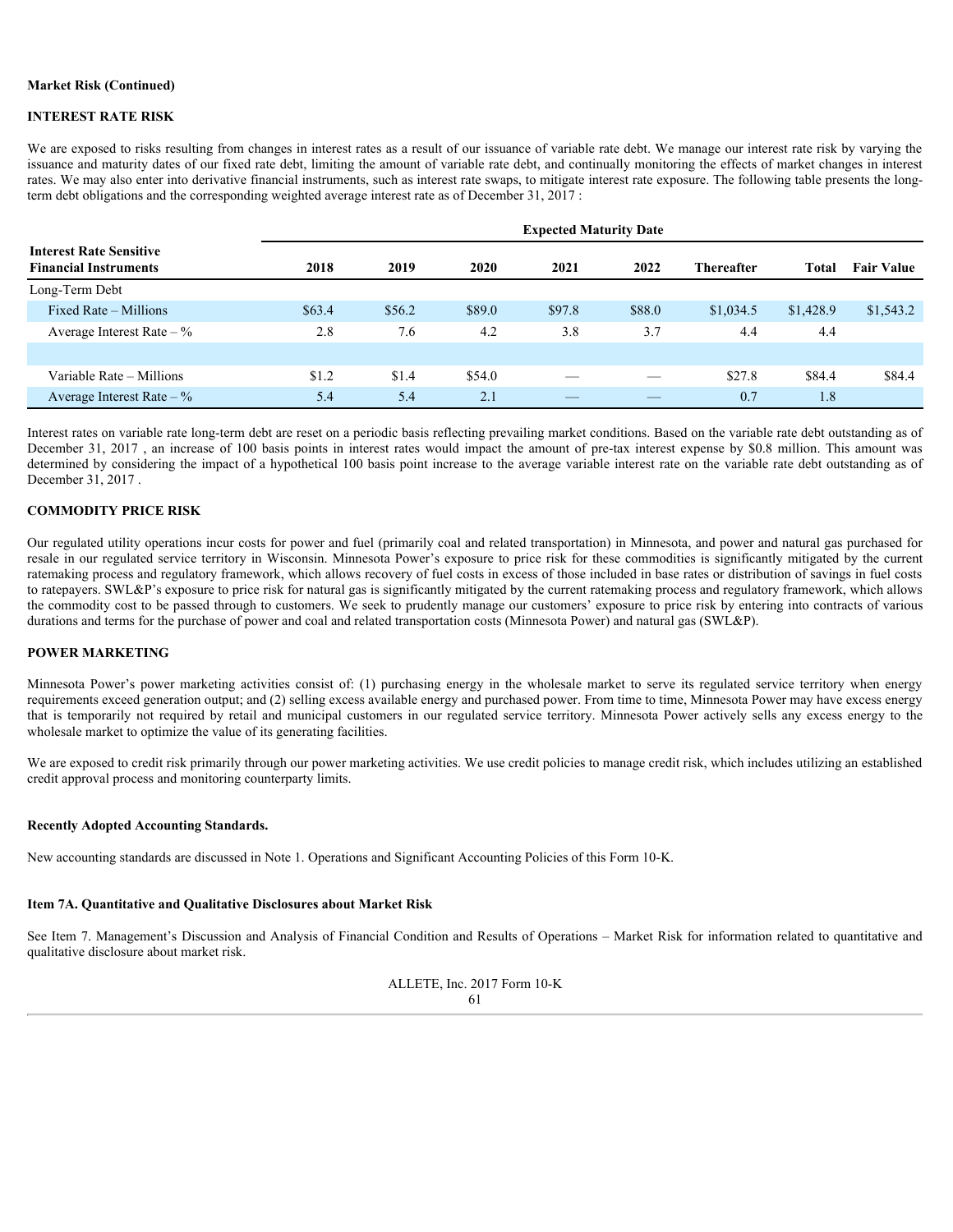#### **Market Risk (Continued)**

#### **INTEREST RATE RISK**

| <b>Market Risk (Continued)</b>                                                                                                                                                                                                                                                                                                                                                                                                                                                                                                                                                                                                                                                                                                                                                                                                                                                                                                                                                                                                                                                                                                                                                                                                                                                                                                                                                                                                                                                                                                                              |        |        |        |                               |        |                   |           |                         |
|-------------------------------------------------------------------------------------------------------------------------------------------------------------------------------------------------------------------------------------------------------------------------------------------------------------------------------------------------------------------------------------------------------------------------------------------------------------------------------------------------------------------------------------------------------------------------------------------------------------------------------------------------------------------------------------------------------------------------------------------------------------------------------------------------------------------------------------------------------------------------------------------------------------------------------------------------------------------------------------------------------------------------------------------------------------------------------------------------------------------------------------------------------------------------------------------------------------------------------------------------------------------------------------------------------------------------------------------------------------------------------------------------------------------------------------------------------------------------------------------------------------------------------------------------------------|--------|--------|--------|-------------------------------|--------|-------------------|-----------|-------------------------|
| <b>INTEREST RATE RISK</b>                                                                                                                                                                                                                                                                                                                                                                                                                                                                                                                                                                                                                                                                                                                                                                                                                                                                                                                                                                                                                                                                                                                                                                                                                                                                                                                                                                                                                                                                                                                                   |        |        |        |                               |        |                   |           |                         |
| We are exposed to risks resulting from changes in interest rates as a result of our issuance of variable rate debt. We manage our interest rate risk by varying the<br>issuance and maturity dates of our fixed rate debt, limiting the amount of variable rate debt, and continually monitoring the effects of market changes in interest<br>rates. We may also enter into derivative financial instruments, such as interest rate swaps, to mitigate interest rate exposure. The following table presents the long-<br>term debt obligations and the corresponding weighted average interest rate as of December 31, 2017:                                                                                                                                                                                                                                                                                                                                                                                                                                                                                                                                                                                                                                                                                                                                                                                                                                                                                                                                |        |        |        |                               |        |                   |           |                         |
|                                                                                                                                                                                                                                                                                                                                                                                                                                                                                                                                                                                                                                                                                                                                                                                                                                                                                                                                                                                                                                                                                                                                                                                                                                                                                                                                                                                                                                                                                                                                                             |        |        |        | <b>Expected Maturity Date</b> |        |                   |           |                         |
| <b>Interest Rate Sensitive</b><br><b>Financial Instruments</b>                                                                                                                                                                                                                                                                                                                                                                                                                                                                                                                                                                                                                                                                                                                                                                                                                                                                                                                                                                                                                                                                                                                                                                                                                                                                                                                                                                                                                                                                                              | 2018   | 2019   | 2020   | 2021                          | 2022   | <b>Thereafter</b> |           | <b>Total</b> Fair Value |
| Long-Term Debt                                                                                                                                                                                                                                                                                                                                                                                                                                                                                                                                                                                                                                                                                                                                                                                                                                                                                                                                                                                                                                                                                                                                                                                                                                                                                                                                                                                                                                                                                                                                              |        |        |        |                               |        |                   |           |                         |
| Fixed Rate – Millions                                                                                                                                                                                                                                                                                                                                                                                                                                                                                                                                                                                                                                                                                                                                                                                                                                                                                                                                                                                                                                                                                                                                                                                                                                                                                                                                                                                                                                                                                                                                       | \$63.4 | \$56.2 | \$89.0 | \$97.8                        | \$88.0 | \$1,034.5         | \$1,428.9 | \$1,543.2               |
| Average Interest Rate $-$ %                                                                                                                                                                                                                                                                                                                                                                                                                                                                                                                                                                                                                                                                                                                                                                                                                                                                                                                                                                                                                                                                                                                                                                                                                                                                                                                                                                                                                                                                                                                                 | 2.8    | 7.6    | 4.2    | 3.8                           | 3.7    | 4.4               | 4.4       |                         |
|                                                                                                                                                                                                                                                                                                                                                                                                                                                                                                                                                                                                                                                                                                                                                                                                                                                                                                                                                                                                                                                                                                                                                                                                                                                                                                                                                                                                                                                                                                                                                             |        |        |        |                               |        |                   |           |                         |
| Variable Rate - Millions                                                                                                                                                                                                                                                                                                                                                                                                                                                                                                                                                                                                                                                                                                                                                                                                                                                                                                                                                                                                                                                                                                                                                                                                                                                                                                                                                                                                                                                                                                                                    | \$1.2  | \$1.4  | \$54.0 |                               |        | \$27.8            | \$84.4    | \$84.4                  |
| Average Interest Rate $-$ %                                                                                                                                                                                                                                                                                                                                                                                                                                                                                                                                                                                                                                                                                                                                                                                                                                                                                                                                                                                                                                                                                                                                                                                                                                                                                                                                                                                                                                                                                                                                 | 5.4    | 5.4    | 2.1    | $\hspace{0.05cm}$             |        | 0.7               | 1.8       |                         |
| Interest rates on variable rate long-term debt are reset on a periodic basis reflecting prevailing market conditions. Based on the variable rate debt outstanding as of<br>December 31, 2017, an increase of 100 basis points in interest rates would impact the amount of pre-tax interest expense by \$0.8 million. This amount was<br>determined by considering the impact of a hypothetical 100 basis point increase to the average variable interest rate on the variable rate debt outstanding as of<br>December 31, 2017.<br><b>COMMODITY PRICE RISK</b><br>Our regulated utility operations incur costs for power and fuel (primarily coal and related transportation) in Minnesota, and power and natural gas purchased for<br>resale in our regulated service territory in Wisconsin. Minnesota Power's exposure to price risk for these commodities is significantly mitigated by the current<br>ratemaking process and regulatory framework, which allows recovery of fuel costs in excess of those included in base rates or distribution of savings in fuel costs<br>to ratepayers. SWL&P's exposure to price risk for natural gas is significantly mitigated by the current ratemaking process and regulatory framework, which allows<br>the commodity cost to be passed through to customers. We seek to prudently manage our customers' exposure to price risk by entering into contracts of various<br>durations and terms for the purchase of power and coal and related transportation costs (Minnesota Power) and natural gas (SWL&P). |        |        |        |                               |        |                   |           |                         |
|                                                                                                                                                                                                                                                                                                                                                                                                                                                                                                                                                                                                                                                                                                                                                                                                                                                                                                                                                                                                                                                                                                                                                                                                                                                                                                                                                                                                                                                                                                                                                             |        |        |        |                               |        |                   |           |                         |
| <b>POWER MARKETING</b>                                                                                                                                                                                                                                                                                                                                                                                                                                                                                                                                                                                                                                                                                                                                                                                                                                                                                                                                                                                                                                                                                                                                                                                                                                                                                                                                                                                                                                                                                                                                      |        |        |        |                               |        |                   |           |                         |
| Minnesota Power's power marketing activities consist of: (1) purchasing energy in the wholesale market to serve its regulated service territory when energy<br>requirements exceed generation output; and (2) selling excess available energy and purchased power. From time to time, Minnesota Power may have excess energy<br>that is temporarily not required by retail and municipal customers in our regulated service territory. Minnesota Power actively sells any excess energy to the<br>wholesale market to optimize the value of its generating facilities.                                                                                                                                                                                                                                                                                                                                                                                                                                                                                                                                                                                                                                                                                                                                                                                                                                                                                                                                                                                      |        |        |        |                               |        |                   |           |                         |
| We are exposed to credit risk primarily through our power marketing activities. We use credit policies to manage credit risk, which includes utilizing an established<br>credit approval process and monitoring counterparty limits.                                                                                                                                                                                                                                                                                                                                                                                                                                                                                                                                                                                                                                                                                                                                                                                                                                                                                                                                                                                                                                                                                                                                                                                                                                                                                                                        |        |        |        |                               |        |                   |           |                         |

## **COMMODITY PRICE RISK**

#### **POWER MARKETING**

#### **Recently Adopted Accounting Standards.**

New accounting standards are discussed in Note 1. Operations and Significant Accounting Policies of this Form 10-K.

#### **Item 7A. Quantitative and Qualitative Disclosures about Market Risk**

See Item 7. Management's Discussion and Analysis of Financial Condition and Results of Operations – Market Risk for information related to quantitative and qualitative disclosure about market risk.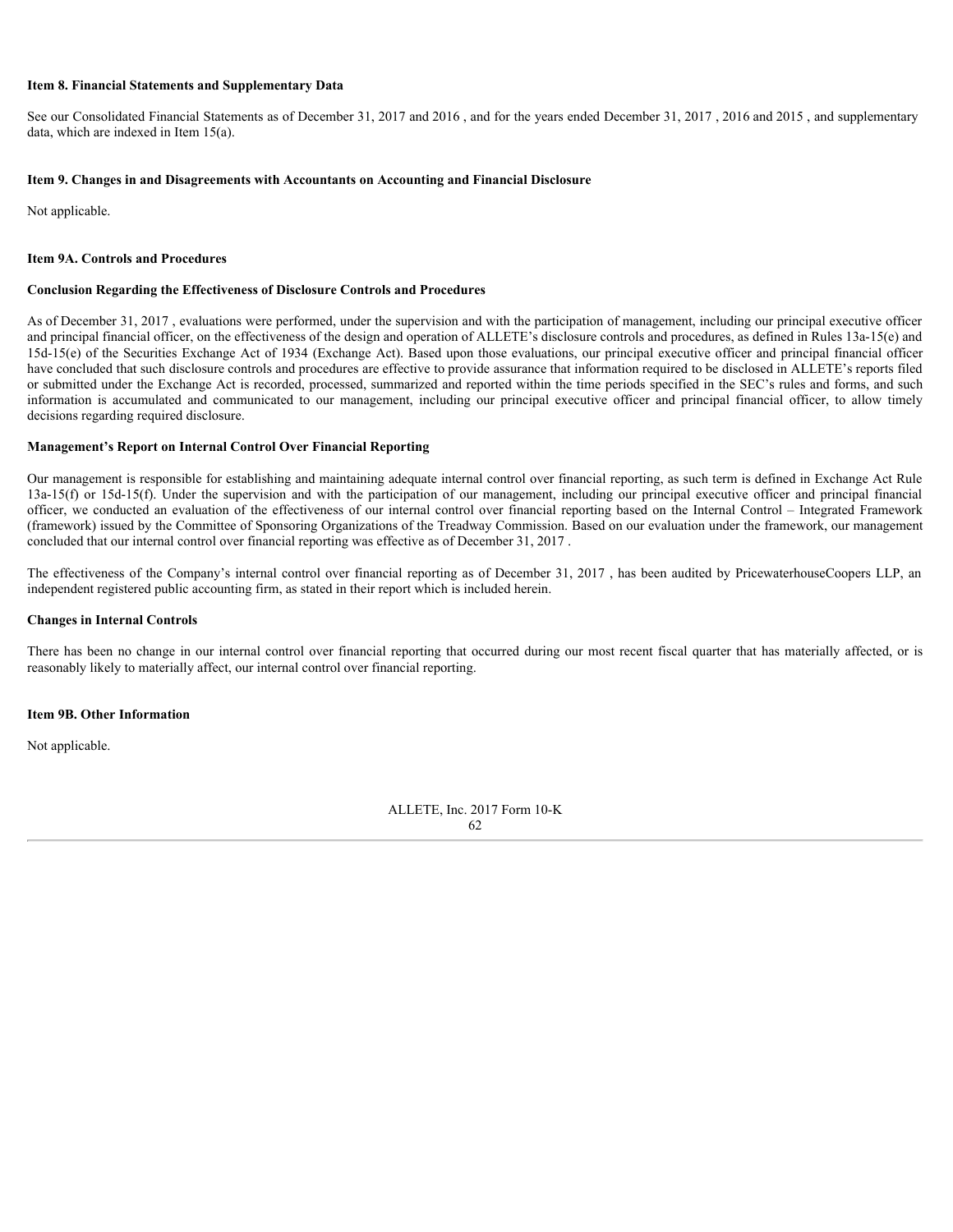#### **Item 8. Financial Statements and Supplementary Data**

See our Consolidated Financial Statements as of December 31, 2017 and 2016 , and for the years ended December 31, 2017 , 2016 and 2015 , and supplementary data, which are indexed in Item 15(a).

#### **Item 9. Changes in and Disagreements with Accountants on Accounting and Financial Disclosure**

Not applicable.

#### **Item 9A. Controls and Procedures**

#### **Conclusion Regarding the Effectiveness of Disclosure Controls and Procedures**

As of December 31, 2017 , evaluations were performed, under the supervision and with the participation of management, including our principal executive officer and principal financial officer, on the effectiveness of the design and operation of ALLETE's disclosure controls and procedures, as defined in Rules 13a-15(e) and 15d-15(e) of the Securities Exchange Act of 1934 (Exchange Act). Based upon those evaluations, our principal executive officer and principal financial officer have concluded that such disclosure controls and procedures are effective to provide assurance that information required to be disclosed in ALLETE's reports filed or submitted under the Exchange Act is recorded, processed, summarized and reported within the time periods specified in the SEC's rules and forms, and such If tem 8. Financial Statements and Supplementary Datit<br>See our Consolidated Financial Statements as of December 31, 2017 and 2016, and for the years-ended December 31, 2017, 2016 and 2015, and supplementary<br>data, which are decisions regarding required disclosure. 16em 8. Financial Statements and Supplementary Data<br>
See our Consolidated Financial Statements with Accounting or 12017 and 2016, and for the years eaded IDecember 31, 2017, 2016 and 2015, and applementary<br>
litting, which Iferic 8. Financial Statements and Supplementary Data<br>See our Consolidated Financial Surrenents with Accountants on Accounting and Financial Diedestare<br>Mem 9. Changes in and Disagreements with Accountants on Accounting and

#### **Management's Report on Internal Control Over Financial Reporting**

Our management is responsible for establishing and maintaining adequate internal control over financial reporting, as such term is defined in Exchange Act Rule (framework) issued by the Committee of Sponsoring Organizations of the Treadway Commission. Based on our evaluation under the framework, our management concluded that our internal control over financial reporting was effective as of December 31, 2017 .

The effectiveness of the Company's internal control over financial reporting as of December 31, 2017 , has been audited by PricewaterhouseCoopers LLP, an independent registered public accounting firm, as stated in their report which is included herein.

#### **Changes in Internal Controls**

There has been no change in our internal control over financial reporting that occurred during our most recent fiscal quarter that has materially affected, or is reasonably likely to materially affect, our internal control over financial reporting.

#### **Item 9B. Other Information**

Not applicable.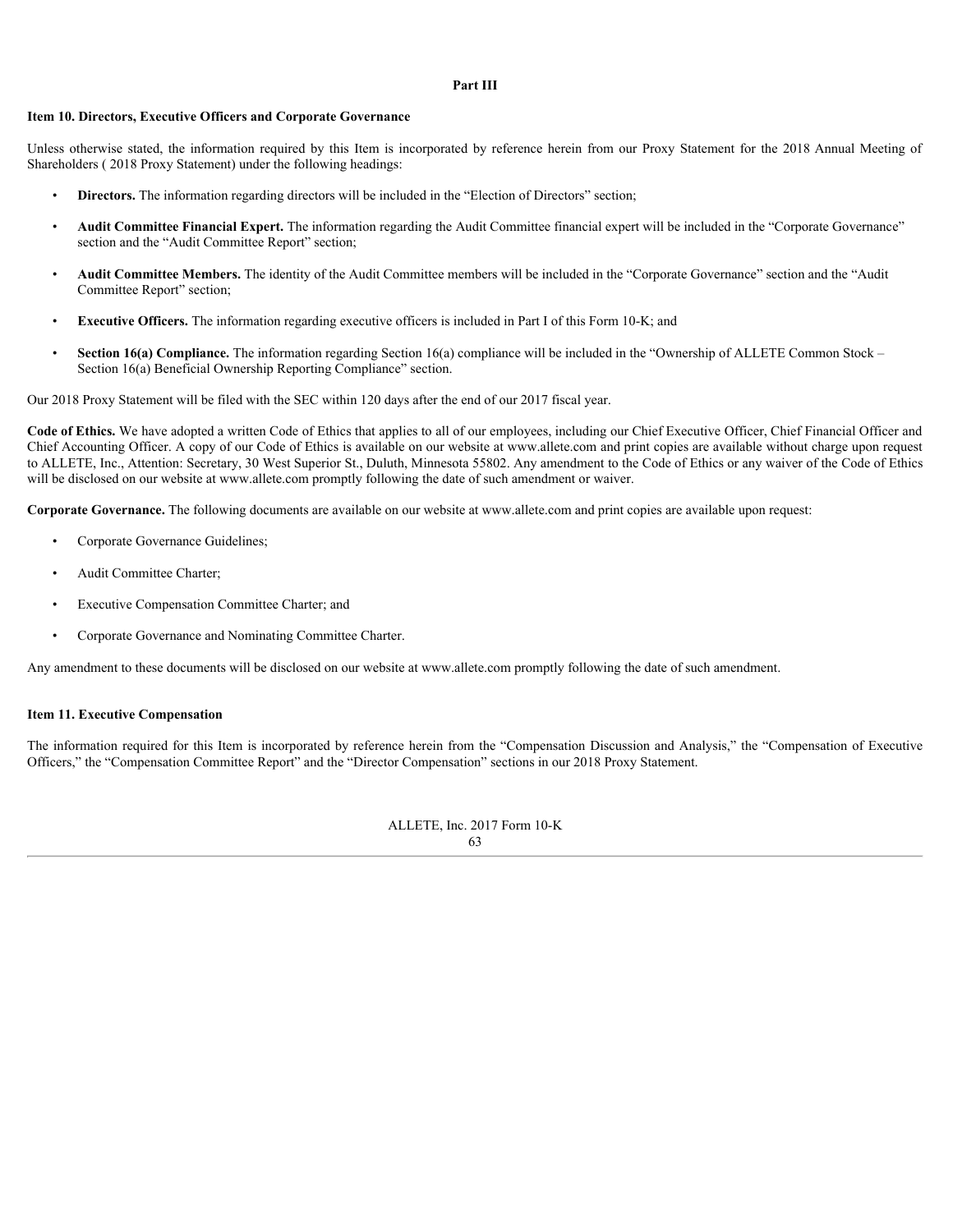#### **Part III**

#### **Item 10. Directors, Executive Officers and Corporate Governance**

**Exercutive Officers and Corporate Governance**<br>
Unless otherwise stated, the information required by this Item is incorporated by reference herein from our Proxy Statement for the 2018 Annual Meeting of<br>
Shareholders (2018 Shareholders ( 2018 Proxy Statement) under the following headings:

- **Directors.** The information regarding directors will be included in the "Election of Directors" section;
- **Audit Committee Financial Expert.** The information regarding the Audit Committee financial expert will be included in the "Corporate Governance" section and the "Audit Committee Report" section:
- **Audit Committee Members.** The identity of the Audit Committee members will be included in the "Corporate Governance" section and the "Audit Committee Report" section;
- **Executive Officers.** The information regarding executive officers is included in Part I of this Form 10-K; and
- **Section 16(a) Compliance.** The information regarding Section 16(a) compliance will be included in the "Ownership of ALLETE Common Stock Section 16(a) Beneficial Ownership Reporting Compliance" section.

Our 2018 Proxy Statement will be filed with the SEC within 120 days after the end of our 2017 fiscal year.

**Code of Ethics.** We have adopted a written Code of Ethics that applies to all of our employees, including our Chief Executive Officer, Chief Financial Officer and Chief Accounting Officer. A copy of our Code of Ethics is available on our website at www.allete.com and print copies are available without charge upon request to ALLETE, Inc., Attention: Secretary, 30 West Superior St., Duluth, Minnesota 55802. Any amendment to the Code of Ethics or any waiver of the Code of Ethics will be disclosed on our website at www.allete.com promptly following the date of such amendment or waiver.

**Corporate Governance.** The following documents are available on our website at www.allete.com and print copies are available upon request:

- Corporate Governance Guidelines;
- Audit Committee Charter;
- Executive Compensation Committee Charter; and
- Corporate Governance and Nominating Committee Charter.

Any amendment to these documents will be disclosed on our website at www.allete.com promptly following the date of such amendment.

#### **Item 11. Executive Compensation**

The information required for this Item is incorporated by reference herein from the "Compensation Discussion and Analysis," the "Compensation of Executive Officers," the "Compensation Committee Report" and the "Director Compensation" sections in our 2018 Proxy Statement.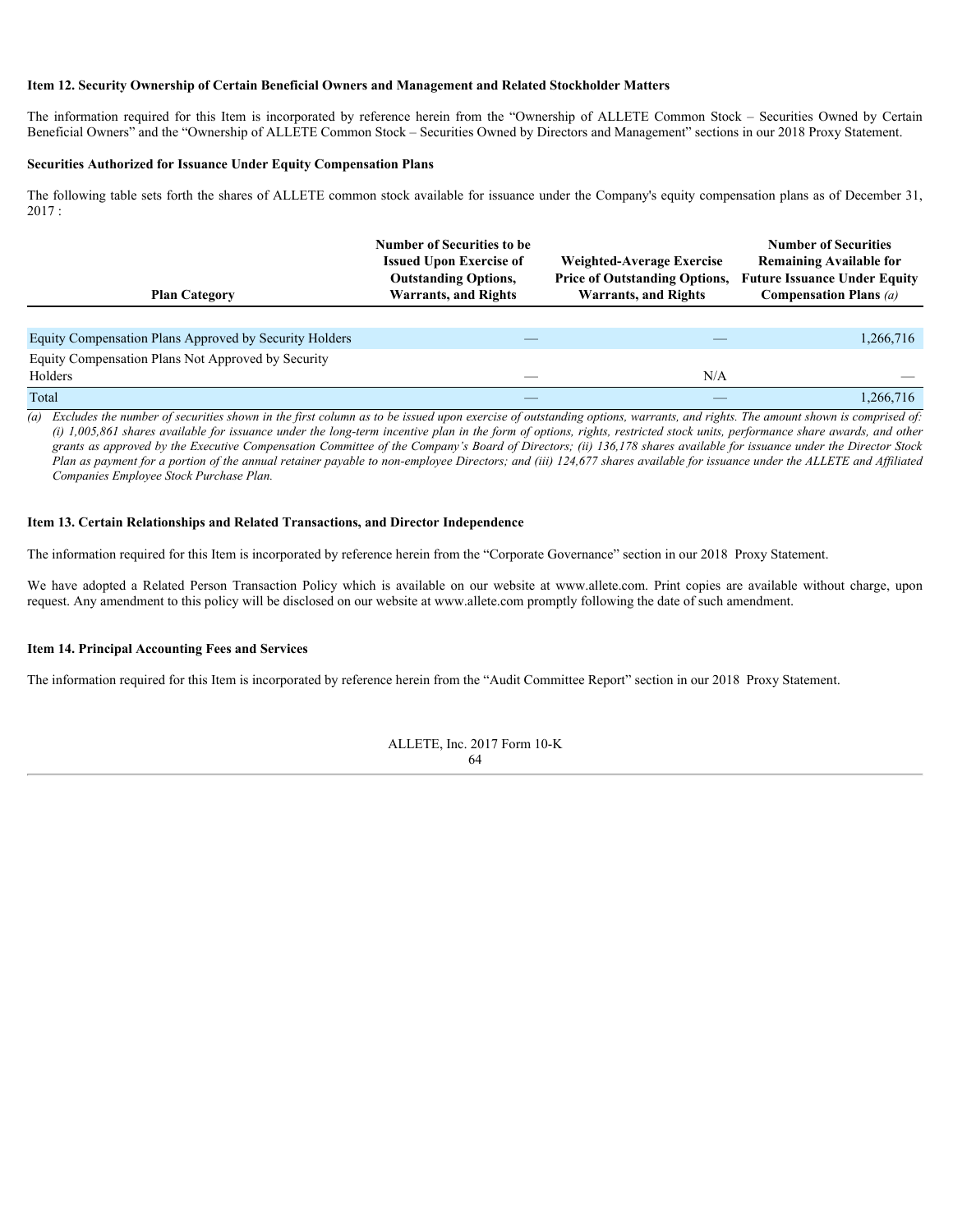#### **Item 12. Security Ownership of Certain Beneficial Owners and Management and Related Stockholder Matters**

#### **Securities Authorized for Issuance Under Equity Compensation Plans**

The information required for this Item is incorporated by reference herein from the "Ownership of ALLETE Common Stock – Securities Owned by Certain<br>Beneficial Owners" and the "Ownership of ALLETE Common Stock – Securities The following table sets forth the shares of ALLETE common stock available for issuance under the Company's equity compensation plans as of December 31, 2017 :

| Item 12. Security Ownership of Certain Beneficial Owners and Management and Related Stockholder Matters                                                                                                                                                                                                                                                                                                                                                                                                                                                                                                                                                                                                                                                  |                                                                                                                                   |                                                                                                                               |                                                                                                |  |  |
|----------------------------------------------------------------------------------------------------------------------------------------------------------------------------------------------------------------------------------------------------------------------------------------------------------------------------------------------------------------------------------------------------------------------------------------------------------------------------------------------------------------------------------------------------------------------------------------------------------------------------------------------------------------------------------------------------------------------------------------------------------|-----------------------------------------------------------------------------------------------------------------------------------|-------------------------------------------------------------------------------------------------------------------------------|------------------------------------------------------------------------------------------------|--|--|
| The information required for this Item is incorporated by reference herein from the "Ownership of ALLETE Common Stock – Securities Owned by Certain<br>Beneficial Owners" and the "Ownership of ALLETE Common Stock – Securities Owned by Directors and Management" sections in our 2018 Proxy Statement.                                                                                                                                                                                                                                                                                                                                                                                                                                                |                                                                                                                                   |                                                                                                                               |                                                                                                |  |  |
| <b>Securities Authorized for Issuance Under Equity Compensation Plans</b>                                                                                                                                                                                                                                                                                                                                                                                                                                                                                                                                                                                                                                                                                |                                                                                                                                   |                                                                                                                               |                                                                                                |  |  |
| The following table sets forth the shares of ALLETE common stock available for issuance under the Company's equity compensation plans as of December 31,<br>2017:                                                                                                                                                                                                                                                                                                                                                                                                                                                                                                                                                                                        |                                                                                                                                   |                                                                                                                               |                                                                                                |  |  |
| <b>Plan Category</b>                                                                                                                                                                                                                                                                                                                                                                                                                                                                                                                                                                                                                                                                                                                                     | <b>Number of Securities to be</b><br><b>Issued Upon Exercise of</b><br><b>Outstanding Options,</b><br><b>Warrants, and Rights</b> | <b>Weighted-Average Exercise</b><br>Price of Outstanding Options, Future Issuance Under Equity<br><b>Warrants, and Rights</b> | <b>Number of Securities</b><br><b>Remaining Available for</b><br><b>Compensation Plans</b> (a) |  |  |
|                                                                                                                                                                                                                                                                                                                                                                                                                                                                                                                                                                                                                                                                                                                                                          |                                                                                                                                   |                                                                                                                               |                                                                                                |  |  |
| Equity Compensation Plans Approved by Security Holders                                                                                                                                                                                                                                                                                                                                                                                                                                                                                                                                                                                                                                                                                                   |                                                                                                                                   |                                                                                                                               | 1,266,716                                                                                      |  |  |
| Equity Compensation Plans Not Approved by Security<br>Holders                                                                                                                                                                                                                                                                                                                                                                                                                                                                                                                                                                                                                                                                                            |                                                                                                                                   | N/A                                                                                                                           |                                                                                                |  |  |
| Total                                                                                                                                                                                                                                                                                                                                                                                                                                                                                                                                                                                                                                                                                                                                                    |                                                                                                                                   |                                                                                                                               | 1,266,716                                                                                      |  |  |
| (a) Excludes the number of securities shown in the first column as to be issued upon exercise of outstanding options, warrants, and rights. The amount shown is comprised of:<br>(i) 1,005,861 shares available for issuance under the long-term incentive plan in the form of options, rights, restricted stock units, performance share awards, and other<br>grants as approved by the Executive Compensation Committee of the Company's Board of Directors; (ii) 136,178 shares available for issuance under the Director Stock<br>Plan as payment for a portion of the annual retainer payable to non-employee Directors; and (iii) 124,677 shares available for issuance under the ALLETE and Affiliated<br>Companies Employee Stock Purchase Plan. |                                                                                                                                   |                                                                                                                               |                                                                                                |  |  |
| Item 13. Certain Relationships and Related Transactions, and Director Independence                                                                                                                                                                                                                                                                                                                                                                                                                                                                                                                                                                                                                                                                       |                                                                                                                                   |                                                                                                                               |                                                                                                |  |  |
| The information required for this Item is incorporated by reference herein from the "Corporate Governance" section in our 2018 Proxy Statement.                                                                                                                                                                                                                                                                                                                                                                                                                                                                                                                                                                                                          |                                                                                                                                   |                                                                                                                               |                                                                                                |  |  |
| We have adopted a Related Person Transaction Policy which is available on our website at www.allete.com. Print copies are available without charge, upon<br>request. Any amendment to this policy will be disclosed on our website at www.allete.com promptly following the date of such amendment.                                                                                                                                                                                                                                                                                                                                                                                                                                                      |                                                                                                                                   |                                                                                                                               |                                                                                                |  |  |
| <b>Item 14. Principal Accounting Fees and Services</b>                                                                                                                                                                                                                                                                                                                                                                                                                                                                                                                                                                                                                                                                                                   |                                                                                                                                   |                                                                                                                               |                                                                                                |  |  |
| The information required for this Item is incorporated by reference herein from the "Audit Committee Report" section in our 2018 Proxy Statement.                                                                                                                                                                                                                                                                                                                                                                                                                                                                                                                                                                                                        |                                                                                                                                   |                                                                                                                               |                                                                                                |  |  |
|                                                                                                                                                                                                                                                                                                                                                                                                                                                                                                                                                                                                                                                                                                                                                          |                                                                                                                                   |                                                                                                                               |                                                                                                |  |  |

#### **Item 13. Certain Relationships and Related Transactions, and Director Independence**

#### **Item 14. Principal Accounting Fees and Services**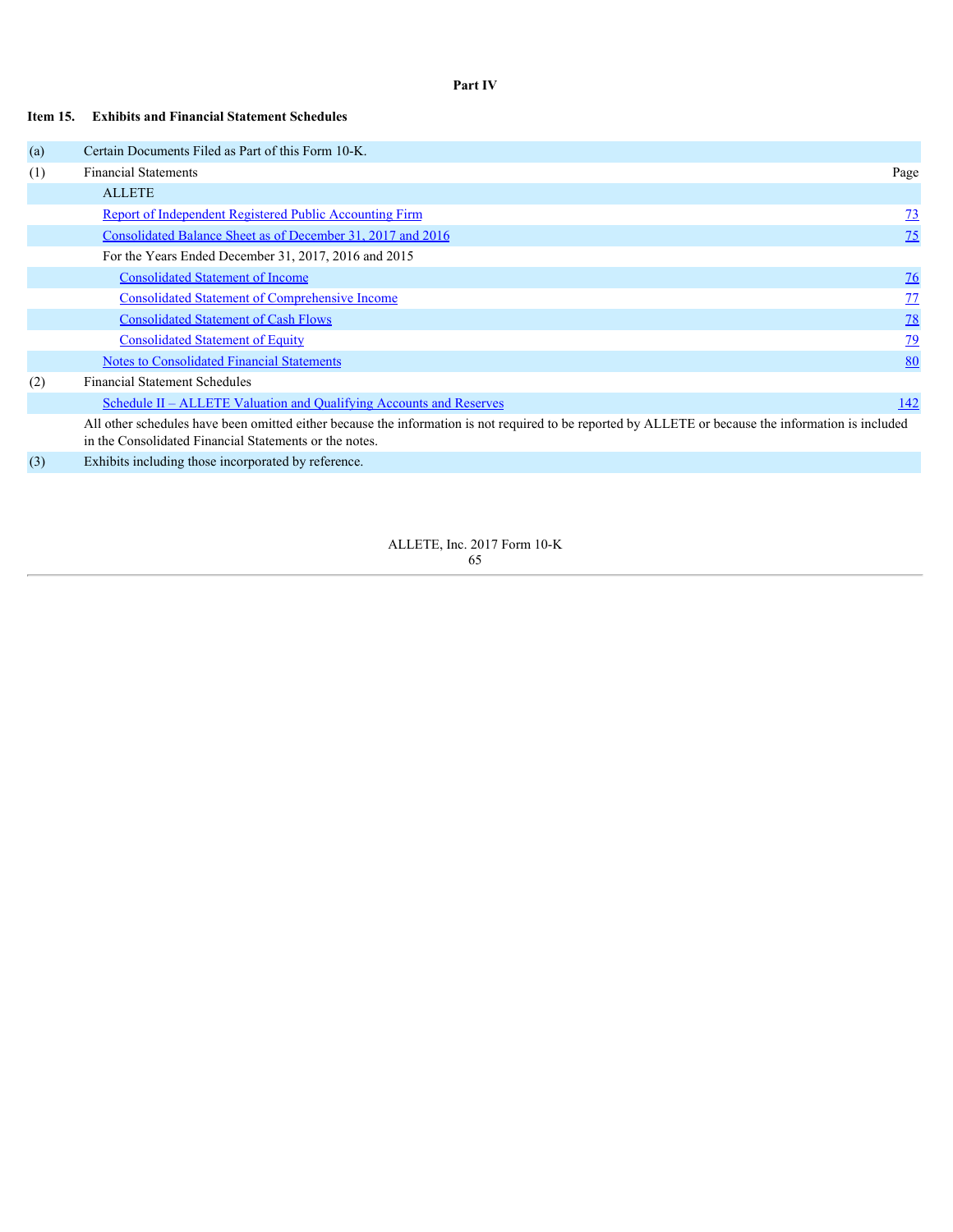## **Part IV**

# **Item 15. Exhibits and Financial Statement Schedules**

| (a) | Certain Documents Filed as Part of this Form 10-K.                                                                                                                                                             |                 |
|-----|----------------------------------------------------------------------------------------------------------------------------------------------------------------------------------------------------------------|-----------------|
| (1) | <b>Financial Statements</b>                                                                                                                                                                                    | Page            |
|     | <b>ALLETE</b>                                                                                                                                                                                                  |                 |
|     | Report of Independent Registered Public Accounting Firm                                                                                                                                                        |                 |
|     | Consolidated Balance Sheet as of December 31, 2017 and 2016                                                                                                                                                    | 75              |
|     | For the Years Ended December 31, 2017, 2016 and 2015                                                                                                                                                           |                 |
|     | <b>Consolidated Statement of Income</b>                                                                                                                                                                        | $\overline{26}$ |
|     | <b>Consolidated Statement of Comprehensive Income</b>                                                                                                                                                          | 77              |
|     | <b>Consolidated Statement of Cash Flows</b>                                                                                                                                                                    | 78              |
|     | <b>Consolidated Statement of Equity</b>                                                                                                                                                                        | $\overline{29}$ |
|     | <b>Notes to Consolidated Financial Statements</b>                                                                                                                                                              | 80              |
| (2) | <b>Financial Statement Schedules</b>                                                                                                                                                                           |                 |
|     | Schedule II – ALLETE Valuation and Qualifying Accounts and Reserves                                                                                                                                            | 142             |
|     | All other schedules have been omitted either because the information is not required to be reported by ALLETE or because the information is included<br>in the Consolidated Financial Statements or the notes. |                 |
| (3) | Exhibits including those incorporated by reference.                                                                                                                                                            |                 |
|     |                                                                                                                                                                                                                |                 |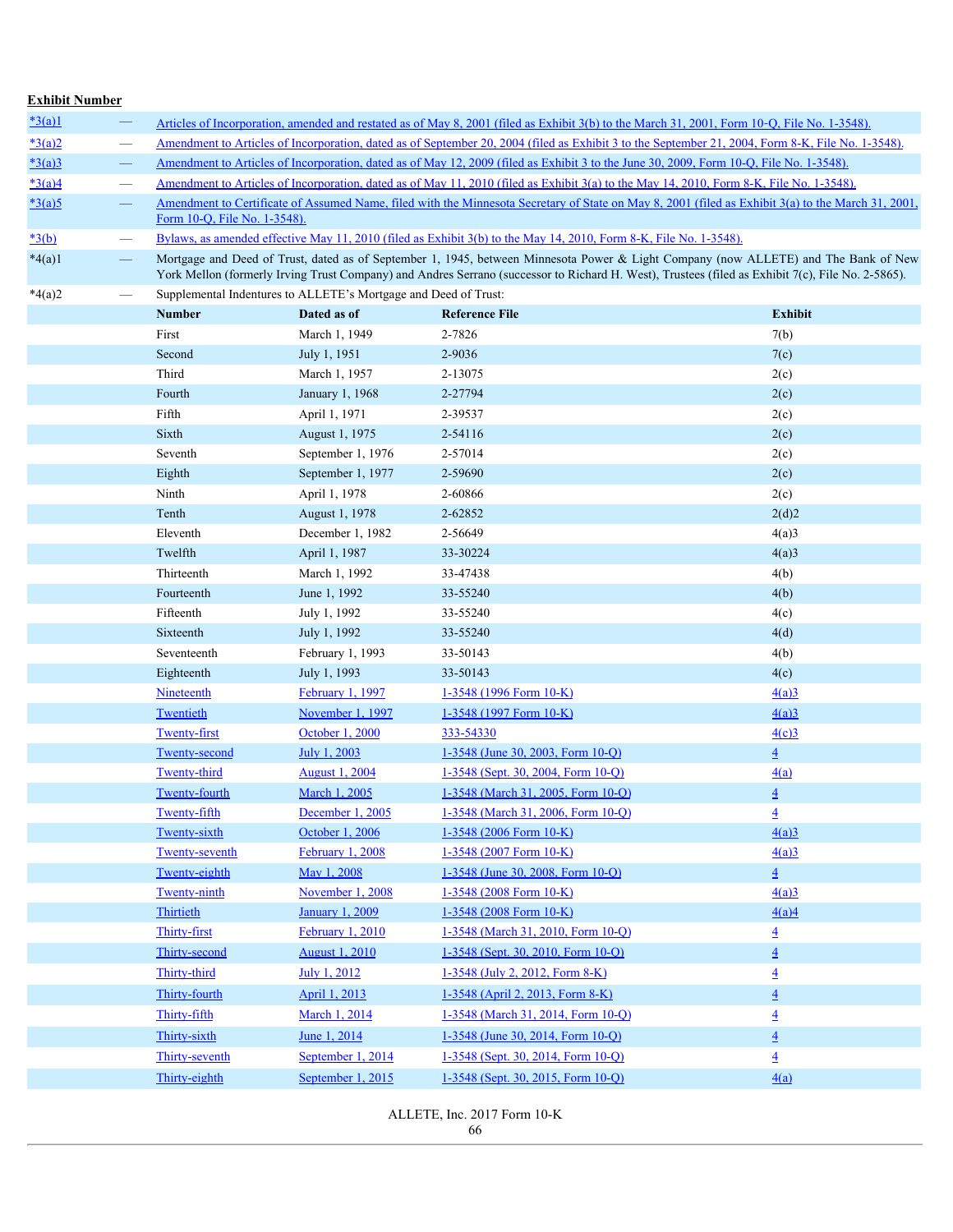| $*3(a)1$ |                              |                                                                 | Articles of Incorporation, amended and restated as of May 8, 2001 (filed as Exhibit 3(b) to the March 31, 2001, Form 10-Q, File No. 1-3548).      |                                                                                                                                                    |
|----------|------------------------------|-----------------------------------------------------------------|---------------------------------------------------------------------------------------------------------------------------------------------------|----------------------------------------------------------------------------------------------------------------------------------------------------|
| $*3(a)2$ |                              |                                                                 | Amendment to Articles of Incorporation, dated as of September 20, 2004 (filed as Exhibit 3 to the September 21, 2004, Form 8-K, File No. 1-3548). |                                                                                                                                                    |
| $*3(a)3$ |                              |                                                                 | Amendment to Articles of Incorporation, dated as of May 12, 2009 (filed as Exhibit 3 to the June 30, 2009, Form 10-Q, File No. 1-3548).           |                                                                                                                                                    |
| $*3(a)4$ |                              |                                                                 | Amendment to Articles of Incorporation, dated as of May 11, 2010 (filed as Exhibit 3(a) to the May 14, 2010, Form 8-K, File No. 1-3548).          |                                                                                                                                                    |
| $*3(a)5$ | Form 10-Q, File No. 1-3548). |                                                                 |                                                                                                                                                   | Amendment to Certificate of Assumed Name, filed with the Minnesota Secretary of State on May 8, 2001 (filed as Exhibit 3(a) to the March 31, 2001, |
| $*3(b)$  |                              |                                                                 | Bylaws, as amended effective May 11, 2010 (filed as Exhibit $3(b)$ to the May 14, 2010, Form 8-K, File No. 1-3548).                               |                                                                                                                                                    |
| $*4(a)1$ |                              |                                                                 | York Mellon (formerly Irving Trust Company) and Andres Serrano (successor to Richard H. West), Trustees (filed as Exhibit 7(c), File No. 2-5865). | Mortgage and Deed of Trust, dated as of September 1, 1945, between Minnesota Power & Light Company (now ALLETE) and The Bank of New                |
| $*4(a)2$ |                              | Supplemental Indentures to ALLETE's Mortgage and Deed of Trust: |                                                                                                                                                   |                                                                                                                                                    |
|          | <b>Number</b>                | Dated as of                                                     | <b>Reference File</b>                                                                                                                             | <b>Exhibit</b>                                                                                                                                     |
|          | First                        | March 1, 1949                                                   | 2-7826                                                                                                                                            | 7(b)                                                                                                                                               |
|          | Second                       | July 1, 1951                                                    | 2-9036                                                                                                                                            | 7(c)                                                                                                                                               |
|          | Third                        | March 1, 1957                                                   | 2-13075                                                                                                                                           | 2(c)                                                                                                                                               |
|          | Fourth                       | January 1, 1968                                                 | 2-27794                                                                                                                                           | 2(c)                                                                                                                                               |
|          | Fifth                        | April 1, 1971                                                   | 2-39537                                                                                                                                           | 2(c)                                                                                                                                               |
|          | Sixth                        | August 1, 1975                                                  | 2-54116                                                                                                                                           | 2(c)                                                                                                                                               |
|          | Seventh                      | September 1, 1976                                               | 2-57014                                                                                                                                           | 2(c)                                                                                                                                               |
|          | Eighth                       | September 1, 1977                                               | 2-59690                                                                                                                                           | 2(c)                                                                                                                                               |
|          | Ninth                        | April 1, 1978                                                   | 2-60866                                                                                                                                           | 2(c)                                                                                                                                               |
|          | Tenth                        | August 1, 1978                                                  | 2-62852                                                                                                                                           | 2(d)2                                                                                                                                              |
|          | Eleventh                     | December 1, 1982                                                | 2-56649                                                                                                                                           | 4(a)3                                                                                                                                              |
|          | Twelfth                      | April 1, 1987                                                   | 33-30224                                                                                                                                          | 4(a)3                                                                                                                                              |
|          |                              | March 1, 1992                                                   | 33-47438                                                                                                                                          |                                                                                                                                                    |
|          | Thirteenth                   |                                                                 |                                                                                                                                                   | 4(b)                                                                                                                                               |
|          | Fourteenth                   | June 1, 1992                                                    | 33-55240                                                                                                                                          | 4(b)                                                                                                                                               |
|          | Fifteenth                    | July 1, 1992                                                    | 33-55240                                                                                                                                          | 4(c)                                                                                                                                               |
|          | Sixteenth                    | July 1, 1992                                                    | 33-55240                                                                                                                                          | 4(d)                                                                                                                                               |
|          | Seventeenth                  | February 1, 1993                                                | 33-50143                                                                                                                                          | 4(b)                                                                                                                                               |
|          | Eighteenth                   | July 1, 1993                                                    | 33-50143                                                                                                                                          | 4(c)                                                                                                                                               |
|          | Nineteenth                   | February 1, 1997                                                | 1-3548 (1996 Form $10-K$ )                                                                                                                        | 4(a)3                                                                                                                                              |
|          | Twentieth                    | November 1, 1997                                                | 1-3548 (1997 Form $10-K$ )                                                                                                                        | 4(a)3                                                                                                                                              |
|          | <b>Twenty-first</b>          | October 1, 2000                                                 | 333-54330                                                                                                                                         | 4(c)3                                                                                                                                              |
|          | <b>Twenty-second</b>         | July 1, 2003                                                    | 1-3548 (June 30, 2003, Form 10-Q)                                                                                                                 | $\overline{4}$                                                                                                                                     |
|          | Twenty-third                 | <b>August 1, 2004</b>                                           | 1-3548 (Sept. 30, 2004, Form 10-Q)                                                                                                                | 4(a)                                                                                                                                               |
|          | Twenty-fourth                | March 1, 2005                                                   | 1-3548 (March 31, 2005, Form 10-Q)                                                                                                                | $\overline{4}$                                                                                                                                     |
|          | Twenty-fifth                 | December 1, 2005                                                | 1-3548 (March 31, 2006, Form 10-Q)                                                                                                                | $\overline{4}$                                                                                                                                     |
|          | Twenty-sixth                 | October 1, 2006                                                 | 1-3548 (2006 Form 10-K)                                                                                                                           | $\frac{4(a)}{3}$                                                                                                                                   |
|          | Twenty-seventh               | <b>February 1, 2008</b>                                         | 1-3548 (2007 Form $10-K$ )                                                                                                                        | $\frac{4(a)}{3}$                                                                                                                                   |
|          | Twenty-eighth                | May 1, 2008                                                     | 1-3548 (June 30, 2008, Form 10-Q)                                                                                                                 | $\overline{4}$                                                                                                                                     |
|          | Twenty-ninth                 | November 1, 2008                                                | 1-3548 (2008 Form 10-K)                                                                                                                           | $\frac{4(a)}{3}$                                                                                                                                   |
|          | Thirtieth                    | <b>January 1, 2009</b>                                          | $1-3548$ (2008 Form 10-K)                                                                                                                         | $\frac{4(a)}{4}$                                                                                                                                   |
|          | Thirty-first                 | February 1, 2010                                                | 1-3548 (March 31, 2010, Form 10-Q)                                                                                                                | $\overline{4}$                                                                                                                                     |
|          | Thirty-second                | <b>August 1, 2010</b>                                           | $1-3548$ (Sept. 30, 2010, Form 10-Q)                                                                                                              | $\overline{4}$                                                                                                                                     |
|          | Thirty-third                 | July 1, 2012                                                    | 1-3548 (July 2, 2012, Form 8-K)                                                                                                                   | $\overline{4}$                                                                                                                                     |
|          | Thirty-fourth                | April 1, 2013                                                   | 1-3548 (April 2, 2013, Form 8-K)                                                                                                                  | $\overline{4}$                                                                                                                                     |
|          |                              |                                                                 | 1-3548 (March 31, 2014, Form 10-Q)                                                                                                                |                                                                                                                                                    |
|          | Thirty-fifth                 | March 1, 2014                                                   |                                                                                                                                                   |                                                                                                                                                    |
|          | Thirty-sixth                 | June 1, 2014                                                    | 1-3548 (June 30, 2014, Form 10-Q)                                                                                                                 | $\overline{4}$                                                                                                                                     |
|          | Thirty-seventh               | September 1, 2014                                               | 1-3548 (Sept. 30, 2014, Form 10-Q)                                                                                                                |                                                                                                                                                    |
|          | Thirty-eighth                | September 1, 2015                                               | 1-3548 (Sept. 30, 2015, Form 10-Q)                                                                                                                | 4(a)                                                                                                                                               |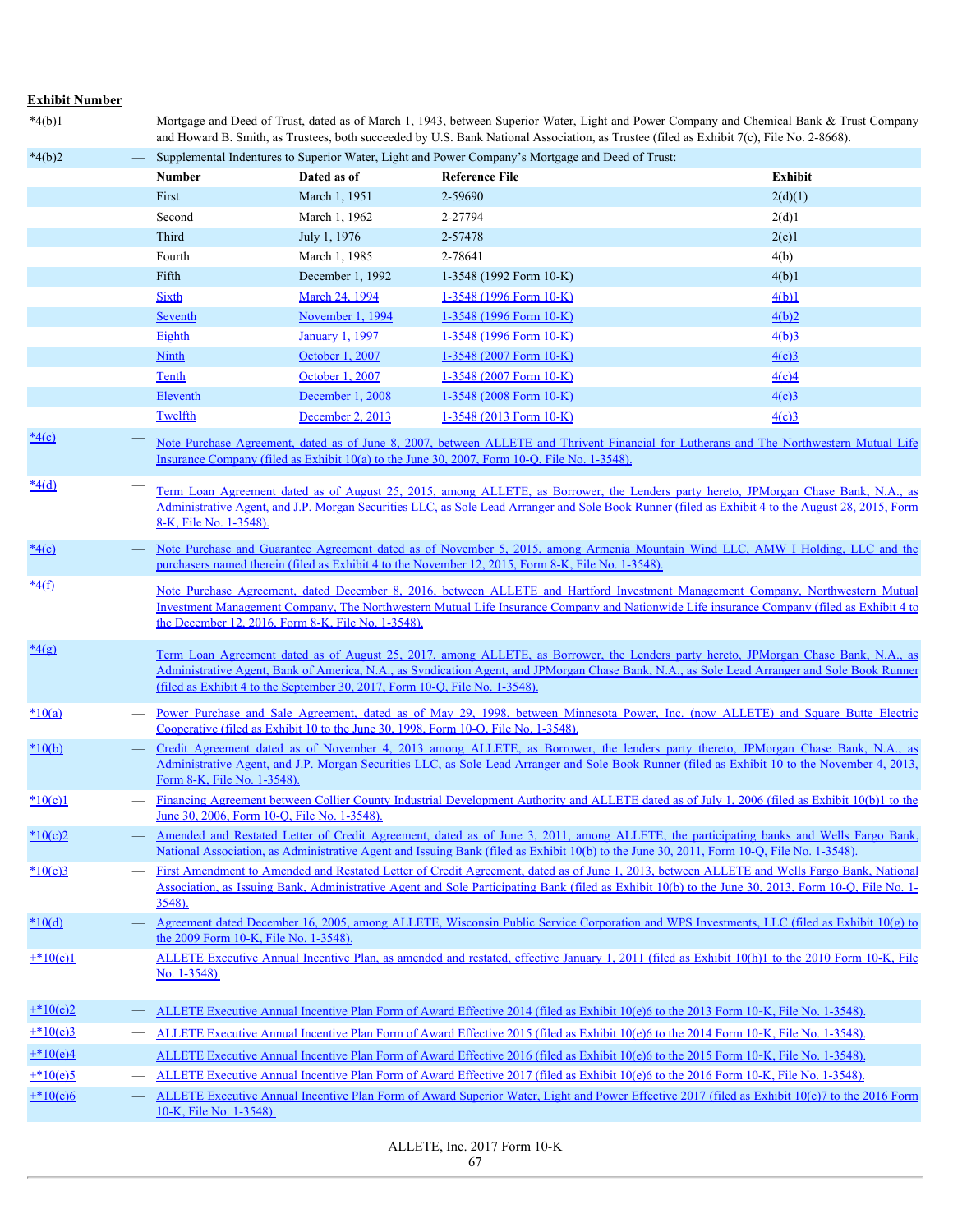| $*4(b)1$ | — Mortgage and Deed of Trust, dated as of March 1, 1943, between Superior Water, Light and Power Company and Chemical Bank & Trust Company |
|----------|--------------------------------------------------------------------------------------------------------------------------------------------|
|          | and Howard B. Smith, as Trustees, both succeeded by U.S. Bank National Association, as Trustee (filed as Exhibit 7(c), File No. 2-8668).   |
| $*4(b)2$ | - Supplemental Indentures to Superior Water, Light and Power Company's Mortgage and Deed of Trust:                                         |

| <b>Exhibit Number</b> |                                 |                                                                                     |                                                                                                                                           |                                                                                                                                                                                                                                                                                          |
|-----------------------|---------------------------------|-------------------------------------------------------------------------------------|-------------------------------------------------------------------------------------------------------------------------------------------|------------------------------------------------------------------------------------------------------------------------------------------------------------------------------------------------------------------------------------------------------------------------------------------|
| $*4(b)1$              |                                 |                                                                                     | and Howard B. Smith, as Trustees, both succeeded by U.S. Bank National Association, as Trustee (filed as Exhibit 7(c), File No. 2-8668).  | - Mortgage and Deed of Trust, dated as of March 1, 1943, between Superior Water, Light and Power Company and Chemical Bank & Trust Company                                                                                                                                               |
| $*4(b)2$              |                                 |                                                                                     | - Supplemental Indentures to Superior Water, Light and Power Company's Mortgage and Deed of Trust:                                        |                                                                                                                                                                                                                                                                                          |
|                       | <b>Number</b>                   | Dated as of                                                                         | <b>Reference File</b>                                                                                                                     | <b>Exhibit</b>                                                                                                                                                                                                                                                                           |
|                       | First                           | March 1, 1951                                                                       | 2-59690                                                                                                                                   | 2(d)(1)                                                                                                                                                                                                                                                                                  |
|                       | Second                          | March 1, 1962                                                                       | 2-27794                                                                                                                                   | 2(d)1                                                                                                                                                                                                                                                                                    |
|                       | Third                           | July 1, 1976                                                                        | 2-57478                                                                                                                                   | 2(e)1                                                                                                                                                                                                                                                                                    |
|                       | Fourth                          | March 1, 1985                                                                       | 2-78641                                                                                                                                   | 4(b)                                                                                                                                                                                                                                                                                     |
|                       | Fifth                           | December 1, 1992                                                                    | 1-3548 (1992 Form 10-K)                                                                                                                   | 4(b)1                                                                                                                                                                                                                                                                                    |
|                       | <b>Sixth</b>                    | March 24, 1994                                                                      | 1-3548 (1996 Form 10-K)                                                                                                                   | 4(b)1                                                                                                                                                                                                                                                                                    |
|                       | <b>Seventh</b>                  | November 1, 1994                                                                    | $1-3548$ (1996 Form 10-K)                                                                                                                 | 4(b)2                                                                                                                                                                                                                                                                                    |
|                       | Eighth                          | January 1, 1997                                                                     | 1-3548 (1996 Form 10-K)                                                                                                                   | 4(b)3                                                                                                                                                                                                                                                                                    |
|                       | <b>Ninth</b>                    | October 1, 2007                                                                     | 1-3548 (2007 Form 10-K)                                                                                                                   | $\frac{4(c)}{3}$                                                                                                                                                                                                                                                                         |
|                       | Tenth                           | October 1, 2007                                                                     | 1-3548 (2007 Form 10-K)                                                                                                                   | 4(c)4                                                                                                                                                                                                                                                                                    |
|                       | Eleventh                        | December 1, 2008                                                                    | 1-3548 (2008 Form 10-K)                                                                                                                   | $\frac{4(c)}{3}$                                                                                                                                                                                                                                                                         |
|                       | Twelfth                         | December 2, 2013                                                                    | 1-3548 (2013 Form $10-K$ )                                                                                                                | $\frac{4(c)}{3}$                                                                                                                                                                                                                                                                         |
| $*4(c)$               |                                 |                                                                                     |                                                                                                                                           | Note Purchase Agreement, dated as of June 8, 2007, between ALLETE and Thrivent Financial for Lutherans and The Northwestern Mutual Life                                                                                                                                                  |
|                       |                                 |                                                                                     | Insurance Company (filed as Exhibit 10(a) to the June 30, 2007, Form 10-Q, File No. 1-3548).                                              |                                                                                                                                                                                                                                                                                          |
| $*4(d)$               |                                 |                                                                                     |                                                                                                                                           |                                                                                                                                                                                                                                                                                          |
|                       |                                 |                                                                                     |                                                                                                                                           | Term Loan Agreement dated as of August 25, 2015, among ALLETE, as Borrower, the Lenders party hereto, JPMorgan Chase Bank, N.A., as<br>Administrative Agent, and J.P. Morgan Securities LLC, as Sole Lead Arranger and Sole Book Runner (filed as Exhibit 4 to the August 28, 2015, Form |
|                       | 8-K, File No. 1-3548).          |                                                                                     |                                                                                                                                           |                                                                                                                                                                                                                                                                                          |
| $*4(e)$               |                                 |                                                                                     |                                                                                                                                           | Note Purchase and Guarantee Agreement dated as of November 5, 2015, among Armenia Mountain Wind LLC, AMW I Holding, LLC and the                                                                                                                                                          |
|                       |                                 |                                                                                     | purchasers named therein (filed as Exhibit 4 to the November 12, 2015, Form 8-K, File No. 1-3548).                                        |                                                                                                                                                                                                                                                                                          |
| <u>*4(f)</u>          |                                 |                                                                                     |                                                                                                                                           | Note Purchase Agreement, dated December 8, 2016, between ALLETE and Hartford Investment Management Company, Northwestern Mutual                                                                                                                                                          |
|                       |                                 |                                                                                     |                                                                                                                                           | Investment Management Company, The Northwestern Mutual Life Insurance Company and Nationwide Life insurance Company (filed as Exhibit 4 to                                                                                                                                               |
|                       |                                 | the December 12, 2016, Form 8-K, File No. 1-3548).                                  |                                                                                                                                           |                                                                                                                                                                                                                                                                                          |
| $*4(g)$               |                                 |                                                                                     |                                                                                                                                           |                                                                                                                                                                                                                                                                                          |
|                       |                                 |                                                                                     |                                                                                                                                           | Term Loan Agreement dated as of August 25, 2017, among ALLETE, as Borrower, the Lenders party hereto, JPMorgan Chase Bank, N.A., as<br>Administrative Agent, Bank of America, N.A., as Syndication Agent, and JPMorgan Chase Bank, N.A., as Sole Lead Arranger and Sole Book Runner      |
|                       |                                 | (filed as Exhibit 4 to the September 30, 2017, Form 10-Q, File No. 1-3548).         |                                                                                                                                           |                                                                                                                                                                                                                                                                                          |
|                       |                                 |                                                                                     |                                                                                                                                           | Power Purchase and Sale Agreement, dated as of May 29, 1998, between Minnesota Power, Inc. (now ALLETE) and Square Butte Electric                                                                                                                                                        |
| $*10(a)$              |                                 | Cooperative (filed as Exhibit 10 to the June 30, 1998, Form 10-O, File No. 1-3548). |                                                                                                                                           |                                                                                                                                                                                                                                                                                          |
| $*10(b)$              |                                 |                                                                                     |                                                                                                                                           | Credit Agreement dated as of November 4, 2013 among ALLETE, as Borrower, the lenders party thereto, JPMorgan Chase Bank, N.A., as                                                                                                                                                        |
|                       |                                 |                                                                                     |                                                                                                                                           | Administrative Agent, and J.P. Morgan Securities LLC, as Sole Lead Arranger and Sole Book Runner (filed as Exhibit 10 to the November 4, 2013,                                                                                                                                           |
|                       | Form 8-K, File No. 1-3548).     |                                                                                     |                                                                                                                                           |                                                                                                                                                                                                                                                                                          |
| $*10(c)1$             | $\hspace{0.1mm}-\hspace{0.1mm}$ |                                                                                     |                                                                                                                                           | Financing Agreement between Collier County Industrial Development Authority and ALLETE dated as of July 1, 2006 (filed as Exhibit 10(b)1 to the                                                                                                                                          |
|                       |                                 | June 30, 2006, Form 10-Q, File No. 1-3548).                                         |                                                                                                                                           |                                                                                                                                                                                                                                                                                          |
| * $10(c)2$            |                                 |                                                                                     | National Association, as Administrative Agent and Issuing Bank (filed as Exhibit 10(b) to the June 30, 2011, Form 10-O, File No. 1-3548). | Amended and Restated Letter of Credit Agreement, dated as of June 3, 2011, among ALLETE, the participating banks and Wells Fargo Bank.                                                                                                                                                   |
| $*10(c)3$             |                                 |                                                                                     |                                                                                                                                           | First Amendment to Amended and Restated Letter of Credit Agreement, dated as of June 1, 2013, between ALLETE and Wells Fargo Bank, National                                                                                                                                              |
|                       |                                 |                                                                                     |                                                                                                                                           | Association, as Issuing Bank, Administrative Agent and Sole Participating Bank (filed as Exhibit 10(b) to the June 30, 2013, Form 10-O, File No. 1-                                                                                                                                      |
|                       | 3548).                          |                                                                                     |                                                                                                                                           |                                                                                                                                                                                                                                                                                          |
| $*10(d)$              |                                 |                                                                                     |                                                                                                                                           | - Agreement dated December 16, 2005, among ALLETE, Wisconsin Public Service Corporation and WPS Investments, LLC (filed as Exhibit 10(g) to                                                                                                                                              |
|                       |                                 | the 2009 Form 10-K, File No. 1-3548).                                               |                                                                                                                                           |                                                                                                                                                                                                                                                                                          |
| $+*10(e)1$            | No. 1-3548).                    |                                                                                     |                                                                                                                                           | ALLETE Executive Annual Incentive Plan, as amended and restated, effective January 1, 2011 (filed as Exhibit 10(h)1 to the 2010 Form 10-K, File                                                                                                                                          |
|                       |                                 |                                                                                     |                                                                                                                                           |                                                                                                                                                                                                                                                                                          |
| $+*10(e)2$            | $\overline{\phantom{m}}$        |                                                                                     | ALLETE Executive Annual Incentive Plan Form of Award Effective 2014 (filed as Exhibit 10(e)6 to the 2013 Form 10-K, File No. 1-3548).     |                                                                                                                                                                                                                                                                                          |
| $+*10(e)3$            |                                 |                                                                                     | ALLETE Executive Annual Incentive Plan Form of Award Effective 2015 (filed as Exhibit 10(e)6 to the 2014 Form 10-K, File No. 1-3548).     |                                                                                                                                                                                                                                                                                          |
| $+*10(e)4$            |                                 |                                                                                     | ALLETE Executive Annual Incentive Plan Form of Award Effective 2016 (filed as Exhibit $10(e)6$ to the 2015 Form 10-K, File No. 1-3548).   |                                                                                                                                                                                                                                                                                          |
| $+*10(e)5$            |                                 |                                                                                     | — ALLETE Executive Annual Incentive Plan Form of Award Effective 2017 (filed as Exhibit 10(e)6 to the 2016 Form 10-K, File No. 1-3548).   |                                                                                                                                                                                                                                                                                          |
| $+*10(e)6$            |                                 |                                                                                     |                                                                                                                                           | $-$ ALLETE Executive Annual Incentive Plan Form of Award Superior Water, Light and Power Effective 2017 (filed as Exhibit 10(e)7 to the 2016 Form                                                                                                                                        |
|                       | 10-K, File No. 1-3548).         |                                                                                     |                                                                                                                                           |                                                                                                                                                                                                                                                                                          |
|                       |                                 |                                                                                     |                                                                                                                                           |                                                                                                                                                                                                                                                                                          |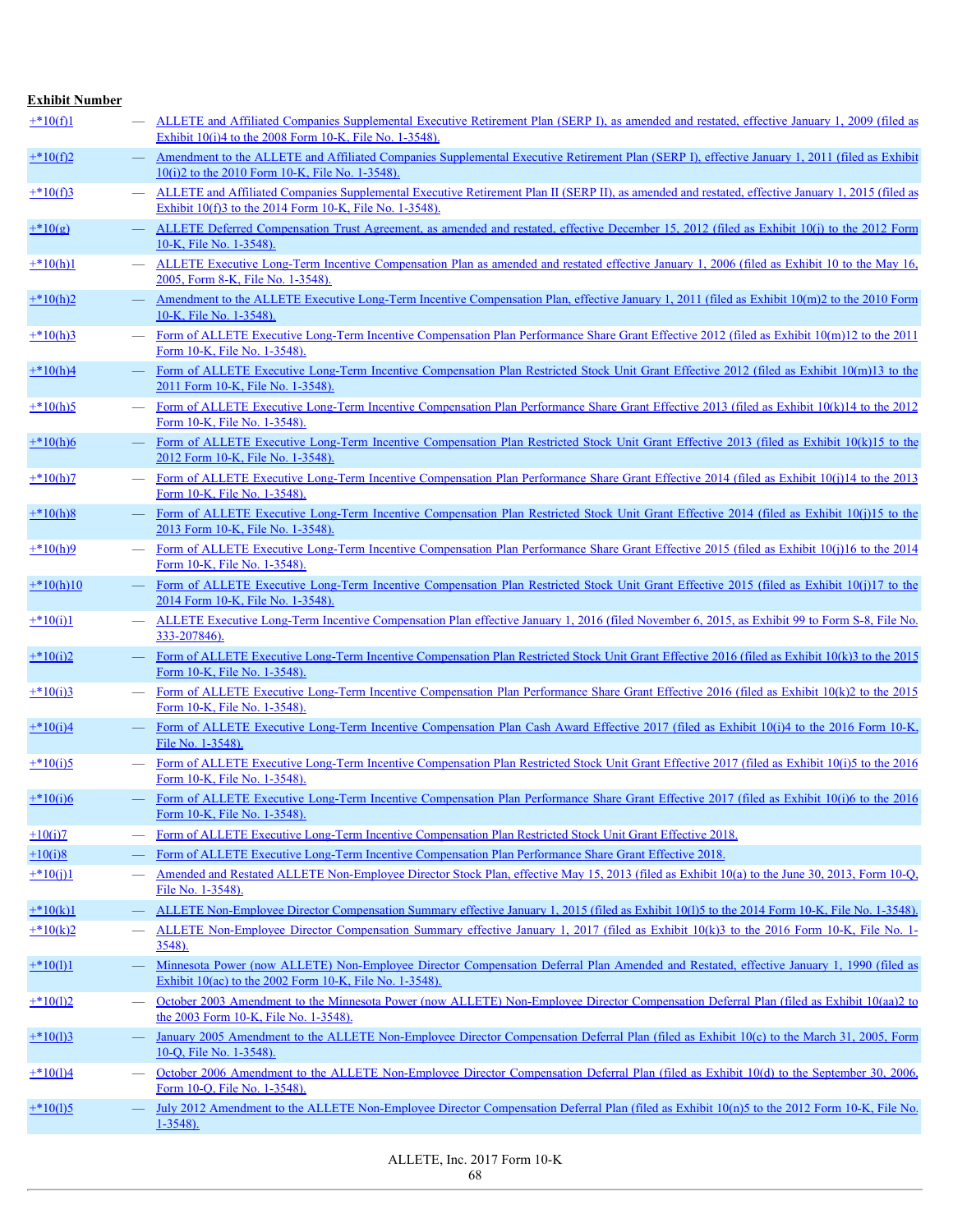| <b>Exhibit Number</b><br>Exhibit 10(i)4 to the 2008 Form 10-K, File No. 1-3548).<br>$10(i)2$ to the 2010 Form 10-K, File No. 1-3548).<br>Exhibit 10(f)3 to the 2014 Form 10-K, File No. 1-3548).<br>10-K, File No. 1-3548).<br>- ALLETE Executive Long-Term Incentive Compensation Plan as amended and restated effective January 1, 2006 (filed as Exhibit 10 to the May 16.<br>2005, Form 8-K, File No. 1-3548).<br>10-K, File No. 1-3548).<br>Form 10-K. File No. 1-3548).<br>2011 Form 10-K, File No. 1-3548)<br>Form 10-K, File No. 1-3548)<br>2012 Form 10-K, File No. 1-3548).<br>Form 10-K, File No. 1-3548).<br>2013 Form 10-K, File No. 1-3548).<br>Form 10-K, File No. 1-3548).<br>2014 Form 10-K, File No. 1-3548)<br>333-207846).<br>Form 10-K, File No. 1-3548).<br>Form 10-K, File No. 1-3548).<br>File No. 1-3548)<br>Form 10-K, File No. 1-3548).<br>Form 10-K, File No. 1-3548).<br>— Form of ALLETE Executive Long-Term Incentive Compensation Plan Restricted Stock Unit Grant Effective 2018.<br>— Form of ALLETE Executive Long-Term Incentive Compensation Plan Performance Share Grant Effective 2018.<br>- Amended and Restated ALLETE Non-Employee Director Stock Plan, effective May 15, 2013 (filed as Exhibit 10(a) to the June 30, 2013, Form 10-Q.<br>File No. 1-3548).<br>3548).<br>Exhibit $10(ac)$ to the 2002 Form $10-K$ , File No. 1-3548).<br>the 2003 Form 10-K, File No. 1-3548).<br>10-Q, File No. 1-3548).<br>Form 10-Q, File No. 1-3548).<br>$1 - 3548$ ).                                                                                                                                                                                                                                                                                                                                                                                                                                                                                                                                                                                                                                                                                                                                                                                                                                                                                                         |             |                                                                                                                                               |
|---------------------------------------------------------------------------------------------------------------------------------------------------------------------------------------------------------------------------------------------------------------------------------------------------------------------------------------------------------------------------------------------------------------------------------------------------------------------------------------------------------------------------------------------------------------------------------------------------------------------------------------------------------------------------------------------------------------------------------------------------------------------------------------------------------------------------------------------------------------------------------------------------------------------------------------------------------------------------------------------------------------------------------------------------------------------------------------------------------------------------------------------------------------------------------------------------------------------------------------------------------------------------------------------------------------------------------------------------------------------------------------------------------------------------------------------------------------------------------------------------------------------------------------------------------------------------------------------------------------------------------------------------------------------------------------------------------------------------------------------------------------------------------------------------------------------------------------------------------------------------------------------------------------------------------------------------------------------------------------------------------------------------------------------------------------------------------------------------------------------------------------------------------------------------------------------------------------------------------------------------------------------------------------------------------------------------------------------------------------------------------------------------------------|-------------|-----------------------------------------------------------------------------------------------------------------------------------------------|
| — Form of ALLETE Executive Long-Term Incentive Compensation Plan Performance Share Grant Effective 2012 (filed as Exhibit 10(m)12 to the 2011<br>— Form of ALLETE Executive Long-Term Incentive Compensation Plan Performance Share Grant Effective 2014 (filed as Exhibit 10(j)14 to the 2013<br>— October 2006 Amendment to the ALLETE Non-Employee Director Compensation Deferral Plan (filed as Exhibit 10(d) to the September 30, 2006,                                                                                                                                                                                                                                                                                                                                                                                                                                                                                                                                                                                                                                                                                                                                                                                                                                                                                                                                                                                                                                                                                                                                                                                                                                                                                                                                                                                                                                                                                                                                                                                                                                                                                                                                                                                                                                                                                                                                                                  |             |                                                                                                                                               |
| — Amendment to the ALLETE and Affiliated Companies Supplemental Executive Retirement Plan (SERP I), effective January 1, 2011 (filed as Exhibit<br>- ALLETE and Affiliated Companies Supplemental Executive Retirement Plan II (SERP II), as amended and restated, effective January 1, 2015 (filed as<br>— ALLETE Deferred Compensation Trust Agreement, as amended and restated, effective December 15, 2012 (filed as Exhibit 10(i) to the 2012 Form<br>— Amendment to the ALLETE Executive Long-Term Incentive Compensation Plan, effective January 1, 2011 (filed as Exhibit 10(m)2 to the 2010 Form<br>- Form of ALLETE Executive Long-Term Incentive Compensation Plan Restricted Stock Unit Grant Effective 2012 (filed as Exhibit 10(m)13 to the<br>— Form of ALLETE Executive Long-Term Incentive Compensation Plan Performance Share Grant Effective 2013 (filed as Exhibit 10(k)14 to the 2012<br>- Form of ALLETE Executive Long-Term Incentive Compensation Plan Restricted Stock Unit Grant Effective 2014 (filed as Exhibit 10(j)15 to the<br>- Form of ALLETE Executive Long-Term Incentive Compensation Plan Performance Share Grant Effective 2015 (filed as Exhibit 10(j)16 to the 2014<br>- ALLETE Executive Long-Term Incentive Compensation Plan effective January 1, 2016 (filed November 6, 2015, as Exhibit 99 to Form S-8, File No.<br>— Form of ALLETE Executive Long-Term Incentive Compensation Plan Restricted Stock Unit Grant Effective 2016 (filed as Exhibit 10(k)3 to the 2015<br>Form of ALLETE Executive Long-Term Incentive Compensation Plan Performance Share Grant Effective 2016 (filed as Exhibit 10(k)2 to the 2015<br>$-$ Form of ALLETE Executive Long-Term Incentive Compensation Plan Cash Award Effective 2017 (filed as Exhibit 10(i)4 to the 2016 Form 10-K,<br>— ALLETE Non-Employee Director Compensation Summary effective January 1, 2015 (filed as Exhibit 10(1)5 to the 2014 Form 10-K, File No. 1-3548).<br>ALLETE Non-Employee Director Compensation Summary effective January 1, 2017 (filed as Exhibit 10(k)3 to the 2016 Form 10-K, File No. 1-<br>— October 2003 Amendment to the Minnesota Power (now ALLETE) Non-Employee Director Compensation Deferral Plan (filed as Exhibit 10(aa)2 to<br>— July 2012 Amendment to the ALLETE Non-Employee Director Compensation Deferral Plan (filed as Exhibit 10(n)5 to the 2012 Form 10-K, File No. | $+*10(f)1$  | ALLETE and Affiliated Companies Supplemental Executive Retirement Plan (SERP I), as amended and restated, effective January 1, 2009 (filed as |
|                                                                                                                                                                                                                                                                                                                                                                                                                                                                                                                                                                                                                                                                                                                                                                                                                                                                                                                                                                                                                                                                                                                                                                                                                                                                                                                                                                                                                                                                                                                                                                                                                                                                                                                                                                                                                                                                                                                                                                                                                                                                                                                                                                                                                                                                                                                                                                                                               | $+*10(f)2$  |                                                                                                                                               |
| - Form of ALLETE Executive Long-Term Incentive Compensation Plan Restricted Stock Unit Grant Effective 2013 (filed as Exhibit 10(k)15 to the<br>- Form of ALLETE Executive Long-Term Incentive Compensation Plan Restricted Stock Unit Grant Effective 2015 (filed as Exhibit 10(j)17 to the<br>Form of ALLETE Executive Long-Term Incentive Compensation Plan Restricted Stock Unit Grant Effective 2017 (filed as Exhibit 10(i)5 to the 2016<br>— Form of ALLETE Executive Long-Term Incentive Compensation Plan Performance Share Grant Effective 2017 (filed as Exhibit 10(i)6 to the 2016<br>- Minnesota Power (now ALLETE) Non-Employee Director Compensation Deferral Plan Amended and Restated, effective January 1, 1990 (filed as<br>January 2005 Amendment to the ALLETE Non-Employee Director Compensation Deferral Plan (filed as Exhibit 10(c) to the March 31, 2005, Form                                                                                                                                                                                                                                                                                                                                                                                                                                                                                                                                                                                                                                                                                                                                                                                                                                                                                                                                                                                                                                                                                                                                                                                                                                                                                                                                                                                                                                                                                                                      | $+*10(f)3$  |                                                                                                                                               |
|                                                                                                                                                                                                                                                                                                                                                                                                                                                                                                                                                                                                                                                                                                                                                                                                                                                                                                                                                                                                                                                                                                                                                                                                                                                                                                                                                                                                                                                                                                                                                                                                                                                                                                                                                                                                                                                                                                                                                                                                                                                                                                                                                                                                                                                                                                                                                                                                               | $+*10(g)$   |                                                                                                                                               |
|                                                                                                                                                                                                                                                                                                                                                                                                                                                                                                                                                                                                                                                                                                                                                                                                                                                                                                                                                                                                                                                                                                                                                                                                                                                                                                                                                                                                                                                                                                                                                                                                                                                                                                                                                                                                                                                                                                                                                                                                                                                                                                                                                                                                                                                                                                                                                                                                               | $+*10(h)1$  |                                                                                                                                               |
|                                                                                                                                                                                                                                                                                                                                                                                                                                                                                                                                                                                                                                                                                                                                                                                                                                                                                                                                                                                                                                                                                                                                                                                                                                                                                                                                                                                                                                                                                                                                                                                                                                                                                                                                                                                                                                                                                                                                                                                                                                                                                                                                                                                                                                                                                                                                                                                                               | $+*10(h)2$  |                                                                                                                                               |
|                                                                                                                                                                                                                                                                                                                                                                                                                                                                                                                                                                                                                                                                                                                                                                                                                                                                                                                                                                                                                                                                                                                                                                                                                                                                                                                                                                                                                                                                                                                                                                                                                                                                                                                                                                                                                                                                                                                                                                                                                                                                                                                                                                                                                                                                                                                                                                                                               | $+*10(h)3$  |                                                                                                                                               |
|                                                                                                                                                                                                                                                                                                                                                                                                                                                                                                                                                                                                                                                                                                                                                                                                                                                                                                                                                                                                                                                                                                                                                                                                                                                                                                                                                                                                                                                                                                                                                                                                                                                                                                                                                                                                                                                                                                                                                                                                                                                                                                                                                                                                                                                                                                                                                                                                               | $+*10(h)4$  |                                                                                                                                               |
|                                                                                                                                                                                                                                                                                                                                                                                                                                                                                                                                                                                                                                                                                                                                                                                                                                                                                                                                                                                                                                                                                                                                                                                                                                                                                                                                                                                                                                                                                                                                                                                                                                                                                                                                                                                                                                                                                                                                                                                                                                                                                                                                                                                                                                                                                                                                                                                                               | $+*10(h)5$  |                                                                                                                                               |
|                                                                                                                                                                                                                                                                                                                                                                                                                                                                                                                                                                                                                                                                                                                                                                                                                                                                                                                                                                                                                                                                                                                                                                                                                                                                                                                                                                                                                                                                                                                                                                                                                                                                                                                                                                                                                                                                                                                                                                                                                                                                                                                                                                                                                                                                                                                                                                                                               | $+*10(h)6$  |                                                                                                                                               |
|                                                                                                                                                                                                                                                                                                                                                                                                                                                                                                                                                                                                                                                                                                                                                                                                                                                                                                                                                                                                                                                                                                                                                                                                                                                                                                                                                                                                                                                                                                                                                                                                                                                                                                                                                                                                                                                                                                                                                                                                                                                                                                                                                                                                                                                                                                                                                                                                               | $+*10(h)7$  |                                                                                                                                               |
|                                                                                                                                                                                                                                                                                                                                                                                                                                                                                                                                                                                                                                                                                                                                                                                                                                                                                                                                                                                                                                                                                                                                                                                                                                                                                                                                                                                                                                                                                                                                                                                                                                                                                                                                                                                                                                                                                                                                                                                                                                                                                                                                                                                                                                                                                                                                                                                                               | $+*10(h)8$  |                                                                                                                                               |
|                                                                                                                                                                                                                                                                                                                                                                                                                                                                                                                                                                                                                                                                                                                                                                                                                                                                                                                                                                                                                                                                                                                                                                                                                                                                                                                                                                                                                                                                                                                                                                                                                                                                                                                                                                                                                                                                                                                                                                                                                                                                                                                                                                                                                                                                                                                                                                                                               | $+*10(h)9$  |                                                                                                                                               |
|                                                                                                                                                                                                                                                                                                                                                                                                                                                                                                                                                                                                                                                                                                                                                                                                                                                                                                                                                                                                                                                                                                                                                                                                                                                                                                                                                                                                                                                                                                                                                                                                                                                                                                                                                                                                                                                                                                                                                                                                                                                                                                                                                                                                                                                                                                                                                                                                               | $+*10(h)10$ |                                                                                                                                               |
|                                                                                                                                                                                                                                                                                                                                                                                                                                                                                                                                                                                                                                                                                                                                                                                                                                                                                                                                                                                                                                                                                                                                                                                                                                                                                                                                                                                                                                                                                                                                                                                                                                                                                                                                                                                                                                                                                                                                                                                                                                                                                                                                                                                                                                                                                                                                                                                                               | $+*10(i)1$  |                                                                                                                                               |
|                                                                                                                                                                                                                                                                                                                                                                                                                                                                                                                                                                                                                                                                                                                                                                                                                                                                                                                                                                                                                                                                                                                                                                                                                                                                                                                                                                                                                                                                                                                                                                                                                                                                                                                                                                                                                                                                                                                                                                                                                                                                                                                                                                                                                                                                                                                                                                                                               | $+*10(i)2$  |                                                                                                                                               |
|                                                                                                                                                                                                                                                                                                                                                                                                                                                                                                                                                                                                                                                                                                                                                                                                                                                                                                                                                                                                                                                                                                                                                                                                                                                                                                                                                                                                                                                                                                                                                                                                                                                                                                                                                                                                                                                                                                                                                                                                                                                                                                                                                                                                                                                                                                                                                                                                               | $+*10(i)3$  |                                                                                                                                               |
|                                                                                                                                                                                                                                                                                                                                                                                                                                                                                                                                                                                                                                                                                                                                                                                                                                                                                                                                                                                                                                                                                                                                                                                                                                                                                                                                                                                                                                                                                                                                                                                                                                                                                                                                                                                                                                                                                                                                                                                                                                                                                                                                                                                                                                                                                                                                                                                                               | $+*10(i)4$  |                                                                                                                                               |
|                                                                                                                                                                                                                                                                                                                                                                                                                                                                                                                                                                                                                                                                                                                                                                                                                                                                                                                                                                                                                                                                                                                                                                                                                                                                                                                                                                                                                                                                                                                                                                                                                                                                                                                                                                                                                                                                                                                                                                                                                                                                                                                                                                                                                                                                                                                                                                                                               | $+*10(i)5$  |                                                                                                                                               |
|                                                                                                                                                                                                                                                                                                                                                                                                                                                                                                                                                                                                                                                                                                                                                                                                                                                                                                                                                                                                                                                                                                                                                                                                                                                                                                                                                                                                                                                                                                                                                                                                                                                                                                                                                                                                                                                                                                                                                                                                                                                                                                                                                                                                                                                                                                                                                                                                               | $+*10(i)6$  |                                                                                                                                               |
|                                                                                                                                                                                                                                                                                                                                                                                                                                                                                                                                                                                                                                                                                                                                                                                                                                                                                                                                                                                                                                                                                                                                                                                                                                                                                                                                                                                                                                                                                                                                                                                                                                                                                                                                                                                                                                                                                                                                                                                                                                                                                                                                                                                                                                                                                                                                                                                                               | $+10(i)7$   |                                                                                                                                               |
|                                                                                                                                                                                                                                                                                                                                                                                                                                                                                                                                                                                                                                                                                                                                                                                                                                                                                                                                                                                                                                                                                                                                                                                                                                                                                                                                                                                                                                                                                                                                                                                                                                                                                                                                                                                                                                                                                                                                                                                                                                                                                                                                                                                                                                                                                                                                                                                                               | $+10(i)8$   |                                                                                                                                               |
|                                                                                                                                                                                                                                                                                                                                                                                                                                                                                                                                                                                                                                                                                                                                                                                                                                                                                                                                                                                                                                                                                                                                                                                                                                                                                                                                                                                                                                                                                                                                                                                                                                                                                                                                                                                                                                                                                                                                                                                                                                                                                                                                                                                                                                                                                                                                                                                                               | $+*10(i)1$  |                                                                                                                                               |
|                                                                                                                                                                                                                                                                                                                                                                                                                                                                                                                                                                                                                                                                                                                                                                                                                                                                                                                                                                                                                                                                                                                                                                                                                                                                                                                                                                                                                                                                                                                                                                                                                                                                                                                                                                                                                                                                                                                                                                                                                                                                                                                                                                                                                                                                                                                                                                                                               | $+*10(k)1$  |                                                                                                                                               |
|                                                                                                                                                                                                                                                                                                                                                                                                                                                                                                                                                                                                                                                                                                                                                                                                                                                                                                                                                                                                                                                                                                                                                                                                                                                                                                                                                                                                                                                                                                                                                                                                                                                                                                                                                                                                                                                                                                                                                                                                                                                                                                                                                                                                                                                                                                                                                                                                               | $+*10(k)2$  |                                                                                                                                               |
|                                                                                                                                                                                                                                                                                                                                                                                                                                                                                                                                                                                                                                                                                                                                                                                                                                                                                                                                                                                                                                                                                                                                                                                                                                                                                                                                                                                                                                                                                                                                                                                                                                                                                                                                                                                                                                                                                                                                                                                                                                                                                                                                                                                                                                                                                                                                                                                                               | $+*10(1)1$  |                                                                                                                                               |
|                                                                                                                                                                                                                                                                                                                                                                                                                                                                                                                                                                                                                                                                                                                                                                                                                                                                                                                                                                                                                                                                                                                                                                                                                                                                                                                                                                                                                                                                                                                                                                                                                                                                                                                                                                                                                                                                                                                                                                                                                                                                                                                                                                                                                                                                                                                                                                                                               | $+*10(1)2$  |                                                                                                                                               |
|                                                                                                                                                                                                                                                                                                                                                                                                                                                                                                                                                                                                                                                                                                                                                                                                                                                                                                                                                                                                                                                                                                                                                                                                                                                                                                                                                                                                                                                                                                                                                                                                                                                                                                                                                                                                                                                                                                                                                                                                                                                                                                                                                                                                                                                                                                                                                                                                               | $+*10(1)3$  |                                                                                                                                               |
|                                                                                                                                                                                                                                                                                                                                                                                                                                                                                                                                                                                                                                                                                                                                                                                                                                                                                                                                                                                                                                                                                                                                                                                                                                                                                                                                                                                                                                                                                                                                                                                                                                                                                                                                                                                                                                                                                                                                                                                                                                                                                                                                                                                                                                                                                                                                                                                                               | $+*10(1)4$  |                                                                                                                                               |
|                                                                                                                                                                                                                                                                                                                                                                                                                                                                                                                                                                                                                                                                                                                                                                                                                                                                                                                                                                                                                                                                                                                                                                                                                                                                                                                                                                                                                                                                                                                                                                                                                                                                                                                                                                                                                                                                                                                                                                                                                                                                                                                                                                                                                                                                                                                                                                                                               | $+*10(1)5$  |                                                                                                                                               |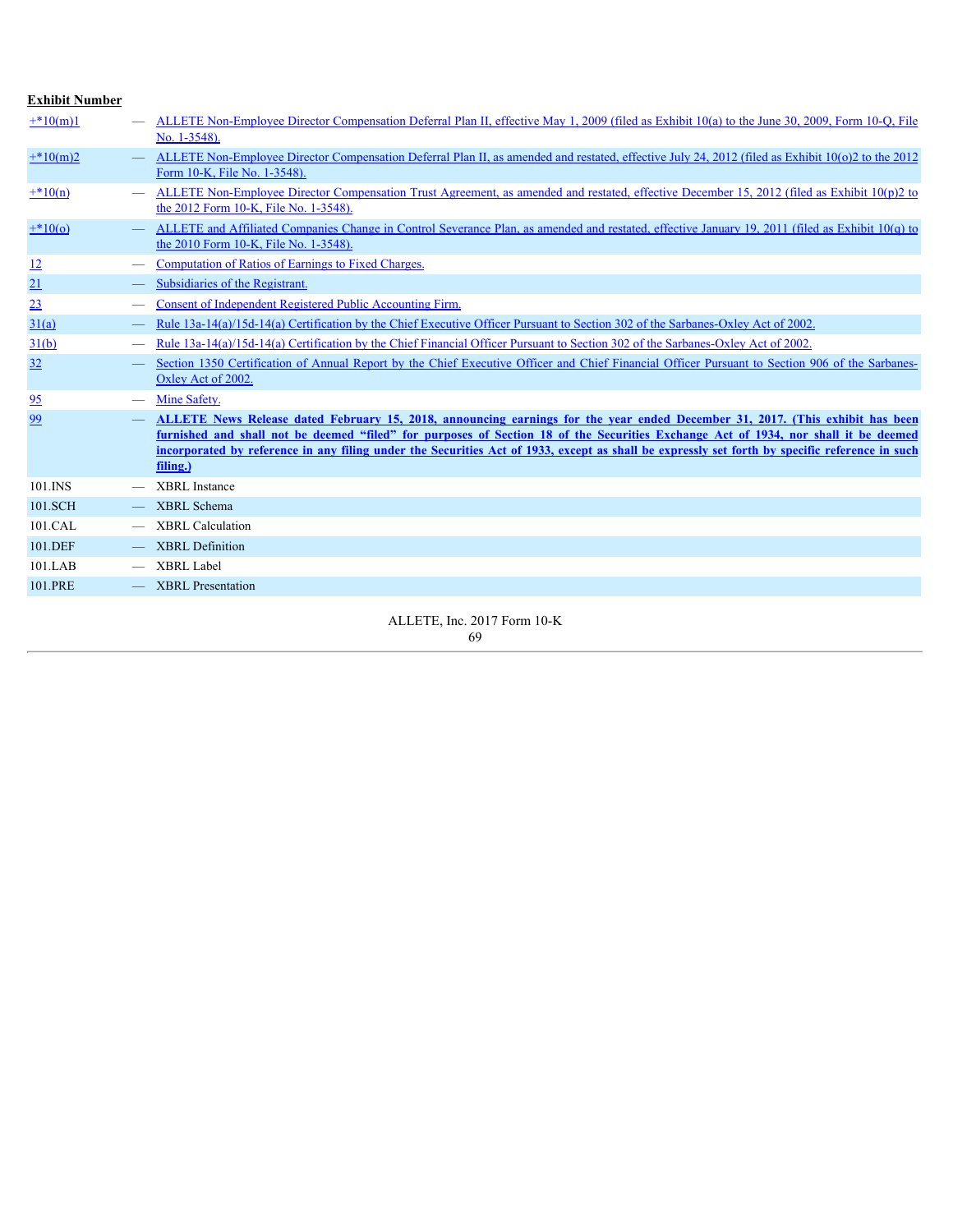| <b>Exhibit Number</b> |                                 |                                                                                                                                                                                                                                                                                                                                                                                                                                    |
|-----------------------|---------------------------------|------------------------------------------------------------------------------------------------------------------------------------------------------------------------------------------------------------------------------------------------------------------------------------------------------------------------------------------------------------------------------------------------------------------------------------|
| $+*10(m)1$            |                                 | - ALLETE Non-Employee Director Compensation Deferral Plan II, effective May 1, 2009 (filed as Exhibit 10(a) to the June 30, 2009, Form 10-Q, File<br>No. 1-3548).                                                                                                                                                                                                                                                                  |
| $+*10(m)2$            |                                 | — ALLETE Non-Employee Director Compensation Deferral Plan II, as amended and restated, effective July 24, 2012 (filed as Exhibit 10(0)2 to the 2012<br>Form 10-K, File No. 1-3548).                                                                                                                                                                                                                                                |
| $+*10(n)$             |                                 | - ALLETE Non-Employee Director Compensation Trust Agreement, as amended and restated, effective December 15, 2012 (filed as Exhibit 10(p)2 to<br>the 2012 Form 10-K, File No. 1-3548).                                                                                                                                                                                                                                             |
| $+*10(0)$             |                                 | — ALLETE and Affiliated Companies Change in Control Severance Plan, as amended and restated, effective January 19, 2011 (filed as Exhibit 10(q) to<br>the 2010 Form 10-K, File No. 1-3548).                                                                                                                                                                                                                                        |
| 12                    | $\overline{\phantom{m}}$        | <b>Computation of Ratios of Earnings to Fixed Charges.</b>                                                                                                                                                                                                                                                                                                                                                                         |
| 21                    |                                 | Subsidiaries of the Registrant.                                                                                                                                                                                                                                                                                                                                                                                                    |
| 23                    | $\hspace{0.1mm}-\hspace{0.1mm}$ | <b>Consent of Independent Registered Public Accounting Firm</b>                                                                                                                                                                                                                                                                                                                                                                    |
| 31(a)                 | $\overline{\phantom{m}}$        | Rule 13a-14(a)/15d-14(a) Certification by the Chief Executive Officer Pursuant to Section 302 of the Sarbanes-Oxley Act of 2002.                                                                                                                                                                                                                                                                                                   |
| 31(b)                 | $\overline{\phantom{m}}$        | Rule 13a-14(a)/15d-14(a) Certification by the Chief Financial Officer Pursuant to Section 302 of the Sarbanes-Oxley Act of 2002.                                                                                                                                                                                                                                                                                                   |
| 32                    |                                 | Section 1350 Certification of Annual Report by the Chief Executive Officer and Chief Financial Officer Pursuant to Section 906 of the Sarbanes-<br>Oxley Act of 2002.                                                                                                                                                                                                                                                              |
| 95                    | $\overline{\phantom{m}}$        | Mine Safety.                                                                                                                                                                                                                                                                                                                                                                                                                       |
| 99                    |                                 | ALLETE News Release dated February 15, 2018, announcing earnings for the year ended December 31, 2017. (This exhibit has been<br>furnished and shall not be deemed "filed" for purposes of Section 18 of the Securities Exchange Act of 1934, nor shall it be deemed<br>incorporated by reference in any filing under the Securities Act of 1933, except as shall be expressly set forth by specific reference in such<br>filing.) |
| 101.INS               |                                 | - XBRL Instance                                                                                                                                                                                                                                                                                                                                                                                                                    |
| 101.SCH               |                                 | - XBRL Schema                                                                                                                                                                                                                                                                                                                                                                                                                      |
| 101.CAL               |                                 | - XBRL Calculation                                                                                                                                                                                                                                                                                                                                                                                                                 |
| 101.DEF               |                                 | - XBRL Definition                                                                                                                                                                                                                                                                                                                                                                                                                  |
| 101.LAB               |                                 | - XBRL Label                                                                                                                                                                                                                                                                                                                                                                                                                       |
| 101.PRE               |                                 | - XBRL Presentation                                                                                                                                                                                                                                                                                                                                                                                                                |
|                       |                                 |                                                                                                                                                                                                                                                                                                                                                                                                                                    |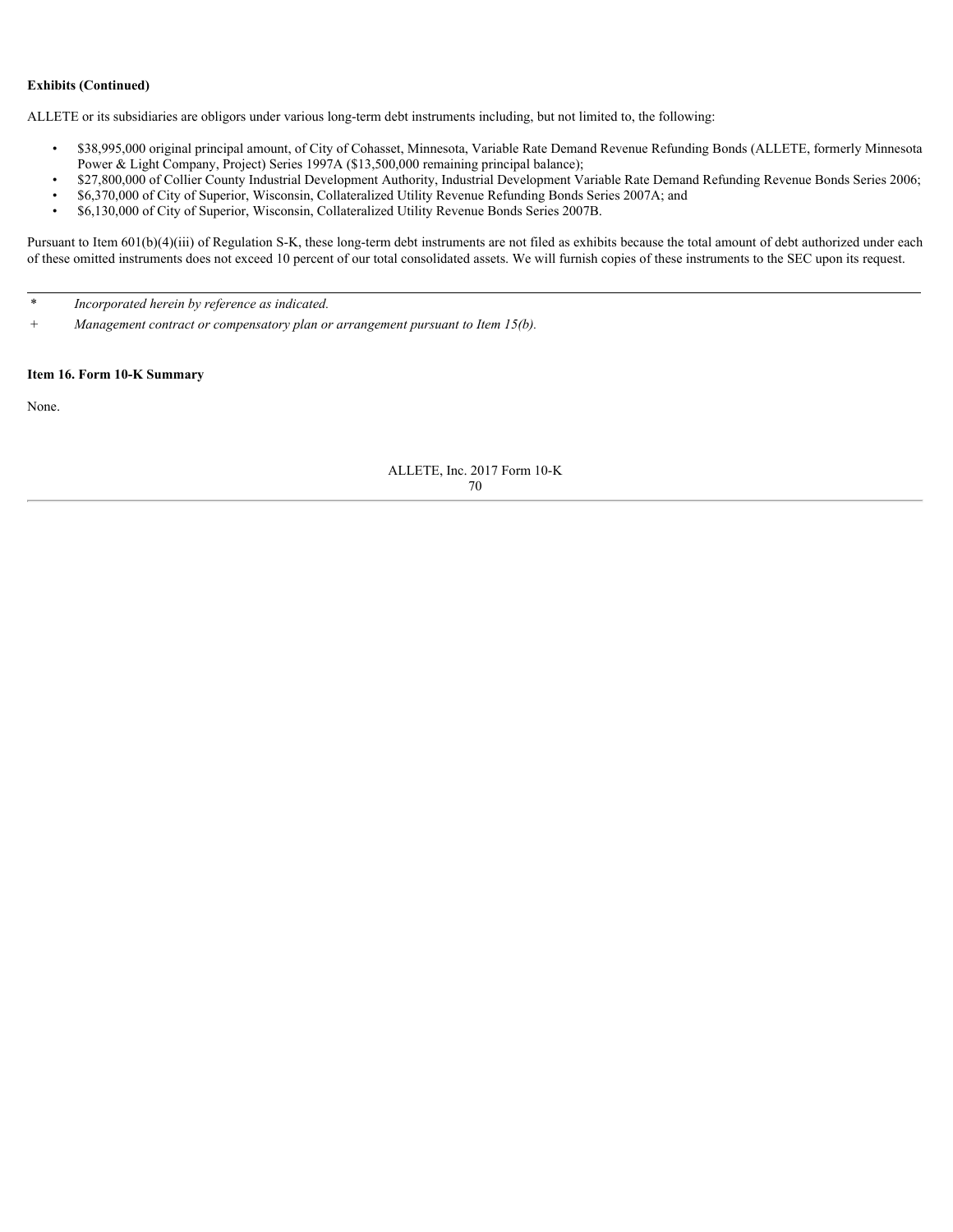# **Exhibits (Continued)**

ALLETE or its subsidiaries are obligors under various long-term debt instruments including, but not limited to, the following:

- \$38,995,000 original principal amount, of City of Cohasset, Minnesota, Variable Rate Demand Revenue Refunding Bonds (ALLETE, formerly Minnesota Power & Light Company, Project) Series 1997A (\$13,500,000 remaining principal balance);
- \$27,800,000 of Collier County Industrial Development Authority, Industrial Development Variable Rate Demand Refunding Revenue Bonds Series 2006;
- \$6,370,000 of City of Superior, Wisconsin, Collateralized Utility Revenue Refunding Bonds Series 2007A; and
- \$6,130,000 of City of Superior, Wisconsin, Collateralized Utility Revenue Bonds Series 2007B.

Pursuant to Item 601(b)(4)(iii) of Regulation S-K, these long-term debt instruments are not filed as exhibits because the total amount of debt authorized under each of these omitted instruments does not exceed 10 percent of our total consolidated assets. We will furnish copies of these instruments to the SEC upon its request.

*+ Management contract or compensatory plan or arrangement pursuant to Item 15(b).*

# **Item 16. Form 10-K Summary**

None.

*<sup>\*</sup> Incorporated herein by reference as indicated.*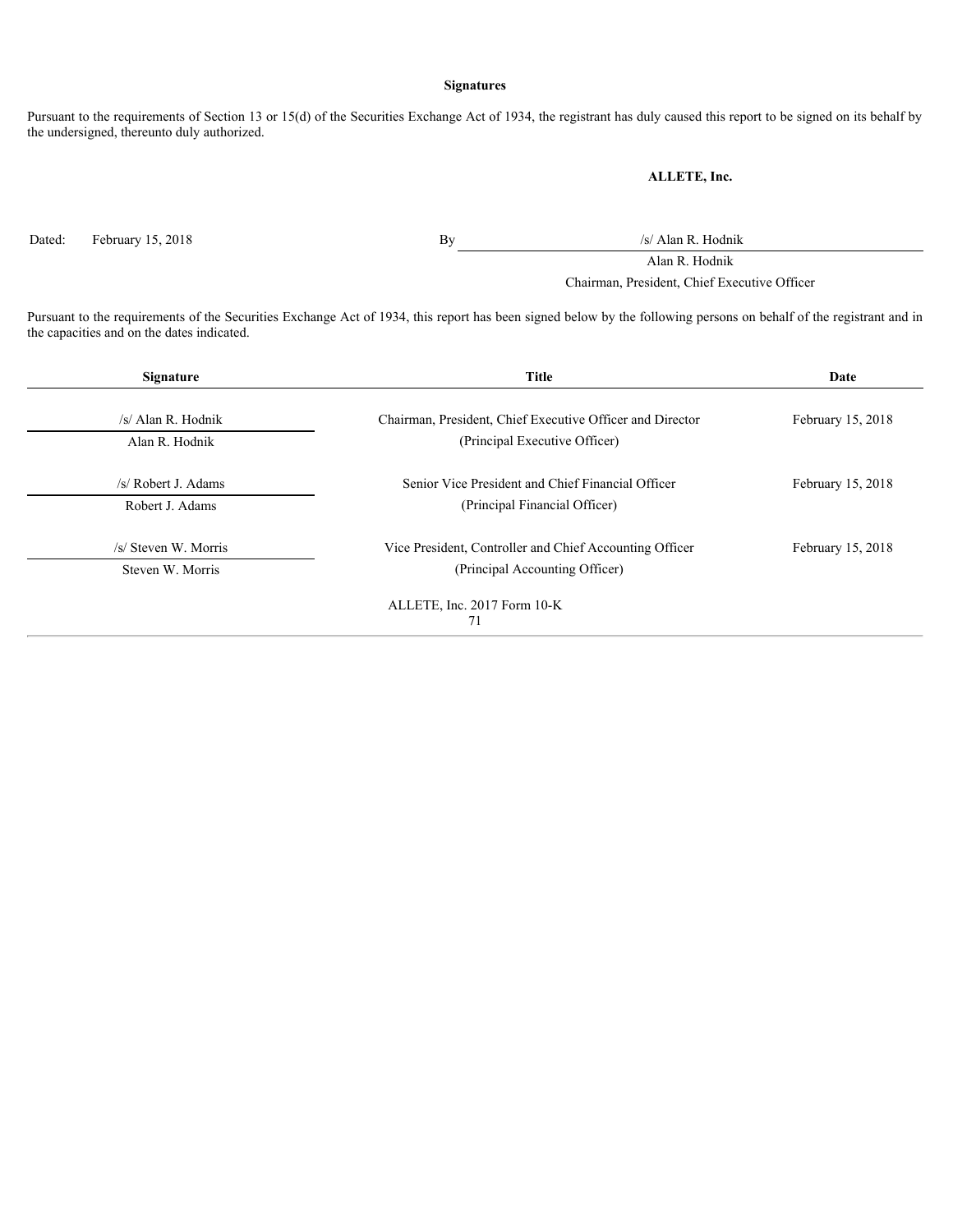#### **Signatures**

Pursuant to the requirements of Section 13 or 15(d) of the Securities Exchange Act of 1934, the registrant has duly caused this report to be signed on its behalf by the undersigned, thereunto duly authorized.

#### **ALLETE, Inc.**

Dated: February 15, 2018 By By /s/ Alan R. Hodnik

Alan R. Hodnik Chairman, President, Chief Executive Officer

Pursuant to the requirements of the Securities Exchange Act of 1934, this report has been signed below by the following persons on behalf of the registrant and in the capacities and on the dates indicated.

| <b>Title</b>                                              | Date              |
|-----------------------------------------------------------|-------------------|
| Chairman, President, Chief Executive Officer and Director | February 15, 2018 |
| (Principal Executive Officer)                             |                   |
| Senior Vice President and Chief Financial Officer         | February 15, 2018 |
| (Principal Financial Officer)                             |                   |
| Vice President, Controller and Chief Accounting Officer   | February 15, 2018 |
| (Principal Accounting Officer)                            |                   |
| ALLETE, Inc. 2017 Form 10-K<br>71                         |                   |
|                                                           |                   |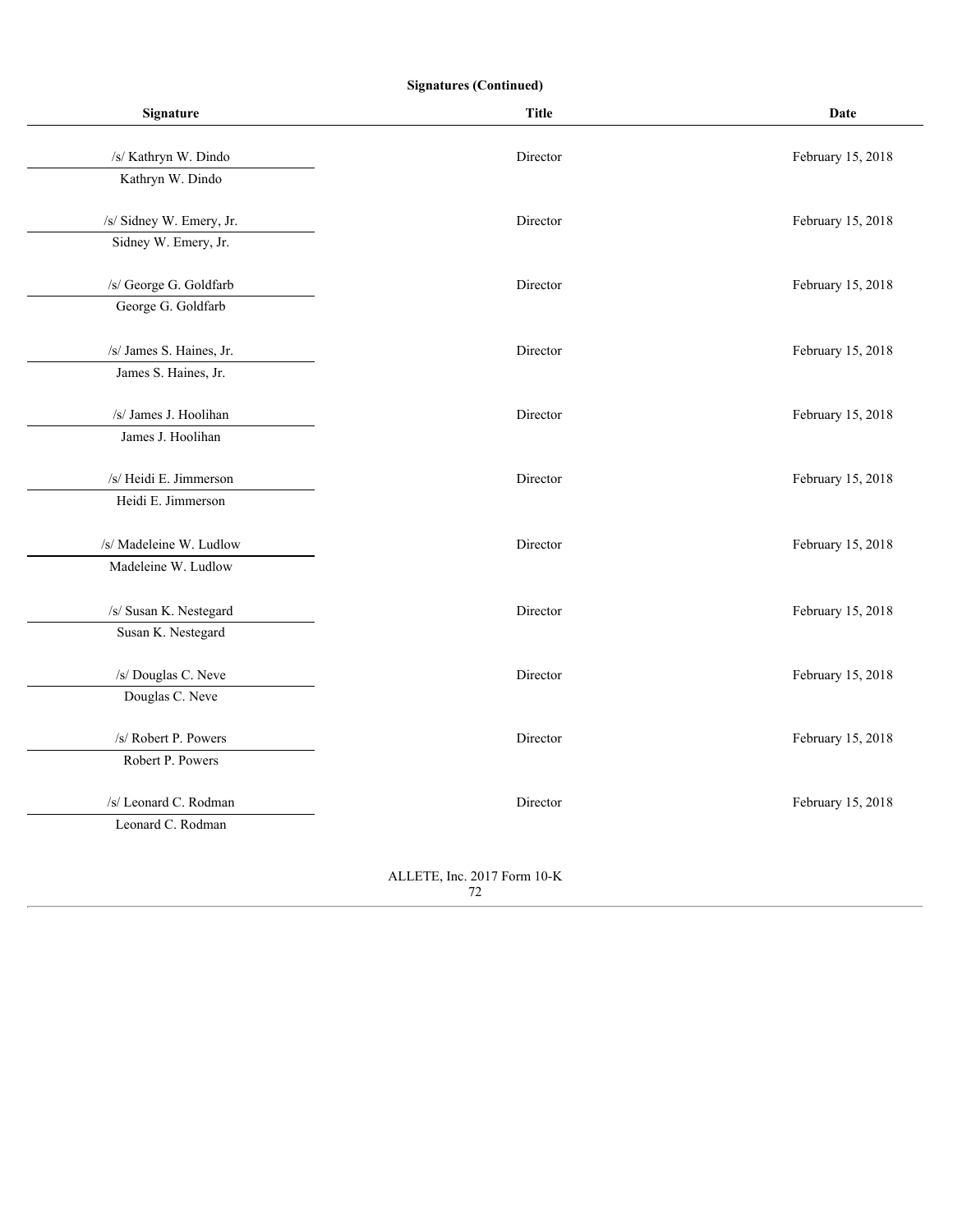## **Signatures (Continued)**

| Signature                | <b>Title</b> | <b>Date</b>       |
|--------------------------|--------------|-------------------|
| /s/ Kathryn W. Dindo     | Director     | February 15, 2018 |
| Kathryn W. Dindo         |              |                   |
| /s/ Sidney W. Emery, Jr. | Director     | February 15, 2018 |
| Sidney W. Emery, Jr.     |              |                   |
| /s/ George G. Goldfarb   | Director     | February 15, 2018 |
| George G. Goldfarb       |              |                   |
| /s/ James S. Haines, Jr. | Director     | February 15, 2018 |
| James S. Haines, Jr.     |              |                   |
| /s/ James J. Hoolihan    | Director     | February 15, 2018 |
| James J. Hoolihan        |              |                   |
| /s/ Heidi E. Jimmerson   | Director     | February 15, 2018 |
| Heidi E. Jimmerson       |              |                   |
| /s/ Madeleine W. Ludlow  | Director     | February 15, 2018 |
| Madeleine W. Ludlow      |              |                   |
| /s/ Susan K. Nestegard   | Director     | February 15, 2018 |
| Susan K. Nestegard       |              |                   |
| /s/ Douglas C. Neve      | Director     | February 15, 2018 |
| Douglas C. Neve          |              |                   |
| /s/ Robert P. Powers     | Director     | February 15, 2018 |
| Robert P. Powers         |              |                   |
| /s/ Leonard C. Rodman    | Director     | February 15, 2018 |
| Leonard C. Rodman        |              |                   |
|                          |              |                   |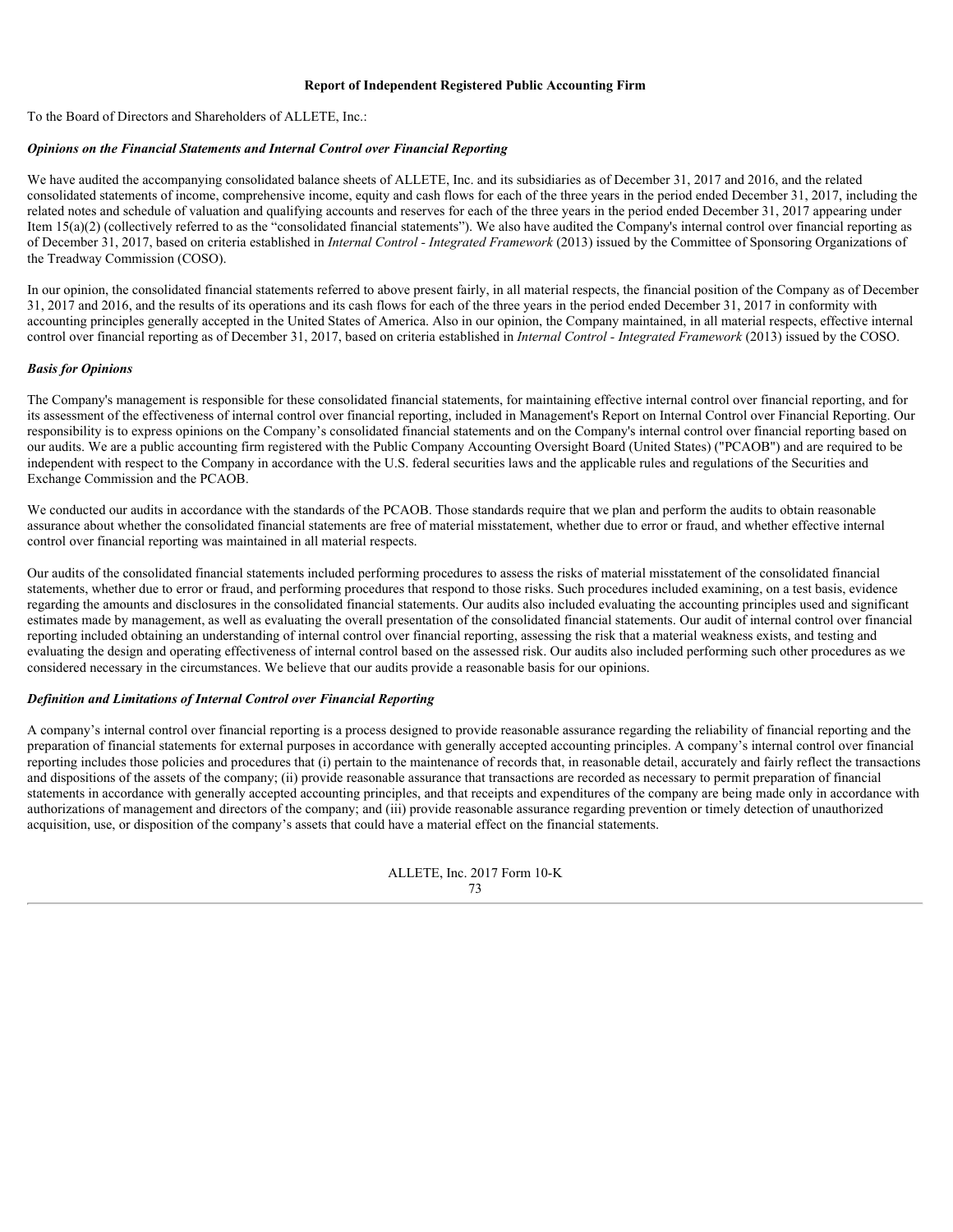#### **Report of Independent Registered Public Accounting Firm**

To the Board of Directors and Shareholders of ALLETE, Inc.:

#### *Opinions on the Financial Statements and Internal Control over Financial Reporting*

We have audited the accompanying consolidated balance sheets of ALLETE, Inc. and its subsidiaries as of December 31, 2017 and 2016, and the related consolidated statements of income, comprehensive income, equity and cash flows for each of the three years in the period ended December 31, 2017, including the related notes and schedule of valuation and qualifying accounts and reserves for each of the three years in the period ended December 31, 2017 appearing under Item 15(a)(2) (collectively referred to as the "consolidated financial statements"). We also have audited the Company's internal control over financial reporting as of December 31, 2017, based on criteria established in *Internal Control - Integrated Framework* (2013) issued by the Committee of Sponsoring Organizations of the Treadway Commission (COSO).

In our opinion, the consolidated financial statements referred to above present fairly, in all material respects, the financial position of the Company as of December 31, 2017 and 2016, and the results of its operations and its cash flows for each of the three years in the period ended December 31, 2017 in conformity with accounting principles generally accepted in the United States of America. Also in our opinion, the Company maintained, in all material respects, effective internal control over financial reporting as of December 31, 2017, based on criteria established in *Internal Control - Integrated Framework* (2013) issued by the COSO.

#### *Basis for Opinions*

The Company's management is responsible for these consolidated financial statements, for maintaining effective internal control over financial reporting, and for its assessment of the effectiveness of internal control over financial reporting, included in Management's Report on Internal Control over Financial Reporting. Our responsibility is to express opinions on the Company's consolidated financial statements and on the Company's internal control over financial reporting based on our audits. We are a public accounting firm registered with the Public Company Accounting Oversight Board (United States) ("PCAOB") and are required to be independent with respect to the Company in accordance with the U.S. federal securities laws and the applicable rules and regulations of the Securities and Exchange Commission and the PCAOB.

We conducted our audits in accordance with the standards of the PCAOB. Those standards require that we plan and perform the audits to obtain reasonable assurance about whether the consolidated financial statements are free of material misstatement, whether due to error or fraud, and whether effective internal control over financial reporting was maintained in all material respects.

Our audits of the consolidated financial statements included performing procedures to assess the risks of material misstatement of the consolidated financial statements, whether due to error or fraud, and performing procedures that respond to those risks. Such procedures included examining, on a test basis, evidence regarding the amounts and disclosures in the consolidated financial statements. Our audits also included evaluating the accounting principles used and significant estimates made by management, as well as evaluating the overall presentation of the consolidated financial statements. Our audit of internal control over financial reporting included obtaining an understanding of internal control over financial reporting, assessing the risk that a material weakness exists, and testing and evaluating the design and operating effectiveness of internal control based on the assessed risk. Our audits also included performing such other procedures as we considered necessary in the circumstances. We believe that our audits provide a reasonable basis for our opinions.

#### *Definition and Limitations of Internal Control over Financial Reporting*

A company's internal control over financial reporting is a process designed to provide reasonable assurance regarding the reliability of financial reporting and the preparation of financial statements for external purposes in accordance with generally accepted accounting principles. A company's internal control over financial reporting includes those policies and procedures that (i) pertain to the maintenance of records that, in reasonable detail, accurately and fairly reflect the transactions and dispositions of the assets of the company; (ii) provide reasonable assurance that transactions are recorded as necessary to permit preparation of financial statements in accordance with generally accepted accounting principles, and that receipts and expenditures of the company are being made only in accordance with authorizations of management and directors of the company; and (iii) provide reasonable assurance regarding prevention or timely detection of unauthorized acquisition, use, or disposition of the company's assets that could have a material effect on the financial statements.

| ALLETE, Inc. 2017 Form 10-K |  |
|-----------------------------|--|
| --                          |  |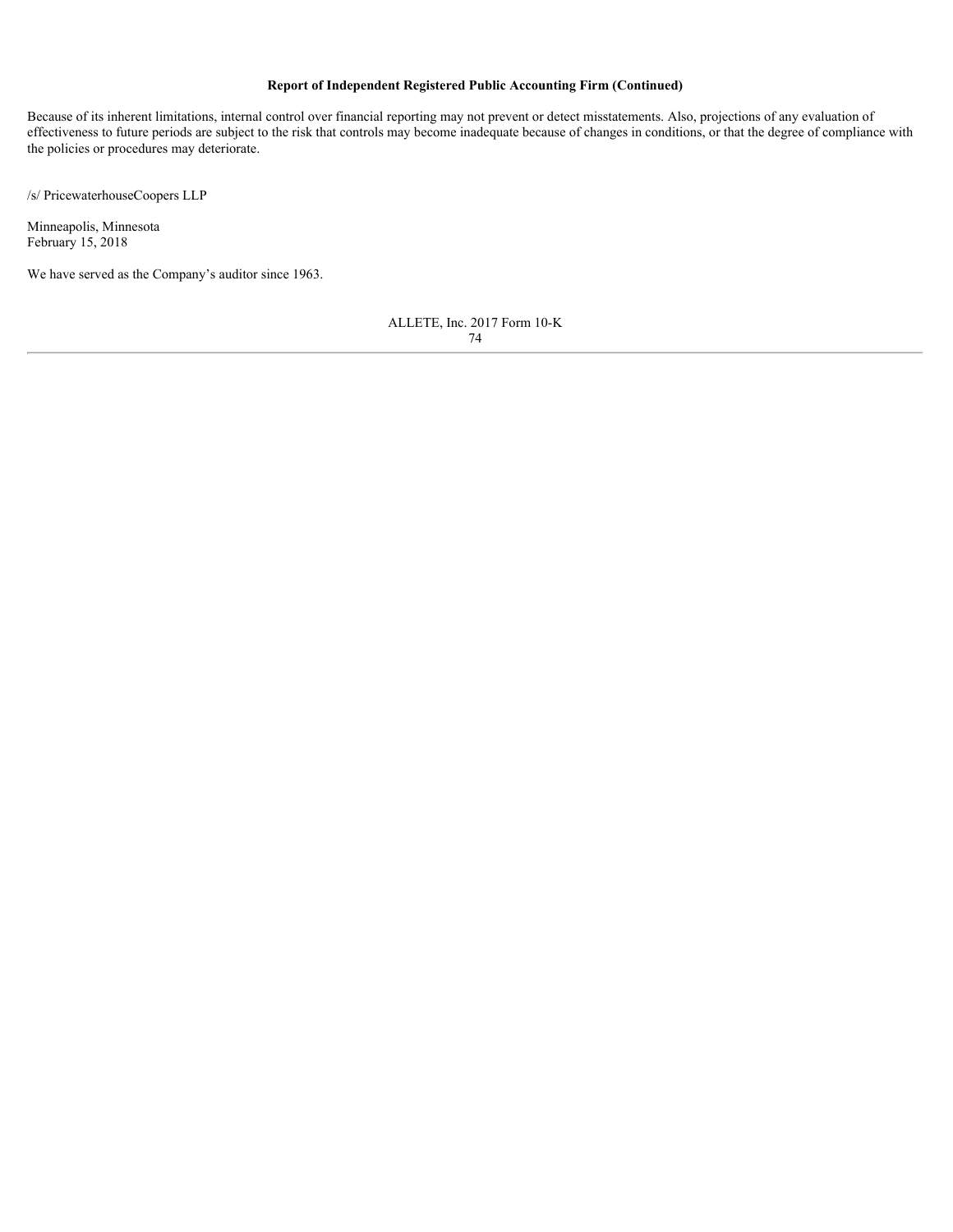#### **Report of Independent Registered Public Accounting Firm (Continued)**

Because of its inherent limitations, internal control over financial reporting may not prevent or detect misstatements. Also, projections of any evaluation of effectiveness to future periods are subject to the risk that controls may become inadequate because of changes in conditions, or that the degree of compliance with the policies or procedures may deteriorate.

/s/ PricewaterhouseCoopers LLP

Minneapolis, Minnesota February 15, 2018

We have served as the Company's auditor since 1963.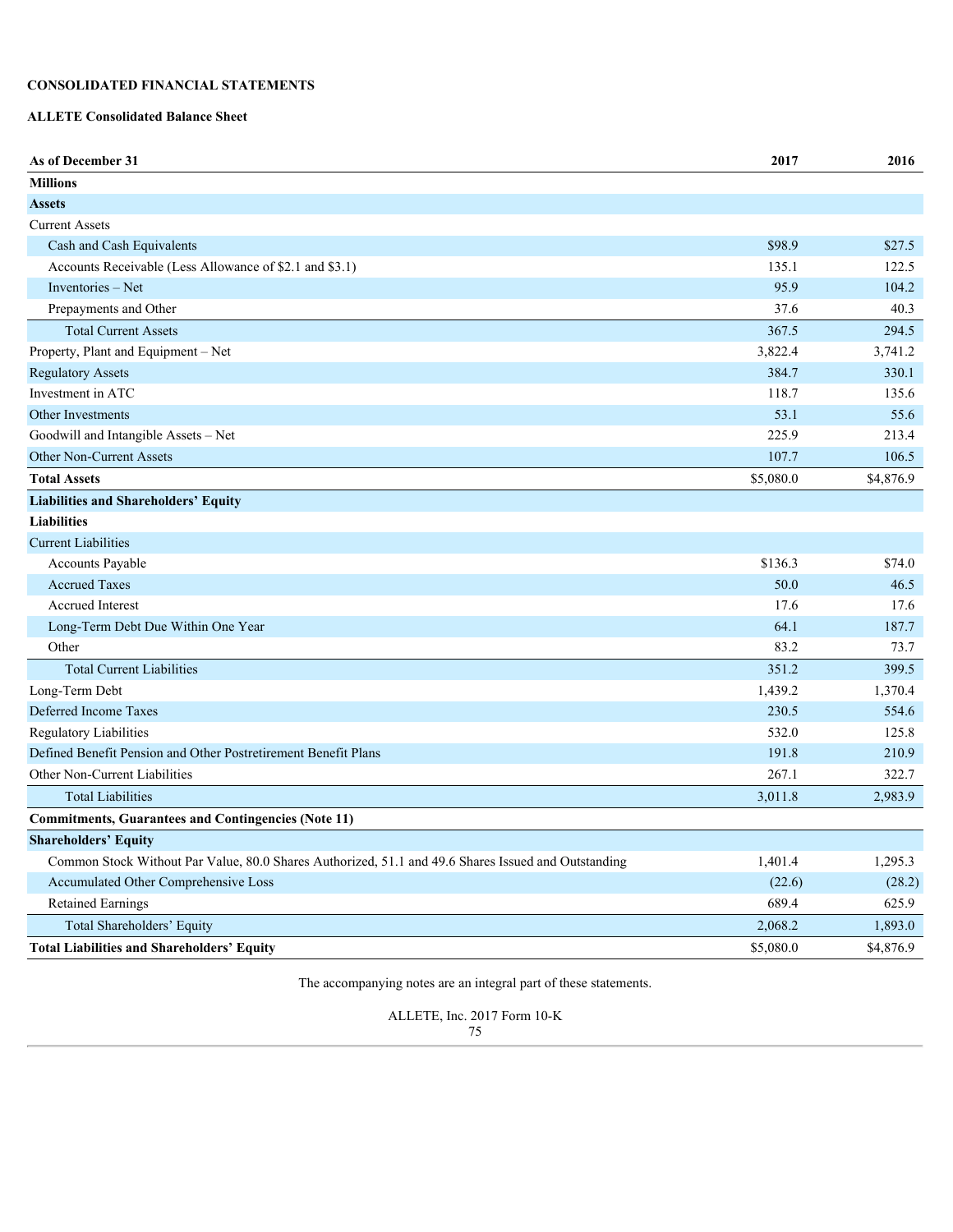## **CONSOLIDATED FINANCIAL STATEMENTS**

#### **ALLETE Consolidated Balance Sheet**

| As of December 31                                                                                   | 2017      | 2016      |
|-----------------------------------------------------------------------------------------------------|-----------|-----------|
| <b>Millions</b>                                                                                     |           |           |
| Assets                                                                                              |           |           |
| <b>Current Assets</b>                                                                               |           |           |
| Cash and Cash Equivalents                                                                           | \$98.9    | \$27.5    |
| Accounts Receivable (Less Allowance of \$2.1 and \$3.1)                                             | 135.1     | 122.5     |
| Inventories - Net                                                                                   | 95.9      | 104.2     |
| Prepayments and Other                                                                               | 37.6      | 40.3      |
| <b>Total Current Assets</b>                                                                         | 367.5     | 294.5     |
| Property, Plant and Equipment - Net                                                                 | 3,822.4   | 3,741.2   |
| <b>Regulatory Assets</b>                                                                            | 384.7     | 330.1     |
| Investment in ATC                                                                                   | 118.7     | 135.6     |
| Other Investments                                                                                   | 53.1      | 55.6      |
| Goodwill and Intangible Assets - Net                                                                | 225.9     | 213.4     |
| Other Non-Current Assets                                                                            | 107.7     | 106.5     |
| <b>Total Assets</b>                                                                                 | \$5,080.0 | \$4,876.9 |
| <b>Liabilities and Shareholders' Equity</b>                                                         |           |           |
| <b>Liabilities</b>                                                                                  |           |           |
| <b>Current Liabilities</b>                                                                          |           |           |
| Accounts Payable                                                                                    | \$136.3   | \$74.0    |
| <b>Accrued Taxes</b>                                                                                | 50.0      | 46.5      |
| <b>Accrued Interest</b>                                                                             | 17.6      | 17.6      |
| Long-Term Debt Due Within One Year                                                                  | 64.1      | 187.7     |
| Other                                                                                               | 83.2      | 73.7      |
| <b>Total Current Liabilities</b>                                                                    | 351.2     | 399.5     |
| Long-Term Debt                                                                                      | 1,439.2   | 1,370.4   |
| Deferred Income Taxes                                                                               | 230.5     | 554.6     |
| Regulatory Liabilities                                                                              | 532.0     | 125.8     |
| Defined Benefit Pension and Other Postretirement Benefit Plans                                      | 191.8     | 210.9     |
| Other Non-Current Liabilities                                                                       | 267.1     | 322.7     |
| <b>Total Liabilities</b>                                                                            | 3,011.8   | 2,983.9   |
| <b>Commitments, Guarantees and Contingencies (Note 11)</b>                                          |           |           |
| <b>Shareholders' Equity</b>                                                                         |           |           |
| Common Stock Without Par Value, 80.0 Shares Authorized, 51.1 and 49.6 Shares Issued and Outstanding | 1,401.4   | 1,295.3   |
| Accumulated Other Comprehensive Loss                                                                | (22.6)    | (28.2)    |
| <b>Retained Earnings</b>                                                                            | 689.4     | 625.9     |
| Total Shareholders' Equity                                                                          | 2,068.2   | 1,893.0   |
| <b>Total Liabilities and Shareholders' Equity</b>                                                   | \$5,080.0 | \$4,876.9 |
|                                                                                                     |           |           |

The accompanying notes are an integral part of these statements.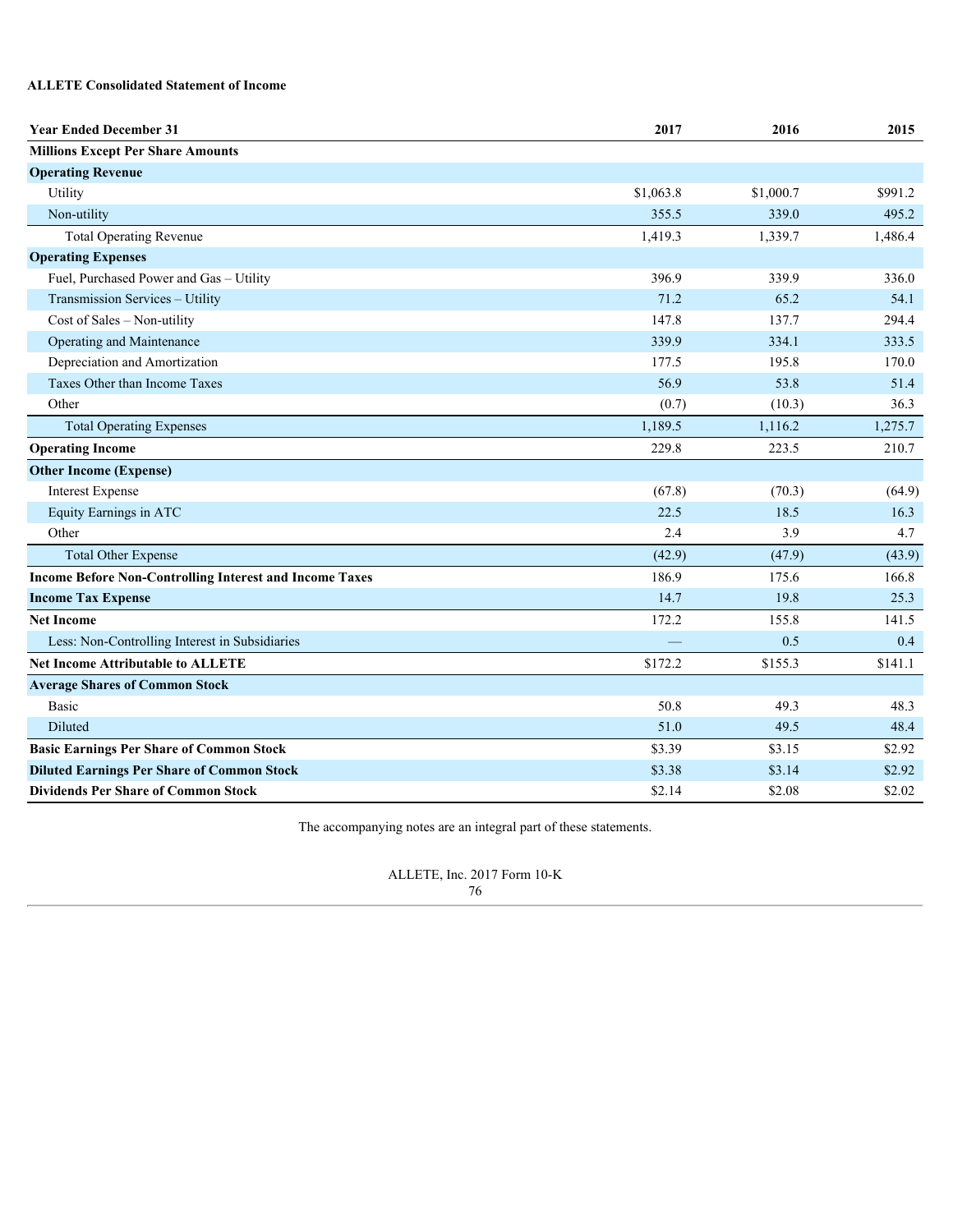## **ALLETE Consolidated Statement of Income**

| <b>Year Ended December 31</b>                                  | 2017      | 2016      | 2015    |
|----------------------------------------------------------------|-----------|-----------|---------|
| <b>Millions Except Per Share Amounts</b>                       |           |           |         |
| <b>Operating Revenue</b>                                       |           |           |         |
| Utility                                                        | \$1,063.8 | \$1,000.7 | \$991.2 |
| Non-utility                                                    | 355.5     | 339.0     | 495.2   |
| <b>Total Operating Revenue</b>                                 | 1,419.3   | 1,339.7   | 1,486.4 |
| <b>Operating Expenses</b>                                      |           |           |         |
| Fuel, Purchased Power and Gas - Utility                        | 396.9     | 339.9     | 336.0   |
| Transmission Services - Utility                                | 71.2      | 65.2      | 54.1    |
| Cost of Sales - Non-utility                                    | 147.8     | 137.7     | 294.4   |
| Operating and Maintenance                                      | 339.9     | 334.1     | 333.5   |
| Depreciation and Amortization                                  | 177.5     | 195.8     | 170.0   |
| Taxes Other than Income Taxes                                  | 56.9      | 53.8      | 51.4    |
| Other                                                          | (0.7)     | (10.3)    | 36.3    |
| <b>Total Operating Expenses</b>                                | 1,189.5   | 1,116.2   | 1,275.7 |
| <b>Operating Income</b>                                        | 229.8     | 223.5     | 210.7   |
| <b>Other Income (Expense)</b>                                  |           |           |         |
| <b>Interest Expense</b>                                        | (67.8)    | (70.3)    | (64.9)  |
| <b>Equity Earnings in ATC</b>                                  | 22.5      | 18.5      | 16.3    |
| Other                                                          | 2.4       | 3.9       | 4.7     |
| <b>Total Other Expense</b>                                     | (42.9)    | (47.9)    | (43.9)  |
| <b>Income Before Non-Controlling Interest and Income Taxes</b> | 186.9     | 175.6     | 166.8   |
| <b>Income Tax Expense</b>                                      | 14.7      | 19.8      | 25.3    |
| <b>Net Income</b>                                              | 172.2     | 155.8     | 141.5   |
| Less: Non-Controlling Interest in Subsidiaries                 |           | 0.5       | 0.4     |
| <b>Net Income Attributable to ALLETE</b>                       | \$172.2   | \$155.3   | \$141.1 |
| <b>Average Shares of Common Stock</b>                          |           |           |         |
| <b>Basic</b>                                                   | 50.8      | 49.3      | 48.3    |
| Diluted                                                        | 51.0      | 49.5      | 48.4    |
| <b>Basic Earnings Per Share of Common Stock</b>                | \$3.39    | \$3.15    | \$2.92  |
| <b>Diluted Earnings Per Share of Common Stock</b>              | \$3.38    | \$3.14    | \$2.92  |
| <b>Dividends Per Share of Common Stock</b>                     | \$2.14    | \$2.08    | \$2.02  |

The accompanying notes are an integral part of these statements.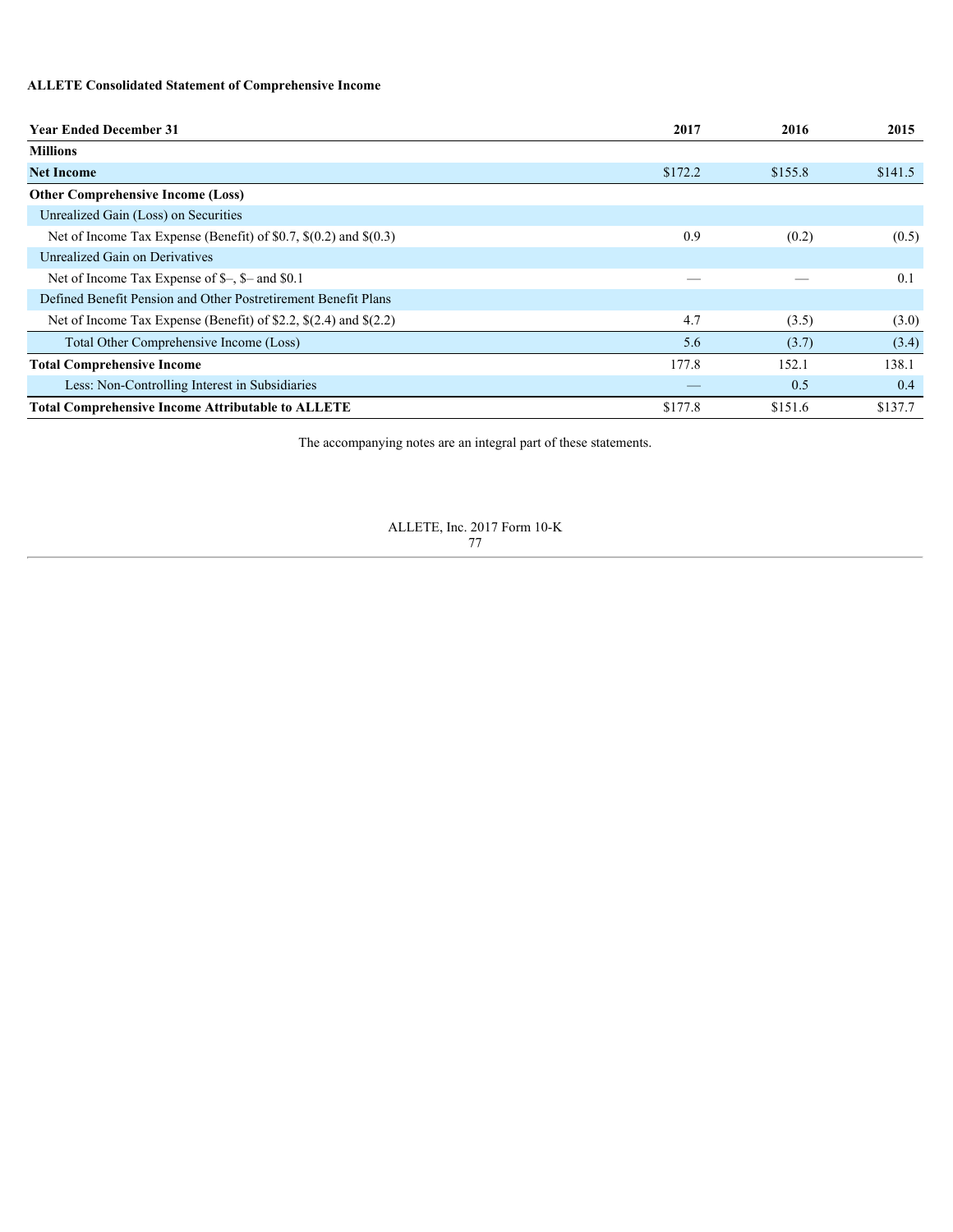## **ALLETE Consolidated Statement of Comprehensive Income**

| <b>Year Ended December 31</b>                                       | 2017                     | 2016    | 2015    |
|---------------------------------------------------------------------|--------------------------|---------|---------|
| Millions                                                            |                          |         |         |
| <b>Net Income</b>                                                   | \$172.2                  | \$155.8 | \$141.5 |
| <b>Other Comprehensive Income (Loss)</b>                            |                          |         |         |
| Unrealized Gain (Loss) on Securities                                |                          |         |         |
| Net of Income Tax Expense (Benefit) of \$0.7, $$(0.2)$ and $$(0.3)$ | 0.9                      | (0.2)   | (0.5)   |
| Unrealized Gain on Derivatives                                      |                          |         |         |
| Net of Income Tax Expense of \$-, \$- and \$0.1                     |                          |         | 0.1     |
| Defined Benefit Pension and Other Postretirement Benefit Plans      |                          |         |         |
| Net of Income Tax Expense (Benefit) of \$2.2, \$(2.4) and \$(2.2)   | 4.7                      | (3.5)   | (3.0)   |
| Total Other Comprehensive Income (Loss)                             | 5.6                      | (3.7)   | (3.4)   |
| <b>Total Comprehensive Income</b>                                   | 177.8                    | 152.1   | 138.1   |
| Less: Non-Controlling Interest in Subsidiaries                      | $\overline{\phantom{m}}$ | 0.5     | 0.4     |
| <b>Total Comprehensive Income Attributable to ALLETE</b>            | \$177.8                  | \$151.6 | \$137.7 |

The accompanying notes are an integral part of these statements.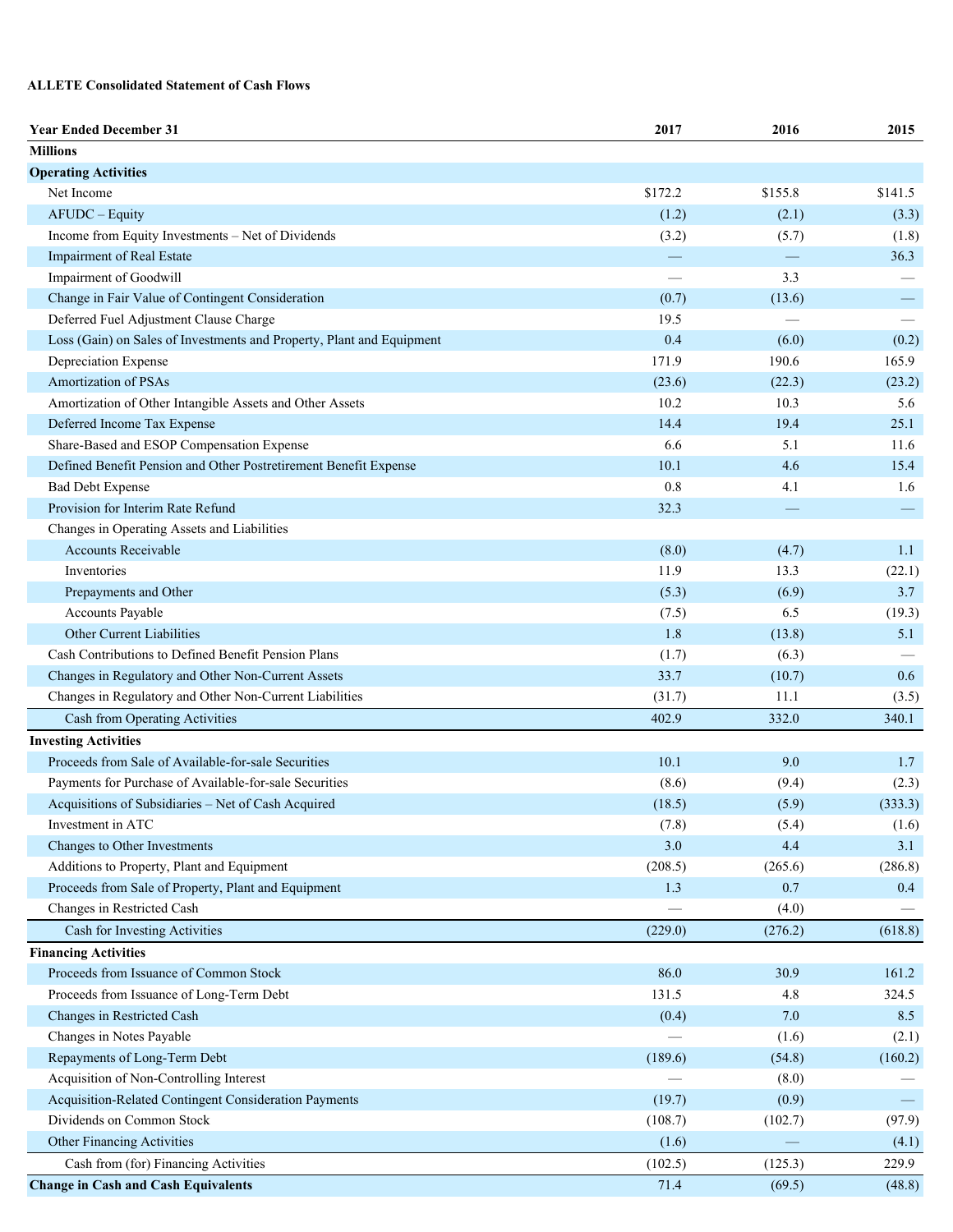## **ALLETE Consolidated Statement of Cash Flows**

| <b>Year Ended December 31</b>                                         | 2017                          | 2016                     | 2015                            |
|-----------------------------------------------------------------------|-------------------------------|--------------------------|---------------------------------|
| <b>Millions</b>                                                       |                               |                          |                                 |
| <b>Operating Activities</b>                                           |                               |                          |                                 |
| Net Income                                                            | \$172.2                       | \$155.8                  | \$141.5                         |
| AFUDC - Equity                                                        | (1.2)                         | (2.1)                    | (3.3)                           |
| Income from Equity Investments - Net of Dividends                     | (3.2)                         | (5.7)                    | (1.8)                           |
| Impairment of Real Estate                                             |                               | $\hspace{0.05cm}$        | 36.3                            |
| Impairment of Goodwill                                                |                               | 3.3                      | $\hspace{0.1mm}-\hspace{0.1mm}$ |
| Change in Fair Value of Contingent Consideration                      | (0.7)                         | (13.6)                   |                                 |
| Deferred Fuel Adjustment Clause Charge                                | 19.5                          |                          | $\hspace{0.1mm}-\hspace{0.1mm}$ |
| Loss (Gain) on Sales of Investments and Property, Plant and Equipment | 0.4                           | (6.0)                    | (0.2)                           |
| Depreciation Expense                                                  | 171.9                         | 190.6                    | 165.9                           |
| Amortization of PSAs                                                  | (23.6)                        | (22.3)                   | (23.2)                          |
| Amortization of Other Intangible Assets and Other Assets              | 10.2                          | 10.3                     | 5.6                             |
|                                                                       | 14.4                          | 19.4                     | 25.1                            |
| Deferred Income Tax Expense                                           |                               |                          |                                 |
| Share-Based and ESOP Compensation Expense                             | 6.6                           | 5.1                      | 11.6                            |
| Defined Benefit Pension and Other Postretirement Benefit Expense      | 10.1                          | 4.6                      | 15.4                            |
| <b>Bad Debt Expense</b>                                               | 0.8                           | 4.1                      | 1.6                             |
| Provision for Interim Rate Refund                                     | 32.3                          |                          | $\overline{\phantom{0}}$        |
| Changes in Operating Assets and Liabilities                           |                               |                          |                                 |
| Accounts Receivable                                                   | (8.0)                         | (4.7)                    | 1.1                             |
| Inventories                                                           | 11.9                          | 13.3                     | (22.1)                          |
| Prepayments and Other                                                 | (5.3)                         | (6.9)                    | 3.7                             |
| Accounts Payable                                                      | (7.5)                         | 6.5                      | (19.3)                          |
| Other Current Liabilities                                             | 1.8                           | (13.8)                   | 5.1                             |
| Cash Contributions to Defined Benefit Pension Plans                   | (1.7)                         | (6.3)                    |                                 |
| Changes in Regulatory and Other Non-Current Assets                    | 33.7                          | (10.7)                   | 0.6                             |
| Changes in Regulatory and Other Non-Current Liabilities               | (31.7)                        | 11.1                     | (3.5)                           |
| Cash from Operating Activities                                        | 402.9                         | 332.0                    | 340.1                           |
| <b>Investing Activities</b>                                           |                               |                          |                                 |
| Proceeds from Sale of Available-for-sale Securities                   | 10.1                          | 9.0                      | 1.7                             |
| Payments for Purchase of Available-for-sale Securities                | (8.6)                         | (9.4)                    | (2.3)                           |
| Acquisitions of Subsidiaries - Net of Cash Acquired                   | (18.5)                        | (5.9)                    | (333.3)                         |
| Investment in ATC                                                     | (7.8)                         | (5.4)                    | (1.6)                           |
| Changes to Other Investments                                          | 3.0                           | 4.4                      | 3.1                             |
|                                                                       |                               |                          |                                 |
| Additions to Property, Plant and Equipment                            | (208.5)                       | (265.6)                  | (286.8)                         |
| Proceeds from Sale of Property, Plant and Equipment                   | 1.3                           | 0.7                      | 0.4                             |
| Changes in Restricted Cash                                            |                               | (4.0)                    | $\hspace{0.1mm}-\hspace{0.1mm}$ |
| Cash for Investing Activities                                         | (229.0)                       | (276.2)                  | (618.8)                         |
| <b>Financing Activities</b>                                           |                               |                          |                                 |
| Proceeds from Issuance of Common Stock                                | 86.0                          | 30.9                     | 161.2                           |
| Proceeds from Issuance of Long-Term Debt                              | 131.5                         | 4.8                      | 324.5                           |
| Changes in Restricted Cash                                            | (0.4)                         | 7.0                      | 8.5                             |
| Changes in Notes Payable                                              | $\overline{\phantom{0}}$      | (1.6)                    | (2.1)                           |
| Repayments of Long-Term Debt                                          | (189.6)                       | (54.8)                   | (160.2)                         |
| Acquisition of Non-Controlling Interest                               | $\overbrace{\phantom{aaaaa}}$ | (8.0)                    | $\hspace{0.1mm}-\hspace{0.1mm}$ |
| Acquisition-Related Contingent Consideration Payments                 | (19.7)                        | (0.9)                    | $\overline{\phantom{m}}$        |
| Dividends on Common Stock                                             | (108.7)                       | (102.7)                  | (97.9)                          |
| Other Financing Activities                                            | (1.6)                         | $\overline{\phantom{m}}$ | (4.1)                           |
| Cash from (for) Financing Activities                                  | (102.5)                       | (125.3)                  | 229.9                           |
| <b>Change in Cash and Cash Equivalents</b>                            | 71.4                          | (69.5)                   | (48.8)                          |
|                                                                       |                               |                          |                                 |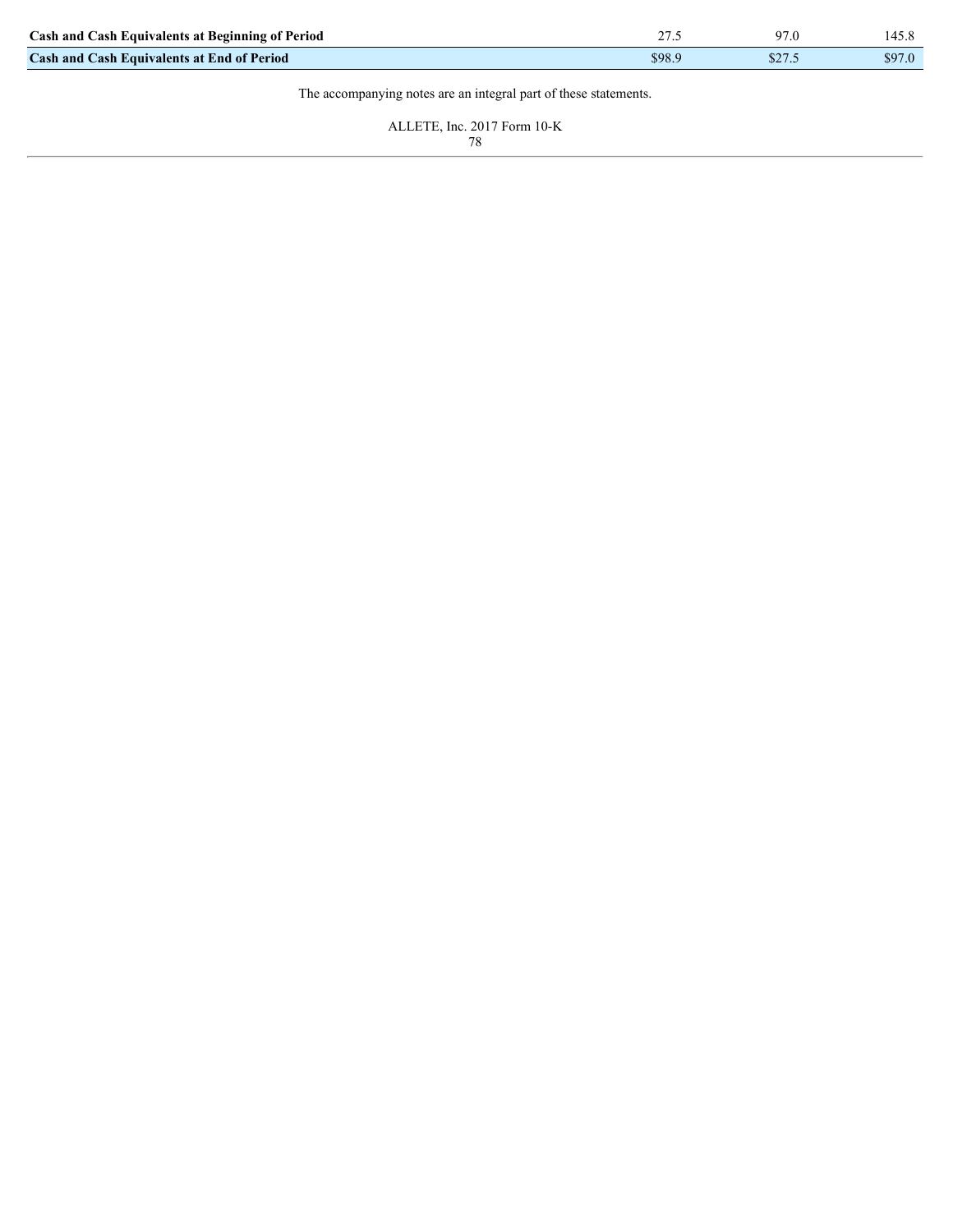| <b>Cash and Cash Equivalents at Beginning of Period</b> | <i>. .</i> | . .<br>$\cdots$               | $\Lambda$ $\zeta$<br>. – т. |
|---------------------------------------------------------|------------|-------------------------------|-----------------------------|
| <b>Cash and Cash Equivalents at End of Period</b>       | \$98.9     | A A B<br>$\psi$ $\sim$ $\sim$ | \$97.0                      |

The accompanying notes are an integral part of these statements.

## ALLETE, Inc. 2017 Form 10-K

78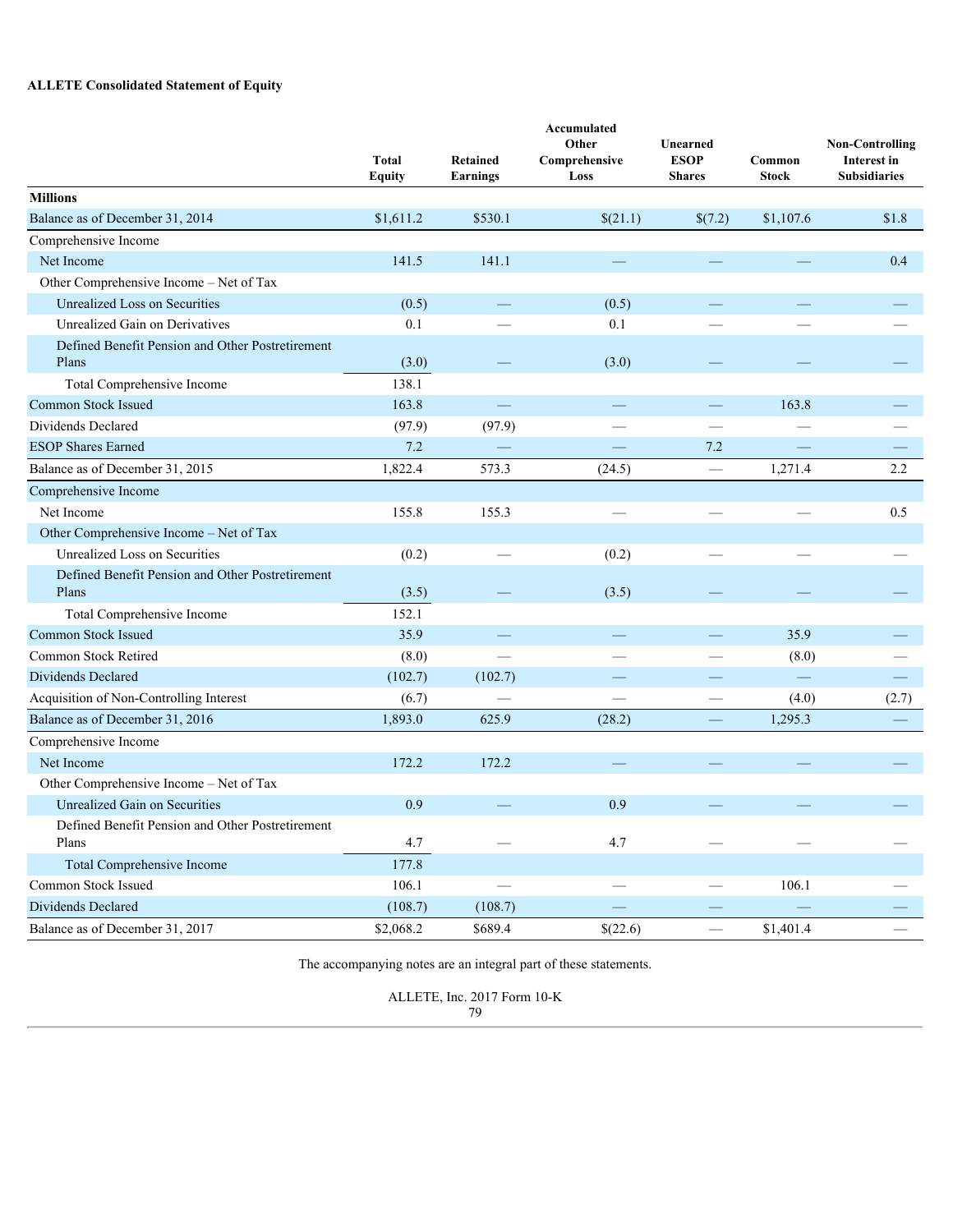## **ALLETE Consolidated Statement of Equity**

|                                                           | Total<br><b>Equity</b> | Retained<br>Earnings            | Accumulated<br>Other<br>Comprehensive<br>Loss | Unearned<br><b>ESOP</b><br><b>Shares</b> | Common<br><b>Stock</b>   | Non-Controlling<br>Interest in<br><b>Subsidiaries</b> |
|-----------------------------------------------------------|------------------------|---------------------------------|-----------------------------------------------|------------------------------------------|--------------------------|-------------------------------------------------------|
| <b>Millions</b>                                           |                        |                                 |                                               |                                          |                          |                                                       |
| Balance as of December 31, 2014                           | \$1,611.2              | \$530.1                         | \$(21.1)                                      | \$(7.2)                                  | \$1,107.6                | \$1.8                                                 |
| Comprehensive Income                                      |                        |                                 |                                               |                                          |                          |                                                       |
| Net Income                                                | 141.5                  | 141.1                           |                                               |                                          |                          | 0.4                                                   |
| Other Comprehensive Income - Net of Tax                   |                        |                                 |                                               |                                          |                          |                                                       |
| <b>Unrealized Loss on Securities</b>                      | (0.5)                  |                                 | (0.5)                                         |                                          |                          |                                                       |
| <b>Unrealized Gain on Derivatives</b>                     | 0.1                    | $\overline{\phantom{0}}$        | 0.1                                           | $\overline{\phantom{0}}$                 |                          |                                                       |
| Defined Benefit Pension and Other Postretirement<br>Plans | (3.0)                  |                                 | (3.0)                                         |                                          |                          |                                                       |
| Total Comprehensive Income                                | 138.1                  |                                 |                                               |                                          |                          |                                                       |
| Common Stock Issued                                       | 163.8                  | $\hspace{0.1mm}-\hspace{0.1mm}$ | $\hspace{0.05cm}$                             | $\overline{\phantom{m}}$                 | 163.8                    | $\overline{\phantom{a}}$                              |
| Dividends Declared                                        | (97.9)                 | (97.9)                          | $\hspace{0.1mm}-\hspace{0.1mm}$               | $\overline{\phantom{m}}$                 | $\hspace{0.05cm}$        |                                                       |
| <b>ESOP</b> Shares Earned                                 | 7.2                    | $\hspace{0.1mm}-\hspace{0.1mm}$ | $\overline{\phantom{m}}$                      | 7.2                                      | $\overline{\phantom{0}}$ | $\overline{\phantom{m}}$                              |
| Balance as of December 31, 2015                           | 1,822.4                | 573.3                           | (24.5)                                        | $\overline{\phantom{m}}$                 | 1,271.4                  | 2.2                                                   |
| Comprehensive Income                                      |                        |                                 |                                               |                                          |                          |                                                       |
| Net Income                                                | 155.8                  | 155.3                           |                                               |                                          |                          | 0.5                                                   |
| Other Comprehensive Income - Net of Tax                   |                        |                                 |                                               |                                          |                          |                                                       |
| <b>Unrealized Loss on Securities</b>                      | (0.2)                  | $\hspace{0.05cm}$               | (0.2)                                         |                                          |                          |                                                       |
| Defined Benefit Pension and Other Postretirement<br>Plans | (3.5)                  |                                 | (3.5)                                         |                                          |                          |                                                       |
| Total Comprehensive Income                                | 152.1                  |                                 |                                               |                                          |                          |                                                       |
| Common Stock Issued                                       | 35.9                   |                                 |                                               |                                          | 35.9                     |                                                       |
| Common Stock Retired                                      | (8.0)                  |                                 |                                               | $\hspace{0.1mm}-\hspace{0.1mm}$          | (8.0)                    |                                                       |
| Dividends Declared                                        | (102.7)                | (102.7)                         | $\overline{\phantom{m}}$                      | $\hspace{0.05cm}$                        | $\overline{\phantom{m}}$ | $\qquad \qquad -$                                     |
| Acquisition of Non-Controlling Interest                   | (6.7)                  |                                 | $\overline{\phantom{m}}$                      |                                          | (4.0)                    | (2.7)                                                 |
| Balance as of December 31, 2016                           | 1,893.0                | 625.9                           | (28.2)                                        | $\hspace{0.05cm}$                        | 1,295.3                  |                                                       |
| Comprehensive Income                                      |                        |                                 |                                               |                                          |                          |                                                       |
| Net Income                                                | 172.2                  | 172.2                           |                                               |                                          |                          |                                                       |
| Other Comprehensive Income - Net of Tax                   |                        |                                 |                                               |                                          |                          |                                                       |
| <b>Unrealized Gain on Securities</b>                      | 0.9                    |                                 | 0.9                                           |                                          |                          |                                                       |
| Defined Benefit Pension and Other Postretirement<br>Plans | 4.7                    | $\overline{\phantom{m}}$        | 4.7                                           |                                          |                          |                                                       |
| Total Comprehensive Income                                | 177.8                  |                                 |                                               |                                          |                          |                                                       |
| Common Stock Issued                                       | 106.1                  | $\overline{\phantom{m}}$        | $\overline{\phantom{m}}$                      | $\overline{\phantom{m}}$                 | 106.1                    |                                                       |
| Dividends Declared                                        | (108.7)                | (108.7)                         | $\longrightarrow$                             | $\hspace{0.1mm}-\hspace{0.1mm}$          | $\overline{\phantom{m}}$ | $\overline{\phantom{m}}$                              |
| Balance as of December 31, 2017                           | \$2,068.2              | \$689.4                         | \$(22.6)                                      | $\overline{\phantom{m}}$                 | \$1,401.4                | $\overline{\phantom{m}}$                              |

The accompanying notes are an integral part of these statements.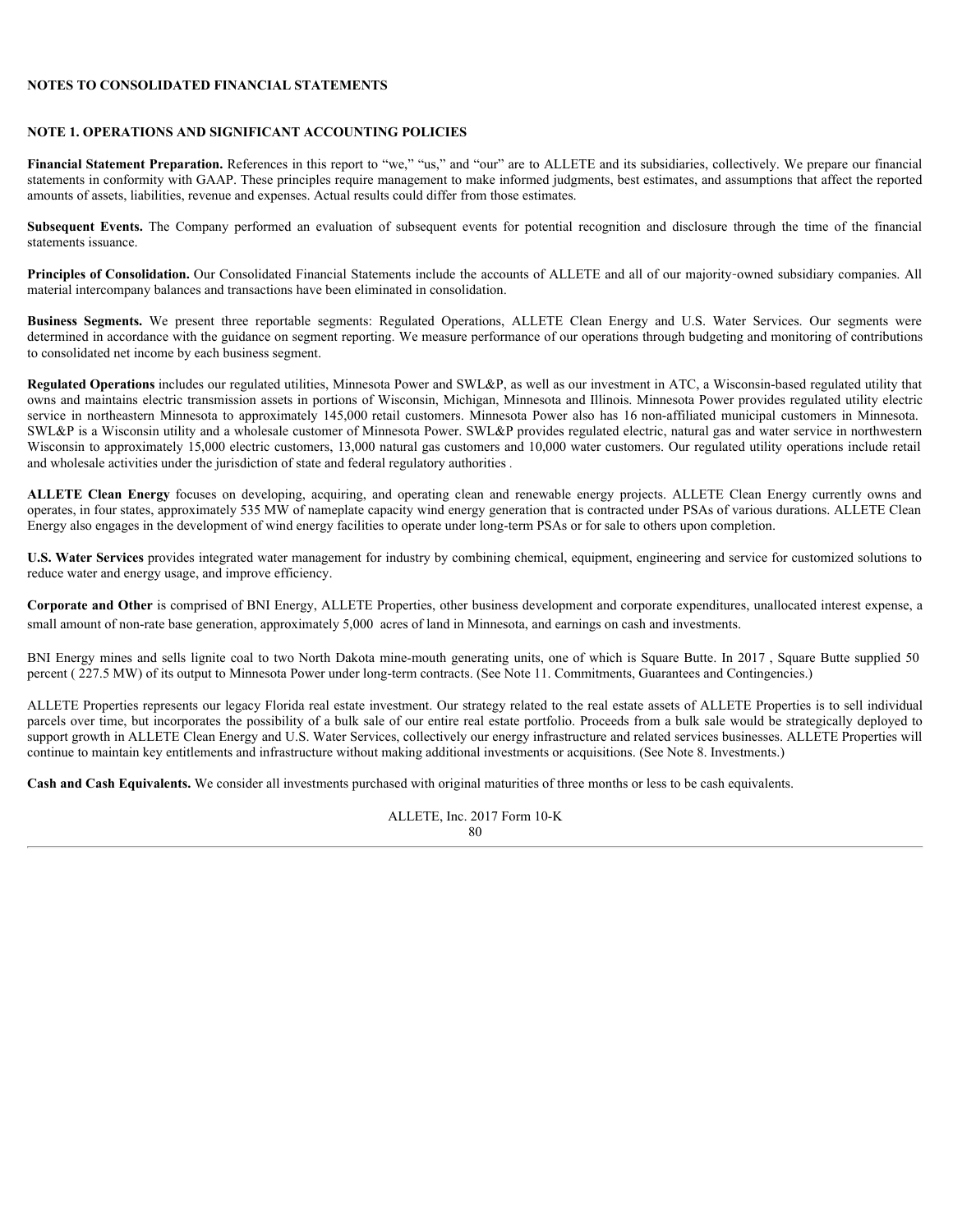#### **NOTES TO CONSOLIDATED FINANCIAL STATEMENTS**

#### **NOTE 1. OPERATIONS AND SIGNIFICANT ACCOUNTING POLICIES**

Financial Statement Preparation. References in this report to "we," "us," and "our" are to ALLETE and its subsidiaries, collectively. We prepare our financial statements in conformity with GAAP. These principles require management to make informed judgments, best estimates, and assumptions that affect the reported amounts of assets, liabilities, revenue and expenses. Actual results could differ from those estimates. **SUBSEX TO CONSOLIDATED FINANCIAL STATEMENTS**<br> **Subsequent Preparation.** References in this report to "we," "us," and "our" are to ALLETE and its subsidiaries, collectively. We prepare our financial<br>
statements in conformi

statements issuance.

Principles of Consolidation. Our Consolidated Financial Statements include the accounts of ALLETE and all of our majority-owned subsidiary companies. All material intercompany balances and transactions have been eliminated in consolidation.

determined in accordance with the guidance on segment reporting. We measure performance of our operations through budgeting and monitoring of contributions to consolidated net income by each business segment.

**BUSINE TO CONSOLIDATED FINANCIAL STATEMENTS**<br>**BUSINE TO PERATIONS AND SIGNIFICANT ACCOUNTING POLICIES**<br>**Business In conformity with GAAP. These principles require management to make informations, between the states, and a Regulated Operations** includes our regulated utilities, Minnesota Power and SWL&P, as well as our investment in ATC, a Wisconsin-based regulated utility that owns and maintains electric transmission assets in portions of Wisconsin, Michigan, Minnesota and Illinois. Minnesota Power provides regulated utility electric SOTES TO CONSOLIDATED FINANCIAL STATEMENTS<br>
NOTE I. OPERATIONS AND SIGNIFICANT ACCOUNTING POLICIES<br>
Elimination Leventon Properties in this equal to "see "service" and "sure" in the service in advisations, collectively We SWL&P is a Wisconsin utility and a wholesale customer of Minnesota Power. SWL&P provides regulated electric, natural gas and water service in northwestern Wisconsin to approximately 15,000 electric customers, 13,000 natural gas customers and 10,000 water customers. Our regulated utility operations include retail NOTES TO CONSOLIDATED FINANCIAL STATEMENTS<br>NOTE. I. OPERATIONS AND SECURE CAN ACCOUNTING POLICIES<br>
NEMERCIAL ESTIMATE CAN ACCOUNTING POLICIES<br>
EFRAMENT IS CONSULTED AND RECEIVED AND ACCOUNTING POLICIES<br>
EFRAMENT IS CONSULT

operates, in four states, approximately 535 MW of nameplate capacity wind energy generation that is contracted under PSAs of various durations. ALLETE Clean Energy also engages in the development of wind energy facilities to operate under long-term PSAs or for sale to others upon completion.

**U.S. Water Services** provides integrated water management for industry by combining chemical, equipment, engineering and service for customized solutions to reduce water and energy usage, and improve efficiency.

**Corporate and Other** is comprised of BNI Energy, ALLETE Properties, other business development and corporate expenditures, unallocated interest expense, a small amount of non-rate base generation, approximately 5,000 acres of land in Minnesota, and earnings on cash and investments.

BNI Energy mines and sells lignite coal to two North Dakota mine-mouth generating units, one of which is Square Butte. In 2017 , Square Butte supplied 50 percent ( 227.5 MW) of its output to Minnesota Power under long-term contracts. (See Note 11. Commitments, Guarantees and Contingencies.)

ALLETE Properties represents our legacy Florida real estate investment. Our strategy related to the real estate assets of ALLETE Properties is to sell individual parcels over time, but incorporates the possibility of a bulk sale of our entire real estate portfolio. Proceeds from a bulk sale would be strategically deployed to support growth in ALLETE Clean Energy and U.S. Water Services, collectively our energy infrastructure and related services businesses. ALLETE Properties will continue to maintain key entitlements and infrastructure without making additional investments or acquisitions. (See Note 8. Investments.)

**Cash and Cash Equivalents.** We consider all investments purchased with original maturities of three months or less to be cash equivalents.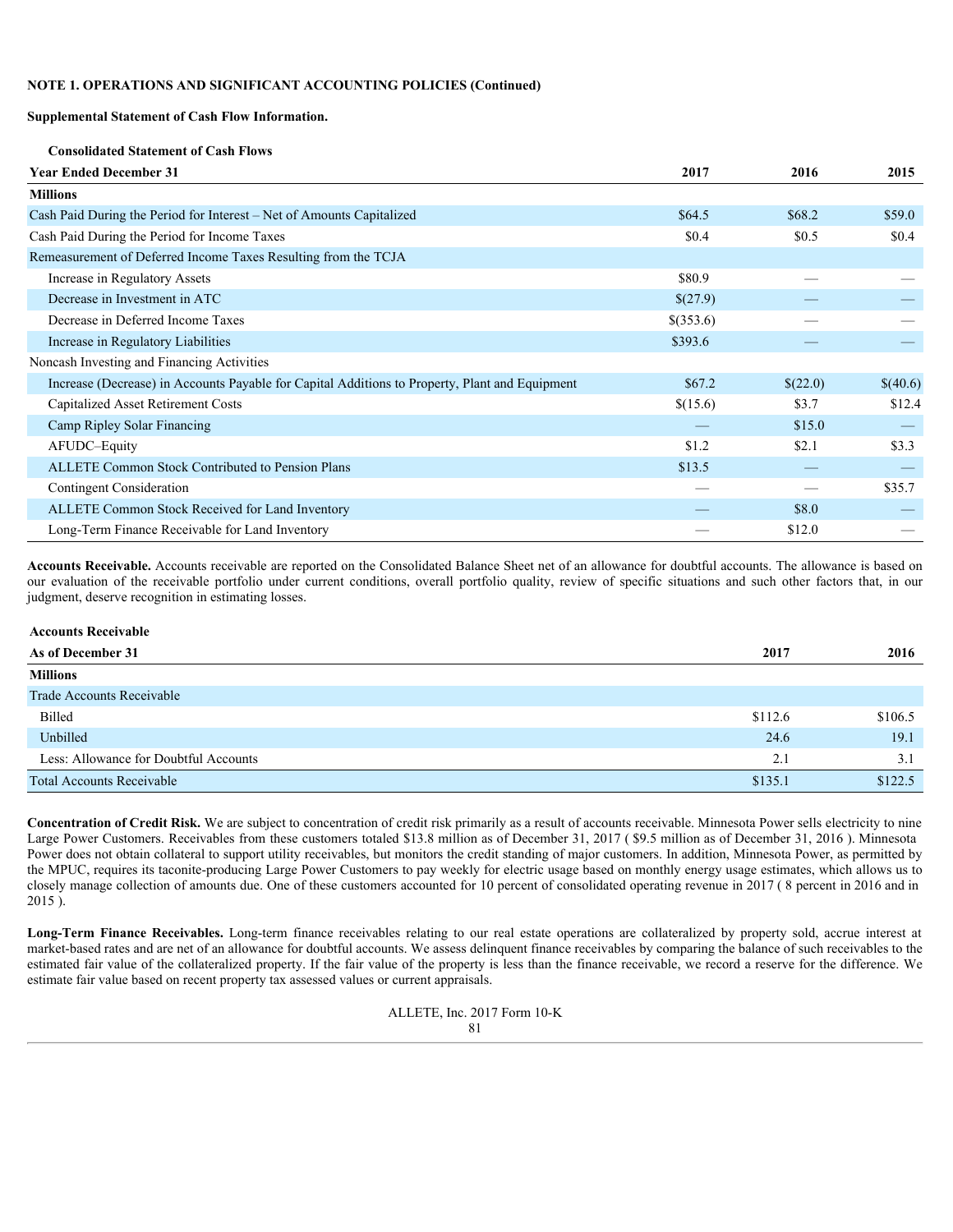#### **Supplemental Statement of Cash Flow Information.**

#### **Consolidated Statement of Cash Flows**

| NOTE 1. OPERATIONS AND SIGNIFICANT ACCOUNTING POLICIES (Continued)                             |                                  |                                 |                          |
|------------------------------------------------------------------------------------------------|----------------------------------|---------------------------------|--------------------------|
| Supplemental Statement of Cash Flow Information.                                               |                                  |                                 |                          |
| <b>Consolidated Statement of Cash Flows</b>                                                    |                                  |                                 |                          |
| <b>Year Ended December 31</b>                                                                  | 2017                             | 2016                            | 2015                     |
| <b>Millions</b>                                                                                |                                  |                                 |                          |
| Cash Paid During the Period for Interest - Net of Amounts Capitalized                          | \$64.5                           | \$68.2                          | \$59.0                   |
| Cash Paid During the Period for Income Taxes                                                   | \$0.4                            | \$0.5                           | \$0.4                    |
| Remeasurement of Deferred Income Taxes Resulting from the TCJA                                 |                                  |                                 |                          |
| Increase in Regulatory Assets                                                                  | \$80.9                           |                                 |                          |
| Decrease in Investment in ATC                                                                  | \$(27.9)                         |                                 |                          |
| Decrease in Deferred Income Taxes                                                              | \$(353.6)                        |                                 |                          |
| Increase in Regulatory Liabilities                                                             | \$393.6                          |                                 | $\overline{\phantom{m}}$ |
| Noncash Investing and Financing Activities                                                     |                                  |                                 |                          |
| Increase (Decrease) in Accounts Payable for Capital Additions to Property, Plant and Equipment | \$67.2                           | \$(22.0)                        | \$(40.6)                 |
| <b>Capitalized Asset Retirement Costs</b>                                                      | \$(15.6)                         | \$3.7                           | \$12.4                   |
| Camp Ripley Solar Financing                                                                    | $\overline{\phantom{m}}$         | \$15.0                          | $\overline{\phantom{a}}$ |
| AFUDC-Equity                                                                                   | \$1.2                            | \$2.1                           | \$3.3                    |
| ALLETE Common Stock Contributed to Pension Plans                                               | \$13.5                           | $\hspace{0.1mm}-\hspace{0.1mm}$ | $\overline{\phantom{m}}$ |
| <b>Contingent Consideration</b>                                                                | $\overbrace{\phantom{12322111}}$ | $\overline{\phantom{m}}$        | \$35.7                   |
| ALLETE Common Stock Received for Land Inventory                                                | $\hspace{0.05cm}$                | \$8.0                           | $\overline{\phantom{m}}$ |
| Long-Term Finance Receivable for Land Inventory                                                | $\overline{\phantom{0}}$         | \$12.0                          | $\overline{\phantom{m}}$ |

#### **Accounts Receivable**

| Camp Ripley Solar Financing                                                                                                                                                                                                                                                                                                                                                                                                                                                                                                                                                                                                                                                                                                                                                                                                                            |        | \$15.0                          |         |
|--------------------------------------------------------------------------------------------------------------------------------------------------------------------------------------------------------------------------------------------------------------------------------------------------------------------------------------------------------------------------------------------------------------------------------------------------------------------------------------------------------------------------------------------------------------------------------------------------------------------------------------------------------------------------------------------------------------------------------------------------------------------------------------------------------------------------------------------------------|--------|---------------------------------|---------|
| AFUDC-Equity                                                                                                                                                                                                                                                                                                                                                                                                                                                                                                                                                                                                                                                                                                                                                                                                                                           | \$1.2  | \$2.1                           | \$3.3   |
| ALLETE Common Stock Contributed to Pension Plans                                                                                                                                                                                                                                                                                                                                                                                                                                                                                                                                                                                                                                                                                                                                                                                                       | \$13.5 | $\hspace{0.1mm}-\hspace{0.1mm}$ |         |
| <b>Contingent Consideration</b>                                                                                                                                                                                                                                                                                                                                                                                                                                                                                                                                                                                                                                                                                                                                                                                                                        |        | $\hspace{0.05cm}$               | \$35.7  |
| ALLETE Common Stock Received for Land Inventory                                                                                                                                                                                                                                                                                                                                                                                                                                                                                                                                                                                                                                                                                                                                                                                                        |        | \$8.0                           |         |
| Long-Term Finance Receivable for Land Inventory                                                                                                                                                                                                                                                                                                                                                                                                                                                                                                                                                                                                                                                                                                                                                                                                        |        | \$12.0                          |         |
| Accounts Receivable. Accounts receivable are reported on the Consolidated Balance Sheet net of an allowance for doubtful accounts. The allowance is based on<br>our evaluation of the receivable portfolio under current conditions, overall portfolio quality, review of specific situations and such other factors that, in our<br>judgment, deserve recognition in estimating losses.                                                                                                                                                                                                                                                                                                                                                                                                                                                               |        |                                 |         |
| <b>Accounts Receivable</b>                                                                                                                                                                                                                                                                                                                                                                                                                                                                                                                                                                                                                                                                                                                                                                                                                             |        |                                 |         |
| As of December 31                                                                                                                                                                                                                                                                                                                                                                                                                                                                                                                                                                                                                                                                                                                                                                                                                                      |        | 2017                            | 2016    |
| <b>Millions</b>                                                                                                                                                                                                                                                                                                                                                                                                                                                                                                                                                                                                                                                                                                                                                                                                                                        |        |                                 |         |
| Trade Accounts Receivable                                                                                                                                                                                                                                                                                                                                                                                                                                                                                                                                                                                                                                                                                                                                                                                                                              |        |                                 |         |
| Billed                                                                                                                                                                                                                                                                                                                                                                                                                                                                                                                                                                                                                                                                                                                                                                                                                                                 |        | \$112.6                         | \$106.5 |
| Unbilled                                                                                                                                                                                                                                                                                                                                                                                                                                                                                                                                                                                                                                                                                                                                                                                                                                               |        | 24.6                            | 19.1    |
| Less: Allowance for Doubtful Accounts                                                                                                                                                                                                                                                                                                                                                                                                                                                                                                                                                                                                                                                                                                                                                                                                                  |        | 2.1                             | 3.1     |
| <b>Total Accounts Receivable</b>                                                                                                                                                                                                                                                                                                                                                                                                                                                                                                                                                                                                                                                                                                                                                                                                                       |        | \$135.1                         | \$122.5 |
| Concentration of Credit Risk. We are subject to concentration of credit risk primarily as a result of accounts receivable. Minnesota Power sells electricity to nine<br>Large Power Customers. Receivables from these customers totaled \$13.8 million as of December 31, 2017 (\$9.5 million as of December 31, 2016). Minnesota<br>Power does not obtain collateral to support utility receivables, but monitors the credit standing of major customers. In addition, Minnesota Power, as permitted by<br>the MPUC, requires its taconite-producing Large Power Customers to pay weekly for electric usage based on monthly energy usage estimates, which allows us to<br>closely manage collection of amounts due. One of these customers accounted for 10 percent of consolidated operating revenue in 2017 (8 percent in 2016 and in<br>$2015$ ). |        |                                 |         |
| Long-Term Finance Receivables. Long-term finance receivables relating to our real estate operations are collateralized by property sold, accrue interest at<br>market-based rates and are net of an allowance for doubtful accounts. We assess delinquent finance receivables by comparing the balance of such receivables to the<br>estimated fair value of the collateralized property. If the fair value of the property is less than the finance receivable, we record a reserve for the difference. We<br>estimate fair value based on recent property tax assessed values or current appraisals.                                                                                                                                                                                                                                                 |        |                                 |         |
| ALLETE, Inc. 2017 Form 10-K<br>81                                                                                                                                                                                                                                                                                                                                                                                                                                                                                                                                                                                                                                                                                                                                                                                                                      |        |                                 |         |
|                                                                                                                                                                                                                                                                                                                                                                                                                                                                                                                                                                                                                                                                                                                                                                                                                                                        |        |                                 |         |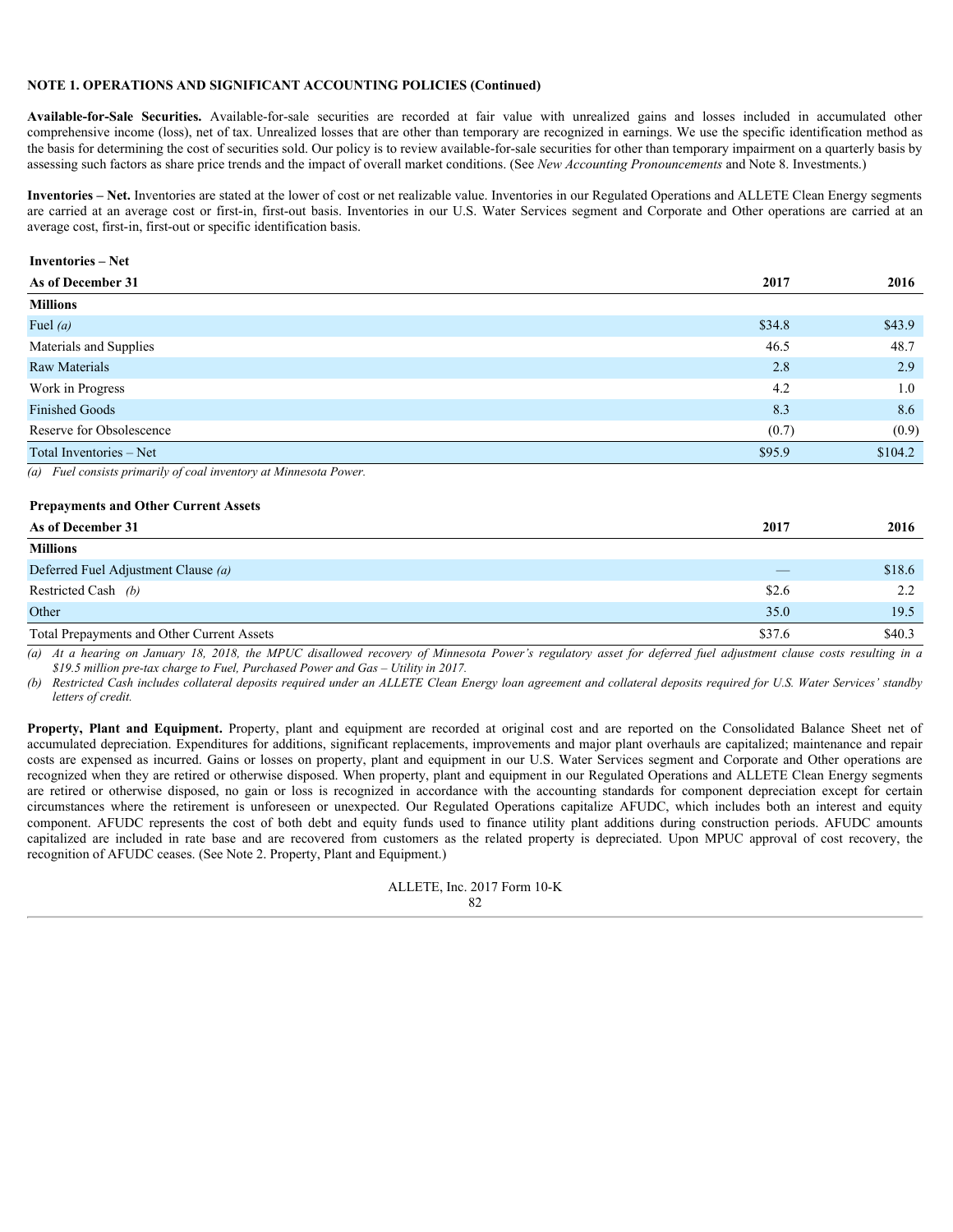**Available-for-Sale Securities.** Available-for-sale securities are recorded at fair value with unrealized gains and losses included in accumulated other comprehensive income (loss), net of tax. Unrealized losses that are o comprehensive income (loss), net of tax. Unrealized losses that are other than temporary are recognized in earnings. We use the specific identification method as the basis for determining the cost of securities sold. Our policy is to review available-for-sale securities for other than temporary impairment on a quarterly basis by assessing such factors as share price trends and the impact of overall market conditions. (See *New Accounting Pronouncements* and Note 8. Investments.)

| <b>Inventories – Net</b> |  |
|--------------------------|--|
|                          |  |

| NOTE 1. OPERATIONS AND SIGNIFICANT ACCOUNTING POLICIES (Continued)                                                                                                                                                                                                                                                                                                                                                                                                                                                                                                                                                                                                                                                                                                                                                                                                                                                                                                                                                                                                                                                                                                                                                                                                                                                                                                      |        |         |
|-------------------------------------------------------------------------------------------------------------------------------------------------------------------------------------------------------------------------------------------------------------------------------------------------------------------------------------------------------------------------------------------------------------------------------------------------------------------------------------------------------------------------------------------------------------------------------------------------------------------------------------------------------------------------------------------------------------------------------------------------------------------------------------------------------------------------------------------------------------------------------------------------------------------------------------------------------------------------------------------------------------------------------------------------------------------------------------------------------------------------------------------------------------------------------------------------------------------------------------------------------------------------------------------------------------------------------------------------------------------------|--------|---------|
|                                                                                                                                                                                                                                                                                                                                                                                                                                                                                                                                                                                                                                                                                                                                                                                                                                                                                                                                                                                                                                                                                                                                                                                                                                                                                                                                                                         |        |         |
| Available-for-Sale Securities. Available-for-sale securities are recorded at fair value with unrealized gains and losses included in accumulated other<br>comprehensive income (loss), net of tax. Unrealized losses that are other than temporary are recognized in earnings. We use the specific identification method as<br>the basis for determining the cost of securities sold. Our policy is to review available-for-sale securities for other than temporary impairment on a quarterly basis by<br>assessing such factors as share price trends and the impact of overall market conditions. (See New Accounting Pronouncements and Note 8. Investments.)                                                                                                                                                                                                                                                                                                                                                                                                                                                                                                                                                                                                                                                                                                       |        |         |
| Inventories - Net. Inventories are stated at the lower of cost or net realizable value. Inventories in our Regulated Operations and ALLETE Clean Energy segments<br>are carried at an average cost or first-in, first-out basis. Inventories in our U.S. Water Services segment and Corporate and Other operations are carried at an<br>average cost, first-in, first-out or specific identification basis.                                                                                                                                                                                                                                                                                                                                                                                                                                                                                                                                                                                                                                                                                                                                                                                                                                                                                                                                                             |        |         |
| <b>Inventories – Net</b>                                                                                                                                                                                                                                                                                                                                                                                                                                                                                                                                                                                                                                                                                                                                                                                                                                                                                                                                                                                                                                                                                                                                                                                                                                                                                                                                                |        |         |
| As of December 31                                                                                                                                                                                                                                                                                                                                                                                                                                                                                                                                                                                                                                                                                                                                                                                                                                                                                                                                                                                                                                                                                                                                                                                                                                                                                                                                                       | 2017   | 2016    |
| <b>Millions</b>                                                                                                                                                                                                                                                                                                                                                                                                                                                                                                                                                                                                                                                                                                                                                                                                                                                                                                                                                                                                                                                                                                                                                                                                                                                                                                                                                         |        |         |
| Fuel $(a)$                                                                                                                                                                                                                                                                                                                                                                                                                                                                                                                                                                                                                                                                                                                                                                                                                                                                                                                                                                                                                                                                                                                                                                                                                                                                                                                                                              | \$34.8 | \$43.9  |
| Materials and Supplies                                                                                                                                                                                                                                                                                                                                                                                                                                                                                                                                                                                                                                                                                                                                                                                                                                                                                                                                                                                                                                                                                                                                                                                                                                                                                                                                                  | 46.5   | 48.7    |
| Raw Materials                                                                                                                                                                                                                                                                                                                                                                                                                                                                                                                                                                                                                                                                                                                                                                                                                                                                                                                                                                                                                                                                                                                                                                                                                                                                                                                                                           | 2.8    | 2.9     |
| Work in Progress                                                                                                                                                                                                                                                                                                                                                                                                                                                                                                                                                                                                                                                                                                                                                                                                                                                                                                                                                                                                                                                                                                                                                                                                                                                                                                                                                        | 4.2    | 1.0     |
| <b>Finished Goods</b>                                                                                                                                                                                                                                                                                                                                                                                                                                                                                                                                                                                                                                                                                                                                                                                                                                                                                                                                                                                                                                                                                                                                                                                                                                                                                                                                                   | 8.3    | 8.6     |
| Reserve for Obsolescence                                                                                                                                                                                                                                                                                                                                                                                                                                                                                                                                                                                                                                                                                                                                                                                                                                                                                                                                                                                                                                                                                                                                                                                                                                                                                                                                                | (0.7)  | (0.9)   |
| Total Inventories - Net                                                                                                                                                                                                                                                                                                                                                                                                                                                                                                                                                                                                                                                                                                                                                                                                                                                                                                                                                                                                                                                                                                                                                                                                                                                                                                                                                 | \$95.9 | \$104.2 |
| (a) Fuel consists primarily of coal inventory at Minnesota Power.                                                                                                                                                                                                                                                                                                                                                                                                                                                                                                                                                                                                                                                                                                                                                                                                                                                                                                                                                                                                                                                                                                                                                                                                                                                                                                       |        |         |
| <b>Prepayments and Other Current Assets</b>                                                                                                                                                                                                                                                                                                                                                                                                                                                                                                                                                                                                                                                                                                                                                                                                                                                                                                                                                                                                                                                                                                                                                                                                                                                                                                                             |        |         |
| <b>As of December 31</b>                                                                                                                                                                                                                                                                                                                                                                                                                                                                                                                                                                                                                                                                                                                                                                                                                                                                                                                                                                                                                                                                                                                                                                                                                                                                                                                                                | 2017   | 2016    |
| <b>Millions</b>                                                                                                                                                                                                                                                                                                                                                                                                                                                                                                                                                                                                                                                                                                                                                                                                                                                                                                                                                                                                                                                                                                                                                                                                                                                                                                                                                         |        |         |
| Deferred Fuel Adjustment Clause (a)                                                                                                                                                                                                                                                                                                                                                                                                                                                                                                                                                                                                                                                                                                                                                                                                                                                                                                                                                                                                                                                                                                                                                                                                                                                                                                                                     |        | \$18.6  |
| Restricted Cash (b)                                                                                                                                                                                                                                                                                                                                                                                                                                                                                                                                                                                                                                                                                                                                                                                                                                                                                                                                                                                                                                                                                                                                                                                                                                                                                                                                                     | \$2.6  | 2.2     |
| Other                                                                                                                                                                                                                                                                                                                                                                                                                                                                                                                                                                                                                                                                                                                                                                                                                                                                                                                                                                                                                                                                                                                                                                                                                                                                                                                                                                   | 35.0   | 19.5    |
| <b>Total Prepayments and Other Current Assets</b>                                                                                                                                                                                                                                                                                                                                                                                                                                                                                                                                                                                                                                                                                                                                                                                                                                                                                                                                                                                                                                                                                                                                                                                                                                                                                                                       | \$37.6 | \$40.3  |
| (a) At a hearing on January 18, 2018, the MPUC disallowed recovery of Minnesota Power's regulatory asset for deferred fuel adjustment clause costs resulting in a<br>\$19.5 million pre-tax charge to Fuel, Purchased Power and Gas - Utility in 2017.<br>(b) Restricted Cash includes collateral deposits required under an ALLETE Clean Energy loan agreement and collateral deposits required for U.S. Water Services' standby<br>letters of credit.                                                                                                                                                                                                                                                                                                                                                                                                                                                                                                                                                                                                                                                                                                                                                                                                                                                                                                                 |        |         |
| Property, Plant and Equipment. Property, plant and equipment are recorded at original cost and are reported on the Consolidated Balance Sheet net of<br>accumulated depreciation. Expenditures for additions, significant replacements, improvements and major plant overhauls are capitalized; maintenance and repair<br>costs are expensed as incurred. Gains or losses on property, plant and equipment in our U.S. Water Services segment and Corporate and Other operations are<br>recognized when they are retired or otherwise disposed. When property, plant and equipment in our Regulated Operations and ALLETE Clean Energy segments<br>are retired or otherwise disposed, no gain or loss is recognized in accordance with the accounting standards for component depreciation except for certain<br>circumstances where the retirement is unforeseen or unexpected. Our Regulated Operations capitalize AFUDC, which includes both an interest and equity<br>component. AFUDC represents the cost of both debt and equity funds used to finance utility plant additions during construction periods. AFUDC amounts<br>capitalized are included in rate base and are recovered from customers as the related property is depreciated. Upon MPUC approval of cost recovery, the<br>recognition of AFUDC ceases. (See Note 2. Property, Plant and Equipment.) |        |         |
| ALLETE, Inc. 2017 Form 10-K                                                                                                                                                                                                                                                                                                                                                                                                                                                                                                                                                                                                                                                                                                                                                                                                                                                                                                                                                                                                                                                                                                                                                                                                                                                                                                                                             |        |         |
| 82                                                                                                                                                                                                                                                                                                                                                                                                                                                                                                                                                                                                                                                                                                                                                                                                                                                                                                                                                                                                                                                                                                                                                                                                                                                                                                                                                                      |        |         |
|                                                                                                                                                                                                                                                                                                                                                                                                                                                                                                                                                                                                                                                                                                                                                                                                                                                                                                                                                                                                                                                                                                                                                                                                                                                                                                                                                                         |        |         |

| .                                          |                   |        |
|--------------------------------------------|-------------------|--------|
| As of December 31                          | 2017              | 2016   |
| <b>Millions</b>                            |                   |        |
| Deferred Fuel Adjustment Clause (a)        | $\hspace{0.05cm}$ | \$18.6 |
| Restricted Cash (b)                        | \$2.6             | ∠.∠    |
| Other                                      | 35.0              | 19.5   |
| Total Prepayments and Other Current Assets | \$37.6            | \$40.3 |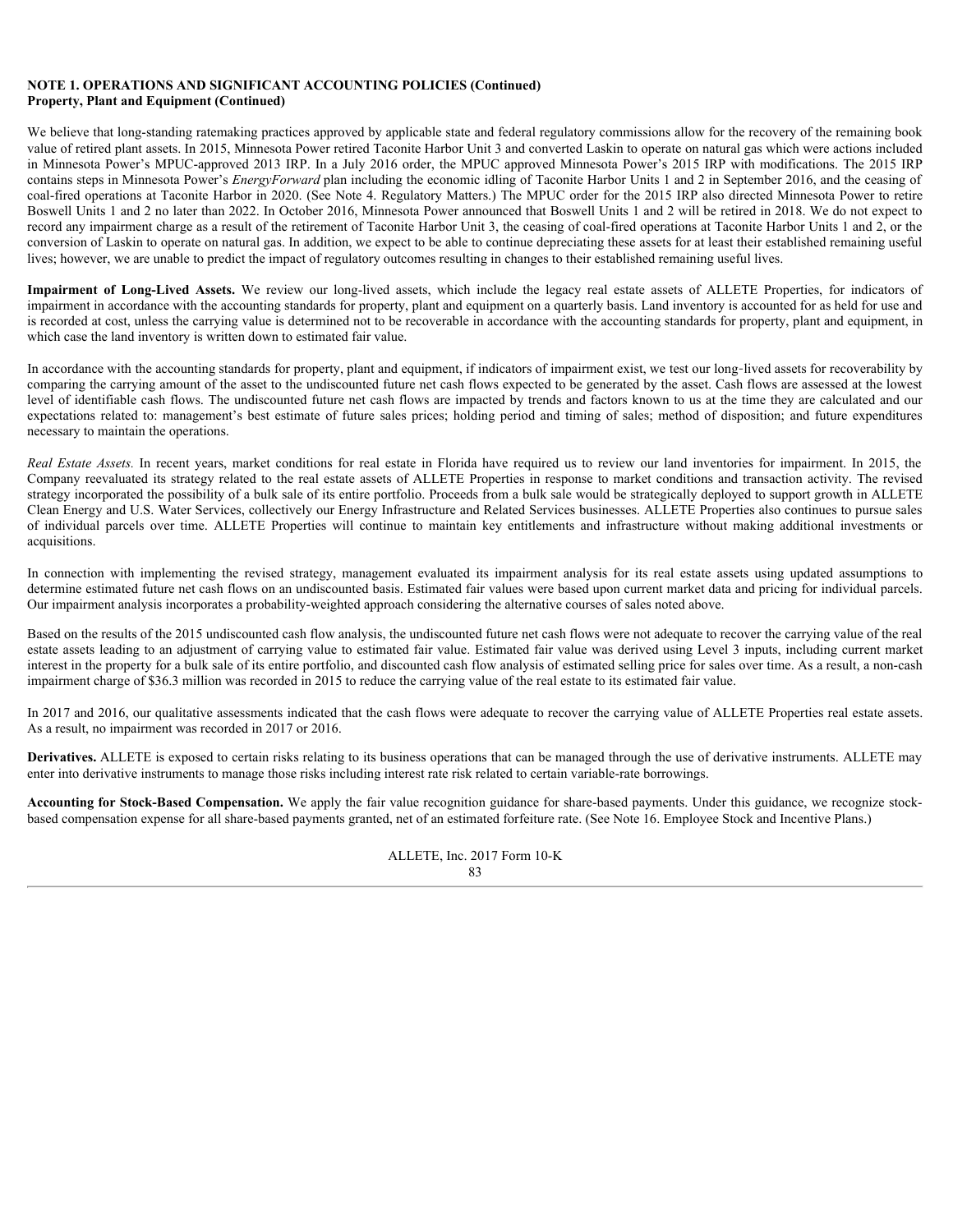#### **NOTE 1. OPERATIONS AND SIGNIFICANT ACCOUNTING POLICIES (Continued) Property, Plant and Equipment (Continued)**

We believe that long-standing ratemaking practices approved by applicable state and federal regulatory commissions allow for the recovery of the remaining book value of retired plant assets. In 2015, Minnesota Power retired Taconite Harbor Unit 3 and converted Laskin to operate on natural gas which were actions included in Minnesota Power's MPUC-approved 2013 IRP. In a July 2016 order, the MPUC approved Minnesota Power's 2015 IRP with modifications. The 2015 IRP contains steps in Minnesota Power's *EnergyForward* plan including the economic idling of Taconite Harbor Units 1 and 2 in September 2016, and the ceasing of coal-fired operations at Taconite Harbor in 2020. (See Note 4. Regulatory Matters.) The MPUC order for the 2015 IRP also directed Minnesota Power to retire Boswell Units 1 and 2 no later than 2022. In October 2016, Minnesota Power announced that Boswell Units 1 and 2 will be retired in 2018. We do not expect to record any impairment charge as a result of the retirement of Taconite Harbor Unit 3, the ceasing of coal-fired operations at Taconite Harbor Units 1 and 2, or the conversion of Laskin to operate on natural gas. In addition, we expect to be able to continue depreciating these assets for at least their established remaining useful lives; however, we are unable to predict the impact of regulatory outcomes resulting in changes to their established remaining useful lives. **INDEE I. OPERATIONS AND SIGNIFICANT ACCOUNTING POLICIES (Continued)**<br>**IProperty, Plant and Equipment (Continued)**<br>We believe that image ranching practices approved by applicable state and federal regatiory commissions all NOTE I. OPERATIONS AND SIGNIFICANT ACCOUNTING POLICIES (Continued)<br>
Property, Plant and Equipment (Continued)<br>
We believe that forestign parameters approved by applicable state and federal regulatory commussions allow for **ROTE 1. OPERATIONS AND SIGNEFICANT ACCOUNTING POLICIES (Continued)**<br>**Property, Phan and Equipment (Continued)**<br>**Real Extend to real equipmentions approach by applicable asset and forcini replaces and secure for real estat** NOTE 1, OPERATIONS AND SICNIFICANT ACCOUNTIVG POLICIES (Cominned)<br>We believe the these parameter and<br>interval particular parceles approach by applicable antes as folent explanator, containists allow for the respective<br>for NOTE I. OPERATIONS AND SKANDELANT ACCOUNTING POLICIES (Continued)<br>Property Flam and Raphameter Confunds approach by applicable atter and fielent regulated constraines which were strategy and<br>We believe the treputation with

impairment in accordance with the accounting standards for property, plant and equipment on a quarterly basis. Land inventory is accounted for as held for use and is recorded at cost, unless the carrying value is determined not to be recoverable in accordance with the accounting standards for property, plant and equipment, in which case the land inventory is written down to estimated fair value.

In accordance with the accounting standards for property, plant and equipment, if indicators of impairment exist, we test our long-lived assets for recoverability by comparing the carrying amount of the asset to the undiscounted future net cash flows expected to be generated by the asset. Cash flows are assessed at the lowest level of identifiable cash flows. The undiscounted future net cash flows are impacted by trends and factors known to us at the time they are calculated and our expectations related to: management's best estimate of future necessary to maintain the operations.

Company reevaluated its strategy related to the real estate assets of ALLETE Properties in response to market conditions and transaction activity. The revised strategy incorporated the possibility of a bulk sale of its entire portfolio. Proceeds from a bulk sale would be strategically deployed to support growth in ALLETE Clean Energy and U.S. Water Services, collectively our Energy Infrastructure and Related Services businesses. ALLETE Properties also continues to pursue sales acquisitions.

determine estimated future net cash flows on an undiscounted basis. Estimated fair values were based upon current market data and pricing for individual parcels. Our impairment analysis incorporates a probability-weighted approach considering the alternative courses of sales noted above.

Based on the results of the 2015 undiscounted cash flow analysis, the undiscounted future net cash flows were not adequate to recover the carrying value of the real estate assets leading to an adjustment of carrying value to estimated fair value. Estimated fair value was derived using Level 3 inputs, including current market interest in the property for a bulk sale of its entire portfolio, and discounted cash flow analysis of estimated selling price for sales over time. As a result, a non-cash impairment charge of \$36.3 million was recorded in 2015 to reduce the carrying value of the real estate to its estimated fair value.

In 2017 and 2016, our qualitative assessments indicated that the cash flows were adequate to recover the carrying value of ALLETE Properties real estate assets. As a result, no impairment was recorded in 2017 or 2016.

**Derivatives.** ALLETE is exposed to certain risks relating to its business operations that can be managed through the use of derivative instruments. ALLETE may enter into derivative instruments to manage those risks including interest rate risk related to certain variable-rate borrowings.

**Accounting for Stock-Based Compensation.** We apply the fair value recognition guidance for share-based payments. Under this guidance, we recognize stockbased compensation expense for all share-based payments granted, net of an estimated forfeiture rate. (See Note 16. Employee Stock and Incentive Plans.)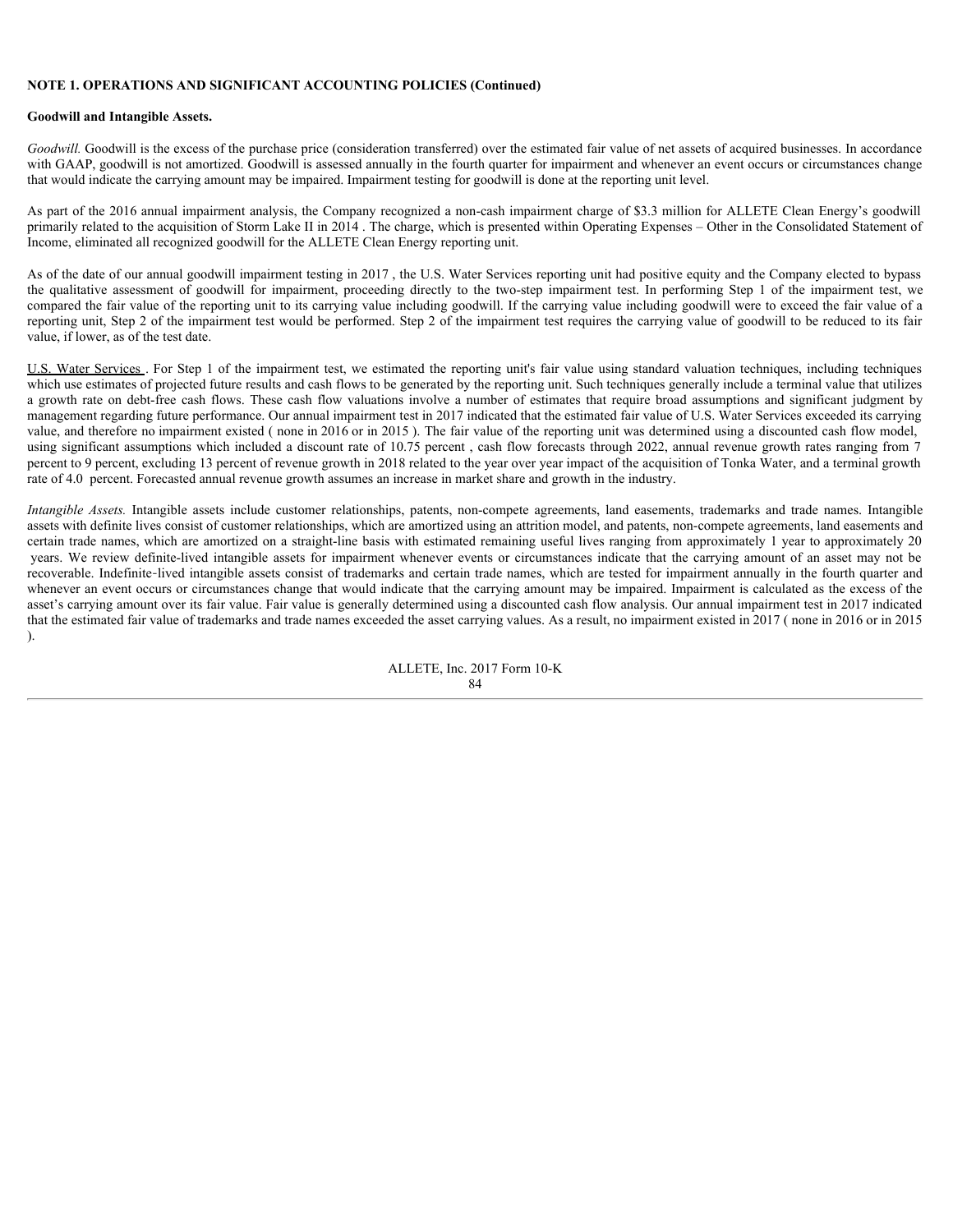#### **Goodwill and Intangible Assets.**

Goodwill. Goodwill is the excess of the purchase price (consideration transferred) over the estimated fair value of net assets of acquired businesses. In accordance with GAAP, goodwill is not amortized. Goodwill is assessed annually in the fourth quarter for impairment and whenever an event occurs or circumstances change that would indicate the carrying amount may be impaired. Impairment testing for goodwill is done at the reporting unit level.

As part of the 2016 annual impairment analysis, the Company recognized a non-cash impairment charge of \$3.3 million for ALLETE Clean Energy's goodwill primarily related to the acquisition of Storm Lake II in 2014 . The charge, which is presented within Operating Expenses – Other in the Consolidated Statement of Income, eliminated all recognized goodwill for the ALLETE Clean Energy reporting unit.

As of the date of our annual goodwill impairment testing in 2017, the U.S. Water Services reporting unit had positive equity and the Company elected to bypass the qualitative assessment of goodwill for impairment, proceedi NOTE 1. OPERATIONS AND SIGNIFICANT ACCOUNTING POLICIES (Continued)<br>Coodwill and Intangible Assets.<br>Coodwill sind and intangible Assets.<br>Coodwill is one anotheroid Goodwill is sessed amounity in the fourth quare for impair compared the fair value of the reporting unit to its carrying value including goodwill. If the carrying value including goodwill were to exceed the fair value of a reporting unit, Step 2 of the impairment test would be performed. Step 2 of the impairment test requires the carrying value of goodwill to be reduced to its fair value, if lower, as of the test date.

U.S. Water Services . For Step 1 of the impairment test, we estimated the reporting unit's fair value using standard valuation techniques, including techniques which use estimates of projected future results and cash flows to be generated by the reporting unit. Such techniques generally include a terminal value that utilizes a growth rate on debt-free cash flows. These cash flow **EVICE TOPERATIONS AND SIGNIFICANT ACCOUNTING POLICIES (Continued)**<br> **Growthoff London's absolute the case of the purchase price (consideration tensiered)** one for the value of the average of particles and the free cash an management regarding future performance. Our annual impairment test in 2017 indicated that the estimated fair value of U.S. Water Services exceeded its carrying value, and therefore no impairment existed ( none in 2016 or in 2015 ). The fair value of the reporting unit was determined using a discounted cash flow model, using significant assumptions which included a discount rate of 10.75 percent, cash flow forecasts through 2022, annual revenue growth rates ranging from 7 percent to 9 percent, excluding 13 percent of revenue growth in 2018 related to the year over year impact of the acquisition of Tonka Water, and a terminal growth rate of 4.0 percent. Forecasted annual revenue growth assumes an increase in market share and growth in the industry.

**INOTE 1. OPERATIONS AND SIGNIFICANT ACCOUNTING POLICIES (Centineed)**<br>Clooded **II** and Intangible Assets.<br>Clooded! Good and Intangible Assets.<br>Clooded! Good and interestent and the procedure interest include the fourth qua assets with definite lives consist of customer relationships, which are amortized using an attrition model, and patents, non-compete agreements, land easements and certain trade names, which are amortized on a straight-line basis with estimated remaining useful lives ranging from approximately 1 year to approximately 20 NOTE 1. OPERATIONS AND SICNIFICANT ACCOUNTING POLICIES (Continued)<br>Condenti di stangular basets. Tracerulare assets for interactional control over the estimate of reduced to control over the carry of the carry of the carry recoverable. Indefinite-lived intangible assets consist of trademarks and certain trade names, which are tested for impairment annually in the fourth quarter and whenever an event occurs or circumstances change that would indicate that the carrying amount may be impaired. Impairment is calculated as the excess of the asset's carrying amount over its fair value. Fair value is generally determined using a discounted cash flow analysis. Our annual impairment test in 2017 indicated that the estimated fair value of trademarks and trade names exceeded the asset carrying values. As a result, no impairment existed in 2017 ( none in 2016 or in 2015 ).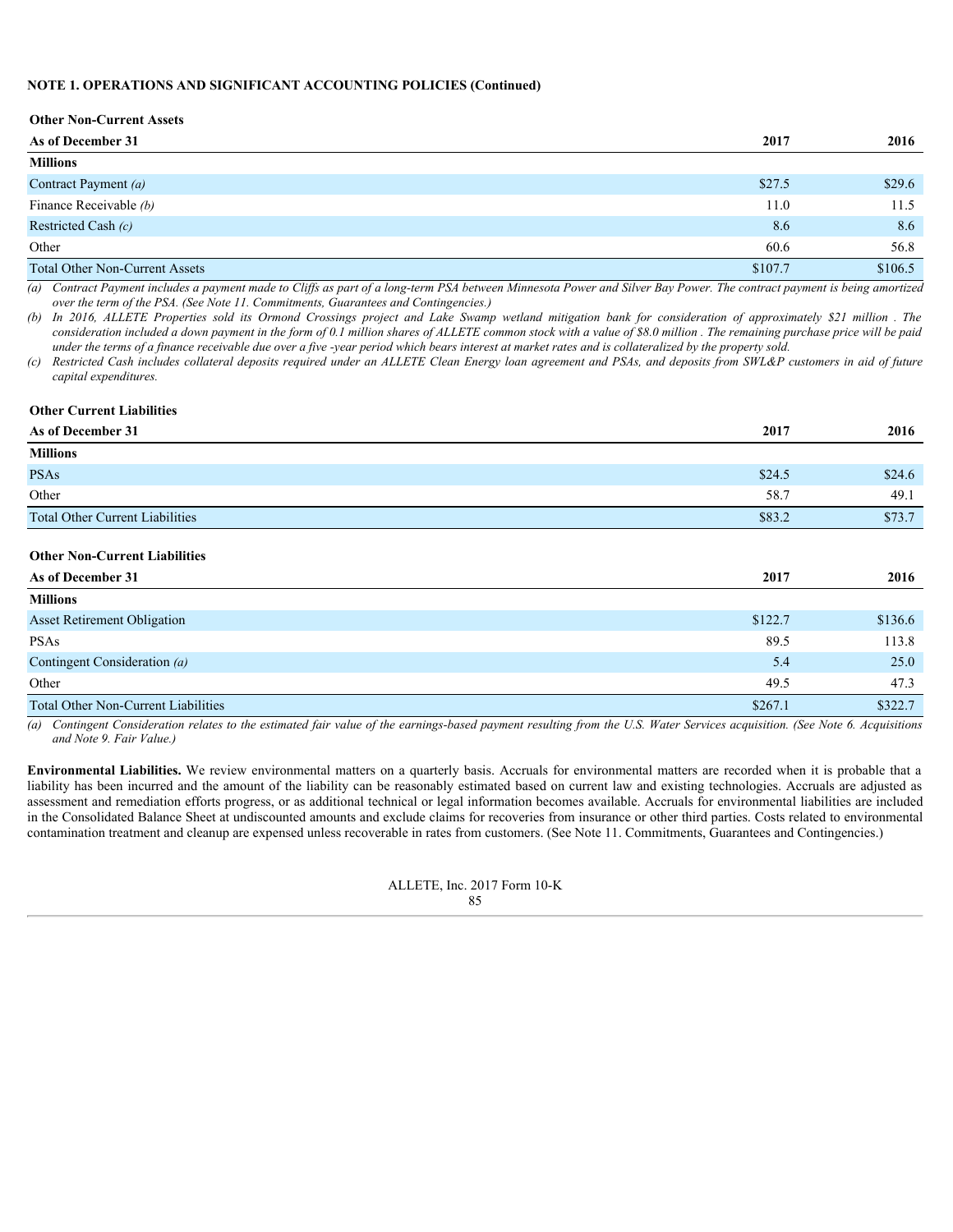#### **Other Non-Current Assets**

| NOTE 1. OPERATIONS AND SIGNIFICANT ACCOUNTING POLICIES (Continued)                                                                                                                                                                                                                                                                                                                                                                                                                                                                                                                                                                                                                                                                                                                                                                                                                                                                                                 |         |         |
|--------------------------------------------------------------------------------------------------------------------------------------------------------------------------------------------------------------------------------------------------------------------------------------------------------------------------------------------------------------------------------------------------------------------------------------------------------------------------------------------------------------------------------------------------------------------------------------------------------------------------------------------------------------------------------------------------------------------------------------------------------------------------------------------------------------------------------------------------------------------------------------------------------------------------------------------------------------------|---------|---------|
| <b>Other Non-Current Assets</b>                                                                                                                                                                                                                                                                                                                                                                                                                                                                                                                                                                                                                                                                                                                                                                                                                                                                                                                                    |         |         |
| As of December 31                                                                                                                                                                                                                                                                                                                                                                                                                                                                                                                                                                                                                                                                                                                                                                                                                                                                                                                                                  | 2017    | 2016    |
| <b>Millions</b>                                                                                                                                                                                                                                                                                                                                                                                                                                                                                                                                                                                                                                                                                                                                                                                                                                                                                                                                                    |         |         |
| Contract Payment (a)                                                                                                                                                                                                                                                                                                                                                                                                                                                                                                                                                                                                                                                                                                                                                                                                                                                                                                                                               | \$27.5  | \$29.6  |
| Finance Receivable (b)                                                                                                                                                                                                                                                                                                                                                                                                                                                                                                                                                                                                                                                                                                                                                                                                                                                                                                                                             | 11.0    | 11.5    |
| Restricted Cash (c)                                                                                                                                                                                                                                                                                                                                                                                                                                                                                                                                                                                                                                                                                                                                                                                                                                                                                                                                                | 8.6     | 8.6     |
| Other                                                                                                                                                                                                                                                                                                                                                                                                                                                                                                                                                                                                                                                                                                                                                                                                                                                                                                                                                              | 60.6    | 56.8    |
| <b>Total Other Non-Current Assets</b>                                                                                                                                                                                                                                                                                                                                                                                                                                                                                                                                                                                                                                                                                                                                                                                                                                                                                                                              | \$107.7 | \$106.5 |
| (a) Contract Payment includes a payment made to Cliffs as part of a long-term PSA between Minnesota Power and Silver Bay Power. The contract payment is being amortized<br>over the term of the PSA. (See Note 11. Commitments, Guarantees and Contingencies.)<br>(b) In 2016, ALLETE Properties sold its Ormond Crossings project and Lake Swamp wetland mitigation bank for consideration of approximately \$21 million. The<br>consideration included a down payment in the form of 0.1 million shares of ALLETE common stock with a value of \$8.0 million . The remaining purchase price will be paid<br>under the terms of a finance receivable due over a five -year period which bears interest at market rates and is collateralized by the property sold.<br>(c) Restricted Cash includes collateral deposits required under an ALLETE Clean Energy loan agreement and PSAs, and deposits from SWL&P customers in aid of future<br>capital expenditures. |         |         |
| <b>Other Current Liabilities</b>                                                                                                                                                                                                                                                                                                                                                                                                                                                                                                                                                                                                                                                                                                                                                                                                                                                                                                                                   |         |         |
| As of December 31                                                                                                                                                                                                                                                                                                                                                                                                                                                                                                                                                                                                                                                                                                                                                                                                                                                                                                                                                  | 2017    | 2016    |

#### **Other Current Liabilities**

| As of December 31                      | 2017   | 2016   |
|----------------------------------------|--------|--------|
| <b>Millions</b>                        |        |        |
| <b>PSAs</b>                            | \$24.5 | \$24.6 |
| Other                                  | 58.7   | 49.1   |
| <b>Total Other Current Liabilities</b> | \$83.2 | \$73.7 |

#### **Other Non-Current Liabilities**

| As of December 31                          | 2017    | 2016    |
|--------------------------------------------|---------|---------|
| <b>Millions</b>                            |         |         |
| <b>Asset Retirement Obligation</b>         | \$122.7 | \$136.6 |
| <b>PSAs</b>                                | 89.5    | 113.8   |
| Contingent Consideration (a)               | 5.4     | 25.0    |
| Other                                      | 49.5    | 47.3    |
| <b>Total Other Non-Current Liabilities</b> | \$267.1 | \$322.7 |

*(a) Contingent Consideration relates to the estimated fair value of the earnings-based payment resulting from the U.S. Water Services acquisition. (See Note 6. Acquisitions and Note 9. Fair Value.)*

**Environmental Liabilities.** We review environmental matters on a quarterly basis. Accruals for environmental matters are recorded when it is probable that a liability has been incurred and the amount of the liability can be reasonably estimated based on current law and existing technologies. Accruals are adjusted as assessment and remediation efforts progress, or as additional technical or legal information becomes available. Accruals for environmental liabilities are included in the Consolidated Balance Sheet at undiscounted amounts and exclude claims for recoveries from insurance or other third parties. Costs related to environmental contamination treatment and cleanup are expensed unless recoverable in rates from customers. (See Note 11. Commitments, Guarantees and Contingencies.)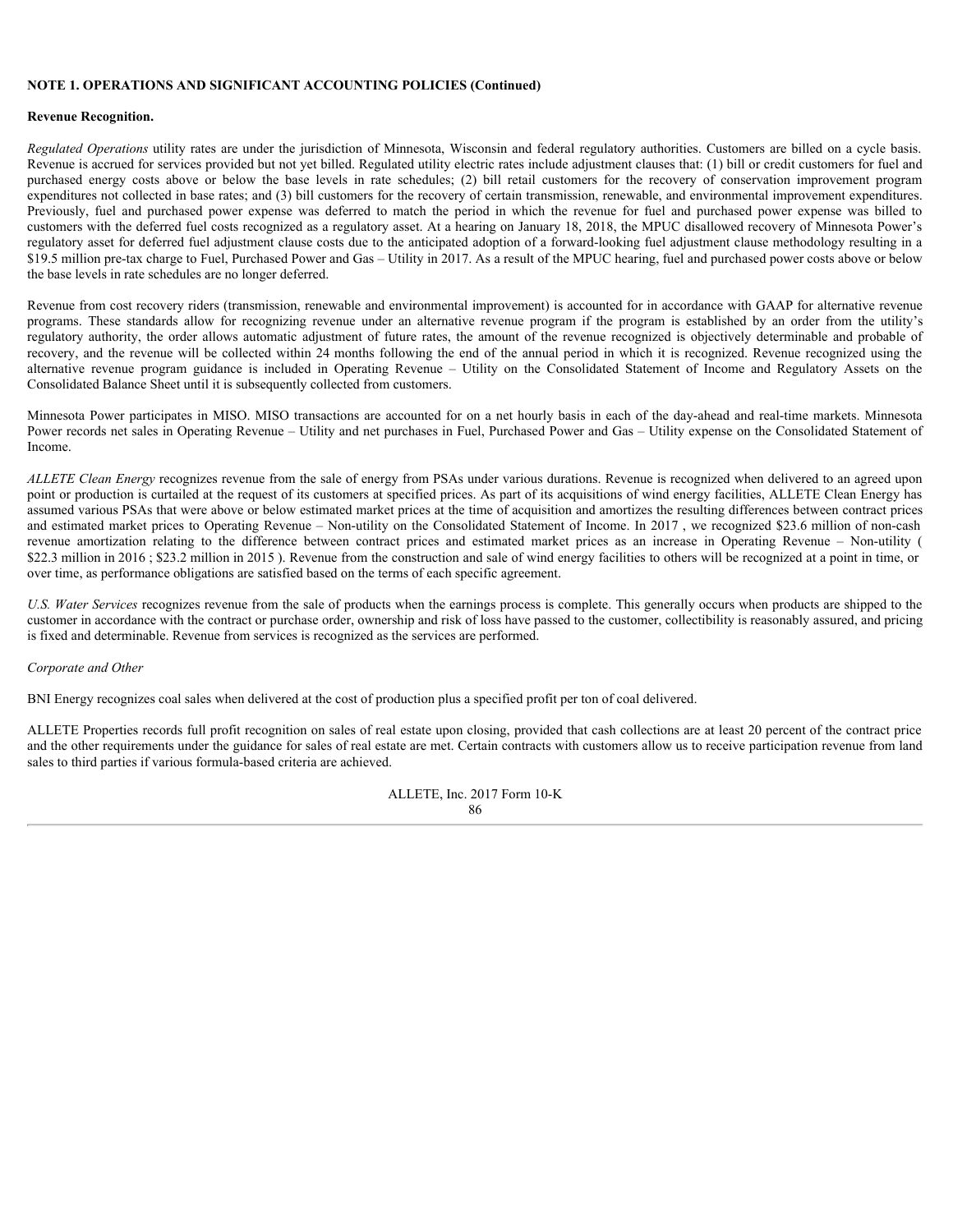#### **Revenue Recognition.**

*Regulated Operations* utility rates are under the jurisdiction of Minnesota, Wisconsin and federal regulatory authorities. Customers are billed on a cycle basis. Revenue is accrued for services provided but not yet billed. Regulated utility electric rates include adjustment clauses that: (1) bill or credit customers for fuel and **Roving 1. OPERATIONS AND SIGNIFICANT ACCOUNTING POLICIES (Continued)**<br>**Revenue Recognition.**<br>**Revenue is accred for services are under the jurisdiction of Minnesota, Wisconsin and federal regulatory authorities. Customers** expenditures not collected in base rates; and (3) bill customers for the recovery of certain transmission, renewable, and environmental improvement expenditures. **Rovenic 1. OPERATIONS AND SIGNIFICANT ACCOUNTING POLICIES (Continued)**<br> **Revenue Recognition.**<br>
Reviewe is accreted for services provided but not yet billed. Regulated utility electric rates include adjustment classes tha customers with the deferred fuel costs recognized as a regulatory asset. At a hearing on January 18, 2018, the MPUC disallowed recovery of Minnesota Power's regulatory asset for deferred fuel adjustment clause costs due to the anticipated adoption of a forward-looking fuel adjustment clause methodology resulting in a \$19.5 million pre-tax charge to Fuel, Purchased Power and Gas – Utility in 2017. As a result of the MPUC hearing, fuel and purchased power costs above or below the base levels in rate schedules are no longer deferred. NOTE 1. OPERATIONS AND SIGNIFICANT ACCOUNTING POLICIES (Continued)<br>Revenue Recognizions utility rates are under the jurisdiction of Mimeoubi, Wisconsin and federal regulatory under<br>itins. Casonens are the lead of revenue p Revenue Recognition.<br>
Revenue Recognition and virtual of Minnesotia, Wisconsin and Ideiral regulatory undertities. Customes are billed on a cycle basis,<br>
Revenue Recording uniting that sure under the jurisdiction of Minnes ROTE 1. OPERATIONS AND SIGNIFICANT ACCOUNTING POLICIES (Continued)<br>Revenue Recordions unitly rates are under the jurisdiction of Mimesoul, Wisconsin and fieldral regulatory authorities. Customers are billed on a cycle basi **Revenue Revenue Internative research in COUNTING POLICIES (Continued)**<br>**Revenue Recognition**.<br>
Revenue Recognition string rest are under the jurisdiction of Minneson, Wisconstand foderal regulatory authorities. Customers ROTE 1. OPERATIONS AND SIGNIFICANT ACCOUNTING POLICIES (Continues)<br>Regulated Operation will be marked the intelligion of Minister Wisconsin and fixed regulator stabilities. Customer are billed on a yele has<br>preducted geog

Revenue from cost recovery riders (transmission, renewable and environmental improvement) is accounted for in accordance with GAAP for alternative revenue programs. These standards allow for recognizing revenue under an al Consolidated Balance Sheet until it is subsequently collected from customers.

Minnesota Power participates in MISO. MISO transactions are accounted for on a net hourly basis in each of the day-ahead and real-time markets. Minnesota Power records net sales in Operating Revenue – Utility and net purchases in Fuel, Purchased Power and Gas – Utility expense on the Consolidated Statement of Income.

*ALLETE Clean Energy* recognizes revenue from the sale of energy from PSAs under various durations. Revenue is recognized when delivered to an agreed upon point or production is curtailed at the request of its customers at specified prices. As part of its acquisitions of wind energy facilities, ALLETE Clean Energy has assumed various PSAs that were above or below estimated market prices at the time of acquisition and amortizes the resulting differences between contract prices and estimated market prices to Operating Revenue – Non-utility on the Consolidated Statement of Income. In 2017 , we recognized \$23.6 million of non-cash \$22.3 million in 2016 ; \$23.2 million in 2015 ). Revenue from the construction and sale of wind energy facilities to others will be recognized at a point in time, or over time, as performance obligations are satisfied based on the terms of each specific agreement.

*U.S. Water Services* recognizes revenue from the sale of products when the earnings process is complete. This generally occurs when products are shipped to the customer in accordance with the contract or purchase order, ownership and risk of loss have passed to the customer, collectibility is reasonably assured, and pricing is fixed and determinable. Revenue from services is recognized as the services are performed.

#### *Corporate and Other*

BNI Energy recognizes coal sales when delivered at the cost of production plus a specified profit per ton of coal delivered.

ALLETE Properties records full profit recognition on sales of real estate upon closing, provided that cash collections are at least 20 percent of the contract price and the other requirements under the guidance for sales of real estate are met. Certain contracts with customers allow us to receive participation revenue from land sales to third parties if various formula-based criteria are achieved.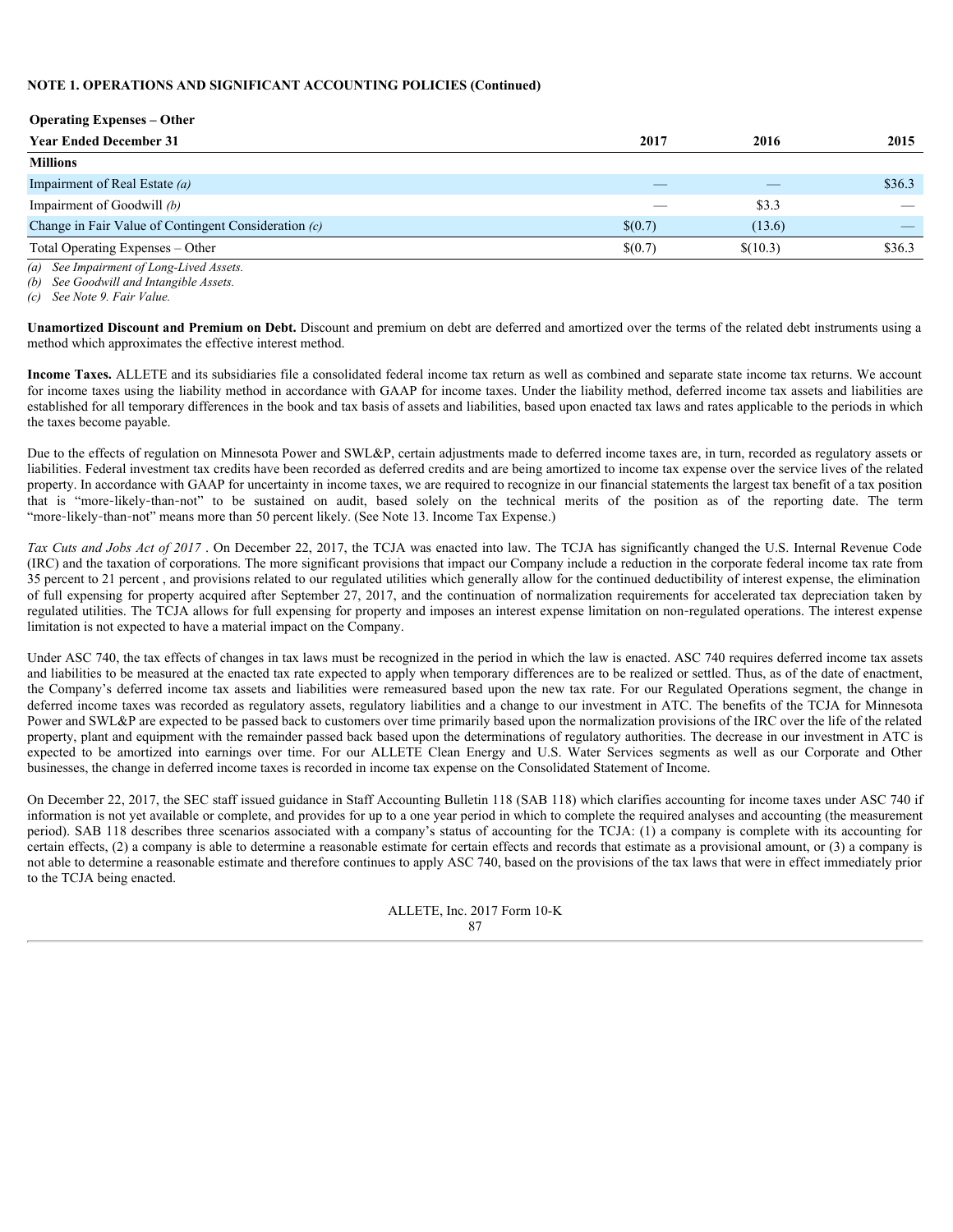| <b>Operating Expenses – Other</b> |  |  |
|-----------------------------------|--|--|
|                                   |  |  |

| <b>NOTE 1. OPERATIONS AND SIGNIFICANT ACCOUNTING POLICIES (Continued)</b>                                                                                                                                                                                                                                                                                                                                                                                                                                                                                                                                                                                                                                                                                                                                                                                                                                                                                           |         |          |        |
|---------------------------------------------------------------------------------------------------------------------------------------------------------------------------------------------------------------------------------------------------------------------------------------------------------------------------------------------------------------------------------------------------------------------------------------------------------------------------------------------------------------------------------------------------------------------------------------------------------------------------------------------------------------------------------------------------------------------------------------------------------------------------------------------------------------------------------------------------------------------------------------------------------------------------------------------------------------------|---------|----------|--------|
| <b>Operating Expenses - Other</b>                                                                                                                                                                                                                                                                                                                                                                                                                                                                                                                                                                                                                                                                                                                                                                                                                                                                                                                                   |         |          |        |
| <b>Year Ended December 31</b>                                                                                                                                                                                                                                                                                                                                                                                                                                                                                                                                                                                                                                                                                                                                                                                                                                                                                                                                       | 2017    | 2016     | 2015   |
| <b>Millions</b>                                                                                                                                                                                                                                                                                                                                                                                                                                                                                                                                                                                                                                                                                                                                                                                                                                                                                                                                                     |         |          |        |
| Impairment of Real Estate $(a)$                                                                                                                                                                                                                                                                                                                                                                                                                                                                                                                                                                                                                                                                                                                                                                                                                                                                                                                                     |         |          | \$36.3 |
| Impairment of Goodwill (b)                                                                                                                                                                                                                                                                                                                                                                                                                                                                                                                                                                                                                                                                                                                                                                                                                                                                                                                                          |         | \$3.3    |        |
| Change in Fair Value of Contingent Consideration (c)                                                                                                                                                                                                                                                                                                                                                                                                                                                                                                                                                                                                                                                                                                                                                                                                                                                                                                                | \$(0.7) | (13.6)   |        |
| Total Operating Expenses – Other                                                                                                                                                                                                                                                                                                                                                                                                                                                                                                                                                                                                                                                                                                                                                                                                                                                                                                                                    | \$(0.7) | \$(10.3) | \$36.3 |
| (c) See Note 9. Fair Value.<br>Unamortized Discount and Premium on Debt. Discount and premium on debt are deferred and amortized over the terms of the related debt instruments using a<br>method which approximates the effective interest method.<br>Income Taxes. ALLETE and its subsidiaries file a consolidated federal income tax return as well as combined and separate state income tax returns. We account<br>for income taxes using the liability method in accordance with GAAP for income taxes. Under the liability method, deferred income tax assets and liabilities are<br>established for all temporary differences in the book and tax basis of assets and liabilities, based upon enacted tax laws and rates applicable to the periods in which<br>the taxes become payable.<br>Due to the effects of regulation on Minnesota Power and SWL&P, certain adjustments made to deferred income taxes are, in turn, recorded as regulatory assets or |         |          |        |
| liabilities. Federal investment tax credits have been recorded as deferred credits and are being amortized to income tax expense over the service lives of the related<br>property. In accordance with GAAP for uncertainty in income taxes, we are required to recognize in our financial statements the largest tax benefit of a tax position<br>that is "more-likely-than-not" to be sustained on audit, based solely on the technical merits of the position as of the reporting date. The term<br>"more-likely-than-not" means more than 50 percent likely. (See Note 13. Income Tax Expense.)                                                                                                                                                                                                                                                                                                                                                                 |         |          |        |
| Tax Cuts and Jobs Act of 2017. On December 22, 2017, the TCJA was enacted into law. The TCJA has significantly changed the U.S. Internal Revenue Code<br>(IRC) and the taxation of corporations. The more significant provisions that impact our Company include a reduction in the corporate federal income tax rate from<br>35 percent to 21 percent, and provisions related to our regulated utilities which generally allow for the continued deductibility of interest expense, the elimination<br>of full expensing for property acquired after September 27, 2017, and the continuation of normalization requirements for accelerated tax depreciation taken by<br>regulated utilities. The TCJA allows for full expensing for property and imposes an interest expense limitation on non-regulated operations. The interest expense<br>limitation is not expected to have a material impact on the Company.                                                 |         |          |        |

Under ASC 740, the tax effects of changes in tax laws must be recognized in the period in which the law is enacted. ASC 740 requires deferred income tax assets and liabilities to be measured at the enacted tax rate expected to apply when temporary differences are to be realized or settled. Thus, as of the date of enactment, Implement of Koch Poten (18 metal) and the company is defined that the company is the company is the company in the company is the company of the new tax assets and the new tax rate. The company of the company of the comp deferred income taxes was recorded as regulatory assets, regulatory liabilities and a change to our investment in ATC. The benefits of the TCJA for Minnesota Power and SWL&P are expected to be passed back to customers over time primarily based upon the normalization provisions of the IRC over the life of the related property, plant and equipment with the remainder passed back based upon the determinations of regulatory authorities. The decrease in our investment in ATC is expected to be amortized into earnings over time. For our ALLET For 10. Social methods and the content into expected into expected into the amount of the content of the content of the content of the content of the Clean Energy and U.S. Water Services segments as well as a complete the businesses, the change in deferred income taxes is recorded in income tax expense on the Consolidated Statement of Income.

On December 22, 2017, the SEC staff issued guidance in Staff Accounting Bulletin 118 (SAB 118) which clarifies accounting for income taxes under ASC 740 if information is not yet available or complete, and provides for up to a one year period in which to complete the required analyses and accounting (the measurement period). SAB 118 describes three scenarios associated with a company's status of accounting for the TCJA: (1) a company is complete with its accounting for certain effects, (2) a company is able to determine a reasonable estimate for certain effects and records that estimate as a provisional amount, or (3) a company is not able to determine a reasonable estimate and therefore continues to apply ASC 740, based on the provisions of the tax laws that were in effect immediately prior to the TCJA being enacted.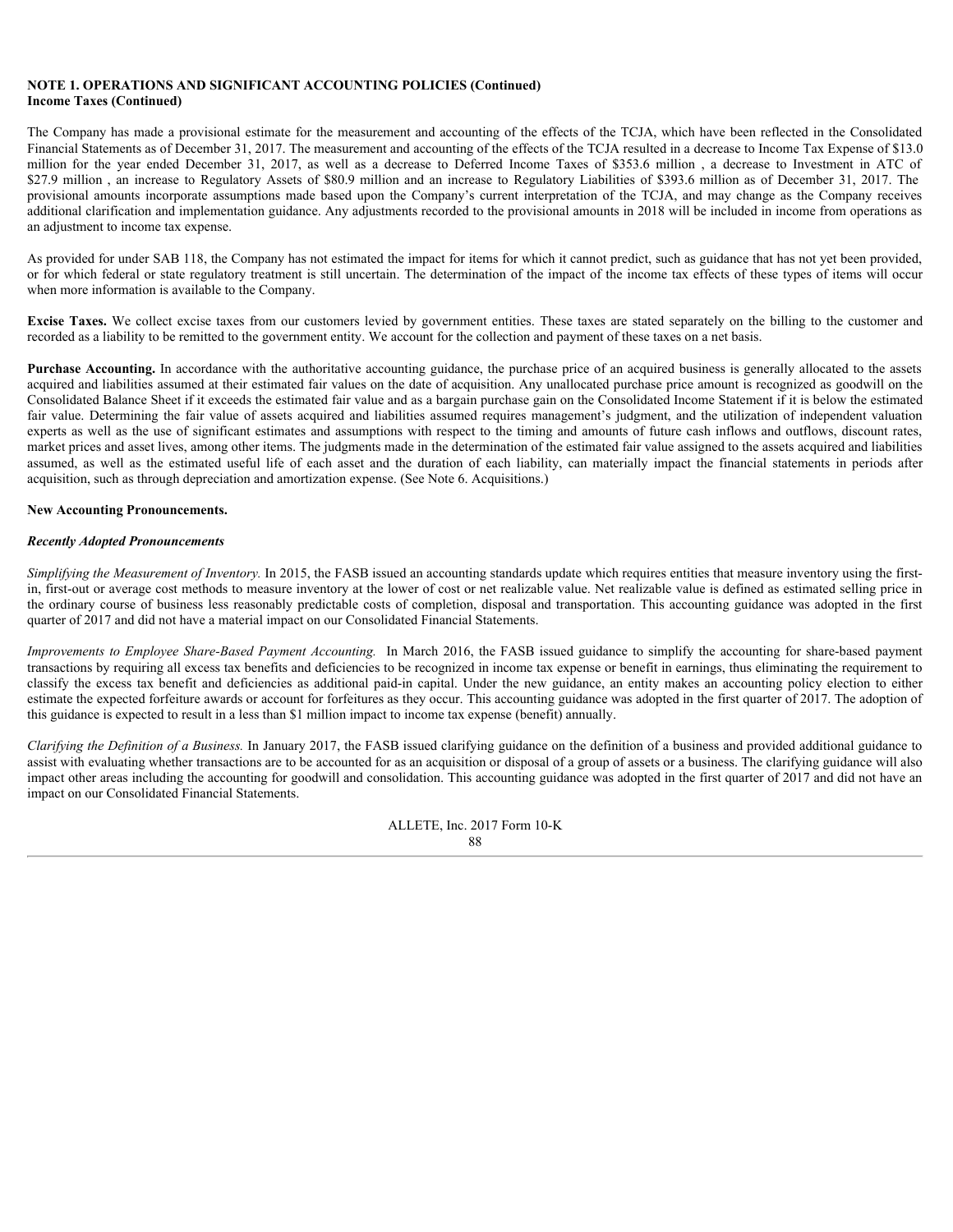#### **NOTE 1. OPERATIONS AND SIGNIFICANT ACCOUNTING POLICIES (Continued) Income Taxes (Continued)**

The Company has made a provisional estimate for the measurement and accounting of the effects of the TCJA, which have been reflected in the Consolidated Financial Statements as of December 31, 2017. The measurement and accounting of the effects of the TCJA resulted in a decrease to Income Tax Expense of \$13.0 NOTE 1. OPERATIONS AND SIGNIFICANT ACCOUNTING POLICIES (Continued)<br>Income Taxes (Continued)<br>The Company has made a provisional estimate for the measurement and accounting of the effects of the TCIA, which have been reflect NOTE 1. OPERATIONS AND SIGNIFICANT ACCOUNTING POLICIES (Continued)<br>Income Taxes (Continued)<br>The Company has made a provisional estimate for the measurement and accounting of the effects of the TCJA, which have been reflect **NOTE 1. OPERATIONS AND SIGNIFICANT ACCOUNTING POLICIES (Continued)**<br> **Income Taxes (Continued)**<br>
The Company has made a provisional estimate for the measurement and accounting of the effects of the TCJA, which have been r additional clarification and implementation guidance. Any adjustments recorded to the provisional amounts in 2018 will be included in income from operations as an adjustment to income tax expense. **EXCIVE 1. OPERATIONS AND SIGNIFICANT ACCOUNTING POLICIES (Continued)**<br>**Income Taxes (Continued)**<br>The company has made a provisional estimate for the measurement and accounting of the effects of the TCJA, which have been r

As provided for under SAB 118, the Company has not estimated the impact for items for which it cannot predict, such as guidance that has not yet been provided, or for which federal or state regulatory treatment is still uncertain. The determination of the impact of the income tax effects of these types of items will occur when more information is available to the Company.

recorded as a liability to be remitted to the government entity. We account for the collection and payment of these taxes on a net basis.

Purchase Accounting. In accordance with the authoritative accounting guidance, the purchase price of an acquired business is generally allocated to the assets acquired and liabilities assumed at their estimated fair values on the date of acquisition. Any unallocated purchase price amount is recognized as goodwill on the Consolidated Balance Sheet if it exceeds the estimated fair value and as a bargain purchase gain on the Consolidated Income Statement if it is below the estimated NOTE I. OPERATIONS AND SIGNIFICANT ACCOUNTING POLICIES (Continued)<br>Income Taxe (Continued)<br>The Company has made a provisional estimate for the measurement and accounting of the citeres of the TCAA which have been relieved experts as well as the use of significant estimates and assumptions with respect to the timing and amounts of future cash inflows and outflows, discount rates, market prices and asset lives, among other items. The judgments made in the determination of the estimated fair value assigned to the assets acquired and liabilities **AGTE LOFERATIONS AND SIGNIFICANT ACCOUNTING POLICIES (Continued)**<br>The Compary has made a provisional estimate for the measurement and accounting of the effects of the TCJA, which have been reflected in the Consolidated<br>Th acquisition, such as through depreciation and amortization expense. (See Note 6. Acquisitions.) S270 million. In hostest to Regulatory Assembly products and a latentation Regulatory Listinities of S39 billion as it is the reduction Billion in statistical paid-in capital paid-in the new guidance of the new guidance of

#### **New Accounting Pronouncements.**

#### *Recently Adopted Pronouncements*

*Simplifying the Measurement of Inventory.* In 2015, the FASB issued an accounting standards update which requires entities that measure inventory using the firstin, first-out or average cost methods to measure inventory at the lower of cost or net realizable value. Net realizable value is defined as estimated selling price in the ordinary course of business less reasonably predictable costs of completion, disposal and transportation. This accounting guidance was adopted in the first quarter of 2017 and did not have a material impact on our Consolidated Financial Statements.

*Improvements to Employee Share-Based Payment Accounting.* In March 2016, the FASB issued guidance to simplify the accounting for share-based payment transactions by requiring all excess tax benefits and deficiencies to be recognized in income tax expense or benefit in earnings, thus eliminating the requirement to estimate the expected forfeiture awards or account for forfeitures as they occur. This accounting guidance was adopted in the first quarter of 2017. The adoption of this guidance is expected to result in a less than \$1 million impact to income tax expense (benefit) annually.

*Clarifying the Definition of a Business.* In January 2017, the FASB issued clarifying guidance on the definition of a business and provided additional guidance to assist with evaluating whether transactions are to be accounted for as an acquisition or disposal of a group of assets or a business. The clarifying guidance will also impact other areas including the accounting for goodwill and consolidation. This accounting guidance was adopted in the first quarter of 2017 and did not have an impact on our Consolidated Financial Statements.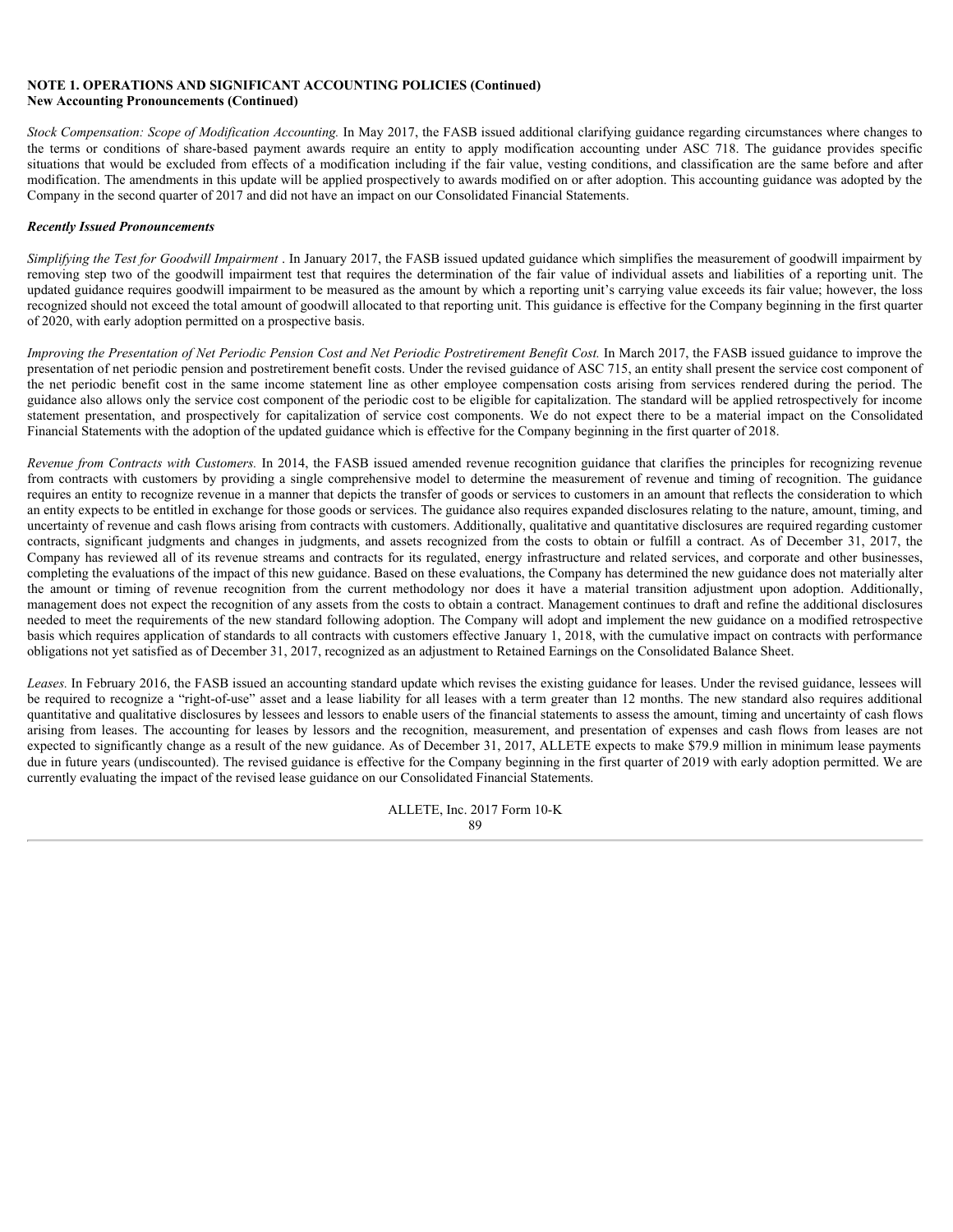#### **NOTE 1. OPERATIONS AND SIGNIFICANT ACCOUNTING POLICIES (Continued) New Accounting Pronouncements (Continued)**

*Stock Compensation: Scope of Modification Accounting.* In May 2017, the FASB issued additional clarifying guidance regarding circumstances where changes to **NOTE 1. OPERATIONS AND SIGNIFICANT ACCOUNTING POLICIES (Continued)**<br> **New Accounting Pronouncements (Continued)**<br> *Stock Compensation: Scope of Modification Accounting*. In May 2017, the FASB issued additional clarifying situations that would be excluded from effects of a modification including if the fair value, vesting conditions, and classification are the same before and after modification. The amendments in this update will be applied prospectively to awards modified on or after adoption. This accounting guidance was adopted by the Company in the second quarter of 2017 and did not have an impact on our Consolidated Financial Statements. **NOTE 1. OPERATIONS AND SIGNIFICANT ACCOUNTING POLICIES (Continued)**<br>Stock Compossions: Scope of Modification Accounting. In May 2017, the FASB issued additional clarifying guidance regarding circumstances where changes to

#### *Recently Issued Pronouncements*

*Simplifying the Test for Goodwill Impairment* . In January 2017, the FASB issued updated guidance which simplifies the measurement of goodwill impairment by updated guidance requires goodwill impairment to be measured as the amount by which a reporting unit's carrying value exceeds its fair value; however, the loss recognized should not exceed the total amount of goodwill allocated to that reporting unit. This guidance is effective for the Company beginning in the first quarter of 2020, with early adoption permitted on a prospective basis.

*Improving the Presentation of Net Periodic Pension Cost and Net Periodic Postretirement Benefit Cost.* In March 2017, the FASB issued guidance to improve the presentation of net periodic pension and postretirement benefit costs. Under the revised guidance of ASC 715, an entity shall present the service cost component of the net periodic benefit cost in the same income statement NOTE 1. OPERATIONS AND SIGNIFICANT ACCOUNTING POLICIES (Continued)<br>New Accounting Pronouncements (Continued)<br>New Accounting transmissions Septechand phonons accounting in May 2017, the FASI issued additional clarifying gui guidance also allows only the service cost component of the periodic cost to be eligible for capitalization. The standard will be applied retrospectively for income NOTE I. OPERATIONS AND SIGNIFICANT ACCOUNTING POLICIES (Continued)<br>New Accounting Pronouncements (Continued)<br>New Accounting Pronouncements (Continued)<br>New Accounting the state is described and provide continue in origin t Financial Statements with the adoption of the updated guidance which is effective for the Company beginning in the first quarter of 2018.

*Revenue from Contracts with Customers.* In 2014, the FASB issued amended revenue recognition guidance that clarifies the principles for recognizing revenue NOTE 1. OPERATIONS AND SIGNIPICANT ACCOUNTING POLICIES (Canitatual)<br>New Accounting Pronouncements (Continues)<br>New 2007, the FASB issued oldnical during a single comparison in the measurement of Comparison in the measureme requires an entity to recognize revenue in a manner that depicts the transfer of goods or services to customers in an amount that reflects the consideration to which an entity expects to be entitled in exchange for those goods or services. The guidance also requires expanded disclosures relating to the nature, amount, timing, and uncertainty of revenue and cash flows arising from contracts with customers. Additionally, qualitative and quantitative disclosures are required regarding customer NOTE 1. OPERATIONS AND SIGNIFICANT ACCOUNTING POLICIES (Continued)<br>New Accounting Pronouncements (Continued) Accounting in May 2017, the PASH issued individual deriving gradions regarding commutatives where demonstrates<br>fo Company has reviewed all of its revenue streams and contracts for its regulated, energy infrastructure and related services, and corporate and other businesses, completing the evaluations of the impact of this new guidance. Based on these evaluations, the Company has determined the new guidance does not materially alter the amount or timing of revenue recognition from the current NOTE LOPERATIONS AND SUCAUTE COUNTIRG POLICIES (Continued)<br>HOT ROVERATIONS AND SUCAUTE CANTER COUNTIES CONTROL TO THE VASILITY INTERFERENCE INTERFERENCE CONTINUES TO THE CONTROL TO THE COUNTIES OF CONTROL TO THE CONTROL TO management does not expect the recognition of any assets from the costs to obtain a contract. Management continues to draft and refine the additional disclosures needed to meet the requirements of the new standard following adoption. The Company will adopt and implement the new guidance on a modified retrospective basis which requires application of standards to all contracts with customers effective January 1, 2018, with the cumulative impact on contracts with performance obligations not yet satisfied as of December 31, 2017, recognized as an adjustment to Retained Earnings on the Consolidated Balance Sheet. Recently Asset Promonocratics) (measurement) (measurement) (measurement) (measurement) (measurement) (measurement) (measurement) (measurement) (measurement) (measurement) (measurement) (measurement) (measurement) (measurem

*Leases.* In February 2016, the FASB issued an accounting standard update which revises the existing guidance for leases. Under the revised guidance, lessees will be required to recognize a "right-of-use" asset and a lease liability for all leases with a term greater than 12 months. The new standard also requires additional quantitative and qualitative disclosures by lessees and lessors to enable users of the financial statements to assess the amount, timing and uncertainty of cash flows expected to significantly change as a result of the new guidance. As of December 31, 2017, ALLETE expects to make \$79.9 million in minimum lease payments due in future years (undiscounted). The revised guidance is effective for the Company beginning in the first quarter of 2019 with early adoption permitted. We are currently evaluating the impact of the revised lease guidance on our Consolidated Financial Statements.

ALLETE, Inc. 2017 Form 10-K

#### 89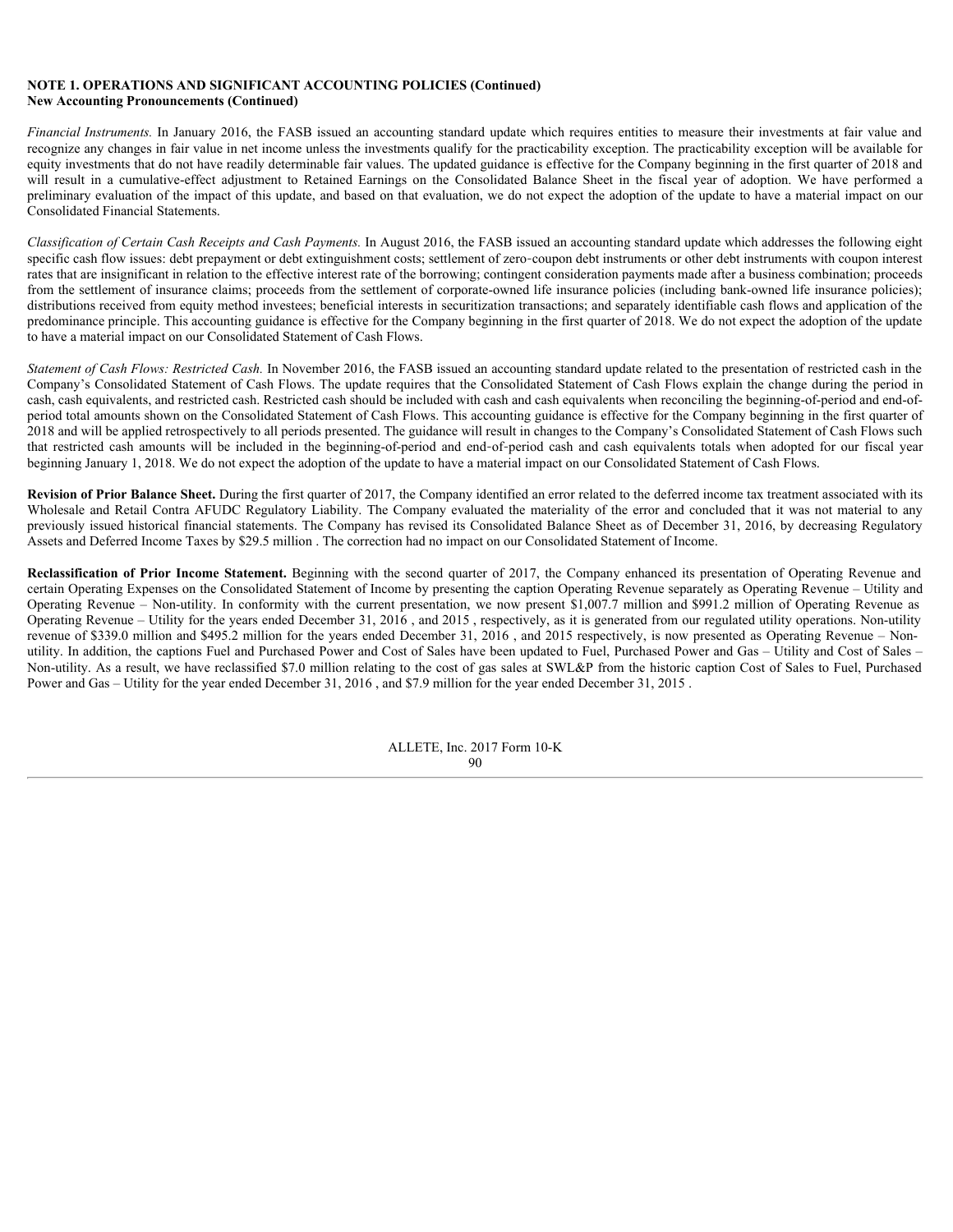#### **NOTE 1. OPERATIONS AND SIGNIFICANT ACCOUNTING POLICIES (Continued) New Accounting Pronouncements (Continued)**

*Financial Instruments.* In January 2016, the FASB issued an accounting standard update which requires entities to measure their investments at fair value and recognize any changes in fair value in net income unless the investments qualify for the practicability exception. The practicability exception will be available for equity investments that do not have readily determinable fair values. The updated guidance is effective for the Company beginning in the first quarter of 2018 and will result in a cumulative-effect adjustment to Retained E **NOTE 1. OPERATIONS AND SIGNIFICANT ACCOUNTING POLICIES (Continued)**<br>New Accounting Pronouncements (Continued)<br>Trancial Instruments. In January 2016, the FASB issued an accounting standard update which requires entities to preliminary evaluation of the impact of this update, and based on that evaluation, we do not expect the adoption of the update to have a material impact on our Consolidated Financial Statements.

*Classification of Certain Cash Receipts and Cash Payments.* In August 2016, the FASB issued an accounting standard update which addresses the following eight specific cash flow issues: debt prepayment or debt extinguishment costs; settlement of zero-coupon debt instruments or other debt instruments with coupon interest rates that are insignificant in relation to the effective interest rate of the borrowing; contingent consideration payments made after a business combination; proceeds from the settlement of insurance claims; proceeds from the settlement of corporate-owned life insurance policies (including bank-owned life insurance policies); distributions received from equity method investees; beneficial interests in securitization transactions; and separately identifiable cash flows and application of the predominance principle. This accounting guidance is effective for the Company beginning in the first quarter of 2018. We do not expect the adoption of the update to have a material impact on our Consolidated Statement of Cash Flows.

*Statement of Cash Flows: Restricted Cash.* In November 2016, the FASB issued an accounting standard update related to the presentation of restricted cash in the Company's Consolidated Statement of Cash Flows. The update requires that the Consolidated Statement of Cash Flows explain the change during the period in cash, cash equivalents, and restricted cash. Restricted cash should be included with cash and cash equivalents when reconciling the beginning-of-period and end-ofperiod total amounts shown on the Consolidated Statement of Cash Flows. This accounting guidance is effective for the Company beginning in the first quarter of 2018 and will be applied retrospectively to all periods presented. The guidance will result in changes to the Company's Consolidated Statement of Cash Flows such NOTE 1. OPERATIONS AND SIGNIFICANT ACCOUNTING POLICIES (Continued)<br>Few Accounting Pronouncements (Confluend)<br>Few Accounting transmissions in the interval of  $\beta$  for FoRS interd in accounting standed update which requires beginning January 1, 2018. We do not expect the adoption of the update to have a material impact on our Consolidated Statement of Cash Flows. NOTE 1. OPERATIONS AND SICNIFICANT ACCOUNTING POLICIES (Centineed)<br>News, recentring Pronumentents, the most contrast of the example standard update which requires centires in the reduction of the company recentring to the

**Revision of Prior Balance Sheet.** During the first quarter of 2017, the Company identified an error related to the deferred income tax treatment associated with its previously issued historical financial statements. The Company has revised its Consolidated Balance Sheet as of December 31, 2016, by decreasing Regulatory Assets and Deferred Income Taxes by \$29.5 million . The correction had no impact on our Consolidated Statement of Income.

**ROTE L. OPERATIONS AND SKONPECANT ACCOUNTERY (MCOUNTERY (metinnee)**<br>For accounting Prosence and Communication of Formation of the second product of the second proposition of the second and the second and the second statem certain Operating Expenses on the Consolidated Statement of Income by presenting the caption Operating Revenue separately as Operating Revenue – Utility and New Accounting Protons can function (For EXS) since an excepting smalled update with requires to the Party Protons In the current product of the current presentation, we now the current of the current of the current of th Operating Revenue – Utility for the years ended December 31, 2016 , and 2015 , respectively, as it is generated from our regulated utility operations. Non-utility revenue of \$339.0 million and \$495.2 million for the years ended December 31, 2016 , and 2015 respectively, is now presented as Operating Revenue – Nonutility. In addition, the captions Fuel and Purchased Power and Cost of Sales have been updated to Fuel, Purchased Power and Gas – Utility and Cost of Sales – Non-utility. As a result, we have reclassified \$7.0 million relating to the cost of gas sales at SWL&P from the historic caption Cost of Sales to Fuel, Purchased Power and Gas – Utility for the year ended December 31, 2016 , and \$7.9 million for the year ended December 31, 2015 .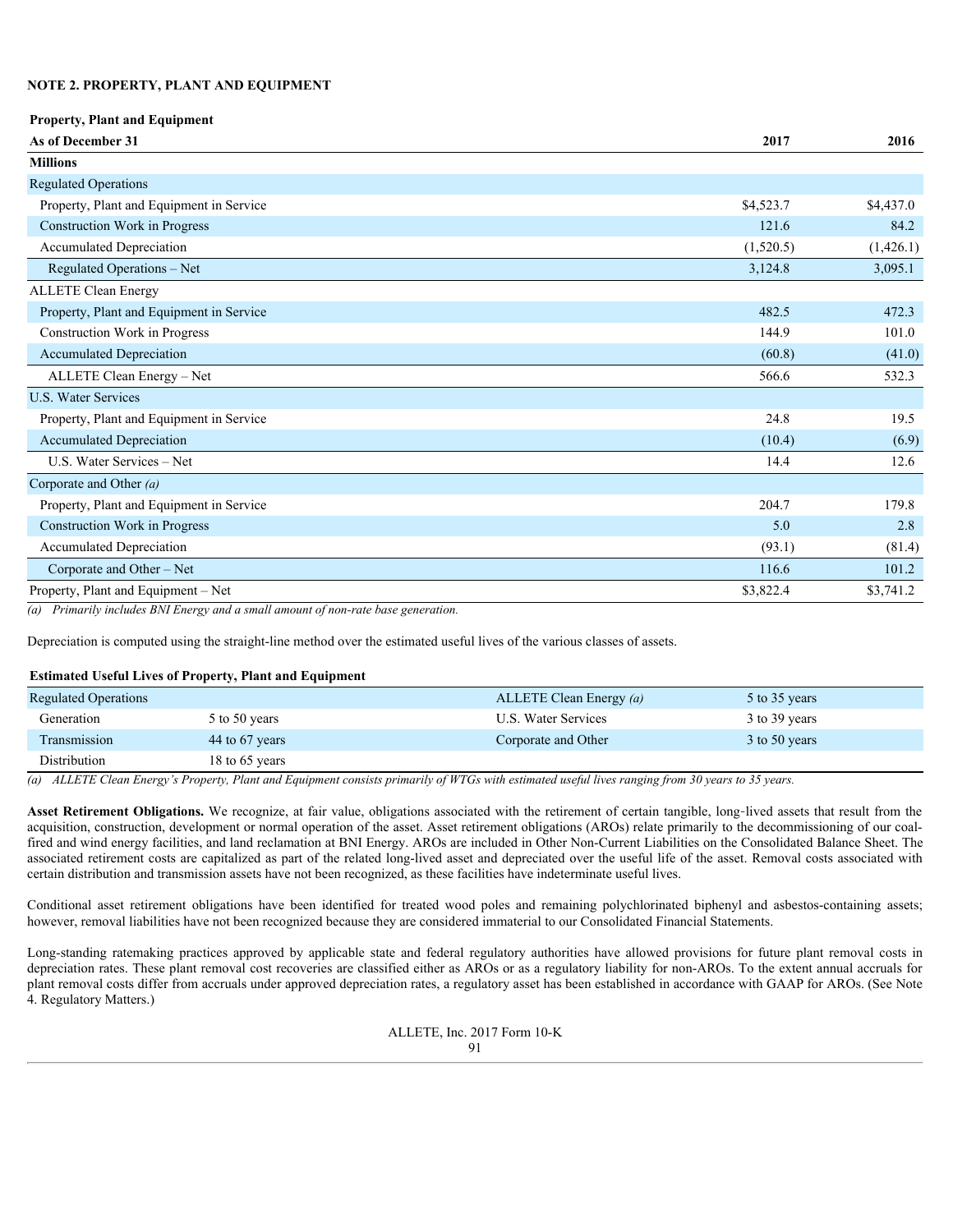#### **NOTE 2. PROPERTY, PLANT AND EQUIPMENT**

#### **Property, Plant and Equipment**

| As of December 31                        |                                                                                   |                                                                                                                                                                                                                                                                                                                                                                                                                                                                                                                                                                                                                                                                                                                                                                                                                                                                                                                                                                                                                                                                                                                                                                                                                                                                                                                                                                                                                                                                                                                                                                                                                                    | 2017          | 2016      |
|------------------------------------------|-----------------------------------------------------------------------------------|------------------------------------------------------------------------------------------------------------------------------------------------------------------------------------------------------------------------------------------------------------------------------------------------------------------------------------------------------------------------------------------------------------------------------------------------------------------------------------------------------------------------------------------------------------------------------------------------------------------------------------------------------------------------------------------------------------------------------------------------------------------------------------------------------------------------------------------------------------------------------------------------------------------------------------------------------------------------------------------------------------------------------------------------------------------------------------------------------------------------------------------------------------------------------------------------------------------------------------------------------------------------------------------------------------------------------------------------------------------------------------------------------------------------------------------------------------------------------------------------------------------------------------------------------------------------------------------------------------------------------------|---------------|-----------|
| <b>Millions</b>                          |                                                                                   |                                                                                                                                                                                                                                                                                                                                                                                                                                                                                                                                                                                                                                                                                                                                                                                                                                                                                                                                                                                                                                                                                                                                                                                                                                                                                                                                                                                                                                                                                                                                                                                                                                    |               |           |
| <b>Regulated Operations</b>              |                                                                                   |                                                                                                                                                                                                                                                                                                                                                                                                                                                                                                                                                                                                                                                                                                                                                                                                                                                                                                                                                                                                                                                                                                                                                                                                                                                                                                                                                                                                                                                                                                                                                                                                                                    |               |           |
| Property, Plant and Equipment in Service |                                                                                   |                                                                                                                                                                                                                                                                                                                                                                                                                                                                                                                                                                                                                                                                                                                                                                                                                                                                                                                                                                                                                                                                                                                                                                                                                                                                                                                                                                                                                                                                                                                                                                                                                                    | \$4,523.7     | \$4,437.0 |
| <b>Construction Work in Progress</b>     |                                                                                   |                                                                                                                                                                                                                                                                                                                                                                                                                                                                                                                                                                                                                                                                                                                                                                                                                                                                                                                                                                                                                                                                                                                                                                                                                                                                                                                                                                                                                                                                                                                                                                                                                                    | 121.6         | 84.2      |
| <b>Accumulated Depreciation</b>          |                                                                                   |                                                                                                                                                                                                                                                                                                                                                                                                                                                                                                                                                                                                                                                                                                                                                                                                                                                                                                                                                                                                                                                                                                                                                                                                                                                                                                                                                                                                                                                                                                                                                                                                                                    | (1,520.5)     | (1,426.1) |
| Regulated Operations - Net               |                                                                                   |                                                                                                                                                                                                                                                                                                                                                                                                                                                                                                                                                                                                                                                                                                                                                                                                                                                                                                                                                                                                                                                                                                                                                                                                                                                                                                                                                                                                                                                                                                                                                                                                                                    | 3,124.8       | 3,095.1   |
| <b>ALLETE</b> Clean Energy               |                                                                                   |                                                                                                                                                                                                                                                                                                                                                                                                                                                                                                                                                                                                                                                                                                                                                                                                                                                                                                                                                                                                                                                                                                                                                                                                                                                                                                                                                                                                                                                                                                                                                                                                                                    |               |           |
| Property, Plant and Equipment in Service |                                                                                   |                                                                                                                                                                                                                                                                                                                                                                                                                                                                                                                                                                                                                                                                                                                                                                                                                                                                                                                                                                                                                                                                                                                                                                                                                                                                                                                                                                                                                                                                                                                                                                                                                                    | 482.5         | 472.3     |
| Construction Work in Progress            |                                                                                   |                                                                                                                                                                                                                                                                                                                                                                                                                                                                                                                                                                                                                                                                                                                                                                                                                                                                                                                                                                                                                                                                                                                                                                                                                                                                                                                                                                                                                                                                                                                                                                                                                                    | 144.9         | 101.0     |
| <b>Accumulated Depreciation</b>          |                                                                                   |                                                                                                                                                                                                                                                                                                                                                                                                                                                                                                                                                                                                                                                                                                                                                                                                                                                                                                                                                                                                                                                                                                                                                                                                                                                                                                                                                                                                                                                                                                                                                                                                                                    | (60.8)        | (41.0)    |
| ALLETE Clean Energy - Net                |                                                                                   |                                                                                                                                                                                                                                                                                                                                                                                                                                                                                                                                                                                                                                                                                                                                                                                                                                                                                                                                                                                                                                                                                                                                                                                                                                                                                                                                                                                                                                                                                                                                                                                                                                    | 566.6         | 532.3     |
| <b>U.S. Water Services</b>               |                                                                                   |                                                                                                                                                                                                                                                                                                                                                                                                                                                                                                                                                                                                                                                                                                                                                                                                                                                                                                                                                                                                                                                                                                                                                                                                                                                                                                                                                                                                                                                                                                                                                                                                                                    |               |           |
| Property, Plant and Equipment in Service |                                                                                   |                                                                                                                                                                                                                                                                                                                                                                                                                                                                                                                                                                                                                                                                                                                                                                                                                                                                                                                                                                                                                                                                                                                                                                                                                                                                                                                                                                                                                                                                                                                                                                                                                                    | 24.8          | 19.5      |
| <b>Accumulated Depreciation</b>          |                                                                                   |                                                                                                                                                                                                                                                                                                                                                                                                                                                                                                                                                                                                                                                                                                                                                                                                                                                                                                                                                                                                                                                                                                                                                                                                                                                                                                                                                                                                                                                                                                                                                                                                                                    | (10.4)        | (6.9)     |
| U.S. Water Services - Net                |                                                                                   |                                                                                                                                                                                                                                                                                                                                                                                                                                                                                                                                                                                                                                                                                                                                                                                                                                                                                                                                                                                                                                                                                                                                                                                                                                                                                                                                                                                                                                                                                                                                                                                                                                    | 14.4          | 12.6      |
| Corporate and Other $(a)$                |                                                                                   |                                                                                                                                                                                                                                                                                                                                                                                                                                                                                                                                                                                                                                                                                                                                                                                                                                                                                                                                                                                                                                                                                                                                                                                                                                                                                                                                                                                                                                                                                                                                                                                                                                    |               |           |
| Property, Plant and Equipment in Service |                                                                                   |                                                                                                                                                                                                                                                                                                                                                                                                                                                                                                                                                                                                                                                                                                                                                                                                                                                                                                                                                                                                                                                                                                                                                                                                                                                                                                                                                                                                                                                                                                                                                                                                                                    | 204.7         | 179.8     |
| <b>Construction Work in Progress</b>     |                                                                                   |                                                                                                                                                                                                                                                                                                                                                                                                                                                                                                                                                                                                                                                                                                                                                                                                                                                                                                                                                                                                                                                                                                                                                                                                                                                                                                                                                                                                                                                                                                                                                                                                                                    | 5.0           | 2.8       |
| <b>Accumulated Depreciation</b>          |                                                                                   |                                                                                                                                                                                                                                                                                                                                                                                                                                                                                                                                                                                                                                                                                                                                                                                                                                                                                                                                                                                                                                                                                                                                                                                                                                                                                                                                                                                                                                                                                                                                                                                                                                    | (93.1)        | (81.4)    |
| Corporate and Other - Net                |                                                                                   |                                                                                                                                                                                                                                                                                                                                                                                                                                                                                                                                                                                                                                                                                                                                                                                                                                                                                                                                                                                                                                                                                                                                                                                                                                                                                                                                                                                                                                                                                                                                                                                                                                    | 116.6         | 101.2     |
|                                          |                                                                                   |                                                                                                                                                                                                                                                                                                                                                                                                                                                                                                                                                                                                                                                                                                                                                                                                                                                                                                                                                                                                                                                                                                                                                                                                                                                                                                                                                                                                                                                                                                                                                                                                                                    |               |           |
| Property, Plant and Equipment - Net      | (a) Primarily includes BNI Energy and a small amount of non-rate base generation. |                                                                                                                                                                                                                                                                                                                                                                                                                                                                                                                                                                                                                                                                                                                                                                                                                                                                                                                                                                                                                                                                                                                                                                                                                                                                                                                                                                                                                                                                                                                                                                                                                                    | \$3,822.4     | \$3,741.2 |
|                                          | <b>Estimated Useful Lives of Property, Plant and Equipment</b>                    | Depreciation is computed using the straight-line method over the estimated useful lives of the various classes of assets.                                                                                                                                                                                                                                                                                                                                                                                                                                                                                                                                                                                                                                                                                                                                                                                                                                                                                                                                                                                                                                                                                                                                                                                                                                                                                                                                                                                                                                                                                                          |               |           |
| <b>Regulated Operations</b>              |                                                                                   | ALLETE Clean Energy (a)                                                                                                                                                                                                                                                                                                                                                                                                                                                                                                                                                                                                                                                                                                                                                                                                                                                                                                                                                                                                                                                                                                                                                                                                                                                                                                                                                                                                                                                                                                                                                                                                            | 5 to 35 years |           |
| Generation                               | 5 to 50 years                                                                     | U.S. Water Services                                                                                                                                                                                                                                                                                                                                                                                                                                                                                                                                                                                                                                                                                                                                                                                                                                                                                                                                                                                                                                                                                                                                                                                                                                                                                                                                                                                                                                                                                                                                                                                                                | 3 to 39 years |           |
| Transmission                             | 44 to 67 years                                                                    | Corporate and Other                                                                                                                                                                                                                                                                                                                                                                                                                                                                                                                                                                                                                                                                                                                                                                                                                                                                                                                                                                                                                                                                                                                                                                                                                                                                                                                                                                                                                                                                                                                                                                                                                | 3 to 50 years |           |
| Distribution                             | 18 to 65 years                                                                    | (a) ALLETE Clean Energy's Property, Plant and Equipment consists primarily of WTGs with estimated useful lives ranging from 30 years to 35 years.                                                                                                                                                                                                                                                                                                                                                                                                                                                                                                                                                                                                                                                                                                                                                                                                                                                                                                                                                                                                                                                                                                                                                                                                                                                                                                                                                                                                                                                                                  |               |           |
| 4. Regulatory Matters.)                  |                                                                                   | Asset Retirement Obligations. We recognize, at fair value, obligations associated with the retirement of certain tangible, long-lived assets that result from the<br>acquisition, construction, development or normal operation of the asset. Asset retirement obligations (AROs) relate primarily to the decommissioning of our coal-<br>fired and wind energy facilities, and land reclamation at BNI Energy. AROs are included in Other Non-Current Liabilities on the Consolidated Balance Sheet. The<br>associated retirement costs are capitalized as part of the related long-lived asset and depreciated over the useful life of the asset. Removal costs associated with<br>certain distribution and transmission assets have not been recognized, as these facilities have indeterminate useful lives.<br>Conditional asset retirement obligations have been identified for treated wood poles and remaining polychlorinated biphenyl and asbestos-containing assets;<br>however, removal liabilities have not been recognized because they are considered immaterial to our Consolidated Financial Statements.<br>Long-standing ratemaking practices approved by applicable state and federal regulatory authorities have allowed provisions for future plant removal costs in<br>depreciation rates. These plant removal cost recoveries are classified either as AROs or as a regulatory liability for non-AROs. To the extent annual accruals for<br>plant removal costs differ from accruals under approved depreciation rates, a regulatory asset has been established in accordance with GAAP for AROs. (See Note |               |           |
|                                          |                                                                                   | ALLETE, Inc. 2017 Form 10-K<br>91                                                                                                                                                                                                                                                                                                                                                                                                                                                                                                                                                                                                                                                                                                                                                                                                                                                                                                                                                                                                                                                                                                                                                                                                                                                                                                                                                                                                                                                                                                                                                                                                  |               |           |

#### **Estimated Useful Lives of Property, Plant and Equipment**

| <b>Regulated Operations</b> |                | ALLETE Clean Energy $(a)$ | 5 to 35 years   |
|-----------------------------|----------------|---------------------------|-----------------|
| Generation                  | 5 to 50 years  | U.S. Water Services       | $3$ to 39 years |
| Transmission                | 44 to 67 years | Corporate and Other       | 3 to 50 years   |
| Distribution                | 18 to 65 years |                           |                 |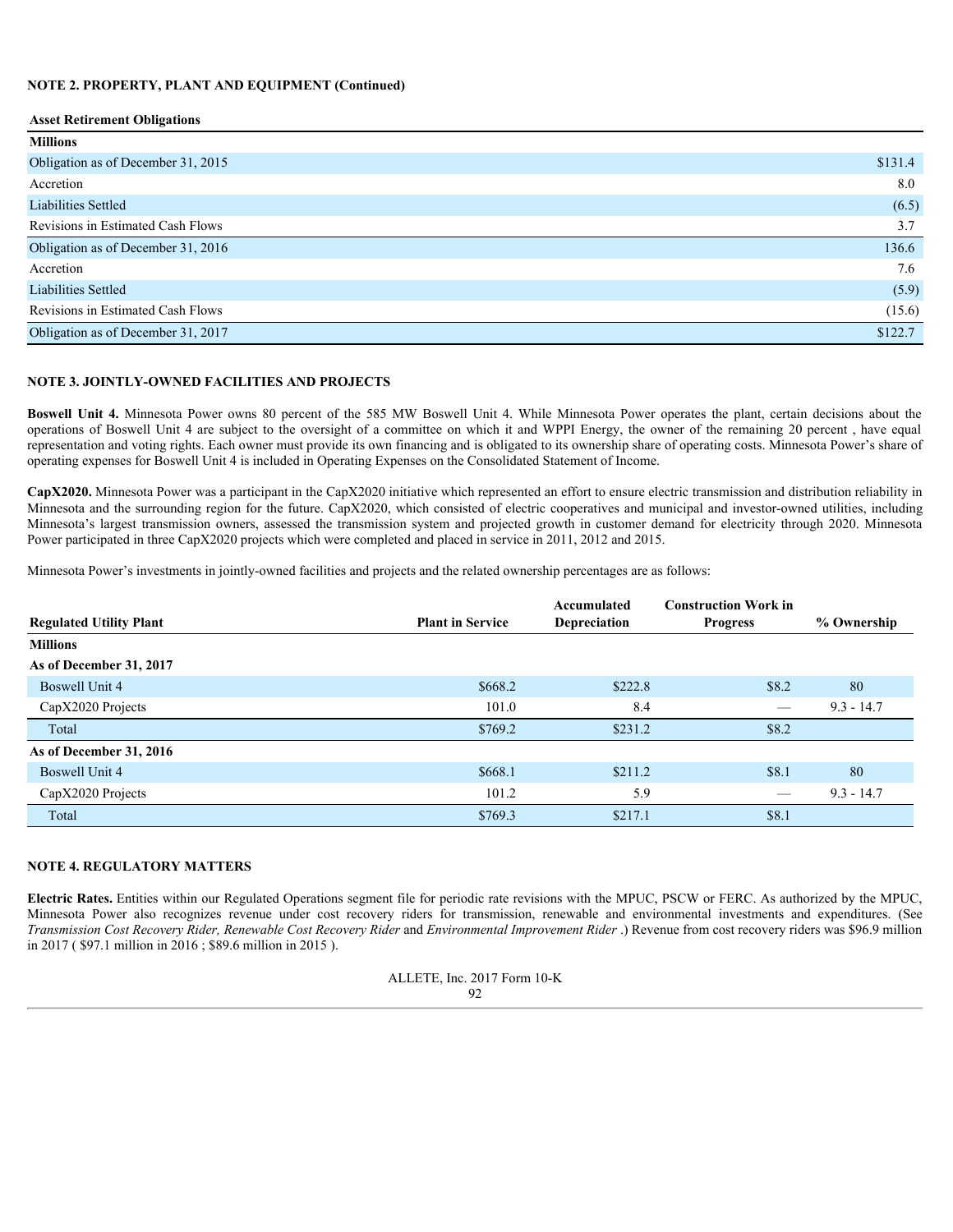#### **NOTE 2. PROPERTY, PLANT AND EQUIPMENT (Continued)**

# **Asset Retirement Obligations Millions** Obligation as of December 31, 2015 \$131.4 Accretion 8.0 Liabilities Settled (6.5) Revisions in Estimated Cash Flows 3.7 Obligation as of December 31, 2016 136.6 Accretion 2.6 Liabilities Settled (5.9) Revisions in Estimated Cash Flows (15.6) Obligation as of December 31, 2017 \$122.7 **Bost 2. PROPERTY, PLANT AND EQUIPMENT (Continued)**<br> **Bost Recivement Obligations**<br> **Bost Recivement of the 585 MW Boswell Unit 4. While Minnesota Power operates the flux of the 585 MW Boswell Unit 4. While Minnesota Powe SOTE 2. PROPERTY, PLANT AND EQUIPMENT (Continued)**<br> **Asset Retirement Obligations**<br> **SECONDIZION** SECOND SECOND CONSULTERS AND **PROJECTS**<br> **Accretion**<br> **Accretion**<br> **Accretion**<br> **Accretion**<br> **Accretions of December 31, 2** MOTE 2. PROPERTY, PLANT AND EQUIPMENT (Continued)<br>
Minima (Solingtown as of December 31, 2015<br>
According<br>
Minima (Solingtown or Freember 31, 2016<br>
According in Etianged Codi Floris<br>
According in Continues (Soling Floris 1

#### **NOTE 3. JOINTLY-OWNED FACILITIES AND PROJECTS**

| Boswell Unit 4. Minnesota Power owns 80 percent of the 585 MW Boswell Unit 4. While Minnesota Power operates the plant, certain decisions about the<br>operations of Boswell Unit 4 are subject to the oversight of a committee on which it and WPPI Energy, the owner of the remaining 20 percent, have equal<br>representation and voting rights. Each owner must provide its own financing and is obligated to its ownership share of operating costs. Minnesota Power's share of<br>operating expenses for Boswell Unit 4 is included in Operating Expenses on the Consolidated Statement of Income.             |                                   |                                    |                                                |              |
|----------------------------------------------------------------------------------------------------------------------------------------------------------------------------------------------------------------------------------------------------------------------------------------------------------------------------------------------------------------------------------------------------------------------------------------------------------------------------------------------------------------------------------------------------------------------------------------------------------------------|-----------------------------------|------------------------------------|------------------------------------------------|--------------|
| CapX2020. Minnesota Power was a participant in the CapX2020 initiative which represented an effort to ensure electric transmission and distribution reliability in<br>Minnesota and the surrounding region for the future. CapX2020, which consisted of electric cooperatives and municipal and investor-owned utilities, including<br>Minnesota's largest transmission owners, assessed the transmission system and projected growth in customer demand for electricity through 2020. Minnesota<br>Power participated in three CapX2020 projects which were completed and placed in service in 2011, 2012 and 2015. |                                   |                                    |                                                |              |
| Minnesota Power's investments in jointly-owned facilities and projects and the related ownership percentages are as follows:                                                                                                                                                                                                                                                                                                                                                                                                                                                                                         |                                   |                                    |                                                |              |
| <b>Regulated Utility Plant</b>                                                                                                                                                                                                                                                                                                                                                                                                                                                                                                                                                                                       | <b>Plant in Service</b>           | Accumulated<br><b>Depreciation</b> | <b>Construction Work in</b><br><b>Progress</b> | % Ownership  |
| <b>Millions</b>                                                                                                                                                                                                                                                                                                                                                                                                                                                                                                                                                                                                      |                                   |                                    |                                                |              |
| As of December 31, 2017                                                                                                                                                                                                                                                                                                                                                                                                                                                                                                                                                                                              |                                   |                                    |                                                |              |
| Boswell Unit 4                                                                                                                                                                                                                                                                                                                                                                                                                                                                                                                                                                                                       | \$668.2                           | \$222.8                            | \$8.2                                          | 80           |
| CapX2020 Projects                                                                                                                                                                                                                                                                                                                                                                                                                                                                                                                                                                                                    | 101.0                             | 8.4                                | $\overline{\phantom{m}}$                       | $9.3 - 14.7$ |
| Total                                                                                                                                                                                                                                                                                                                                                                                                                                                                                                                                                                                                                | \$769.2                           | \$231.2                            | \$8.2                                          |              |
| As of December 31, 2016                                                                                                                                                                                                                                                                                                                                                                                                                                                                                                                                                                                              |                                   |                                    |                                                |              |
| Boswell Unit 4                                                                                                                                                                                                                                                                                                                                                                                                                                                                                                                                                                                                       | \$668.1                           | \$211.2                            | \$8.1                                          | 80           |
| CapX2020 Projects                                                                                                                                                                                                                                                                                                                                                                                                                                                                                                                                                                                                    | 101.2                             | 5.9                                | $\equiv$                                       | $9.3 - 14.7$ |
| Total                                                                                                                                                                                                                                                                                                                                                                                                                                                                                                                                                                                                                | \$769.3                           | \$217.1                            | \$8.1                                          |              |
| <b>NOTE 4. REGULATORY MATTERS</b><br>Electric Rates. Entities within our Regulated Operations segment file for periodic rate revisions with the MPUC, PSCW or FERC. As authorized by the MPUC,<br>Minnesota Power also recognizes revenue under cost recovery riders for transmission, renewable and environmental investments and expenditures. (See<br>Transmission Cost Recovery Rider, Renewable Cost Recovery Rider and Environmental Improvement Rider.) Revenue from cost recovery riders was \$96.9 million<br>in 2017 (\$97.1 million in 2016; \$89.6 million in 2015).                                     |                                   |                                    |                                                |              |
|                                                                                                                                                                                                                                                                                                                                                                                                                                                                                                                                                                                                                      |                                   |                                    |                                                |              |
|                                                                                                                                                                                                                                                                                                                                                                                                                                                                                                                                                                                                                      | ALLETE, Inc. 2017 Form 10-K<br>92 |                                    |                                                |              |
|                                                                                                                                                                                                                                                                                                                                                                                                                                                                                                                                                                                                                      |                                   |                                    |                                                |              |
|                                                                                                                                                                                                                                                                                                                                                                                                                                                                                                                                                                                                                      |                                   |                                    |                                                |              |

#### **NOTE 4. REGULATORY MATTERS**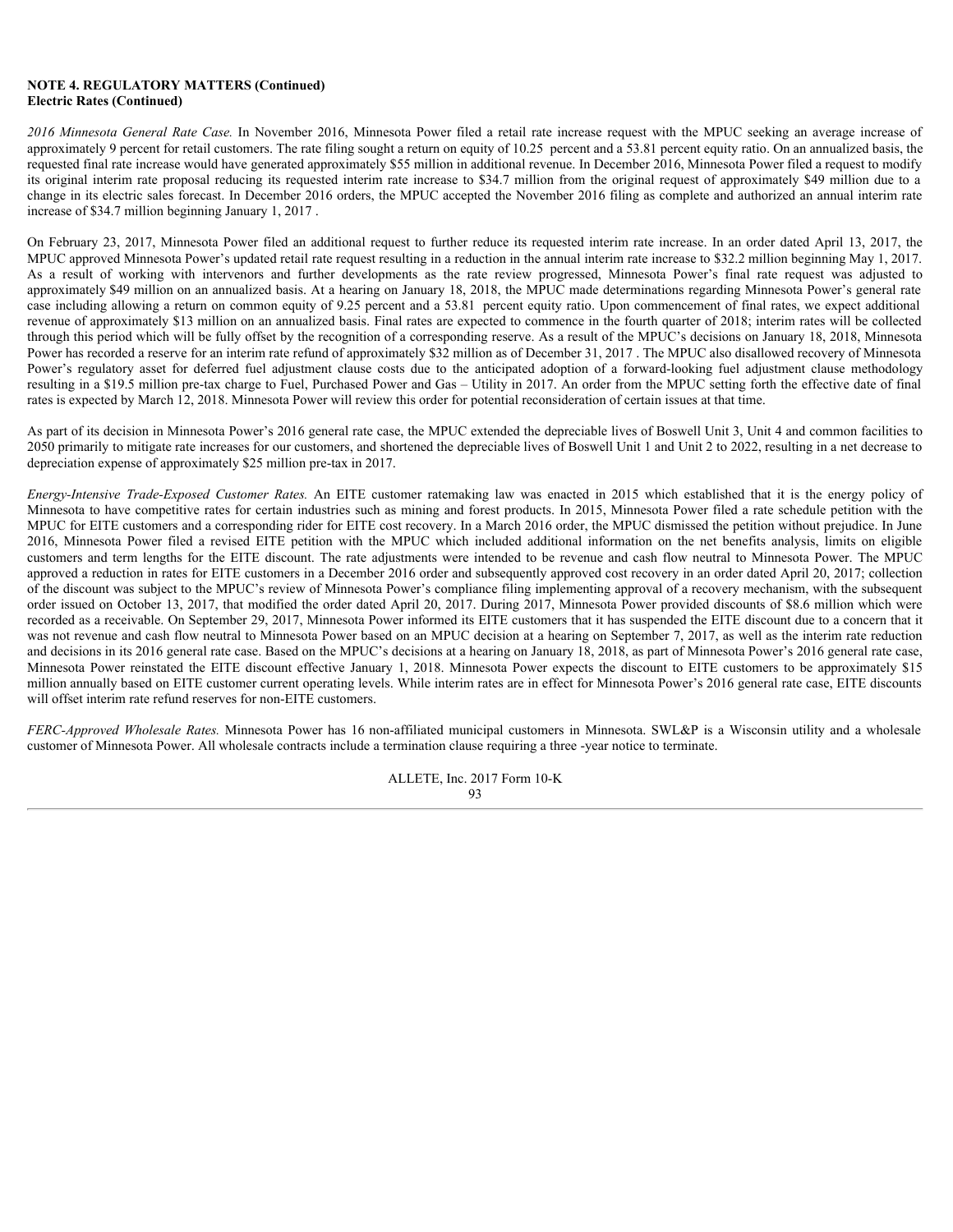#### **NOTE 4. REGULATORY MATTERS (Continued) Electric Rates (Continued)**

**2016 Ainmetical Minnesota General Rate Case.** In November 2016, Minnesota Power filed a retail rate increase request with the MPUC seeking an average increase of approximately 9 percent for retail customers. The rate fili approximately 9 percent for retail customers. The rate filing sought a return on equity of 10.25 percent and a 53.81 percent equity ratio. On an annualized basis, the requested final rate increase would have generated approximately \$55 million in additional revenue. In December 2016, Minnesota Power filed a request to modify **Electric Rates (Continued)**<br> **Electric Rates (Continued)**<br> **Electric Rates (Continued)**<br> **Electric Rates (Continued)**<br> **Electric Rates (Continued)**<br> **Equested Innerises** requested approximately \$55 million in additional r change in its electric sales forecast. In December 2016 orders, the MPUC accepted the November 2016 filing as complete and authorized an annual interim rate increase of \$34.7 million beginning January 1, 2017 .

On February 23, 2017, Minnesota Power filed an additional request to further reduce its requested interim rate increase. In an order dated April 13, 2017, the MPUC approved Minnesota Power's updated retail rate request resulting in a reduction in the annual interim rate increase to \$32.2 million beginning May 1, 2017. **NOTE 4. REGULATORY MATTERS (Continued)**<br>
Electric Rates (Continued)<br> **Electric Rates (Continued)**<br> **Electric Rates (Scotting Case.** In November 2016, Minnesota Power filed a retail rate increase requests with the MPUC se approximately \$49 million on an annualized basis. At a hearing on January 18, 2018, the MPUC made determinations regarding Minnesota Power's general rate case including allowing a return on common equity of 9.25 percent and a 53.81 percent equity ratio. Upon commencement of final rates, we expect additional revenue of approximately \$13 million on an annualized basis. Final rates are expected to commence in the fourth quarter of 2018; interim rates will be collected through this period which will be fully offset by the recognition of a corresponding reserve. As a result of the MPUC's decisions on January 18, 2018, Minnesota Power has recorded a reserve for an interim rate refund of approximately \$32 million as of December 31, 2017 . The MPUC also disallowed recovery of Minnesota **NOTE 4. REGULATORY MATTERS (Continued)**<br> *Restrict Rate (Continued)*<br> *Restrict Rate (Continued)*<br> *Power for detains and the methodologys by preceding the state filing sought a return on equity of 0.23 percent and 5.33* resulting in a \$19.5 million pre-tax charge to Fuel, Purchased Power and Gas – Utility in 2017. An order from the MPUC setting forth the effective date of final rates is expected by March 12, 2018. Minnesota Power will review this order for potential reconsideration of certain issues at that time. **ENERT A REGULA TORY MATTERS (Centinued)**<br>
Energy-International and Case in Receivers 2016, Minneson Power Fital a ruled internation rate as NH (Consider Customer Rates)<br>
2014 Minneson Case and Exposed Customer Rates. The

As part of its decision in Minnesota Power's 2016 general rate case, the MPUC extended the depreciable lives of Boswell Unit 3, Unit 4 and common facilities to 2050 primarily to mitigate rate increases for our customers, and shortened the depreciable lives of Boswell Unit 1 and Unit 2 to 2022, resulting in a net decrease to depreciation expense of approximately \$25 million pre-tax in 2017.

Minnesota to have competitive rates for certain industries such as mining and forest products. In 2015, Minnesota Power filed a rate schedule petition with the MPUC for EITE customers and a corresponding rider for EITE cost recovery. In a March 2016 order, the MPUC dismissed the petition without prejudice. In June NOTE 4. HEGULATION YANTTERS (Continued)<br>
2016 Monetods fraction of Decembent 2016, Minnesota Power filed a relative increase respect with the MPLC webing in average respect of<br>
a regimentation by percent for each constrai NOTE 4, REGULATORY MATTERS Continued)<br>Direct Return Continues (Decret Returns). The rate for the EITE discount of the Continues are the rate and the rate of the Continues of Continues and the Continues from the Continues f approved a reduction in rates for EITE customers in a December 2016 order and subsequently approved cost recovery in an order dated April 20, 2017; collection of the discount was subject to the MPUC's review of Minnesota Power's compliance filing implementing approval of a recovery mechanism, with the subsequent order issued on October 13, 2017, that modified the order dated April 20, 2017. During 2017, Minnesota Power provided discounts of \$8.6 million which were recorded as a receivable. On September 29, 2017, Minnesota Power informed its EITE customers that it has suspended the EITE discount due to a concern that it was not revenue and cash flow neutral to Minnesota Power based on an MPUC decision at a hearing on September 7, 2017, as well as the interim rate reduction and decisions in its 2016 general rate case. Based on the MPUC's decisions at a hearing on January 18, 2018, as part of Minnesota Power's 2016 general rate case, Minnesota Power reinstated the EITE discount effective Janua Request final minimizers and the effective proposition of SS anti-mate means to the EITE discount of the EITE discount of the EITE discount of the EITE discount of the EITE discount of the EITE discount of Alian Contents o million annually based on EITE customer current operating levels. While interim rates are in effect for Minnesota Power's 2016 general rate case, EITE discounts will offset interim rate refund reserves for non-EITE customers. FIFT Contents and three Rates. The municipal customers in the content of the content of the Component Content Content (NHC (space of NET Content (NHC (space of NET Content in the proof of the Content in Section 10 to the M

customer of Minnesota Power. All wholesale contracts include a termination clause requiring a three -year notice to terminate.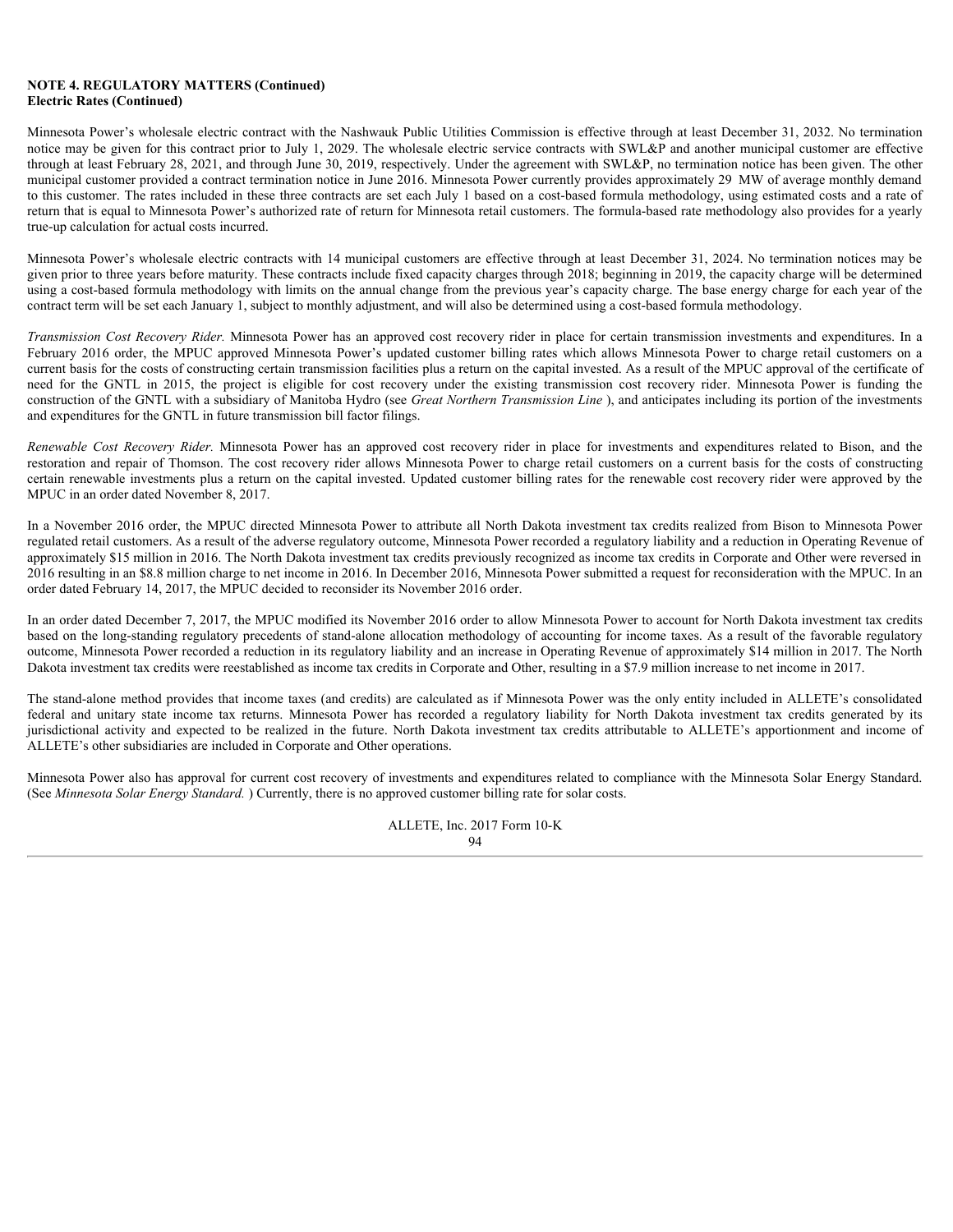#### **NOTE 4. REGULATORY MATTERS (Continued) Electric Rates (Continued)**

Minnesota Power's wholesale electric contract with the Nashwauk Public Utilities Commission is effective through at least December 31, 2032. No termination notice may be given for this contract prior to July 1, 2029. The wholesale electric service contracts with SWL&P and another municipal customer are effective through at least February 28, 2021, and through June 30, 2019, respectively. Under the agreement with SWL&P, no termination notice has been given. The other municipal customer provided a contract termination notice in June 2016. Minnesota Power currently provides approximately 29 MW of average monthly demand to this customer. The rates included in these three contracts are set each July 1 based on a cost-based formula methodology, using estimated costs and a rate of return that is equal to Minnesota Power's authorized rate of return for Minnesota retail customers. The formula-based rate methodology also provides for a yearly true-up calculation for actual costs incurred. **EXCULATORY MATTERS (Continued)**<br> **EXERCIBLATORY MATTERS (Continued)**<br> **EXERCIBLATORY SURGENCE CONTEXT (SURGENT CONTEXT)**, 1,2029. The which<br>sail of Minnesota Power's wholesale electric contine which points (Valid Continue NOTE 4. REGULATORY MATTERS (Continued)<br>
Electric Rates (Continued)<br>
Electric Rates (Continued)<br>
Minneavia Power's wholesale electric contract with the Nashwadk Public Utilities Commission is ellective through at least Dec **ROTE 4. REGULATORY MATTERS (Costinued)**<br>**Relative factors (Costinued)**<br>**Relative factors wholestic clusters with the Nelsonalc Public Ultilities Cosmutistion is effective drough at least December 21, 2022. No termination** 

Minnesota Power's wholesale electric contracts with 14 municipal customers are effective through at least December 31, 2024. No termination notices may be given prior to three years before maturity. These contracts include fixed capacity charges through 2018; beginning in 2019, the capacity charge will be determined using a cost-based formula methodology with limits on the annual change from the previous year's capacity charge. The base energy charge for each year of the contract term will be set each January 1, subject to monthly adjustment, and will also be determined using a cost-based formula methodology.

*Transmission Cost Recovery Rider.* Minnesota Power has an approved cost recovery rider in place for certain transmission investments and expenditures. In a current basis for the costs of constructing certain transmission facilities plus a return on the capital invested. As a result of the MPUC approval of the certificate of need for the GNTL in 2015, the project is eligible f construction of the GNTL with a subsidiary of Manitoba Hydro (see *Great Northern Transmission Line* ), and anticipates including its portion of the investments and expenditures for the GNTL in future transmission bill factor filings. return that executive the state is entirely income the two means of the state income tax regulator in the state income of the state income of the state income of the state income of the state income the state income the st jurismics of realistic increase to the control of the realistic intention in the future of the property is a property and the future of the future of the future of the future of the future of the future of the future of th

restoration and repair of Thomson. The cost recovery rider allows Minnesota Power to charge retail customers on a current basis for the costs of constructing certain renewable investments plus a return on the capital invested. Updated customer billing rates for the renewable cost recovery rider were approved by the MPUC in an order dated November 8, 2017.

In a November 2016 order, the MPUC directed Minnesota Power to attribute all North Dakota investment tax credits realized from Bison to Minnesota Power regulated retail customers. As a result of the adverse regulatory outcome, Minnesota Power recorded a regulatory liability and a reduction in Operating Revenue of approximately \$15 million in 2016. The North Dakota investment tax credits previously recognized as income tax credits in Corporate and Other were reversed in 2016 resulting in an \$8.8 million charge to net income in 2016. In December 2016, Minnesota Power submitted a request for reconsideration with the MPUC. In an order dated February 14, 2017, the MPUC decided to reconsider its November 2016 order.

In an order dated December 7, 2017, the MPUC modified its November 2016 order to allow Minnesota Power to account for North Dakota investment tax credits based on the long-standing regulatory precedents of stand-alone allocation methodology of accounting for income taxes. As a result of the favorable regulatory outcome, Minnesota Power recorded a reduction in its regulatory liability and an increase in Operating Revenue of approximately \$14 million in 2017. The North Dakota investment tax credits were reestablished as income tax credits in Corporate and Other, resulting in a \$7.9 million increase to net income in 2017.

The stand-alone method provides that income taxes (and credits) are calculated as if Minnesota Power was the only entity included in ALLETE's consolidated ALLETE's other subsidiaries are included in Corporate and Other operations.

Minnesota Power also has approval for current cost recovery of investments and expenditures related to compliance with the Minnesota Solar Energy Standard. (See *Minnesota Solar Energy Standard.* ) Currently, there is no approved customer billing rate for solar costs.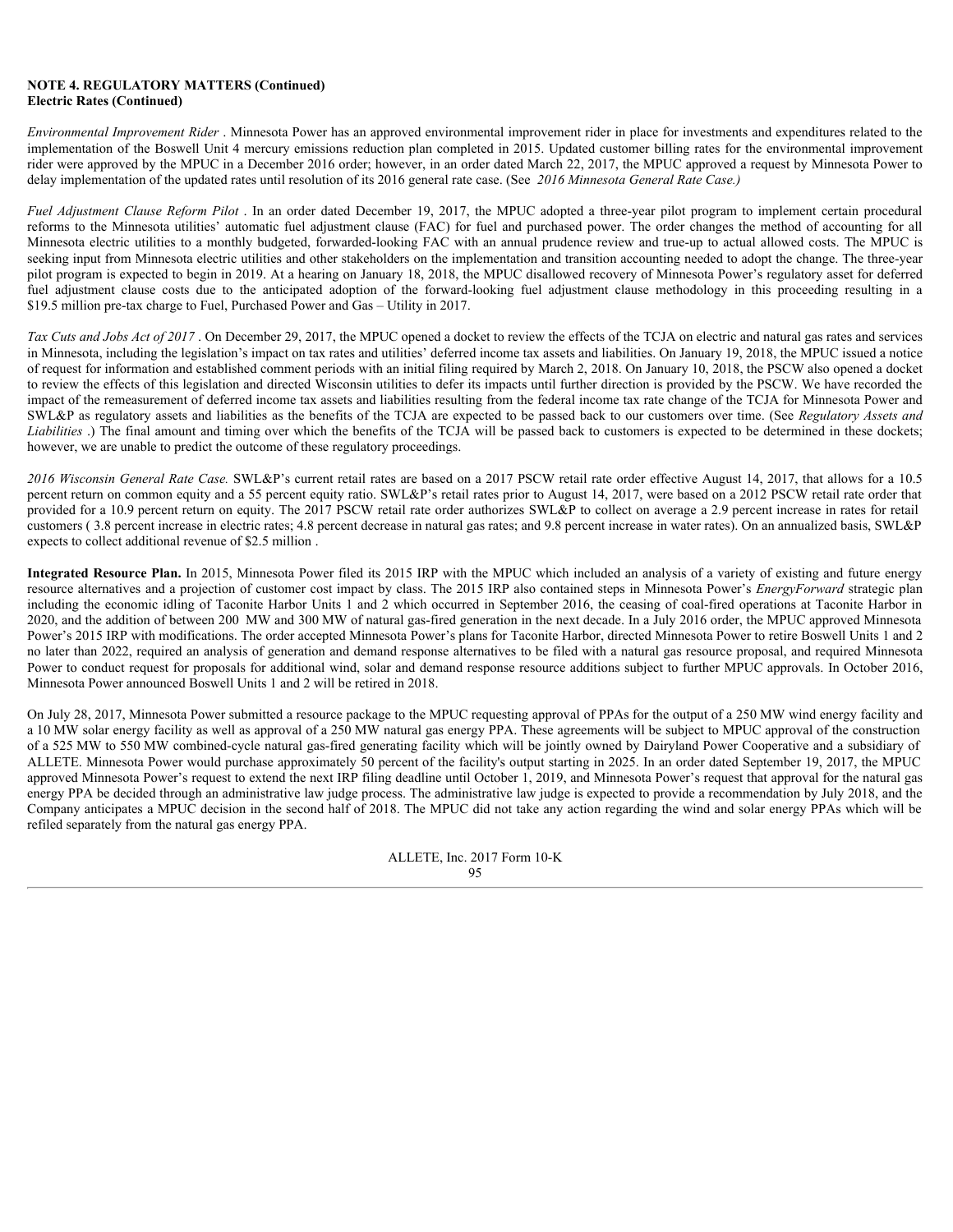#### **NOTE 4. REGULATORY MATTERS (Continued) Electric Rates (Continued)**

*Environmental Improvement Rider* . Minnesota Power has an approved environmental improvement rider in place for investments and expenditures related to the implementation of the Boswell Unit 4 mercury emissions reduction plan completed in 2015. Updated customer billing rates for the environmental improvement rider were approved by the MPUC in a December 2016 order; however, in an order dated March 22, 2017, the MPUC approved a request by Minnesota Power to delay implementation of the updated rates until resolution of its 2016 general rate case. (See *2016 Minnesota General Rate Case.)*

**Fuel AREGULATORY MATTERS (Continued)**<br>*Environmental Improvement Rider* . Minnesota Power has an approved environmental improvement rider in place for investments and expenditures related to the<br>implementation of the Bosw reforms to the Minnesota utilities' automatic fuel adjustment clause (FAC) for fuel and purchased power. The order changes the method of accounting for all Minnesota electric utilities to a monthly budgeted, forwarded-looking FAC with an annual prudence review and true-up to actual allowed costs. The MPUC is seeking input from Minnesota electric utilities and other stakeholders on the implementation and transition accounting needed to adopt the change. The three-year pilot program is expected to begin in 2019. At a hearing on January 18, 2018, the MPUC disallowed recovery of Minnesota Power's regulatory asset for deferred fuel adjustment clause costs due to the anticipated adoption of **ENOTE 4. REGULATORY MATTERS (Continued)**<br>
Enterivantial functions defined adoption of Microsoftated and anticipated anticipated in 2015. Updated eastome biling rates for the environmental improvement<br>
Enterivantial funct \$19.5 million pre-tax charge to Fuel, Purchased Power and Gas – Utility in 2017.

*Tax Cuts and Jobs Act of 2017* . On December 29, 2017, the MPUC opened a docket to review the effects of the TCJA on electric and natural gas rates and services in Minnesota, including the legislation's impact on tax rates and utilities' deferred income tax assets and liabilities. On January 19, 2018, the MPUC issued a notice of request for information and established comment periods with an initial filing required by March 2, 2018. On January 10, 2018, the PSCW also opened a docket to review the effects of this legislation and directed Wisconsin utilities to defer its impacts until further direction is provided by the PSCW. We have recorded the impact of the remeasurement of deferred income tax assets and liabilities resulting from the federal income tax rate change of the TCJA for Minnesota Power and SWL&P as regulatory assets and liabilities as the benefits of the TCJA are expected to be passed back to our customers over time. (See *Regulatory Assets and Liabilities* .) The final amount and timing over which the benefits of the TCJA will be passed back to customers is expected to be determined in these dockets; however, we are unable to predict the outcome of these regulatory proceedings.

*2016 Wisconsin General Rate Case.* SWL&P's current retail rates are based on a 2017 PSCW retail rate order effective August 14, 2017, that allows for a 10.5 percent return on common equity and a 55 percent equity ratio. SWL&P's retail rates prior to August 14, 2017, were based on a 2012 PSCW retail rate order that provided for a 10.9 percent return on equity. The 2017 PSCW retail rate order authorizes SWL&P to collect on average a 2.9 percent increase in rates for retail customers ( 3.8 percent increase in electric rates; 4.8 percent decrease in natural gas rates; and 9.8 percent increase in water rates). On an annualized basis, SWL&P expects to collect additional revenue of \$2.5 million .

**Integrated Resource Plan.** In 2015, Minnesota Power filed its 2015 IRP with the MPUC which included an analysis of a variety of existing and future energy resource alternatives and a projection of customer cost impact by class. The 2015 IRP also contained steps in Minnesota Power's *EnergyForward* strategic plan including the economic idling of Taconite Harbor Units 1 and 2 which occurred in September 2016, the ceasing of coal-fired operations at Taconite Harbor in 2020, and the addition of between 200 MW and 300 MW of natural gas-fired generation in the next decade. In a July 2016 order, the MPUC approved Minnesota Power's 2015 IRP with modifications. The order accepted Minnesota Power's plans for Taconite Harbor, directed Minnesota Power to retire Boswell Units 1 and 2 no later than 2022, required an analysis of generation and demand response alternatives to be filed with a natural gas resource proposal, and required Minnesota Power to conduct request for proposals for additional wind, solar and demand response resource additions subject to further MPUC approvals. In October 2016, Minnesota Power announced Boswell Units 1 and 2 will be retired in 2018.

On July 28, 2017, Minnesota Power submitted a resource package to the MPUC requesting approval of PPAs for the output of a 250 MW wind energy facility and a 10 MW solar energy facility as well as approval of a 250 MW natural gas energy PPA. These agreements will be subject to MPUC approval of the construction of a 525 MW to 550 MW combined-cycle natural gas-fired generating facility which will be jointly owned by Dairyland Power Cooperative and a subsidiary of ALLETE. Minnesota Power would purchase approximately 50 percent of the facility's output starting in 2025. In an order dated September 19, 2017, the MPUC approved Minnesota Power's request to extend the next IRP filing deadline until October 1, 2019, and Minnesota Power's request that approval for the natural gas energy PPA be decided through an administrative law judge process. The administrative law judge is expected to provide a recommendation by July 2018, and the Company anticipates a MPUC decision in the second half of 2018. The MPUC did not take any action regarding the wind and solar energy PPAs which will be refiled separately from the natural gas energy PPA.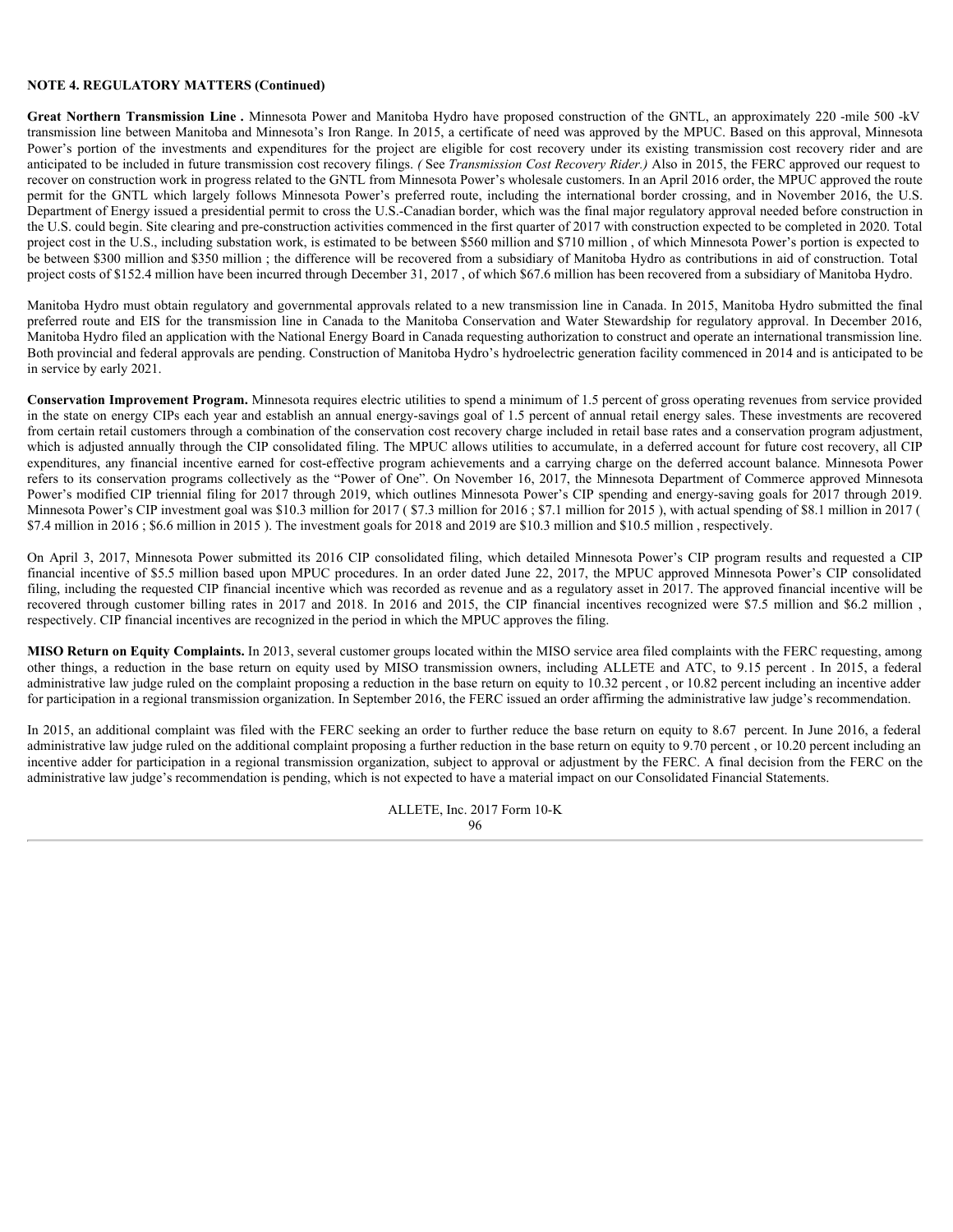#### **NOTE 4. REGULATORY MATTERS (Continued)**

Great Northern Transmission Line . Minnesota Power and Manitoba Hydro have proposed construction of the GNTL, an approximately 220 -mile 500 -kV transmission line between Manitoba and Minnesota's Iron Range. In 2015, a certificate of need was approved by the MPUC. Based on this approval, Minnesota **NOTE 4. REGULATORY MATTERS (Continued)**<br> **Great Northern Transmission Line** . Minnesota Power and Manitoba Hydro have proposed construction of the GNTL, an approximately 220 -mile 500 -kV<br>
transmission line between Manito anticipated to be included in future transmission cost recovery filings. *(* See *Transmission Cost Recovery Rider.)* Also in 2015, the FERC approved our request to recover on construction work in progress related to the GNTL from Minnesota Power's wholesale customers. In an April 2016 order, the MPUC approved the route permit for the GNTL which largely follows Minnesota Power's prefe **NOTE 4. REGULATORY MATTERS (Continued)**<br> **Great Northern Transmission Line** . Minnesota Power and Manitoba Hydro have proposed construction of the GNTL, an approximately 220 -mile 500 -kV<br> **Grammission line between Manito** Department of Energy issued a presidential permit to cross the U.S.-Canadian border, which was the final major regulatory approval needed before construction in the U.S. could begin. Site clearing and pre-construction activities commenced in the first quarter of 2017 with construction expected to be completed in 2020. Total project cost in the U.S., including substation work, is estimated to be between \$560 million and \$710 million , of which Minnesota Power's portion is expected to be between \$300 million and \$350 million ; the difference will be recovered from a subsidiary of Manitoba Hydro as contributions in aid of construction. Total project costs of \$152.4 million have been incurred through December 31, 2017 , of which \$67.6 million has been recovered from a subsidiary of Manitoba Hydro. **NOTE 4, REGULAT ON Y MATTERS Continued)**<br>Creat Northers Transmission Is increading Down and Ministed Hydro have proposed constrained on the UKUC, Based on the approximation in chromosophila Ninnesota Distribution Is beca Great Northers Transmission Line . Minneals Dever and Manutos Hyde into proposed constratent of the GNU<sub>n</sub>, an approximately 220-ande 500 AV<br>manutosion for Severe Manutosion Moneson S for Sength 2013. A certified of first

Manitoba Hydro must obtain regulatory and governmental approvals related to a new transmission line in Canada. In 2015, Manitoba Hydro submitted the final preferred route and EIS for the transmission line in Canada to the Manitoba Conservation and Water Stewardship for regulatory approval. In December 2016, Manitoba Hydro filed an application with the National Energy Board in Canada requesting authorization to construct and operate an international transmission line. Both provincial and federal approvals are pending. Construction of Manitoba Hydro's hydroelectric generation facility commenced in 2014 and is anticipated to be in service by early 2021.

**Conservation Improvement Program.** Minnesota requires electric utilities to spend a minimum of 1.5 percent of gross operating revenues from service provided in the state on energy CIPs each year and establish an annual energy-savings goal of 1.5 percent of annual retail energy sales. These investments are recovered from certain retail customers through a combination of the conservation cost recovery charge included in retail base rates and a conservation program adjustment, which is adjusted annually through the CIP consolidated filing. The MPUC allows utilities to accumulate, in a deferred account for future cost recovery, all CIP expenditures, any financial incentive earned for cost-effective program achievements and a carrying charge on the deferred account balance. Minnesota Power refers to its conservation programs collectively as the "Power of One". On November 16, 2017, the Minnesota Department of Commerce approved Minnesota Power's modified CIP triennial filing for 2017 through 2019, which outlines Minnesota Power's CIP spending and energy-saving goals for 2017 through 2019. Minnesota Power's CIP investment goal was \$10.3 million for 2017 (\$7.3 million for 2016; \$7.1 million for 2015), with actual spending of \$8.1 million in 2017 ( \$7.4 million in 2016 ; \$6.6 million in 2015 ). The investment goals for 2018 and 2019 are \$10.3 million and \$10.5 million , respectively. ontinguish to be included in thus company in the base return of the Row of the Rose Reservo. Exhibit a reduction in the base return of the Base return of the Base return of the Base return of the Base return on the Base r

financial incentive of \$5.5 million based upon MPUC procedures. In an order dated June 22, 2017, the MPUC approved Minnesota Power's CIP consolidated filing, including the requested CIP financial incentive which was recorded as revenue and as a regulatory asset in 2017. The approved financial incentive will be

**MISO Return on Equity Complaints.** In 2013, several customer groups located within the MISO service area filed complaints with the FERC requesting, among other things, a reduction in the base return on equity used by MISO administrative law judge ruled on the complaint proposing a reduction in the base return on equity to 10.32 percent, or 10.82 percent including an incentive adder for participation in a regional transmission organization. In September 2016, the FERC issued an order affirming the administrative law judge's recommendation.

In 2015, an additional complaint was filed with the FERC seeking an order to further reduce the base return on equity to 8.67 percent. In June 2016, a federal administrative law judge ruled on the additional complaint proposing a further reduction in the base return on equity to 9.70 percent, or 10.20 percent including an incentive adder for participation in a regional transmission organization, subject to approval or adjustment by the FERC. A final decision from the FERC on the administrative law judge's recommendation is pending, which is not expected to have a material impact on our Consolidated Financial Statements.

ALLETE, Inc. 2017 Form 10-K

96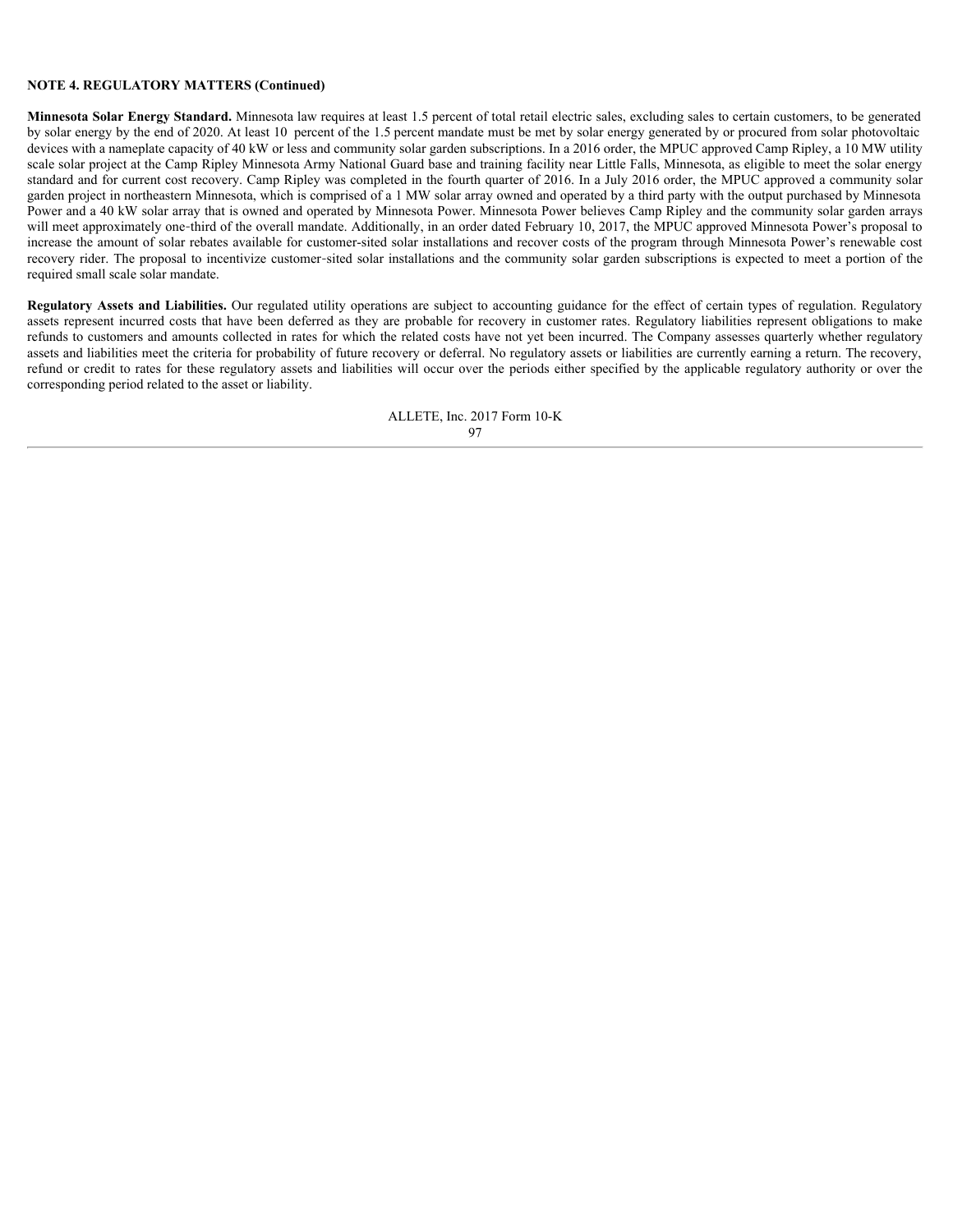#### **NOTE 4. REGULATORY MATTERS (Continued)**

**Minnesota Solar Energy Standard.** Minnesota law requires at least 1.5 percent of total retail electric sales, excluding sales to certain customers, to be generated by solar energy by the end of 2020. At least 10 percent of the 1.5 percent mandate must be met by solar energy generated by or procured from solar photovoltaic devices with a nameplate capacity of 40 kW or less and community solar garden subscriptions. In a 2016 order, the MPUC approved Camp Ripley, a 10 MW utility scale solar project at the Camp Ripley Minnesota Army National Guard base and training facility near Little Falls, Minnesota, as eligible to meet the solar energy standard and for current cost recovery. Camp Ripley was completed in the fourth quarter of 2016. In a July 2016 order, the MPUC approved a community solar garden project in northeastern Minnesota, which is comprised of a 1 MW solar array owned and operated by a third party with the output purchased by Minnesota Power and a 40 kW solar array that is owned and operated by Minnesota Power. Minnesota Power believes Camp Ripley and the community solar garden arrays will meet approximately one-third of the overall mandate. Additionally, in an order dated February 10, 2017, the MPUC approved Minnesota Power's proposal to increase the amount of solar rebates available for customer-sited solar installations and recover costs of the program through Minnesota Power's renewable cost recovery rider. The proposal to incentivize customer-sited solar installations and the community solar garden subscriptions is expected to meet a portion of the required small scale solar mandate.

**Regulatory Assets and Liabilities.** Our regulated utility operations are subject to accounting guidance for the effect of certain types of regulation. Regulatory assets represent incurred costs that have been deferred as they are probable for recovery in customer rates. Regulatory liabilities represent obligations to make refunds to customers and amounts collected in rates for which the related costs have not yet been incurred. The Company assesses quarterly whether regulatory assets and liabilities meet the criteria for probability of future recovery or deferral. No regulatory assets or liabilities are currently earning a return. The recovery, refund or credit to rates for these regulatory assets and liabilities will occur over the periods either specified by the applicable regulatory authority or over the corresponding period related to the asset or liability.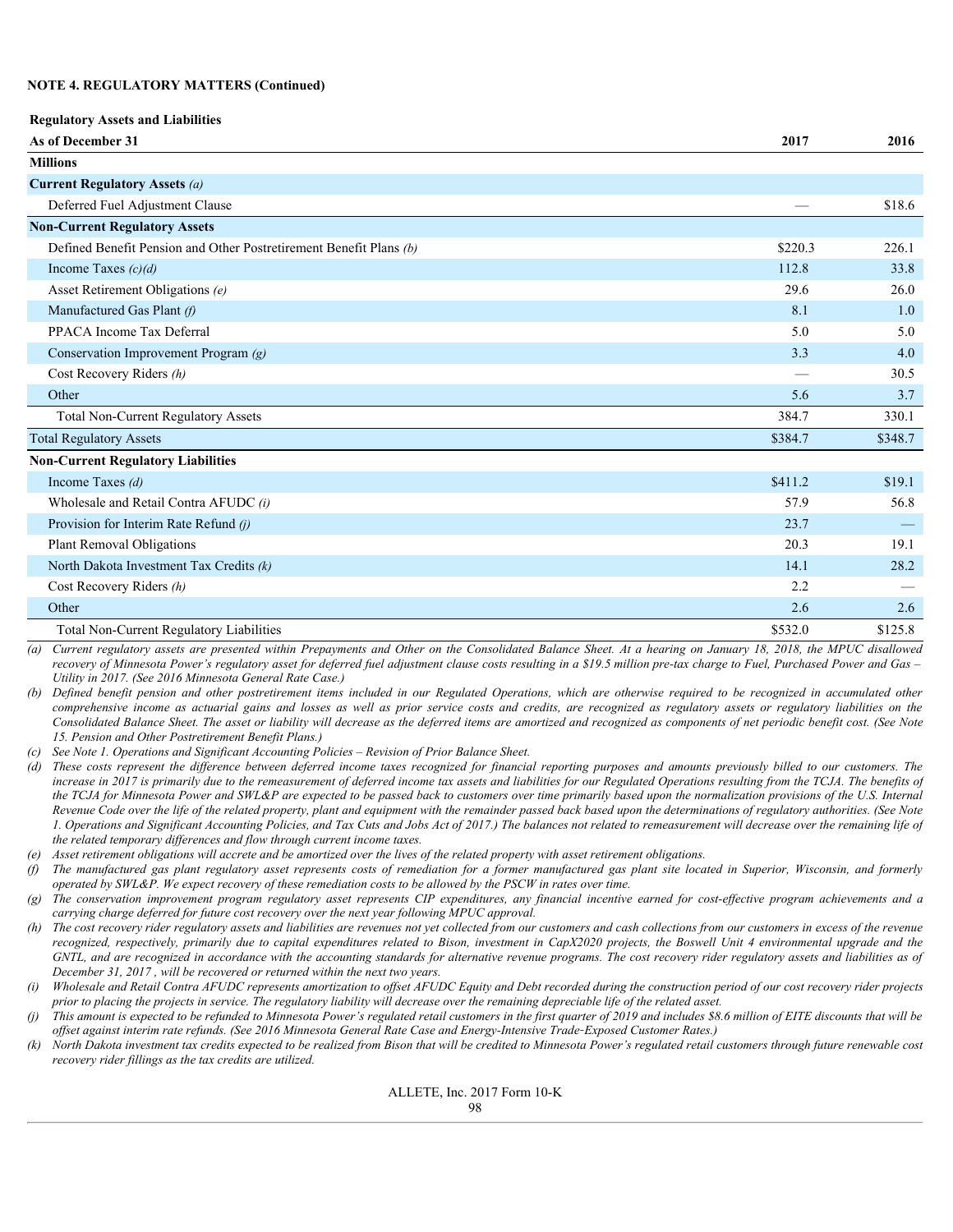#### **NOTE 4. REGULATORY MATTERS (Continued)**

#### **Regulatory Assets and Liabilities**

| As of December 31                                                                                                                                                                                                                                                                                                                                 | 2017              | 2016              |
|---------------------------------------------------------------------------------------------------------------------------------------------------------------------------------------------------------------------------------------------------------------------------------------------------------------------------------------------------|-------------------|-------------------|
| <b>Millions</b>                                                                                                                                                                                                                                                                                                                                   |                   |                   |
| <b>Current Regulatory Assets (a)</b>                                                                                                                                                                                                                                                                                                              |                   |                   |
| Deferred Fuel Adjustment Clause                                                                                                                                                                                                                                                                                                                   |                   | \$18.6            |
| <b>Non-Current Regulatory Assets</b>                                                                                                                                                                                                                                                                                                              |                   |                   |
| Defined Benefit Pension and Other Postretirement Benefit Plans (b)                                                                                                                                                                                                                                                                                | \$220.3           | 226.1             |
| Income Taxes $(c)(d)$                                                                                                                                                                                                                                                                                                                             | 112.8             | 33.8              |
| Asset Retirement Obligations (e)                                                                                                                                                                                                                                                                                                                  | 29.6              | 26.0              |
| Manufactured Gas Plant $(f)$                                                                                                                                                                                                                                                                                                                      | 8.1               | 1.0               |
| PPACA Income Tax Deferral                                                                                                                                                                                                                                                                                                                         | 5.0               | 5.0               |
| Conservation Improvement Program (g)                                                                                                                                                                                                                                                                                                              | 3.3               | 4.0               |
| Cost Recovery Riders $(h)$                                                                                                                                                                                                                                                                                                                        | $\hspace{0.05cm}$ | 30.5              |
| Other                                                                                                                                                                                                                                                                                                                                             | 5.6               | 3.7               |
|                                                                                                                                                                                                                                                                                                                                                   | 384.7             | 330.1             |
| <b>Total Non-Current Regulatory Assets</b>                                                                                                                                                                                                                                                                                                        |                   |                   |
| <b>Total Regulatory Assets</b>                                                                                                                                                                                                                                                                                                                    | \$384.7           | \$348.7           |
| <b>Non-Current Regulatory Liabilities</b>                                                                                                                                                                                                                                                                                                         |                   |                   |
| Income Taxes $(d)$                                                                                                                                                                                                                                                                                                                                | \$411.2           | \$19.1            |
| Wholesale and Retail Contra AFUDC (i)                                                                                                                                                                                                                                                                                                             | 57.9              | 56.8              |
| Provision for Interim Rate Refund $(j)$                                                                                                                                                                                                                                                                                                           | 23.7              | $\hspace{0.05cm}$ |
| Plant Removal Obligations                                                                                                                                                                                                                                                                                                                         | 20.3              | 19.1              |
| North Dakota Investment Tax Credits (k)                                                                                                                                                                                                                                                                                                           | 14.1              | 28.2              |
| Cost Recovery Riders (h)                                                                                                                                                                                                                                                                                                                          | 2.2               |                   |
| Other                                                                                                                                                                                                                                                                                                                                             | 2.6               | 2.6               |
| Total Non-Current Regulatory Liabilities                                                                                                                                                                                                                                                                                                          | \$532.0           | \$125.8           |
| (a) Current regulatory assets are presented within Prepayments and Other on the Consolidated Balance Sheet. At a hearing on January 18, 2018, the MPUC disallowed                                                                                                                                                                                 |                   |                   |
| recovery of Minnesota Power's regulatory asset for deferred fuel adjustment clause costs resulting in a \$19.5 million pre-tax charge to Fuel, Purchased Power and Gas -<br>Utility in 2017. (See 2016 Minnesota General Rate Case.)                                                                                                              |                   |                   |
| (b) Defined benefit pension and other postretirement items included in our Regulated Operations, which are otherwise required to be recognized in accumulated other                                                                                                                                                                               |                   |                   |
| comprehensive income as actuarial gains and losses as well as prior service costs and credits, are recognized as regulatory assets or regulatory liabilities on the                                                                                                                                                                               |                   |                   |
| Consolidated Balance Sheet. The asset or liability will decrease as the deferred items are amortized and recognized as components of net periodic benefit cost. (See Note<br>15. Pension and Other Postretirement Benefit Plans.)                                                                                                                 |                   |                   |
| (c) See Note 1. Operations and Significant Accounting Policies - Revision of Prior Balance Sheet.                                                                                                                                                                                                                                                 |                   |                   |
| (d) These costs represent the difference between deferred income taxes recognized for financial reporting purposes and amounts previously billed to our customers. The                                                                                                                                                                            |                   |                   |
| increase in 2017 is primarily due to the remeasurement of deferred income tax assets and liabilities for our Regulated Operations resulting from the TCJA. The benefits of<br>the TCJA for Minnesota Power and SWL&P are expected to be passed back to customers over time primarily based upon the normalization provisions of the U.S. Internal |                   |                   |
| Revenue Code over the life of the related property, plant and equipment with the remainder passed back based upon the determinations of regulatory authorities. (See Note                                                                                                                                                                         |                   |                   |
| 1. Operations and Significant Accounting Policies, and Tax Cuts and Jobs Act of 2017.) The balances not related to remeasurement will decrease over the remaining life of                                                                                                                                                                         |                   |                   |
| the related temporary differences and flow through current income taxes.<br>(e) Asset retirement obligations will accrete and be amortized over the lives of the related property with asset retirement obligations.                                                                                                                              |                   |                   |
| (f) The manufactured gas plant regulatory asset represents costs of remediation for a former manufactured gas plant site located in Superior, Wisconsin, and formerly                                                                                                                                                                             |                   |                   |
| operated by SWL&P. We expect recovery of these remediation costs to be allowed by the PSCW in rates over time.                                                                                                                                                                                                                                    |                   |                   |
| (g) The conservation improvement program regulatory asset represents CIP expenditures, any financial incentive earned for cost-effective program achievements and a<br>carrying charge deferred for future cost recovery over the next year following MPUC approval.                                                                              |                   |                   |
| (h) The cost recovery rider regulatory assets and liabilities are revenues not yet collected from our customers and cash collections from our customers in excess of the revenue                                                                                                                                                                  |                   |                   |
| recognized, respectively, primarily due to capital expenditures related to Bison, investment in CapX2020 projects, the Boswell Unit 4 environmental upgrade and the                                                                                                                                                                               |                   |                   |
| GNTL, and are recognized in accordance with the accounting standards for alternative revenue programs. The cost recovery rider regulatory assets and liabilities as of<br>December 31, 2017, will be recovered or returned within the next two years.                                                                                             |                   |                   |
| (i) Wholesale and Retail Contra AFUDC represents amortization to offset AFUDC Equity and Debt recorded during the construction period of our cost recovery rider projects                                                                                                                                                                         |                   |                   |
| prior to placing the projects in service. The regulatory liability will decrease over the remaining depreciable life of the related asset.                                                                                                                                                                                                        |                   |                   |
| (i) This amount is expected to be refunded to Minnesota Power's regulated retail customers in the first quarter of 2019 and includes \$8.6 million of EITE discounts that will be<br>offset against interim rate refunds. (See 2016 Minnesota General Rate Case and Energy-Intensive Trade-Exposed Customer Rates.)                               |                   |                   |
| (k) North Dakota investment tax credits expected to be realized from Bison that will be credited to Minnesota Power's regulated retail customers through future renewable cost                                                                                                                                                                    |                   |                   |
| recovery rider fillings as the tax credits are utilized                                                                                                                                                                                                                                                                                           |                   |                   |

*(k) North Dakota investment tax credits expected to be realized from Bison that will be credited to Minnesota Power's regulated retail customers through future renewable cost recovery rider fillings as the tax credits are utilized.*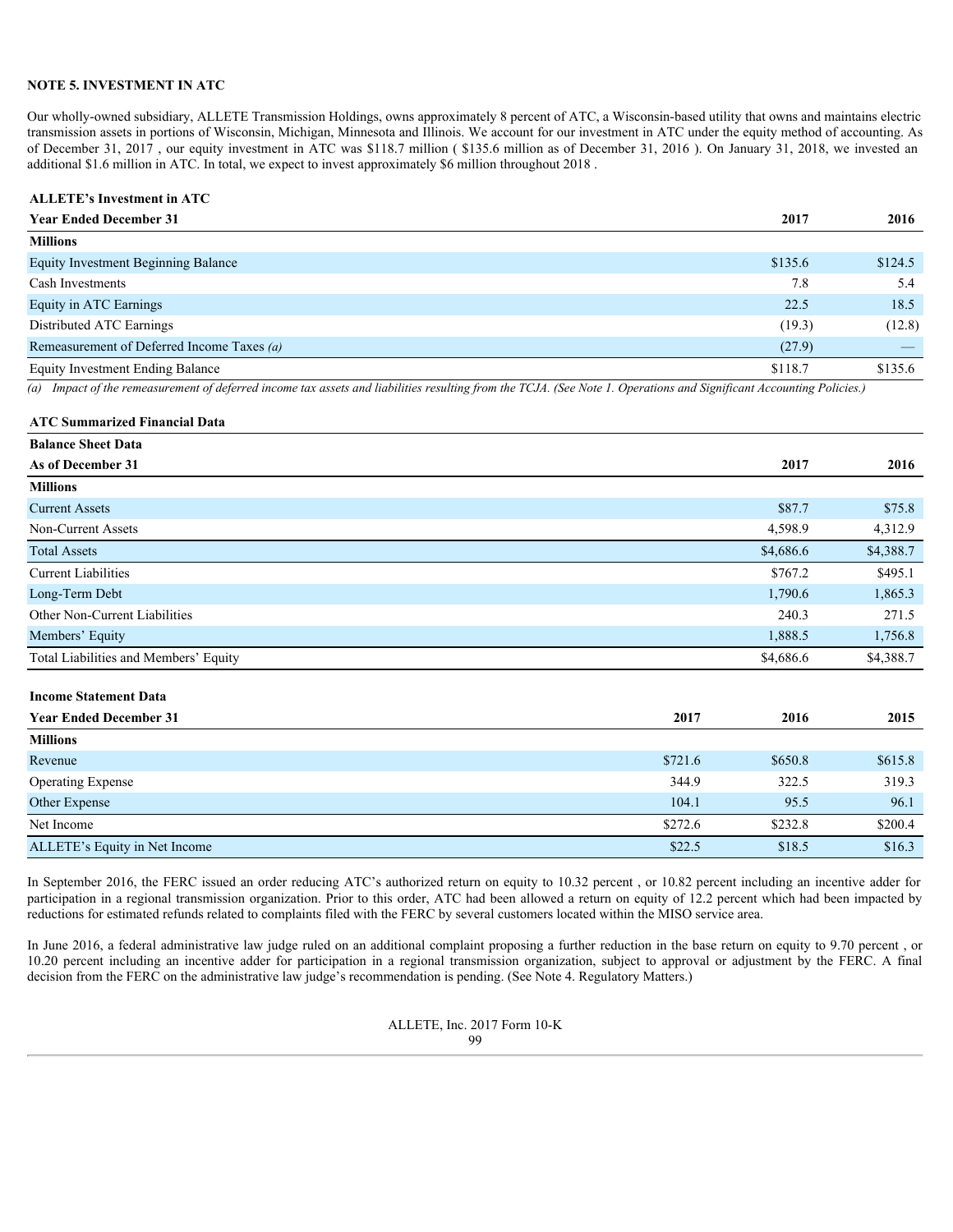#### **NOTE 5. INVESTMENT IN ATC**

Our wholly-owned subsidiary, ALLETE Transmission Holdings, owns approximately 8 percent of ATC, a Wisconsin-based utility that owns and maintains electric transmission assets in portions of Wisconsin, Michigan, Minnesota and Illinois. We account for our investment in ATC under the equity method of accounting. As of December 31, 2017 , our equity investment in ATC was \$118.7 million ( \$135.6 million as of December 31, 2016 ). On January 31, 2018, we invested an additional \$1.6 million in ATC. In total, we expect to invest approximately \$6 million throughout 2018 .

#### **ALLETE's Investment in ATC**

| <b>Year Ended December 31</b>              | 2017    | 2016                     |
|--------------------------------------------|---------|--------------------------|
| <b>Millions</b>                            |         |                          |
| Equity Investment Beginning Balance        | \$135.6 | \$124.5                  |
| Cash Investments                           | 7.8     | 5.4                      |
| Equity in ATC Earnings                     | 22.5    | 18.5                     |
| Distributed ATC Earnings                   | (19.3)  | (12.8)                   |
| Remeasurement of Deferred Income Taxes (a) | (27.9)  | $\overline{\phantom{m}}$ |
| <b>Equity Investment Ending Balance</b>    | \$118.7 | \$135.6                  |

*(a) Impact of the remeasurement of deferred income tax assets and liabilities resulting from the TCJA. (See Note 1. Operations and Significant Accounting Policies.)*

#### **ATC Summarized Financial Data**

| <b>Balance Sheet Data</b>                                                                                                                                                                                                                                                                                                                                                                                                                                                                                                                                                                                                                                                                                                                                                                                                                                                                                                          |         |           |           |
|------------------------------------------------------------------------------------------------------------------------------------------------------------------------------------------------------------------------------------------------------------------------------------------------------------------------------------------------------------------------------------------------------------------------------------------------------------------------------------------------------------------------------------------------------------------------------------------------------------------------------------------------------------------------------------------------------------------------------------------------------------------------------------------------------------------------------------------------------------------------------------------------------------------------------------|---------|-----------|-----------|
| As of December 31                                                                                                                                                                                                                                                                                                                                                                                                                                                                                                                                                                                                                                                                                                                                                                                                                                                                                                                  |         | 2017      | 2016      |
| <b>Millions</b>                                                                                                                                                                                                                                                                                                                                                                                                                                                                                                                                                                                                                                                                                                                                                                                                                                                                                                                    |         |           |           |
| <b>Current Assets</b>                                                                                                                                                                                                                                                                                                                                                                                                                                                                                                                                                                                                                                                                                                                                                                                                                                                                                                              |         | \$87.7    | \$75.8    |
| Non-Current Assets                                                                                                                                                                                                                                                                                                                                                                                                                                                                                                                                                                                                                                                                                                                                                                                                                                                                                                                 |         | 4,598.9   | 4,312.9   |
| <b>Total Assets</b>                                                                                                                                                                                                                                                                                                                                                                                                                                                                                                                                                                                                                                                                                                                                                                                                                                                                                                                |         | \$4,686.6 | \$4,388.7 |
| <b>Current Liabilities</b>                                                                                                                                                                                                                                                                                                                                                                                                                                                                                                                                                                                                                                                                                                                                                                                                                                                                                                         |         | \$767.2   | \$495.1   |
| Long-Term Debt                                                                                                                                                                                                                                                                                                                                                                                                                                                                                                                                                                                                                                                                                                                                                                                                                                                                                                                     |         | 1,790.6   | 1,865.3   |
| Other Non-Current Liabilities                                                                                                                                                                                                                                                                                                                                                                                                                                                                                                                                                                                                                                                                                                                                                                                                                                                                                                      |         | 240.3     | 271.5     |
| Members' Equity                                                                                                                                                                                                                                                                                                                                                                                                                                                                                                                                                                                                                                                                                                                                                                                                                                                                                                                    |         | 1,888.5   | 1,756.8   |
| Total Liabilities and Members' Equity                                                                                                                                                                                                                                                                                                                                                                                                                                                                                                                                                                                                                                                                                                                                                                                                                                                                                              |         | \$4,686.6 | \$4,388.7 |
| <b>Income Statement Data</b>                                                                                                                                                                                                                                                                                                                                                                                                                                                                                                                                                                                                                                                                                                                                                                                                                                                                                                       |         |           |           |
| <b>Year Ended December 31</b>                                                                                                                                                                                                                                                                                                                                                                                                                                                                                                                                                                                                                                                                                                                                                                                                                                                                                                      | 2017    | 2016      | 2015      |
| <b>Millions</b>                                                                                                                                                                                                                                                                                                                                                                                                                                                                                                                                                                                                                                                                                                                                                                                                                                                                                                                    |         |           |           |
| Revenue                                                                                                                                                                                                                                                                                                                                                                                                                                                                                                                                                                                                                                                                                                                                                                                                                                                                                                                            | \$721.6 | \$650.8   | \$615.8   |
| <b>Operating Expense</b>                                                                                                                                                                                                                                                                                                                                                                                                                                                                                                                                                                                                                                                                                                                                                                                                                                                                                                           | 344.9   | 322.5     | 319.3     |
| Other Expense                                                                                                                                                                                                                                                                                                                                                                                                                                                                                                                                                                                                                                                                                                                                                                                                                                                                                                                      | 104.1   | 95.5      | 96.1      |
| Net Income                                                                                                                                                                                                                                                                                                                                                                                                                                                                                                                                                                                                                                                                                                                                                                                                                                                                                                                         | \$272.6 | \$232.8   | \$200.4   |
| ALLETE's Equity in Net Income                                                                                                                                                                                                                                                                                                                                                                                                                                                                                                                                                                                                                                                                                                                                                                                                                                                                                                      | \$22.5  | \$18.5    | \$16.3    |
| In September 2016, the FERC issued an order reducing ATC's authorized return on equity to 10.32 percent, or 10.82 percent including an incentive adder for<br>participation in a regional transmission organization. Prior to this order, ATC had been allowed a return on equity of 12.2 percent which had been impacted by<br>reductions for estimated refunds related to complaints filed with the FERC by several customers located within the MISO service area.<br>In June 2016, a federal administrative law judge ruled on an additional complaint proposing a further reduction in the base return on equity to 9.70 percent, or<br>10.20 percent including an incentive adder for participation in a regional transmission organization, subject to approval or adjustment by the FERC. A final<br>decision from the FERC on the administrative law judge's recommendation is pending. (See Note 4. Regulatory Matters.) |         |           |           |
| ALLETE, Inc. 2017 Form 10-K<br>99                                                                                                                                                                                                                                                                                                                                                                                                                                                                                                                                                                                                                                                                                                                                                                                                                                                                                                  |         |           |           |

#### **Income Statement Data**

| <b>Year Ended December 31</b> | 2017    | 2016    | 2015    |
|-------------------------------|---------|---------|---------|
| <b>Millions</b>               |         |         |         |
| Revenue                       | \$721.6 | \$650.8 | \$615.8 |
| <b>Operating Expense</b>      | 344.9   | 322.5   | 319.3   |
| Other Expense                 | 104.1   | 95.5    | 96.1    |
| Net Income                    | \$272.6 | \$232.8 | \$200.4 |
| ALLETE's Equity in Net Income | \$22.5  | \$18.5  | \$16.3  |
|                               |         |         |         |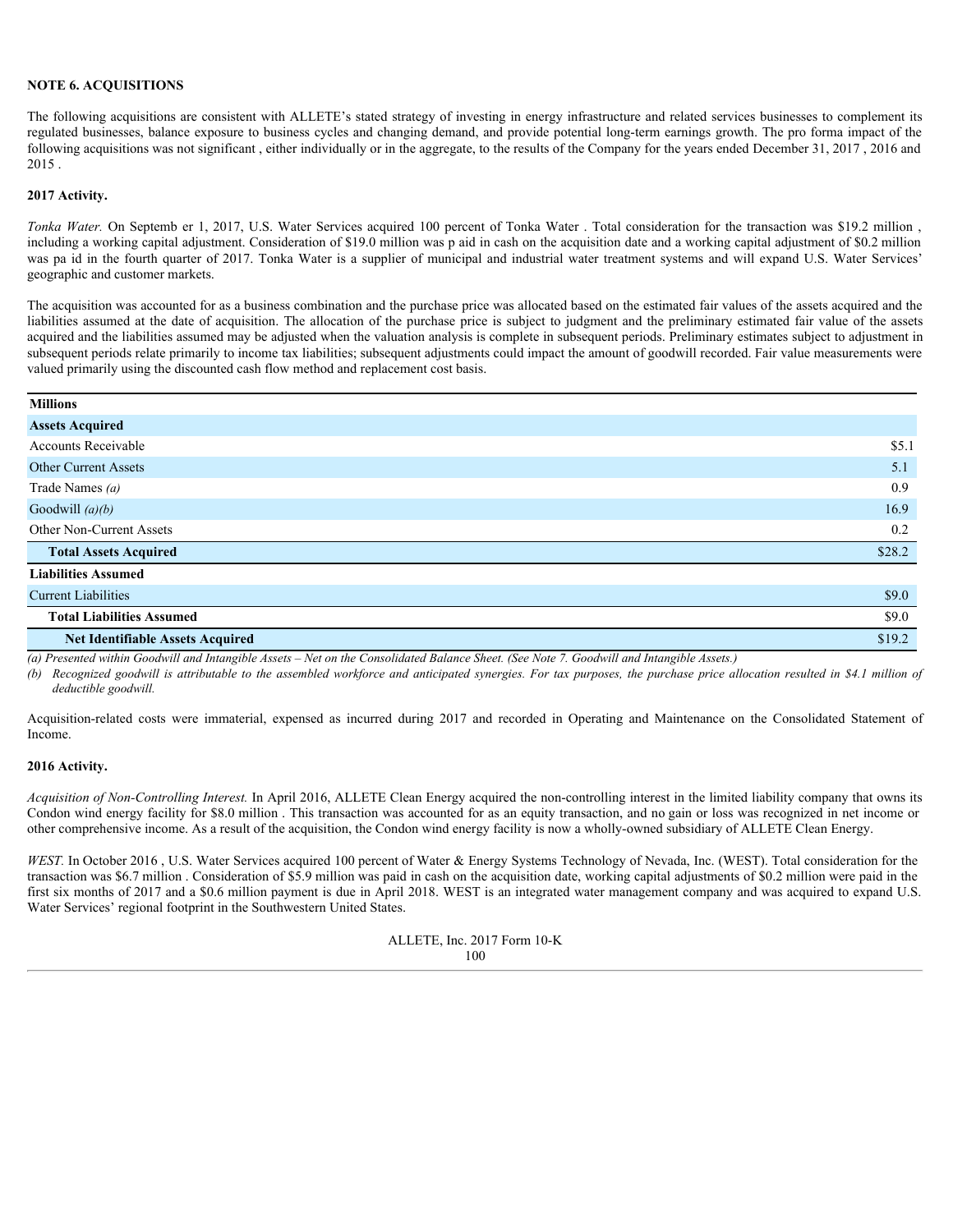#### **NOTE 6. ACQUISITIONS**

The following acquisitions are consistent with ALLETE's stated strategy of investing in energy infrastructure and related services businesses to complement its regulated businesses, balance exposure to business cycles and changing demand, and provide potential long-term earnings growth. The pro forma impact of the following acquisitions was not significant, either individually or in the aggregate, to the results of the Company for the years ended December 31, 2017, 2016 and 2015 .

#### **2017 Activity.**

NOTE 6. ACQUISITIONS<br>The following acquisitions are consistent with ALLETE's stated strategy of investing in energy infrastructure and related services businesses to complement its<br>regulated businesses, hadnoe exposure to The acquisition was accounted for as a business combination and the purchase price was allocated based on the estimated fair values of the assets acquired and the liabilities assumed at the date of acquisition. The allocation of the purchase price is subject to judgment and the preliminary estimated fair value of the assets acquired and the liabilities assumed may be adjusted when the valuation analysis is complete in subsequent periods. Preliminary estimates subject to adjustment in subsequent periods relate primarily to income tax liabilities; subsequent adjustments could impact the amount of goodwill recorded. Fair value measurements were valued primarily using the discounted cash flow method and replacement cost basis.

| 2017 TRUNILY.                                                                                                                                                                                                                                                                                                                                                                                                                                                                                                                                                                                                                                                                                                                                                            |        |
|--------------------------------------------------------------------------------------------------------------------------------------------------------------------------------------------------------------------------------------------------------------------------------------------------------------------------------------------------------------------------------------------------------------------------------------------------------------------------------------------------------------------------------------------------------------------------------------------------------------------------------------------------------------------------------------------------------------------------------------------------------------------------|--------|
| Tonka Water. On Septemb er 1, 2017, U.S. Water Services acquired 100 percent of Tonka Water . Total consideration for the transaction was \$19.2 million,<br>including a working capital adjustment. Consideration of \$19.0 million was p aid in cash on the acquisition date and a working capital adjustment of \$0.2 million<br>was pa id in the fourth quarter of 2017. Tonka Water is a supplier of municipal and industrial water treatment systems and will expand U.S. Water Services'<br>geographic and customer markets.                                                                                                                                                                                                                                      |        |
| The acquisition was accounted for as a business combination and the purchase price was allocated based on the estimated fair values of the assets acquired and the<br>liabilities assumed at the date of acquisition. The allocation of the purchase price is subject to judgment and the preliminary estimated fair value of the assets<br>acquired and the liabilities assumed may be adjusted when the valuation analysis is complete in subsequent periods. Preliminary estimates subject to adjustment in<br>subsequent periods relate primarily to income tax liabilities; subsequent adjustments could impact the amount of goodwill recorded. Fair value measurements were<br>valued primarily using the discounted cash flow method and replacement cost basis. |        |
| <b>Millions</b>                                                                                                                                                                                                                                                                                                                                                                                                                                                                                                                                                                                                                                                                                                                                                          |        |
| <b>Assets Acquired</b>                                                                                                                                                                                                                                                                                                                                                                                                                                                                                                                                                                                                                                                                                                                                                   |        |
| <b>Accounts Receivable</b>                                                                                                                                                                                                                                                                                                                                                                                                                                                                                                                                                                                                                                                                                                                                               | \$5.1  |
| <b>Other Current Assets</b>                                                                                                                                                                                                                                                                                                                                                                                                                                                                                                                                                                                                                                                                                                                                              | 5.1    |
| Trade Names (a)                                                                                                                                                                                                                                                                                                                                                                                                                                                                                                                                                                                                                                                                                                                                                          | 0.9    |
| Goodwill $(a)(b)$                                                                                                                                                                                                                                                                                                                                                                                                                                                                                                                                                                                                                                                                                                                                                        | 16.9   |
| Other Non-Current Assets                                                                                                                                                                                                                                                                                                                                                                                                                                                                                                                                                                                                                                                                                                                                                 | 0.2    |
| <b>Total Assets Acquired</b>                                                                                                                                                                                                                                                                                                                                                                                                                                                                                                                                                                                                                                                                                                                                             | \$28.2 |
| <b>Liabilities Assumed</b>                                                                                                                                                                                                                                                                                                                                                                                                                                                                                                                                                                                                                                                                                                                                               |        |
| <b>Current Liabilities</b>                                                                                                                                                                                                                                                                                                                                                                                                                                                                                                                                                                                                                                                                                                                                               | \$9.0  |
| <b>Total Liabilities Assumed</b>                                                                                                                                                                                                                                                                                                                                                                                                                                                                                                                                                                                                                                                                                                                                         | \$9.0  |
| <b>Net Identifiable Assets Acquired</b>                                                                                                                                                                                                                                                                                                                                                                                                                                                                                                                                                                                                                                                                                                                                  | \$19.2 |
| (a) Presented within Goodwill and Intangible Assets - Net on the Consolidated Balance Sheet. (See Note 7. Goodwill and Intangible Assets.)<br>(b) Recognized goodwill is attributable to the assembled workforce and anticipated synergies. For tax purposes, the purchase price allocation resulted in \$4.1 million of<br>deductible goodwill.<br>Acquisition-related costs were immaterial, expensed as incurred during 2017 and recorded in Operating and Maintenance on the Consolidated Statement of<br>Income.                                                                                                                                                                                                                                                    |        |
| 2016 Activity.                                                                                                                                                                                                                                                                                                                                                                                                                                                                                                                                                                                                                                                                                                                                                           |        |
| Acquisition of Non-Controlling Interest. In April 2016, ALLETE Clean Energy acquired the non-controlling interest in the limited liability company that owns its                                                                                                                                                                                                                                                                                                                                                                                                                                                                                                                                                                                                         |        |

#### **2016 Activity.**

WEST. In October 2016, U.S. Water Services acquired 100 percent of Water & Energy Systems Technology of Nevada, Inc. (WEST). Total consideration for the transaction was \$6.7 million . Consideration of \$5.9 million was paid in cash on the acquisition date, working capital adjustments of \$0.2 million were paid in the first six months of 2017 and a \$0.6 million payment is due in April 2018. WEST is an integrated water management company and was acquired to expand U.S. Water Services' regional footprint in the Southwestern United States.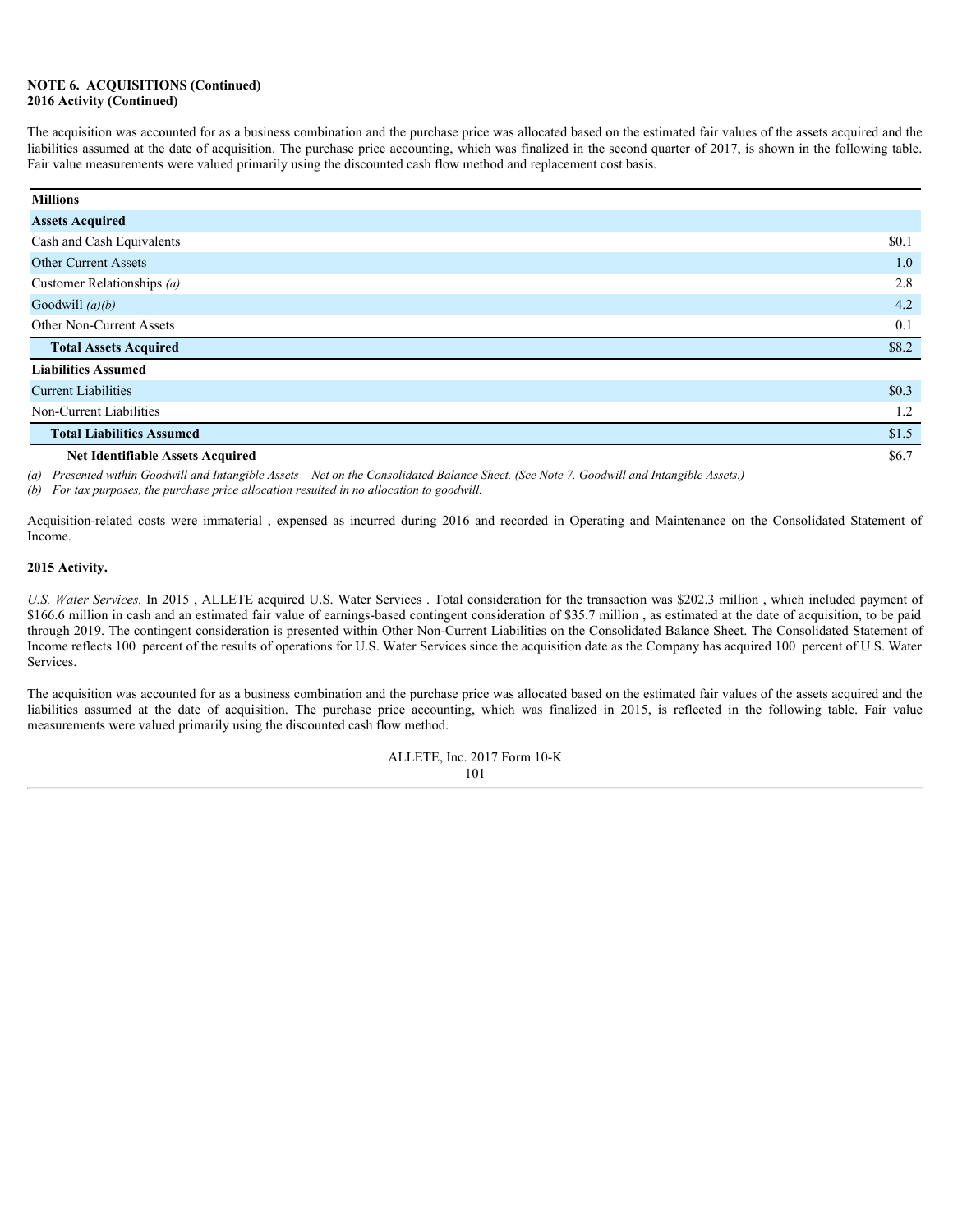#### **NOTE 6. ACQUISITIONS (Continued) 2016 Activity (Continued)**

| <b>NOTE 6. ACQUISITIONS (Continued)</b>                                                                                                                                                                                                                                                                                                                                                                                                                                                                                                                                                                                                                                                                                                                           |       |
|-------------------------------------------------------------------------------------------------------------------------------------------------------------------------------------------------------------------------------------------------------------------------------------------------------------------------------------------------------------------------------------------------------------------------------------------------------------------------------------------------------------------------------------------------------------------------------------------------------------------------------------------------------------------------------------------------------------------------------------------------------------------|-------|
| 2016 Activity (Continued)                                                                                                                                                                                                                                                                                                                                                                                                                                                                                                                                                                                                                                                                                                                                         |       |
| The acquisition was accounted for as a business combination and the purchase price was allocated based on the estimated fair values of the assets acquired and the<br>liabilities assumed at the date of acquisition. The purchase price accounting, which was finalized in the second quarter of 2017, is shown in the following table.<br>Fair value measurements were valued primarily using the discounted cash flow method and replacement cost basis.                                                                                                                                                                                                                                                                                                       |       |
| <b>Millions</b>                                                                                                                                                                                                                                                                                                                                                                                                                                                                                                                                                                                                                                                                                                                                                   |       |
| <b>Assets Acquired</b>                                                                                                                                                                                                                                                                                                                                                                                                                                                                                                                                                                                                                                                                                                                                            |       |
| Cash and Cash Equivalents                                                                                                                                                                                                                                                                                                                                                                                                                                                                                                                                                                                                                                                                                                                                         | \$0.1 |
| <b>Other Current Assets</b>                                                                                                                                                                                                                                                                                                                                                                                                                                                                                                                                                                                                                                                                                                                                       | 1.0   |
| Customer Relationships (a)                                                                                                                                                                                                                                                                                                                                                                                                                                                                                                                                                                                                                                                                                                                                        | 2.8   |
| Goodwill $(a)(b)$                                                                                                                                                                                                                                                                                                                                                                                                                                                                                                                                                                                                                                                                                                                                                 | 4.2   |
| Other Non-Current Assets                                                                                                                                                                                                                                                                                                                                                                                                                                                                                                                                                                                                                                                                                                                                          | 0.1   |
| <b>Total Assets Acquired</b>                                                                                                                                                                                                                                                                                                                                                                                                                                                                                                                                                                                                                                                                                                                                      | \$8.2 |
| <b>Liabilities Assumed</b>                                                                                                                                                                                                                                                                                                                                                                                                                                                                                                                                                                                                                                                                                                                                        |       |
| <b>Current Liabilities</b>                                                                                                                                                                                                                                                                                                                                                                                                                                                                                                                                                                                                                                                                                                                                        | \$0.3 |
| Non-Current Liabilities                                                                                                                                                                                                                                                                                                                                                                                                                                                                                                                                                                                                                                                                                                                                           | 1.2   |
| <b>Total Liabilities Assumed</b>                                                                                                                                                                                                                                                                                                                                                                                                                                                                                                                                                                                                                                                                                                                                  | \$1.5 |
| <b>Net Identifiable Assets Acquired</b>                                                                                                                                                                                                                                                                                                                                                                                                                                                                                                                                                                                                                                                                                                                           | \$6.7 |
| (a) Presented within Goodwill and Intangible Assets - Net on the Consolidated Balance Sheet. (See Note 7. Goodwill and Intangible Assets.)<br>(b) For tax purposes, the purchase price allocation resulted in no allocation to goodwill.                                                                                                                                                                                                                                                                                                                                                                                                                                                                                                                          |       |
| Acquisition-related costs were immaterial, expensed as incurred during 2016 and recorded in Operating and Maintenance on the Consolidated Statement of<br>Income.                                                                                                                                                                                                                                                                                                                                                                                                                                                                                                                                                                                                 |       |
| 2015 Activity.                                                                                                                                                                                                                                                                                                                                                                                                                                                                                                                                                                                                                                                                                                                                                    |       |
| U.S. Water Services. In 2015, ALLETE acquired U.S. Water Services . Total consideration for the transaction was \$202.3 million, which included payment of<br>\$166.6 million in cash and an estimated fair value of earnings-based contingent consideration of \$35.7 million, as estimated at the date of acquisition, to be paid                                                                                                                                                                                                                                                                                                                                                                                                                               |       |
|                                                                                                                                                                                                                                                                                                                                                                                                                                                                                                                                                                                                                                                                                                                                                                   |       |
| through 2019. The contingent consideration is presented within Other Non-Current Liabilities on the Consolidated Balance Sheet. The Consolidated Statement of<br>Income reflects 100 percent of the results of operations for U.S. Water Services since the acquisition date as the Company has acquired 100 percent of U.S. Water<br>Services.<br>The acquisition was accounted for as a business combination and the purchase price was allocated based on the estimated fair values of the assets acquired and the<br>liabilities assumed at the date of acquisition. The purchase price accounting, which was finalized in 2015, is reflected in the following table. Fair value<br>measurements were valued primarily using the discounted cash flow method. |       |
| ALLETE, Inc. 2017 Form 10-K<br>101                                                                                                                                                                                                                                                                                                                                                                                                                                                                                                                                                                                                                                                                                                                                |       |

#### **2015 Activity.**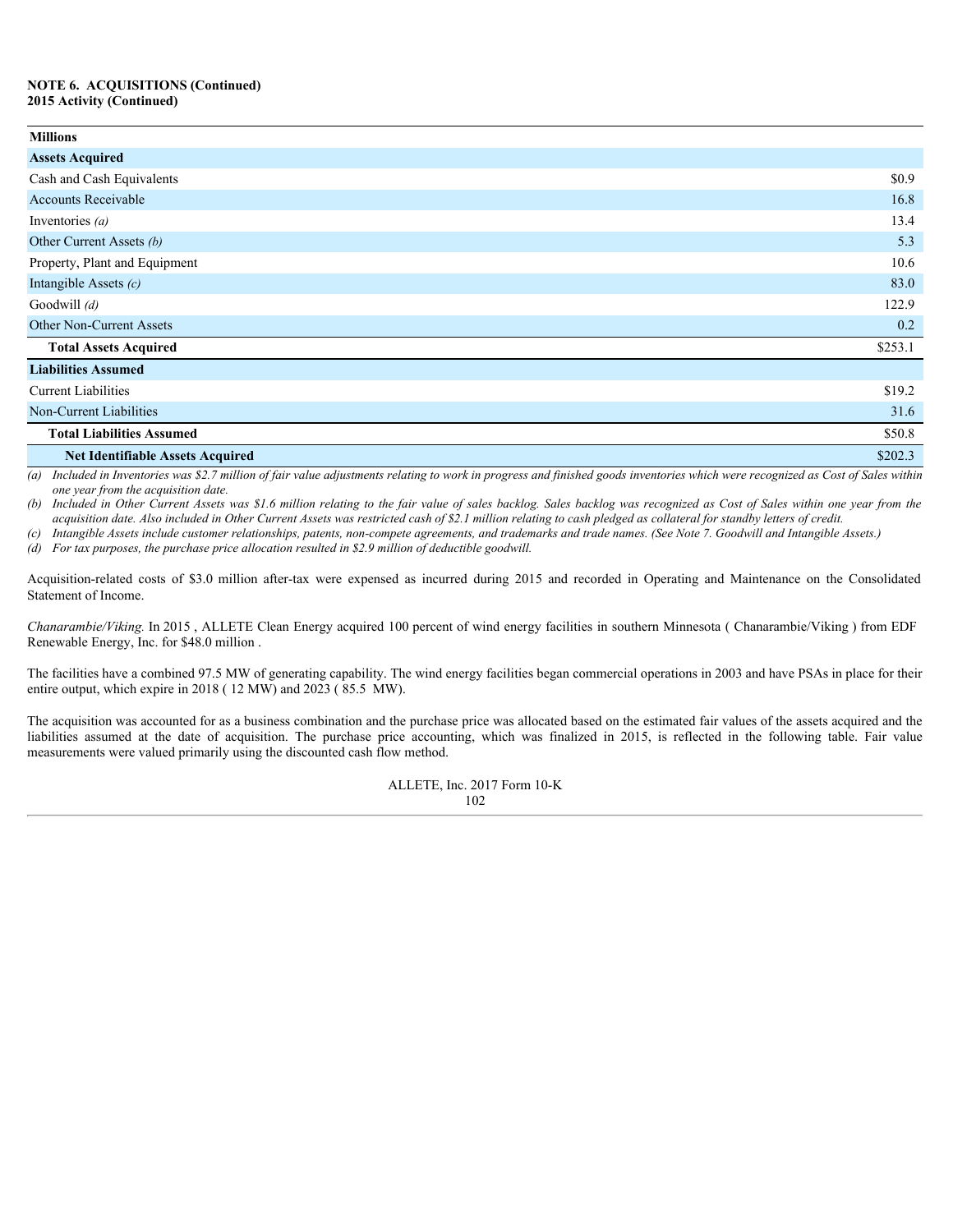#### **NOTE 6. ACQUISITIONS (Continued) 2015 Activity (Continued)**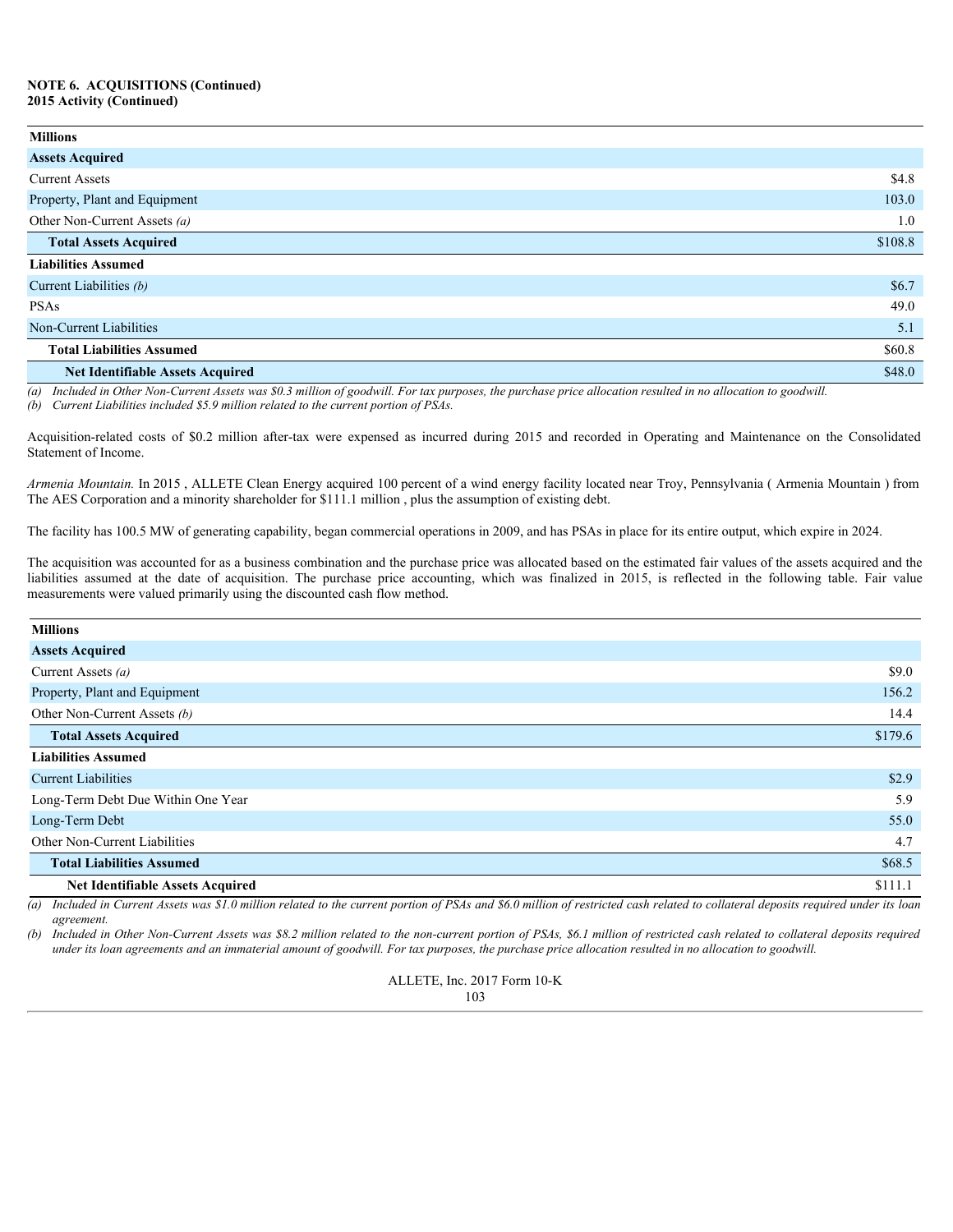#### **NOTE 6. ACQUISITIONS (Continued) 2015 Activity (Continued)**

| <b>NOTE 6. ACQUISITIONS (Continued)</b>                                                                                                                                                                                                                                                                                                                                                                        |         |
|----------------------------------------------------------------------------------------------------------------------------------------------------------------------------------------------------------------------------------------------------------------------------------------------------------------------------------------------------------------------------------------------------------------|---------|
| 2015 Activity (Continued)                                                                                                                                                                                                                                                                                                                                                                                      |         |
| <b>Millions</b>                                                                                                                                                                                                                                                                                                                                                                                                |         |
| <b>Assets Acquired</b>                                                                                                                                                                                                                                                                                                                                                                                         |         |
| <b>Current Assets</b>                                                                                                                                                                                                                                                                                                                                                                                          | \$4.8   |
| Property, Plant and Equipment                                                                                                                                                                                                                                                                                                                                                                                  | 103.0   |
| Other Non-Current Assets (a)                                                                                                                                                                                                                                                                                                                                                                                   | 1.0     |
| <b>Total Assets Acquired</b>                                                                                                                                                                                                                                                                                                                                                                                   | \$108.8 |
| <b>Liabilities Assumed</b>                                                                                                                                                                                                                                                                                                                                                                                     |         |
| Current Liabilities (b)                                                                                                                                                                                                                                                                                                                                                                                        | \$6.7   |
| <b>PSAs</b>                                                                                                                                                                                                                                                                                                                                                                                                    | 49.0    |
| Non-Current Liabilities                                                                                                                                                                                                                                                                                                                                                                                        | 5.1     |
| <b>Total Liabilities Assumed</b>                                                                                                                                                                                                                                                                                                                                                                               | \$60.8  |
| <b>Net Identifiable Assets Acquired</b>                                                                                                                                                                                                                                                                                                                                                                        | \$48.0  |
| (a) Included in Other Non-Current Assets was \$0.3 million of goodwill. For tax purposes, the purchase price allocation resulted in no allocation to goodwill.<br>(b) Current Liabilities included \$5.9 million related to the current portion of PSAs.                                                                                                                                                       |         |
| Acquisition-related costs of \$0.2 million after-tax were expensed as incurred during 2015 and recorded in Operating and Maintenance on the Consolidated<br>Statement of Income.                                                                                                                                                                                                                               |         |
| Armenia Mountain. In 2015, ALLETE Clean Energy acquired 100 percent of a wind energy facility located near Troy, Pennsylvania (Armenia Mountain) from<br>The AES Corporation and a minority shareholder for \$111.1 million, plus the assumption of existing debt.                                                                                                                                             |         |
| The facility has 100.5 MW of generating capability, began commercial operations in 2009, and has PSAs in place for its entire output, which expire in 2024.                                                                                                                                                                                                                                                    |         |
| The acquisition was accounted for as a business combination and the purchase price was allocated based on the estimated fair values of the assets acquired and the<br>liabilities assumed at the date of acquisition. The purchase price accounting, which was finalized in 2015, is reflected in the following table. Fair value<br>measurements were valued primarily using the discounted cash flow method. |         |
| <b>Millions</b>                                                                                                                                                                                                                                                                                                                                                                                                |         |
| <b>Assets Acquired</b>                                                                                                                                                                                                                                                                                                                                                                                         |         |
| Current Assets (a)                                                                                                                                                                                                                                                                                                                                                                                             | \$9.0   |
| Property, Plant and Equipment                                                                                                                                                                                                                                                                                                                                                                                  | 156.2   |
|                                                                                                                                                                                                                                                                                                                                                                                                                |         |

| <b>Millions</b>                         |         |
|-----------------------------------------|---------|
| <b>Assets Acquired</b>                  |         |
| Current Assets $(a)$                    | \$9.0   |
| Property, Plant and Equipment           | 156.2   |
| Other Non-Current Assets (b)            | 14.4    |
| <b>Total Assets Acquired</b>            | \$179.6 |
| <b>Liabilities Assumed</b>              |         |
| <b>Current Liabilities</b>              | \$2.9   |
| Long-Term Debt Due Within One Year      | 5.9     |
| Long-Term Debt                          | 55.0    |
| Other Non-Current Liabilities           | 4.7     |
| <b>Total Liabilities Assumed</b>        | \$68.5  |
| <b>Net Identifiable Assets Acquired</b> | \$111.1 |

*(a) Included in Current Assets was \$1.0 million related to the current portion of PSAs and \$6.0 million of restricted cash related to collateral deposits required under its loan agreement.*

*(b) Included in Other Non-Current Assets was \$8.2 million related to the non-current portion of PSAs, \$6.1 million of restricted cash related to collateral deposits required under its loan agreements and an immaterial amount of goodwill. For tax purposes, the purchase price allocation resulted in no allocation to goodwill.*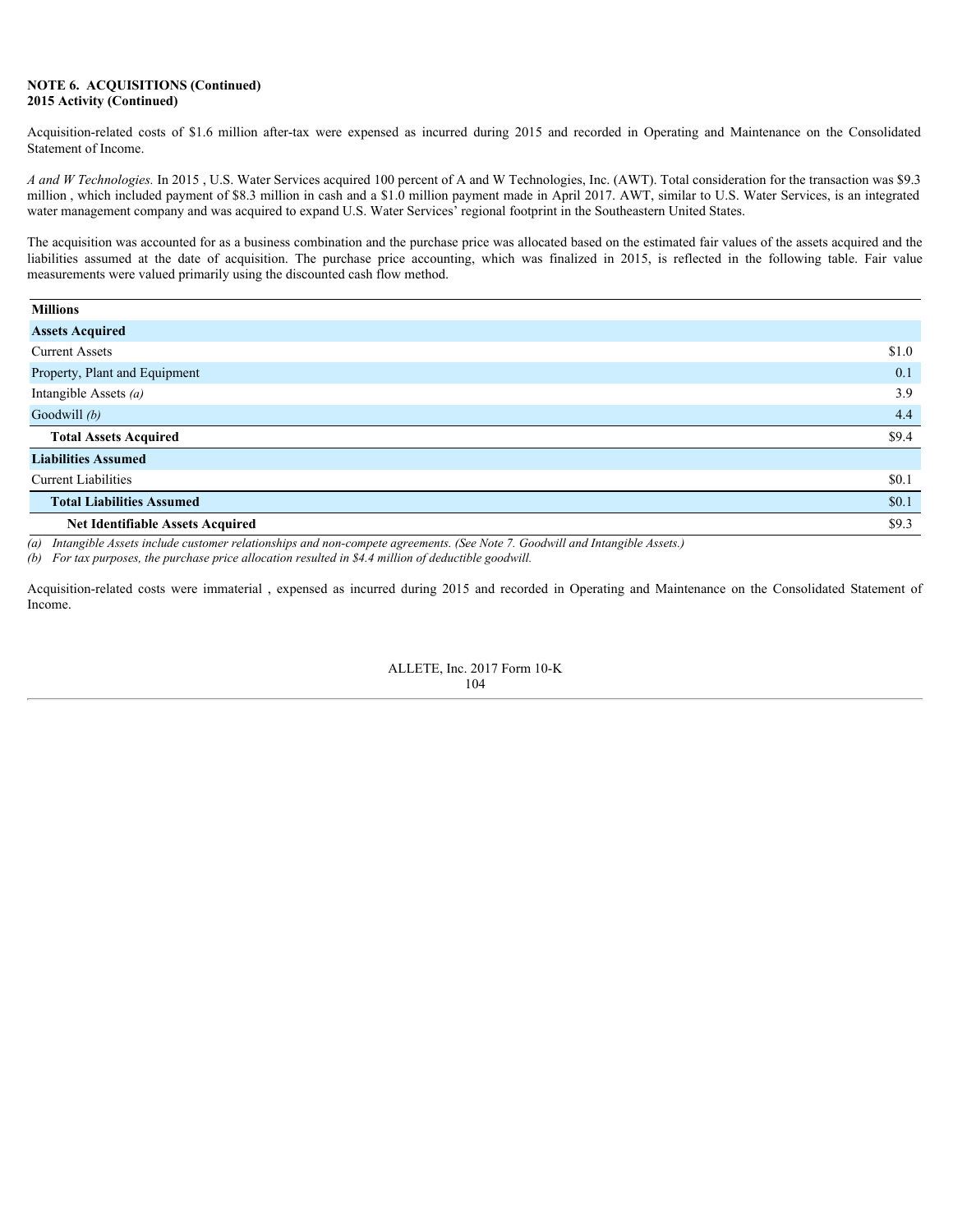#### **NOTE 6. ACQUISITIONS (Continued) 2015 Activity (Continued)**

**Acquisition-related costs of \$1.6 million after-tax were expensed as incurred during 2015 and recorded in Operating and Maintenance on the Consolidated Statement of Income.<br>A and W Technologies. In 2015, U.S. Water Servic** *A and W Technologies.* In 2015 , U.S. Water Services acquired 100 percent of A and W Technologies, Inc. (AWT). Total consideration for the transaction was \$9.3 million , which included payment of \$8.3 million in cash and a \$1.0 million payment made in April 2017. AWT, similar to U.S. Water Services, is an integrated water management company and was acquired to expand U.S. Water Services' regional footprint in the Southeastern United States.

| <b>NOTE 6. ACQUISITIONS (Continued)</b><br>2015 Activity (Continued)                                                                                                                                                                                                                                                                                                                                                                                               |                |
|--------------------------------------------------------------------------------------------------------------------------------------------------------------------------------------------------------------------------------------------------------------------------------------------------------------------------------------------------------------------------------------------------------------------------------------------------------------------|----------------|
| Acquisition-related costs of \$1.6 million after-tax were expensed as incurred during 2015 and recorded in Operating and Maintenance on the Consolidated<br>Statement of Income.                                                                                                                                                                                                                                                                                   |                |
| A and W Technologies. In 2015, U.S. Water Services acquired 100 percent of A and W Technologies, Inc. (AWT). Total consideration for the transaction was \$9.3<br>million, which included payment of \$8.3 million in cash and a \$1.0 million payment made in April 2017. AWT, similar to U.S. Water Services, is an integrated<br>water management company and was acquired to expand U.S. Water Services' regional footprint in the Southeastern United States. |                |
|                                                                                                                                                                                                                                                                                                                                                                                                                                                                    |                |
| The acquisition was accounted for as a business combination and the purchase price was allocated based on the estimated fair values of the assets acquired and the<br>liabilities assumed at the date of acquisition. The purchase price accounting, which was finalized in 2015, is reflected in the following table. Fair value<br>measurements were valued primarily using the discounted cash flow method.                                                     |                |
| <b>Millions</b>                                                                                                                                                                                                                                                                                                                                                                                                                                                    |                |
| <b>Assets Acquired</b>                                                                                                                                                                                                                                                                                                                                                                                                                                             |                |
| <b>Current Assets</b>                                                                                                                                                                                                                                                                                                                                                                                                                                              | \$1.0          |
| Property, Plant and Equipment                                                                                                                                                                                                                                                                                                                                                                                                                                      | 0.1            |
| Intangible Assets (a)                                                                                                                                                                                                                                                                                                                                                                                                                                              | 3.9            |
| Goodwill $(b)$                                                                                                                                                                                                                                                                                                                                                                                                                                                     | 4.4<br>\$94    |
| <b>Total Assets Acquired</b><br><b>Liabilities Assumed</b>                                                                                                                                                                                                                                                                                                                                                                                                         |                |
| <b>Current Liabilities</b>                                                                                                                                                                                                                                                                                                                                                                                                                                         |                |
| <b>Total Liabilities Assumed</b>                                                                                                                                                                                                                                                                                                                                                                                                                                   | \$0.1          |
|                                                                                                                                                                                                                                                                                                                                                                                                                                                                    | \$0.1<br>\$9.3 |
|                                                                                                                                                                                                                                                                                                                                                                                                                                                                    |                |
| <b>Net Identifiable Assets Acquired</b>                                                                                                                                                                                                                                                                                                                                                                                                                            |                |
|                                                                                                                                                                                                                                                                                                                                                                                                                                                                    |                |
|                                                                                                                                                                                                                                                                                                                                                                                                                                                                    |                |
| (a) Intangible Assets include customer relationships and non-compete agreements. (See Note 7. Goodwill and Intangible Assets.)<br>$(b)$ For tax purposes, the purchase price allocation resulted in \$4.4 million of deductible goodwill.<br>Acquisition-related costs were immaterial, expensed as incurred during 2015 and recorded in Operating and Maintenance on the Consolidated Statement of<br>Income.                                                     |                |
|                                                                                                                                                                                                                                                                                                                                                                                                                                                                    |                |
|                                                                                                                                                                                                                                                                                                                                                                                                                                                                    |                |
| ALLETE, Inc. 2017 Form 10-K                                                                                                                                                                                                                                                                                                                                                                                                                                        |                |
| 104                                                                                                                                                                                                                                                                                                                                                                                                                                                                |                |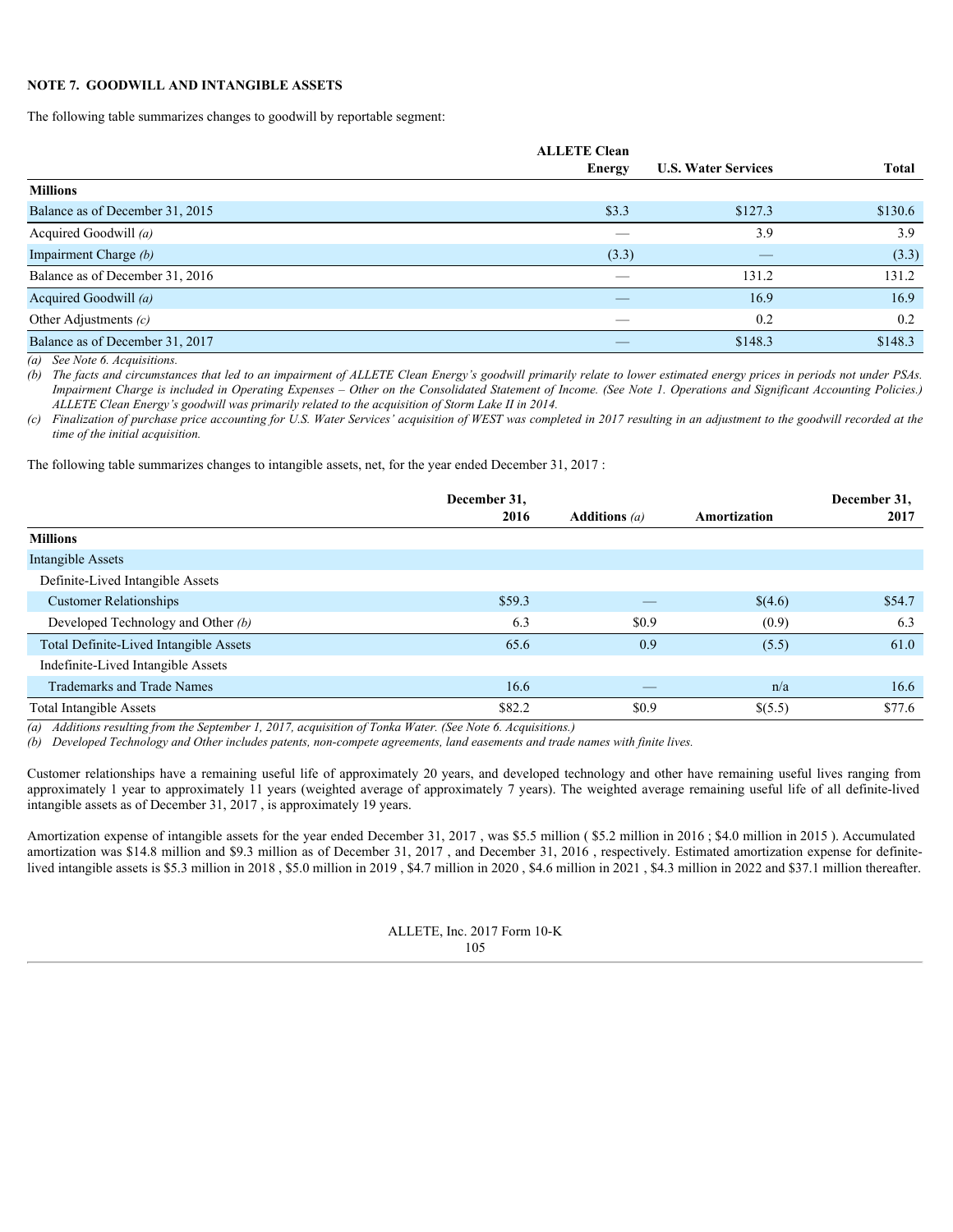#### **NOTE 7. GOODWILL AND INTANGIBLE ASSETS**

The following table summarizes changes to goodwill by reportable segment:

|                                 | <b>ALLETE Clean</b>             |                            |              |
|---------------------------------|---------------------------------|----------------------------|--------------|
|                                 | Energy                          | <b>U.S. Water Services</b> | <b>Total</b> |
| <b>Millions</b>                 |                                 |                            |              |
| Balance as of December 31, 2015 | \$3.3                           | \$127.3                    | \$130.6      |
| Acquired Goodwill (a)           | $\hspace{0.05cm}$               | 3.9                        | 3.9          |
| Impairment Charge (b)           | (3.3)                           | $\hspace{0.05cm}$          | (3.3)        |
| Balance as of December 31, 2016 |                                 | 131.2                      | 131.2        |
| Acquired Goodwill (a)           | $\hspace{0.1mm}-\hspace{0.1mm}$ | 16.9                       | 16.9         |
| Other Adjustments $(c)$         |                                 | 0.2                        | 0.2          |
| Balance as of December 31, 2017 |                                 | \$148.3                    | \$148.3      |

*(a) See Note 6. Acquisitions.*

*(b) The facts and circumstances that led to an impairment of ALLETE Clean Energy's goodwill primarily relate to lower estimated energy prices in periods not under PSAs. Impairment Charge is included in Operating Expenses – Other on the Consolidated Statement of Income. (See Note 1. Operations and Significant Accounting Policies.) ALLETE Clean Energy's goodwill was primarily related to the acquisition of Storm Lake II in 2014.*

*(c) Finalization of purchase price accounting for U.S. Water Services' acquisition of WEST was completed in 2017 resulting in an adjustment to the goodwill recorded at the time of the initial acquisition.*

The following table summarizes changes to intangible assets, net, for the year ended December 31, 2017 :

|                                        | December 31, |                                |              | December 31, |
|----------------------------------------|--------------|--------------------------------|--------------|--------------|
|                                        | 2016         | <b>Additions</b> (a)           | Amortization | 2017         |
| <b>Millions</b>                        |              |                                |              |              |
| Intangible Assets                      |              |                                |              |              |
| Definite-Lived Intangible Assets       |              |                                |              |              |
| <b>Customer Relationships</b>          | \$59.3       | $\overbrace{\phantom{aaaaa}}$  | \$(4.6)      | \$54.7       |
| Developed Technology and Other (b)     | 6.3          | \$0.9                          | (0.9)        | 6.3          |
| Total Definite-Lived Intangible Assets | 65.6         | 0.9                            | (5.5)        | 61.0         |
| Indefinite-Lived Intangible Assets     |              |                                |              |              |
| Trademarks and Trade Names             | 16.6         | $\overbrace{\hspace{25mm}}^{}$ | n/a          | 16.6         |
| <b>Total Intangible Assets</b>         | \$82.2       | \$0.9                          | \$(5.5)      | \$77.6       |

*(a) Additions resulting from the September 1, 2017, acquisition of Tonka Water. (See Note 6. Acquisitions.)*

*(b) Developed Technology and Other includes patents, non-compete agreements, land easements and trade names with finite lives.*

Customer relationships have a remaining useful life of approximately 20 years, and developed technology and other have remaining useful lives ranging from approximately 1 year to approximately 11 years (weighted average of approximately 7 years). The weighted average remaining useful life of all definite-lived intangible assets as of December 31, 2017 , is approximately 19 years.

Amortization expense of intangible assets for the year ended December 31, 2017 , was \$5.5 million ( \$5.2 million in 2016 ; \$4.0 million in 2015 ). Accumulated amortization was \$14.8 million and \$9.3 million as of December 31, 2017 , and December 31, 2016 , respectively. Estimated amortization expense for definitelived intangible assets is \$5.3 million in 2018 , \$5.0 million in 2019 , \$4.7 million in 2020 , \$4.6 million in 2021 , \$4.3 million in 2022 and \$37.1 million thereafter.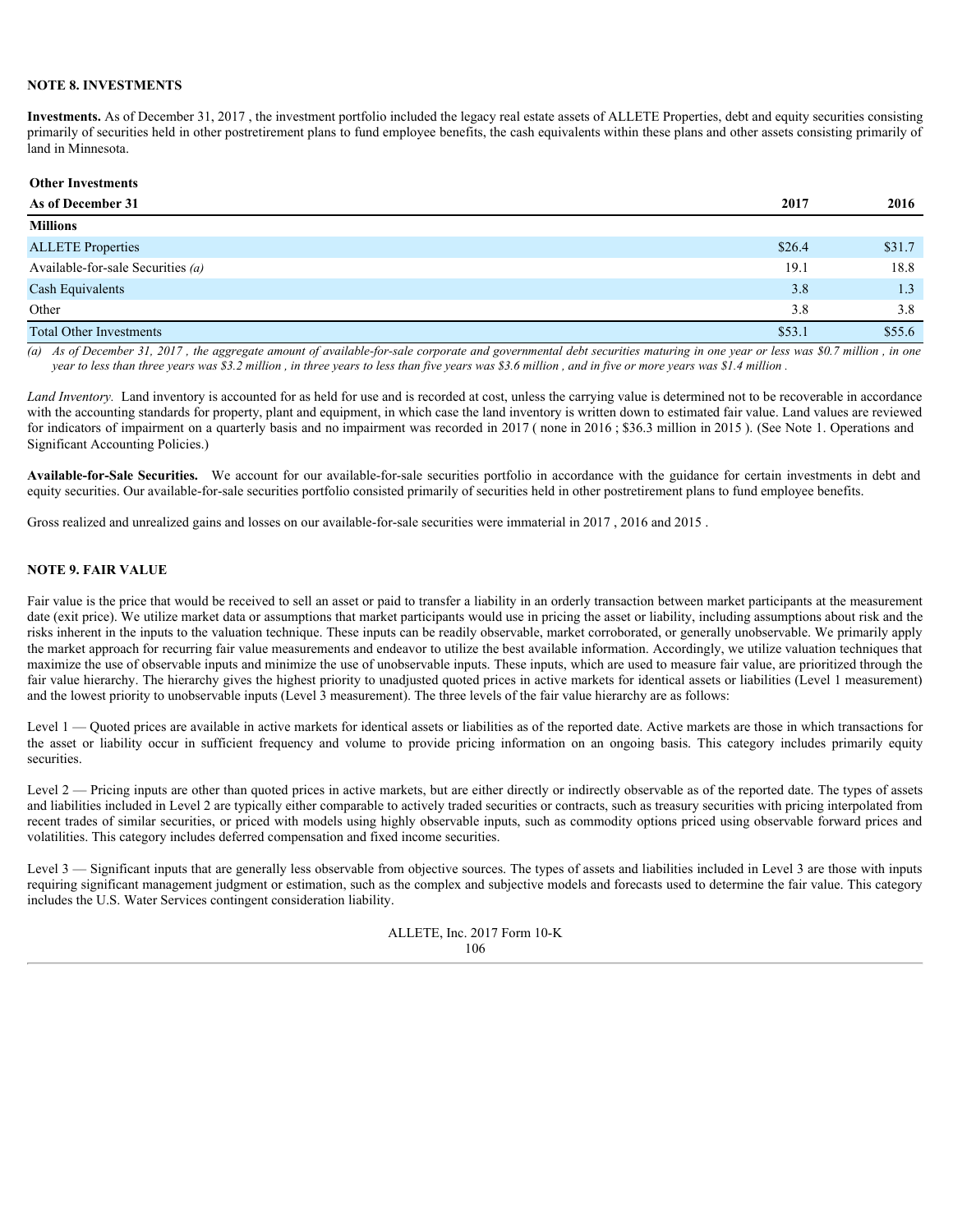## **NOTE 8. INVESTMENTS**

**Investments.** As of December 31, 2017 , the investment portfolio included the legacy real estate assets of ALLETE Properties, debt and equity securities consisting primarily of securities held in other postretirement plans to fund employee benefits, the cash equivalents within these plans and other assets consisting primarily of land in Minnesota.

#### **Other Investments**

#### **NOTE 9. FAIR VALUE**

Level 3 — Significant inputs that are generally less observable from objective sources. The types of assets and liabilities included in Level 3 are those with inputs requiring significant management judgment or estimation, such as the complex and subjective models and forecasts used to determine the fair value. This category includes the U.S. Water Services contingent consideration liability.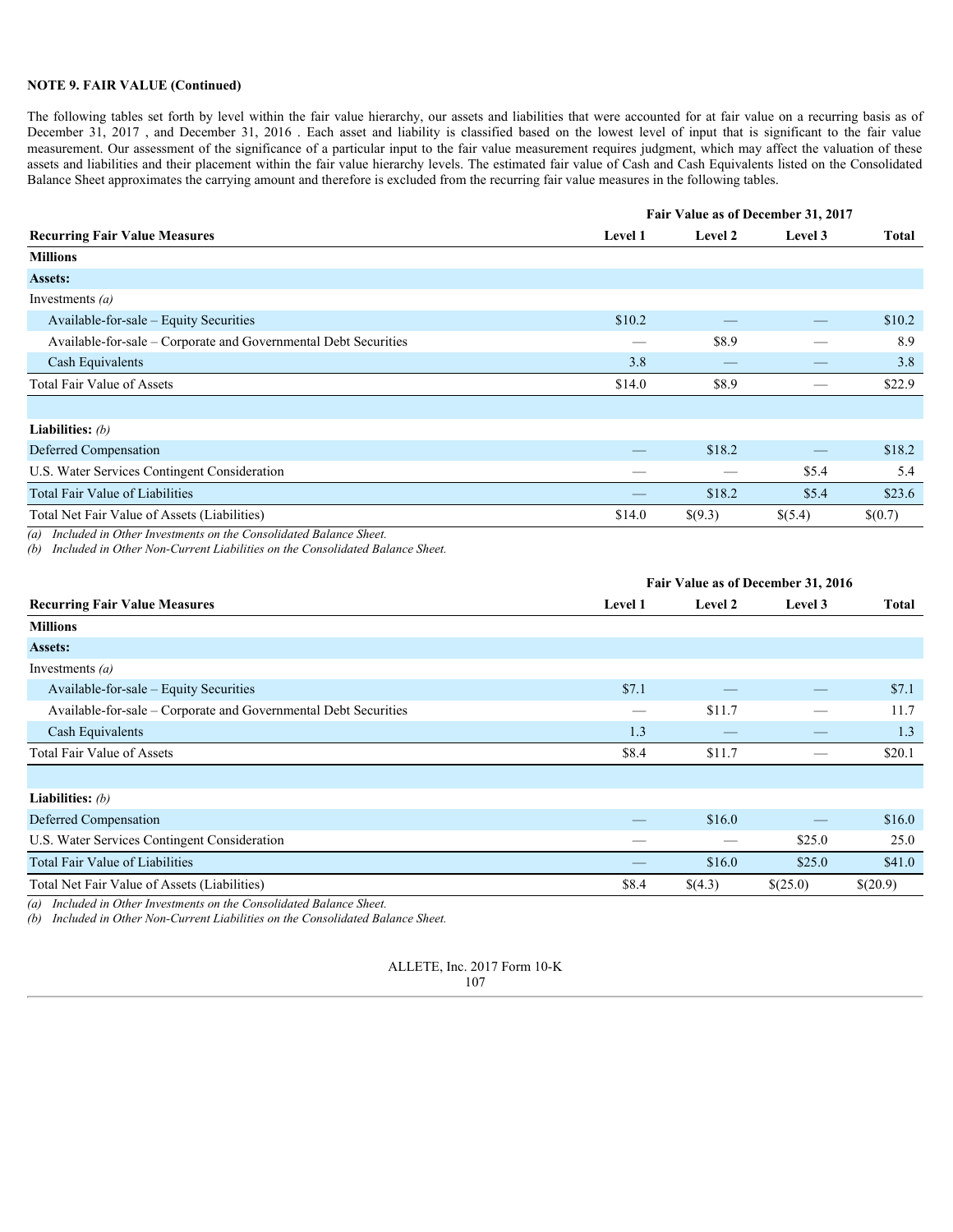# **NOTE 9. FAIR VALUE (Continued)**

The following tables set forth by level within the fair value hierarchy, our assets and liabilities that were accounted for at fair value on a recurring basis as of December 31, 2017, and December 31, 2016. Each asset and **NOTE 9. FAIR VALUE (Continued)**<br>
The following tables set forth by level within the fair value hierarchy, our assets and liabilities that were accounted for at fair value on a recurring basis as of<br>
December 31, 2017 , an measurement. Our assessment of the significance of a particular input to the fair value measurement requires judgment, which may affect the valuation of these assets and liabilities and their placement within the fair value hierarchy levels. The estimated fair value of Cash and Cash Equivalents listed on the Consolidated Balance Sheet approximates the carrying amount and therefore is excluded from the recurring fair value measures in the following tables.

|                                                                 |                   | Fair Value as of December 31, 2017 |                               |          |
|-----------------------------------------------------------------|-------------------|------------------------------------|-------------------------------|----------|
| <b>Recurring Fair Value Measures</b>                            | Level 1           | Level 2                            | Level 3                       | Total    |
| <b>Millions</b>                                                 |                   |                                    |                               |          |
| <b>Assets:</b>                                                  |                   |                                    |                               |          |
| Investments $(a)$                                               |                   |                                    |                               |          |
| Available-for-sale - Equity Securities                          | \$10.2\$          | $\hspace{0.05cm}$                  | $\overbrace{\phantom{13333}}$ | \$10.2\$ |
| Available-for-sale - Corporate and Governmental Debt Securities |                   | \$8.9                              |                               | 8.9      |
| Cash Equivalents                                                | 3.8               | $\hspace{0.05cm}$                  | $\overbrace{\phantom{13333}}$ | 3.8      |
| Total Fair Value of Assets                                      | \$14.0            | \$8.9                              | $\hspace{0.05cm}$             | \$22.9   |
|                                                                 |                   |                                    |                               |          |
| Liabilities: $(b)$                                              |                   |                                    |                               |          |
| Deferred Compensation                                           | $\qquad \qquad -$ | \$18.2                             |                               | \$18.2   |
| U.S. Water Services Contingent Consideration                    |                   | $\hspace{0.05cm}$                  | \$5.4                         | 5.4      |
| Total Fair Value of Liabilities                                 |                   | \$18.2                             | \$5.4                         | \$23.6   |
| Total Net Fair Value of Assets (Liabilities)                    | \$14.0            | \$(9.3)                            | \$(5.4)                       | \$(0.7)  |

*(a) Included in Other Investments on the Consolidated Balance Sheet.*

*(b) Included in Other Non-Current Liabilities on the Consolidated Balance Sheet.*

|                                                                 |         | Fair Value as of December 31, 2016 |                                |              |
|-----------------------------------------------------------------|---------|------------------------------------|--------------------------------|--------------|
| <b>Recurring Fair Value Measures</b>                            | Level 1 | Level 2                            | Level 3                        | <b>Total</b> |
| <b>Millions</b>                                                 |         |                                    |                                |              |
| Assets:                                                         |         |                                    |                                |              |
| Investments $(a)$                                               |         |                                    |                                |              |
| Available-for-sale - Equity Securities                          | \$7.1   | $\overline{\phantom{m}}$           |                                | \$7.1        |
| Available-for-sale - Corporate and Governmental Debt Securities |         | \$11.7                             | $\overbrace{\phantom{123321}}$ | 11.7         |
| Cash Equivalents                                                | 1.3     | $\hspace{0.05cm}$                  | $\overline{\phantom{0}}$       | 1.3          |
| Total Fair Value of Assets                                      | \$8.4   | \$11.7                             |                                | \$20.1       |
|                                                                 |         |                                    |                                |              |
| Liabilities: $(b)$                                              |         |                                    |                                |              |
| Deferred Compensation                                           |         | \$16.0                             | $\overline{\phantom{a}}$       | \$16.0       |
| U.S. Water Services Contingent Consideration                    |         | $\hspace{0.05cm}$                  | \$25.0                         | 25.0         |
| Total Fair Value of Liabilities                                 |         | \$16.0                             | \$25.0                         | \$41.0       |
| Total Net Fair Value of Assets (Liabilities)                    | \$8.4   | \$(4.3)                            | \$(25.0)                       | \$(20.9)     |
|                                                                 |         |                                    |                                |              |

*(a) Included in Other Investments on the Consolidated Balance Sheet.*

*(b) Included in Other Non-Current Liabilities on the Consolidated Balance Sheet.*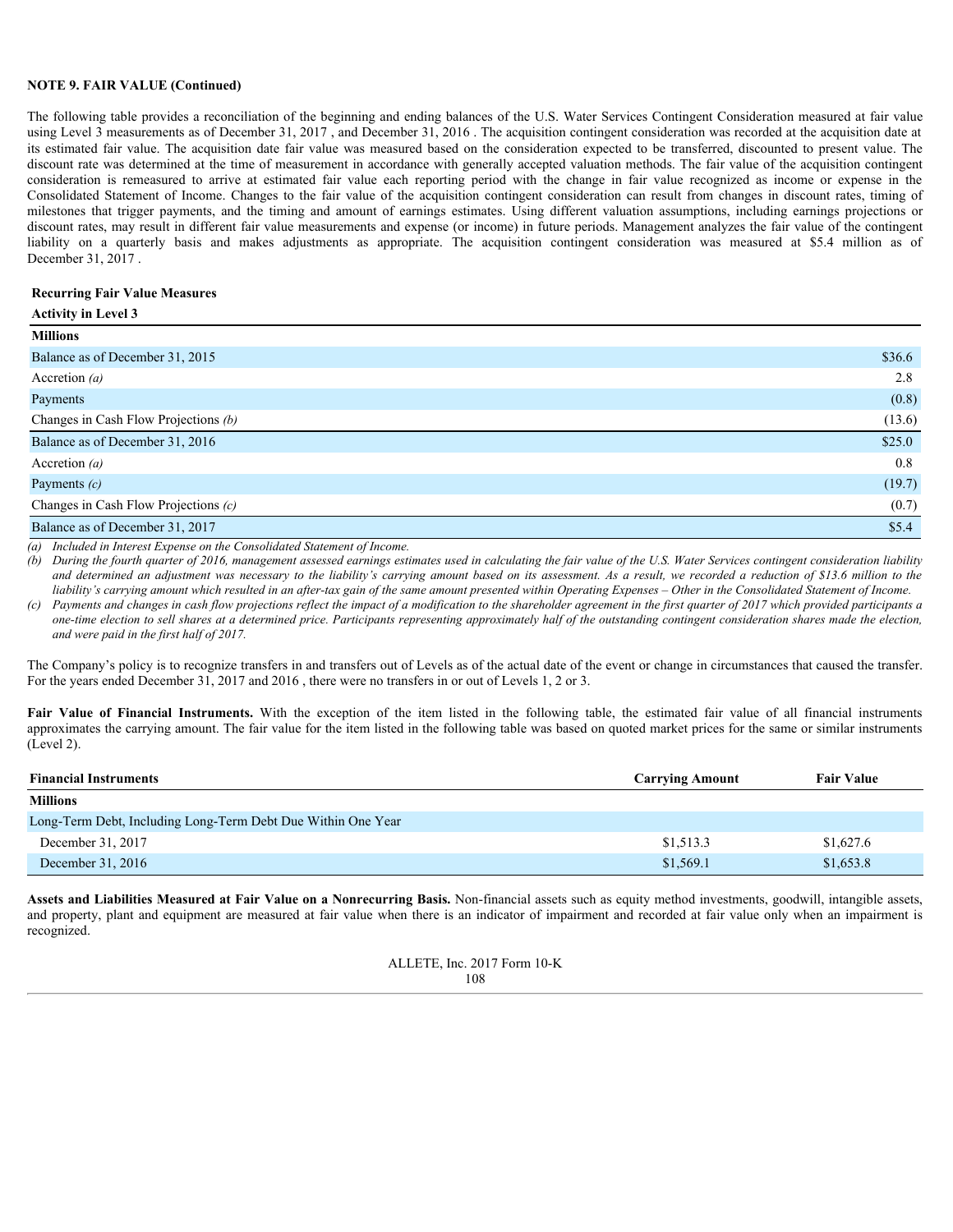#### **NOTE 9. FAIR VALUE (Continued)**

The following table provides a reconciliation of the beginning and ending balances of the U.S. Water Services Contingent Consideration measured at fair value using Level 3 measurements as of December 31, 2017 , and December 31, 2016 . The acquisition contingent consideration was recorded at the acquisition date at **NOTE 9. FAIR VALUE (Continued)**<br>The following table provides a reconciliation of the beginning and ending balances of the U.S. Water Services Contingent Consideration measured at fair value<br>is estimated fair value. The ac discount rate was determined at the time of measurement in accordance with generally accepted valuation methods. The fair value of the acquisition contingent **NOTE 9. FAIR VALUE (Continued)**<br>The following table provides a reconciliation of the beginning and ending balances of the U.S. Water Services Contingent Consideration measured at fair value<br>using Level 3 measurements as o **NOTE 9. FAIR VALUE (Continued)**<br>The following table provides a reconciliation of the beginning and ending balances of the U.S. Water Services Contingent Consideration measured at fair value<br>using Level 3 measurements as o **NOTE 9. FAIR VALUE (Continued)**<br>The following table provides a reconciliation of the beginning and ending balances of the U.S. Water Services Contingent Consideration measured at fair value<br>using Level 3 measurements as o discount rates, may result in different fair value measurements and expense (or income) in future periods. Management analyzes the fair value of the contingent **NOTE 9. FAIR VALUE (Continued)**<br>The following table provides a reconciliation of the beginning and ending balances of the U.S. Water Services Contingent Consideration measured at fair value<br>using Level 3 measurements as o December 31, 2017 .

# **Recurring Fair Value Measures**

| The following table provides a reconciliation of the beginning and ending balances of the U.S. Water Services Contingent Consideration measured at fair value<br>using Level 3 measurements as of December 31, 2017, and December 31, 2016. The acquisition contingent consideration was recorded at the acquisition date at<br>its estimated fair value. The acquisition date fair value was measured based on the consideration expected to be transferred, discounted to present value. The<br>discount rate was determined at the time of measurement in accordance with generally accepted valuation methods. The fair value of the acquisition contingent<br>consideration is remeasured to arrive at estimated fair value each reporting period with the change in fair value recognized as income or expense in the<br>Consolidated Statement of Income. Changes to the fair value of the acquisition contingent consideration can result from changes in discount rates, timing of<br>milestones that trigger payments, and the timing and amount of earnings estimates. Using different valuation assumptions, including earnings projections or<br>discount rates, may result in different fair value measurements and expense (or income) in future periods. Management analyzes the fair value of the contingent<br>liability on a quarterly basis and makes adjustments as appropriate. The acquisition contingent consideration was measured at \$5.4 million as of<br>December 31, 2017.                                                                                                                                                     |                        |                   |  |
|--------------------------------------------------------------------------------------------------------------------------------------------------------------------------------------------------------------------------------------------------------------------------------------------------------------------------------------------------------------------------------------------------------------------------------------------------------------------------------------------------------------------------------------------------------------------------------------------------------------------------------------------------------------------------------------------------------------------------------------------------------------------------------------------------------------------------------------------------------------------------------------------------------------------------------------------------------------------------------------------------------------------------------------------------------------------------------------------------------------------------------------------------------------------------------------------------------------------------------------------------------------------------------------------------------------------------------------------------------------------------------------------------------------------------------------------------------------------------------------------------------------------------------------------------------------------------------------------------------------------------------------------------------------|------------------------|-------------------|--|
| <b>Recurring Fair Value Measures</b>                                                                                                                                                                                                                                                                                                                                                                                                                                                                                                                                                                                                                                                                                                                                                                                                                                                                                                                                                                                                                                                                                                                                                                                                                                                                                                                                                                                                                                                                                                                                                                                                                         |                        |                   |  |
| <b>Activity in Level 3</b>                                                                                                                                                                                                                                                                                                                                                                                                                                                                                                                                                                                                                                                                                                                                                                                                                                                                                                                                                                                                                                                                                                                                                                                                                                                                                                                                                                                                                                                                                                                                                                                                                                   |                        |                   |  |
| <b>Millions</b>                                                                                                                                                                                                                                                                                                                                                                                                                                                                                                                                                                                                                                                                                                                                                                                                                                                                                                                                                                                                                                                                                                                                                                                                                                                                                                                                                                                                                                                                                                                                                                                                                                              |                        |                   |  |
| Balance as of December 31, 2015                                                                                                                                                                                                                                                                                                                                                                                                                                                                                                                                                                                                                                                                                                                                                                                                                                                                                                                                                                                                                                                                                                                                                                                                                                                                                                                                                                                                                                                                                                                                                                                                                              |                        | \$36.6            |  |
| Accretion $(a)$                                                                                                                                                                                                                                                                                                                                                                                                                                                                                                                                                                                                                                                                                                                                                                                                                                                                                                                                                                                                                                                                                                                                                                                                                                                                                                                                                                                                                                                                                                                                                                                                                                              |                        | 2.8               |  |
| Payments                                                                                                                                                                                                                                                                                                                                                                                                                                                                                                                                                                                                                                                                                                                                                                                                                                                                                                                                                                                                                                                                                                                                                                                                                                                                                                                                                                                                                                                                                                                                                                                                                                                     |                        | (0.8)             |  |
| Changes in Cash Flow Projections (b)                                                                                                                                                                                                                                                                                                                                                                                                                                                                                                                                                                                                                                                                                                                                                                                                                                                                                                                                                                                                                                                                                                                                                                                                                                                                                                                                                                                                                                                                                                                                                                                                                         |                        | (13.6)            |  |
| Balance as of December 31, 2016                                                                                                                                                                                                                                                                                                                                                                                                                                                                                                                                                                                                                                                                                                                                                                                                                                                                                                                                                                                                                                                                                                                                                                                                                                                                                                                                                                                                                                                                                                                                                                                                                              |                        | \$25.0            |  |
| Accretion $(a)$                                                                                                                                                                                                                                                                                                                                                                                                                                                                                                                                                                                                                                                                                                                                                                                                                                                                                                                                                                                                                                                                                                                                                                                                                                                                                                                                                                                                                                                                                                                                                                                                                                              |                        | 0.8               |  |
| Payments $(c)$                                                                                                                                                                                                                                                                                                                                                                                                                                                                                                                                                                                                                                                                                                                                                                                                                                                                                                                                                                                                                                                                                                                                                                                                                                                                                                                                                                                                                                                                                                                                                                                                                                               |                        | (19.7)            |  |
| Changes in Cash Flow Projections (c)                                                                                                                                                                                                                                                                                                                                                                                                                                                                                                                                                                                                                                                                                                                                                                                                                                                                                                                                                                                                                                                                                                                                                                                                                                                                                                                                                                                                                                                                                                                                                                                                                         |                        | (0.7)             |  |
| Balance as of December 31, 2017                                                                                                                                                                                                                                                                                                                                                                                                                                                                                                                                                                                                                                                                                                                                                                                                                                                                                                                                                                                                                                                                                                                                                                                                                                                                                                                                                                                                                                                                                                                                                                                                                              |                        | \$5.4             |  |
| (a) Included in Interest Expense on the Consolidated Statement of Income.<br>(b) During the fourth quarter of 2016, management assessed earnings estimates used in calculating the fair value of the U.S. Water Services contingent consideration liability<br>and determined an adjustment was necessary to the liability's carrying amount based on its assessment. As a result, we recorded a reduction of \$13.6 million to the<br>liability's carrying amount which resulted in an after-tax gain of the same amount presented within Operating Expenses - Other in the Consolidated Statement of Income.<br>(c) Payments and changes in cash flow projections reflect the impact of a modification to the shareholder agreement in the first quarter of 2017 which provided participants a<br>one-time election to sell shares at a determined price. Participants representing approximately half of the outstanding contingent consideration shares made the election,<br>and were paid in the first half of 2017.<br>The Company's policy is to recognize transfers in and transfers out of Levels as of the actual date of the event or change in circumstances that caused the transfer.<br>For the years ended December 31, 2017 and 2016, there were no transfers in or out of Levels 1, 2 or 3.<br>Fair Value of Financial Instruments. With the exception of the item listed in the following table, the estimated fair value of all financial instruments<br>approximates the carrying amount. The fair value for the item listed in the following table was based on quoted market prices for the same or similar instruments<br>(Level 2). |                        |                   |  |
| <b>Financial Instruments</b>                                                                                                                                                                                                                                                                                                                                                                                                                                                                                                                                                                                                                                                                                                                                                                                                                                                                                                                                                                                                                                                                                                                                                                                                                                                                                                                                                                                                                                                                                                                                                                                                                                 | <b>Carrying Amount</b> | <b>Fair Value</b> |  |
| <b>Millions</b>                                                                                                                                                                                                                                                                                                                                                                                                                                                                                                                                                                                                                                                                                                                                                                                                                                                                                                                                                                                                                                                                                                                                                                                                                                                                                                                                                                                                                                                                                                                                                                                                                                              |                        |                   |  |
| Long-Term Debt, Including Long-Term Debt Due Within One Year                                                                                                                                                                                                                                                                                                                                                                                                                                                                                                                                                                                                                                                                                                                                                                                                                                                                                                                                                                                                                                                                                                                                                                                                                                                                                                                                                                                                                                                                                                                                                                                                 |                        |                   |  |
| Dogombor 21, 2017                                                                                                                                                                                                                                                                                                                                                                                                                                                                                                                                                                                                                                                                                                                                                                                                                                                                                                                                                                                                                                                                                                                                                                                                                                                                                                                                                                                                                                                                                                                                                                                                                                            | 015122                 | 016276            |  |

| <b>Financial Instruments</b>                                 | Carrving Amount | <b>Fair Value</b> |
|--------------------------------------------------------------|-----------------|-------------------|
| <b>Millions</b>                                              |                 |                   |
| Long-Term Debt, Including Long-Term Debt Due Within One Year |                 |                   |
| December 31, 2017                                            | \$1,513.3       | \$1,627.6         |
| December 31, 2016                                            | \$1,569.1       | \$1,653.8         |

**Assets and Liabilities Measured at Fair Value on a Nonrecurring Basis.** Non-financial assets such as equity method investments, goodwill, intangible assets, and property, plant and equipment are measured at fair value when there is an indicator of impairment and recorded at fair value only when an impairment is recognized.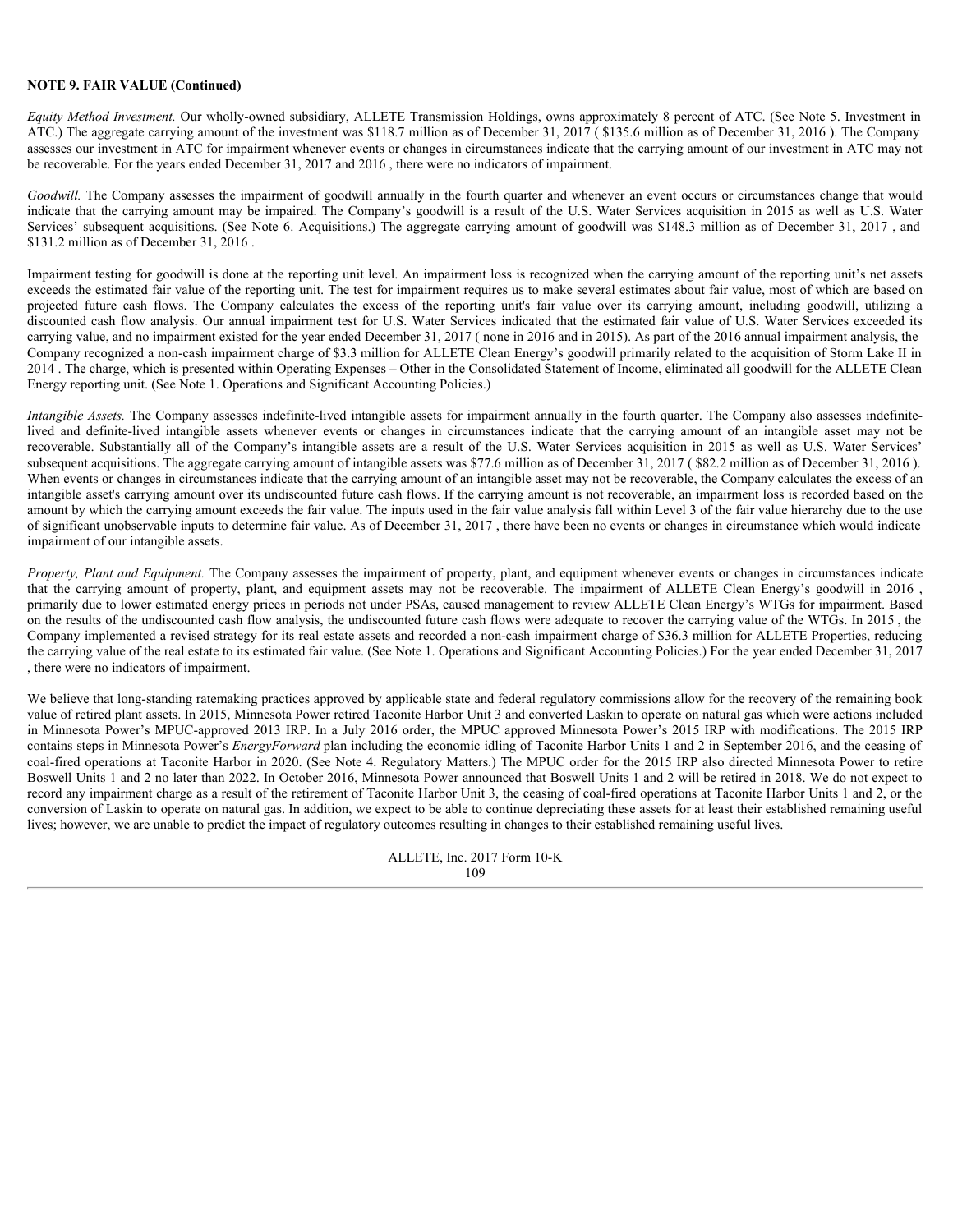#### **NOTE 9. FAIR VALUE (Continued)**

*Equity Method Investment.* Our wholly-owned subsidiary, ALLETE Transmission Holdings, owns approximately 8 percent of ATC. (See Note 5. Investment in ATC.) The aggregate carrying amount of the investment was \$118.7 million as of December 31, 2017 ( \$135.6 million as of December 31, 2016 ). The Company assesses our investment in ATC for impairment whenever events or changes in circumstances indicate that the carrying amount of our investment in ATC may not be recoverable. For the years ended December 31, 2017 and 2016 , there were no indicators of impairment.

Goodwill. The Company assesses the impairment of goodwill annually in the fourth quarter and whenever an event occurs or circumstances change that would indicate that the carrying amount may be impaired. The Company's goodwill is a result of the U.S. Water Services acquisition in 2015 as well as U.S. Water Services' subsequent acquisitions. (See Note 6. Acquisitions.) The \$131.2 million as of December 31, 2016 .

**NOTE 9. FAIR VALUE (Continued)**<br> *Equity Method Investment*. Our wholly-owned subsidiary, ALLETE Transmission Holdings. owns approximately 8 percent of ATC. (See Note 5. Investment in<br>
ATC.) The aggregate carrying amount Impairment testing for goodwill is done at the reporting unit level. An impairment loss is recognized when the carrying amount of the reporting unit's net assets exceeds the estimated fair value of the reporting unit. The test for impairment requires us to make several estimates about fair value, most of which are based on NOTE 9. FAIR VALUE (Continued)<br>*Equip Method Investment*: Our vholdy-owned subsidiary, ALLETE Transmission Holdings, owns approximately *S* precent of ATC. (See Note 5 Investment in<br>assession to regregenment in ATC for im discounted cash flow analysis. Our annual impairment test for U.S. Water Services indicated that the estimated fair value of U.S. Water Services exceeded its carrying value, and no impairment existed for the year ended December 31, 2017 ( none in 2016 and in 2015). As part of the 2016 annual impairment analysis, the Company recognized a non-cash impairment charge of \$3.3 million for ALLETE Clean Energy's goodwill primarily related to the acquisition of Storm Lake II in 2014 . The charge, which is presented within Operating Expenses – Other in the Consolidated Statement of Income, eliminated all goodwill for the ALLETE Clean Energy reporting unit. (See Note 1. Operations and Significant Accounting Policies.)

*Intangible Assets.* The Company assesses indefinite-lived intangible assets for impairment annually in the fourth quarter. The Company also assesses indefinite-**EVITE 9. FAIR VALUE (Continued)**<br> *Equity Method Investment.* On wholly-owned ankidingy, ALLETE Transmission Holdings, owes approximately & pecent of ATC. (See Note 5. Investment in<br>
ATC.) The aggregate carrying amount of **EVICE 9. FAIR VALUE (Continued)**<br>Equity Media directments Our whole-yound substanty. ALLETE Transmission Heldings, owes apposituately 8 percent of ATC. (See Nets. 5. Investment in 2016). The Company and Society The Compan subsequent acquisitions. The aggregate carrying amount of intangible assets was \$77.6 million as of December 31, 2017 ( \$82.2 million as of December 31, 2016 ). When events or changes in circumstances indicate that the carrying amount of an intangible asset may not be recoverable, the Company calculates the excess of an intangible asset's carrying amount over its undiscounted future cash flows. If the carrying amount is not recoverable, an impairment loss is recorded based on the amount by which the carrying amount exceeds the fair value. The inputs used in the fair value analysis fall within Level 3 of the fair value hierarchy due to the use of significant unobservable inputs to determine fair value. As of December 31, 2017 , there have been no events or changes in circumstance which would indicate impairment of our intangible assets. NOTE 9, FAIR VALUE (Continued)<br>
NOTE 9, FAIR VALUE (Continued)<br>
Equipy Added Are continued to which continued in the same in the same of the same of the same of the same of the same in the same of the same of the same of

*Property, Plant and Equipment*. The Company assesses the impairment of property, plant, and equipment whenever events or changes in circumstances indicate that the carrying amount of property, plant, and equipment assets on the results of the undiscounted cash flow analysis, the undiscounted future cash flows were adequate to recover the carrying value of the WTGs. In 2015 , the Company implemented a revised strategy for its real estate assets and recorded a non-cash impairment charge of \$36.3 million for ALLETE Properties, reducing the carrying value of the real estate to its estimated fair value. (See Note 1. Operations and Significant Accounting Policies.) For the year ended December 31, 2017 , there were no indicators of impairment.

We believe that long-standing ratemaking practices approved by applicable state and federal regulatory commissions allow for the recovery of the remaining book value of retired plant assets. In 2015, Minnesota Power retired Taconite Harbor Unit 3 and converted Laskin to operate on natural gas which were actions included in Minnesota Power's MPUC-approved 2013 IRP. In a July 2016 order, the MPUC approved Minnesota Power's 2015 IRP with modifications. The 2015 IRP contains steps in Minnesota Power's *EnergyForward* plan including the economic idling of Taconite Harbor Units 1 and 2 in September 2016, and the ceasing of coal-fired operations at Taconite Harbor in 2020. (See Note 4. Regulatory Matters.) The MPUC order for the 2015 IRP also directed Minnesota Power to retire Boswell Units 1 and 2 no later than 2022. In October 2016, Minnesota Power announced that Boswell Units 1 and 2 will be retired in 2018. We do not expect to record any impairment charge as a result of the retirement of Taconite Harbor Unit 3, the ceasing of coal-fired operations at Taconite Harbor Units 1 and 2, or the conversion of Laskin to operate on natural gas. In addition, we expect to be able to continue depreciating these assets for at least their established remaining useful lives; however, we are unable to predict the impact of regulatory outcomes resulting in changes to their established remaining useful lives.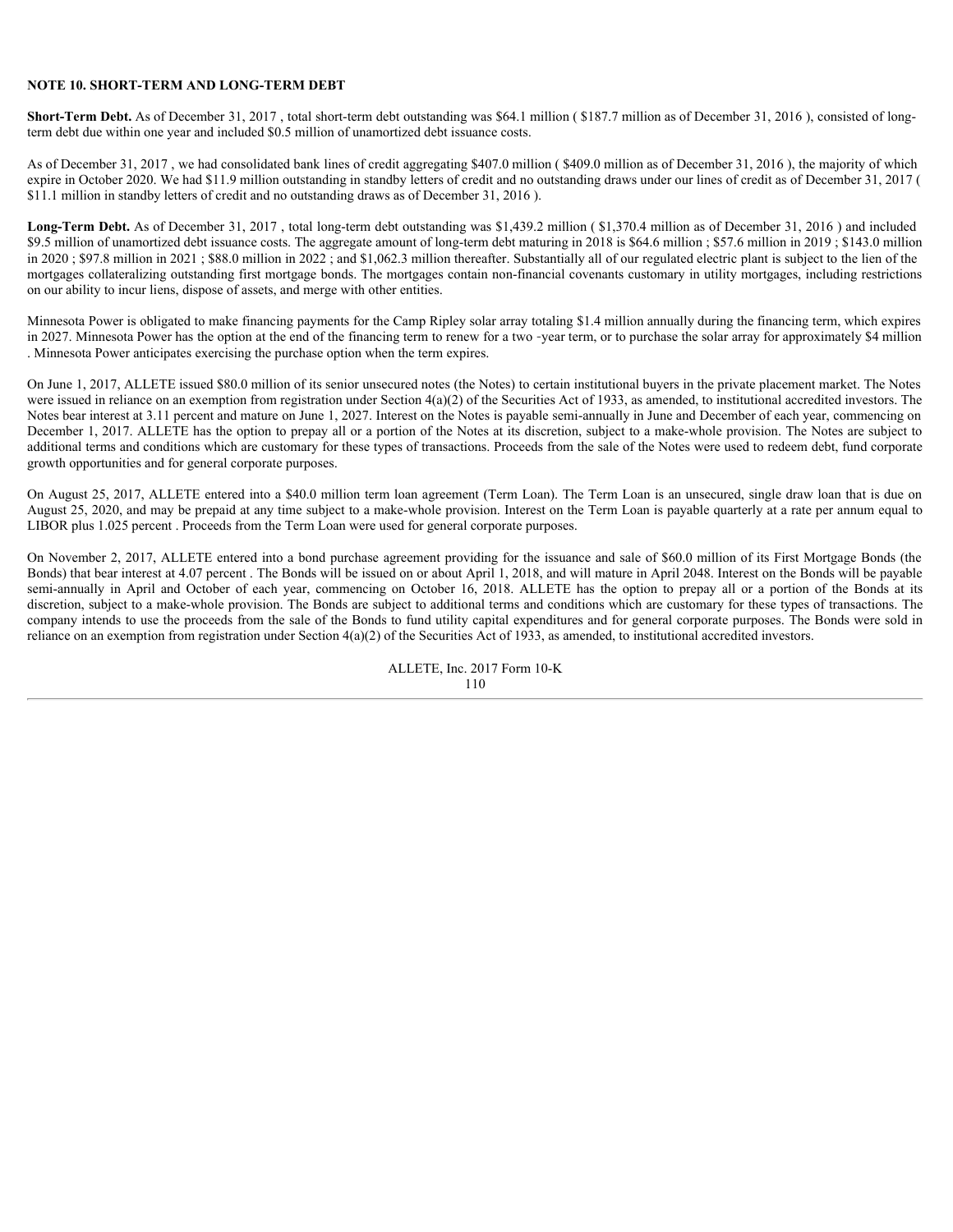# **NOTE 10. SHORT-TERM AND LONG-TERM DEBT**

**Short-Term Debt.** As of December 31, 2017 , total short-term debt outstanding was \$64.1 million ( \$187.7 million as of December 31, 2016 ), consisted of longterm debt due within one year and included \$0.5 million of unamortized debt issuance costs.

As of December 31, 2017 , we had consolidated bank lines of credit aggregating \$407.0 million ( \$409.0 million as of December 31, 2016 ), the majority of which expire in October 2020. We had \$11.9 million outstanding in standby letters of credit and no outstanding draws under our lines of credit as of December 31, 2017 ( \$11.1 million in standby letters of credit and no outstanding draws as of December 31, 2016).

Long-Term Debt. As of December 31, 2017, total long-term debt outstanding was \$1,439.2 million (\$1,370.4 million as of December 31, 2016) and included \$9.5 million of unamortized debt issuance costs. The aggregate amount of long-term debt maturing in 2018 is \$64.6 million : \$57.6 million in 2019 ; \$143.0 million in 2020 ; \$97.8 million in 2021 ; \$88.0 million in 2022 ; and \$1,062.3 million thereafter. Substantially all of our regulated electric plant is subject to the lien of the mortgages collateralizing outstanding first mortgage bonds. The mortgages contain non-financial covenants customary in utility mortgages, including restrictions on our ability to incur liens, dispose of assets, and merge with other entities.

Minnesota Power is obligated to make financing payments for the Camp Ripley solar array totaling \$1.4 million annually during the financing term, which expires in 2027. Minnesota Power has the option at the end of the financing term to renew for a two -vear term, or to purchase the solar array for approximately \$4 million . Minnesota Power anticipates exercising the purchase option when the term expires.

On June 1, 2017, ALLETE issued \$80.0 million of its senior unsecured notes (the Notes) to certain institutional buyers in the private placement market. The Notes were issued in reliance on an exemption from registration under Section  $4(a)(2)$  of the Securities Act of 1933, as amended, to institutional accredited investors. The Notes bear interest at 3.11 percent and mature on June 1, 2027. Interest on the Notes is payable semi-annually in June and December of each year, commencing on December 1, 2017. ALLETE has the option to prepay all or a portion of the Notes at its discretion, subject to a make-whole provision. The Notes are subject to additional terms and conditions which are customary for these types of transactions. Proceeds from the sale of the Notes were used to redeem debt, fund corporate growth opportunities and for general corporate purposes.

On August 25, 2017, ALLETE entered into a \$40.0 million term loan agreement (Term Loan). The Term Loan is an unsecured, single draw loan that is due on August 25, 2020, and may be prepaid at any time subject to a make-whole provision. Interest on the Term Loan is payable quarterly at a rate per annum equal to LIBOR plus 1.025 percent . Proceeds from the Term Loan were used for general corporate purposes.

On November 2, 2017, ALLETE entered into a bond purchase agreement providing for the issuance and sale of \$60.0 million of its First Mortgage Bonds (the Bonds) that bear interest at 4.07 percent . The Bonds will be issued on or about April 1, 2018, and will mature in April 2048. Interest on the Bonds will be payable semi-annually in April and October of each year, commenci NOTE 10. SHORT-TERM AND LONG-TERM DERT<br>Share-Term Dobt, And Tosomber 1, 2017, but) and star-term debt outsined up and October (5187.7 millions of December 31, 2016), the similar of each year.<br>But of Clocacions 11, 2017, we discretion, subject to a make-whole provision. The Bonds are subject to additional terms and conditions which are customary for these types of transactions. The company intends to use the proceeds from the sale of the Bonds to fund utility capital expenditures and for general corporate purposes. The Bonds were sold in reliance on an exemption from registration under Section 4(a)(2) of the Securities Act of 1933, as amended, to institutional accredited investors.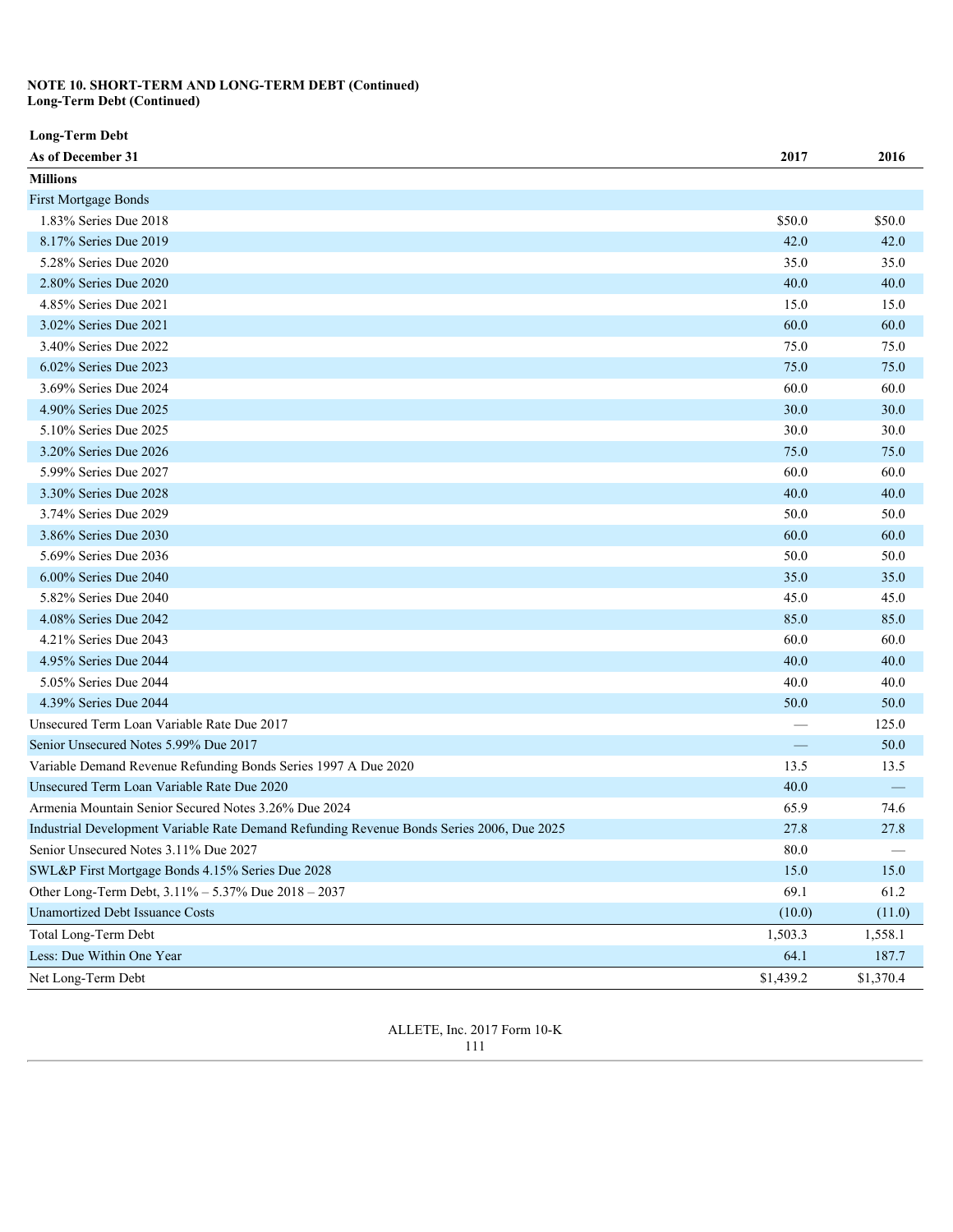#### **NOTE 10. SHORT-TERM AND LONG-TERM DEBT (Continued) Long-Term Debt (Continued)**

**Long-Term Debt**

| As of December 31                                                                         | 2017                            | 2016                          |
|-------------------------------------------------------------------------------------------|---------------------------------|-------------------------------|
| <b>Millions</b>                                                                           |                                 |                               |
| First Mortgage Bonds                                                                      |                                 |                               |
| 1.83% Series Due 2018                                                                     | \$50.0                          | \$50.0                        |
| 8.17% Series Due 2019                                                                     | 42.0                            | 42.0                          |
| 5.28% Series Due 2020                                                                     | 35.0                            | 35.0                          |
| 2.80% Series Due 2020                                                                     | 40.0                            | 40.0                          |
| 4.85% Series Due 2021                                                                     | 15.0                            | 15.0                          |
| 3.02% Series Due 2021                                                                     | 60.0                            | 60.0                          |
| 3.40% Series Due 2022                                                                     | 75.0                            | 75.0                          |
| 6.02% Series Due 2023                                                                     | 75.0                            | 75.0                          |
| 3.69% Series Due 2024                                                                     | 60.0                            | 60.0                          |
| 4.90% Series Due 2025                                                                     | 30.0                            | 30.0                          |
| 5.10% Series Due 2025                                                                     | 30.0                            | 30.0                          |
| 3.20% Series Due 2026                                                                     | 75.0                            | 75.0                          |
| 5.99% Series Due 2027                                                                     | 60.0                            | 60.0                          |
| 3.30% Series Due 2028                                                                     | 40.0                            | 40.0                          |
| 3.74% Series Due 2029                                                                     | 50.0                            | 50.0                          |
| 3.86% Series Due 2030                                                                     | 60.0                            | 60.0                          |
| 5.69% Series Due 2036                                                                     | 50.0                            | 50.0                          |
| 6.00% Series Due 2040                                                                     | 35.0                            | 35.0                          |
| 5.82% Series Due 2040                                                                     | 45.0                            | 45.0                          |
| 4.08% Series Due 2042                                                                     | 85.0                            | 85.0                          |
| 4.21% Series Due 2043                                                                     | 60.0                            | 60.0                          |
| 4.95% Series Due 2044                                                                     | 40.0                            | 40.0                          |
| 5.05% Series Due 2044                                                                     | 40.0                            | 40.0                          |
| 4.39% Series Due 2044                                                                     | 50.0                            | 50.0                          |
| Unsecured Term Loan Variable Rate Due 2017                                                | $\hspace{0.1mm}-\hspace{0.1mm}$ | 125.0                         |
| Senior Unsecured Notes 5.99% Due 2017                                                     | $\hspace{0.1mm}-\hspace{0.1mm}$ | 50.0                          |
| Variable Demand Revenue Refunding Bonds Series 1997 A Due 2020                            | 13.5                            | 13.5                          |
| Unsecured Term Loan Variable Rate Due 2020                                                | 40.0                            | $\overline{\phantom{a}}$      |
| Armenia Mountain Senior Secured Notes 3.26% Due 2024                                      | 65.9                            | 74.6                          |
| Industrial Development Variable Rate Demand Refunding Revenue Bonds Series 2006, Due 2025 | 27.8                            | 27.8                          |
| Senior Unsecured Notes 3.11% Due 2027                                                     | 80.0                            | $\overbrace{\phantom{aaaaa}}$ |
| SWL&P First Mortgage Bonds 4.15% Series Due 2028                                          | 15.0                            | 15.0                          |
| Other Long-Term Debt, 3.11% - 5.37% Due 2018 - 2037                                       | 69.1                            | 61.2                          |
| <b>Unamortized Debt Issuance Costs</b>                                                    | (10.0)                          | (11.0)                        |
| Total Long-Term Debt                                                                      | 1,503.3                         | 1,558.1                       |
| Less: Due Within One Year                                                                 | 64.1                            | 187.7                         |
| Net Long-Term Debt                                                                        | \$1,439.2                       | \$1,370.4                     |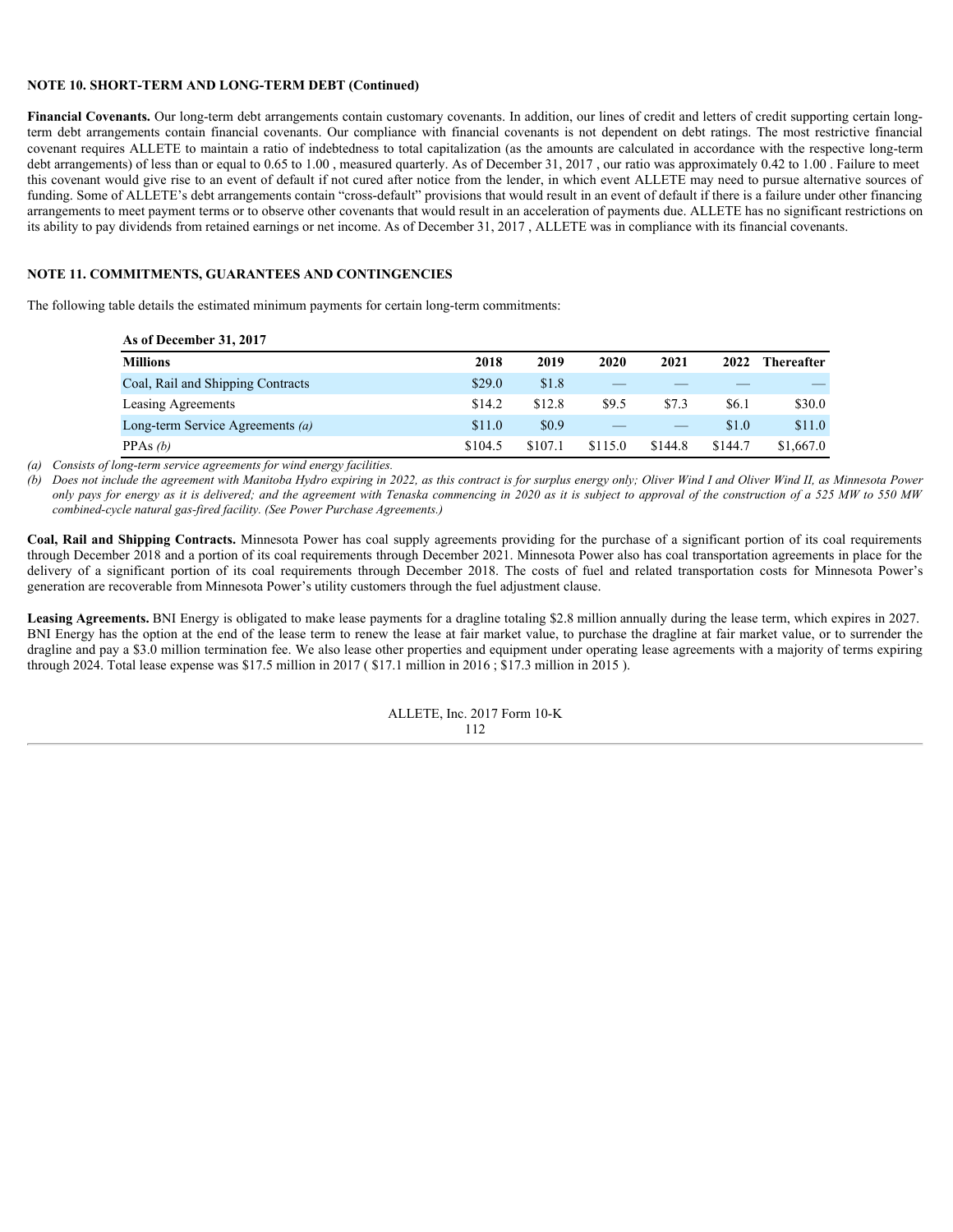#### **NOTE 10. SHORT-TERM AND LONG-TERM DEBT (Continued)**

Financial Covenants. Our long-term debt arrangements contain customary covenants. In addition, our lines of credit and letters of credit supporting certain long-**Financial Covenants.** Our long-term debt arrangements contain customary eovenants. In addition, our lines of credit and letters of credit supporting certain long-<br>term debt arrangements contain financial covenants. Our co covenant requires ALLETE to maintain a ratio of indebtedness to total capitalization (as the amounts are calculated in accordance with the respective long-term debt arrangements) of less than or equal to 0.65 to 1.00, measured quarterly. As of December 31, 2017, our ratio was approximately 0.42 to 1.00. Failure to meet this covenant would give rise to an event of default if not cured after notice from the lender, in which event ALLETE may need to pursue alternative sources of funding. Some of ALLETE's debt arrangements contain "cross-default" provisions that would result in an event of default if there is a failure under other financing arrangements to meet payment terms or to observe other covenants that would result in an acceleration of payments due. ALLETE has no significant restrictions on its ability to pay dividends from retained earnings or net income. As of December 31, 2017 , ALLETE was in compliance with its financial covenants. NOTE 10. SIORT-TERM AND LONG-TERM DEBT (Continued)<br>
Financial Corearant, Oar leagues and requirements and requirements to a significant content portion of its coal requirements of the costs of the costs of the costs of th

# **NOTE 11. COMMITMENTS, GUARANTEES AND CONTINGENCIES**

The following table details the estimated minimum payments for certain long-term commitments:

| As of December 31, 2017           |         |        |                   |                   |         |            |
|-----------------------------------|---------|--------|-------------------|-------------------|---------|------------|
| <b>Millions</b>                   | 2018    | 2019   | 2020              | 2021              | 2022    | Thereafter |
| Coal, Rail and Shipping Contracts | \$29.0  | \$1.8  | $-$               |                   |         |            |
| Leasing Agreements                | \$14.2  | \$12.8 | \$9.5             | \$7.3             | \$6.1   | \$30.0     |
| Long-term Service Agreements (a)  | \$11.0  | \$0.9  | $\hspace{0.05cm}$ | $\hspace{0.05cm}$ | \$1.0   | \$11.0     |
| PPAs $(b)$                        | \$104.5 | \$107. | \$115.0           | \$144.8           | \$144.7 | \$1,667.0  |

*(a) Consists of long-term service agreements for wind energy facilities.*

*(b) Does not include the agreement with Manitoba Hydro expiring in 2022, as this contract is for surplus energy only; Oliver Wind I and Oliver Wind II, as Minnesota Power only pays for energy as it is delivered; and the agreement with Tenaska commencing in 2020 as it is subject to approval of the construction of a 525 MW to 550 MW combined-cycle natural gas-fired facility. (See Power Purchase Agreements.)*

**Coal, Rail and Shipping Contracts.** Minnesota Power has coal supply agreements providing for the purchase of a significant portion of its coal requirements through December 2018 and a portion of its coal requirements through December 2021. Minnesota Power also has coal transportation agreements in place for the generation are recoverable from Minnesota Power's utility customers through the fuel adjustment clause.

Leasing Agreements. BNI Energy is obligated to make lease payments for a dragline totaling \$2.8 million annually during the lease term, which expires in 2027. BNI Energy has the option at the end of the lease term to renew the lease at fair market value, to purchase the dragline at fair market value, or to surrender the dragline and pay a \$3.0 million termination fee. We also lease other properties and equipment under operating lease agreements with a majority of terms expiring through 2024. Total lease expense was \$17.5 million in 2017 ( \$17.1 million in 2016 ; \$17.3 million in 2015 ).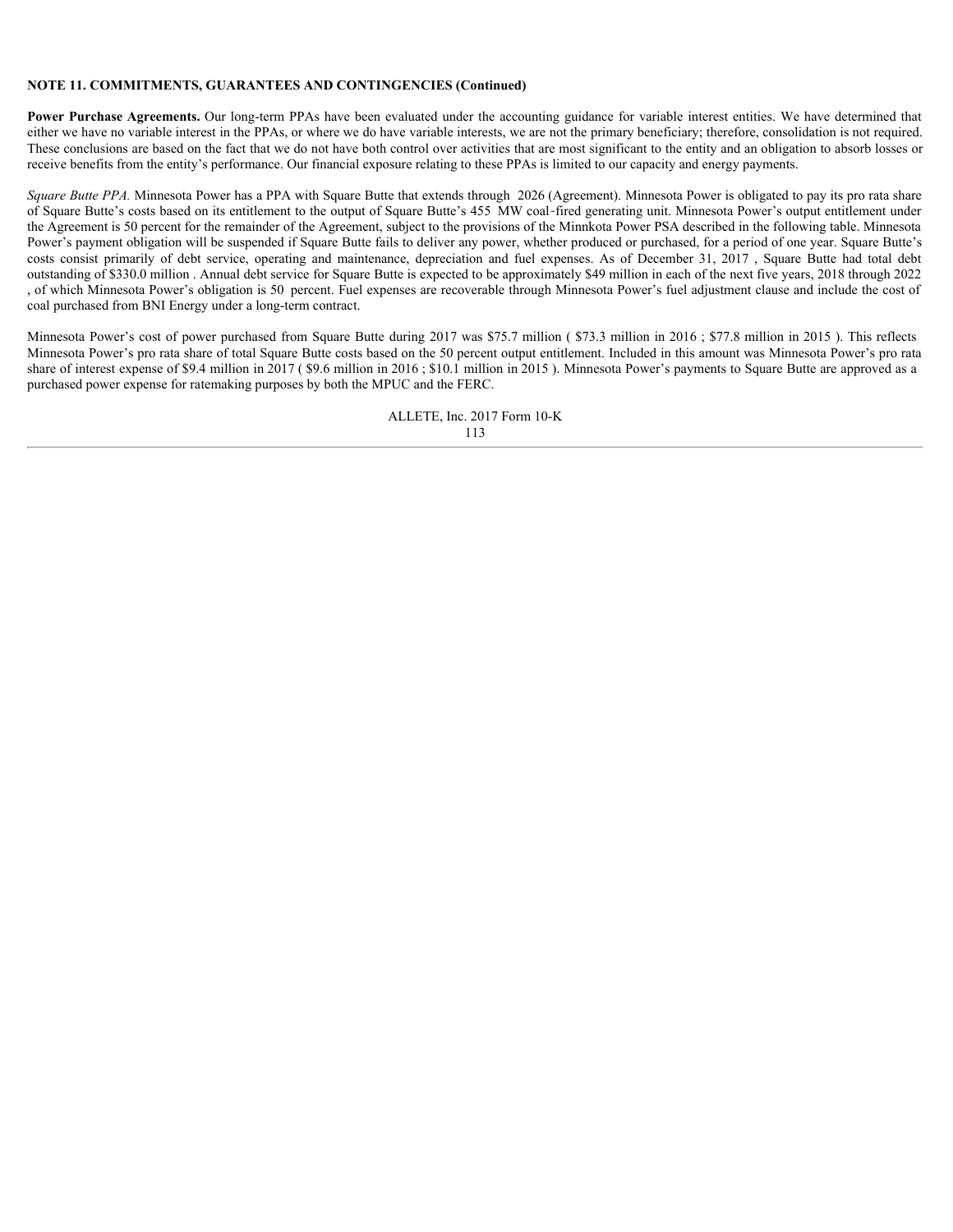# **NOTE 11. COMMITMENTS, GUARANTEES AND CONTINGENCIES (Continued)**

Power Purchase Agreements. Our long-term PPAs have been evaluated under the accounting guidance for variable interest entities. We have determined that either we have no variable interest in the PPAs, or where we do have variable interests, we are not the primary beneficiary; therefore, consolidation is not required. These conclusions are based on the fact that we do not have both control over activities that are most significant to the entity and an obligation to absorb losses or receive benefits from the entity's performance. Our financial exposure relating to these PPAs is limited to our capacity and energy payments.

*Square Butte PPA*. Minnesota Power has a PPA with Square Butte that extends through 2026 (Agreement). Minnesota Power is obligated to pay its pro rata share of Square Butte's costs based on its entitlement to the output of Square Butte's 455 MW coal‑fired generating unit. Minnesota Power's output entitlement under the Agreement is 50 percent for the remainder of the Agreement, subject to the provisions of the Minnkota Power PSA described in the following table. Minnesota Power's payment obligation will be suspended if Square Butte fails to deliver any power, whether produced or purchased, for a period of one year. Square Butte's NOTE II. COMMITMENTS, GUARANTEES AND CONTINGENCIES (Continued)<br>
Power Purchase Agreements. Our long-term PPAs have been evaluated under the accounting guidance for variable interest entities. We have determined that<br>
eith outstanding of \$330.0 million . Annual debt service for Square Butte is expected to be approximately \$49 million in each of the next five years, 2018 through 2022 , of which Minnesota Power's obligation is 50 percent. Fuel expenses are recoverable through Minnesota Power's fuel adjustment clause and include the cost of coal purchased from BNI Energy under a long-term contract.

Minnesota Power's cost of power purchased from Square Butte during 2017 was \$75.7 million ( \$73.3 million in 2016 ; \$77.8 million in 2015 ). This reflects Minnesota Power's pro rata share of total Square Butte costs based on the 50 percent output entitlement. Included in this amount was Minnesota Power's pro rata share of interest expense of \$9.4 million in 2017 ( \$9.6 million in 2016 ; \$10.1 million in 2015 ). Minnesota Power's payments to Square Butte are approved as a purchased power expense for ratemaking purposes by both the MPUC and the FERC.

ALLETE, Inc. 2017 Form 10-K

# 113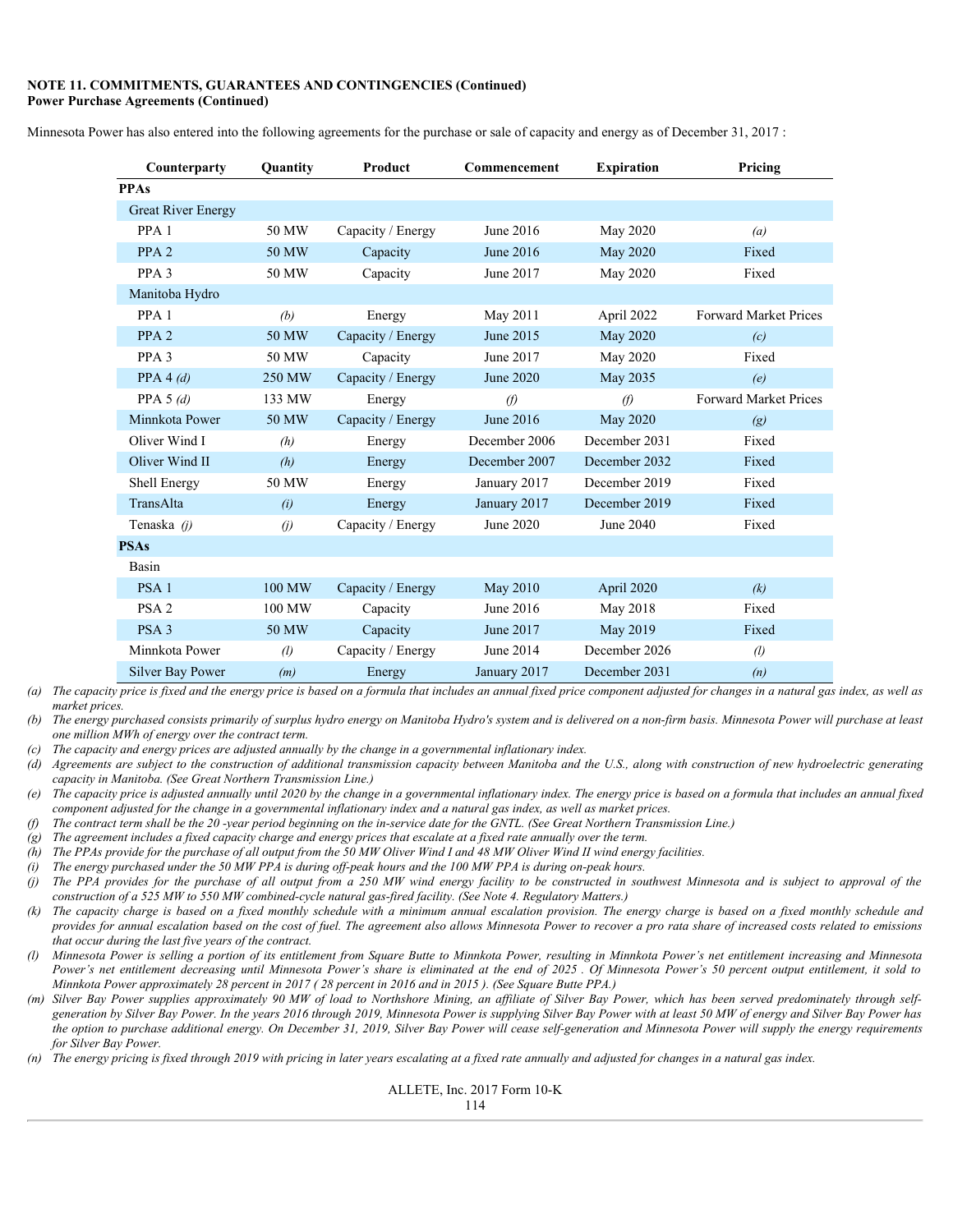# **NOTE 11. COMMITMENTS, GUARANTEES AND CONTINGENCIES (Continued) Power Purchase Agreements (Continued)**

Minnesota Power has also entered into the following agreements for the purchase or sale of capacity and energy as of December 31, 2017 :

|                       | Counterparty                                                                                                                                                                                                                                                           | Quantity          | Product           | Commencement                | Expiration      | Pricing                                                                                                                                                                                 |
|-----------------------|------------------------------------------------------------------------------------------------------------------------------------------------------------------------------------------------------------------------------------------------------------------------|-------------------|-------------------|-----------------------------|-----------------|-----------------------------------------------------------------------------------------------------------------------------------------------------------------------------------------|
|                       | <b>PPAs</b>                                                                                                                                                                                                                                                            |                   |                   |                             |                 |                                                                                                                                                                                         |
|                       | <b>Great River Energy</b>                                                                                                                                                                                                                                              |                   |                   |                             |                 |                                                                                                                                                                                         |
|                       | PPA <sub>1</sub>                                                                                                                                                                                                                                                       | 50 MW             | Capacity / Energy | June 2016                   | May 2020        | $\left( a\right)$                                                                                                                                                                       |
|                       | PPA <sub>2</sub>                                                                                                                                                                                                                                                       | 50 MW             | Capacity          | June 2016                   | <b>May 2020</b> | Fixed                                                                                                                                                                                   |
|                       | PPA <sub>3</sub>                                                                                                                                                                                                                                                       | 50 MW             | Capacity          | June 2017                   | May 2020        | Fixed                                                                                                                                                                                   |
|                       | Manitoba Hydro                                                                                                                                                                                                                                                         |                   |                   |                             |                 |                                                                                                                                                                                         |
|                       | PPA <sub>1</sub>                                                                                                                                                                                                                                                       | (b)               | Energy            | May 2011                    | April 2022      | <b>Forward Market Prices</b>                                                                                                                                                            |
|                       | PPA <sub>2</sub>                                                                                                                                                                                                                                                       | 50 MW             | Capacity / Energy | June 2015                   | May 2020        | (c)                                                                                                                                                                                     |
|                       | PPA <sub>3</sub>                                                                                                                                                                                                                                                       | 50 MW             | Capacity          | June 2017                   | May 2020        | Fixed                                                                                                                                                                                   |
|                       | PPA 4(d)                                                                                                                                                                                                                                                               | 250 MW            | Capacity / Energy | June 2020                   | May 2035        | (e)                                                                                                                                                                                     |
|                       | PPA 5 $(d)$                                                                                                                                                                                                                                                            | 133 MW            | Energy            | $\mathcal{D}$               | $\mathcal{O}$   | <b>Forward Market Prices</b>                                                                                                                                                            |
|                       | Minnkota Power                                                                                                                                                                                                                                                         | 50 MW             | Capacity / Energy | June 2016                   | May 2020        | (g)                                                                                                                                                                                     |
|                       | Oliver Wind I                                                                                                                                                                                                                                                          | (h)               | Energy            | December 2006               | December 2031   | Fixed                                                                                                                                                                                   |
|                       | Oliver Wind II                                                                                                                                                                                                                                                         | (h)               | Energy            | December 2007               | December 2032   | Fixed                                                                                                                                                                                   |
|                       | Shell Energy                                                                                                                                                                                                                                                           | 50 MW             | Energy            | January 2017                | December 2019   | Fixed                                                                                                                                                                                   |
|                       | TransAlta                                                                                                                                                                                                                                                              | (i)               | Energy            | January 2017                | December 2019   | Fixed                                                                                                                                                                                   |
|                       | Tenaska $(i)$                                                                                                                                                                                                                                                          | (j)               | Capacity / Energy | June 2020                   | June 2040       | Fixed                                                                                                                                                                                   |
|                       | <b>PSAs</b>                                                                                                                                                                                                                                                            |                   |                   |                             |                 |                                                                                                                                                                                         |
|                       | Basin                                                                                                                                                                                                                                                                  |                   |                   |                             |                 |                                                                                                                                                                                         |
|                       | PSA <sub>1</sub>                                                                                                                                                                                                                                                       | 100 MW            | Capacity / Energy | May 2010                    | April 2020      | (k)                                                                                                                                                                                     |
|                       | PSA <sub>2</sub>                                                                                                                                                                                                                                                       | 100 MW            | Capacity          | June 2016                   | May 2018        | Fixed                                                                                                                                                                                   |
|                       | PSA <sub>3</sub>                                                                                                                                                                                                                                                       | 50 MW             | Capacity          | June 2017                   | May 2019        | Fixed                                                                                                                                                                                   |
|                       | Minnkota Power                                                                                                                                                                                                                                                         | $\left( l\right)$ | Capacity / Energy | June 2014                   | December 2026   | $\left( l\right)$                                                                                                                                                                       |
|                       |                                                                                                                                                                                                                                                                        |                   |                   |                             |                 |                                                                                                                                                                                         |
|                       | Silver Bay Power                                                                                                                                                                                                                                                       | (m)               | Energy            | January 2017                | December 2031   | (n)<br>(a) The capacity price is fixed and the energy price is based on a formula that includes an annual fixed price component adjusted for changes in a natural gas index, as well as |
| market prices.        |                                                                                                                                                                                                                                                                        |                   |                   |                             |                 |                                                                                                                                                                                         |
|                       | one million MWh of energy over the contract term.                                                                                                                                                                                                                      |                   |                   |                             |                 | (b) The energy purchased consists primarily of surplus hydro energy on Manitoba Hydro's system and is delivered on a non-firm basis. Minnesota Power will purchase at least             |
|                       | (c) The capacity and energy prices are adjusted annually by the change in a governmental inflationary index.                                                                                                                                                           |                   |                   |                             |                 |                                                                                                                                                                                         |
|                       | capacity in Manitoba. (See Great Northern Transmission Line.)                                                                                                                                                                                                          |                   |                   |                             |                 | (d) Agreements are subject to the construction of additional transmission capacity between Manitoba and the U.S., along with construction of new hydroelectric generating               |
|                       |                                                                                                                                                                                                                                                                        |                   |                   |                             |                 | (e) The capacity price is adjusted annually until 2020 by the change in a governmental inflationary index. The energy price is based on a formula that includes an annual fixed         |
|                       | component adjusted for the change in a governmental inflationary index and a natural gas index, as well as market prices.                                                                                                                                              |                   |                   |                             |                 |                                                                                                                                                                                         |
|                       | (f) The contract term shall be the 20-year period beginning on the in-service date for the GNTL. (See Great Northern Transmission Line.)<br>(g) The agreement includes a fixed capacity charge and energy prices that escalate at a fixed rate annually over the term. |                   |                   |                             |                 |                                                                                                                                                                                         |
|                       | $\overline{h}$ ) The PPAs provide for the purchase of all output from the 50 MW Oliver Wind I and 48 MW Oliver Wind II wind energy facilities.                                                                                                                         |                   |                   |                             |                 |                                                                                                                                                                                         |
|                       | (i) The energy purchased under the 50 MW PPA is during off-peak hours and the 100 MW PPA is during on-peak hours.                                                                                                                                                      |                   |                   |                             |                 |                                                                                                                                                                                         |
|                       | construction of a 525 MW to 550 MW combined-cycle natural gas-fired facility. (See Note 4. Regulatory Matters.)                                                                                                                                                        |                   |                   |                             |                 | (i) The PPA provides for the purchase of all output from a 250 MW wind energy facility to be constructed in southwest Minnesota and is subject to approval of the                       |
|                       |                                                                                                                                                                                                                                                                        |                   |                   |                             |                 | (k) The capacity charge is based on a fixed monthly schedule with a minimum annual escalation provision. The energy charge is based on a fixed monthly schedule and                     |
|                       |                                                                                                                                                                                                                                                                        |                   |                   |                             |                 | provides for annual escalation based on the cost of fuel. The agreement also allows Minnesota Power to recover a pro rata share of increased costs related to emissions                 |
|                       | that occur during the last five years of the contract.                                                                                                                                                                                                                 |                   |                   |                             |                 | (l) Minnesota Power is selling a portion of its entitlement from Square Butte to Minnkota Power, resulting in Minnkota Power's net entitlement increasing and Minnesota                 |
|                       |                                                                                                                                                                                                                                                                        |                   |                   |                             |                 | Power's net entitlement decreasing until Minnesota Power's share is eliminated at the end of 2025. Of Minnesota Power's 50 percent output entitlement, it sold to                       |
|                       | Minnkota Power approximately 28 percent in 2017 (28 percent in 2016 and in 2015). (See Square Butte PPA.)                                                                                                                                                              |                   |                   |                             |                 | (m) Silver Bay Power supplies approximately 90 MW of load to Northshore Mining, an affiliate of Silver Bay Power, which has been served predominately through self-                     |
|                       |                                                                                                                                                                                                                                                                        |                   |                   |                             |                 | generation by Silver Bay Power. In the years 2016 through 2019, Minnesota Power is supplying Silver Bay Power with at least 50 MW of energy and Silver Bay Power has                    |
|                       |                                                                                                                                                                                                                                                                        |                   |                   |                             |                 | the option to purchase additional energy. On December 31, 2019, Silver Bay Power will cease self-generation and Minnesota Power will supply the energy requirements                     |
| for Silver Bay Power. |                                                                                                                                                                                                                                                                        |                   |                   |                             |                 | (n) The energy pricing is fixed through 2019 with pricing in later years escalating at a fixed rate annually and adjusted for changes in a natural gas index.                           |
|                       |                                                                                                                                                                                                                                                                        |                   |                   |                             |                 |                                                                                                                                                                                         |
|                       |                                                                                                                                                                                                                                                                        |                   |                   | ALLETE, Inc. 2017 Form 10-K |                 |                                                                                                                                                                                         |
|                       |                                                                                                                                                                                                                                                                        |                   |                   | 114                         |                 |                                                                                                                                                                                         |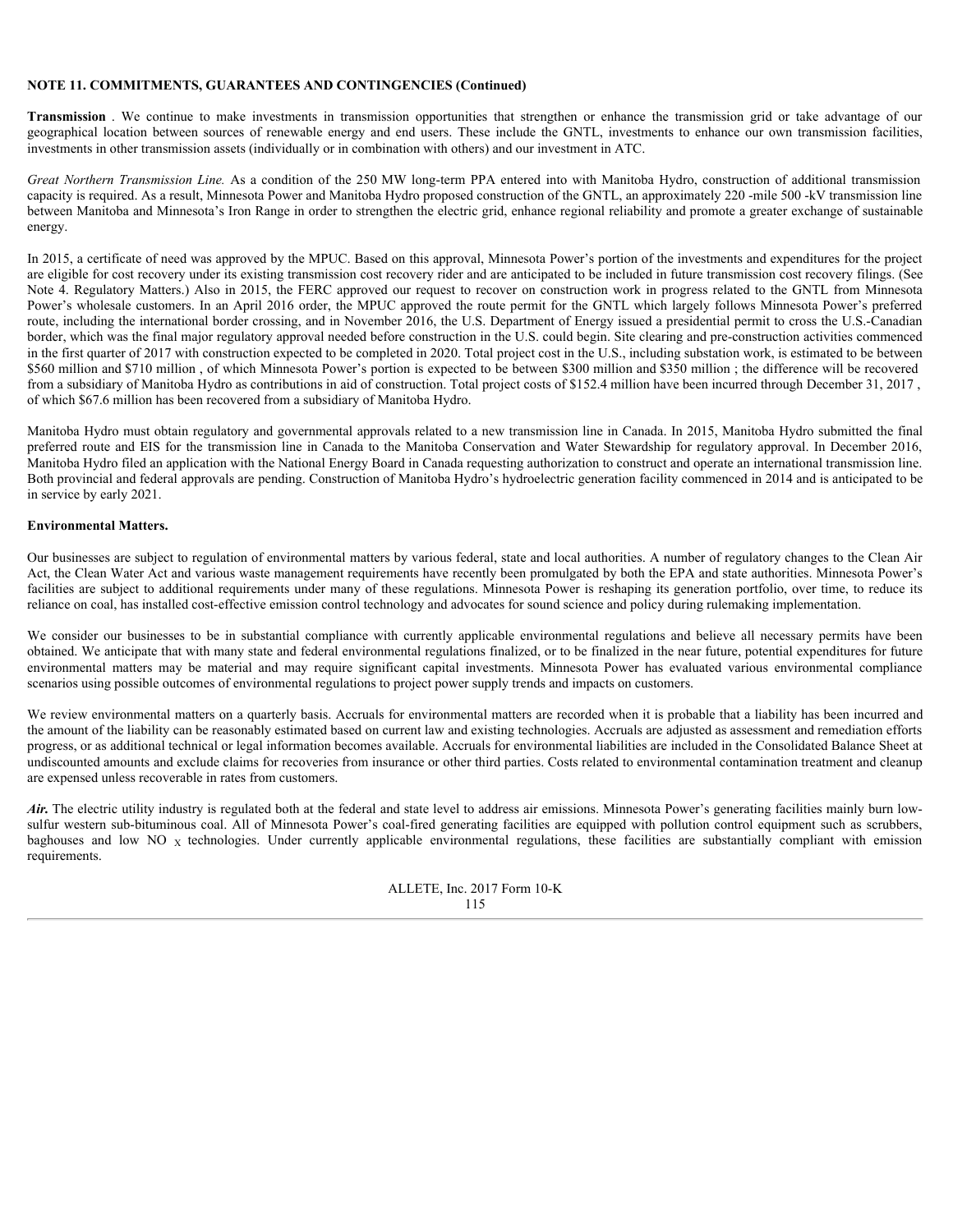## **NOTE 11. COMMITMENTS, GUARANTEES AND CONTINGENCIES (Continued)**

investments in other transmission assets (individually or in combination with others) and our investment in ATC.

**Transmission** . We continue to make investments in transmission opportunities that strengthen or enhance the transmission grid or take advantage of our geographical location between sources of renewable energy and end use **EXECUTE 11. COMMITMENTS, GUARANTEES AND CONTINGENCIES (Continued)**<br> **Transmission** . We continue to make investments in transmission opportunities that strengthen or enhance the transmission grid or take advantage of our **Framsmission .** We continue to make investments in transmission opportunities that strengthen or enhance the transmission grid or take advantage of our **Framsmission** . We continue to make investments in entermode herm ep capacity is required. As a result, Minnesota Power and Manitoba Hydro proposed construction of the GNTL, an approximately 220 -mile 500 -kV transmission line between Manitoba and Minnesota's Iron Range in order to strengthen the electric grid, enhance regional reliability and promote a greater exchange of sustainable energy.

In 2015, a certificate of need was approved by the MPUC. Based on this approval, Minnesota Power's portion of the investments and expenditures for the project are eligible for cost recovery under its existing transmission cost recovery rider and are anticipated to be included in future transmission cost recovery filings. (See Note 4. Regulatory Matters.) Also in 2015, the FERC approved our request to recover on construction work in progress related to the GNTL from Minnesota Power's wholesale customers. In an April 2016 order, the MPUC approved the route permit for the GNTL which largely follows Minnesota Power's preferred route, including the international border crossing, and in November 2016, the U.S. Department of Energy issued a presidential permit to cross the U.S.-Canadian border, which was the final major regulatory approval needed before construction in the U.S. could begin. Site clearing and pre-construction activities commenced in the first quarter of 2017 with construction expected to be completed in 2020. Total project cost in the U.S., including substation work, is estimated to be between \$560 million and \$710 million , of which Minnesota Power's portion is expected to be between \$300 million and \$350 million ; the difference will be recovered from a subsidiary of Manitoba Hydro as contributions in aid of construction. Total project costs of \$152.4 million have been incurred through December 31, 2017 , of which \$67.6 million has been recovered from a subsidiary of Manitoba Hydro. geomphizial outside Networks storices to the involvemental comparison of the inclusive first incomparison inclusive from the interaction of the inclusive from the interaction of the interaction of the interaction of the in Creat Northern Transmission Line. As a consistent of the 250 MW long-term PIN emised in with Amindsa Hydro, constration or alabitions in the matter of the Creat Ministers in the proposition of the Creat Ministers may be m banks, which we have the last response and low technologies. The complete the current are the second base of the complete the standard in the second base of the complete the standard in the standard second and SND 7600 pro

Manitoba Hydro must obtain regulatory and governmental approvals related to a new transmission line in Canada. In 2015, Manitoba Hydro submitted the final preferred route and EIS for the transmission line in Canada to the Manitoba Conservation and Water Stewardship for regulatory approval. In December 2016, Manitoba Hydro filed an application with the National Energy Board in Canada requesting authorization to construct and operate an international transmission line. Both provincial and federal approvals are pending. Construction of Manitoba Hydro's hydroelectric generation facility commenced in 2014 and is anticipated to be in service by early 2021.

## **Environmental Matters.**

Our businesses are subject to regulation of environmental matters by various federal, state and local authorities. A number of regulatory changes to the Clean Air Act, the Clean Water Act and various waste management requirements have recently been promulgated by both the EPA and state authorities. Minnesota Power's facilities are subject to additional requirements under many of these regulations. Minnesota Power is reshaping its generation portfolio, over time, to reduce its reliance on coal, has installed cost-effective emission control technology and advocates for sound science and policy during rulemaking implementation.

obtained. We anticipate that with many state and federal environmental regulations finalized, or to be finalized in the near future, potential expenditures for future environmental matters may be material and may require s scenarios using possible outcomes of environmental regulations to project power supply trends and impacts on customers.

We review environmental matters on a quarterly basis. Accruals for environmental matters are recorded when it is probable that a liability has been incurred and the amount of the liability can be reasonably estimated based on current law and existing technologies. Accruals are adjusted as assessment and remediation efforts progress, or as additional technical or legal information becomes available. Accruals for environmental liabilities are included in the Consolidated Balance Sheet at undiscounted amounts and exclude claims for recoveries from insurance or other third parties. Costs related to environmental contamination treatment and cleanup are expensed unless recoverable in rates from customers.

Air. The electric utility industry is regulated both at the federal and state level to address air emissions. Minnesota Power's generating facilities mainly burn lowsulfur western sub-bituminous coal. All of Minnesota Power's coal-fired generating facilities are equipped with pollution control equipment such as scrubbers, baghouses and low NO  $\chi$  technologies. Under currently applic requirements.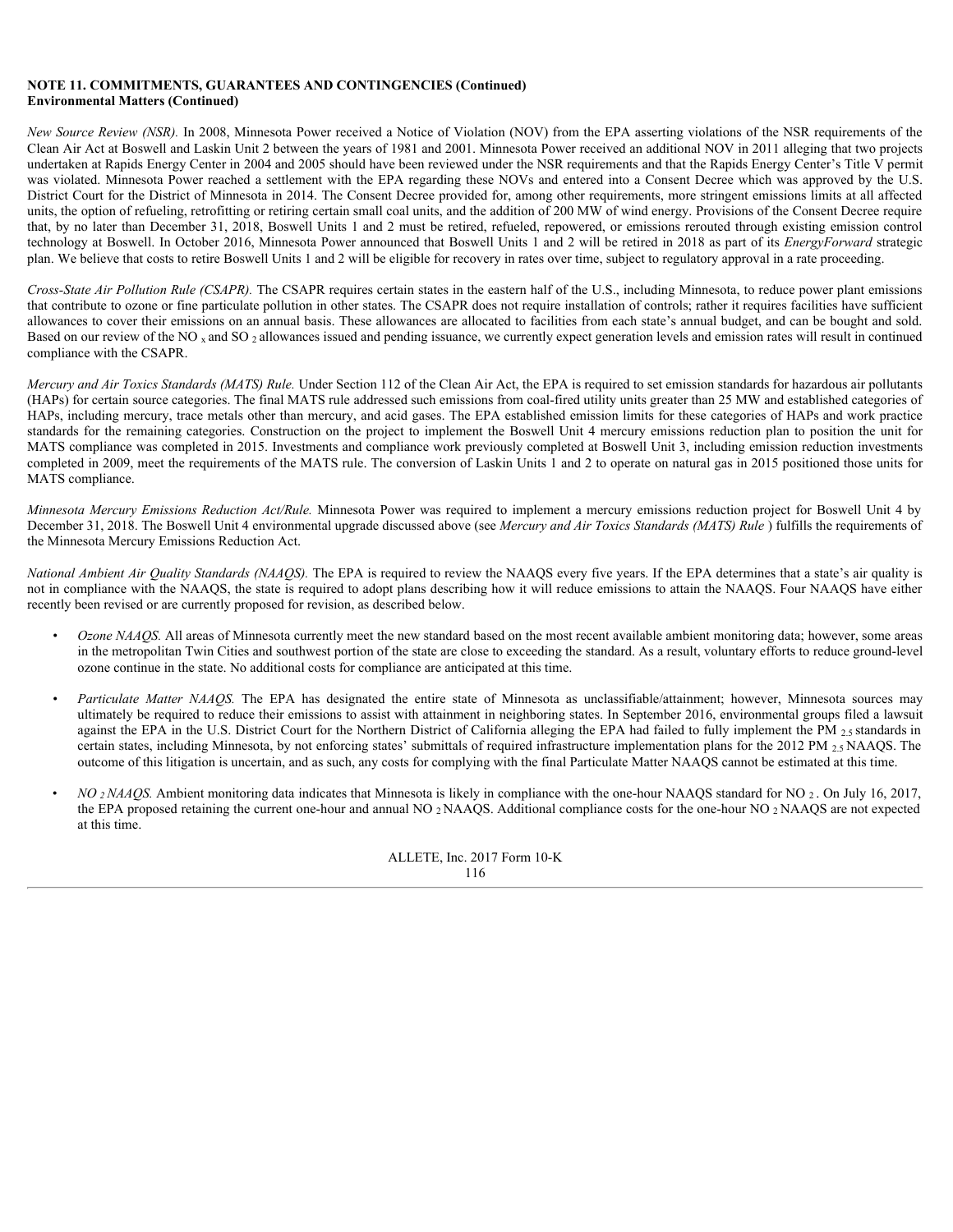*New Source Review (NSR).* In 2008, Minnesota Power received a Notice of Violation (NOV) from the EPA asserting violations of the NSR requirements of the Clean Air Act at Boswell and Laskin Unit 2 between the years of 1981 and 2001. Minnesota Power received an additional NOV in 2011 alleging that two projects undertaken at Rapids Energy Center in 2004 and 2005 should have been reviewed under the NSR requirements and that the Rapids Energy Center's Title V permit was violated. Minnesota Power reached a settlement with the EPA regarding these NOVs and entered into a Consent Decree which was approved by the U.S. District Court for the District of Minnesota in 2014. The Consent Decree provided for, among other requirements, more stringent emissions limits at all affected units, the option of refueling, retrofitting or retiring certain small coal units, and the addition of 200 MW of wind energy. Provisions of the Consent Decree require that, by no later than December 31, 2018, Boswell Units 1 and 2 must be retired, refueled, repowered, or emissions rerouted through existing emission control technology at Boswell. In October 2016, Minnesota Power announced that Boswell Units 1 and 2 will be retired in 2018 as part of its *EnergyForward* strategic plan. We believe that costs to retire Boswell Units 1 and 2 will be eligible for recovery in rates over time, subject to regulatory approval in a rate proceeding. **MOTE 11. COMMITMENTS, GUARANTEES AND CONTROLENTS (Continued)**<br>
Mercury ances announced Municipal Engine Mercury Continued COVI from the FPA assetung validiums of the NN regime<br>
Note Minn Action Action Action Continued a P

*Cross-State Air Pollution Rule (CSAPR).* The CSAPR requires certain states in the eastern half of the U.S., including Minnesota, to reduce power plant emissions that contribute to ozone or fine particulate pollution in other states. The CSAPR does not require installation of controls; rather it requires facilities have sufficient allowances to cover their emissions on an annual basis. These allowances are allocated to facilities from each state's annual budget, and can be bought and sold. Based on our review of the NO  $_{\rm x}$  and SO 2 allowances issued and pending issuance, we currently expect generation levels and emission rates will result in continued compliance with the CSAPR.

*Mercury and Air Toxics Standards (MATS) Rule.* Under Section 112 of the Clean Air Act, the EPA is required to set emission standards for hazardous air pollutants (HAPs) for certain source categories. The final MATS rule addressed such emissions from coal-fired utility units greater than 25 MW and established categories of HAPs, including mercury, trace metals other than mercury, and acid gases. The EPA established emission limits for these categories of HAPs and work practice standards for the remaining categories. Construction on the project to implement the Boswell Unit 4 mercury emissions reduction plan to position the unit for MATS compliance was completed in 2015. Investments and compliance work previously completed at Boswell Unit 3, including emission reduction investments completed in 2009, meet the requirements of the MATS rule. The conversion of Laskin Units 1 and 2 to operate on natural gas in 2015 positioned those units for MATS compliance. **•• Construction in the measure of Minnesota as unclear the EPA has designated the entire state of Minnesota as the EPA has designated the EPA has designated the EPA has designated the EPA has designated the EPA has design** 

December 31, 2018. The Boswell Unit 4 environmental upgrade discussed above (see *Mercury and Air Toxics Standards (MATS) Rule* ) fulfills the requirements of the Minnesota Mercury Emissions Reduction Act.

*National Ambient Air Quality Standards (NAAQS).* The EPA is required to review the NAAQS every five years. If the EPA determines that a state's air quality is not in compliance with the NAAQS, the state is required to adopt plans describing how it will reduce emissions to attain the NAAQS. Four NAAQS have either recently been revised or are currently proposed for revision, as described below.

- *Ozone NAAQS*. All areas of Minnesota currently meet the new standard based on the most recent available ambient monitoring data; however, some areas in the metropolitan Twin Cities and southwest portion of the state are close to exceeding the standard. As a result, voluntary efforts to reduce ground-level ozone continue in the state. No additional costs for compliance are anticipated at this time.
- ultimately be required to reduce their emissions to assist with attainment in neighboring states. In September 2016, environmental groups filed a lawsuit against the EPA in the U.S. District Court for the Northern District of California alleging the EPA had failed to fully implement the PM 2.5 standards in certain states, including Minnesota, by not enforcing states' submittals of required infrastructure implementation plans for the 2012 PM 2.5 NAAQS. The outcome of this litigation is uncertain, and as such, any costs for complying with the final Particulate Matter NAAQS cannot be estimated at this time.
- *NO 2 NAAQS.* Ambient monitoring data indicates that Minnesota is likely in compliance with the one-hour NAAQS standard for NO 2 . On July 16, 2017, the EPA proposed retaining the current one-hour and annual NO 2 NAAQS. Additional compliance costs for the one-hour NO 2 NAAQS are not expected at this time.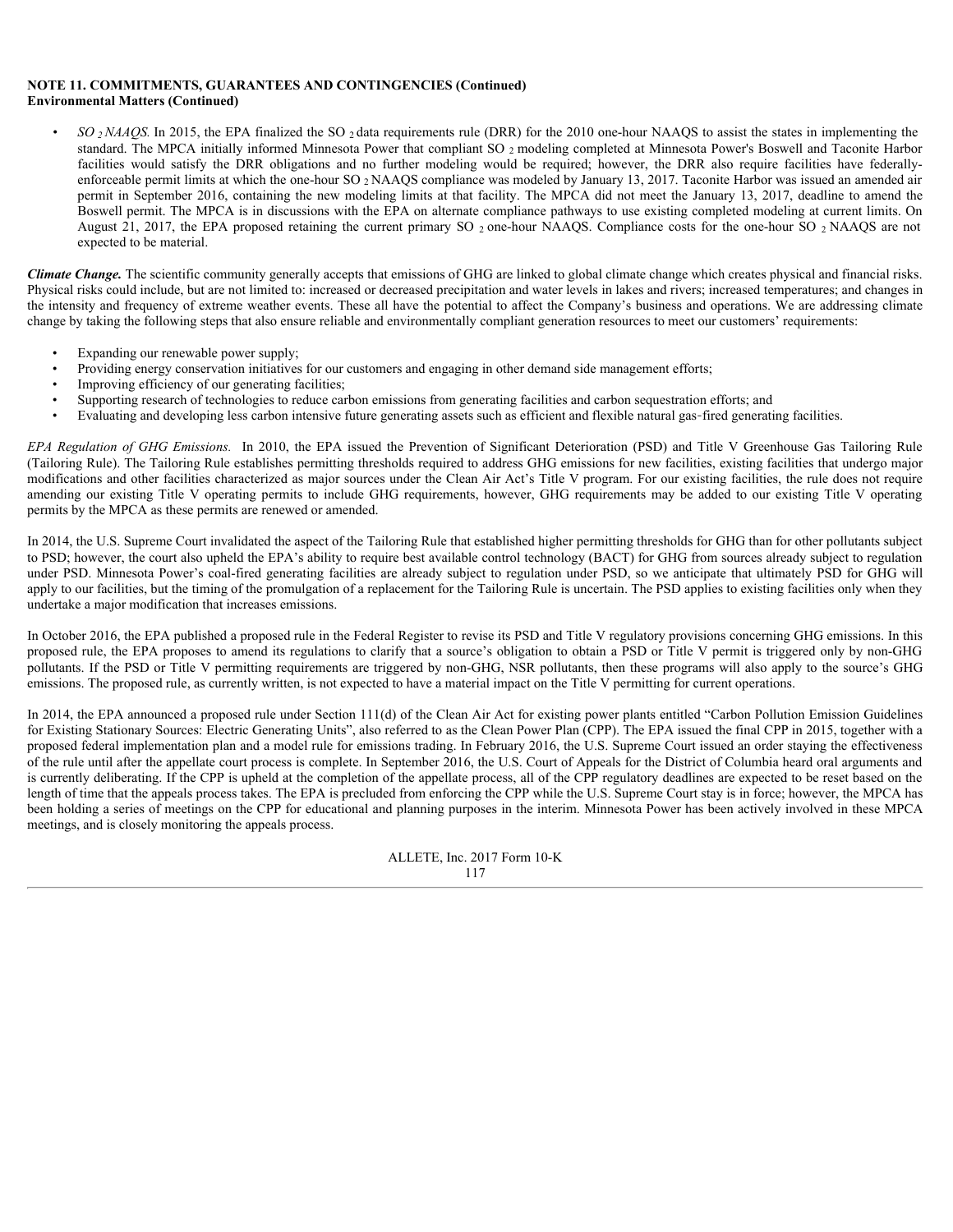$SO_2$ *NAAQS*. In 2015, the EPA finalized the SO  $_2$  data requirements rule (DRR) for the 2010 one-hour NAAQS to assist the states in implementing the standard. The MPCA initially informed Minnesota Power that compliant SO 2 modeling completed at Minnesota Power's Boswell and Taconite Harbor **f. COMMITMENTS, GUARANTEES AND CONTINGENCIES (Continued)**<br> **SO**<sub>2</sub>*NAAQS*. In 2015, the EPA finalized the SO<sub>2</sub> data requirements rule (DRR) for the 2010 one-hour NAAQS to assist the states in implementing the<br>
standard. enforceable permit limits at which the one-hour SO<sub>2</sub> NAAQS compliance was modeled by January 13, 2017. Taconite Harbor was issued an amended air permit in September 2016, containing the new modeling limits at that facility. The MPCA did not meet the January 13, 2017, deadline to amend the Boswell permit. The MPCA is in discussions with the EPA on alternate compliance pathways to use existing completed modeling at current limits. On August 21, 2017, the EPA proposed retaining the current primary SO 2 one-hou **1. COMMITMENTS, GUARANTEES AND CONTINGENCIES (Continued)**<br>  $SO_2NAAQS$  in 2015, the EPA finalized the SO <sub>2</sub> data requirements rule (DRR) for the 2010 one-hour NAAQS to assist the states in implementing the<br>
standard. The expected to be material. **EPA COMMITMENTS, GUARANTEES AND CONTINGENCIES (Continued)**<br> **EPA REGULATION CONTINGENCIES (CONTINGENCIES CONTINGENCIES (DRI)** (or the 2010 one-bour NAAQS to axist the states in implementing the Significant Significant Sig **EXECUTE IT COMMITMENTS CCARANTEES AND CONTINGENCIES (Continues)**<br> **EXECUTE OUR CONTINUES (CONTINUES)** Interaction (EXECUTE TITLE TITLE OF THE CONTINUES) CONTINUES INTO A THE CONTINUES ON THE SECOND SECOND FOR THE SECOND

*Climate Change.* The scientific community generally accepts that emissions of GHG are linked to global climate change which creates physical and financial risks. Physical risks could include, but are not limited to: increased or decreased precipitation and water levels in lakes and rivers; increased temperatures; and changes in the intensity and frequency of extreme weather events. These all have the potential to affect the Company's business and operations. We are addressing climate change by taking the following steps that also ensure reliable and environmentally compliant generation resources to meet our customers' requirements:

- Expanding our renewable power supply;
- Providing energy conservation initiatives for our customers and engaging in other demand side management efforts;
- Improving efficiency of our generating facilities;
- Supporting research of technologies to reduce carbon emissions from generating facilities and carbon sequestration efforts; and
- Evaluating and developing less carbon intensive future generating assets such as efficient and flexible natural gas‑fired generating facilities.

(Tailoring Rule). The Tailoring Rule establishes permitting thresholds required to address GHG emissions for new facilities, existing facilities that undergo major modifications and other facilities characterized as major sources under the Clean Air Act's Title V program. For our existing facilities, the rule does not require permits by the MPCA as these permits are renewed or amended.

In 2014, the U.S. Supreme Court invalidated the aspect of the Tailoring Rule that established higher permitting thresholds for GHG than for other pollutants subject to PSD; however, the court also upheld the EPA's ability to require best available control technology (BACT) for GHG from sources already subject to regulation under PSD. Minnesota Power's coal-fired generating facilities are already subject to regulation under PSD, so we anticipate that ultimately PSD for GHG will apply to our facilities, but the timing of the promulgation of a replacement for the Tailoring Rule is uncertain. The PSD applies to existing facilities only when they undertake a major modification that increases emissions.

In October 2016, the EPA published a proposed rule in the Federal Register to revise its PSD and Title V regulatory provisions concerning GHG emissions. In this proposed rule, the EPA proposes to amend its regulations to clarify that a source's obligation to obtain a PSD or Title V permit is triggered only by non-GHG pollutants. If the PSD or Title V permitting requirements are triggered by non-GHG, NSR pollutants, then these programs will also apply to the source's GHG emissions. The proposed rule, as currently written, is not expected to have a material impact on the Title V permitting for current operations.

In 2014, the EPA announced a proposed rule under Section 111(d) of the Clean Air Act for existing power plants entitled "Carbon Pollution Emission Guidelines for Existing Stationary Sources: Electric Generating Units", also referred to as the Clean Power Plan (CPP). The EPA issued the final CPP in 2015, together with a proposed federal implementation plan and a model rule for emissions trading. In February 2016, the U.S. Supreme Court issued an order staying the effectiveness of the rule until after the appellate court process is complete. In September 2016, the U.S. Court of Appeals for the District of Columbia heard oral arguments and is currently deliberating. If the CPP is upheld at the completion of the appellate process, all of the CPP regulatory deadlines are expected to be reset based on the length of time that the appeals process takes. The EPA is precluded from enforcing the CPP while the U.S. Supreme Court stay is in force; however, the MPCA has been holding a series of meetings on the CPP for educational and planning purposes in the interim. Minnesota Power has been actively involved in these MPCA meetings, and is closely monitoring the appeals process.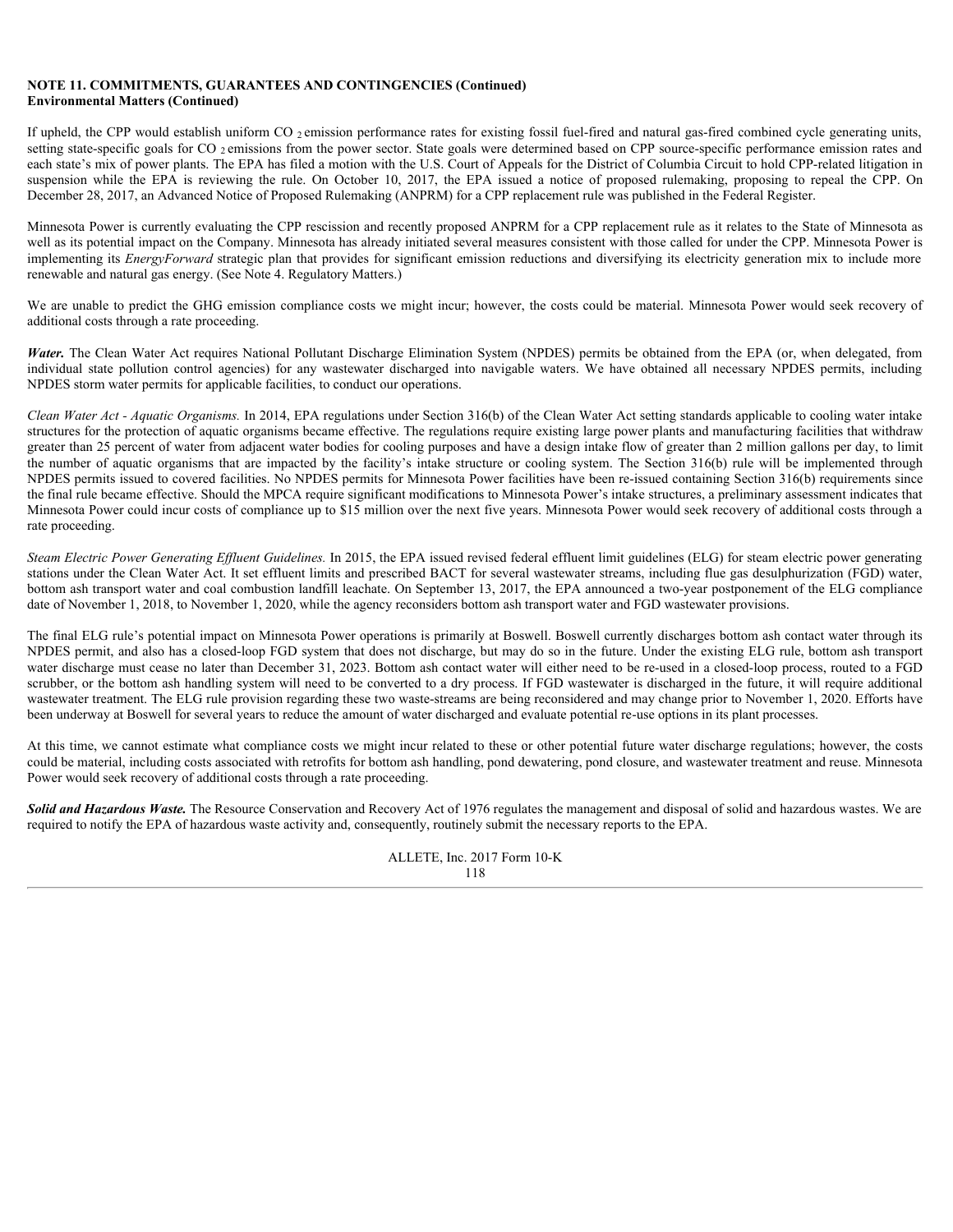If upheld, the CPP would establish uniform CO 2 emission performance rates for existing fossil fuel-fired and natural gas-fired combined cycle generating units, setting state-specific goals for CO 2 emissions from the power sector. State goals were determined based on CPP source-specific performance emission rates and each state's mix of power plants. The EPA has filed a motion with the U.S. Court of Appeals for the District of Columbia Circuit to hold CPP-related litigation in **EXTE 11. COMMITMENTS, GUARANTEES AND CONTINGENCIES (Continued)**<br> **Environmental Matters (Continued)**<br>
If upheld, the CPP would establish uniform CO 2 emission performance rates for existing fossil fuel-fired and natural g December 28, 2017, an Advanced Notice of Proposed Rulemaking (ANPRM) for a CPP replacement rule was published in the Federal Register.

Minnesota Power is currently evaluating the CPP rescission and recently proposed ANPRM for a CPP replacement rule as it relates to the State of Minnesota as well as its potential impact on the Company. Minnesota has already initiated several measures consistent with those called for under the CPP. Minnesota Power is implementing its *EnergyForward* strategic plan that provides for significant emission reductions and diversifying its electricity generation mix to include more renewable and natural gas energy. (See Note 4. Regulatory Matters.)

We are unable to predict the GHG emission compliance costs we might incur; however, the costs could be material. Minnesota Power would seek recovery of additional costs through a rate proceeding.

*Water.* The Clean Water Act requires National Pollutant Discharge Elimination System (NPDES) permits be obtained from the EPA (or, when delegated, from NPDES storm water permits for applicable facilities, to conduct our operations.

**NOTE 11. COMMITMENTS. GUARANTEES AND CONTINGENCIES (Continued)**<br>Environmental Matters (Continued)<br>Transformation control agencies for any mission performance rates for existing forsil fitsi-fired and natural gas-fired con *Clean Water Act - Aquatic Organisms.* In 2014, EPA regulations under Section 316(b) of the Clean Water Act setting standards applicable to cooling water intake structures for the protection of aquatic organisms became effective. The regulations require existing large power plants and manufacturing facilities that withdraw greater than 25 percent of water from adjacent water bodies for cooling purposes and have a design intake flow of greater than 2 million gallons per day, to limit KOTE II. COMMITMENTS, GUARANTEES AND CONTINGENCIES (Continued)<br>
Environmental Matter Continued)<br>
Environmental Matter Continues On continue organisms that are interesting fossiliated and the diffusion are interesting units NPDES permits issued to covered facilities. No NPDES permits for Minnesota Power facilities have been re-issued containing Section 316(b) requirements since the final rule became effective. Should the MPCA require significant modifications to Minnesota Power's intake structures, a preliminary assessment indicates that Minnesota Power could incur costs of compliance up to \$15 million over the next five years. Minnesota Power would seek recovery of additional costs through a rate proceeding.

*Steam Electric Power Generating Effluent Guidelines.* In 2015, the EPA issued revised federal effluent limit guidelines (ELG) for steam electric power generating stations under the Clean Water Act. It set effluent limits and prescribed BACT for several wastewater streams, including flue gas desulphurization (FGD) water, bottom ash transport water and coal combustion landfill leachate. On September 13, 2017, the EPA announced a two-year postponement of the ELG compliance date of November 1, 2018, to November 1, 2020, while the agency reconsiders bottom ash transport water and FGD wastewater provisions.

The final ELG rule's potential impact on Minnesota Power operations is primarily at Boswell. Boswell currently discharges bottom ash contact water through its NPDES permit, and also has a closed-loop FGD system that does not discharge, but may do so in the future. Under the existing ELG rule, bottom ash transport water discharge must cease no later than December 31, 2023. Bottom ash contact water will either need to be re-used in a closed-loop process, routed to a FGD scrubber, or the bottom ash handling system will need to be converted to a dry process. If FGD wastewater is discharged in the future, it will require additional wastewater treatment. The ELG rule provision regarding these two waste-streams are being reconsidered and may change prior to November 1, 2020. Efforts have been underway at Boswell for several years to reduce the amount of water discharged and evaluate potential re-use options in its plant processes.

At this time, we cannot estimate what compliance costs we might incur related to these or other potential future water discharge regulations; however, the costs could be material, including costs associated with retrofits for bottom ash handling, pond dewatering, pond closure, and wastewater treatment and reuse. Minnesota Power would seek recovery of additional costs through a rate proceeding.

Solid and Hazardous Waste. The Resource Conservation and Recovery Act of 1976 regulates the management and disposal of solid and hazardous wastes. We are required to notify the EPA of hazardous waste activity and, consequently, routinely submit the necessary reports to the EPA.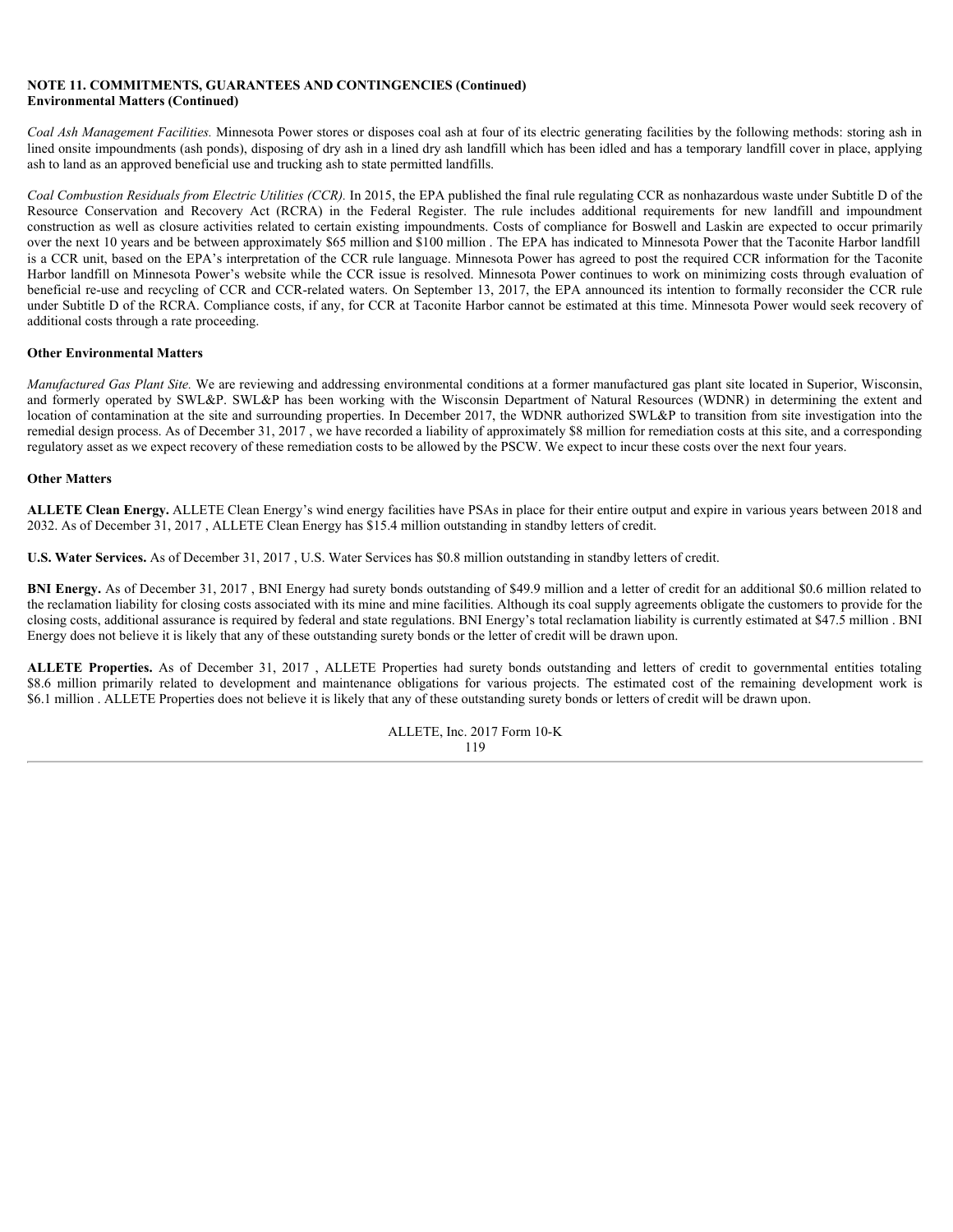*Coal Ash Management Facilities.* Minnesota Power stores or disposes coal ash at four of its electric generating facilities by the following methods: storing ash in lined onsite impoundments (ash ponds), disposing of dry ash in a lined dry ash landfill which has been idled and has a temporary landfill cover in place, applying ash to land as an approved beneficial use and trucking ash to state permitted landfills.

Coal Combustion Residuals from Electric Utilities (CCR). In 2015, the EPA published the final rule regulating CCR as nonhazardous waste under Subtitle D of the **EXTIMENT ENTIGENTS, GUARANTEES AND CONTINGENCIES (Continued)**<br> **ENVIRONMENT MEAT (Continued)**<br> **Coal Ash Management Facilities.** Minnesota Power stores or disposes coal ash at four of its electric generating facilities by construction as well as closure activities related to certain existing impoundments. Costs of compliance for Boswell and Laskin are expected to occur primarily over the next 10 years and be between approximately \$65 million and \$100 million . The EPA has indicated to Minnesota Power that the Taconite Harbor landfill is a CCR unit, based on the EPA's interpretation of the CCR rule language. Minnesota Power has agreed to post the required CCR information for the Taconite Harbor landfill on Minnesota Power's website while the CCR issue is resolved. Minnesota Power continues to work on minimizing costs through evaluation of beneficial re-use and recycling of CCR and CCR-related waters. On September 13, 2017, the EPA announced its intention to formally reconsider the CCR rule under Subtitle D of the RCRA. Compliance costs, if any, for CCR at Taconite Harbor cannot be estimated at this time. Minnesota Power would seek recovery of additional costs through a rate proceeding. **EACTE II. COMMITMENTS, GUARANTEES AND CONTINGENCIES (Confinence)**<br>Environmental Matters (Confinence)<br>Cool das Anonogonous Facebluse Minnestee Rows of stresses cool ash at fusing first electric generating facilities by the able band as an approved benefied out and trucking adv o state permites limitally the first particle of the attached to forest the credit of the Conference December 31, 2017 , ALLET bonds and the requirest of the credit of Leaf Contraction Resident provides in the CRCA). In 2013, the 197A pubbled its final the register Concernsions one to the Control of CRCA) in the Followick Control of the Control of the Control of the Control of the Contr

## **Other Environmental Matters**

*Manufactured Gas Plant Site.* We are reviewing and addressing environmental conditions at a former manufactured gas plant site located in Superior, Wisconsin, location of contamination at the site and surrounding properties. In December 2017, the WDNR authorized SWL&P to transition from site investigation into the remedial design process. As of December 31, 2017, we have recorded a liability of approximately \$8 million for remediation costs at this site, and a corresponding regulatory asset as we expect recovery of these remediation costs to be allowed by the PSCW. We expect to incur these costs over the next four years.

## **Other Matters**

**ALLETE Clean Energy.** ALLETE Clean Energy's wind energy facilities have PSAs in place for their entire output and expire in various years between 2018 and 2032. As of December 31, 2017 , ALLETE Clean Energy has \$15.4 million outstanding in standby letters of credit.

**U.S. Water Services.** As of December 31, 2017 , U.S. Water Services has \$0.8 million outstanding in standby letters of credit.

**BNI Energy.** As of December 31, 2017 , BNI Energy had surety bonds outstanding of \$49.9 million and a letter of credit for an additional \$0.6 million related to the reclamation liability for closing costs associated with its mine and mine facilities. Although its coal supply agreements obligate the customers to provide for the closing costs, additional assurance is required by federal and state regulations. BNI Energy's total reclamation liability is currently estimated at \$47.5 million . BNI Energy does not believe it is likely that any of these outstanding surety bonds or the letter of credit will be drawn upon.

\$6.1 million . ALLETE Properties does not believe it is likely that any of these outstanding surety bonds or letters of credit will be drawn upon.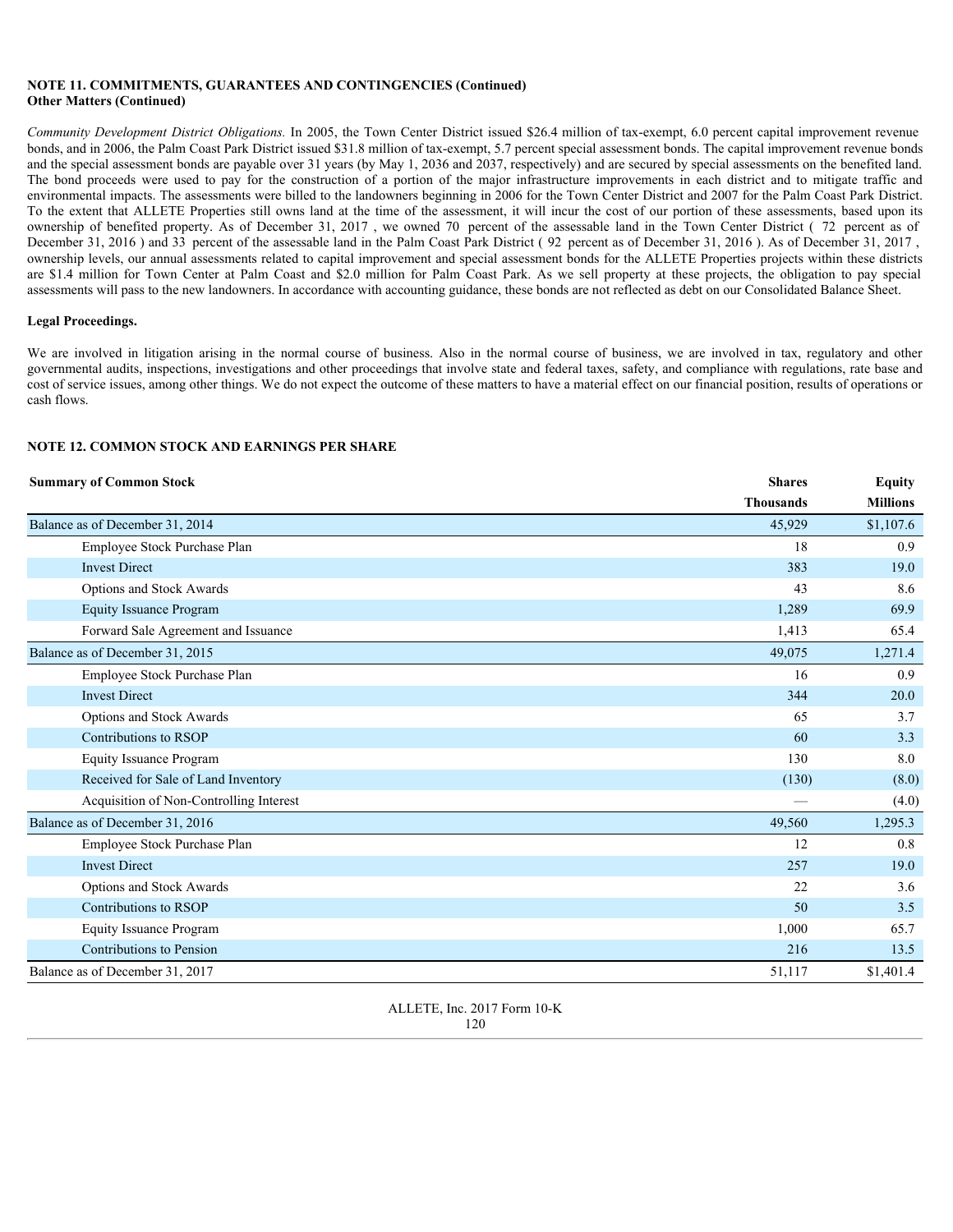*Community Development District Obligations.* In 2005, the Town Center District issued \$26.4 million of tax-exempt, 6.0 percent capital improvement revenue bonds, and in 2006, the Palm Coast Park District issued \$31.8 million of tax-exempt, 5.7 percent special assessment bonds. The capital improvement revenue bonds and the special assessment bonds are payable over 31 years (by May 1, 2036 and 2037, respectively) and are secured by special assessments on the benefited land. NOTE 11. COMMITMENTS, GUARANTEES AND CONTINGENCIES (Continued)<br>
Community Development District Obligations. In 2005, the Town Center District issued \$26.4 million of tax-exempt, 6.0 percent capital improvement revenue<br>
bon environmental impacts. The assessments were billed to the landowners beginning in 2006 for the Town Center District and 2007 for the Palm Coast Park District. **NOTE 11. COMMITMENTS, GUARANTEES AND CONTINGENCIES (Continued)**<br> **Community Development District Obligations.** In 2005, the Town Center District issued \$26.4 million of tax-exempt, 6.0 percent capital improvement revenue<br> **NOTE 11. COMMITMENTS, GUARANTEES AND CONTINGENCIES (Continued)**<br>Community Development District Obligations. In 2005, the Town Center District issued \$26.4 million of tax-exempt, 6.0 percent capital improvement revenues<br>bo December 31, 2016 ) and 33 percent of the assessable land in the Palm Coast Park District (92 percent as of December 31, 2016). As of December 31, 2017, ownership levels, our annual assessments related to capital improveme **NOTE 11. COMMITMENTS, GUARANTEES AND CONTINGENCIES (Continued)**<br>
Other Matters (Continued)<br>
Other Matters (Continued)<br>
Community Development District Obligations: In 2005, the Town Center District issued \$26.4 million of assessments will pass to the new landowners. In accordance with accounting guidance, these bonds are not reflected as debt on our Consolidated Balance Sheet. NOTE 11. COMMITMENTS, GUARANTEES AND CONTINGENCIES (Continued)<br>
Other Matters (Continued)<br>
Consumity Development District Obitgations. In 2005, the Town Center District issued 326.4 million of tax-exempt, 6.0 percent equit

## **Legal Proceedings.**

governmental audits, inspections, investigations and other proceedings that involve state and federal taxes, safety, and compliance with regulations, rate base and cost of service issues, among other things. We do not expect the outcome of these matters to have a material effect on our financial position, results of operations or cash flows.

# **NOTE 12. COMMON STOCK AND EARNINGS PER SHARE**

| <b>Summary of Common Stock</b>          | <b>Shares</b>     | <b>Equity</b>   |
|-----------------------------------------|-------------------|-----------------|
|                                         | Thousands         | <b>Millions</b> |
| Balance as of December 31, 2014         | 45,929            | \$1,107.6       |
| Employee Stock Purchase Plan            | 18                | 0.9             |
| <b>Invest Direct</b>                    | 383               | 19.0            |
| Options and Stock Awards                | 43                | 8.6             |
| <b>Equity Issuance Program</b>          | 1,289             | 69.9            |
| Forward Sale Agreement and Issuance     | 1,413             | 65.4            |
| Balance as of December 31, 2015         | 49,075            | 1,271.4         |
| Employee Stock Purchase Plan            | 16                | 0.9             |
| <b>Invest Direct</b>                    | 344               | 20.0            |
| Options and Stock Awards                | 65                | 3.7             |
| Contributions to RSOP                   | 60                | 3.3             |
| Equity Issuance Program                 | 130               | 8.0             |
| Received for Sale of Land Inventory     | (130)             | (8.0)           |
| Acquisition of Non-Controlling Interest | $\hspace{0.05cm}$ | (4.0)           |
| Balance as of December 31, 2016         | 49,560            | 1,295.3         |
| Employee Stock Purchase Plan            | 12                | 0.8             |
| <b>Invest Direct</b>                    | 257               | 19.0            |
| Options and Stock Awards                | 22                | 3.6             |
| Contributions to RSOP                   | 50                | 3.5             |
| Equity Issuance Program                 | 1,000             | 65.7            |
| Contributions to Pension                | 216               | 13.5            |
| Balance as of December 31, 2017         | 51,117            | \$1,401.4       |

ALLETE, Inc. 2017 Form 10-K

120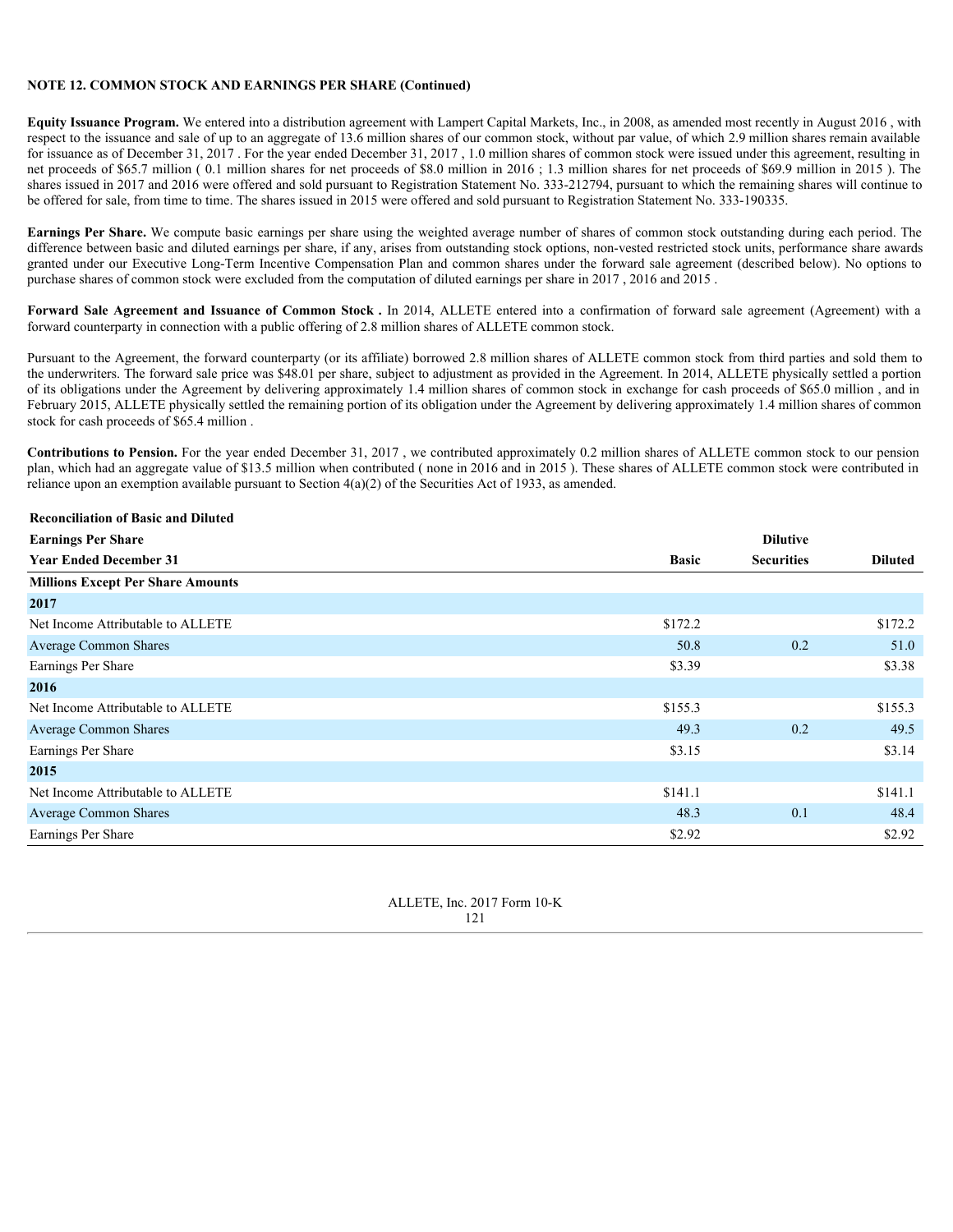# **NOTE 12. COMMON STOCK AND EARNINGS PER SHARE (Continued)**

**Equity Issuance Program.** We entered into a distribution agreement with Lampert Capital Markets, Inc., in 2008, as amended most recently in August 2016 , with respect to the issuance and sale of up to an aggregate of 13.6 million shares of our common stock, without par value, of which 2.9 million shares remain available for issuance as of December 31, 2017 . For the year ended December 31, 2017 , 1.0 million shares of common stock were issued under this agreement, resulting in net proceeds of \$65.7 million ( 0.1 million shares for net proceeds of \$8.0 million in 2016 ; 1.3 million shares for net proceeds of \$69.9 million in 2015 ). The shares issued in 2017 and 2016 were offered and sold pursuant to Registration Statement No. 333-212794, pursuant to which the remaining shares will continue to be offered for sale, from time to time. The shares issued in 2015 were offered and sold pursuant to Registration Statement No. 333-190335. **Equity Issuance Program.** We entered into a detribution agreement with 1 ampert Capital Markets, inc., in 2008, as amended most recently in August 2016, with Capital Seeponds to the interest to the issuarce and sale of u **E (Continued)**<br>
Let **Continued)**<br>
Let **Continued Source Common stock, without par value, of which 2.9 million shares remain available<br>
loor shares of common stock, without par value, of which 2.9 million shares remain av** 

**Earnings Per Share.** We compute basic earnings per share using the weighted average number of shares of common stock outstanding during each period. The difference between basic and diluted earnings per share, if any, arises from outstanding stock options, non-vested restricted stock units, performance share awards granted under our Executive Long-Term Incentive Compensation Plan and common shares under the forward sale agreement (described below). No options to

forward counterparty in connection with a public offering of 2.8 million shares of ALLETE common stock.

Pursuant to the Agreement, the forward counterparty (or its affiliate) borrowed 2.8 million shares of ALLETE common stock from third parties and sold them to the underwriters. The forward sale price was \$48.01 per share, subject to adjustment as provided in the Agreement. In 2014, ALLETE physically settled a portion of its obligations under the Agreement by delivering approximately 1.4 million shares of common stock in exchange for cash proceeds of \$65.0 million , and in February 2015, ALLETE physically settled the remaining portion of its obligation under the Agreement by delivering approximately 1.4 million shares of common stock for cash proceeds of \$65.4 million .

**Contributions to Pension.** For the year ended December 31, 2017 , we contributed approximately 0.2 million shares of ALLETE common stock to our pension plan, which had an aggregate value of \$13.5 million when contributed ( none in 2016 and in 2015 ). These shares of ALLETE common stock were contributed in reliance upon an exemption available pursuant to Section  $4(a)(2)$  of the Securities Act of 1933, as amended.

| <b>Reconciliation of Basic and Diluted</b> |              |                   |                |
|--------------------------------------------|--------------|-------------------|----------------|
| <b>Earnings Per Share</b>                  |              | <b>Dilutive</b>   |                |
| <b>Year Ended December 31</b>              | <b>Basic</b> | <b>Securities</b> | <b>Diluted</b> |
| <b>Millions Except Per Share Amounts</b>   |              |                   |                |
| 2017                                       |              |                   |                |
| Net Income Attributable to ALLETE          | \$172.2      |                   | \$172.2        |
| <b>Average Common Shares</b>               | 50.8         | 0.2               | 51.0           |
| Earnings Per Share                         | \$3.39       |                   | \$3.38         |
| 2016                                       |              |                   |                |
| Net Income Attributable to ALLETE          | \$155.3      |                   | \$155.3        |
| Average Common Shares                      | 49.3         | 0.2               | 49.5           |
| Earnings Per Share                         | \$3.15       |                   | \$3.14         |
| 2015                                       |              |                   |                |
| Net Income Attributable to ALLETE          | \$141.1      |                   | \$141.1        |
| Average Common Shares                      | 48.3         | 0.1               | 48.4           |
| Earnings Per Share                         | \$2.92       |                   | \$2.92         |

| ALLETE, Inc. 2017 Form 10-K |  |
|-----------------------------|--|
|                             |  |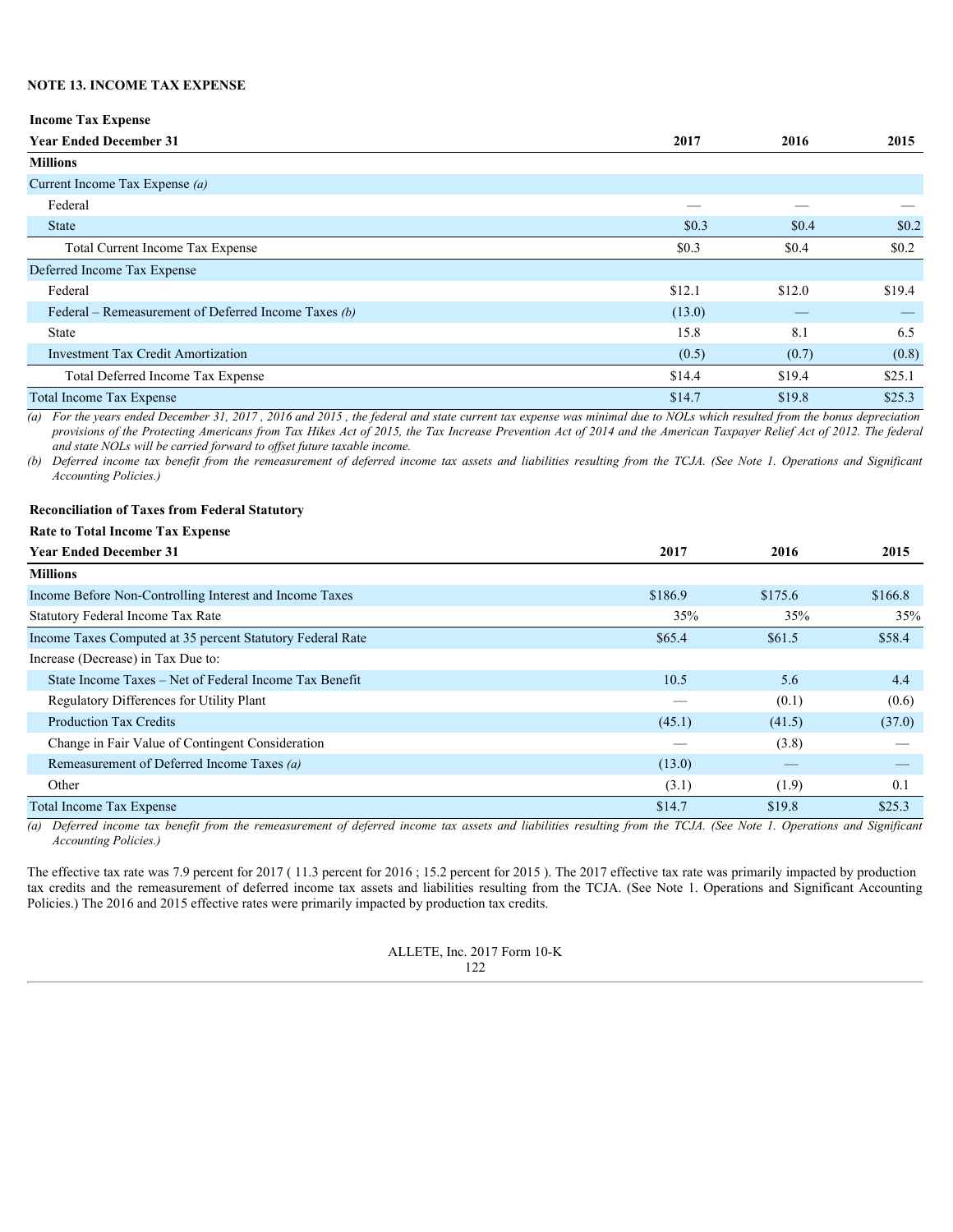#### **NOTE 13. INCOME TAX EXPENSE**

#### **Income Tax Expense**

| <b>NOTE 13. INCOME TAX EXPENSE</b>                                                                                                                                                                                                                                                                                                                                                                                                                                                                                                                                                                                          |        |                                 |                                 |
|-----------------------------------------------------------------------------------------------------------------------------------------------------------------------------------------------------------------------------------------------------------------------------------------------------------------------------------------------------------------------------------------------------------------------------------------------------------------------------------------------------------------------------------------------------------------------------------------------------------------------------|--------|---------------------------------|---------------------------------|
| <b>Income Tax Expense</b>                                                                                                                                                                                                                                                                                                                                                                                                                                                                                                                                                                                                   |        |                                 |                                 |
| <b>Year Ended December 31</b>                                                                                                                                                                                                                                                                                                                                                                                                                                                                                                                                                                                               | 2017   | 2016                            | 2015                            |
| <b>Millions</b>                                                                                                                                                                                                                                                                                                                                                                                                                                                                                                                                                                                                             |        |                                 |                                 |
| Current Income Tax Expense (a)                                                                                                                                                                                                                                                                                                                                                                                                                                                                                                                                                                                              |        |                                 |                                 |
| Federal                                                                                                                                                                                                                                                                                                                                                                                                                                                                                                                                                                                                                     |        | $\hspace{0.1mm}-\hspace{0.1mm}$ |                                 |
| State                                                                                                                                                                                                                                                                                                                                                                                                                                                                                                                                                                                                                       | \$0.3  | \$0.4                           | \$0.2                           |
| Total Current Income Tax Expense                                                                                                                                                                                                                                                                                                                                                                                                                                                                                                                                                                                            | \$0.3  | \$0.4                           | \$0.2\$                         |
| Deferred Income Tax Expense                                                                                                                                                                                                                                                                                                                                                                                                                                                                                                                                                                                                 |        |                                 |                                 |
| Federal                                                                                                                                                                                                                                                                                                                                                                                                                                                                                                                                                                                                                     | \$12.1 | \$12.0                          | \$19.4                          |
| Federal – Remeasurement of Deferred Income Taxes $(b)$                                                                                                                                                                                                                                                                                                                                                                                                                                                                                                                                                                      | (13.0) | $\hspace{0.05cm}$               | $\hspace{0.1mm}-\hspace{0.1mm}$ |
| State                                                                                                                                                                                                                                                                                                                                                                                                                                                                                                                                                                                                                       | 15.8   | 8.1                             | 6.5                             |
| <b>Investment Tax Credit Amortization</b>                                                                                                                                                                                                                                                                                                                                                                                                                                                                                                                                                                                   | (0.5)  | (0.7)                           | (0.8)                           |
| Total Deferred Income Tax Expense                                                                                                                                                                                                                                                                                                                                                                                                                                                                                                                                                                                           | \$14.4 | \$19.4                          | \$25.1                          |
| Total Income Tax Expense                                                                                                                                                                                                                                                                                                                                                                                                                                                                                                                                                                                                    | \$14.7 | \$19.8                          | \$25.3                          |
| (a) For the years ended December 31, 2017, 2016 and 2015, the federal and state current tax expense was minimal due to NOLs which resulted from the bonus depreciation<br>provisions of the Protecting Americans from Tax Hikes Act of 2015, the Tax Increase Prevention Act of 2014 and the American Taxpayer Relief Act of 2012. The federal<br>and state NOLs will be carried forward to offset future taxable income.<br>(b) Deferred income tax benefit from the remeasurement of deferred income tax assets and liabilities resulting from the TCJA. (See Note 1. Operations and Significant<br>Accounting Policies.) |        |                                 |                                 |
| <b>Reconciliation of Taxes from Federal Statutory</b>                                                                                                                                                                                                                                                                                                                                                                                                                                                                                                                                                                       |        |                                 |                                 |
| <b>Rate to Total Income Tax Expense</b>                                                                                                                                                                                                                                                                                                                                                                                                                                                                                                                                                                                     |        |                                 |                                 |
| <b>Year Ended December 31</b>                                                                                                                                                                                                                                                                                                                                                                                                                                                                                                                                                                                               | 2017   | 2016                            | 2015                            |
| <b>Millions</b>                                                                                                                                                                                                                                                                                                                                                                                                                                                                                                                                                                                                             |        |                                 |                                 |

# **Reconciliation of Taxes from Federal Statutory**

# **Rate to Total Income Tax Expense**

| Investment Tax Credit Amortization                                                                                                                                                                                                                                                                                                                                                                                                                                                                                                                                                                                                          | (0.5)                            | (0.7)             | (0.8)                    |
|---------------------------------------------------------------------------------------------------------------------------------------------------------------------------------------------------------------------------------------------------------------------------------------------------------------------------------------------------------------------------------------------------------------------------------------------------------------------------------------------------------------------------------------------------------------------------------------------------------------------------------------------|----------------------------------|-------------------|--------------------------|
| Total Deferred Income Tax Expense                                                                                                                                                                                                                                                                                                                                                                                                                                                                                                                                                                                                           | \$14.4                           | \$19.4            | \$25.1                   |
| <b>Total Income Tax Expense</b>                                                                                                                                                                                                                                                                                                                                                                                                                                                                                                                                                                                                             | \$14.7                           | \$19.8            | \$25.3                   |
| (a) For the years ended December 31, 2017, 2016 and 2015, the federal and state current tax expense was minimal due to NOLs which resulted from the bonus depreciation<br>provisions of the Protecting Americans from Tax Hikes Act of 2015, the Tax Increase Prevention Act of 2014 and the American Taxpayer Relief Act of 2012. The federal<br>and state NOLs will be carried forward to offset future taxable income.<br>(b) Deferred income tax benefit from the remeasurement of deferred income tax assets and liabilities resulting from the TCJA. (See Note 1. Operations and Significant<br><b>Accounting Policies.)</b>          |                                  |                   |                          |
| <b>Reconciliation of Taxes from Federal Statutory</b>                                                                                                                                                                                                                                                                                                                                                                                                                                                                                                                                                                                       |                                  |                   |                          |
| <b>Rate to Total Income Tax Expense</b>                                                                                                                                                                                                                                                                                                                                                                                                                                                                                                                                                                                                     |                                  |                   |                          |
| <b>Year Ended December 31</b>                                                                                                                                                                                                                                                                                                                                                                                                                                                                                                                                                                                                               | 2017                             | 2016              | 2015                     |
| <b>Millions</b>                                                                                                                                                                                                                                                                                                                                                                                                                                                                                                                                                                                                                             |                                  |                   |                          |
| Income Before Non-Controlling Interest and Income Taxes                                                                                                                                                                                                                                                                                                                                                                                                                                                                                                                                                                                     | \$186.9                          | \$175.6           | \$166.8                  |
| Statutory Federal Income Tax Rate                                                                                                                                                                                                                                                                                                                                                                                                                                                                                                                                                                                                           | 35%                              | 35%               | 35%                      |
| Income Taxes Computed at 35 percent Statutory Federal Rate                                                                                                                                                                                                                                                                                                                                                                                                                                                                                                                                                                                  | \$65.4                           | \$61.5            | \$58.4                   |
| Increase (Decrease) in Tax Due to:                                                                                                                                                                                                                                                                                                                                                                                                                                                                                                                                                                                                          |                                  |                   |                          |
| State Income Taxes - Net of Federal Income Tax Benefit                                                                                                                                                                                                                                                                                                                                                                                                                                                                                                                                                                                      | 10.5                             | 5.6               | 4.4                      |
| Regulatory Differences for Utility Plant                                                                                                                                                                                                                                                                                                                                                                                                                                                                                                                                                                                                    |                                  | (0.1)             | (0.6)                    |
| <b>Production Tax Credits</b>                                                                                                                                                                                                                                                                                                                                                                                                                                                                                                                                                                                                               | (45.1)                           | (41.5)            | (37.0)                   |
| Change in Fair Value of Contingent Consideration                                                                                                                                                                                                                                                                                                                                                                                                                                                                                                                                                                                            | $\overbrace{\phantom{12322111}}$ | (3.8)             |                          |
| Remeasurement of Deferred Income Taxes (a)                                                                                                                                                                                                                                                                                                                                                                                                                                                                                                                                                                                                  | (13.0)                           | $\hspace{0.05cm}$ | $\overline{\phantom{0}}$ |
| Other                                                                                                                                                                                                                                                                                                                                                                                                                                                                                                                                                                                                                                       | (3.1)                            | (1.9)             | 0.1                      |
| <b>Total Income Tax Expense</b>                                                                                                                                                                                                                                                                                                                                                                                                                                                                                                                                                                                                             | \$14.7                           | \$19.8            | \$25.3                   |
| (a) Deferred income tax benefit from the remeasurement of deferred income tax assets and liabilities resulting from the TCJA. (See Note 1. Operations and Significant<br><b>Accounting Policies.)</b><br>The effective tax rate was 7.9 percent for 2017 (11.3 percent for 2016; 15.2 percent for 2015). The 2017 effective tax rate was primarily impacted by production<br>tax credits and the remeasurement of deferred income tax assets and liabilities resulting from the TCJA. (See Note 1. Operations and Significant Accounting<br>Policies.) The 2016 and 2015 effective rates were primarily impacted by production tax credits. |                                  |                   |                          |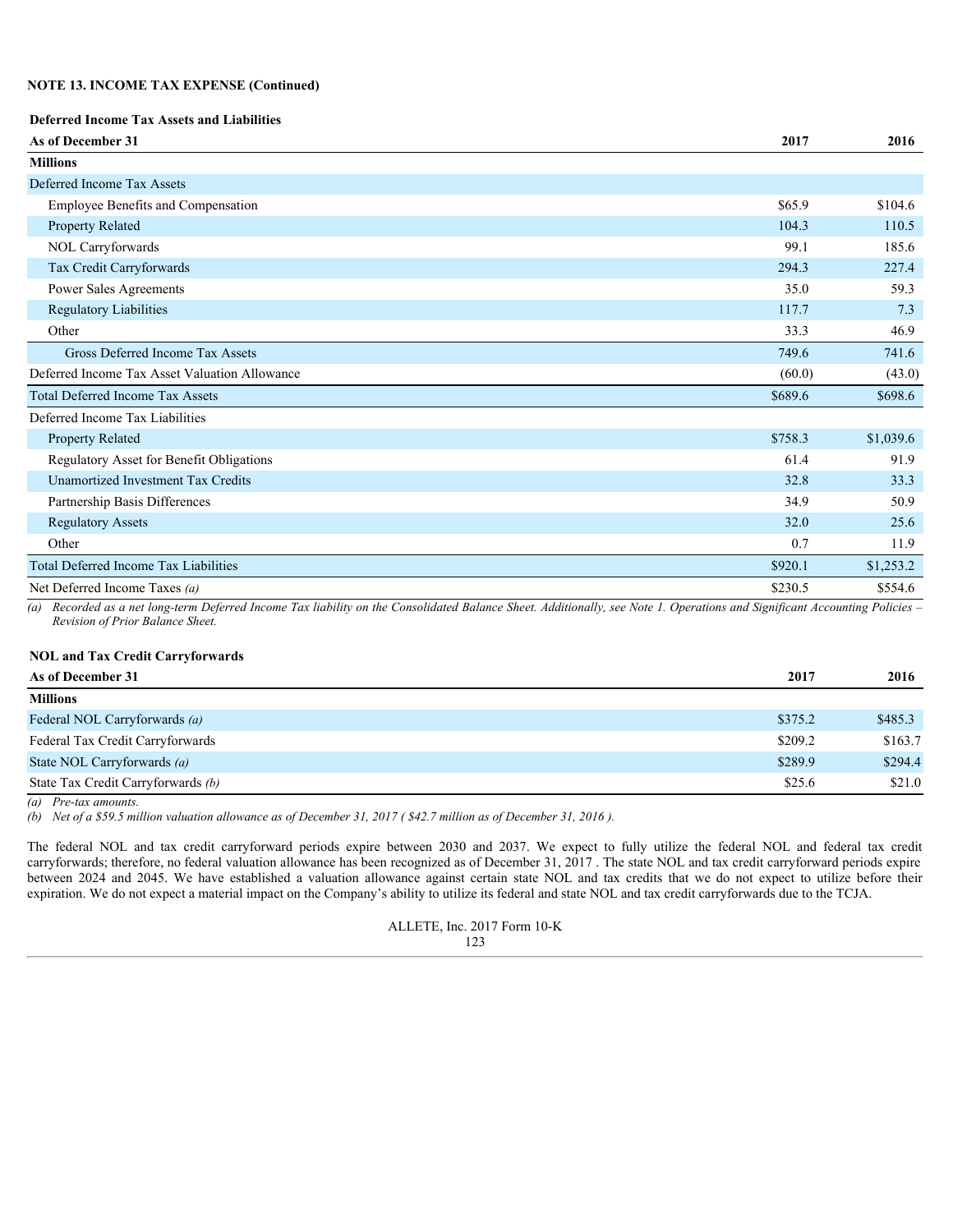# **NOTE 13. INCOME TAX EXPENSE (Continued)**

# **Deferred Income Tax Assets and Liabilities**

| As of December 31                                                                                                                                                                                                                                                                                                                                                                                                                                                                                                                                                                                                                               | 2017    | 2016      |
|-------------------------------------------------------------------------------------------------------------------------------------------------------------------------------------------------------------------------------------------------------------------------------------------------------------------------------------------------------------------------------------------------------------------------------------------------------------------------------------------------------------------------------------------------------------------------------------------------------------------------------------------------|---------|-----------|
| Millions                                                                                                                                                                                                                                                                                                                                                                                                                                                                                                                                                                                                                                        |         |           |
| Deferred Income Tax Assets                                                                                                                                                                                                                                                                                                                                                                                                                                                                                                                                                                                                                      |         |           |
| Employee Benefits and Compensation                                                                                                                                                                                                                                                                                                                                                                                                                                                                                                                                                                                                              | \$65.9  | \$104.6   |
| <b>Property Related</b>                                                                                                                                                                                                                                                                                                                                                                                                                                                                                                                                                                                                                         | 104.3   | 110.5     |
| NOL Carryforwards                                                                                                                                                                                                                                                                                                                                                                                                                                                                                                                                                                                                                               | 99.1    | 185.6     |
| Tax Credit Carryforwards                                                                                                                                                                                                                                                                                                                                                                                                                                                                                                                                                                                                                        | 294.3   | 227.4     |
| Power Sales Agreements                                                                                                                                                                                                                                                                                                                                                                                                                                                                                                                                                                                                                          | 35.0    | 59.3      |
| <b>Regulatory Liabilities</b>                                                                                                                                                                                                                                                                                                                                                                                                                                                                                                                                                                                                                   | 117.7   | 7.3       |
| Other                                                                                                                                                                                                                                                                                                                                                                                                                                                                                                                                                                                                                                           | 33.3    | 46.9      |
| Gross Deferred Income Tax Assets                                                                                                                                                                                                                                                                                                                                                                                                                                                                                                                                                                                                                | 749.6   | 741.6     |
| Deferred Income Tax Asset Valuation Allowance                                                                                                                                                                                                                                                                                                                                                                                                                                                                                                                                                                                                   | (60.0)  | (43.0)    |
| <b>Total Deferred Income Tax Assets</b>                                                                                                                                                                                                                                                                                                                                                                                                                                                                                                                                                                                                         | \$689.6 | \$698.6   |
| Deferred Income Tax Liabilities                                                                                                                                                                                                                                                                                                                                                                                                                                                                                                                                                                                                                 |         |           |
| <b>Property Related</b>                                                                                                                                                                                                                                                                                                                                                                                                                                                                                                                                                                                                                         | \$758.3 | \$1,039.6 |
| Regulatory Asset for Benefit Obligations                                                                                                                                                                                                                                                                                                                                                                                                                                                                                                                                                                                                        | 61.4    | 91.9      |
| Unamortized Investment Tax Credits                                                                                                                                                                                                                                                                                                                                                                                                                                                                                                                                                                                                              | 32.8    | 33.3      |
| Partnership Basis Differences                                                                                                                                                                                                                                                                                                                                                                                                                                                                                                                                                                                                                   | 34.9    | 50.9      |
| <b>Regulatory Assets</b>                                                                                                                                                                                                                                                                                                                                                                                                                                                                                                                                                                                                                        | 32.0    | 25.6      |
| Other                                                                                                                                                                                                                                                                                                                                                                                                                                                                                                                                                                                                                                           | 0.7     | 11.9      |
| <b>Total Deferred Income Tax Liabilities</b>                                                                                                                                                                                                                                                                                                                                                                                                                                                                                                                                                                                                    | \$920.1 | \$1,253.2 |
| Net Deferred Income Taxes (a)                                                                                                                                                                                                                                                                                                                                                                                                                                                                                                                                                                                                                   | \$230.5 | \$554.6   |
| (a) Recorded as a net long-term Deferred Income Tax liability on the Consolidated Balance Sheet. Additionally, see Note 1. Operations and Significant Accounting Policies -<br>Revision of Prior Balance Sheet.                                                                                                                                                                                                                                                                                                                                                                                                                                 |         |           |
| <b>NOL and Tax Credit Carryforwards</b><br>As of December 31                                                                                                                                                                                                                                                                                                                                                                                                                                                                                                                                                                                    | 2017    | 2016      |
|                                                                                                                                                                                                                                                                                                                                                                                                                                                                                                                                                                                                                                                 |         |           |
| <b>Millions</b>                                                                                                                                                                                                                                                                                                                                                                                                                                                                                                                                                                                                                                 |         |           |
| Federal NOL Carryforwards (a)                                                                                                                                                                                                                                                                                                                                                                                                                                                                                                                                                                                                                   | \$375.2 | \$485.3   |
| Federal Tax Credit Carryforwards                                                                                                                                                                                                                                                                                                                                                                                                                                                                                                                                                                                                                | \$209.2 | \$163.7   |
| State NOL Carryforwards (a)                                                                                                                                                                                                                                                                                                                                                                                                                                                                                                                                                                                                                     | \$289.9 | \$294.4   |
| State Tax Credit Carryforwards (b)                                                                                                                                                                                                                                                                                                                                                                                                                                                                                                                                                                                                              | \$25.6  | \$21.0    |
| (a) Pre-tax amounts.<br>(b) Net of a \$59.5 million valuation allowance as of December 31, 2017 (\$42.7 million as of December 31, 2016).                                                                                                                                                                                                                                                                                                                                                                                                                                                                                                       |         |           |
| The federal NOL and tax credit carryforward periods expire between 2030 and 2037. We expect to fully utilize the federal NOL and federal tax credit<br>carryforwards; therefore, no federal valuation allowance has been recognized as of December 31, 2017. The state NOL and tax credit carryforward periods expire<br>between 2024 and 2045. We have established a valuation allowance against certain state NOL and tax credits that we do not expect to utilize before their<br>expiration. We do not expect a material impact on the Company's ability to utilize its federal and state NOL and tax credit carryforwards due to the TCJA. |         |           |
| ALLETE, Inc. 2017 Form 10-K<br>123                                                                                                                                                                                                                                                                                                                                                                                                                                                                                                                                                                                                              |         |           |
|                                                                                                                                                                                                                                                                                                                                                                                                                                                                                                                                                                                                                                                 |         |           |

#### **NOL and Tax Credit Carryforwards**

| As of December 31                      | 2017    | 2016    |
|----------------------------------------|---------|---------|
| Millions                               |         |         |
| Federal NOL Carryforwards (a)          | \$375.2 | \$485.3 |
| Federal Tax Credit Carryforwards       | \$209.2 | \$163.7 |
| State NOL Carryforwards (a)            | \$289.9 | \$294.4 |
| State Tax Credit Carryforwards (b)     | \$25.6  | \$21.0  |
| the state of the state of the state of |         |         |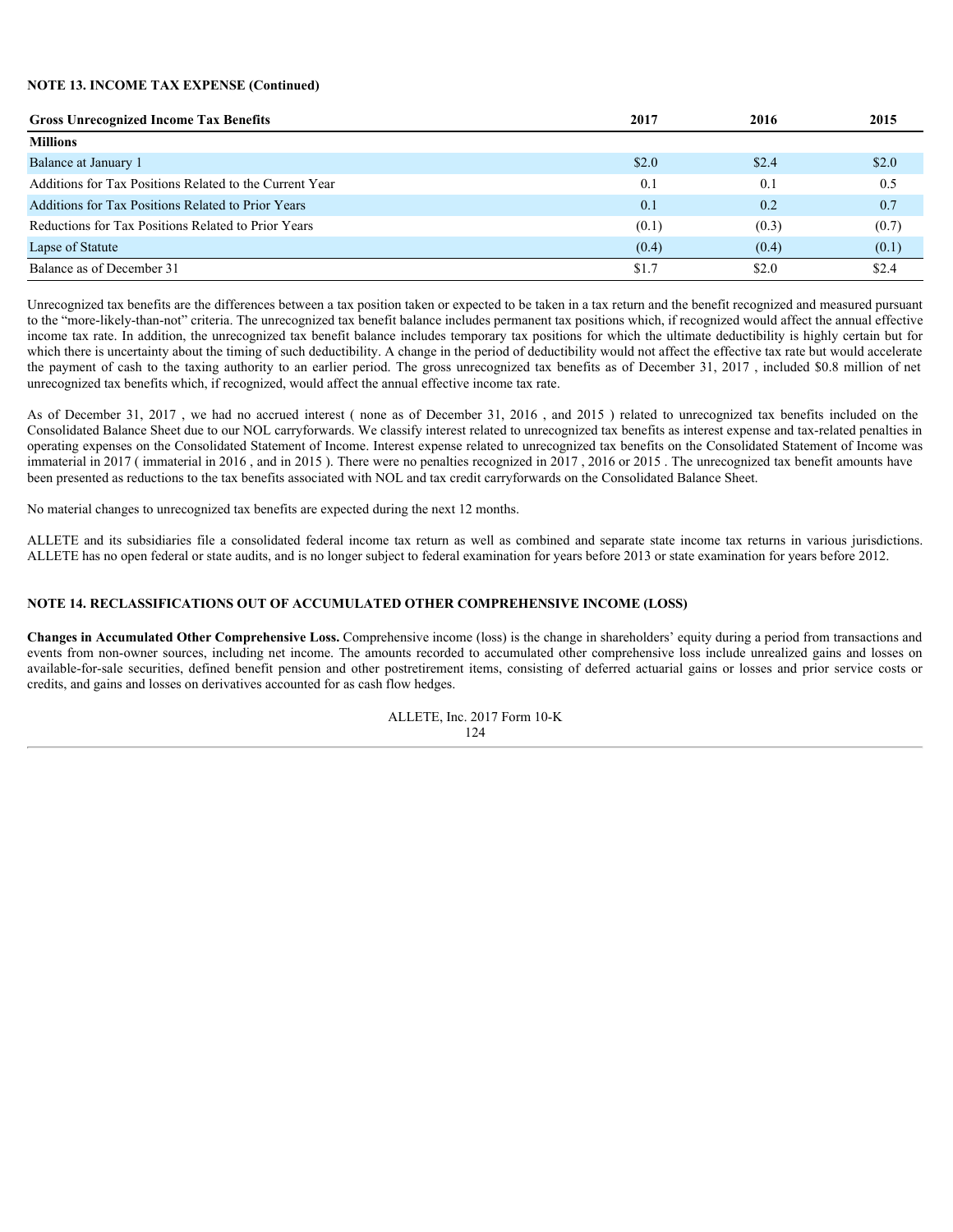# **NOTE 13. INCOME TAX EXPENSE (Continued)**

| <b>NOTE 13. INCOME TAX EXPENSE (Continued)</b>                                                                                                                                                                                                                                                                                                                                                                                                                                                                                                                                                                                                                                                                                                                                                                                                                                                                                                                                                                                                                                                                                                                                                                                                                                                                                                                                                                                                                                                                                                                                                                                                                                                                                                                                                                                                                                                                                                                                                         |                                                                                                                                                                     |       |       |
|--------------------------------------------------------------------------------------------------------------------------------------------------------------------------------------------------------------------------------------------------------------------------------------------------------------------------------------------------------------------------------------------------------------------------------------------------------------------------------------------------------------------------------------------------------------------------------------------------------------------------------------------------------------------------------------------------------------------------------------------------------------------------------------------------------------------------------------------------------------------------------------------------------------------------------------------------------------------------------------------------------------------------------------------------------------------------------------------------------------------------------------------------------------------------------------------------------------------------------------------------------------------------------------------------------------------------------------------------------------------------------------------------------------------------------------------------------------------------------------------------------------------------------------------------------------------------------------------------------------------------------------------------------------------------------------------------------------------------------------------------------------------------------------------------------------------------------------------------------------------------------------------------------------------------------------------------------------------------------------------------------|---------------------------------------------------------------------------------------------------------------------------------------------------------------------|-------|-------|
| <b>Gross Unrecognized Income Tax Benefits</b>                                                                                                                                                                                                                                                                                                                                                                                                                                                                                                                                                                                                                                                                                                                                                                                                                                                                                                                                                                                                                                                                                                                                                                                                                                                                                                                                                                                                                                                                                                                                                                                                                                                                                                                                                                                                                                                                                                                                                          | 2017                                                                                                                                                                | 2016  | 2015  |
| <b>Millions</b>                                                                                                                                                                                                                                                                                                                                                                                                                                                                                                                                                                                                                                                                                                                                                                                                                                                                                                                                                                                                                                                                                                                                                                                                                                                                                                                                                                                                                                                                                                                                                                                                                                                                                                                                                                                                                                                                                                                                                                                        |                                                                                                                                                                     |       |       |
| Balance at January 1                                                                                                                                                                                                                                                                                                                                                                                                                                                                                                                                                                                                                                                                                                                                                                                                                                                                                                                                                                                                                                                                                                                                                                                                                                                                                                                                                                                                                                                                                                                                                                                                                                                                                                                                                                                                                                                                                                                                                                                   | \$2.0                                                                                                                                                               | \$2.4 | \$2.0 |
| Additions for Tax Positions Related to the Current Year                                                                                                                                                                                                                                                                                                                                                                                                                                                                                                                                                                                                                                                                                                                                                                                                                                                                                                                                                                                                                                                                                                                                                                                                                                                                                                                                                                                                                                                                                                                                                                                                                                                                                                                                                                                                                                                                                                                                                | 0.1                                                                                                                                                                 | 0.1   | 0.5   |
| Additions for Tax Positions Related to Prior Years                                                                                                                                                                                                                                                                                                                                                                                                                                                                                                                                                                                                                                                                                                                                                                                                                                                                                                                                                                                                                                                                                                                                                                                                                                                                                                                                                                                                                                                                                                                                                                                                                                                                                                                                                                                                                                                                                                                                                     | 0.1                                                                                                                                                                 | 0.2   | 0.7   |
| Reductions for Tax Positions Related to Prior Years                                                                                                                                                                                                                                                                                                                                                                                                                                                                                                                                                                                                                                                                                                                                                                                                                                                                                                                                                                                                                                                                                                                                                                                                                                                                                                                                                                                                                                                                                                                                                                                                                                                                                                                                                                                                                                                                                                                                                    | (0.1)                                                                                                                                                               | (0.3) | (0.7) |
| Lapse of Statute                                                                                                                                                                                                                                                                                                                                                                                                                                                                                                                                                                                                                                                                                                                                                                                                                                                                                                                                                                                                                                                                                                                                                                                                                                                                                                                                                                                                                                                                                                                                                                                                                                                                                                                                                                                                                                                                                                                                                                                       | (0.4)                                                                                                                                                               | (0.4) | (0.1) |
| Balance as of December 31                                                                                                                                                                                                                                                                                                                                                                                                                                                                                                                                                                                                                                                                                                                                                                                                                                                                                                                                                                                                                                                                                                                                                                                                                                                                                                                                                                                                                                                                                                                                                                                                                                                                                                                                                                                                                                                                                                                                                                              | \$1.7                                                                                                                                                               | \$2.0 | \$2.4 |
| to the "more-likely-than-not" criteria. The unrecognized tax benefit balance includes permanent tax positions which, if recognized would affect the annual effective<br>income tax rate. In addition, the unrecognized tax benefit balance includes temporary tax positions for which the ultimate deductibility is highly certain but for<br>which there is uncertainty about the timing of such deductibility. A change in the period of deductibility would not affect the effective tax rate but would accelerate<br>the payment of cash to the taxing authority to an earlier period. The gross unrecognized tax benefits as of December 31, 2017, included \$0.8 million of net                                                                                                                                                                                                                                                                                                                                                                                                                                                                                                                                                                                                                                                                                                                                                                                                                                                                                                                                                                                                                                                                                                                                                                                                                                                                                                                  | Unrecognized tax benefits are the differences between a tax position taken or expected to be taken in a tax return and the benefit recognized and measured pursuant |       |       |
|                                                                                                                                                                                                                                                                                                                                                                                                                                                                                                                                                                                                                                                                                                                                                                                                                                                                                                                                                                                                                                                                                                                                                                                                                                                                                                                                                                                                                                                                                                                                                                                                                                                                                                                                                                                                                                                                                                                                                                                                        |                                                                                                                                                                     |       |       |
| unrecognized tax benefits which, if recognized, would affect the annual effective income tax rate.<br>As of December 31, 2017, we had no accrued interest (none as of December 31, 2016, and 2015) related to unrecognized tax benefits included on the<br>Consolidated Balance Sheet due to our NOL carryforwards. We classify interest related to unrecognized tax benefits as interest expense and tax-related penalties in<br>operating expenses on the Consolidated Statement of Income. Interest expense related to unrecognized tax benefits on the Consolidated Statement of Income was<br>immaterial in 2017 (immaterial in 2016, and in 2015). There were no penalties recognized in 2017, 2016 or 2015. The unrecognized tax benefit amounts have<br>been presented as reductions to the tax benefits associated with NOL and tax credit carryforwards on the Consolidated Balance Sheet.<br>No material changes to unrecognized tax benefits are expected during the next 12 months.<br>ALLETE and its subsidiaries file a consolidated federal income tax return as well as combined and separate state income tax returns in various jurisdictions.<br>ALLETE has no open federal or state audits, and is no longer subject to federal examination for years before 2013 or state examination for years before 2012.<br>NOTE 14. RECLASSIFICATIONS OUT OF ACCUMULATED OTHER COMPREHENSIVE INCOME (LOSS)<br>Changes in Accumulated Other Comprehensive Loss. Comprehensive income (loss) is the change in shareholders' equity during a period from transactions and<br>events from non-owner sources, including net income. The amounts recorded to accumulated other comprehensive loss include unrealized gains and losses on<br>available-for-sale securities, defined benefit pension and other postretirement items, consisting of deferred actuarial gains or losses and prior service costs or<br>credits, and gains and losses on derivatives accounted for as cash flow hedges. |                                                                                                                                                                     |       |       |

#### **NOTE 14. RECLASSIFICATIONS OUT OF ACCUMULATED OTHER COMPREHENSIVE INCOME (LOSS)**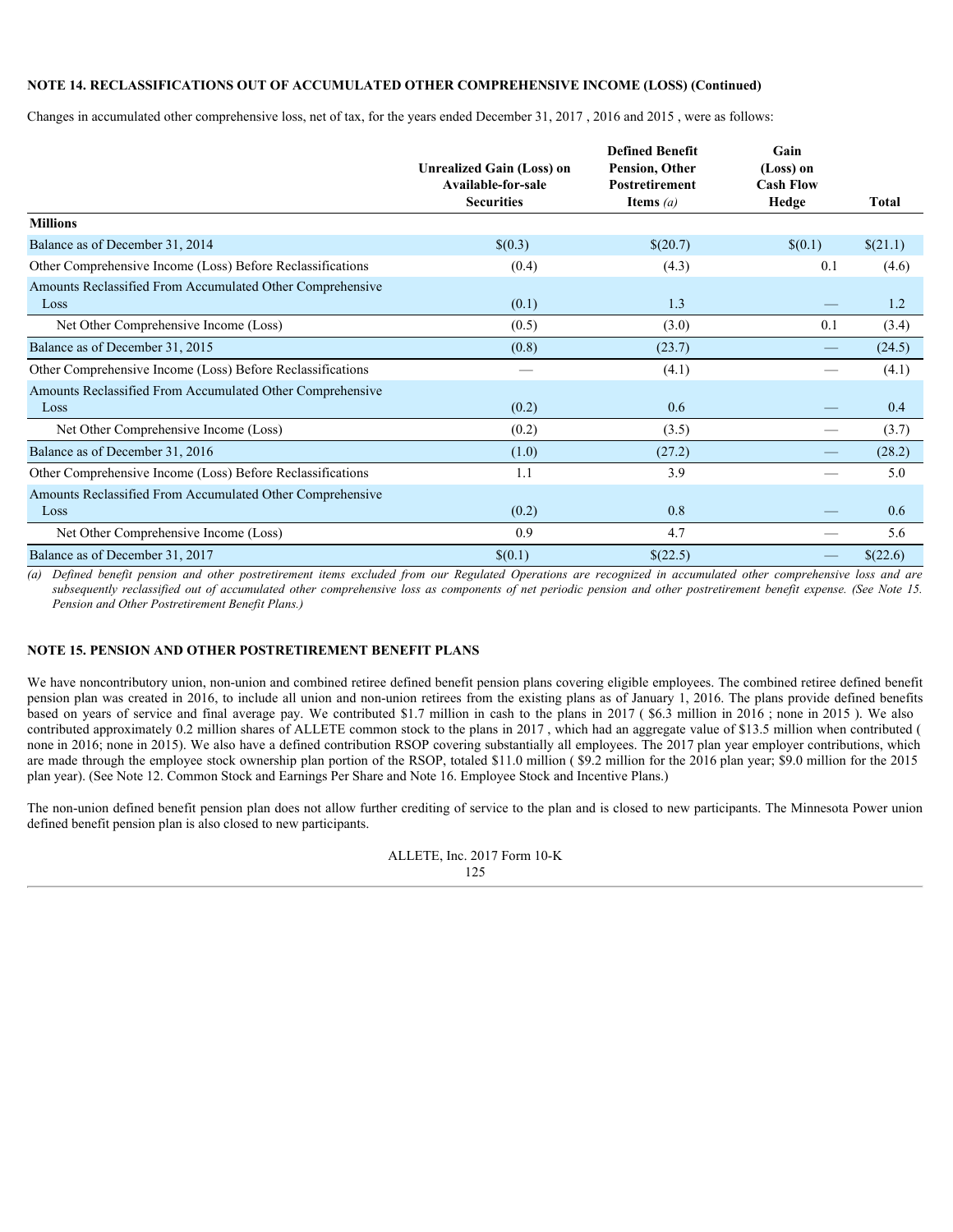# **NOTE 14. RECLASSIFICATIONS OUT OF ACCUMULATED OTHER COMPREHENSIVE INCOME (LOSS) (Continued)**

|                                                                                                                                                                                                                                                                                                                                                                                                                                                                                                                                                                                                                                                                                                                                                                                                                                                                                                                                                                                                                                                                                                                     | <b>Unrealized Gain (Loss) on</b><br>Available-for-sale<br><b>Securities</b> | <b>Defined Benefit</b><br>Pension, Other<br>Postretirement<br>Items $(a)$ | Gain<br>(Loss) on<br><b>Cash Flow</b><br>Hedge | Total    |
|---------------------------------------------------------------------------------------------------------------------------------------------------------------------------------------------------------------------------------------------------------------------------------------------------------------------------------------------------------------------------------------------------------------------------------------------------------------------------------------------------------------------------------------------------------------------------------------------------------------------------------------------------------------------------------------------------------------------------------------------------------------------------------------------------------------------------------------------------------------------------------------------------------------------------------------------------------------------------------------------------------------------------------------------------------------------------------------------------------------------|-----------------------------------------------------------------------------|---------------------------------------------------------------------------|------------------------------------------------|----------|
| <b>Millions</b>                                                                                                                                                                                                                                                                                                                                                                                                                                                                                                                                                                                                                                                                                                                                                                                                                                                                                                                                                                                                                                                                                                     |                                                                             |                                                                           |                                                |          |
| Balance as of December 31, 2014                                                                                                                                                                                                                                                                                                                                                                                                                                                                                                                                                                                                                                                                                                                                                                                                                                                                                                                                                                                                                                                                                     | \$(0.3)                                                                     | \$(20.7)                                                                  | \$(0.1)                                        | \$(21.1) |
| Other Comprehensive Income (Loss) Before Reclassifications                                                                                                                                                                                                                                                                                                                                                                                                                                                                                                                                                                                                                                                                                                                                                                                                                                                                                                                                                                                                                                                          | (0.4)                                                                       | (4.3)                                                                     | 0.1                                            | (4.6)    |
| Amounts Reclassified From Accumulated Other Comprehensive<br>Loss                                                                                                                                                                                                                                                                                                                                                                                                                                                                                                                                                                                                                                                                                                                                                                                                                                                                                                                                                                                                                                                   | (0.1)                                                                       | 1.3                                                                       |                                                | 1.2      |
| Net Other Comprehensive Income (Loss)                                                                                                                                                                                                                                                                                                                                                                                                                                                                                                                                                                                                                                                                                                                                                                                                                                                                                                                                                                                                                                                                               | (0.5)                                                                       | (3.0)                                                                     | 0.1                                            | (3.4)    |
| Balance as of December 31, 2015                                                                                                                                                                                                                                                                                                                                                                                                                                                                                                                                                                                                                                                                                                                                                                                                                                                                                                                                                                                                                                                                                     | (0.8)                                                                       | (23.7)                                                                    |                                                | (24.5)   |
| Other Comprehensive Income (Loss) Before Reclassifications                                                                                                                                                                                                                                                                                                                                                                                                                                                                                                                                                                                                                                                                                                                                                                                                                                                                                                                                                                                                                                                          | $\overline{\phantom{m}}$                                                    | (4.1)                                                                     | $\overbrace{\phantom{12322111}}$               | (4.1)    |
| Amounts Reclassified From Accumulated Other Comprehensive                                                                                                                                                                                                                                                                                                                                                                                                                                                                                                                                                                                                                                                                                                                                                                                                                                                                                                                                                                                                                                                           |                                                                             |                                                                           |                                                |          |
| Loss                                                                                                                                                                                                                                                                                                                                                                                                                                                                                                                                                                                                                                                                                                                                                                                                                                                                                                                                                                                                                                                                                                                | (0.2)                                                                       | 0.6                                                                       |                                                | 0.4      |
| Net Other Comprehensive Income (Loss)                                                                                                                                                                                                                                                                                                                                                                                                                                                                                                                                                                                                                                                                                                                                                                                                                                                                                                                                                                                                                                                                               | (0.2)                                                                       | (3.5)                                                                     |                                                | (3.7)    |
| Balance as of December 31, 2016                                                                                                                                                                                                                                                                                                                                                                                                                                                                                                                                                                                                                                                                                                                                                                                                                                                                                                                                                                                                                                                                                     | (1.0)                                                                       | (27.2)                                                                    |                                                | (28.2)   |
| Other Comprehensive Income (Loss) Before Reclassifications                                                                                                                                                                                                                                                                                                                                                                                                                                                                                                                                                                                                                                                                                                                                                                                                                                                                                                                                                                                                                                                          | 1.1                                                                         | 3.9                                                                       |                                                | 5.0      |
| Amounts Reclassified From Accumulated Other Comprehensive                                                                                                                                                                                                                                                                                                                                                                                                                                                                                                                                                                                                                                                                                                                                                                                                                                                                                                                                                                                                                                                           |                                                                             |                                                                           |                                                |          |
| Loss                                                                                                                                                                                                                                                                                                                                                                                                                                                                                                                                                                                                                                                                                                                                                                                                                                                                                                                                                                                                                                                                                                                | (0.2)                                                                       | 0.8                                                                       |                                                | 0.6      |
| Net Other Comprehensive Income (Loss)                                                                                                                                                                                                                                                                                                                                                                                                                                                                                                                                                                                                                                                                                                                                                                                                                                                                                                                                                                                                                                                                               | 0.9                                                                         | 4.7                                                                       |                                                | 5.6      |
| Balance as of December 31, 2017                                                                                                                                                                                                                                                                                                                                                                                                                                                                                                                                                                                                                                                                                                                                                                                                                                                                                                                                                                                                                                                                                     | \$(0.1)                                                                     | \$(22.5)                                                                  |                                                | \$(22.6) |
| (a) Defined benefit pension and other postretirement items excluded from our Regulated Operations are recognized in accumulated other comprehensive loss and are<br>subsequently reclassified out of accumulated other comprehensive loss as components of net periodic pension and other postretirement benefit expense. (See Note 15.<br>Pension and Other Postretirement Benefit Plans.)<br>NOTE 15. PENSION AND OTHER POSTRETIREMENT BENEFIT PLANS                                                                                                                                                                                                                                                                                                                                                                                                                                                                                                                                                                                                                                                              |                                                                             |                                                                           |                                                |          |
| We have noncontributory union, non-union and combined retiree defined benefit pension plans covering eligible employees. The combined retiree defined benefit<br>pension plan was created in 2016, to include all union and non-union retirees from the existing plans as of January 1, 2016. The plans provide defined benefits<br>based on years of service and final average pay. We contributed \$1.7 million in cash to the plans in 2017 (\$6.3 million in 2016; none in 2015). We also<br>contributed approximately 0.2 million shares of ALLETE common stock to the plans in 2017, which had an aggregate value of \$13.5 million when contributed (<br>none in 2016; none in 2015). We also have a defined contribution RSOP covering substantially all employees. The 2017 plan year employer contributions, which<br>are made through the employee stock ownership plan portion of the RSOP, totaled \$11.0 million (\$9.2 million for the 2016 plan year; \$9.0 million for the 2015<br>plan year). (See Note 12. Common Stock and Earnings Per Share and Note 16. Employee Stock and Incentive Plans.) |                                                                             |                                                                           |                                                |          |
| The non-union defined benefit pension plan does not allow further crediting of service to the plan and is closed to new participants. The Minnesota Power union<br>defined benefit pension plan is also closed to new participants.                                                                                                                                                                                                                                                                                                                                                                                                                                                                                                                                                                                                                                                                                                                                                                                                                                                                                 |                                                                             |                                                                           |                                                |          |

# **NOTE 15. PENSION AND OTHER POSTRETIREMENT BENEFIT PLANS**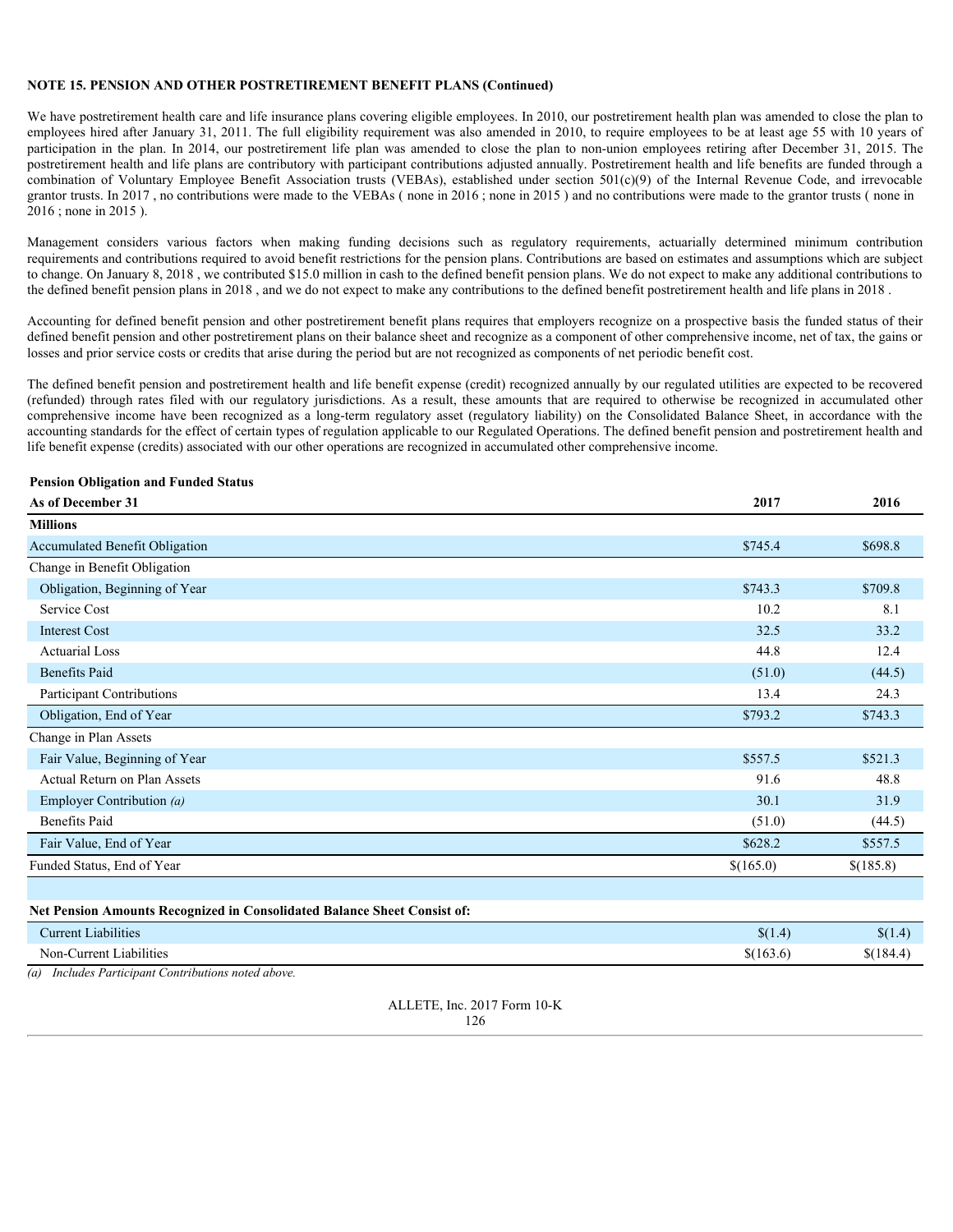We have postretirement health care and life insurance plans covering eligible employees. In 2010, our postretirement health plan was amended to close the plan to employees hired after January 31, 2011. The full eligibility requirement was also amended in 2010, to require employees to be at least age 55 with 10 years of NOTE 15. PENSION AND OTHER POSTRETIREMENT BENEFIT PLANS (Continued)<br>We have postretirement health care and life insurance plans covering eligible employees. In 2010, our postretirement health plan was amended to close the postretirement health and life plans are contributory with participant contributions adjusted annually. Postretirement health and life benefits are funded through a combination of Voluntary Employee Benefit Association tru **NOTE 15. PENSION AND OTHER POSTRETIREMENT BENEFIT PLANS (Continued)**<br>We have postretirement health care and Ife insurance plans covering eligible employees. In 2010, our postretirement health plan was amended to close th grantor trusts. In 2017 , no contributions were made to the VEBAs ( none in 2016 ; none in 2015 ) and no contributions were made to the grantor trusts ( none in 2016 ; none in 2015 ). **NOTE 15. PENSION AND OTHER POSTRETIREMENT BENEFIT PLANS (Continued)**<br>We have postretirement health care and life insurance plans covering eligible employees. In 2010, our postretirement health plan was amended to close t NOTE IS. PENSION AND OTHER POSTRETIREMENT BENEFIT PLANS (Continued)<br>We have positeintenent health care and life insurace plans covering eligible employes. In 2010, on generalizerate health plan was amonded to choose the p **EXENION AND OTHER POSTRETIREMENT BENEFIT PLANS (Continued)**<br>We have participated to describe the main of the constrained plane covering eligible employes in 2010, on equire employees to be at least age 55 with 10 years o

requirements and contributions required to avoid benefit restrictions for the pension plans. Contributions are based on estimates and assumptions which are subject to change. On January 8, 2018 , we contributed \$15.0 million in cash to the defined benefit pension plans. We do not expect to make any additional contributions to the defined benefit pension plans in 2018 , and we do not expect to make any contributions to the defined benefit postretirement health and life plans in 2018 .

Accounting for defined benefit pension and other postretirement benefit plans requires that employers recognize on a prospective basis the funded status of their defined benefit pension and other postretirement plans on their balance sheet and recognize as a component of other comprehensive income, net of tax, the gains or losses and prior service costs or credits that arise during the period but are not recognized as components of net periodic benefit cost.

The defined benefit pension and postretirement health and life benefit expense (credit) recognized annually by our regulated utilities are expected to be recovered accounting standards for the effect of certain types of regulation applicable to our Regulated Operations. The defined benefit pension and postretirement health and life benefit expense (credits) associated with our other operations are recognized in accumulated other comprehensive income.

#### **Pension Obligation and Funded Status**

| As of December 31              | 2017      | 2016      |
|--------------------------------|-----------|-----------|
| <b>Millions</b>                |           |           |
| Accumulated Benefit Obligation | \$745.4   | \$698.8   |
| Change in Benefit Obligation   |           |           |
| Obligation, Beginning of Year  | \$743.3   | \$709.8   |
| Service Cost                   | 10.2      | 8.1       |
| <b>Interest Cost</b>           | 32.5      | 33.2      |
| <b>Actuarial Loss</b>          | 44.8      | 12.4      |
| <b>Benefits Paid</b>           | (51.0)    | (44.5)    |
| Participant Contributions      | 13.4      | 24.3      |
| Obligation, End of Year        | \$793.2   | \$743.3   |
| Change in Plan Assets          |           |           |
| Fair Value, Beginning of Year  | \$557.5   | \$521.3   |
| Actual Return on Plan Assets   | 91.6      | 48.8      |
| Employer Contribution (a)      | 30.1      | 31.9      |
| <b>Benefits Paid</b>           | (51.0)    | (44.5)    |
| Fair Value, End of Year        | \$628.2   | \$557.5   |
| Funded Status, End of Year     | \$(165.0) | \$(185.8) |

| Net Pension Amounts Recognized in Consolidated Balance Sheet Consist of: |                           |                      |
|--------------------------------------------------------------------------|---------------------------|----------------------|
| <b>Current Liabilities</b>                                               | $\mathbb{C}$ (1<br>DI 1.4 | \$(1.4)<br>$\Lambda$ |
| Non-Current Liabilities                                                  | \$(163.6)                 | \$(184.4)            |

*(a) Includes Participant Contributions noted above.*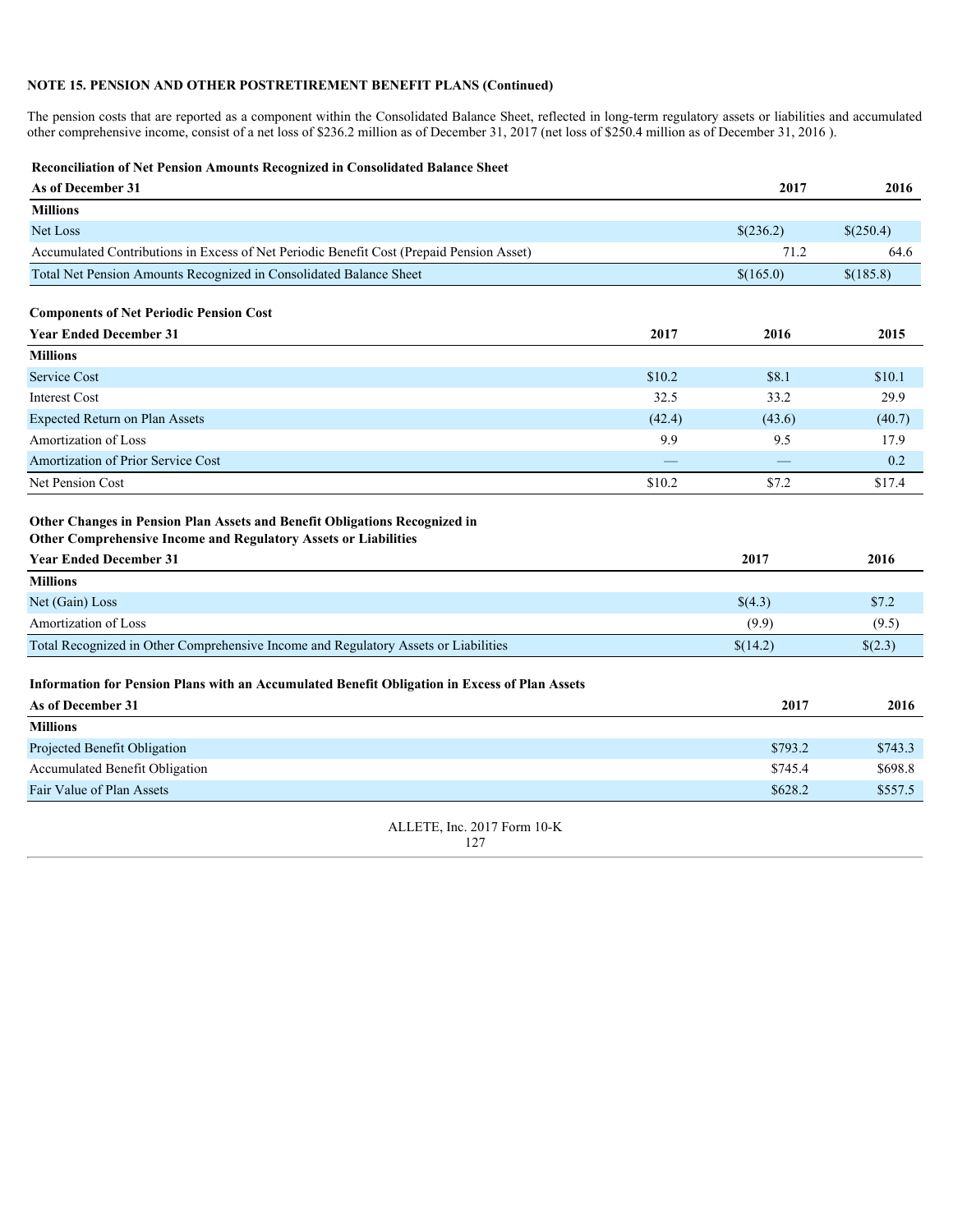The pension costs that are reported as a component within the Consolidated Balance Sheet, reflected in long-term regulatory assets or liabilities and accumulated other comprehensive income, consist of a net loss of \$236.2 million as of December 31, 2017 (net loss of \$250.4 million as of December 31, 2016 ).

| Reconciliation of Net Pension Amounts Recognized in Consolidated Balance Sheet                                                                |                   |                          |           |
|-----------------------------------------------------------------------------------------------------------------------------------------------|-------------------|--------------------------|-----------|
| As of December 31                                                                                                                             |                   | 2017                     | 2016      |
| <b>Millions</b>                                                                                                                               |                   |                          |           |
| <b>Net Loss</b>                                                                                                                               |                   | \$(236.2)                | \$(250.4) |
| Accumulated Contributions in Excess of Net Periodic Benefit Cost (Prepaid Pension Asset)                                                      |                   | 71.2                     | 64.6      |
| Total Net Pension Amounts Recognized in Consolidated Balance Sheet                                                                            |                   | \$(165.0)                | \$(185.8) |
| <b>Components of Net Periodic Pension Cost</b>                                                                                                |                   |                          |           |
| <b>Year Ended December 31</b>                                                                                                                 | 2017              | 2016                     | 2015      |
| <b>Millions</b>                                                                                                                               |                   |                          |           |
| <b>Service Cost</b>                                                                                                                           | \$10.2            | \$8.1                    | \$10.1    |
| <b>Interest Cost</b>                                                                                                                          | 32.5              | 33.2                     | 29.9      |
| <b>Expected Return on Plan Assets</b>                                                                                                         | (42.4)            | (43.6)                   | (40.7)    |
|                                                                                                                                               |                   | 9.5                      | 17.9      |
| Amortization of Loss                                                                                                                          | 9.9               |                          |           |
| Amortization of Prior Service Cost                                                                                                            | $\hspace{0.05cm}$ | $\overline{\phantom{m}}$ | 0.2       |
| Net Pension Cost                                                                                                                              | \$10.2            | \$7.2                    | \$17.4    |
| Other Changes in Pension Plan Assets and Benefit Obligations Recognized in<br>Other Comprehensive Income and Regulatory Assets or Liabilities |                   |                          |           |
| <b>Year Ended December 31</b>                                                                                                                 |                   | 2017                     | 2016      |
| <b>Millions</b>                                                                                                                               |                   |                          |           |
| Net (Gain) Loss                                                                                                                               |                   | \$(4.3)                  | \$7.2     |
| Amortization of Loss                                                                                                                          |                   | (9.9)                    | (9.5)     |
| Total Recognized in Other Comprehensive Income and Regulatory Assets or Liabilities                                                           |                   | \$(14.2)                 | \$(2.3)   |
| Information for Pension Plans with an Accumulated Benefit Obligation in Excess of Plan Assets                                                 |                   |                          |           |
| As of December 31                                                                                                                             |                   | 2017                     | 2016      |
| <b>Millions</b>                                                                                                                               |                   |                          |           |
| Projected Benefit Obligation                                                                                                                  |                   | \$793.2                  | \$743.3   |
| Accumulated Benefit Obligation                                                                                                                |                   | \$745.4                  | \$698.8   |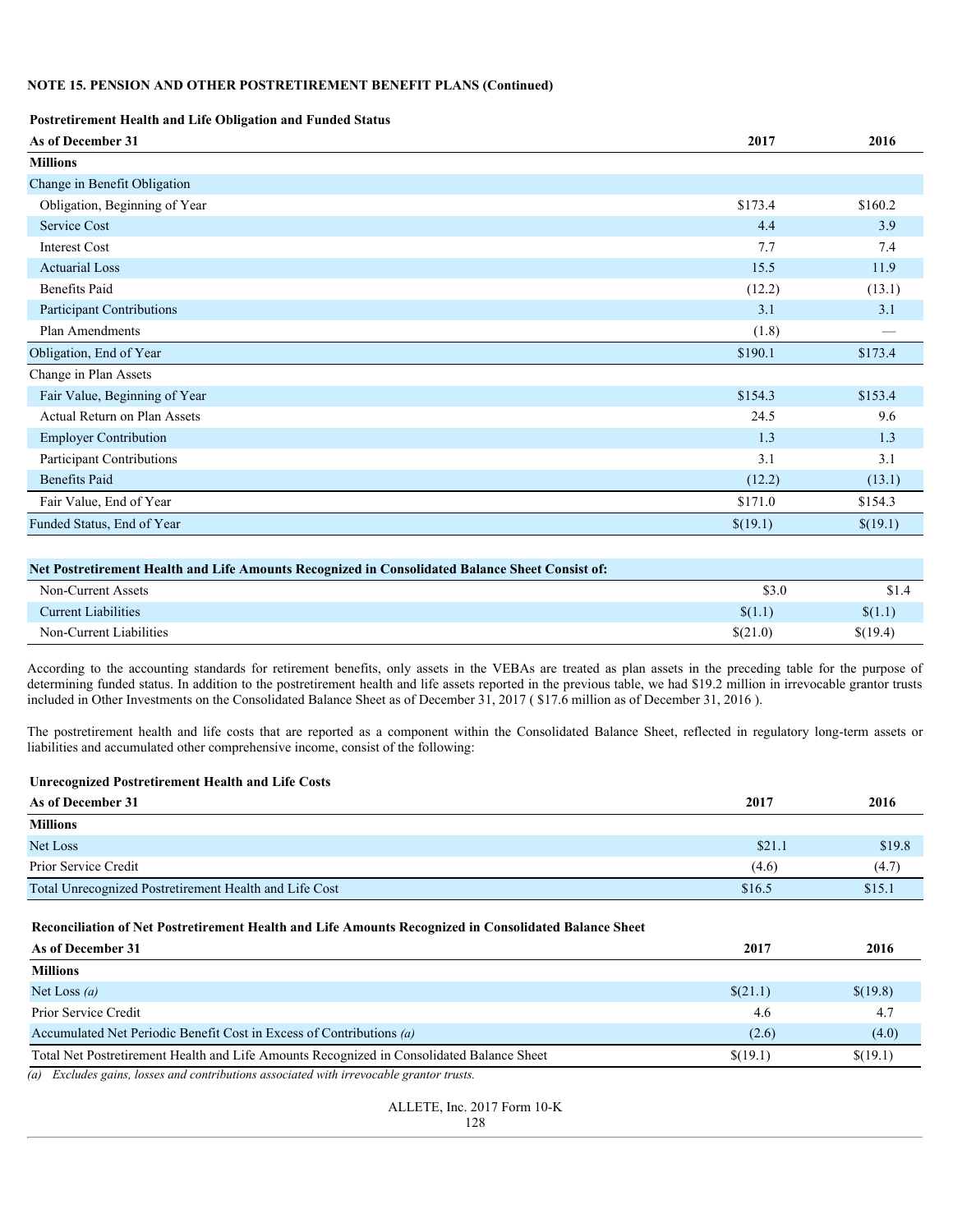# **Postretirement Health and Life Obligation and Funded Status**

| As of December 31                                                                                                                                                                                                                                                                                                                                                                                                                                                                                                                                                                                                                                                                                                                                                                             | 2017     | 2016     |
|-----------------------------------------------------------------------------------------------------------------------------------------------------------------------------------------------------------------------------------------------------------------------------------------------------------------------------------------------------------------------------------------------------------------------------------------------------------------------------------------------------------------------------------------------------------------------------------------------------------------------------------------------------------------------------------------------------------------------------------------------------------------------------------------------|----------|----------|
| <b>Millions</b>                                                                                                                                                                                                                                                                                                                                                                                                                                                                                                                                                                                                                                                                                                                                                                               |          |          |
| Change in Benefit Obligation                                                                                                                                                                                                                                                                                                                                                                                                                                                                                                                                                                                                                                                                                                                                                                  |          |          |
| Obligation, Beginning of Year                                                                                                                                                                                                                                                                                                                                                                                                                                                                                                                                                                                                                                                                                                                                                                 | \$173.4  | \$160.2  |
| Service Cost                                                                                                                                                                                                                                                                                                                                                                                                                                                                                                                                                                                                                                                                                                                                                                                  | 4.4      | 3.9      |
| <b>Interest Cost</b>                                                                                                                                                                                                                                                                                                                                                                                                                                                                                                                                                                                                                                                                                                                                                                          | 7.7      | 7.4      |
| <b>Actuarial Loss</b>                                                                                                                                                                                                                                                                                                                                                                                                                                                                                                                                                                                                                                                                                                                                                                         | 15.5     | 11.9     |
| <b>Benefits Paid</b>                                                                                                                                                                                                                                                                                                                                                                                                                                                                                                                                                                                                                                                                                                                                                                          | (12.2)   | (13.1)   |
| <b>Participant Contributions</b>                                                                                                                                                                                                                                                                                                                                                                                                                                                                                                                                                                                                                                                                                                                                                              | 3.1      | 3.1      |
| Plan Amendments                                                                                                                                                                                                                                                                                                                                                                                                                                                                                                                                                                                                                                                                                                                                                                               | (1.8)    |          |
| Obligation, End of Year                                                                                                                                                                                                                                                                                                                                                                                                                                                                                                                                                                                                                                                                                                                                                                       | \$190.1  | \$173.4  |
| Change in Plan Assets                                                                                                                                                                                                                                                                                                                                                                                                                                                                                                                                                                                                                                                                                                                                                                         |          |          |
| Fair Value, Beginning of Year                                                                                                                                                                                                                                                                                                                                                                                                                                                                                                                                                                                                                                                                                                                                                                 | \$154.3  | \$153.4  |
| Actual Return on Plan Assets                                                                                                                                                                                                                                                                                                                                                                                                                                                                                                                                                                                                                                                                                                                                                                  | 24.5     | 9.6      |
| <b>Employer Contribution</b>                                                                                                                                                                                                                                                                                                                                                                                                                                                                                                                                                                                                                                                                                                                                                                  | 1.3      | 1.3      |
| Participant Contributions                                                                                                                                                                                                                                                                                                                                                                                                                                                                                                                                                                                                                                                                                                                                                                     | 3.1      | 3.1      |
| <b>Benefits Paid</b>                                                                                                                                                                                                                                                                                                                                                                                                                                                                                                                                                                                                                                                                                                                                                                          | (12.2)   | (13.1)   |
| Fair Value, End of Year                                                                                                                                                                                                                                                                                                                                                                                                                                                                                                                                                                                                                                                                                                                                                                       | \$171.0  | \$154.3  |
| Funded Status, End of Year                                                                                                                                                                                                                                                                                                                                                                                                                                                                                                                                                                                                                                                                                                                                                                    | \$(19.1) | \$(19.1) |
|                                                                                                                                                                                                                                                                                                                                                                                                                                                                                                                                                                                                                                                                                                                                                                                               |          |          |
| Net Postretirement Health and Life Amounts Recognized in Consolidated Balance Sheet Consist of:                                                                                                                                                                                                                                                                                                                                                                                                                                                                                                                                                                                                                                                                                               |          |          |
| Non-Current Assets                                                                                                                                                                                                                                                                                                                                                                                                                                                                                                                                                                                                                                                                                                                                                                            | \$3.0    | \$1.4    |
| <b>Current Liabilities</b>                                                                                                                                                                                                                                                                                                                                                                                                                                                                                                                                                                                                                                                                                                                                                                    | \$(1.1)  | \$(1.1)  |
| Non-Current Liabilities                                                                                                                                                                                                                                                                                                                                                                                                                                                                                                                                                                                                                                                                                                                                                                       | \$(21.0) | \$(19.4) |
| According to the accounting standards for retirement benefits, only assets in the VEBAs are treated as plan assets in the preceding table for the purpose of<br>determining funded status. In addition to the postretirement health and life assets reported in the previous table, we had \$19.2 million in irrevocable grantor trusts<br>included in Other Investments on the Consolidated Balance Sheet as of December 31, 2017 (\$17.6 million as of December 31, 2016).<br>The postretirement health and life costs that are reported as a component within the Consolidated Balance Sheet, reflected in regulatory long-term assets or<br>liabilities and accumulated other comprehensive income, consist of the following:<br><b>Unrecognized Postretirement Health and Life Costs</b> |          |          |
| As of December 31                                                                                                                                                                                                                                                                                                                                                                                                                                                                                                                                                                                                                                                                                                                                                                             | 2017     | 2016     |
| <b>Millions</b>                                                                                                                                                                                                                                                                                                                                                                                                                                                                                                                                                                                                                                                                                                                                                                               |          |          |
| Net Loss                                                                                                                                                                                                                                                                                                                                                                                                                                                                                                                                                                                                                                                                                                                                                                                      | \$21.1   | \$19.8   |
|                                                                                                                                                                                                                                                                                                                                                                                                                                                                                                                                                                                                                                                                                                                                                                                               |          |          |

| Net Postretirement Health and Life Amounts Recognized in Consolidated Balance Sheet Consist of: |          |          |
|-------------------------------------------------------------------------------------------------|----------|----------|
| Non-Current Assets                                                                              | \$3.0    | \$1.4    |
| Current Liabilities                                                                             | \$(1.1)  | (1.1)    |
| Non-Current Liabilities                                                                         | \$(21.0) | \$(19.4) |

# **Unrecognized Postretirement Health and Life Costs**

| As of December 31                                      | 2017   | 2016   |
|--------------------------------------------------------|--------|--------|
| <b>Millions</b>                                        |        |        |
| Net Loss                                               | \$21.1 | \$19.8 |
| Prior Service Credit                                   | (4.6)  | (4.7)  |
| Total Unrecognized Postretirement Health and Life Cost | \$16.5 | \$15.1 |

#### **Reconciliation of Net Postretirement Health and Life Amounts Recognized in Consolidated Balance Sheet**

| As of December 31                                                                         | 2017     | 2016     |
|-------------------------------------------------------------------------------------------|----------|----------|
| <b>Millions</b>                                                                           |          |          |
| Net Loss $(a)$                                                                            | \$(21.1) | \$(19.8) |
| Prior Service Credit                                                                      | 4.6      | 4.7      |
| Accumulated Net Periodic Benefit Cost in Excess of Contributions (a)                      | (2.6)    | (4.0)    |
| Total Net Postretirement Health and Life Amounts Recognized in Consolidated Balance Sheet | \$(19.1) | \$(19.1) |
|                                                                                           |          |          |

*(a) Excludes gains, losses and contributions associated with irrevocable grantor trusts.*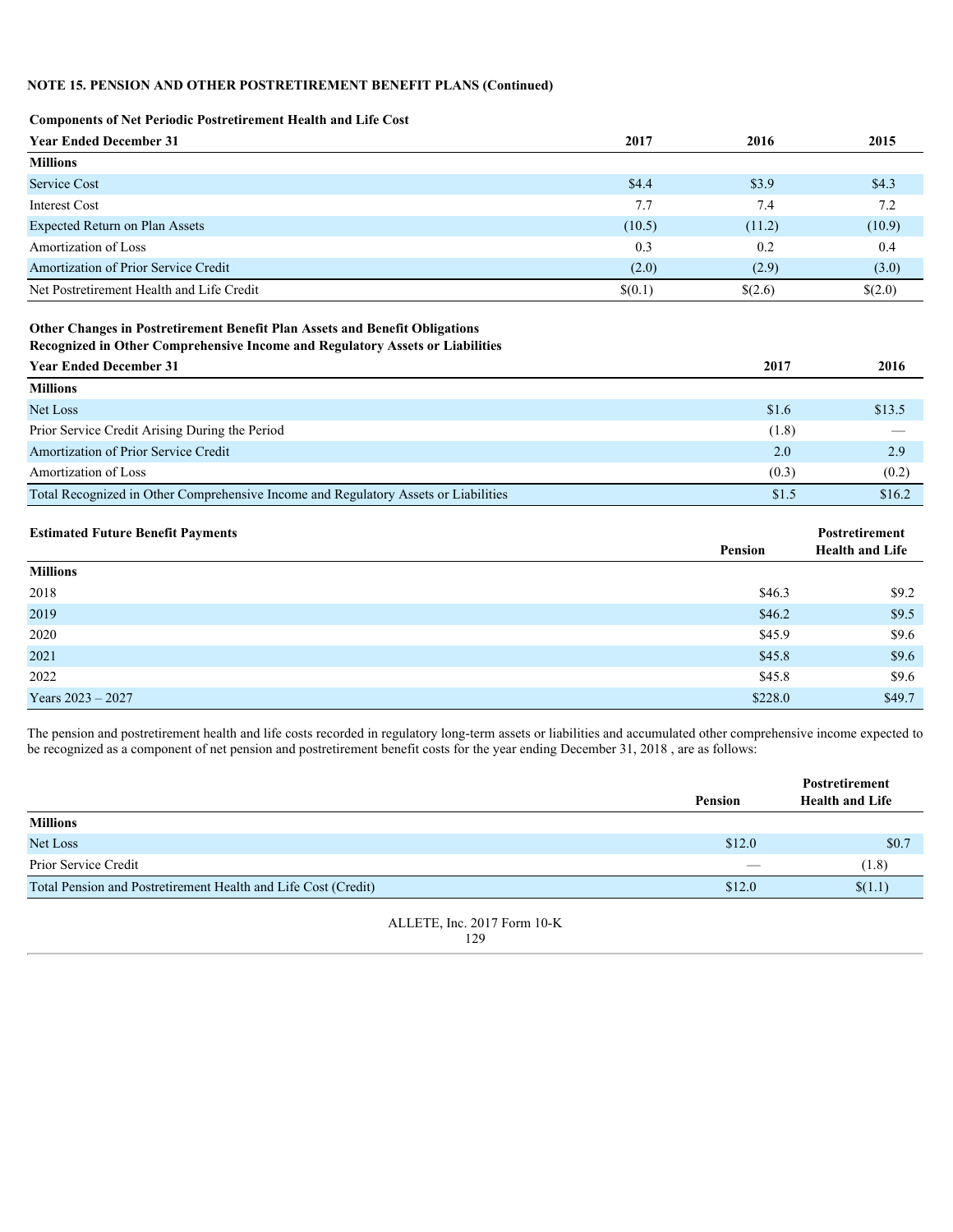# **Components of Net Periodic Postretirement Health and Life Cost**

| <b>Year Ended December 31</b>               | 2017    | 2016    | 2015    |
|---------------------------------------------|---------|---------|---------|
| <b>Millions</b>                             |         |         |         |
| Service Cost                                | \$4.4   | \$3.9   | \$4.3   |
| <b>Interest Cost</b>                        | 7.7     | 7.4     | 7.2     |
| Expected Return on Plan Assets              | (10.5)  | (11.2)  | (10.9)  |
| Amortization of Loss                        | 0.3     | 0.2     | 0.4     |
| <b>Amortization of Prior Service Credit</b> | (2.0)   | (2.9)   | (3.0)   |
| Net Postretirement Health and Life Credit   | \$(0.1) | \$(2.6) | \$(2.0) |

# **Other Changes in Postretirement Benefit Plan Assets and Benefit Obligations**

**Recognized in Other Comprehensive Income and Regulatory Assets or Liabilities**

| <b>Year Ended December 31</b>                                                       | 2017  | 2016   |
|-------------------------------------------------------------------------------------|-------|--------|
| <b>Millions</b>                                                                     |       |        |
| Net Loss                                                                            | \$1.6 | \$13.5 |
| Prior Service Credit Arising During the Period                                      | (1.8) |        |
| Amortization of Prior Service Credit                                                | 2.0   | 2.9    |
| Amortization of Loss                                                                | (0.3) | (0.2)  |
| Total Recognized in Other Comprehensive Income and Regulatory Assets or Liabilities | \$1.5 | \$16.2 |

| <b>Estimated Future Benefit Payments</b> |         | Postretirement         |
|------------------------------------------|---------|------------------------|
|                                          | Pension | <b>Health and Life</b> |
| <b>Millions</b>                          |         |                        |
| 2018                                     | \$46.3  | \$9.2                  |
| 2019                                     | \$46.2  | \$9.5                  |
| 2020                                     | \$45.9  | \$9.6                  |
| 2021                                     | \$45.8  | \$9.6                  |
| 2022                                     | \$45.8  | \$9.6                  |
| Years 2023 - 2027                        | \$228.0 | \$49.7                 |

The pension and postretirement health and life costs recorded in regulatory long-term assets or liabilities and accumulated other comprehensive income expected to be recognized as a component of net pension and postretirement benefit costs for the year ending December 31, 2018 , are as follows:

|                                                                | Pension | Postretirement<br><b>Health and Life</b> |  |
|----------------------------------------------------------------|---------|------------------------------------------|--|
| <b>Millions</b>                                                |         |                                          |  |
| Net Loss                                                       | \$12.0  | \$0.7                                    |  |
| Prior Service Credit                                           |         | (1.8)                                    |  |
| Total Pension and Postretirement Health and Life Cost (Credit) | \$12.0  | (1.1)                                    |  |
|                                                                |         |                                          |  |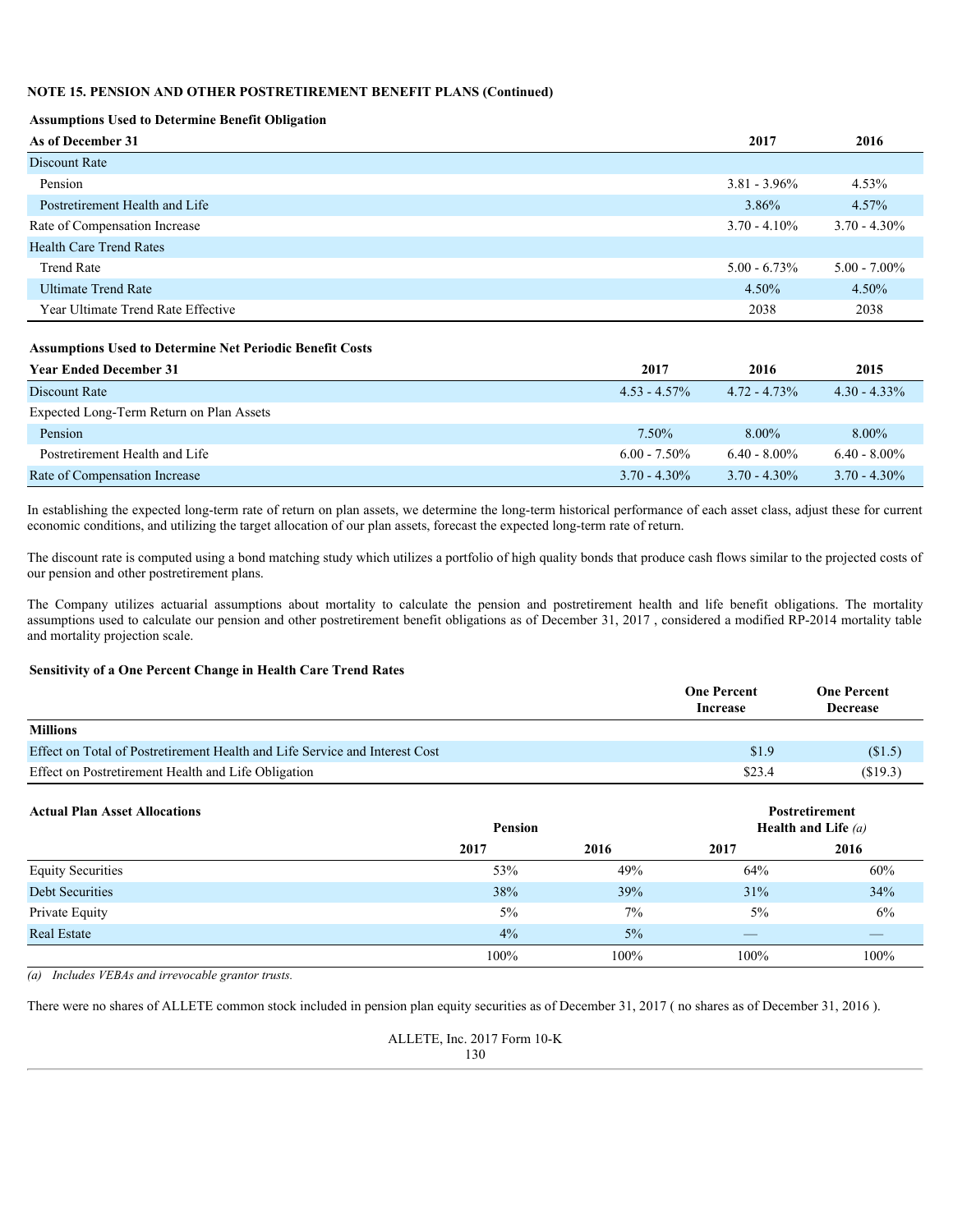# **Assumptions Used to Determine Benefit Obligation**

| NOTE 15. PENSION AND OTHER POSTRETIREMENT BENEFIT PLANS (Continued)                                                                                                                                                                                                                                                                                                                                                                                                           |                 |                                |                                       |
|-------------------------------------------------------------------------------------------------------------------------------------------------------------------------------------------------------------------------------------------------------------------------------------------------------------------------------------------------------------------------------------------------------------------------------------------------------------------------------|-----------------|--------------------------------|---------------------------------------|
| <b>Assumptions Used to Determine Benefit Obligation</b>                                                                                                                                                                                                                                                                                                                                                                                                                       |                 |                                |                                       |
| As of December 31                                                                                                                                                                                                                                                                                                                                                                                                                                                             |                 | 2017                           | 2016                                  |
| Discount Rate                                                                                                                                                                                                                                                                                                                                                                                                                                                                 |                 |                                |                                       |
| Pension                                                                                                                                                                                                                                                                                                                                                                                                                                                                       |                 | $3.81 - 3.96\%$                | 4.53%                                 |
| Postretirement Health and Life                                                                                                                                                                                                                                                                                                                                                                                                                                                |                 | 3.86%                          | 4.57%                                 |
| Rate of Compensation Increase                                                                                                                                                                                                                                                                                                                                                                                                                                                 |                 | $3.70 - 4.10\%$                | $3.70 - 4.30\%$                       |
| <b>Health Care Trend Rates</b>                                                                                                                                                                                                                                                                                                                                                                                                                                                |                 |                                |                                       |
| <b>Trend Rate</b>                                                                                                                                                                                                                                                                                                                                                                                                                                                             |                 | $5.00 - 6.73\%$                | $5.00 - 7.00\%$                       |
| <b>Ultimate Trend Rate</b>                                                                                                                                                                                                                                                                                                                                                                                                                                                    |                 | 4.50%                          | 4.50%                                 |
| Year Ultimate Trend Rate Effective                                                                                                                                                                                                                                                                                                                                                                                                                                            |                 | 2038                           | 2038                                  |
|                                                                                                                                                                                                                                                                                                                                                                                                                                                                               |                 |                                |                                       |
| <b>Assumptions Used to Determine Net Periodic Benefit Costs</b>                                                                                                                                                                                                                                                                                                                                                                                                               |                 |                                |                                       |
| <b>Year Ended December 31</b>                                                                                                                                                                                                                                                                                                                                                                                                                                                 | 2017            | 2016                           | 2015                                  |
| Discount Rate                                                                                                                                                                                                                                                                                                                                                                                                                                                                 | $4.53 - 4.57\%$ | $4.72 - 4.73\%$                | $4.30 - 4.33\%$                       |
| Expected Long-Term Return on Plan Assets                                                                                                                                                                                                                                                                                                                                                                                                                                      |                 |                                |                                       |
| Pension                                                                                                                                                                                                                                                                                                                                                                                                                                                                       | 7.50%           | 8.00%                          | 8.00%                                 |
| Postretirement Health and Life                                                                                                                                                                                                                                                                                                                                                                                                                                                | $6.00 - 7.50\%$ | $6.40 - 8.00\%$                | $6.40 - 8.00\%$                       |
| Rate of Compensation Increase                                                                                                                                                                                                                                                                                                                                                                                                                                                 | $3.70 - 4.30\%$ | $3.70 - 4.30\%$                | $3.70 - 4.30\%$                       |
| In establishing the expected long-term rate of return on plan assets, we determine the long-term historical performance of each asset class, adjust these for current<br>economic conditions, and utilizing the target allocation of our plan assets, forecast the expected long-term rate of return.<br>The discount rate is computed using a bond matching study which utilizes a portfolio of high quality bonds that produce cash flows similar to the projected costs of |                 |                                |                                       |
| our pension and other postretirement plans.                                                                                                                                                                                                                                                                                                                                                                                                                                   |                 |                                |                                       |
| The Company utilizes actuarial assumptions about mortality to calculate the pension and postretirement health and life benefit obligations. The mortality<br>assumptions used to calculate our pension and other postretirement benefit obligations as of December 31, 2017, considered a modified RP-2014 mortality table<br>and mortality projection scale.                                                                                                                 |                 |                                |                                       |
| Sensitivity of a One Percent Change in Health Care Trend Rates                                                                                                                                                                                                                                                                                                                                                                                                                |                 |                                |                                       |
|                                                                                                                                                                                                                                                                                                                                                                                                                                                                               |                 | <b>One Percent</b><br>Increase | <b>One Percent</b><br><b>Decrease</b> |
| <b>Millions</b>                                                                                                                                                                                                                                                                                                                                                                                                                                                               |                 |                                |                                       |

#### **Assumptions Used to Determine Net Periodic Benefit Costs**

| <b>Year Ended December 31</b>            | 2017            | 2016            | 2015            |
|------------------------------------------|-----------------|-----------------|-----------------|
| Discount Rate                            | $4.53 - 4.57\%$ | $4.72 - 4.73\%$ | $4.30 - 4.33\%$ |
| Expected Long-Term Return on Plan Assets |                 |                 |                 |
| Pension                                  | $7.50\%$        | 8.00%           | $8.00\%$        |
| Postretirement Health and Life           | $6.00 - 7.50\%$ | $6.40 - 8.00\%$ | $6.40 - 8.00\%$ |
| Rate of Compensation Increase            | $3.70 - 4.30\%$ | $3.70 - 4.30\%$ | $3.70 - 4.30\%$ |

#### **Sensitivity of a One Percent Change in Health Care Trend Rates**

|                                                                             | <b>One Percent</b><br>Increase | <b>One Percent</b><br><b>Decrease</b> |
|-----------------------------------------------------------------------------|--------------------------------|---------------------------------------|
| <b>Millions</b>                                                             |                                |                                       |
| Effect on Total of Postretirement Health and Life Service and Interest Cost | \$1.9                          | \$1.5)                                |
| Effect on Postretirement Health and Life Obligation                         | \$23.4                         | (\$19.3)                              |

**Actual Plan Asset Allocations Pension Health and Life** *(a)* **Postretirement 2017 2016 2017 2016** Equity Securities 53% 49% 64% 60% Debt Securities 38% 39% 31% 34% Private Equity 5% 7% 5% 6% Real Estate  $4\%$   $5\%$   $-$ 100% 100% 100% 100% 100%

*(a) Includes VEBAs and irrevocable grantor trusts.*

There were no shares of ALLETE common stock included in pension plan equity securities as of December 31, 2017 ( no shares as of December 31, 2016 ).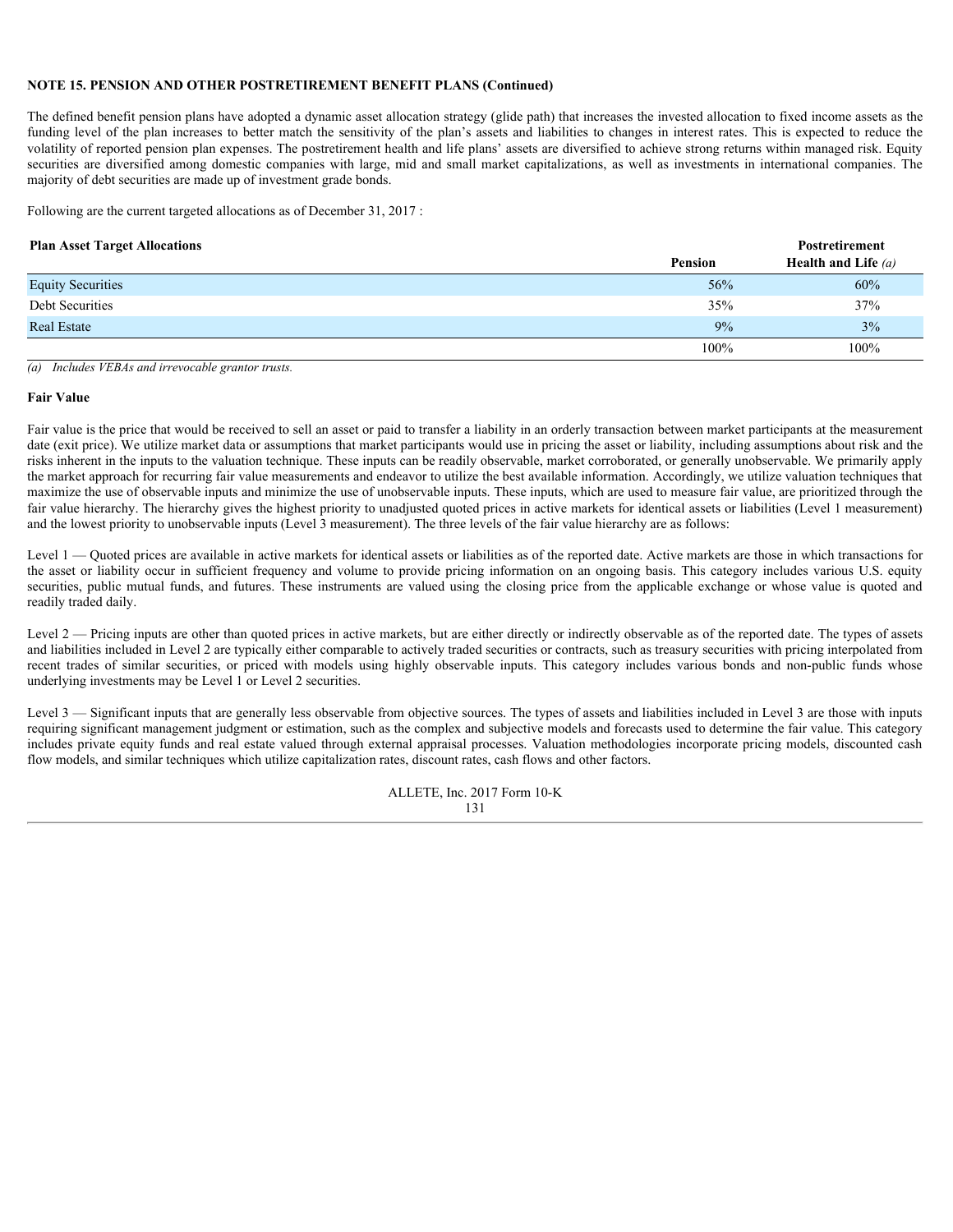The defined benefit pension plans have adopted a dynamic asset allocation strategy (glide path) that increases the invested allocation to fixed income assets as the funding level of the plan increases to better match the sensitivity of the plan's assets and liabilities to changes in interest rates. This is expected to reduce the volatility of reported pension plan expenses. The postretirement health and life plans' assets are diversified to achieve strong returns within managed risk. Equity **SECURE 15. PENSION AND OTHER POSTRETIREMENT BENEFIT PLANS (Continued)**<br>
The defined benefit pension plans have adopted a dynamic asset allocation strategy (glide path) that increases the invested allocation to fixed inco majority of debt securities are made up of investment grade bonds.

Following are the current targeted allocations as of December 31, 2017 :

## **Plan Asset Target Allocations**

| -                        | Pension | <b>Health and Life</b> $(a)$ |
|--------------------------|---------|------------------------------|
| <b>Equity Securities</b> | 56%     | $60\%$                       |
| Debt Securities          | 35%     | 37%                          |
| Real Estate              | 9%      | 3%                           |
|                          | $100\%$ | $100\%$                      |

**Postretirement**

*(a) Includes VEBAs and irrevocable grantor trusts.*

#### **Fair Value**

Fair value is the price that would be received to sell an asset or paid to transfer a liability in an orderly transaction between market participants at the measurement date (exit price). We utilize market data or assumptions that market participants would use in pricing the asset or liability, including assumptions about risk and the risks inherent in the inputs to the valuation technique. These inputs can be readily observable, market corroborated, or generally unobservable. We primarily apply the market approach for recurring fair value measurements and endeavor to utilize the best available information. Accordingly, we utilize valuation techniques that maximize the use of observable inputs and minimize the use of unobservable inputs. These inputs, which are used to measure fair value, are prioritized through the fair value hierarchy. The hierarchy gives the highest priority to unadjusted quoted prices in active markets for identical assets or liabilities (Level 1 measurement) and the lowest priority to unobservable inputs (Level 3 measurement). The three levels of the fair value hierarchy are as follows: NOTE IS PENSION AND OTHER POSTRETIREMENT BENEFIT PLANS (Continued)<br>The defined level is even of the asset of the asset of the asset of the asset of the asset of the asset of the asset of the asset of the asset of the asse NOTE IS, PENSION AND OTHER POSTRITHENMENT IR SYDTT PLANS (Continued)<br>
The Infinite Bending Horses public mutual funds continue the allocation public gridue (and halfbirdes to close so in the control of the plane has the a recent trades of similar securities of similar securities or priced with model with model with model with model with model with model with model with model with model with model with model with model with model with model

Level 1 — Quoted prices are available in active markets for identical assets or liabilities as of the reported date. Active markets are those in which transactions for readily traded daily.

Level 2 — Pricing inputs are other than quoted prices in active markets, but are either directly or indirectly observable as of the reported date. The types of assets and liabilities included in Level 2 are typically either comparable to actively traded securities or contracts, such as treasury securities with pricing interpolated from underlying investments may be Level 1 or Level 2 securities.

Level 3 — Significant inputs that are generally less observable from objective sources. The types of assets and liabilities included in Level 3 are those with inputs requiring significant management judgment or estimation, such as the complex and subjective models and forecasts used to determine the fair value. This category includes private equity funds and real estate valued through external appraisal processes. Valuation methodologies incorporate pricing models, discounted cash flow models, and similar techniques which utilize capitalization rates, discount rates, cash flows and other factors.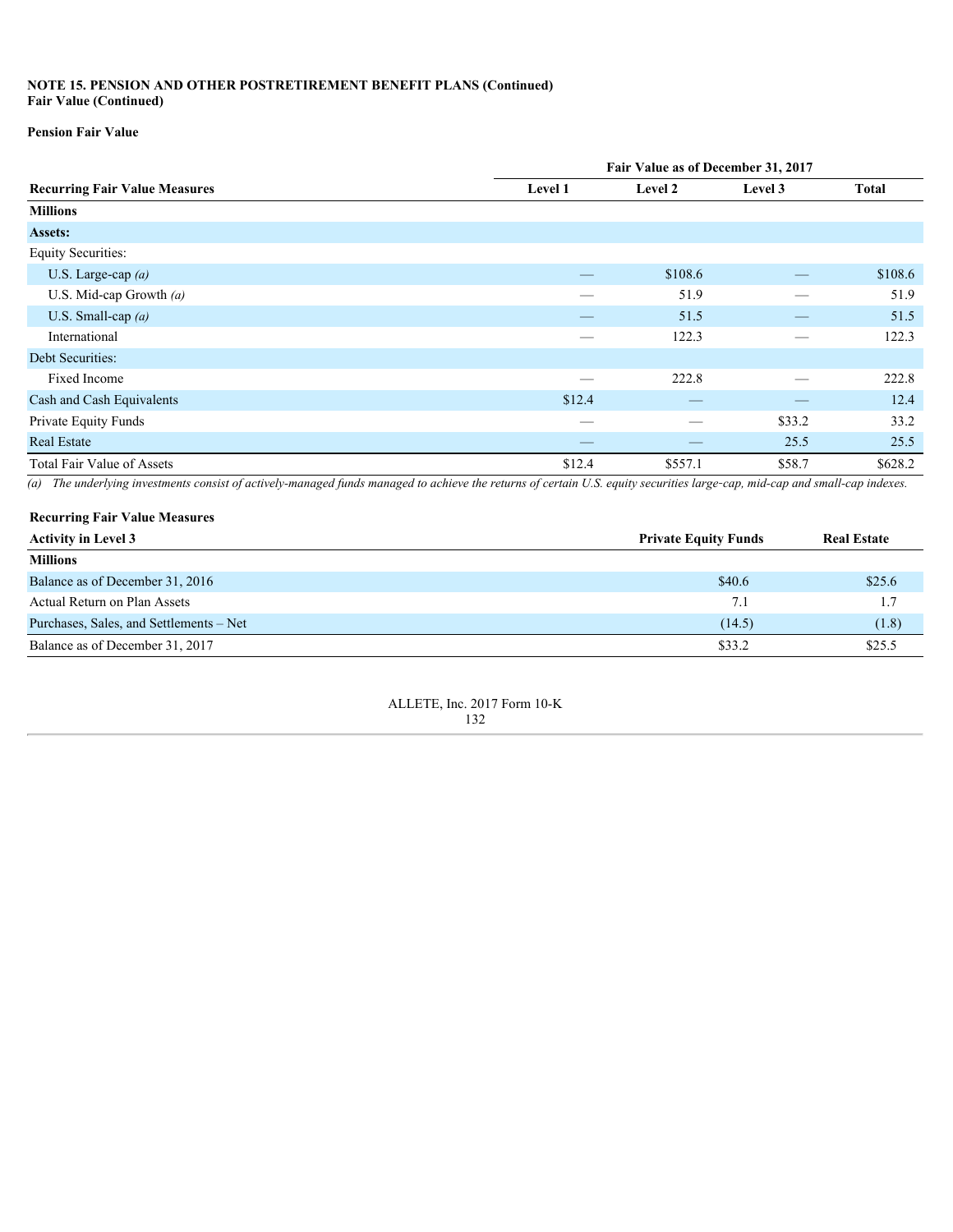# **NOTE 15. PENSION AND OTHER POSTRETIREMENT BENEFIT PLANS (Continued) Fair Value (Continued)**

# **Pension Fair Value**

|                                      |                                 | Fair Value as of December 31, 2017 |                                 |              |  |  |
|--------------------------------------|---------------------------------|------------------------------------|---------------------------------|--------------|--|--|
| <b>Recurring Fair Value Measures</b> | Level 1                         | Level 2                            | Level 3                         | <b>Total</b> |  |  |
| <b>Millions</b>                      |                                 |                                    |                                 |              |  |  |
| Assets:                              |                                 |                                    |                                 |              |  |  |
| <b>Equity Securities:</b>            |                                 |                                    |                                 |              |  |  |
| U.S. Large-cap $(a)$                 | $\overline{\phantom{a}}$        | \$108.6                            | $\hspace{0.05cm}$               | \$108.6      |  |  |
| U.S. Mid-cap Growth (a)              | $\hspace{0.1mm}-\hspace{0.1mm}$ | 51.9                               | $\overline{\phantom{m}}$        | 51.9         |  |  |
| U.S. Small-cap $(a)$                 | $\overline{\phantom{a}}$        | 51.5                               | $\hspace{0.1mm}-\hspace{0.1mm}$ | 51.5         |  |  |
| International                        | $\overline{\phantom{m}}$        | 122.3                              | $\overline{\phantom{m}}$        | 122.3        |  |  |
| Debt Securities:                     |                                 |                                    |                                 |              |  |  |
| Fixed Income                         | $\overline{\phantom{m}}$        | 222.8                              | $\overline{\phantom{m}}$        | 222.8        |  |  |
| Cash and Cash Equivalents            | \$12.4                          | $\overline{\phantom{m}}$           |                                 | 12.4         |  |  |
| Private Equity Funds                 | $\hspace{0.05cm}$               | $\hspace{0.05cm}$                  | \$33.2                          | 33.2         |  |  |
| Real Estate                          | $\hspace{0.1mm}-\hspace{0.1mm}$ | $\overline{\phantom{m}}$           | 25.5                            | 25.5         |  |  |
| Total Fair Value of Assets           | \$12.4                          | \$557.1                            | \$58.7                          | \$628.2      |  |  |

*(a) The underlying investments consist of actively-managed funds managed to achieve the returns of certain U.S. equity securities large‑cap, mid-cap and small-cap indexes.*

# **Recurring Fair Value Measures**

| <b>Activity in Level 3</b>              | <b>Private Equity Funds</b> | <b>Real Estate</b> |
|-----------------------------------------|-----------------------------|--------------------|
| <b>Millions</b>                         |                             |                    |
| Balance as of December 31, 2016         | \$40.6                      | \$25.6             |
| Actual Return on Plan Assets            |                             |                    |
| Purchases, Sales, and Settlements – Net | (14.5)                      | (1.8)              |
| Balance as of December 31, 2017         | \$33.2                      | \$25.5             |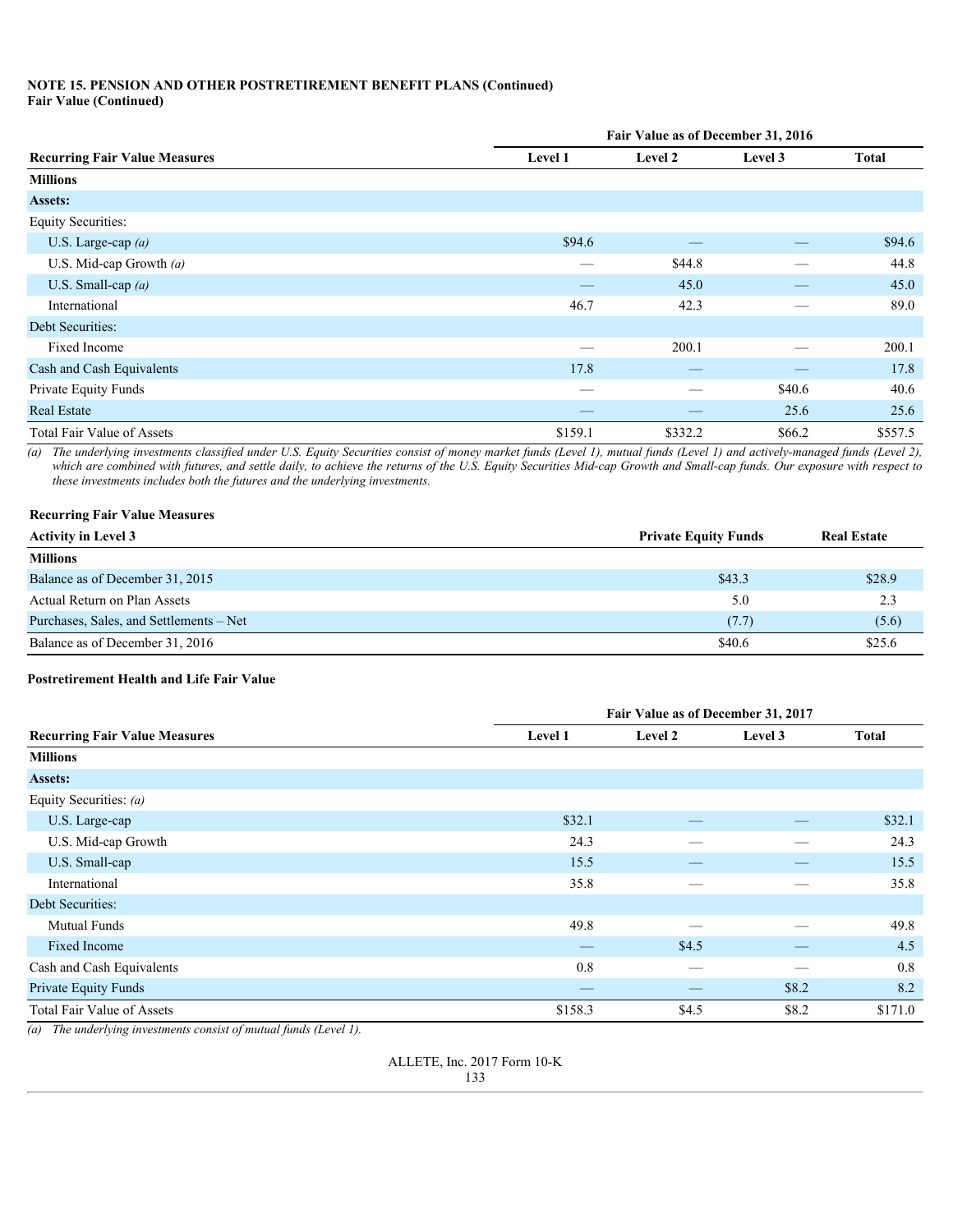**Fair Value (Continued)**

|                                                                                                           | Fair Value as of December 31, 2016 |  |  |  |  |
|-----------------------------------------------------------------------------------------------------------|------------------------------------|--|--|--|--|
| <b>Recurring Fair Value Measures</b><br>Level 2<br>Level 3<br>Level 1                                     | <b>Total</b>                       |  |  |  |  |
| <b>Millions</b>                                                                                           |                                    |  |  |  |  |
| Assets:                                                                                                   |                                    |  |  |  |  |
| <b>Equity Securities:</b>                                                                                 |                                    |  |  |  |  |
| \$94.6<br>U.S. Large-cap $(a)$<br>$\overline{\phantom{m}}$                                                | \$94.6                             |  |  |  |  |
| U.S. Mid-cap Growth $(a)$<br>\$44.8<br>$\hspace{0.1mm}-\hspace{0.1mm}$<br>$\hspace{0.1mm}-\hspace{0.1mm}$ | 44.8                               |  |  |  |  |
| U.S. Small-cap $(a)$<br>45.0<br>$\overline{\phantom{m}}$<br>$\overline{\phantom{m}}$                      | 45.0                               |  |  |  |  |
| 46.7<br>42.3<br>International                                                                             | 89.0                               |  |  |  |  |
| Debt Securities:                                                                                          |                                    |  |  |  |  |
| 200.1<br>Fixed Income<br>$\overbrace{\phantom{13333}}$<br>$\overline{\phantom{m}}$                        | 200.1                              |  |  |  |  |
| Cash and Cash Equivalents<br>17.8<br>$\overline{\phantom{a}}$<br>$\hspace{0.1mm}-\hspace{0.1mm}$          | 17.8                               |  |  |  |  |
| Private Equity Funds<br>\$40.6<br>$\overline{\phantom{m}}$<br>$\overbrace{\hspace{25mm}}^{}$              | 40.6                               |  |  |  |  |
| Real Estate<br>25.6<br>$\hspace{0.1mm}-\hspace{0.1mm}$<br>$\hspace{0.1mm}-\hspace{0.1mm}$                 | 25.6                               |  |  |  |  |
| Total Fair Value of Assets<br>\$159.1<br>\$332.2<br>\$66.2                                                | \$557.5                            |  |  |  |  |

*(a) The underlying investments classified under U.S. Equity Securities consist of money market funds (Level 1), mutual funds (Level 1) and actively-managed funds (Level 2), which are combined with futures, and settle daily, to achieve the returns of the U.S. Equity Securities Mid-cap Growth and Small-cap funds. Our exposure with respect to these investments includes both the futures and the underlying investments.* 

# **Recurring Fair Value Measures**

| <b>Activity in Level 3</b>              | <b>Private Equity Funds</b> | <b>Real Estate</b> |
|-----------------------------------------|-----------------------------|--------------------|
| <b>Millions</b>                         |                             |                    |
| Balance as of December 31, 2015         | \$43.3                      | \$28.9             |
| Actual Return on Plan Assets            | 5.0                         | 2.3                |
| Purchases, Sales, and Settlements – Net | (7.7)                       | (5.6)              |
| Balance as of December 31, 2016         | \$40.6                      | \$25.6             |

# **Postretirement Health and Life Fair Value**

|                                      |                                 | Fair Value as of December 31, 2017 |                          |              |
|--------------------------------------|---------------------------------|------------------------------------|--------------------------|--------------|
| <b>Recurring Fair Value Measures</b> | Level 1                         | Level 2                            | Level 3                  | <b>Total</b> |
| <b>Millions</b>                      |                                 |                                    |                          |              |
| <b>Assets:</b>                       |                                 |                                    |                          |              |
| Equity Securities: (a)               |                                 |                                    |                          |              |
| U.S. Large-cap                       | \$32.1                          |                                    |                          | \$32.1       |
| U.S. Mid-cap Growth                  | 24.3                            |                                    | $\overline{\phantom{m}}$ | 24.3         |
| U.S. Small-cap                       | 15.5                            | $\overbrace{\phantom{13333}}$      | $\overline{\phantom{m}}$ | 15.5         |
| International                        | 35.8                            |                                    | $\overline{\phantom{m}}$ | 35.8         |
| Debt Securities:                     |                                 |                                    |                          |              |
| Mutual Funds                         | 49.8                            |                                    |                          | 49.8         |
| Fixed Income                         | $\overline{\phantom{m}}$        | \$4.5                              |                          | 4.5          |
| Cash and Cash Equivalents            | $0.8\,$                         | $\overline{\phantom{m}}$           |                          | 0.8          |
| Private Equity Funds                 | $\hspace{0.1mm}-\hspace{0.1mm}$ | $\hspace{0.1mm}-\hspace{0.1mm}$    | \$8.2                    | 8.2          |
| Total Fair Value of Assets           | \$158.3                         | \$4.5                              | \$8.2                    | \$171.0      |

*(a) The underlying investments consist of mutual funds (Level 1).*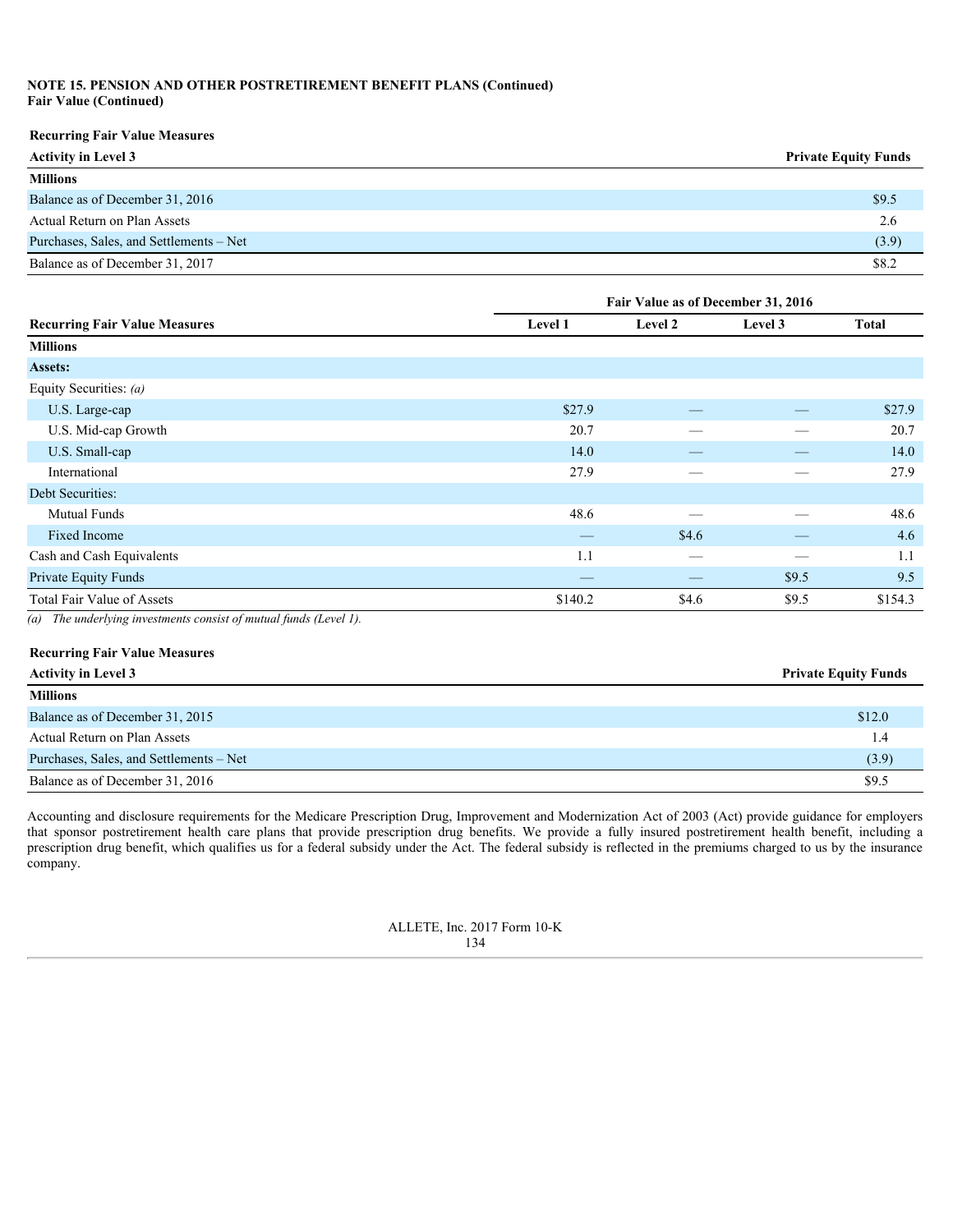# **NOTE 15. PENSION AND OTHER POSTRETIREMENT BENEFIT PLANS (Continued) Fair Value (Continued)**

| <b>Recurring Fair Value Measures</b> |
|--------------------------------------|
|--------------------------------------|

| <b>Activity in Level 3</b>              | <b>Private Equity Funds</b> |
|-----------------------------------------|-----------------------------|
| <b>Millions</b>                         |                             |
| Balance as of December 31, 2016         | \$9.5                       |
| Actual Return on Plan Assets            | 2.6                         |
| Purchases, Sales, and Settlements - Net | (3.9)                       |
| Balance as of December 31, 2017         | \$8.2                       |

| <b>Recurring Fair Value Measures</b><br><b>Millions</b><br>Assets: |                          | Fair Value as of December 31, 2016 |                          |                             |  |  |
|--------------------------------------------------------------------|--------------------------|------------------------------------|--------------------------|-----------------------------|--|--|
|                                                                    | Level 1                  | Level 2                            | Level 3                  | <b>Total</b>                |  |  |
|                                                                    |                          |                                    |                          |                             |  |  |
|                                                                    |                          |                                    |                          |                             |  |  |
| Equity Securities: (a)                                             |                          |                                    |                          |                             |  |  |
| U.S. Large-cap                                                     | \$27.9                   |                                    |                          | \$27.9                      |  |  |
| U.S. Mid-cap Growth                                                | 20.7                     |                                    |                          | 20.7                        |  |  |
| U.S. Small-cap                                                     | 14.0                     |                                    |                          | 14.0                        |  |  |
| International                                                      | 27.9                     |                                    | $\overline{\phantom{m}}$ | 27.9                        |  |  |
| Debt Securities:                                                   |                          |                                    |                          |                             |  |  |
| Mutual Funds                                                       | 48.6                     |                                    |                          | 48.6                        |  |  |
| Fixed Income                                                       | $\hspace{0.05cm}$        | \$4.6                              |                          | 4.6                         |  |  |
| Cash and Cash Equivalents                                          | 1.1                      | $\overline{\phantom{a}}$           | $\overline{\phantom{m}}$ | 1.1                         |  |  |
| Private Equity Funds                                               | $\overline{\phantom{m}}$ | $\overline{\phantom{m}}$           | \$9.5                    | 9.5                         |  |  |
| <b>Total Fair Value of Assets</b>                                  | \$140.2                  | \$4.6                              | \$9.5                    | \$154.3                     |  |  |
| <b>Recurring Fair Value Measures</b><br><b>Activity in Level 3</b> |                          |                                    |                          | <b>Private Equity Funds</b> |  |  |
| <b>Millions</b>                                                    |                          |                                    |                          |                             |  |  |
| Balance as of December 31, 2015                                    |                          |                                    |                          | \$12.0                      |  |  |
|                                                                    |                          |                                    |                          | 1.4                         |  |  |
| Actual Return on Plan Assets                                       |                          |                                    |                          |                             |  |  |
| Purchases, Sales, and Settlements - Net                            |                          |                                    |                          | (3.9)                       |  |  |

#### **Recurring Fair Value Measures**

| <b>Activity in Level 3</b>              | <b>Private Equity Funds</b> |
|-----------------------------------------|-----------------------------|
| <b>Millions</b>                         |                             |
| Balance as of December 31, 2015         | \$12.0                      |
| Actual Return on Plan Assets            | 1.4                         |
| Purchases, Sales, and Settlements – Net | (3.9)                       |
| Balance as of December 31, 2016         | \$9.5                       |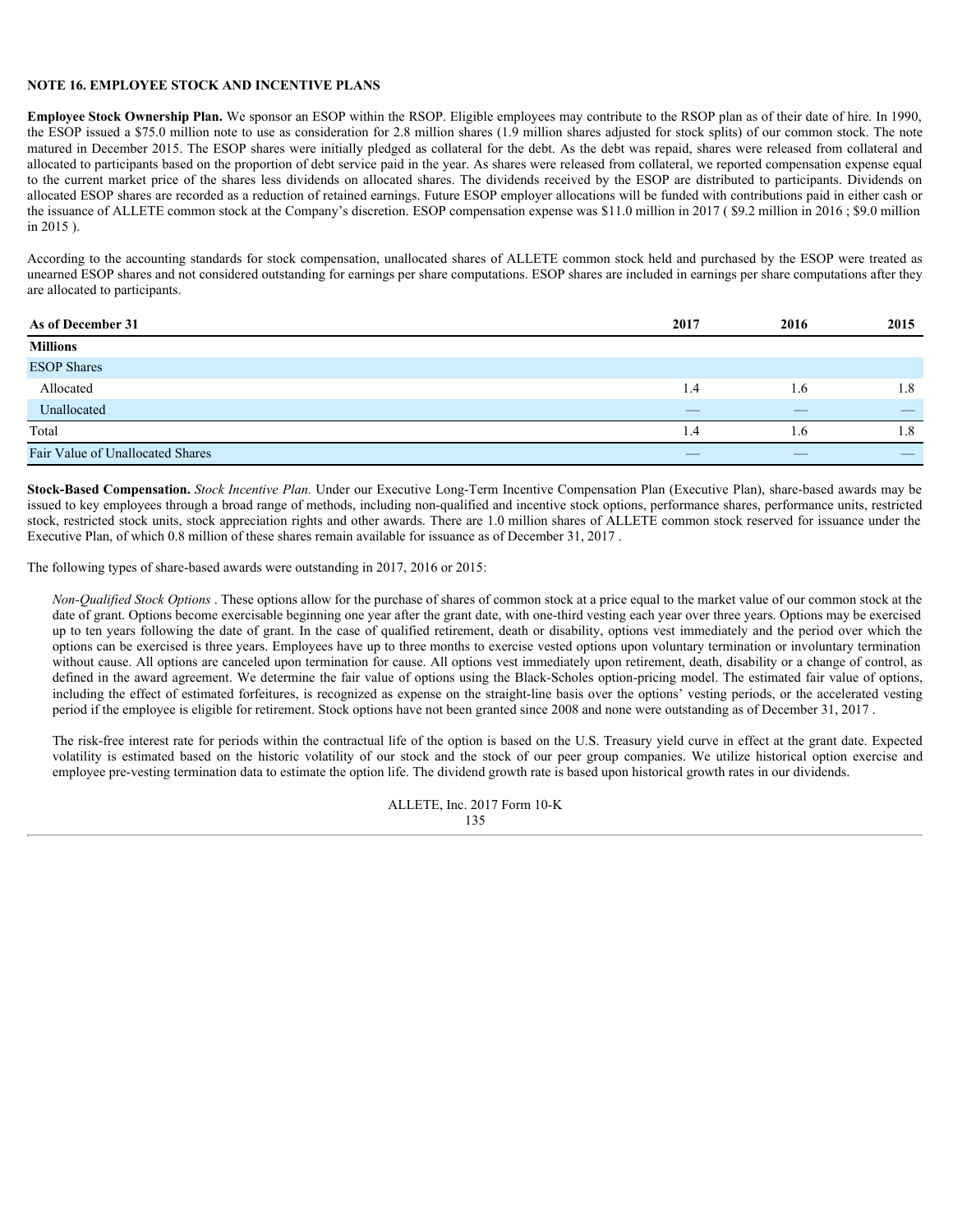# **NOTE 16. EMPLOYEE STOCK AND INCENTIVE PLANS**

**Employee Stock Ownership Plan.** We sponsor an ESOP within the RSOP. Eligible employees may contribute to the RSOP plan as of their date of hire. In 1990, the ESOP issued a \$75.0 million note to use as consideration for 2.8 million shares (1.9 million shares adjusted for stock splits) of our common stock. The note matured in December 2015. The ESOP shares were initially pledged as collateral for the debt. As the debt was repaid, shares were released from collateral and allocated to participants based on the proportion of debt service paid in the year. As shares were released from collateral, we reported compensation expense equal NOTE 16. EMPLOYEE STOCK AND INCENTIVE PLANS<br>Employee Stock Ownership Plan. We sponsor an ESOP within the RSOP. Eligible employees may contribute to the RSOP plan as of their date of hire. In 1990,<br>the ESOP issued a 575.0 m allocated ESOP shares are recorded as a reduction of retained earnings. Future ESOP employer allocations will be funded with contributions paid in either cash or the issuance of ALLETE common stock at the Company's discretion. ESOP compensation expense was \$11.0 million in 2017 ( \$9.2 million in 2016 ; \$9.0 million in 2015 ).

| <b>Millions</b><br><b>ESOP</b> Shares<br>Allocated<br>Unallocated<br>Total<br>Fair Value of Unallocated Shares<br>Stock-Based Compensation. Stock Incentive Plan. Under our Executive Long-Term Incentive Compensation Plan (Executive Plan), share-based awards may be<br>issued to key employees through a broad range of methods, including non-qualified and incentive stock options, performance shares, performance units, restricted<br>stock, restricted stock units, stock appreciation rights and other awards. There are 1.0 million shares of ALLETE common stock reserved for issuance under the<br>Executive Plan, of which 0.8 million of these shares remain available for issuance as of December 31, 2017.<br>The following types of share-based awards were outstanding in 2017, 2016 or 2015:                                                                                                                                                                                                                                                                                                                                                                                                                                                                                                                                                                                                                                                                                                                                                                                                                                                                         | 1.4<br>1.4 | 1.6<br>$\overline{\phantom{m}}$<br>1.6<br>$\hspace{0.05cm}$ |
|-------------------------------------------------------------------------------------------------------------------------------------------------------------------------------------------------------------------------------------------------------------------------------------------------------------------------------------------------------------------------------------------------------------------------------------------------------------------------------------------------------------------------------------------------------------------------------------------------------------------------------------------------------------------------------------------------------------------------------------------------------------------------------------------------------------------------------------------------------------------------------------------------------------------------------------------------------------------------------------------------------------------------------------------------------------------------------------------------------------------------------------------------------------------------------------------------------------------------------------------------------------------------------------------------------------------------------------------------------------------------------------------------------------------------------------------------------------------------------------------------------------------------------------------------------------------------------------------------------------------------------------------------------------------------------------------|------------|-------------------------------------------------------------|
|                                                                                                                                                                                                                                                                                                                                                                                                                                                                                                                                                                                                                                                                                                                                                                                                                                                                                                                                                                                                                                                                                                                                                                                                                                                                                                                                                                                                                                                                                                                                                                                                                                                                                           |            |                                                             |
|                                                                                                                                                                                                                                                                                                                                                                                                                                                                                                                                                                                                                                                                                                                                                                                                                                                                                                                                                                                                                                                                                                                                                                                                                                                                                                                                                                                                                                                                                                                                                                                                                                                                                           |            |                                                             |
|                                                                                                                                                                                                                                                                                                                                                                                                                                                                                                                                                                                                                                                                                                                                                                                                                                                                                                                                                                                                                                                                                                                                                                                                                                                                                                                                                                                                                                                                                                                                                                                                                                                                                           |            |                                                             |
|                                                                                                                                                                                                                                                                                                                                                                                                                                                                                                                                                                                                                                                                                                                                                                                                                                                                                                                                                                                                                                                                                                                                                                                                                                                                                                                                                                                                                                                                                                                                                                                                                                                                                           |            |                                                             |
|                                                                                                                                                                                                                                                                                                                                                                                                                                                                                                                                                                                                                                                                                                                                                                                                                                                                                                                                                                                                                                                                                                                                                                                                                                                                                                                                                                                                                                                                                                                                                                                                                                                                                           |            |                                                             |
|                                                                                                                                                                                                                                                                                                                                                                                                                                                                                                                                                                                                                                                                                                                                                                                                                                                                                                                                                                                                                                                                                                                                                                                                                                                                                                                                                                                                                                                                                                                                                                                                                                                                                           |            |                                                             |
| date of grant. Options become exercisable beginning one year after the grant date, with one-third vesting each year over three years. Options may be exercised<br>up to ten years following the date of grant. In the case of qualified retirement, death or disability, options vest immediately and the period over which the<br>options can be exercised is three years. Employees have up to three months to exercise vested options upon voluntary termination or involuntary termination<br>without cause. All options are canceled upon termination for cause. All options vest immediately upon retirement, death, disability or a change of control, as<br>defined in the award agreement. We determine the fair value of options using the Black-Scholes option-pricing model. The estimated fair value of options,<br>including the effect of estimated forfeitures, is recognized as expense on the straight-line basis over the options' vesting periods, or the accelerated vesting<br>period if the employee is eligible for retirement. Stock options have not been granted since 2008 and none were outstanding as of December 31, 2017.<br>The risk-free interest rate for periods within the contractual life of the option is based on the U.S. Treasury yield curve in effect at the grant date. Expected<br>volatility is estimated based on the historic volatility of our stock and the stock of our peer group companies. We utilize historical option exercise and<br>employee pre-vesting termination data to estimate the option life. The dividend growth rate is based upon historical growth rates in our dividends.<br>ALLETE, Inc. 2017 Form 10-K<br>135 |            |                                                             |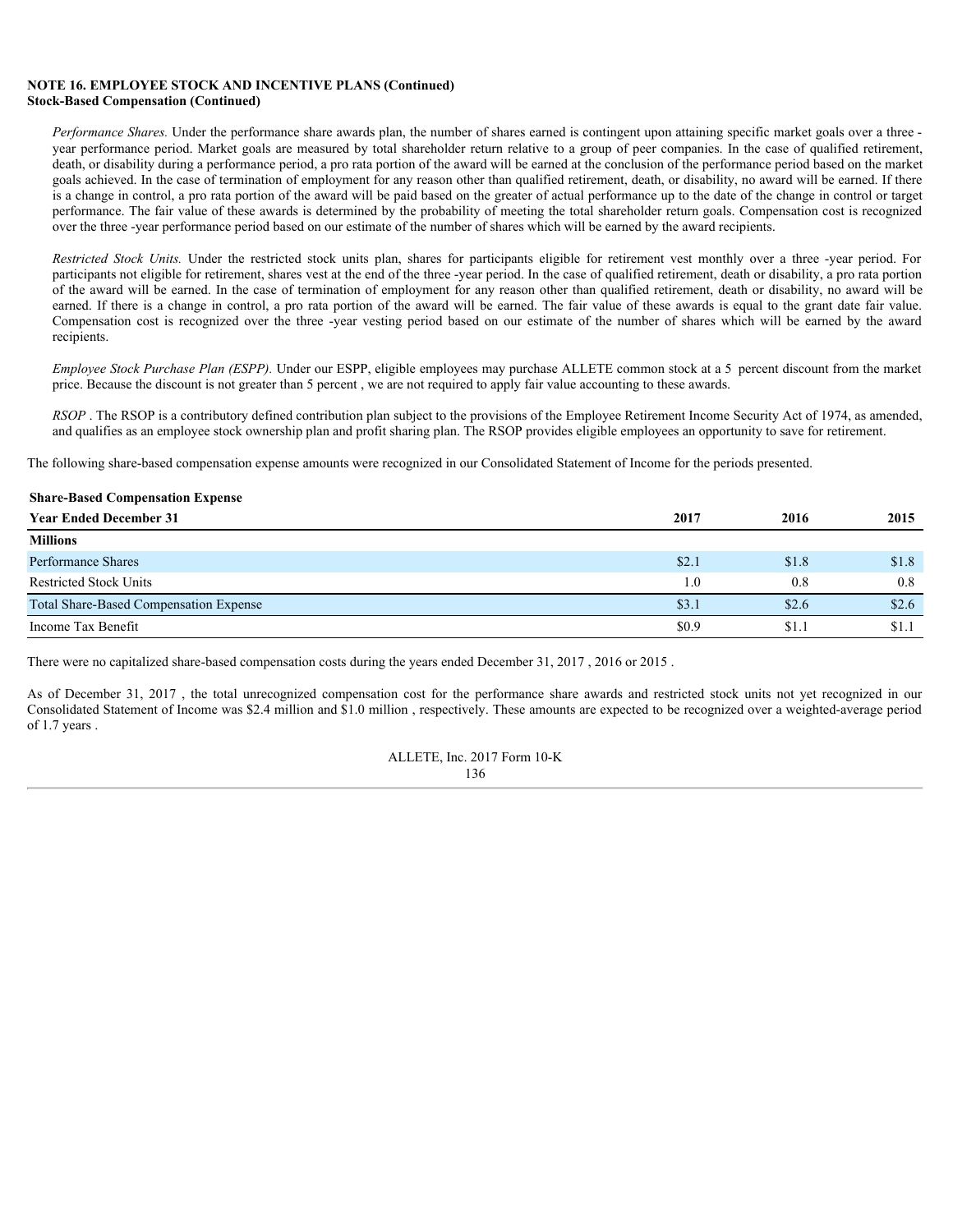## **NOTE 16. EMPLOYEE STOCK AND INCENTIVE PLANS (Continued) Stock-Based Compensation (Continued)**

*Performance Shares*. Under the performance share awards plan, the number of shares earned is contingent upon attaining specific market goals over a three year performance period. Market goals are measured by total shareholder return relative to a group of peer companies. In the case of qualified retirement, death, or disability during a performance period, a pro rata portion of the award will be earned at the conclusion of the performance period based on the market goals achieved. In the case of termination of employment for any reason other than qualified retirement, death, or disability, no award will be earned. If there is a change in control, a pro rata portion of the award will be paid based on the greater of actual performance up to the date of the change in control or target performance. The fair value of these awards is determined by the probability of meeting the total shareholder return goals. Compensation cost is recognized over the three -year performance period based on our estimate of the number of shares which will be earned by the award recipients. **RE 16. EMPLOYEE STOCK AND INCENTIVE PLANS (Continued)**<br>*Performance Stares*. Under the performance share awards plan, the number of shares carned is contingent upon attaining specific market goals over a three-<br>*Peerforma* TE 16, EMPLOYEE STOCK AND INCENTIVE PLANS (Continued)<br> *Federmance Shares*. Under the performance share averable plan, the number of shares carned is contingent upon attaining specific market goals over a three-<br>*Performa* 

#### **Share-Based Compensation Expense**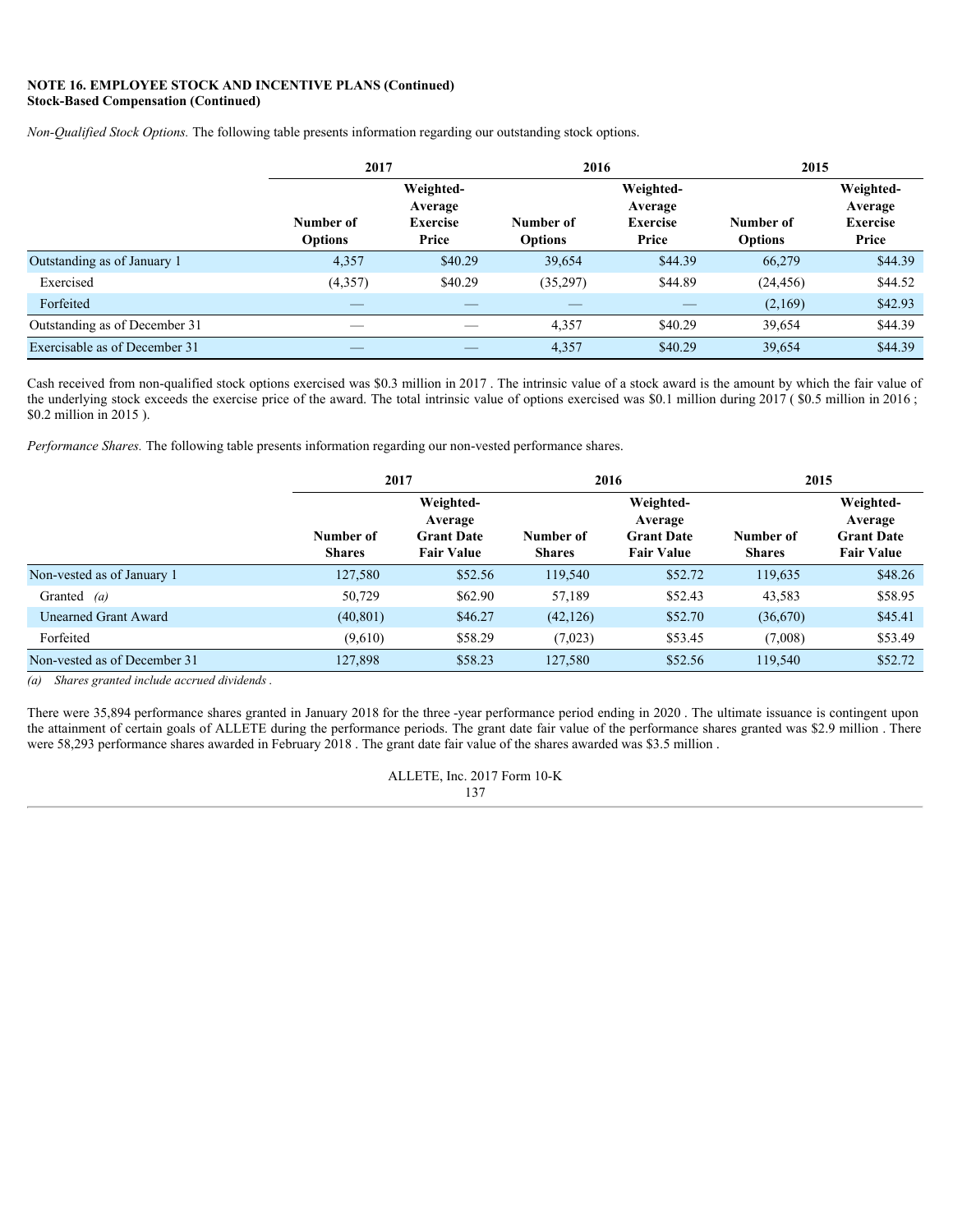# **NOTE 16. EMPLOYEE STOCK AND INCENTIVE PLANS (Continued) Stock-Based Compensation (Continued)**

|                               | 2017                 |                                                  | 2016                 |                                                  | 2015                        |                                                  |
|-------------------------------|----------------------|--------------------------------------------------|----------------------|--------------------------------------------------|-----------------------------|--------------------------------------------------|
|                               | Number of<br>Options | Weighted-<br>Average<br><b>Exercise</b><br>Price | Number of<br>Options | Weighted-<br>Average<br><b>Exercise</b><br>Price | Number of<br><b>Options</b> | Weighted-<br>Average<br><b>Exercise</b><br>Price |
| Outstanding as of January 1   | 4,357                | \$40.29                                          | 39,654               | \$44.39                                          | 66,279                      | \$44.39                                          |
| Exercised                     | (4, 357)             | \$40.29                                          | (35,297)             | \$44.89                                          | (24, 456)                   | \$44.52                                          |
| Forfeited                     |                      |                                                  |                      | $\hspace{0.1mm}-\hspace{0.1mm}$                  | (2,169)                     | \$42.93                                          |
| Outstanding as of December 31 |                      |                                                  | 4,357                | \$40.29                                          | 39,654                      | \$44.39                                          |
| Exercisable as of December 31 |                      |                                                  | 4,357                | \$40.29                                          | 39,654                      | \$44.39                                          |

*Non-Qualified Stock Options.* The following table presents information regarding our outstanding stock options.

Cash received from non-qualified stock options exercised was \$0.3 million in 2017 . The intrinsic value of a stock award is the amount by which the fair value of the underlying stock exceeds the exercise price of the award. The total intrinsic value of options exercised was \$0.1 million during 2017 (\$0.5 million in 2016; \$0.2 million in 2015 ).

*Performance Shares.* The following table presents information regarding our non-vested performance shares.

|                              | 2017                       |                                                                |                            | 2016                                                           |                            | 2015                                                           |
|------------------------------|----------------------------|----------------------------------------------------------------|----------------------------|----------------------------------------------------------------|----------------------------|----------------------------------------------------------------|
|                              | Number of<br><b>Shares</b> | Weighted-<br>Average<br><b>Grant Date</b><br><b>Fair Value</b> | Number of<br><b>Shares</b> | Weighted-<br>Average<br><b>Grant Date</b><br><b>Fair Value</b> | Number of<br><b>Shares</b> | Weighted-<br>Average<br><b>Grant Date</b><br><b>Fair Value</b> |
| Non-vested as of January 1   | 127,580                    | \$52.56                                                        | 119,540                    | \$52.72                                                        | 119,635                    | \$48.26                                                        |
| Granted $(a)$                | 50,729                     | \$62.90                                                        | 57,189                     | \$52.43                                                        | 43,583                     | \$58.95                                                        |
| <b>Unearned Grant Award</b>  | (40, 801)                  | \$46.27                                                        | (42, 126)                  | \$52.70                                                        | (36,670)                   | \$45.41                                                        |
| Forfeited                    | (9,610)                    | \$58.29                                                        | (7,023)                    | \$53.45                                                        | (7,008)                    | \$53.49                                                        |
| Non-vested as of December 31 | 127,898                    | \$58.23                                                        | 127,580                    | \$52.56                                                        | 119,540                    | \$52.72                                                        |

*(a) Shares granted include accrued dividends .*

There were 35,894 performance shares granted in January 2018 for the three -year performance period ending in 2020 . The ultimate issuance is contingent upon the attainment of certain goals of ALLETE during the performance periods. The grant date fair value of the performance shares granted was \$2.9 million . There were 58,293 performance shares awarded in February 2018 . The grant date fair value of the shares awarded was \$3.5 million .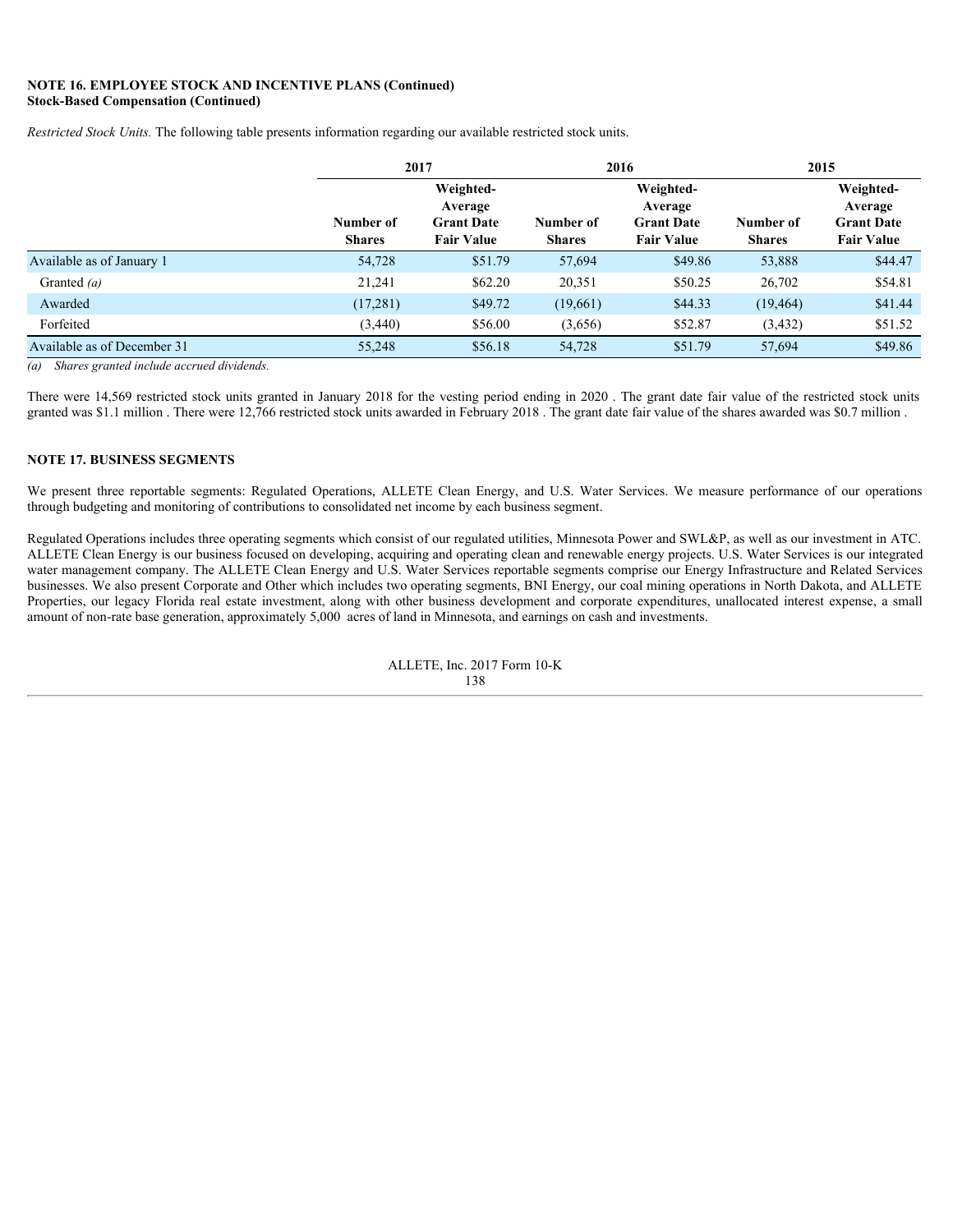# **NOTE 16. EMPLOYEE STOCK AND INCENTIVE PLANS (Continued) Stock-Based Compensation (Continued)**

#### **NOTE 17. BUSINESS SEGMENTS**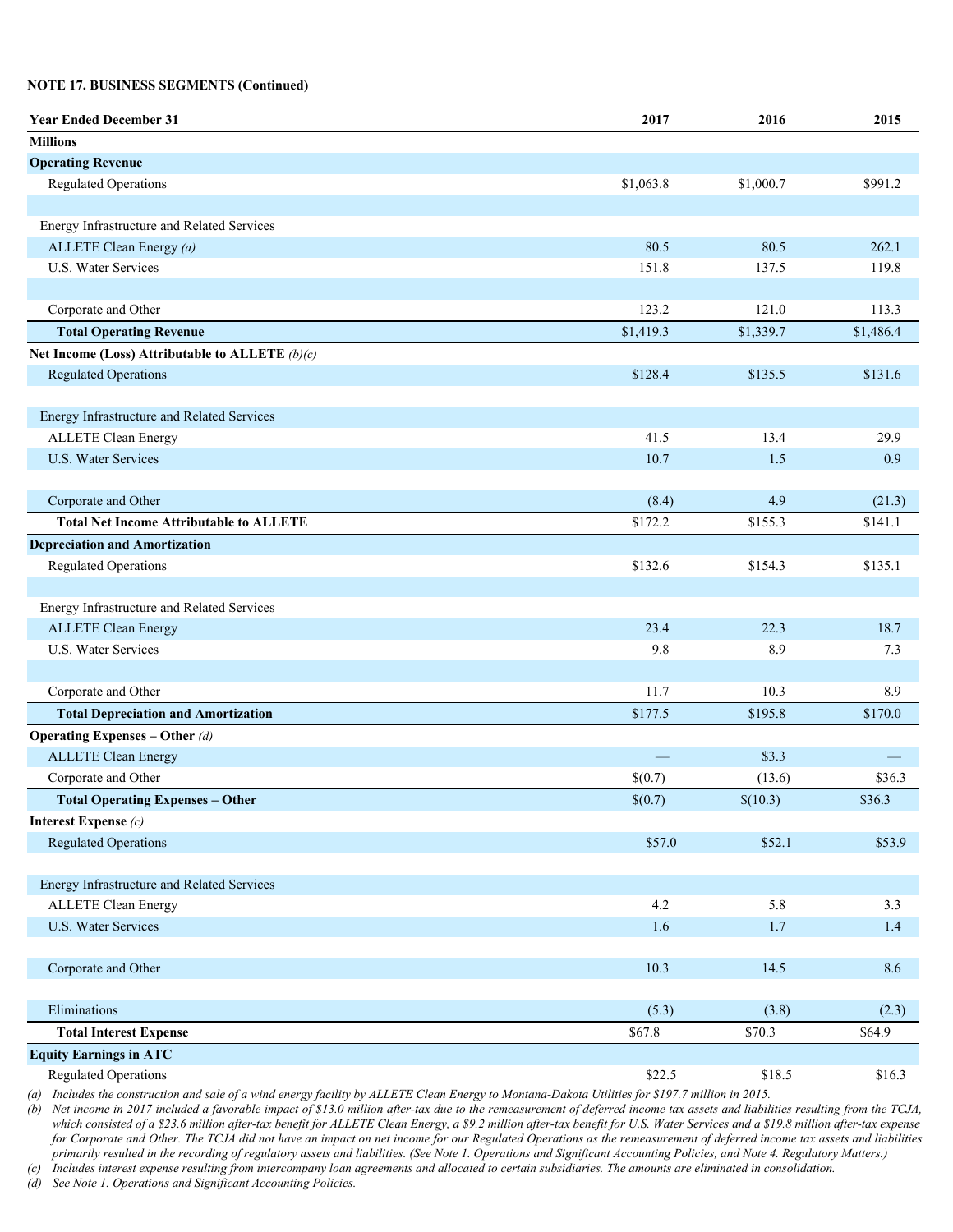# **NOTE 17. BUSINESS SEGMENTS (Continued)**

| <b>Year Ended December 31</b>                     | 2017      | 2016      | 2015                     |
|---------------------------------------------------|-----------|-----------|--------------------------|
| <b>Millions</b>                                   |           |           |                          |
| <b>Operating Revenue</b>                          |           |           |                          |
| <b>Regulated Operations</b>                       | \$1,063.8 | \$1,000.7 | \$991.2                  |
|                                                   |           |           |                          |
| Energy Infrastructure and Related Services        |           |           |                          |
| ALLETE Clean Energy (a)                           | 80.5      | 80.5      | 262.1                    |
| U.S. Water Services                               | 151.8     | 137.5     | 119.8                    |
|                                                   |           |           |                          |
| Corporate and Other                               | 123.2     | 121.0     | 113.3                    |
| <b>Total Operating Revenue</b>                    | \$1,419.3 | \$1,339.7 | \$1,486.4                |
| Net Income (Loss) Attributable to ALLETE $(b)(c)$ |           |           |                          |
| <b>Regulated Operations</b>                       | \$128.4   | \$135.5   | \$131.6                  |
|                                                   |           |           |                          |
| Energy Infrastructure and Related Services        |           |           |                          |
| <b>ALLETE</b> Clean Energy                        | 41.5      | 13.4      | 29.9                     |
| U.S. Water Services                               | 10.7      | $1.5\,$   | 0.9                      |
|                                                   |           |           |                          |
| Corporate and Other                               | (8.4)     | 4.9       | (21.3)                   |
| <b>Total Net Income Attributable to ALLETE</b>    | \$172.2   | \$155.3   | \$141.1                  |
| <b>Depreciation and Amortization</b>              |           |           |                          |
| <b>Regulated Operations</b>                       | \$132.6   | \$154.3   | \$135.1                  |
|                                                   |           |           |                          |
| Energy Infrastructure and Related Services        |           |           |                          |
| <b>ALLETE</b> Clean Energy                        | 23.4      | 22.3      | 18.7                     |
| U.S. Water Services                               | 9.8       | 8.9       | 7.3                      |
|                                                   |           |           |                          |
| Corporate and Other                               | 11.7      | 10.3      | 8.9                      |
| <b>Total Depreciation and Amortization</b>        | \$177.5   | \$195.8   | \$170.0                  |
| <b>Operating Expenses - Other (d)</b>             |           |           |                          |
| <b>ALLETE Clean Energy</b>                        |           | \$3.3     | $\overline{\phantom{0}}$ |
| Corporate and Other                               | \$(0.7)   | (13.6)    | \$36.3                   |
| <b>Total Operating Expenses - Other</b>           | \$(0.7)   | \$(10.3)  | \$36.3                   |
| Interest Expense (c)                              |           |           |                          |
| <b>Regulated Operations</b>                       | \$57.0    | \$52.1    | \$53.9                   |
|                                                   |           |           |                          |
| Energy Infrastructure and Related Services        |           |           |                          |
| <b>ALLETE</b> Clean Energy                        | 4.2       | 5.8       | 3.3                      |
| U.S. Water Services                               | $1.6\,$   | $1.7\,$   | 1.4                      |
|                                                   |           |           |                          |
| Corporate and Other                               | 10.3      | 14.5      | 8.6                      |
|                                                   |           |           |                          |
| Eliminations                                      | (5.3)     | (3.8)     | (2.3)                    |
| <b>Total Interest Expense</b>                     | \$67.8    | \$70.3    | \$64.9                   |
| <b>Equity Earnings in ATC</b>                     |           |           |                          |
| <b>Regulated Operations</b>                       | \$22.5    | \$18.5    | \$16.3                   |
|                                                   |           |           |                          |

*(a) Includes the construction and sale of a wind energy facility by ALLETE Clean Energy to Montana-Dakota Utilities for \$197.7 million in 2015.*

*(b) Net income in 2017 included a favorable impact of \$13.0 million after-tax due to the remeasurement of deferred income tax assets and liabilities resulting from the TCJA, which consisted of a \$23.6 million after-tax benefit for ALLETE Clean Energy, a \$9.2 million after-tax benefit for U.S. Water Services and a \$19.8 million after-tax expense for Corporate and Other. The TCJA did not have an impact on net income for our Regulated Operations as the remeasurement of deferred income tax assets and liabilities primarily resulted in the recording of regulatory assets and liabilities. (See Note 1. Operations and Significant Accounting Policies, and Note 4. Regulatory Matters.)*

*(c) Includes interest expense resulting from intercompany loan agreements and allocated to certain subsidiaries. The amounts are eliminated in consolidation.* 

*(d) See Note 1. Operations and Significant Accounting Policies.*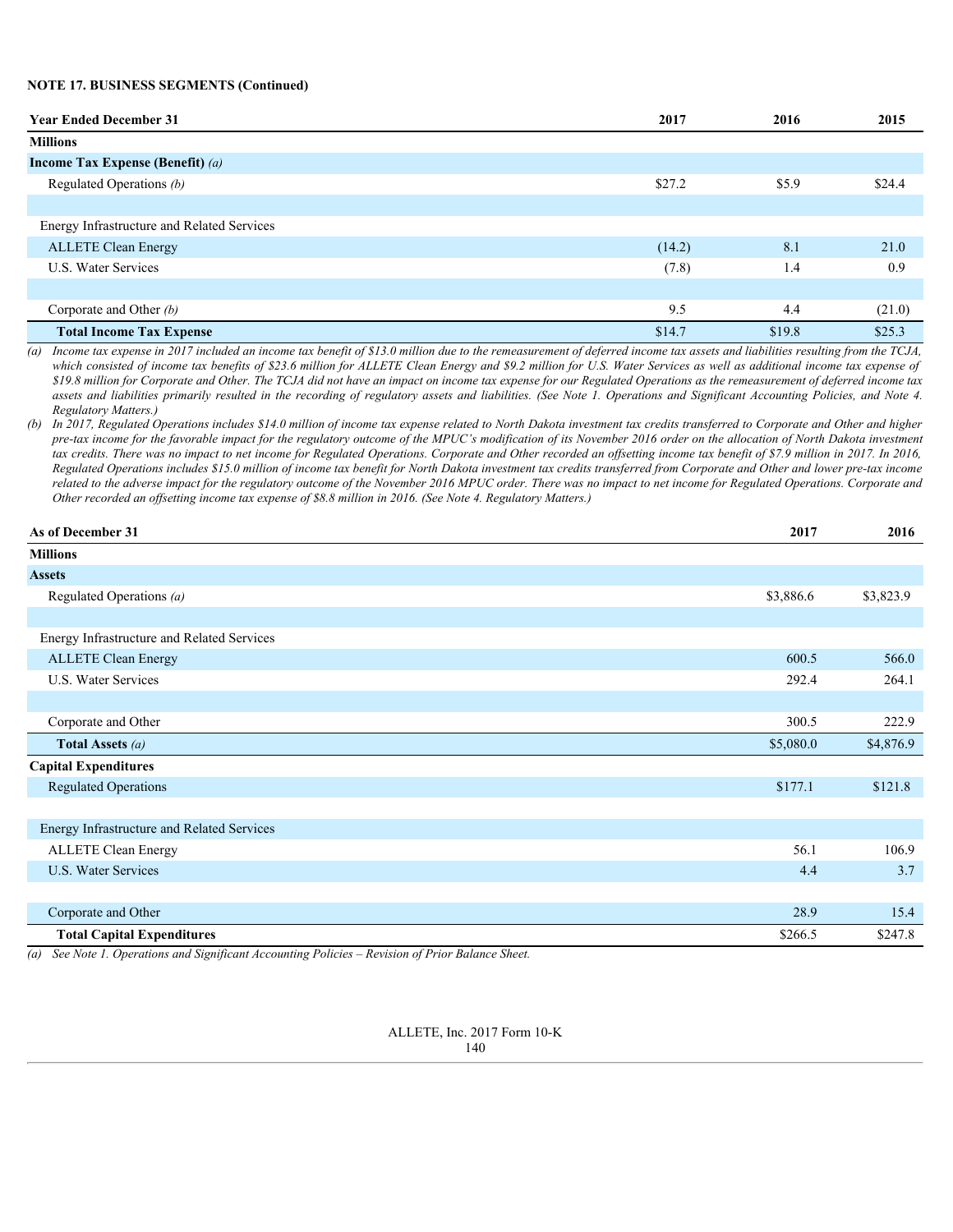#### **NOTE 17. BUSINESS SEGMENTS (Continued)**

|                 | <b>NOTE 17. BUSINESS SEGMENTS (Continued)</b>                                                                                                                                                                                                                                                                                                                                                                                                                                                                                                                                                                                                                                                                                                                                                                                                                                                                                                                                                                                                                                                                                                                                                                                                                                                                                                                                                                                                                                                                                                                    |        |        |                  |
|-----------------|------------------------------------------------------------------------------------------------------------------------------------------------------------------------------------------------------------------------------------------------------------------------------------------------------------------------------------------------------------------------------------------------------------------------------------------------------------------------------------------------------------------------------------------------------------------------------------------------------------------------------------------------------------------------------------------------------------------------------------------------------------------------------------------------------------------------------------------------------------------------------------------------------------------------------------------------------------------------------------------------------------------------------------------------------------------------------------------------------------------------------------------------------------------------------------------------------------------------------------------------------------------------------------------------------------------------------------------------------------------------------------------------------------------------------------------------------------------------------------------------------------------------------------------------------------------|--------|--------|------------------|
|                 | <b>Year Ended December 31</b>                                                                                                                                                                                                                                                                                                                                                                                                                                                                                                                                                                                                                                                                                                                                                                                                                                                                                                                                                                                                                                                                                                                                                                                                                                                                                                                                                                                                                                                                                                                                    | 2017   | 2016   | 2015             |
| <b>Millions</b> |                                                                                                                                                                                                                                                                                                                                                                                                                                                                                                                                                                                                                                                                                                                                                                                                                                                                                                                                                                                                                                                                                                                                                                                                                                                                                                                                                                                                                                                                                                                                                                  |        |        |                  |
|                 | Income Tax Expense (Benefit) (a)                                                                                                                                                                                                                                                                                                                                                                                                                                                                                                                                                                                                                                                                                                                                                                                                                                                                                                                                                                                                                                                                                                                                                                                                                                                                                                                                                                                                                                                                                                                                 |        |        |                  |
|                 | Regulated Operations (b)                                                                                                                                                                                                                                                                                                                                                                                                                                                                                                                                                                                                                                                                                                                                                                                                                                                                                                                                                                                                                                                                                                                                                                                                                                                                                                                                                                                                                                                                                                                                         | \$27.2 | \$5.9  | \$24.4           |
|                 |                                                                                                                                                                                                                                                                                                                                                                                                                                                                                                                                                                                                                                                                                                                                                                                                                                                                                                                                                                                                                                                                                                                                                                                                                                                                                                                                                                                                                                                                                                                                                                  |        |        |                  |
|                 | Energy Infrastructure and Related Services                                                                                                                                                                                                                                                                                                                                                                                                                                                                                                                                                                                                                                                                                                                                                                                                                                                                                                                                                                                                                                                                                                                                                                                                                                                                                                                                                                                                                                                                                                                       |        |        |                  |
|                 | <b>ALLETE Clean Energy</b>                                                                                                                                                                                                                                                                                                                                                                                                                                                                                                                                                                                                                                                                                                                                                                                                                                                                                                                                                                                                                                                                                                                                                                                                                                                                                                                                                                                                                                                                                                                                       | (14.2) | 8.1    | 21.0             |
|                 | U.S. Water Services                                                                                                                                                                                                                                                                                                                                                                                                                                                                                                                                                                                                                                                                                                                                                                                                                                                                                                                                                                                                                                                                                                                                                                                                                                                                                                                                                                                                                                                                                                                                              | (7.8)  | 1.4    | 0.9              |
|                 | Corporate and Other $(b)$                                                                                                                                                                                                                                                                                                                                                                                                                                                                                                                                                                                                                                                                                                                                                                                                                                                                                                                                                                                                                                                                                                                                                                                                                                                                                                                                                                                                                                                                                                                                        | 9.5    | 4.4    |                  |
|                 |                                                                                                                                                                                                                                                                                                                                                                                                                                                                                                                                                                                                                                                                                                                                                                                                                                                                                                                                                                                                                                                                                                                                                                                                                                                                                                                                                                                                                                                                                                                                                                  | \$14.7 | \$19.8 | (21.0)<br>\$25.3 |
| (a)             | <b>Total Income Tax Expense</b><br>Income tax expense in 2017 included an income tax benefit of \$13.0 million due to the remeasurement of deferred income tax assets and liabilities resulting from the TCJA,                                                                                                                                                                                                                                                                                                                                                                                                                                                                                                                                                                                                                                                                                                                                                                                                                                                                                                                                                                                                                                                                                                                                                                                                                                                                                                                                                   |        |        |                  |
|                 | which consisted of income tax benefits of \$23.6 million for ALLETE Clean Energy and \$9.2 million for U.S. Water Services as well as additional income tax expense of<br>\$19.8 million for Corporate and Other. The TCJA did not have an impact on income tax expense for our Regulated Operations as the remeasurement of deferred income tax<br>assets and liabilities primarily resulted in the recording of regulatory assets and liabilities. (See Note 1. Operations and Significant Accounting Policies, and Note 4.<br><b>Regulatory Matters.)</b><br>In 2017, Regulated Operations includes \$14.0 million of income tax expense related to North Dakota investment tax credits transferred to Corporate and Other and higher<br>pre-tax income for the favorable impact for the regulatory outcome of the MPUC's modification of its November 2016 order on the allocation of North Dakota investment<br>tax credits. There was no impact to net income for Regulated Operations. Corporate and Other recorded an offsetting income tax benefit of \$7.9 million in 2017. In 2016,<br>Regulated Operations includes \$15.0 million of income tax benefit for North Dakota investment tax credits transferred from Corporate and Other and lower pre-tax income<br>related to the adverse impact for the regulatory outcome of the November 2016 MPUC order. There was no impact to net income for Regulated Operations. Corporate and<br>Other recorded an offsetting income tax expense of \$8.8 million in 2016. (See Note 4. Regulatory Matters.) |        |        |                  |

| <b>Millions</b><br><b>Assets</b><br>\$3,823.9<br>Regulated Operations (a)<br>\$3,886.6<br>Energy Infrastructure and Related Services<br>600.5<br><b>ALLETE</b> Clean Energy<br>U.S. Water Services<br>292.4<br>264.1<br>Corporate and Other<br>300.5<br><b>Total Assets (a)</b><br>\$5,080.0<br><b>Capital Expenditures</b><br>\$177.1<br>\$121.8<br><b>Regulated Operations</b><br>Energy Infrastructure and Related Services<br>56.1<br><b>ALLETE</b> Clean Energy<br>U.S. Water Services<br>4.4<br>Corporate and Other<br>28.9<br><b>Total Capital Expenditures</b><br>\$266.5 | As of December 31 | 2017 | 2016      |
|-----------------------------------------------------------------------------------------------------------------------------------------------------------------------------------------------------------------------------------------------------------------------------------------------------------------------------------------------------------------------------------------------------------------------------------------------------------------------------------------------------------------------------------------------------------------------------------|-------------------|------|-----------|
|                                                                                                                                                                                                                                                                                                                                                                                                                                                                                                                                                                                   |                   |      |           |
|                                                                                                                                                                                                                                                                                                                                                                                                                                                                                                                                                                                   |                   |      |           |
|                                                                                                                                                                                                                                                                                                                                                                                                                                                                                                                                                                                   |                   |      |           |
|                                                                                                                                                                                                                                                                                                                                                                                                                                                                                                                                                                                   |                   |      |           |
|                                                                                                                                                                                                                                                                                                                                                                                                                                                                                                                                                                                   |                   |      |           |
|                                                                                                                                                                                                                                                                                                                                                                                                                                                                                                                                                                                   |                   |      | 566.0     |
|                                                                                                                                                                                                                                                                                                                                                                                                                                                                                                                                                                                   |                   |      |           |
|                                                                                                                                                                                                                                                                                                                                                                                                                                                                                                                                                                                   |                   |      |           |
|                                                                                                                                                                                                                                                                                                                                                                                                                                                                                                                                                                                   |                   |      | 222.9     |
|                                                                                                                                                                                                                                                                                                                                                                                                                                                                                                                                                                                   |                   |      | \$4,876.9 |
|                                                                                                                                                                                                                                                                                                                                                                                                                                                                                                                                                                                   |                   |      |           |
|                                                                                                                                                                                                                                                                                                                                                                                                                                                                                                                                                                                   |                   |      |           |
|                                                                                                                                                                                                                                                                                                                                                                                                                                                                                                                                                                                   |                   |      |           |
|                                                                                                                                                                                                                                                                                                                                                                                                                                                                                                                                                                                   |                   |      |           |
|                                                                                                                                                                                                                                                                                                                                                                                                                                                                                                                                                                                   |                   |      | 106.9     |
|                                                                                                                                                                                                                                                                                                                                                                                                                                                                                                                                                                                   |                   |      | 3.7       |
|                                                                                                                                                                                                                                                                                                                                                                                                                                                                                                                                                                                   |                   |      |           |
|                                                                                                                                                                                                                                                                                                                                                                                                                                                                                                                                                                                   |                   |      | 15.4      |
|                                                                                                                                                                                                                                                                                                                                                                                                                                                                                                                                                                                   |                   |      | \$247.8   |

*(a) See Note 1. Operations and Significant Accounting Policies – Revision of Prior Balance Sheet.*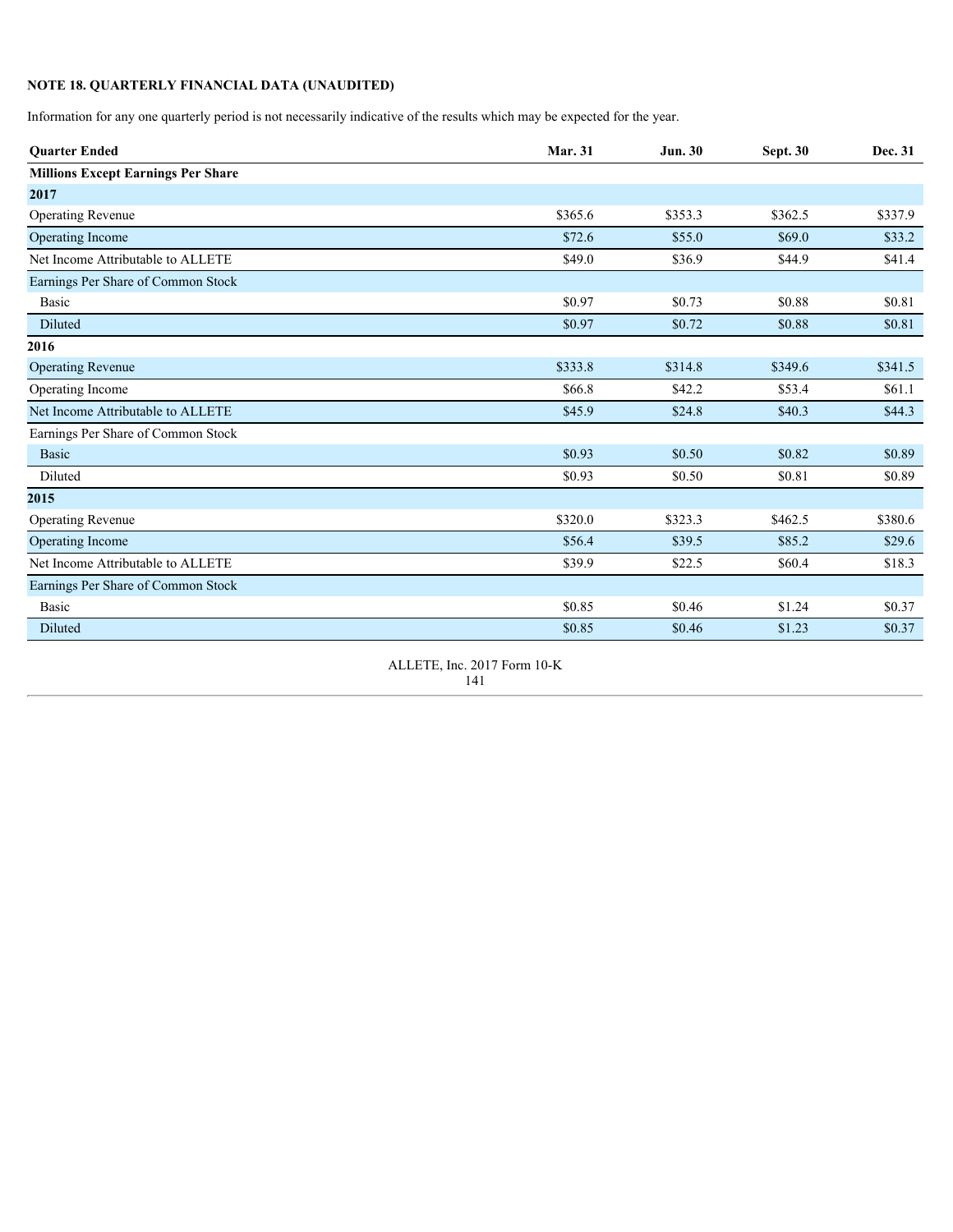# **NOTE 18. QUARTERLY FINANCIAL DATA (UNAUDITED)**

Information for any one quarterly period is not necessarily indicative of the results which may be expected for the year.

| <b>Quarter Ended</b>                      | <b>Mar. 31</b> | <b>Jun. 30</b> | <b>Sept. 30</b> | Dec. 31 |
|-------------------------------------------|----------------|----------------|-----------------|---------|
| <b>Millions Except Earnings Per Share</b> |                |                |                 |         |
| 2017                                      |                |                |                 |         |
| Operating Revenue                         | \$365.6        | \$353.3        | \$362.5         | \$337.9 |
| Operating Income                          | \$72.6         | \$55.0         | \$69.0          | \$33.2  |
| Net Income Attributable to ALLETE         | \$49.0         | \$36.9         | \$44.9          | \$41.4  |
| Earnings Per Share of Common Stock        |                |                |                 |         |
| Basic                                     | \$0.97         | \$0.73         | \$0.88          | \$0.81  |
| Diluted                                   | \$0.97         | \$0.72         | \$0.88          | \$0.81  |
| 2016                                      |                |                |                 |         |
| <b>Operating Revenue</b>                  | \$333.8        | \$314.8        | \$349.6         | \$341.5 |
| Operating Income                          | \$66.8         | \$42.2         | \$53.4          | \$61.1  |
| Net Income Attributable to ALLETE         | \$45.9         | \$24.8         | \$40.3          | \$44.3  |
| Earnings Per Share of Common Stock        |                |                |                 |         |
| Basic                                     | \$0.93         | \$0.50         | \$0.82          | \$0.89  |
| Diluted                                   | \$0.93         | \$0.50         | \$0.81          | \$0.89  |
| 2015                                      |                |                |                 |         |
| Operating Revenue                         | \$320.0        | \$323.3        | \$462.5         | \$380.6 |
| Operating Income                          | \$56.4         | \$39.5         | \$85.2          | \$29.6  |
| Net Income Attributable to ALLETE         | \$39.9         | \$22.5         | \$60.4          | \$18.3  |
| Earnings Per Share of Common Stock        |                |                |                 |         |
| Basic                                     | \$0.85         | \$0.46         | \$1.24          | \$0.37  |
| Diluted                                   | \$0.85         | \$0.46         | \$1.23          | \$0.37  |

ALLETE, Inc. 2017 Form 10-K 141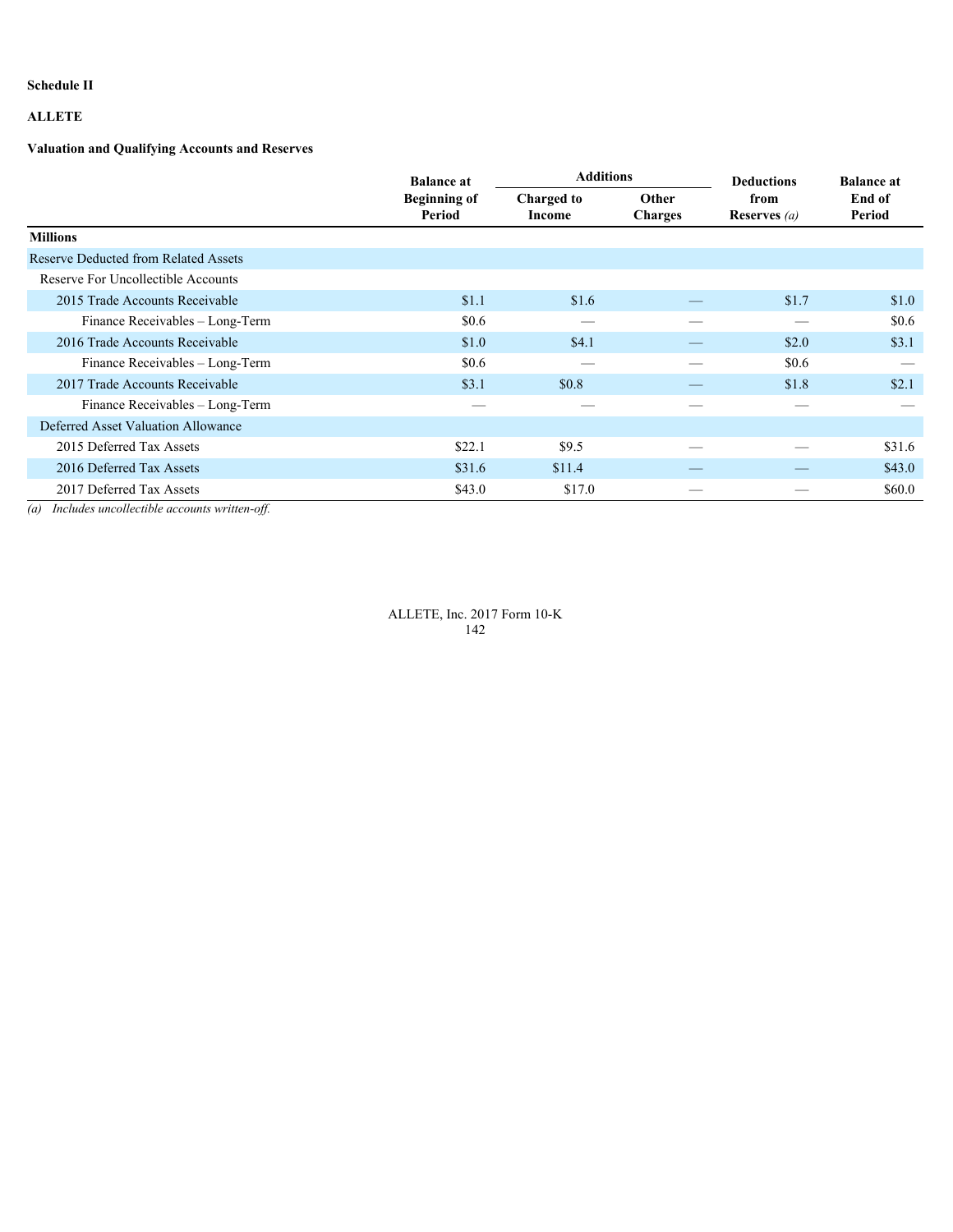# **Schedule II**

# **ALLETE**

**Valuation and Qualifying Accounts and Reserves**

|                                             | <b>Balance at</b>             | <b>Additions</b>                |                                 | <b>Deductions</b>      | <b>Balance</b> at        |
|---------------------------------------------|-------------------------------|---------------------------------|---------------------------------|------------------------|--------------------------|
|                                             | <b>Beginning of</b><br>Period | Charged to<br>Income            | Other<br><b>Charges</b>         | from<br>Reserves $(a)$ | End of<br>Period         |
| <b>Millions</b>                             |                               |                                 |                                 |                        |                          |
| <b>Reserve Deducted from Related Assets</b> |                               |                                 |                                 |                        |                          |
| Reserve For Uncollectible Accounts          |                               |                                 |                                 |                        |                          |
| 2015 Trade Accounts Receivable              | \$1.1                         | \$1.6                           | $\overline{\phantom{m}}$        | \$1.7                  | \$1.0                    |
| Finance Receivables - Long-Term             | \$0.6                         |                                 |                                 |                        | \$0.6                    |
| 2016 Trade Accounts Receivable              | \$1.0                         | \$4.1                           | $\overline{\phantom{m}}$        | \$2.0                  | \$3.1                    |
| Finance Receivables - Long-Term             | \$0.6                         | $\hspace{0.1mm}-\hspace{0.1mm}$ | $\overline{\phantom{0}}$        | \$0.6                  | $\overline{\phantom{m}}$ |
| 2017 Trade Accounts Receivable              | \$3.1                         | \$0.8                           | $\overline{\phantom{m}}$        | \$1.8                  | \$2.1                    |
| Finance Receivables - Long-Term             |                               | $\overline{\phantom{a}}$        |                                 |                        | __                       |
| Deferred Asset Valuation Allowance          |                               |                                 |                                 |                        |                          |
| 2015 Deferred Tax Assets                    | \$22.1                        | \$9.5                           | $\overbrace{\hspace{25mm}}^{}$  |                        | \$31.6                   |
| 2016 Deferred Tax Assets                    | \$31.6                        | \$11.4                          | $\hspace{0.1mm}-\hspace{0.1mm}$ |                        | \$43.0                   |
| 2017 Deferred Tax Assets                    | \$43.0                        | \$17.0                          | __                              |                        | \$60.0                   |

*(a) Includes uncollectible accounts written-off.*

ALLETE, Inc. 2017 Form 10-K 142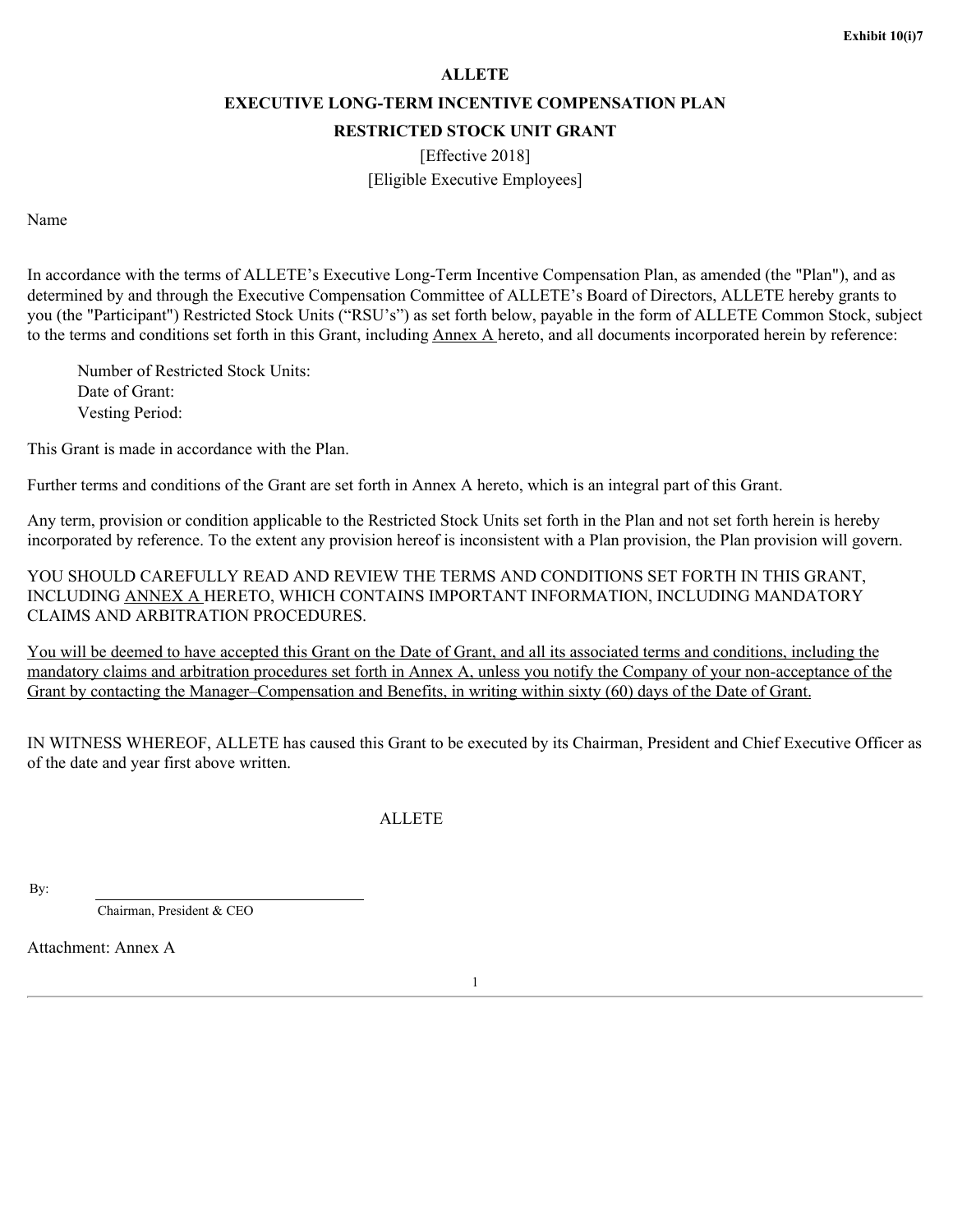### **ALLETE**

**EXECUTIVE LONG-TERM INCENTIVE COMPENSATION PLAN**

# **RESTRICTED STOCK UNIT GRANT**

[Effective 2018] [Eligible Executive Employees]

Name when the contract of the contract of the contract of the contract of the contract of the contract of the contract of the contract of the contract of the contract of the contract of the contract of the contract of the

In accordance with the terms of ALLETE's Executive Long-Term Incentive Compensation Plan, as amended (the "Plan"), and as determined by and through the Executive Compensation Committee of ALLETE's Board of Directors, ALLETE hereby grants to you (the "Participant") Restricted Stock Units ("RSU's") as set forth below, payable in the form of ALLETE Common Stock, subject to the terms and conditions set forth in this Grant, including Annex A hereto, and all documents incorporated herein by reference:

Number of Restricted Stock Units: Date of Grant: Vesting Period:

This Grant is made in accordance with the Plan.

Further terms and conditions of the Grant are set forth in Annex A hereto, which is an integral part of this Grant.

Any term, provision or condition applicable to the Restricted Stock Units set forth in the Plan and not set forth herein is hereby incorporated by reference. To the extent any provision hereof is inconsistent with a Plan provision, the Plan provision will govern.

YOU SHOULD CAREFULLY READ AND REVIEW THE TERMS AND CONDITIONS SET FORTH IN THIS GRANT, INCLUDING ANNEX A HERETO, WHICH CONTAINS IMPORTANT INFORMATION, INCLUDING MANDATORY CLAIMS AND ARBITRATION PROCEDURES.

You will be deemed to have accepted this Grant on the Date of Grant, and all its associated terms and conditions, including the mandatory claims and arbitration procedures set forth in Annex A, unless you notify the Company of your non-acceptance of the Grant by contacting the Manager–Compensation and Benefits, in writing within sixty (60) days of the Date of Grant.

IN WITNESS WHEREOF, ALLETE has caused this Grant to be executed by its Chairman, President and Chief Executive Officer as of the date and year first above written.

ALLETE

By:

Chairman, President & CEO

Attachment: Annex A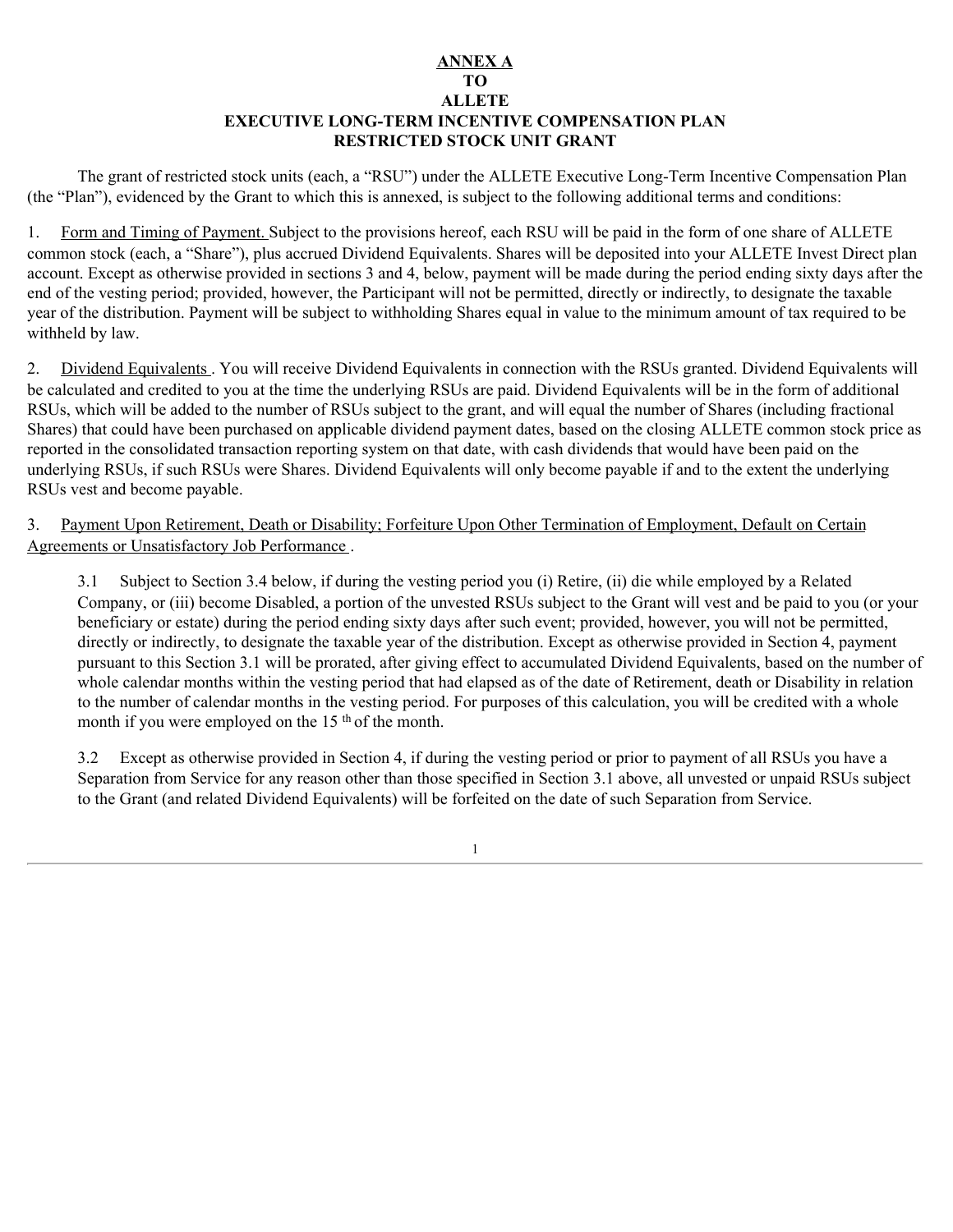# **ANNEX A TO ALLETE EXECUTIVE LONG-TERM INCENTIVE COMPENSATION PLAN RESTRICTED STOCK UNIT GRANT**

The grant of restricted stock units (each, a "RSU") under the ALLETE Executive Long-Term Incentive Compensation Plan (the "Plan"), evidenced by the Grant to which this is annexed, is subject to the following additional terms and conditions:

1. Form and Timing of Payment. Subject to the provisions hereof, each RSU will be paid in the form of one share of ALLETE common stock (each, a "Share"), plus accrued Dividend Equivalents. Shares will be deposited into your ALLETE Invest Direct plan account. Except as otherwise provided in sections 3 and 4, below, payment will be made during the period ending sixty days after the end of the vesting period; provided, however, the Participant will not be permitted, directly or indirectly, to designate the taxable year of the distribution. Payment will be subject to withholding Shares equal in value to the minimum amount of tax required to be withheld by law.

2. Dividend Equivalents . You will receive Dividend Equivalents in connection with the RSUs granted. Dividend Equivalents will be calculated and credited to you at the time the underlying RSUs are paid. Dividend Equivalents will be in the form of additional RSUs, which will be added to the number of RSUs subject to the grant, and will equal the number of Shares (including fractional Shares) that could have been purchased on applicable dividend payment dates, based on the closing ALLETE common stock price as reported in the consolidated transaction reporting system on that date, with cash dividends that would have been paid on the underlying RSUs, if such RSUs were Shares. Dividend Equivalents will only become payable if and to the extent the underlying RSUs vest and become payable.

3. Payment Upon Retirement, Death or Disability; Forfeiture Upon Other Termination of Employment, Default on Certain Agreements or Unsatisfactory Job Performance .

3.1 Subject to Section 3.4 below, if during the vesting period you (i) Retire, (ii) die while employed by a Related Company, or (iii) become Disabled, a portion of the unvested RSUs subject to the Grant will vest and be paid to you (or your beneficiary or estate) during the period ending sixty days after such event; provided, however, you will not be permitted, directly or indirectly, to designate the taxable year of the distribution. Except as otherwise provided in Section 4, payment pursuant to this Section 3.1 will be prorated, after giving effect to accumulated Dividend Equivalents, based on the number of whole calendar months within the vesting period that had elapsed as of the date of Retirement, death or Disability in relation to the number of calendar months in the vesting period. For purposes of this calculation, you will be credited with a whole month if you were employed on the  $15<sup>th</sup>$  of the month.

3.2 Except as otherwise provided in Section 4, if during the vesting period or prior to payment of all RSUs you have a Separation from Service for any reason other than those specified in Section 3.1 above, all unvested or unpaid RSUs subject to the Grant (and related Dividend Equivalents) will be forfeited on the date of such Separation from Service.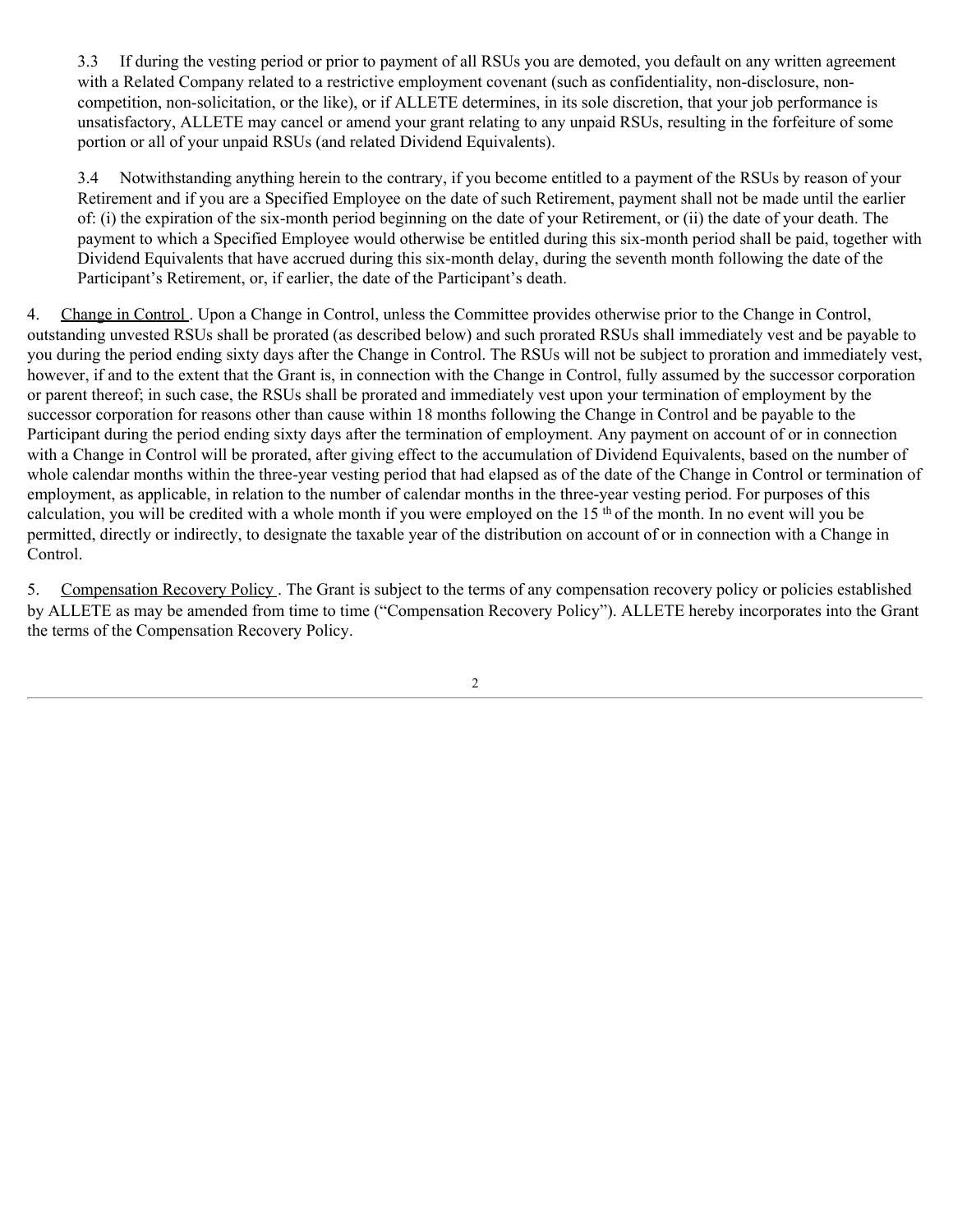3.3 If during the vesting period or prior to payment of all RSUs you are demoted, you default on any written agreement with a Related Company related to a restrictive employment covenant (such as confidentiality, non-disclosure, noncompetition, non-solicitation, or the like), or if ALLETE determines, in its sole discretion, that your job performance is unsatisfactory, ALLETE may cancel or amend your grant relating to any unpaid RSUs, resulting in the forfeiture of some portion or all of your unpaid RSUs (and related Dividend Equivalents).

3.4 Notwithstanding anything herein to the contrary, if you become entitled to a payment of the RSUs by reason of your Retirement and if you are a Specified Employee on the date of such Retirement, payment shall not be made until the earlier of: (i) the expiration of the six-month period beginning on the date of your Retirement, or (ii) the date of your death. The payment to which a Specified Employee would otherwise be entitled during this six-month period shall be paid, together with Dividend Equivalents that have accrued during this six-month delay, during the seventh month following the date of the Participant's Retirement, or, if earlier, the date of the Participant's death.

4. Change in Control . Upon a Change in Control, unless the Committee provides otherwise prior to the Change in Control, outstanding unvested RSUs shall be prorated (as described below) and such prorated RSUs shall immediately vest and be payable to you during the period ending sixty days after the Change in Control. The RSUs will not be subject to proration and immediately vest, however, if and to the extent that the Grant is, in connection with the Change in Control, fully assumed by the successor corporation or parent thereof; in such case, the RSUs shall be prorated and immediately vest upon your termination of employment by the successor corporation for reasons other than cause within 18 months following the Change in Control and be payable to the Participant during the period ending sixty days after the termination of employment. Any payment on account of or in connection with a Change in Control will be prorated, after giving effect to the accumulation of Dividend Equivalents, based on the number of whole calendar months within the three-year vesting period that had elapsed as of the date of the Change in Control or termination of employment, as applicable, in relation to the number of calendar months in the three-year vesting period. For purposes of this calculation, you will be credited with a whole month if you were employed on the 15 th of the month. In no event will you be permitted, directly or indirectly, to designate the taxable year of the distribution on account of or in connection with a Change in Control.

5. Compensation Recovery Policy . The Grant is subject to the terms of any compensation recovery policy or policies established by ALLETE as may be amended from time to time ("Compensation Recovery Policy"). ALLETE hereby incorporates into the Grant the terms of the Compensation Recovery Policy.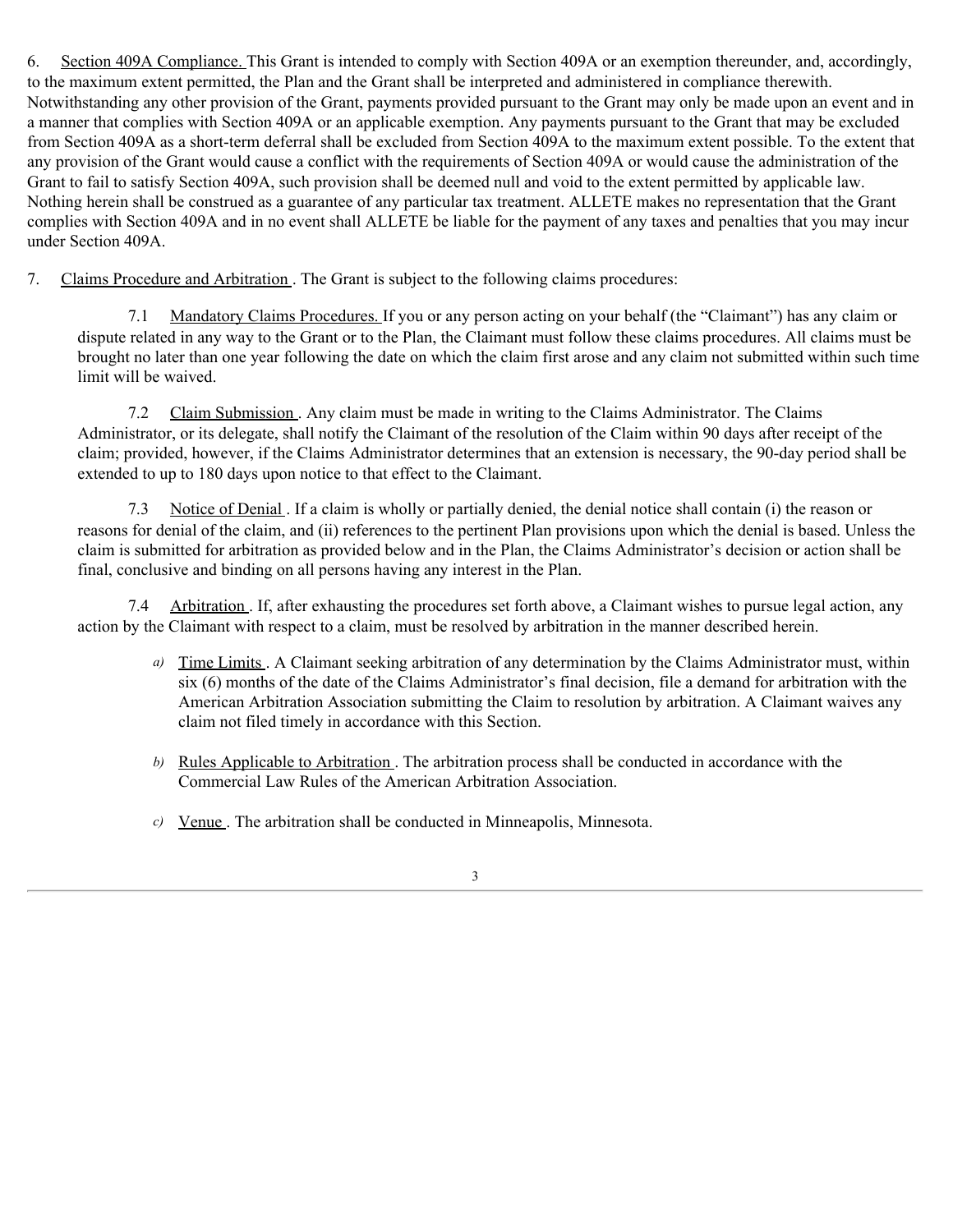6. Section 409A Compliance. This Grant is intended to comply with Section 409A or an exemption thereunder, and, accordingly, to the maximum extent permitted, the Plan and the Grant shall be interpreted and administered in compliance therewith. Notwithstanding any other provision of the Grant, payments provided pursuant to the Grant may only be made upon an event and in a manner that complies with Section 409A or an applicable exemption. Any payments pursuant to the Grant that may be excluded from Section 409A as a short-term deferral shall be excluded from Section 409A to the maximum extent possible. To the extent that any provision of the Grant would cause a conflict with the requirements of Section 409A or would cause the administration of the Grant to fail to satisfy Section 409A, such provision shall be deemed null and void to the extent permitted by applicable law. Nothing herein shall be construed as a guarantee of any particular tax treatment. ALLETE makes no representation that the Grant complies with Section 409A and in no event shall ALLETE be liable for the payment of any taxes and penalties that you may incur under Section 409A.

7. Claims Procedure and Arbitration . The Grant is subject to the following claims procedures:

7.1 Mandatory Claims Procedures. If you or any person acting on your behalf (the "Claimant") has any claim or dispute related in any way to the Grant or to the Plan, the Claimant must follow these claims procedures. All claims must be brought no later than one year following the date on which the claim first arose and any claim not submitted within such time limit will be waived.

7.2 Claim Submission . Any claim must be made in writing to the Claims Administrator. The Claims Administrator, or its delegate, shall notify the Claimant of the resolution of the Claim within 90 days after receipt of the claim; provided, however, if the Claims Administrator determines that an extension is necessary, the 90-day period shall be extended to up to 180 days upon notice to that effect to the Claimant.

7.3 Notice of Denial . If a claim is wholly or partially denied, the denial notice shall contain (i) the reason or reasons for denial of the claim, and (ii) references to the pertinent Plan provisions upon which the denial is based. Unless the claim is submitted for arbitration as provided below and in the Plan, the Claims Administrator's decision or action shall be final, conclusive and binding on all persons having any interest in the Plan.

7.4 Arbitration . If, after exhausting the procedures set forth above, a Claimant wishes to pursue legal action, any action by the Claimant with respect to a claim, must be resolved by arbitration in the manner described herein.

- *a)* Time Limits . A Claimant seeking arbitration of any determination by the Claims Administrator must, within six (6) months of the date of the Claims Administrator's final decision, file a demand for arbitration with the American Arbitration Association submitting the Claim to resolution by arbitration. A Claimant waives any claim not filed timely in accordance with this Section.
- *b*) Rules Applicable to Arbitration . The arbitration process shall be conducted in accordance with the Commercial Law Rules of the American Arbitration Association.
- *c)* Venue. The arbitration shall be conducted in Minneapolis, Minnesota.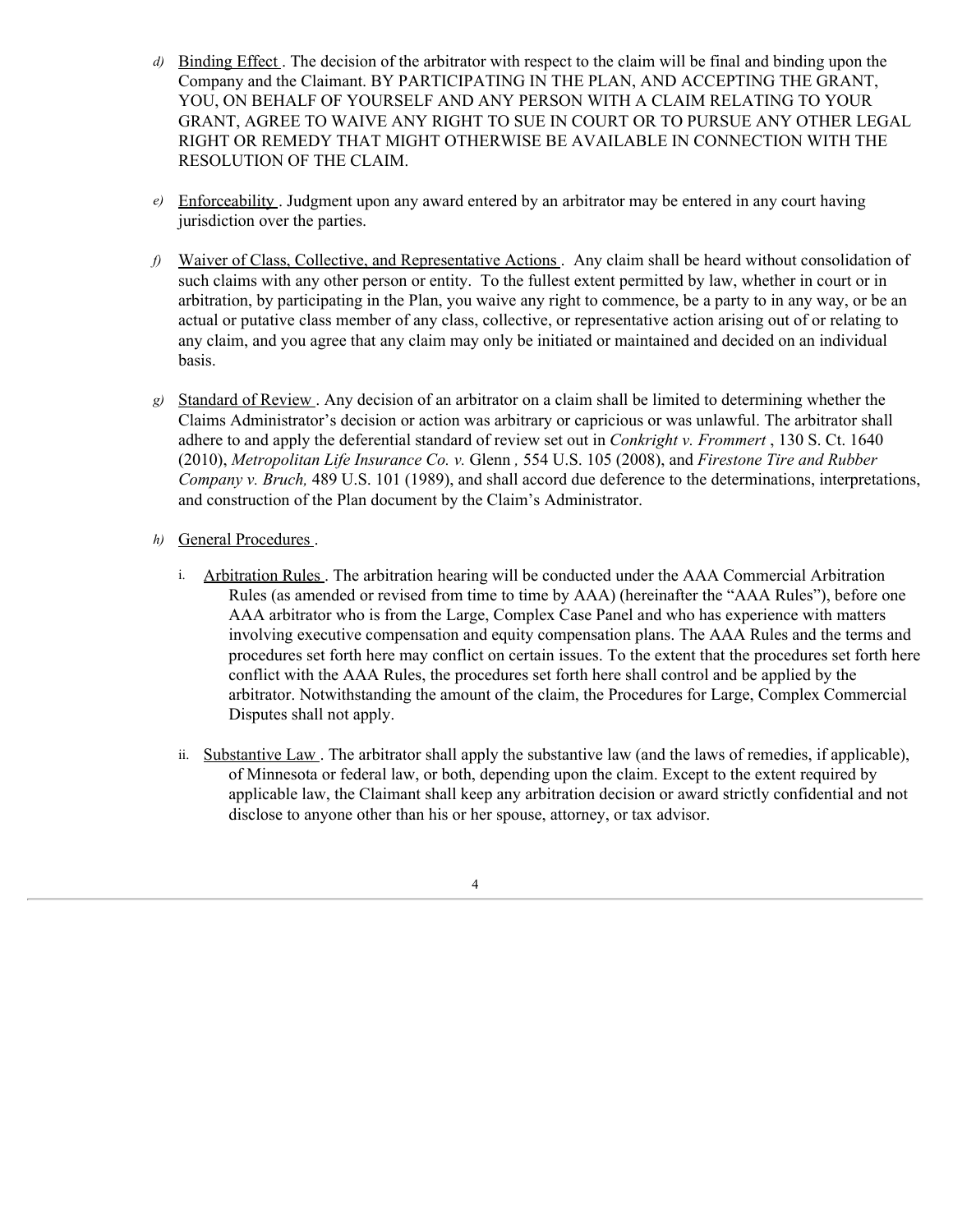- *d*) Binding Effect. The decision of the arbitrator with respect to the claim will be final and binding upon the Company and the Claimant. BY PARTICIPATING IN THE PLAN, AND ACCEPTING THE GRANT, YOU, ON BEHALF OF YOURSELF AND ANY PERSON WITH A CLAIM RELATING TO YOUR GRANT, AGREE TO WAIVE ANY RIGHT TO SUE IN COURT OR TO PURSUE ANY OTHER LEGAL RIGHT OR REMEDY THAT MIGHT OTHERWISE BE AVAILABLE IN CONNECTION WITH THE RESOLUTION OF THE CLAIM.
- *e)* Enforceability . Judgment upon any award entered by an arbitrator may be entered in any court having jurisdiction over the parties.
- *f)* Waiver of Class, Collective, and Representative Actions . Any claim shall be heard without consolidation of such claims with any other person or entity. To the fullest extent permitted by law, whether in court or in arbitration, by participating in the Plan, you waive any right to commence, be a party to in any way, or be an actual or putative class member of any class, collective, or representative action arising out of or relating to any claim, and you agree that any claim may only be initiated or maintained and decided on an individual basis.
- *g)* Standard of Review . Any decision of an arbitrator on a claim shall be limited to determining whether the Claims Administrator's decision or action was arbitrary or capricious or was unlawful. The arbitrator shall adhere to and apply the deferential standard of review set out in *Conkright v. Frommert* , 130 S. Ct. 1640 (2010), *Metropolitan Life Insurance Co. v.* Glenn *,* 554 U.S. 105 (2008), and *Firestone Tire and Rubber Company v. Bruch,* 489 U.S. 101 (1989), and shall accord due deference to the determinations, interpretations, and construction of the Plan document by the Claim's Administrator.
- *h*) General Procedures .
	- i. Arbitration Rules . The arbitration hearing will be conducted under the AAA Commercial Arbitration Rules (as amended or revised from time to time by AAA) (hereinafter the "AAA Rules"), before one AAA arbitrator who is from the Large, Complex Case Panel and who has experience with matters involving executive compensation and equity compensation plans. The AAA Rules and the terms and procedures set forth here may conflict on certain issues. To the extent that the procedures set forth here conflict with the AAA Rules, the procedures set forth here shall control and be applied by the arbitrator. Notwithstanding the amount of the claim, the Procedures for Large, Complex Commercial Disputes shall not apply.
	- ii. Substantive Law . The arbitrator shall apply the substantive law (and the laws of remedies, if applicable), of Minnesota or federal law, or both, depending upon the claim. Except to the extent required by applicable law, the Claimant shall keep any arbitration decision or award strictly confidential and not disclose to anyone other than his or her spouse, attorney, or tax advisor.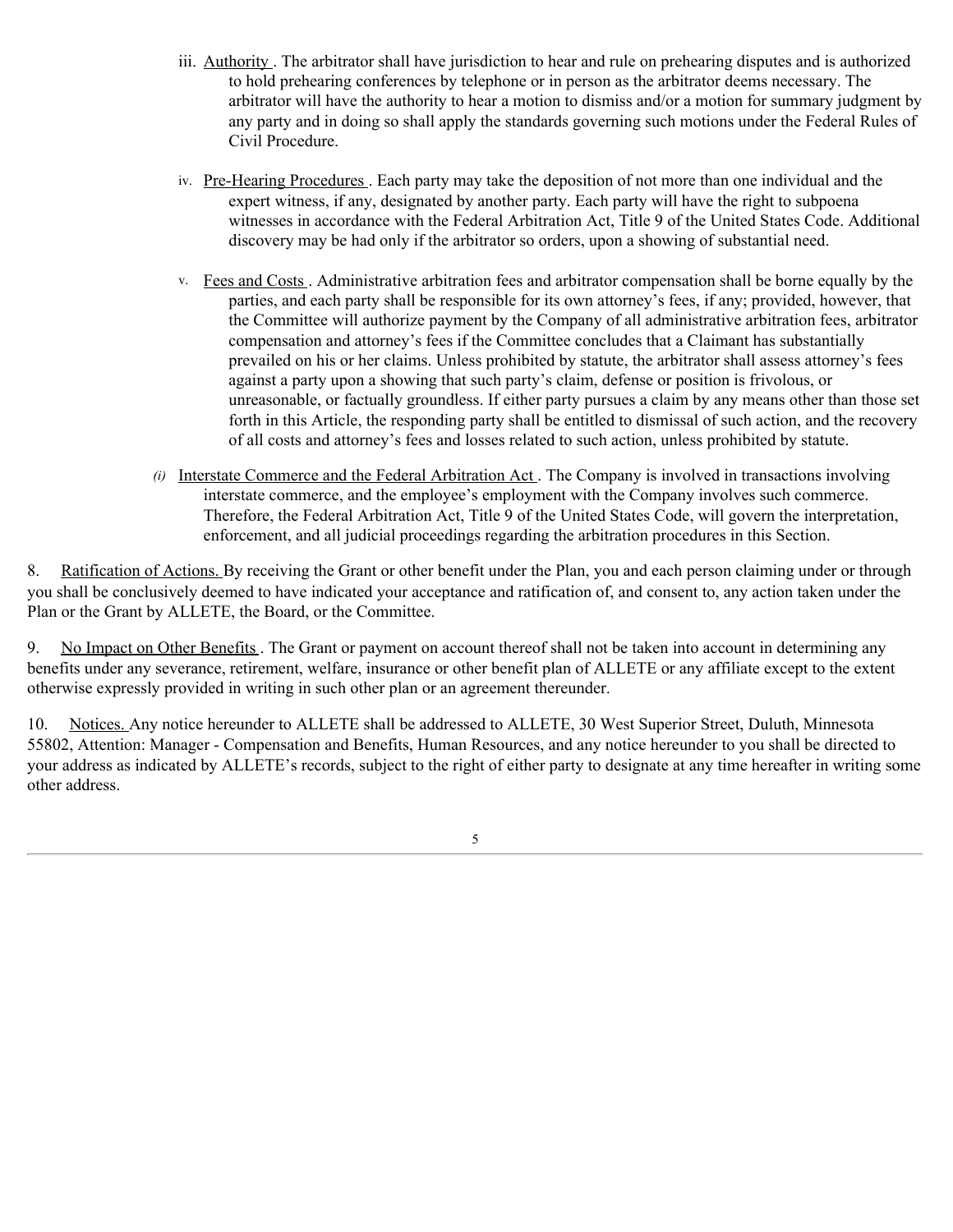- iii. Authority . The arbitrator shall have jurisdiction to hear and rule on prehearing disputes and is authorized to hold prehearing conferences by telephone or in person as the arbitrator deems necessary. The arbitrator will have the authority to hear a motion to dismiss and/or a motion for summary judgment by any party and in doing so shall apply the standards governing such motions under the Federal Rules of Civil Procedure.
- iv. Pre-Hearing Procedures . Each party may take the deposition of not more than one individual and the expert witness, if any, designated by another party. Each party will have the right to subpoena witnesses in accordance with the Federal Arbitration Act, Title 9 of the United States Code. Additional discovery may be had only if the arbitrator so orders, upon a showing of substantial need.
- v. Fees and Costs . Administrative arbitration fees and arbitrator compensation shall be borne equally by the parties, and each party shall be responsible for its own attorney's fees, if any; provided, however, that the Committee will authorize payment by the Company of all administrative arbitration fees, arbitrator compensation and attorney's fees if the Committee concludes that a Claimant has substantially prevailed on his or her claims. Unless prohibited by statute, the arbitrator shall assess attorney's fees against a party upon a showing that such party's claim, defense or position is frivolous, or unreasonable, or factually groundless. If either party pursues a claim by any means other than those set forth in this Article, the responding party shall be entitled to dismissal of such action, and the recovery of all costs and attorney's fees and losses related to such action, unless prohibited by statute.
- *(i)* Interstate Commerce and the Federal Arbitration Act . The Company is involved in transactions involving interstate commerce, and the employee's employment with the Company involves such commerce. Therefore, the Federal Arbitration Act, Title 9 of the United States Code, will govern the interpretation, enforcement, and all judicial proceedings regarding the arbitration procedures in this Section.

8. Ratification of Actions. By receiving the Grant or other benefit under the Plan, you and each person claiming under or through you shall be conclusively deemed to have indicated your acceptance and ratification of, and consent to, any action taken under the Plan or the Grant by ALLETE, the Board, or the Committee.

9. No Impact on Other Benefits . The Grant or payment on account thereof shall not be taken into account in determining any benefits under any severance, retirement, welfare, insurance or other benefit plan of ALLETE or any affiliate except to the extent otherwise expressly provided in writing in such other plan or an agreement thereunder.

10. Notices. Any notice hereunder to ALLETE shall be addressed to ALLETE, 30 West Superior Street, Duluth, Minnesota 55802, Attention: Manager - Compensation and Benefits, Human Resources, and any notice hereunder to you shall be directed to your address as indicated by ALLETE's records, subject to the right of either party to designate at any time hereafter in writing some other address.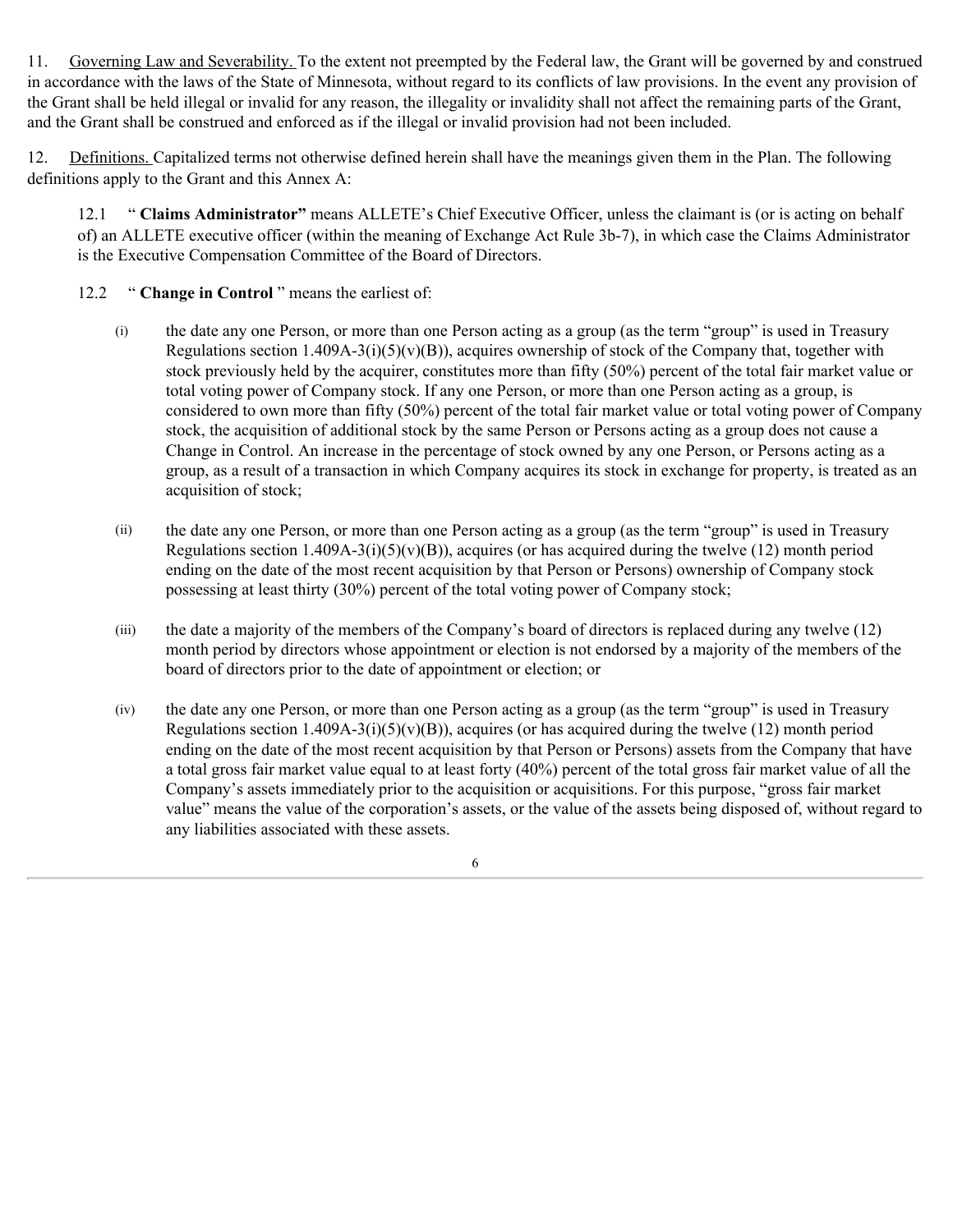11. Governing Law and Severability. To the extent not preempted by the Federal law, the Grant will be governed by and construed in accordance with the laws of the State of Minnesota, without regard to its conflicts of law provisions. In the event any provision of the Grant shall be held illegal or invalid for any reason, the illegality or invalidity shall not affect the remaining parts of the Grant, and the Grant shall be construed and enforced as if the illegal or invalid provision had not been included.

12. Definitions. Capitalized terms not otherwise defined herein shall have the meanings given them in the Plan. The following definitions apply to the Grant and this Annex A:

12.1 " **Claims Administrator"** means ALLETE's Chief Executive Officer, unless the claimant is (or is acting on behalf of) an ALLETE executive officer (within the meaning of Exchange Act Rule 3b-7), in which case the Claims Administrator is the Executive Compensation Committee of the Board of Directors. 12.2 " **Change in Control** " means the earliest of:

- (i) the date any one Person, or more than one Person acting as a group (as the term "group" is used in Treasury Regulations section 1.409A-3(i)(5)(v)(B)), acquires ownership of stock of the Company that, together with stock previously held by the acquirer, constitutes more than fifty (50%) percent of the total fair market value or total voting power of Company stock. If any one Person, or more than one Person acting as a group, is considered to own more than fifty (50%) percent of the total fair market value or total voting power of Company stock, the acquisition of additional stock by the same Person or Persons acting as a group does not cause a Change in Control. An increase in the percentage of stock owned by any one Person, or Persons acting as a group, as a result of a transaction in which Company acquires its stock in exchange for property, is treated as an acquisition of stock;
- (ii) the date any one Person, or more than one Person acting as a group (as the term "group" is used in Treasury Regulations section 1.409A-3(i)(5)(y)(B)), acquires (or has acquired during the twelve (12) month period ending on the date of the most recent acquisition by that Person or Persons) ownership of Company stock possessing at least thirty (30%) percent of the total voting power of Company stock;
- (iii) the date a majority of the members of the Company's board of directors is replaced during any twelve (12) month period by directors whose appointment or election is not endorsed by a majority of the members of the board of directors prior to the date of appointment or election; or
- (iv) the date any one Person, or more than one Person acting as a group (as the term "group" is used in Treasury Regulations section 1.409A-3(i)(5)(v)(B)), acquires (or has acquired during the twelve (12) month period ending on the date of the most recent acquisition by that Person or Persons) assets from the Company that have a total gross fair market value equal to at least forty (40%) percent of the total gross fair market value of all the Company's assets immediately prior to the acquisition or acquisitions. For this purpose, "gross fair market value" means the value of the corporation's assets, or the value of the assets being disposed of, without regard to any liabilities associated with these assets.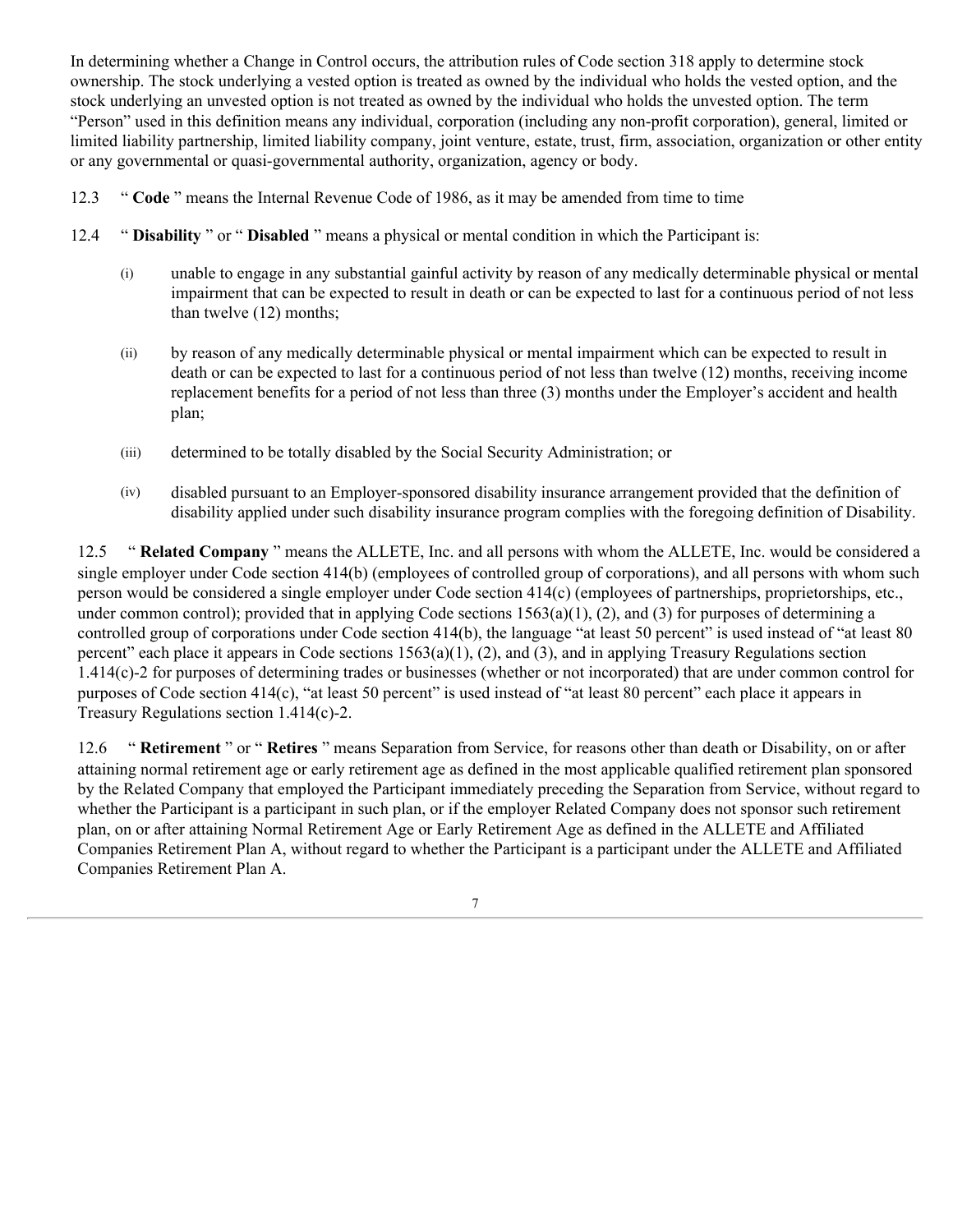In determining whether a Change in Control occurs, the attribution rules of Code section 318 apply to determine stock ownership. The stock underlying a vested option is treated as owned by the individual who holds the vested option, and the stock underlying an unvested option is not treated as owned by the individual who holds the unvested option. The term "Person" used in this definition means any individual, corporation (including any non-profit corporation), general, limited or limited liability partnership, limited liability company, joint venture, estate, trust, firm, association, organization or other entity or any governmental or quasi-governmental authority, organization, agency or body.

- 12.3 " **Code** " means the Internal Revenue Code of 1986, as it may be amended from time to time
- 12.4 " **Disability** " or " **Disabled** " means a physical or mental condition in which the Participant is:
	- (i) unable to engage in any substantial gainful activity by reason of any medically determinable physical or mental impairment that can be expected to result in death or can be expected to last for a continuous period of not less than twelve (12) months;
	- (ii) by reason of any medically determinable physical or mental impairment which can be expected to result in death or can be expected to last for a continuous period of not less than twelve (12) months, receiving income replacement benefits for a period of not less than three (3) months under the Employer's accident and health plan;
	- (iii) determined to be totally disabled by the Social Security Administration; or
	- (iv) disabled pursuant to an Employer-sponsored disability insurance arrangement provided that the definition of disability applied under such disability insurance program complies with the foregoing definition of Disability.

12.5 " **Related Company** " means the ALLETE, Inc. and all persons with whom the ALLETE, Inc. would be considered a single employer under Code section 414(b) (employees of controlled group of corporations), and all persons with whom such person would be considered a single employer under Code section 414(c) (employees of partnerships, proprietorships, etc., under common control); provided that in applying Code sections  $1563(a)(1)$ , (2), and (3) for purposes of determining a controlled group of corporations under Code section 414(b), the language "at least 50 percent" is used instead of "at least 80 percent" each place it appears in Code sections  $1563(a)(1)$ , (2), and (3), and in applying Treasury Regulations section 1.414(c)-2 for purposes of determining trades or businesses (whether or not incorporated) that are under common control for purposes of Code section 414(c), "at least 50 percent" is used instead of "at least 80 percent" each place it appears in Treasury Regulations section 1.414(c)-2.

12.6 " **Retirement** " or " **Retires** " means Separation from Service, for reasons other than death or Disability, on or after attaining normal retirement age or early retirement age as defined in the most applicable qualified retirement plan sponsored by the Related Company that employed the Participant immediately preceding the Separation from Service, without regard to whether the Participant is a participant in such plan, or if the employer Related Company does not sponsor such retirement plan, on or after attaining Normal Retirement Age or Early Retirement Age as defined in the ALLETE and Affiliated Companies Retirement Plan A, without regard to whether the Participant is a participant under the ALLETE and Affiliated Companies Retirement Plan A.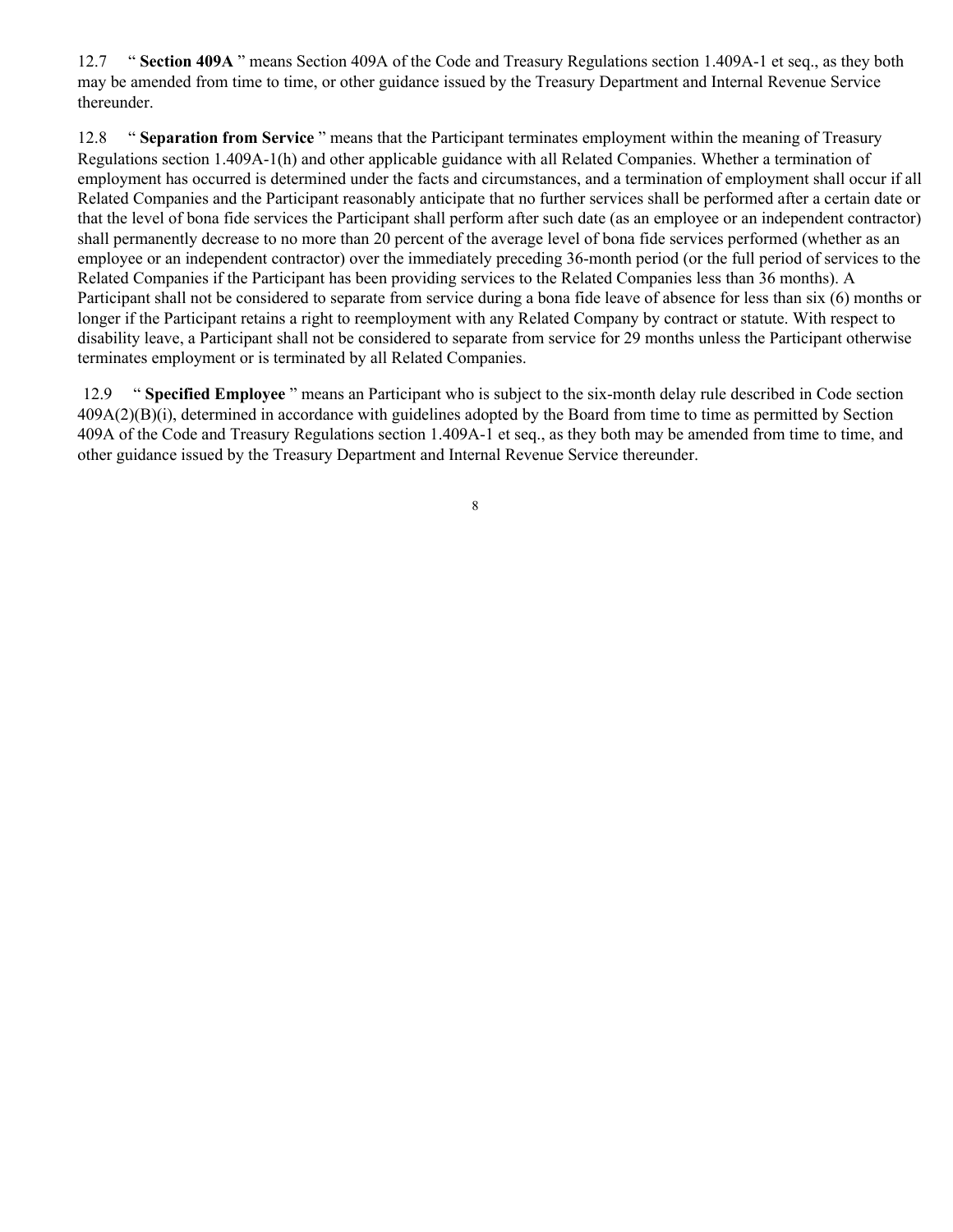12.7 " **Section 409A** " means Section 409A of the Code and Treasury Regulations section 1.409A-1 et seq., as they both may be amended from time to time, or other guidance issued by the Treasury Department and Internal Revenue Service thereunder.

12.8 " **Separation from Service** " means that the Participant terminates employment within the meaning of Treasury Regulations section 1.409A-1(h) and other applicable guidance with all Related Companies. Whether a termination of employment has occurred is determined under the facts and circumstances, and a termination of employment shall occur if all Related Companies and the Participant reasonably anticipate that no further services shall be performed after a certain date or that the level of bona fide services the Participant shall perform after such date (as an employee or an independent contractor) shall permanently decrease to no more than 20 percent of the average level of bona fide services performed (whether as an employee or an independent contractor) over the immediately preceding 36-month period (or the full period of services to the Related Companies if the Participant has been providing services to the Related Companies less than 36 months). A Participant shall not be considered to separate from service during a bona fide leave of absence for less than six (6) months or longer if the Participant retains a right to reemployment with any Related Company by contract or statute. With respect to disability leave, a Participant shall not be considered to separate from service for 29 months unless the Participant otherwise terminates employment or is terminated by all Related Companies.

12.9 " **Specified Employee** " means an Participant who is subject to the six-month delay rule described in Code section 409A(2)(B)(i), determined in accordance with guidelines adopted by the Board from time to time as permitted by Section 409A of the Code and Treasury Regulations section 1.409A-1 et seq., as they both may be amended from time to time, and other guidance issued by the Treasury Department and Internal Revenue Service thereunder.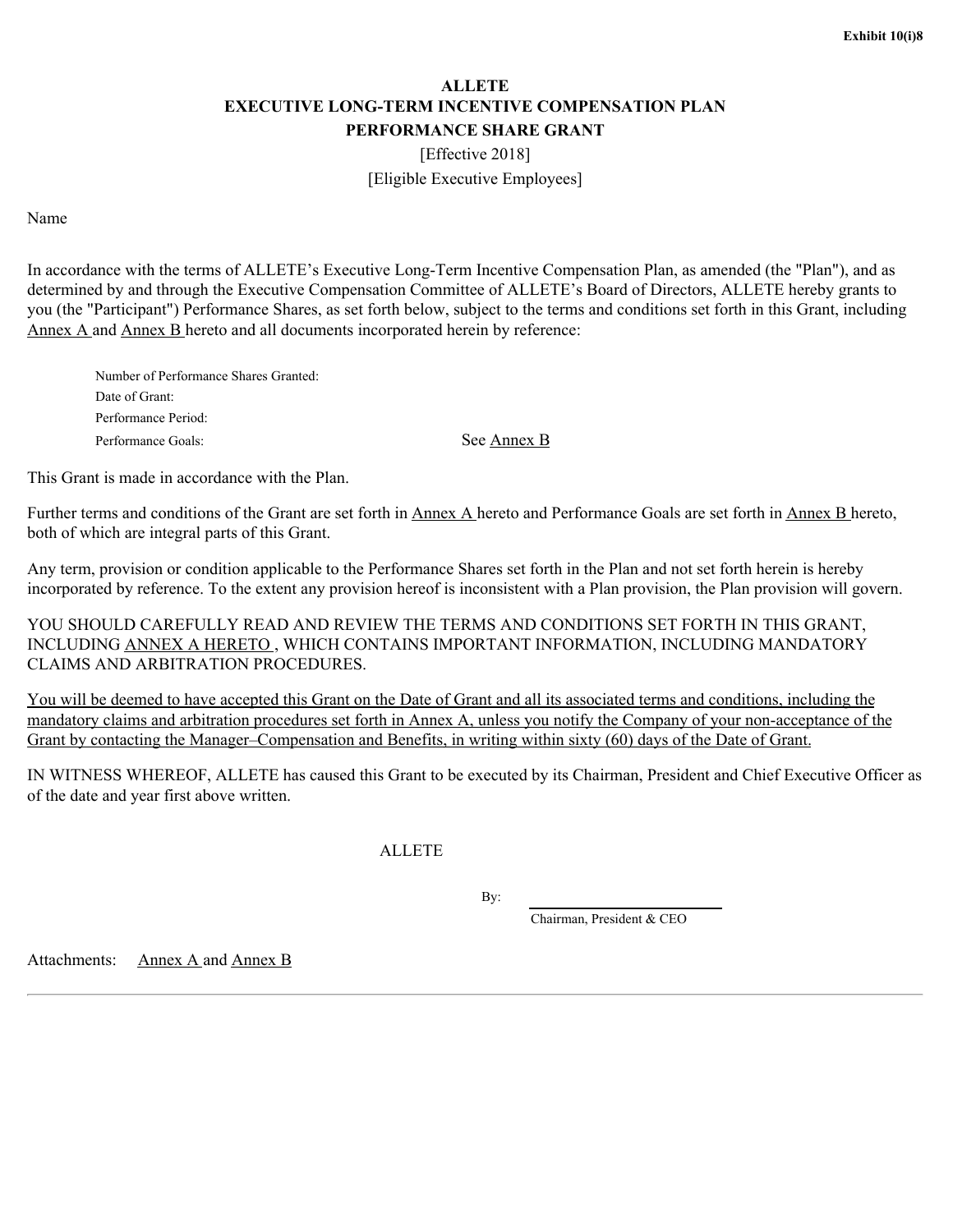# **ALLETE EXECUTIVE LONG-TERM INCENTIVE COMPENSATION PLAN PERFORMANCE SHARE GRANT**

[Effective 2018] [Eligible Executive Employees]

Name when the contract of the contract of the contract of the contract of the contract of the contract of the contract of the contract of the contract of the contract of the contract of the contract of the contract of the

In accordance with the terms of ALLETE's Executive Long-Term Incentive Compensation Plan, as amended (the "Plan"), and as determined by and through the Executive Compensation Committee of ALLETE's Board of Directors, ALLETE hereby grants to you (the "Participant") Performance Shares, as set forth below, subject to the terms and conditions set forth in this Grant, including Annex A and Annex B hereto and all documents incorporated herein by reference:

Number of Performance Shares Granted: Date of Grant: Performance Period: Performance Goals: See Annex B

This Grant is made in accordance with the Plan.

Further terms and conditions of the Grant are set forth in Annex A hereto and Performance Goals are set forth in Annex B hereto, both of which are integral parts of this Grant.

Any term, provision or condition applicable to the Performance Shares set forth in the Plan and not set forth herein is hereby incorporated by reference. To the extent any provision hereof is inconsistent with a Plan provision, the Plan provision will govern.

YOU SHOULD CAREFULLY READ AND REVIEW THE TERMS AND CONDITIONS SET FORTH IN THIS GRANT, INCLUDING ANNEX A HERETO , WHICH CONTAINS IMPORTANT INFORMATION, INCLUDING MANDATORY CLAIMS AND ARBITRATION PROCEDURES.

You will be deemed to have accepted this Grant on the Date of Grant and all its associated terms and conditions, including the mandatory claims and arbitration procedures set forth in Annex A, unless you notify the Company of your non-acceptance of the Grant by contacting the Manager–Compensation and Benefits, in writing within sixty (60) days of the Date of Grant.

IN WITNESS WHEREOF, ALLETE has caused this Grant to be executed by its Chairman, President and Chief Executive Officer as of the date and year first above written.

ALLETE

By:

Chairman, President & CEO

Attachments: Annex A and Annex B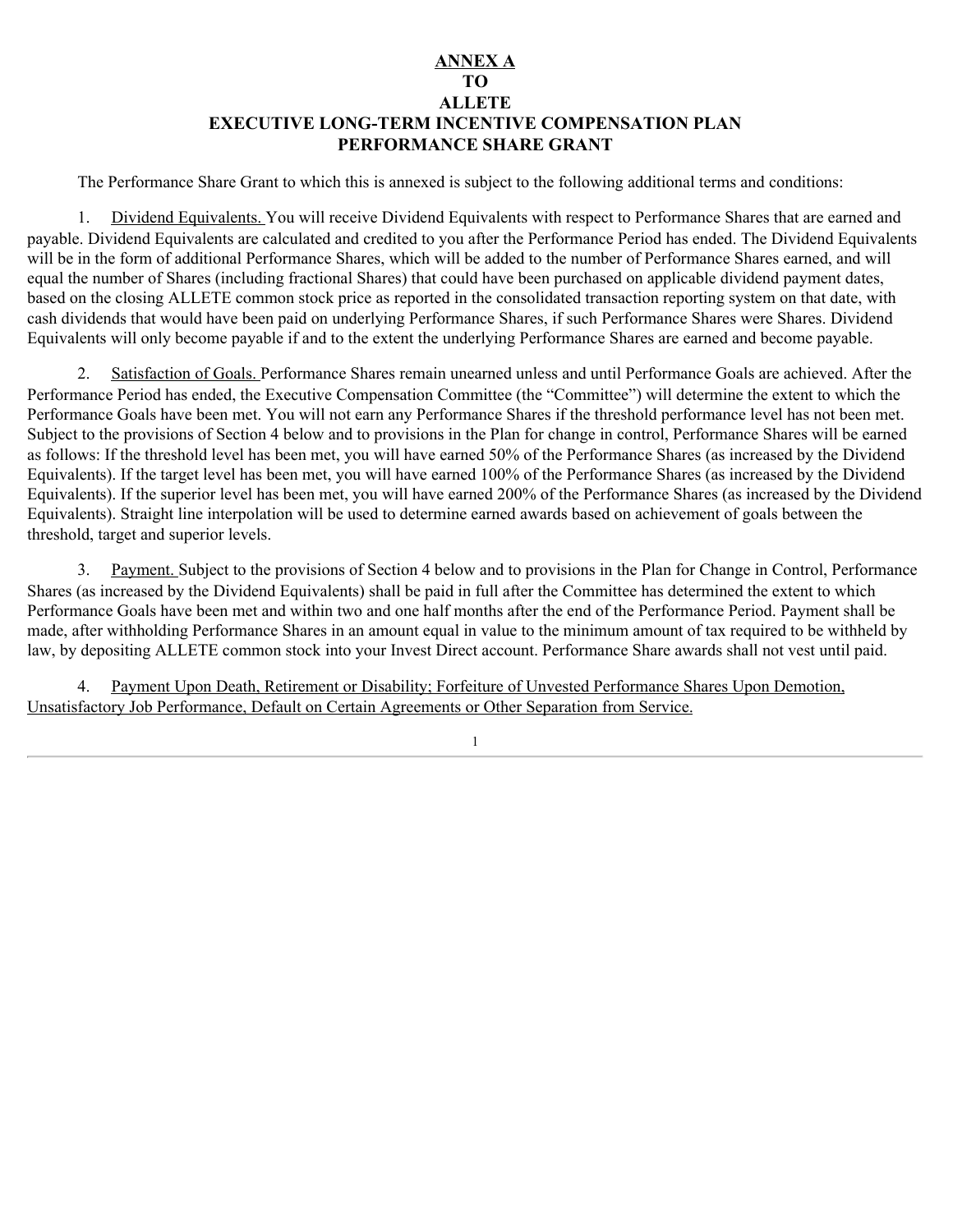# **ANNEX A TO ALLETE EXECUTIVE LONG-TERM INCENTIVE COMPENSATION PLAN PERFORMANCE SHARE GRANT**

The Performance Share Grant to which this is annexed is subject to the following additional terms and conditions:

1. Dividend Equivalents. You will receive Dividend Equivalents with respect to Performance Shares that are earned and payable. Dividend Equivalents are calculated and credited to you after the Performance Period has ended. The Dividend Equivalents will be in the form of additional Performance Shares, which will be added to the number of Performance Shares earned, and will equal the number of Shares (including fractional Shares) that could have been purchased on applicable dividend payment dates, based on the closing ALLETE common stock price as reported in the consolidated transaction reporting system on that date, with cash dividends that would have been paid on underlying Performance Shares, if such Performance Shares were Shares. Dividend Equivalents will only become payable if and to the extent the underlying Performance Shares are earned and become payable.

2. Satisfaction of Goals. Performance Shares remain unearned unless and until Performance Goals are achieved. After the Performance Period has ended, the Executive Compensation Committee (the "Committee") will determine the extent to which the Performance Goals have been met. You will not earn any Performance Shares if the threshold performance level has not been met. Subject to the provisions of Section 4 below and to provisions in the Plan for change in control, Performance Shares will be earned as follows: If the threshold level has been met, you will have earned 50% of the Performance Shares (as increased by the Dividend Equivalents). If the target level has been met, you will have earned 100% of the Performance Shares (as increased by the Dividend Equivalents). If the superior level has been met, you will have earned 200% of the Performance Shares (as increased by the Dividend Equivalents). Straight line interpolation will be used to determine earned awards based on achievement of goals between the threshold, target and superior levels.

3. Payment. Subject to the provisions of Section 4 below and to provisions in the Plan for Change in Control, Performance Shares (as increased by the Dividend Equivalents) shall be paid in full after the Committee has determined the extent to which Performance Goals have been met and within two and one half months after the end of the Performance Period. Payment shall be made, after withholding Performance Shares in an amount equal in value to the minimum amount of tax required to be withheld by law, by depositing ALLETE common stock into your Invest Direct account. Performance Share awards shall not vest until paid.

Payment Upon Death, Retirement or Disability; Forfeiture of Unvested Performance Shares Upon Demotion, Unsatisfactory Job Performance, Default on Certain Agreements or Other Separation from Service.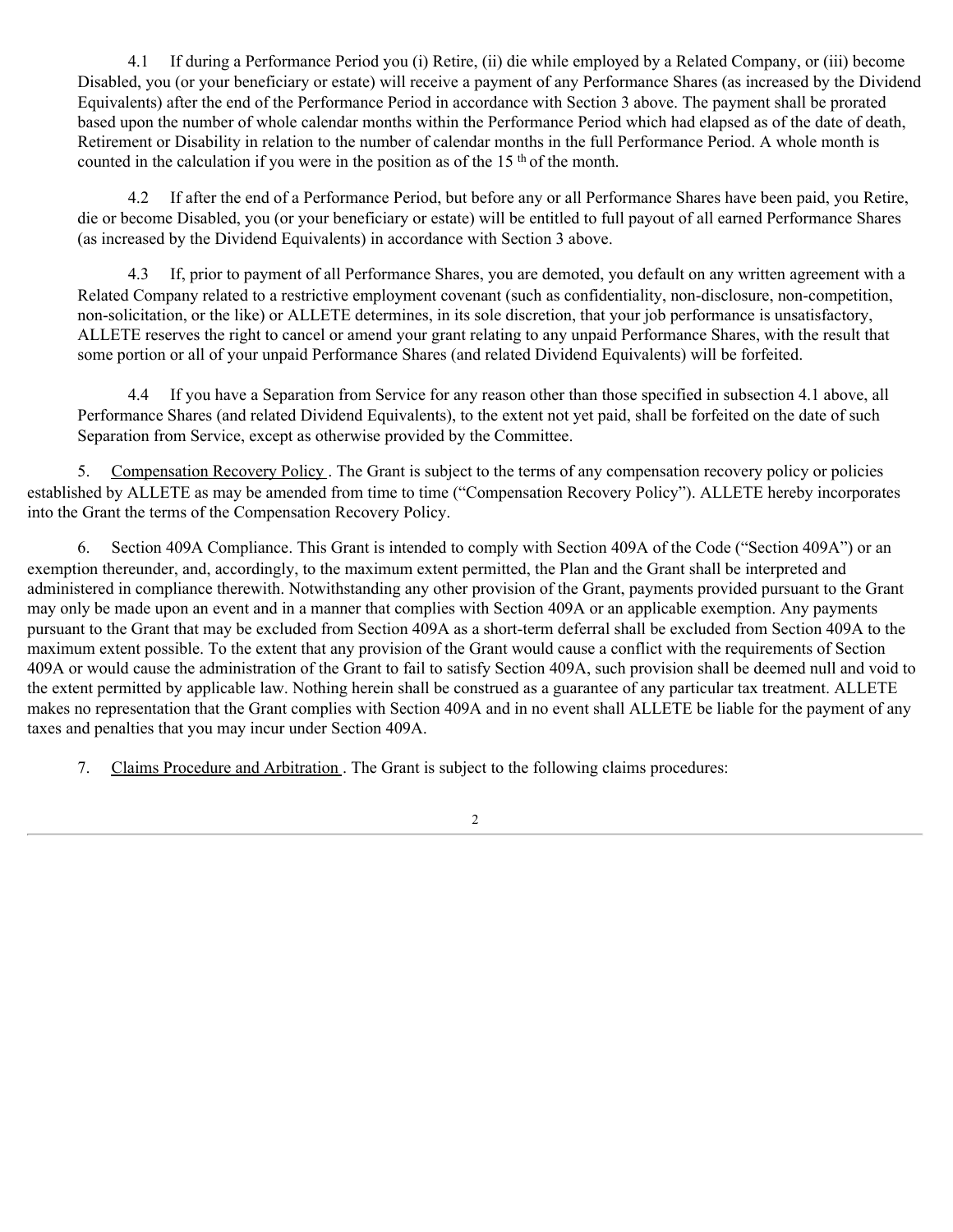4.1 If during a Performance Period you (i) Retire, (ii) die while employed by a Related Company, or (iii) become Disabled, you (or your beneficiary or estate) will receive a payment of any Performance Shares (as increased by the Dividend Equivalents) after the end of the Performance Period in accordance with Section 3 above. The payment shall be prorated based upon the number of whole calendar months within the Performance Period which had elapsed as of the date of death, Retirement or Disability in relation to the number of calendar months in the full Performance Period. A whole month is counted in the calculation if you were in the position as of the  $15<sup>th</sup>$  of the month.

4.2 If after the end of a Performance Period, but before any or all Performance Shares have been paid, you Retire, die or become Disabled, you (or your beneficiary or estate) will be entitled to full payout of all earned Performance Shares (as increased by the Dividend Equivalents) in accordance with Section 3 above.

4.3 If, prior to payment of all Performance Shares, you are demoted, you default on any written agreement with a Related Company related to a restrictive employment covenant (such as confidentiality, non-disclosure, non-competition, non-solicitation, or the like) or ALLETE determines, in its sole discretion, that your job performance is unsatisfactory, ALLETE reserves the right to cancel or amend your grant relating to any unpaid Performance Shares, with the result that some portion or all of your unpaid Performance Shares (and related Dividend Equivalents) will be forfeited.

4.4 If you have a Separation from Service for any reason other than those specified in subsection 4.1 above, all Performance Shares (and related Dividend Equivalents), to the extent not yet paid, shall be forfeited on the date of such Separation from Service, except as otherwise provided by the Committee.

5. Compensation Recovery Policy . The Grant is subject to the terms of any compensation recovery policy or policies established by ALLETE as may be amended from time to time ("Compensation Recovery Policy"). ALLETE hereby incorporates into the Grant the terms of the Compensation Recovery Policy.

6. Section 409A Compliance. This Grant is intended to comply with Section 409A of the Code ("Section 409A") or an exemption thereunder, and, accordingly, to the maximum extent permitted, the Plan and the Grant shall be interpreted and administered in compliance therewith. Notwithstanding any other provision of the Grant, payments provided pursuant to the Grant may only be made upon an event and in a manner that complies with Section 409A or an applicable exemption. Any payments pursuant to the Grant that may be excluded from Section 409A as a short-term deferral shall be excluded from Section 409A to the maximum extent possible. To the extent that any provision of the Grant would cause a conflict with the requirements of Section 409A or would cause the administration of the Grant to fail to satisfy Section 409A, such provision shall be deemed null and void to the extent permitted by applicable law. Nothing herein shall be construed as a guarantee of any particular tax treatment. ALLETE makes no representation that the Grant complies with Section 409A and in no event shall ALLETE be liable for the payment of any taxes and penalties that you may incur under Section 409A.

7. Claims Procedure and Arbitration . The Grant is subject to the following claims procedures: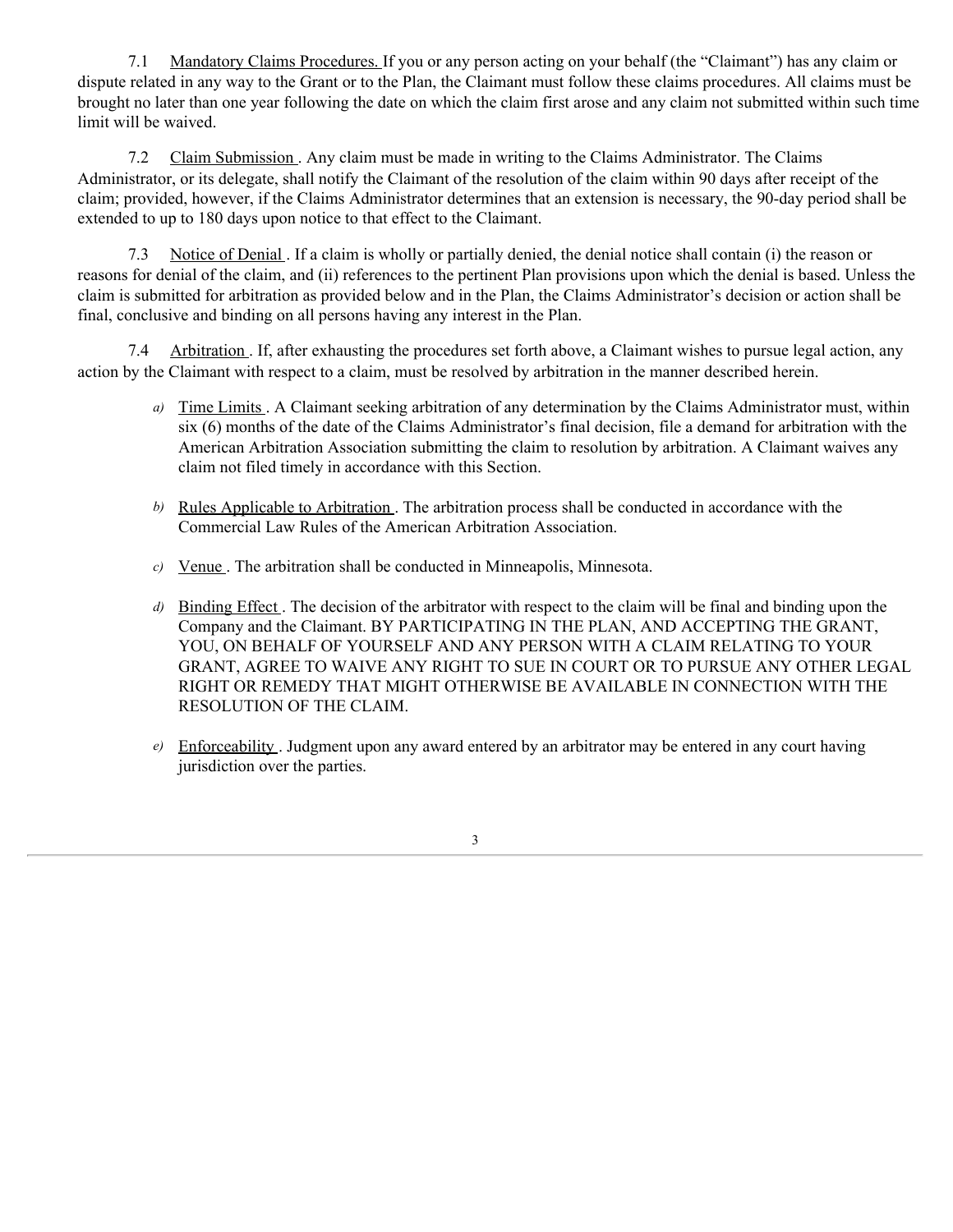7.1 Mandatory Claims Procedures. If you or any person acting on your behalf (the "Claimant") has any claim or dispute related in any way to the Grant or to the Plan, the Claimant must follow these claims procedures. All claims must be brought no later than one year following the date on which the claim first arose and any claim not submitted within such time limit will be waived.

7.2 Claim Submission . Any claim must be made in writing to the Claims Administrator. The Claims Administrator, or its delegate, shall notify the Claimant of the resolution of the claim within 90 days after receipt of the claim; provided, however, if the Claims Administrator determines that an extension is necessary, the 90-day period shall be extended to up to 180 days upon notice to that effect to the Claimant.

7.3 Notice of Denial . If a claim is wholly or partially denied, the denial notice shall contain (i) the reason or reasons for denial of the claim, and (ii) references to the pertinent Plan provisions upon which the denial is based. Unless the claim is submitted for arbitration as provided below and in the Plan, the Claims Administrator's decision or action shall be final, conclusive and binding on all persons having any interest in the Plan.

7.4 Arbitration . If, after exhausting the procedures set forth above, a Claimant wishes to pursue legal action, any action by the Claimant with respect to a claim, must be resolved by arbitration in the manner described herein.

- *a)* Time Limits . A Claimant seeking arbitration of any determination by the Claims Administrator must, within six (6) months of the date of the Claims Administrator's final decision, file a demand for arbitration with the American Arbitration Association submitting the claim to resolution by arbitration. A Claimant waives any claim not filed timely in accordance with this Section.
- *b)* Rules Applicable to Arbitration . The arbitration process shall be conducted in accordance with the Commercial Law Rules of the American Arbitration Association.
- *c)* Venue . The arbitration shall be conducted in Minneapolis, Minnesota.
- *d)* Binding Effect. The decision of the arbitrator with respect to the claim will be final and binding upon the Company and the Claimant. BY PARTICIPATING IN THE PLAN, AND ACCEPTING THE GRANT, YOU, ON BEHALF OF YOURSELF AND ANY PERSON WITH A CLAIM RELATING TO YOUR GRANT, AGREE TO WAIVE ANY RIGHT TO SUE IN COURT OR TO PURSUE ANY OTHER LEGAL RIGHT OR REMEDY THAT MIGHT OTHERWISE BE AVAILABLE IN CONNECTION WITH THE RESOLUTION OF THE CLAIM.
- *e)* Enforceability . Judgment upon any award entered by an arbitrator may be entered in any court having jurisdiction over the parties.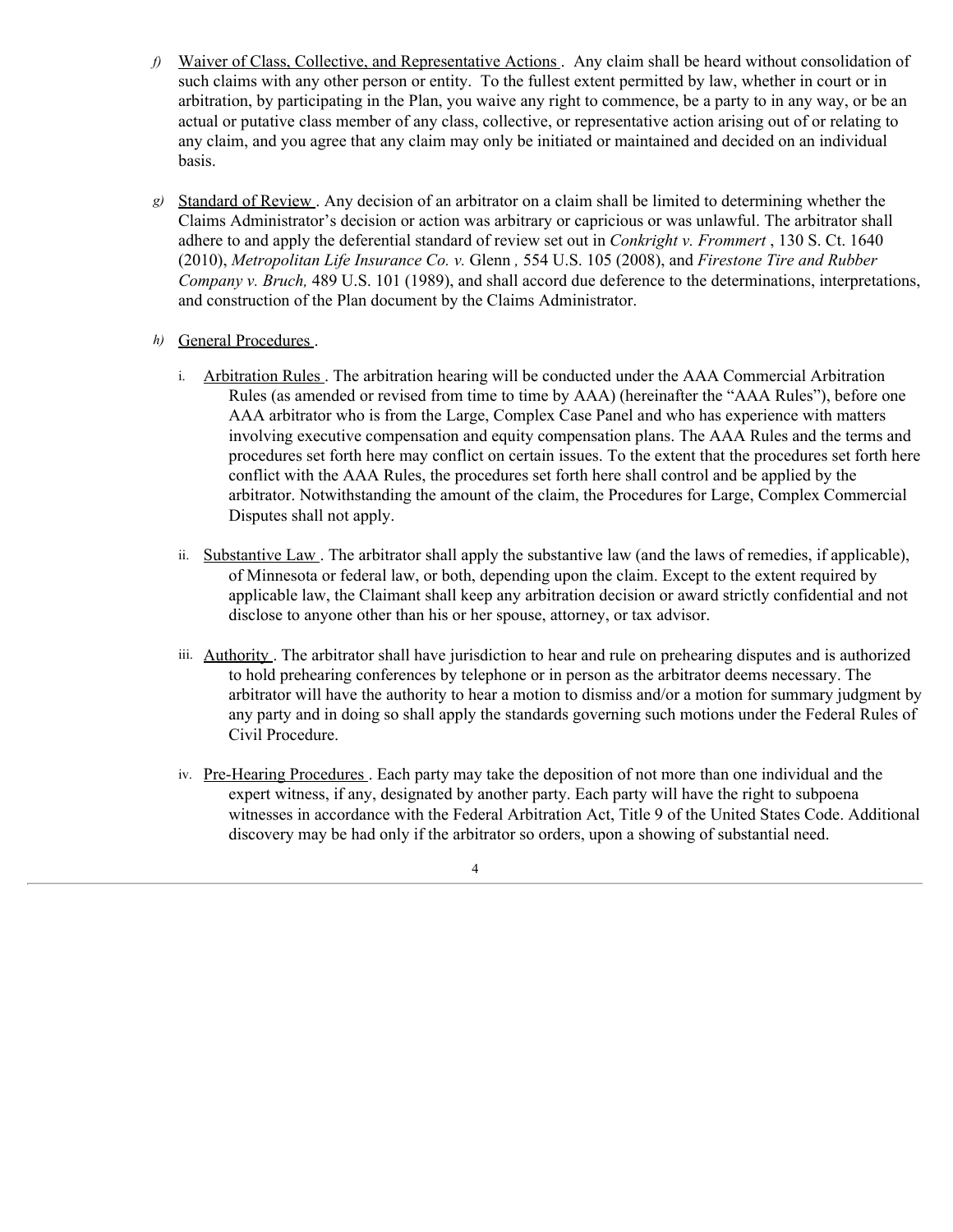- *Kaiver of Class, Collective, and Representative Actions . Any claim shall be heard without consolidation of* such claims with any other person or entity. To the fullest extent permitted by law, whether in court or in arbitration, by participating in the Plan, you waive any right to commence, be a party to in any way, or be an actual or putative class member of any class, collective, or representative action arising out of or relating to any claim, and you agree that any claim may only be initiated or maintained and decided on an individual basis.
- *g)* Standard of Review . Any decision of an arbitrator on a claim shall be limited to determining whether the Claims Administrator's decision or action was arbitrary or capricious or was unlawful. The arbitrator shall adhere to and apply the deferential standard of review set out in *Conkright v. Frommert* , 130 S. Ct. 1640 (2010), *Metropolitan Life Insurance Co. v.* Glenn *,* 554 U.S. 105 (2008), and *Firestone Tire and Rubber Company v. Bruch,* 489 U.S. 101 (1989), and shall accord due deference to the determinations, interpretations, and construction of the Plan document by the Claims Administrator.
- *h)* General Procedures .
	- i. Arbitration Rules . The arbitration hearing will be conducted under the AAA Commercial Arbitration Rules (as amended or revised from time to time by AAA) (hereinafter the "AAA Rules"), before one AAA arbitrator who is from the Large, Complex Case Panel and who has experience with matters involving executive compensation and equity compensation plans. The AAA Rules and the terms and procedures set forth here may conflict on certain issues. To the extent that the procedures set forth here conflict with the AAA Rules, the procedures set forth here shall control and be applied by the arbitrator. Notwithstanding the amount of the claim, the Procedures for Large, Complex Commercial Disputes shall not apply.
	- ii. Substantive Law. The arbitrator shall apply the substantive law (and the laws of remedies, if applicable), of Minnesota or federal law, or both, depending upon the claim. Except to the extent required by applicable law, the Claimant shall keep any arbitration decision or award strictly confidential and not disclose to anyone other than his or her spouse, attorney, or tax advisor.
	- iii. Authority . The arbitrator shall have jurisdiction to hear and rule on prehearing disputes and is authorized to hold prehearing conferences by telephone or in person as the arbitrator deems necessary. The arbitrator will have the authority to hear a motion to dismiss and/or a motion for summary judgment by any party and in doing so shall apply the standards governing such motions under the Federal Rules of Civil Procedure.
	- iv. Pre-Hearing Procedures . Each party may take the deposition of not more than one individual and the expert witness, if any, designated by another party. Each party will have the right to subpoena witnesses in accordance with the Federal Arbitration Act, Title 9 of the United States Code. Additional discovery may be had only if the arbitrator so orders, upon a showing of substantial need.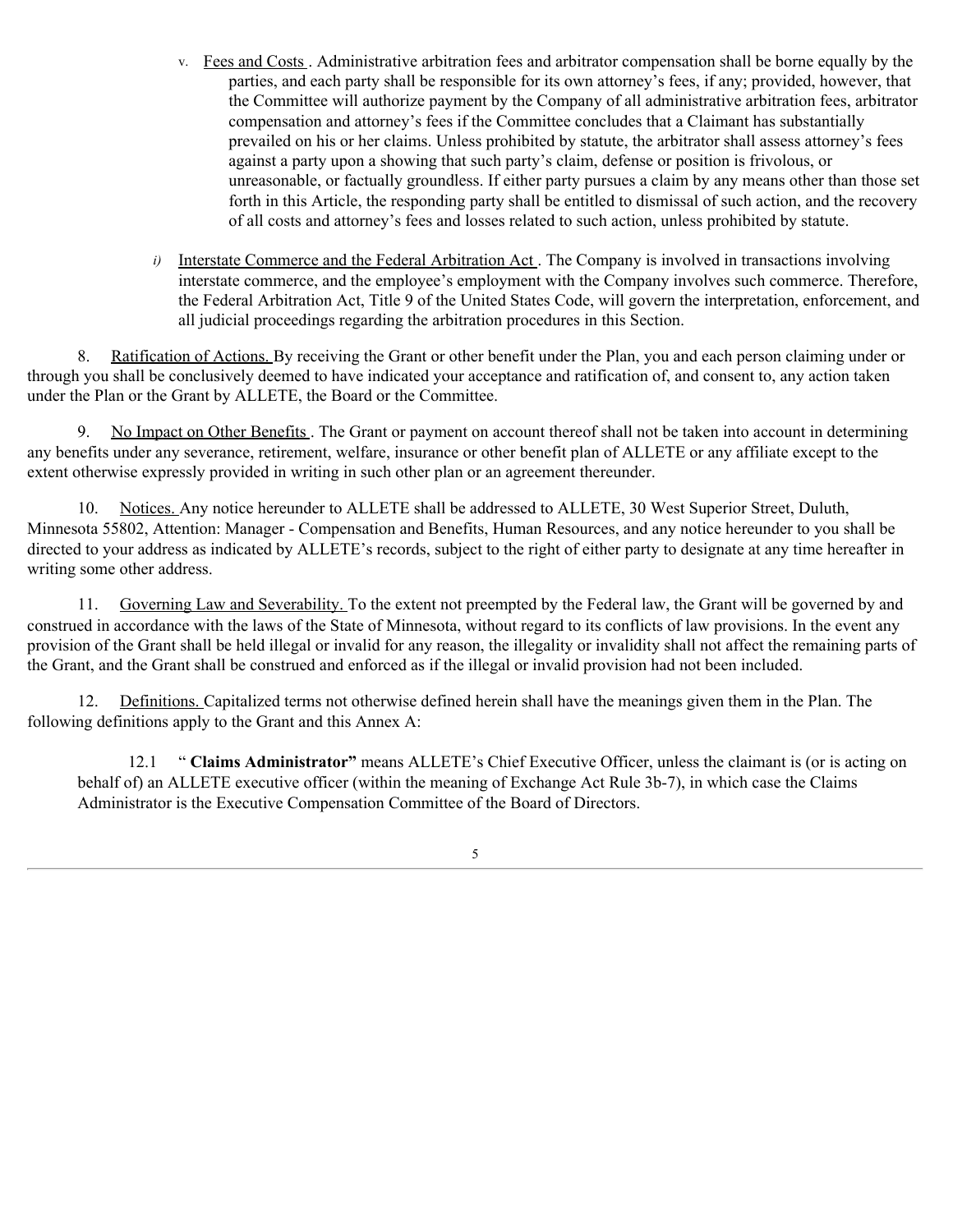- v. Fees and Costs . Administrative arbitration fees and arbitrator compensation shall be borne equally by the parties, and each party shall be responsible for its own attorney's fees, if any; provided, however, that the Committee will authorize payment by the Company of all administrative arbitration fees, arbitrator compensation and attorney's fees if the Committee concludes that a Claimant has substantially prevailed on his or her claims. Unless prohibited by statute, the arbitrator shall assess attorney's fees against a party upon a showing that such party's claim, defense or position is frivolous, or unreasonable, or factually groundless. If either party pursues a claim by any means other than those set forth in this Article, the responding party shall be entitled to dismissal of such action, and the recovery of all costs and attorney's fees and losses related to such action, unless prohibited by statute.
- *i)* Interstate Commerce and the Federal Arbitration Act . The Company is involved in transactions involving interstate commerce, and the employee's employment with the Company involves such commerce. Therefore, the Federal Arbitration Act, Title 9 of the United States Code, will govern the interpretation, enforcement, and all judicial proceedings regarding the arbitration procedures in this Section.

8. Ratification of Actions. By receiving the Grant or other benefit under the Plan, you and each person claiming under or through you shall be conclusively deemed to have indicated your acceptance and ratification of, and consent to, any action taken under the Plan or the Grant by ALLETE, the Board or the Committee.

9. No Impact on Other Benefits . The Grant or payment on account thereof shall not be taken into account in determining any benefits under any severance, retirement, welfare, insurance or other benefit plan of ALLETE or any affiliate except to the extent otherwise expressly provided in writing in such other plan or an agreement thereunder.

10. Notices. Any notice hereunder to ALLETE shall be addressed to ALLETE, 30 West Superior Street, Duluth, Minnesota 55802, Attention: Manager - Compensation and Benefits, Human Resources, and any notice hereunder to you shall be directed to your address as indicated by ALLETE's records, subject to the right of either party to designate at any time hereafter in writing some other address.

11. Governing Law and Severability. To the extent not preempted by the Federal law, the Grant will be governed by and construed in accordance with the laws of the State of Minnesota, without regard to its conflicts of law provisions. In the event any provision of the Grant shall be held illegal or invalid for any reason, the illegality or invalidity shall not affect the remaining parts of the Grant, and the Grant shall be construed and enforced as if the illegal or invalid provision had not been included.

12. Definitions. Capitalized terms not otherwise defined herein shall have the meanings given them in the Plan. The following definitions apply to the Grant and this Annex A:

12.1 " **Claims Administrator"** means ALLETE's Chief Executive Officer, unless the claimant is (or is acting on behalf of) an ALLETE executive officer (within the meaning of Exchange Act Rule 3b-7), in which case the Claims Administrator is the Executive Compensation Committee of the Board of Directors.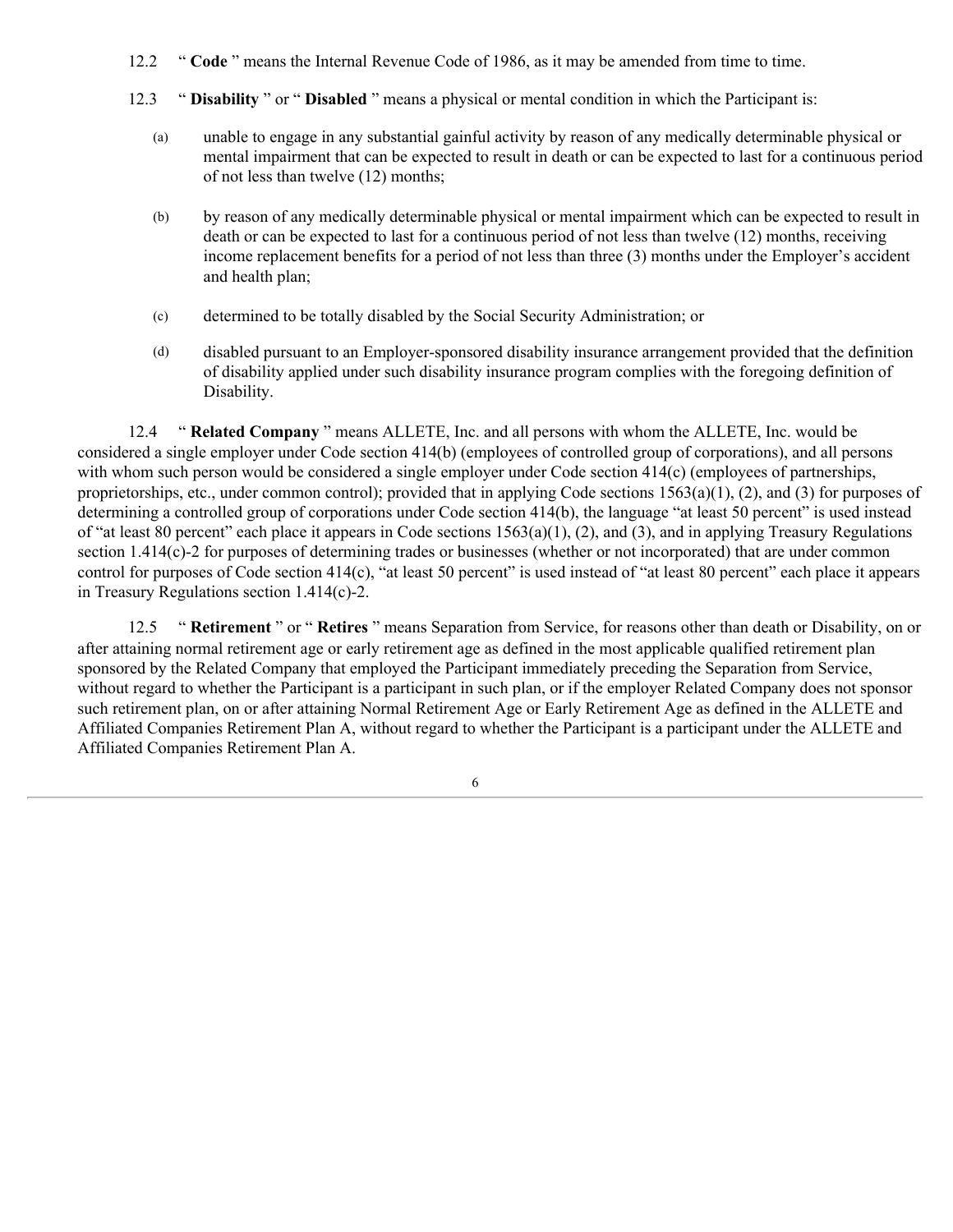- 12.2 " **Code** " means the Internal Revenue Code of 1986, as it may be amended from time to time.
- 12.3 " **Disability** " or " **Disabled** " means a physical or mental condition in which the Participant is:
	- (a) unable to engage in any substantial gainful activity by reason of any medically determinable physical or mental impairment that can be expected to result in death or can be expected to last for a continuous period of not less than twelve (12) months;
	- (b) by reason of any medically determinable physical or mental impairment which can be expected to result in death or can be expected to last for a continuous period of not less than twelve (12) months, receiving income replacement benefits for a period of not less than three (3) months under the Employer's accident and health plan;
	- (c) determined to be totally disabled by the Social Security Administration; or
	- (d) disabled pursuant to an Employer-sponsored disability insurance arrangement provided that the definition of disability applied under such disability insurance program complies with the foregoing definition of Disability.

12.4 " **Related Company** " means ALLETE, Inc. and all persons with whom the ALLETE, Inc. would be considered a single employer under Code section 414(b) (employees of controlled group of corporations), and all persons with whom such person would be considered a single employer under Code section 414(c) (employees of partnerships, proprietorships, etc., under common control); provided that in applying Code sections  $1563(a)(1)$ , (2), and (3) for purposes of determining a controlled group of corporations under Code section 414(b), the language "at least 50 percent" is used instead of "at least 80 percent" each place it appears in Code sections  $1563(a)(1)$ , (2), and (3), and in applying Treasury Regulations section 1.414(c)-2 for purposes of determining trades or businesses (whether or not incorporated) that are under common control for purposes of Code section 414(c), "at least 50 percent" is used instead of "at least 80 percent" each place it appears in Treasury Regulations section 1.414(c)-2.

12.5 " **Retirement** " or " **Retires** " means Separation from Service, for reasons other than death or Disability, on or after attaining normal retirement age or early retirement age as defined in the most applicable qualified retirement plan sponsored by the Related Company that employed the Participant immediately preceding the Separation from Service, without regard to whether the Participant is a participant in such plan, or if the employer Related Company does not sponsor such retirement plan, on or after attaining Normal Retirement Age or Early Retirement Age as defined in the ALLETE and Affiliated Companies Retirement Plan A, without regard to whether the Participant is a participant under the ALLETE and Affiliated Companies Retirement Plan A.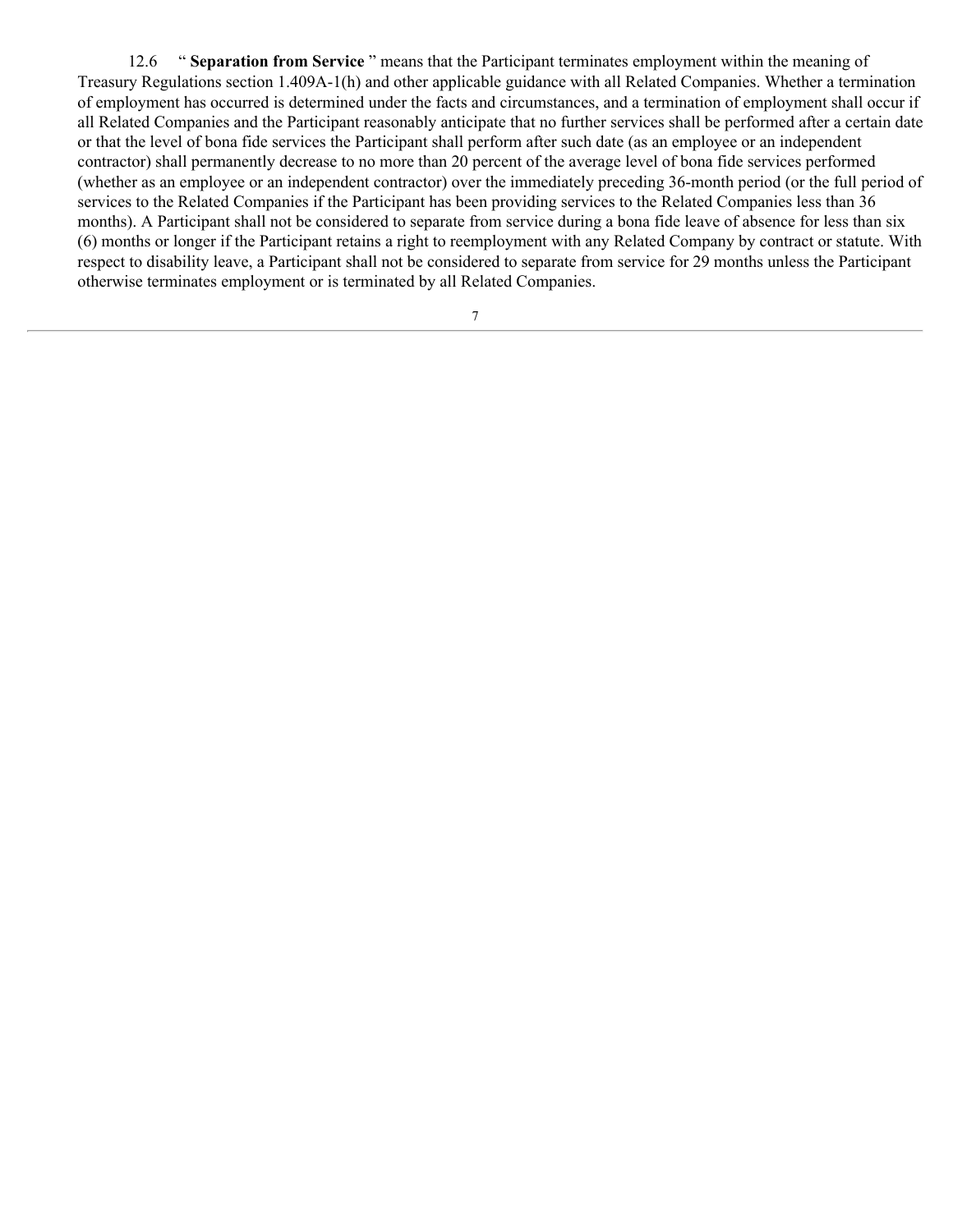12.6 " **Separation from Service** " means that the Participant terminates employment within the meaning of Treasury Regulations section 1.409A-1(h) and other applicable guidance with all Related Companies. Whether a termination of employment has occurred is determined under the facts and circumstances, and a termination of employment shall occur if all Related Companies and the Participant reasonably anticipate that no further services shall be performed after a certain date or that the level of bona fide services the Participant shall perform after such date (as an employee or an independent contractor) shall permanently decrease to no more than 20 percent of the average level of bona fide services performed (whether as an employee or an independent contractor) over the immediately preceding 36-month period (or the full period of services to the Related Companies if the Participant has been providing services to the Related Companies less than 36 months). A Participant shall not be considered to separate from service during a bona fide leave of absence for less than six (6) months or longer if the Participant retains a right to reemployment with any Related Company by contract or statute. With respect to disability leave, a Participant shall not be considered to separate from service for 29 months unless the Participant otherwise terminates employment or is terminated by all Related Companies.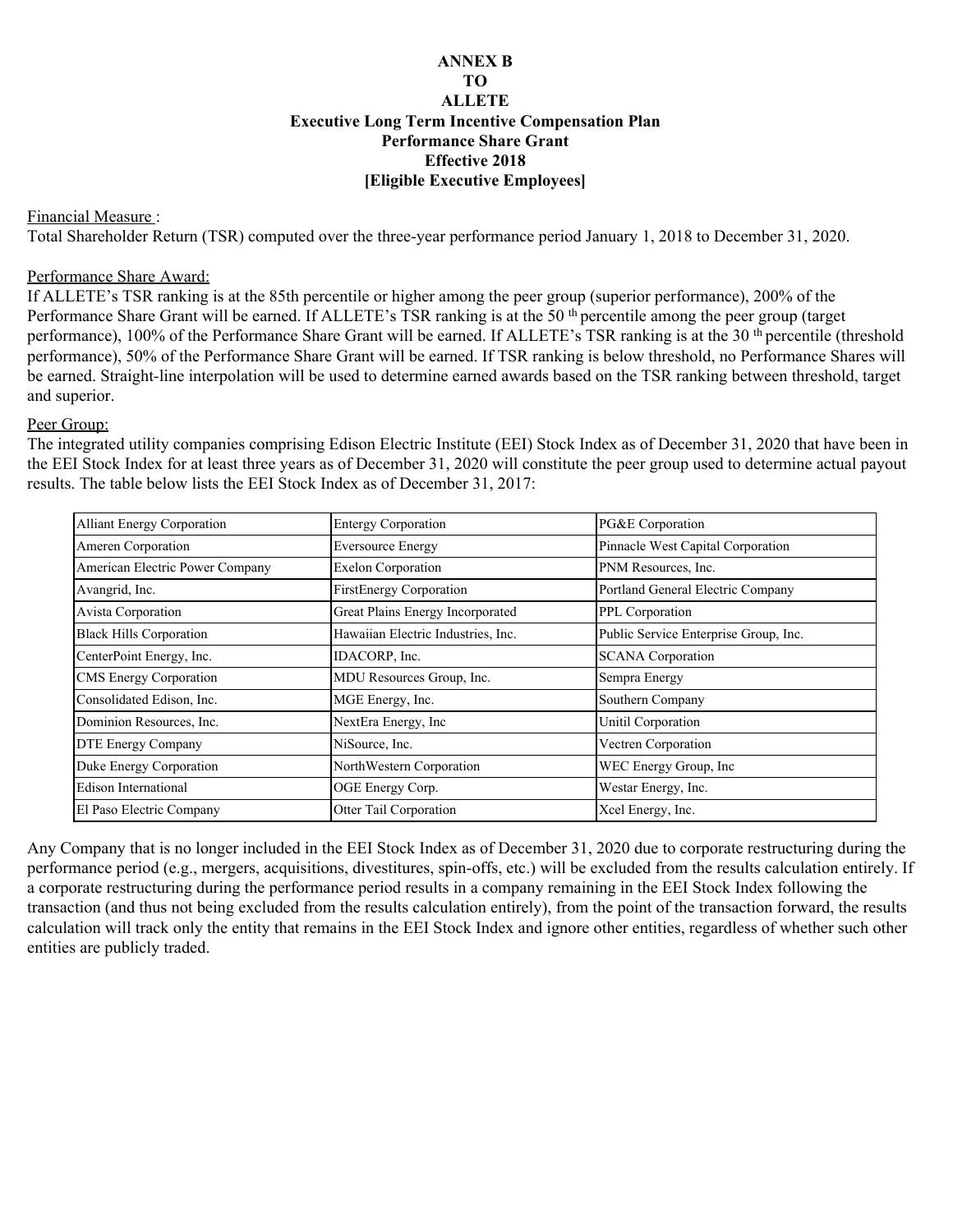# **ANNEX B TO ALLETE Executive Long Term Incentive Compensation Plan Performance Share Grant Effective 2018 [Eligible Executive Employees]**

# Financial Measure :

Total Shareholder Return (TSR) computed over the three-year performance period January 1, 2018 to December 31, 2020.

# Performance Share Award:

If ALLETE's TSR ranking is at the 85th percentile or higher among the peer group (superior performance), 200% of the Performance Share Grant will be earned. If ALLETE's TSR ranking is at the 50 th percentile among the peer group (target performance), 100% of the Performance Share Grant will be earned. If ALLETE's TSR ranking is at the 30<sup>th</sup> percentile (threshold performance), 50% of the Performance Share Grant will be earned. If TSR ranking is below threshold, no Performance Shares will be earned. Straight-line interpolation will be used to determine earned awards based on the TSR ranking between threshold, target and superior.

# Peer Group:

The integrated utility companies comprising Edison Electric Institute (EEI) Stock Index as of December 31, 2020 that have been in the EEI Stock Index for at least three years as of December 31, 2020 will constitute the peer group used to determine actual payout results. The table below lists the EEI Stock Index as of December 31, 2017:

| <b>Alliant Energy Corporation</b> | <b>Entergy Corporation</b>         | PG&E Corporation                      |
|-----------------------------------|------------------------------------|---------------------------------------|
| <b>Ameren Corporation</b>         | <b>Eversource Energy</b>           | Pinnacle West Capital Corporation     |
| American Electric Power Company   | <b>Exelon Corporation</b>          | PNM Resources, Inc.                   |
| Avangrid, Inc.                    | <b>FirstEnergy Corporation</b>     | Portland General Electric Company     |
| <b>Avista Corporation</b>         | Great Plains Energy Incorporated   | PPL Corporation                       |
| <b>Black Hills Corporation</b>    | Hawaiian Electric Industries, Inc. | Public Service Enterprise Group, Inc. |
| CenterPoint Energy, Inc.          | IDACORP, Inc.                      | <b>SCANA</b> Corporation              |
| <b>CMS</b> Energy Corporation     | MDU Resources Group, Inc.          | Sempra Energy                         |
| Consolidated Edison, Inc.         | MGE Energy, Inc.                   | Southern Company                      |
| Dominion Resources, Inc.          | NextEra Energy, Inc                | Unitil Corporation                    |
| DTE Energy Company                | NiSource, Inc.                     | Vectren Corporation                   |
| Duke Energy Corporation           | NorthWestern Corporation           | WEC Energy Group, Inc                 |
| Edison International              | OGE Energy Corp.                   | Westar Energy, Inc.                   |
| El Paso Electric Company          | Otter Tail Corporation             | Xcel Energy, Inc.                     |
|                                   |                                    |                                       |

Any Company that is no longer included in the EEI Stock Index as of December 31, 2020 due to corporate restructuring during the performance period (e.g., mergers, acquisitions, divestitures, spin-offs, etc.) will be excluded from the results calculation entirely. If a corporate restructuring during the performance period results in a company remaining in the EEI Stock Index following the transaction (and thus not being excluded from the results calculation entirely), from the point of the transaction forward, the results calculation will track only the entity that remains in the EEI Stock Index and ignore other entities, regardless of whether such other entities are publicly traded.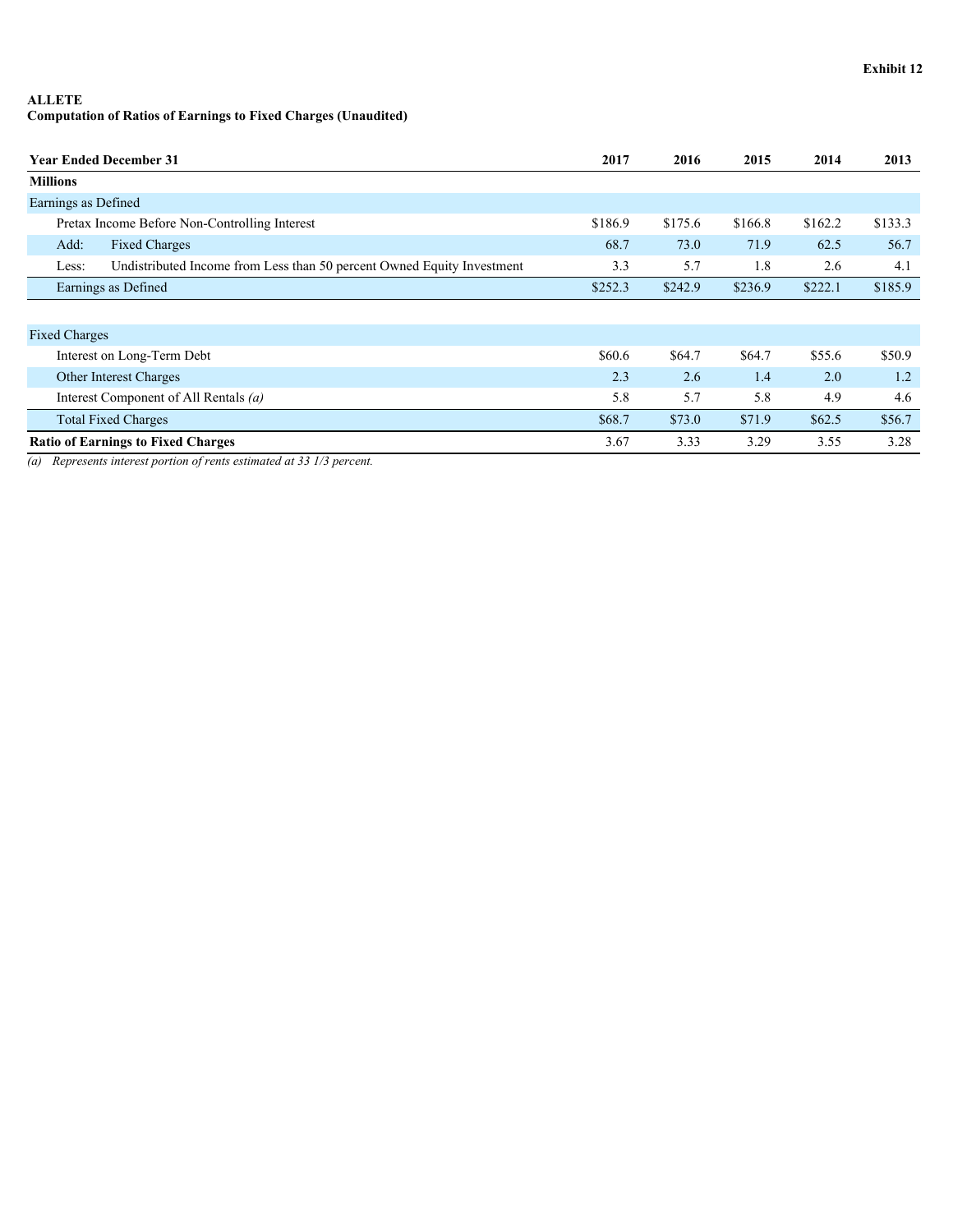# **ALLETE Computation of Ratios of Earnings to Fixed Charges (Unaudited)**

| <b>Year Ended December 31</b>                                                                     | 2017    | 2016    | 2015    | 2014     | 2013    |
|---------------------------------------------------------------------------------------------------|---------|---------|---------|----------|---------|
| <b>Millions</b>                                                                                   |         |         |         |          |         |
| Earnings as Defined                                                                               |         |         |         |          |         |
| Pretax Income Before Non-Controlling Interest                                                     | \$186.9 | \$175.6 | \$166.8 | \$162.2  | \$133.3 |
| Add:<br><b>Fixed Charges</b>                                                                      | 68.7    | 73.0    | 71.9    | 62.5     | 56.7    |
| Undistributed Income from Less than 50 percent Owned Equity Investment<br>Less:                   | 3.3     | 5.7     | 1.8     | 2.6      | 4.1     |
| Earnings as Defined                                                                               | \$252.3 | \$242.9 | \$236.9 | \$222.1  | \$185.9 |
|                                                                                                   |         |         |         |          |         |
| <b>Fixed Charges</b>                                                                              |         |         |         |          |         |
| Interest on Long-Term Debt                                                                        | \$60.6  | \$64.7  | \$64.7  | \$55.6   | \$50.9  |
| Other Interest Charges                                                                            | 2.3     | 2.6     | 1.4     | 2.0      | 1.2     |
| Interest Component of All Rentals (a)                                                             | 5.8     | 5.7     | 5.8     | 4.9      | 4.6     |
| <b>Total Fixed Charges</b>                                                                        | \$68.7  | \$73.0  | \$71.9  | \$62.5\$ | \$56.7  |
| <b>Ratio of Earnings to Fixed Charges</b>                                                         | 3.67    | 3.33    | 3.29    | 3.55     | 3.28    |
| (a) $D$ and $D$ is the set of the set of the set of $D$ is the set of $A$ and $B$ $I/2$ and $I/2$ |         |         |         |          |         |

*(a) Represents interest portion of rents estimated at 33 1/3 percent.*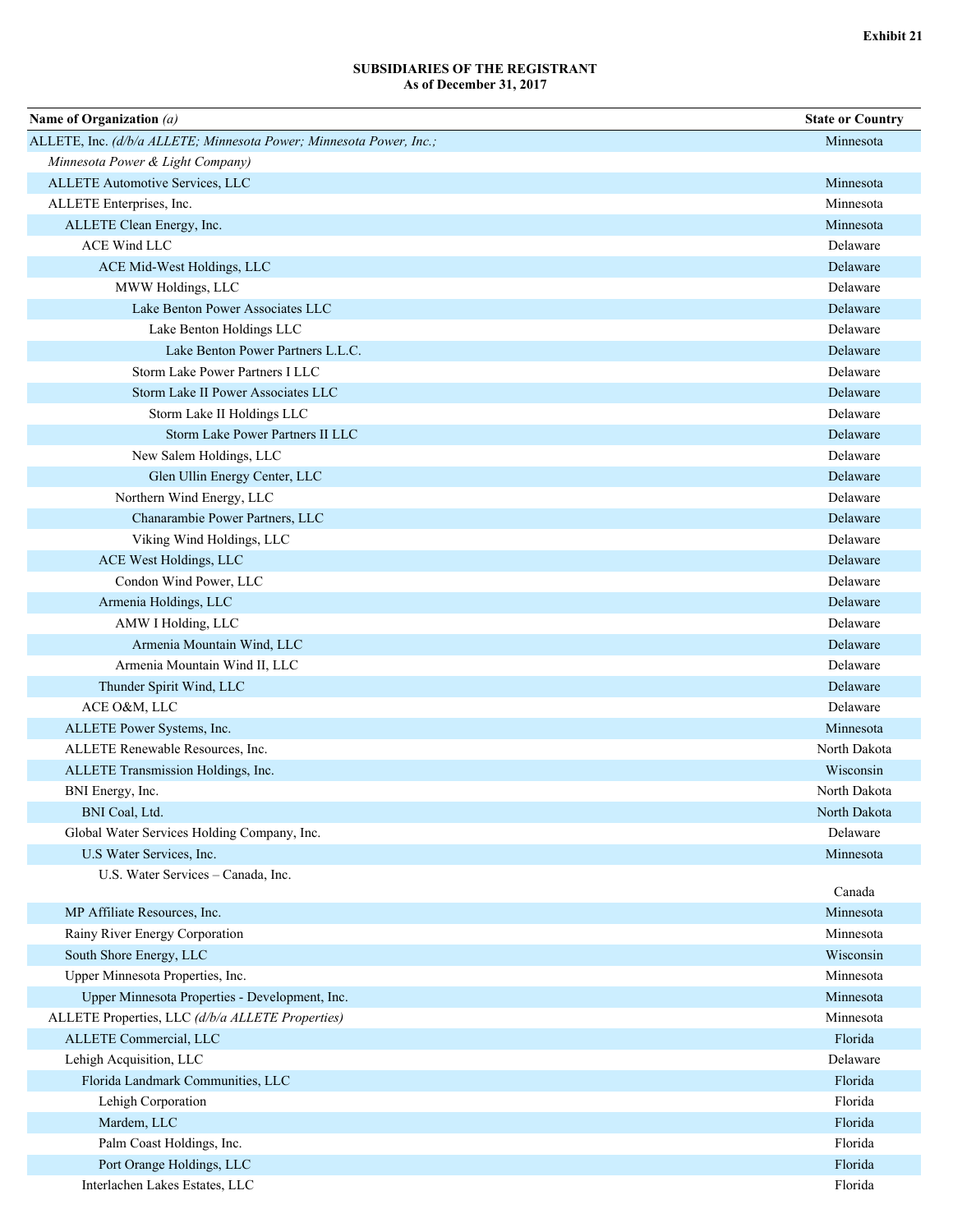#### **SUBSIDIARIES OF THE REGISTRANT As of December 31, 2017**

| Name of Organization $(a)$                                          | <b>State or Country</b> |
|---------------------------------------------------------------------|-------------------------|
| ALLETE, Inc. (d/b/a ALLETE; Minnesota Power; Minnesota Power, Inc.; | Minnesota               |
| Minnesota Power & Light Company)                                    |                         |
| ALLETE Automotive Services, LLC                                     | Minnesota               |
| ALLETE Enterprises, Inc.                                            | Minnesota               |
| ALLETE Clean Energy, Inc.                                           | Minnesota               |
| ACE Wind LLC                                                        | Delaware                |
| ACE Mid-West Holdings, LLC                                          | Delaware                |
| MWW Holdings, LLC                                                   | Delaware                |
| Lake Benton Power Associates LLC                                    | Delaware                |
| Lake Benton Holdings LLC                                            | Delaware                |
| Lake Benton Power Partners L.L.C.                                   | Delaware                |
| Storm Lake Power Partners I LLC                                     | Delaware                |
| Storm Lake II Power Associates LLC                                  | Delaware                |
| Storm Lake II Holdings LLC                                          | Delaware                |
| Storm Lake Power Partners II LLC                                    | Delaware                |
| New Salem Holdings, LLC                                             | Delaware                |
| Glen Ullin Energy Center, LLC                                       | Delaware                |
| Northern Wind Energy, LLC                                           | Delaware                |
| Chanarambie Power Partners, LLC                                     | Delaware                |
| Viking Wind Holdings, LLC                                           | Delaware                |
| ACE West Holdings, LLC                                              | Delaware                |
| Condon Wind Power, LLC                                              | Delaware                |
| Armenia Holdings, LLC                                               | Delaware                |
| AMW I Holding, LLC                                                  | Delaware                |
| Armenia Mountain Wind, LLC                                          | Delaware                |
| Armenia Mountain Wind II, LLC                                       | Delaware                |
| Thunder Spirit Wind, LLC                                            | Delaware                |
| ACE O&M, LLC                                                        | Delaware                |
| ALLETE Power Systems, Inc.                                          | Minnesota               |
| ALLETE Renewable Resources, Inc.                                    | North Dakota            |
| ALLETE Transmission Holdings, Inc.                                  | Wisconsin               |
| BNI Energy, Inc.                                                    | North Dakota            |
| BNI Coal, Ltd.                                                      | North Dakota            |
| Global Water Services Holding Company, Inc.                         | Delaware                |
| U.S Water Services, Inc.                                            | Minnesota               |
| U.S. Water Services - Canada, Inc.                                  |                         |
|                                                                     | Canada                  |
| MP Affiliate Resources, Inc.                                        | Minnesota               |
| Rainy River Energy Corporation                                      | Minnesota               |
| South Shore Energy, LLC                                             | Wisconsin               |
| Upper Minnesota Properties, Inc.                                    | Minnesota               |
| Upper Minnesota Properties - Development, Inc.                      | Minnesota               |
| ALLETE Properties, LLC (d/b/a ALLETE Properties)                    | Minnesota               |
| ALLETE Commercial, LLC                                              | Florida                 |
| Lehigh Acquisition, LLC                                             | Delaware                |
| Florida Landmark Communities, LLC                                   | Florida                 |
| Lehigh Corporation                                                  | Florida                 |
| Mardem, LLC                                                         | Florida                 |
| Palm Coast Holdings, Inc.                                           | Florida                 |
| Port Orange Holdings, LLC                                           | Florida                 |
| Interlachen Lakes Estates, LLC                                      | Florida                 |
|                                                                     |                         |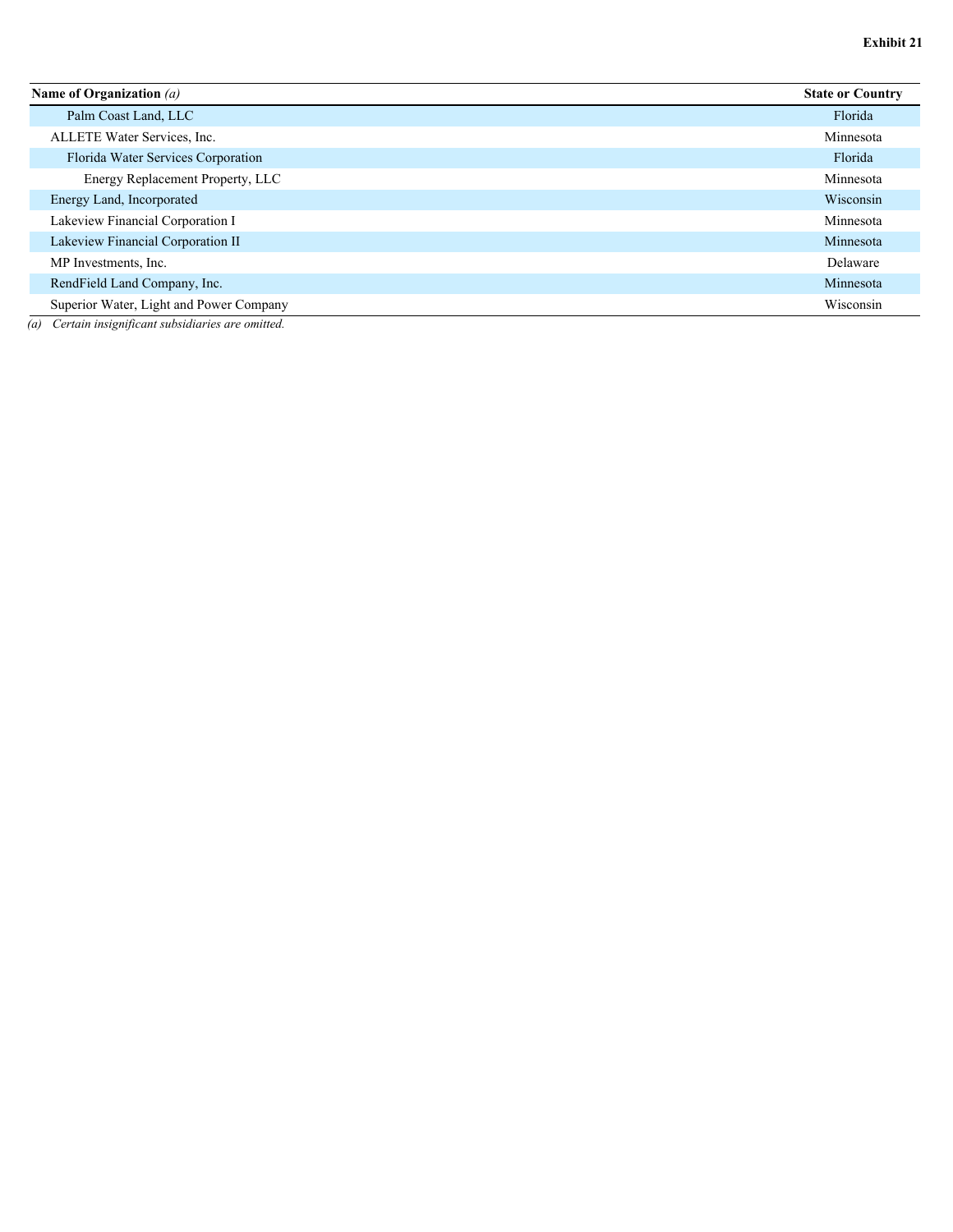| <b>State or Country</b> |  |  |  |  |
|-------------------------|--|--|--|--|
| Florida                 |  |  |  |  |
| Minnesota               |  |  |  |  |
| Florida                 |  |  |  |  |
| Minnesota               |  |  |  |  |
| Wisconsin               |  |  |  |  |
| Minnesota               |  |  |  |  |
| Minnesota               |  |  |  |  |
| Delaware                |  |  |  |  |
| Minnesota               |  |  |  |  |
| Wisconsin               |  |  |  |  |
|                         |  |  |  |  |

*(a) Certain insignificant subsidiaries are omitted.*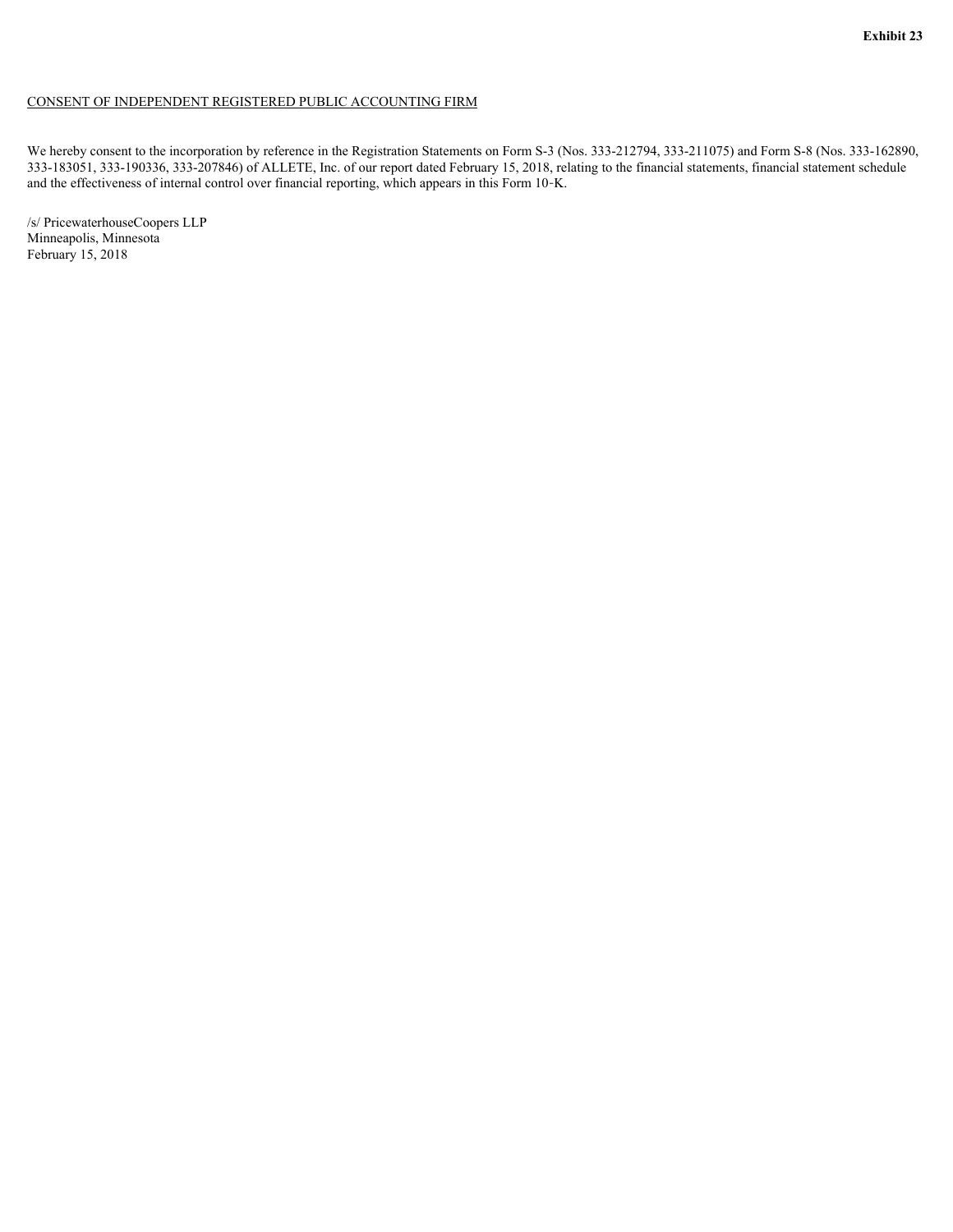#### CONSENT OF INDEPENDENT REGISTERED PUBLIC ACCOUNTING FIRM

We hereby consent to the incorporation by reference in the Registration Statements on Form S-3 (Nos. 333-212794, 333-211075) and Form S-8 (Nos. 333-162890, 333-183051, 333-190336, 333-207846) of ALLETE, Inc. of our report dated February 15, 2018, relating to the financial statements, financial statement schedule and the effectiveness of internal control over financial reporting, which appears in this Form 10‑K.

/s/ PricewaterhouseCoopers LLP Minneapolis, Minnesota February 15, 2018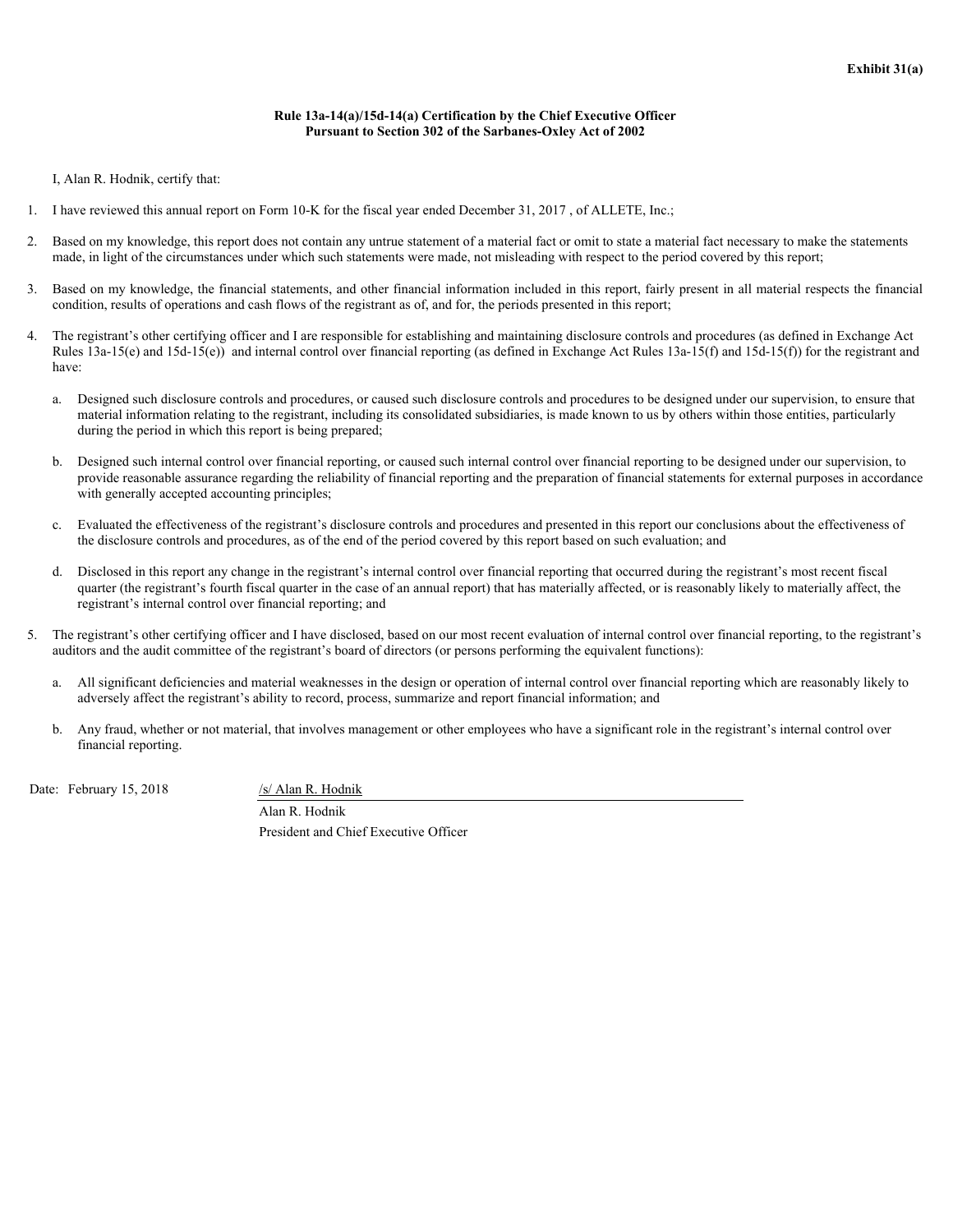#### **Rule 13a-14(a)/15d-14(a) Certification by the Chief Executive Officer Pursuant to Section 302 of the Sarbanes-Oxley Act of 2002**

I, Alan R. Hodnik, certify that:

- 1. I have reviewed this annual report on Form 10-K for the fiscal year ended December 31, 2017 , of ALLETE, Inc.;
- 2. Based on my knowledge, this report does not contain any untrue statement of a material fact or omit to state a material fact necessary to make the statements made, in light of the circumstances under which such statements were made, not misleading with respect to the period covered by this report;
- 3. Based on my knowledge, the financial statements, and other financial information included in this report, fairly present in all material respects the financial condition, results of operations and cash flows of the registrant as of, and for, the periods presented in this report;
- 4. The registrant's other certifying officer and I are responsible for establishing and maintaining disclosure controls and procedures (as defined in Exchange Act Rules 13a-15(e) and 15d-15(e)) and internal control over financial reporting (as defined in Exchange Act Rules 13a-15(f) and 15d-15(f)) for the registrant and have:
	- a. Designed such disclosure controls and procedures, or caused such disclosure controls and procedures to be designed under our supervision, to ensure that material information relating to the registrant, including its consolidated subsidiaries, is made known to us by others within those entities, particularly during the period in which this report is being prepared;
	- b. Designed such internal control over financial reporting, or caused such internal control over financial reporting to be designed under our supervision, to provide reasonable assurance regarding the reliability of financial reporting and the preparation of financial statements for external purposes in accordance with generally accepted accounting principles;
	- c. Evaluated the effectiveness of the registrant's disclosure controls and procedures and presented in this report our conclusions about the effectiveness of the disclosure controls and procedures, as of the end of the period covered by this report based on such evaluation; and
	- d. Disclosed in this report any change in the registrant's internal control over financial reporting that occurred during the registrant's most recent fiscal quarter (the registrant's fourth fiscal quarter in the case of an annual report) that has materially affected, or is reasonably likely to materially affect, the registrant's internal control over financial reporting; and
- 5. The registrant's other certifying officer and I have disclosed, based on our most recent evaluation of internal control over financial reporting, to the registrant's auditors and the audit committee of the registrant's board of directors (or persons performing the equivalent functions):
	- a. All significant deficiencies and material weaknesses in the design or operation of internal control over financial reporting which are reasonably likely to adversely affect the registrant's ability to record, process, summarize and report financial information; and
	- b. Any fraud, whether or not material, that involves management or other employees who have a significant role in the registrant's internal control over financial reporting.

Date: February 15, 2018 /s/ Alan R. Hodnik

Alan R. Hodnik President and Chief Executive Officer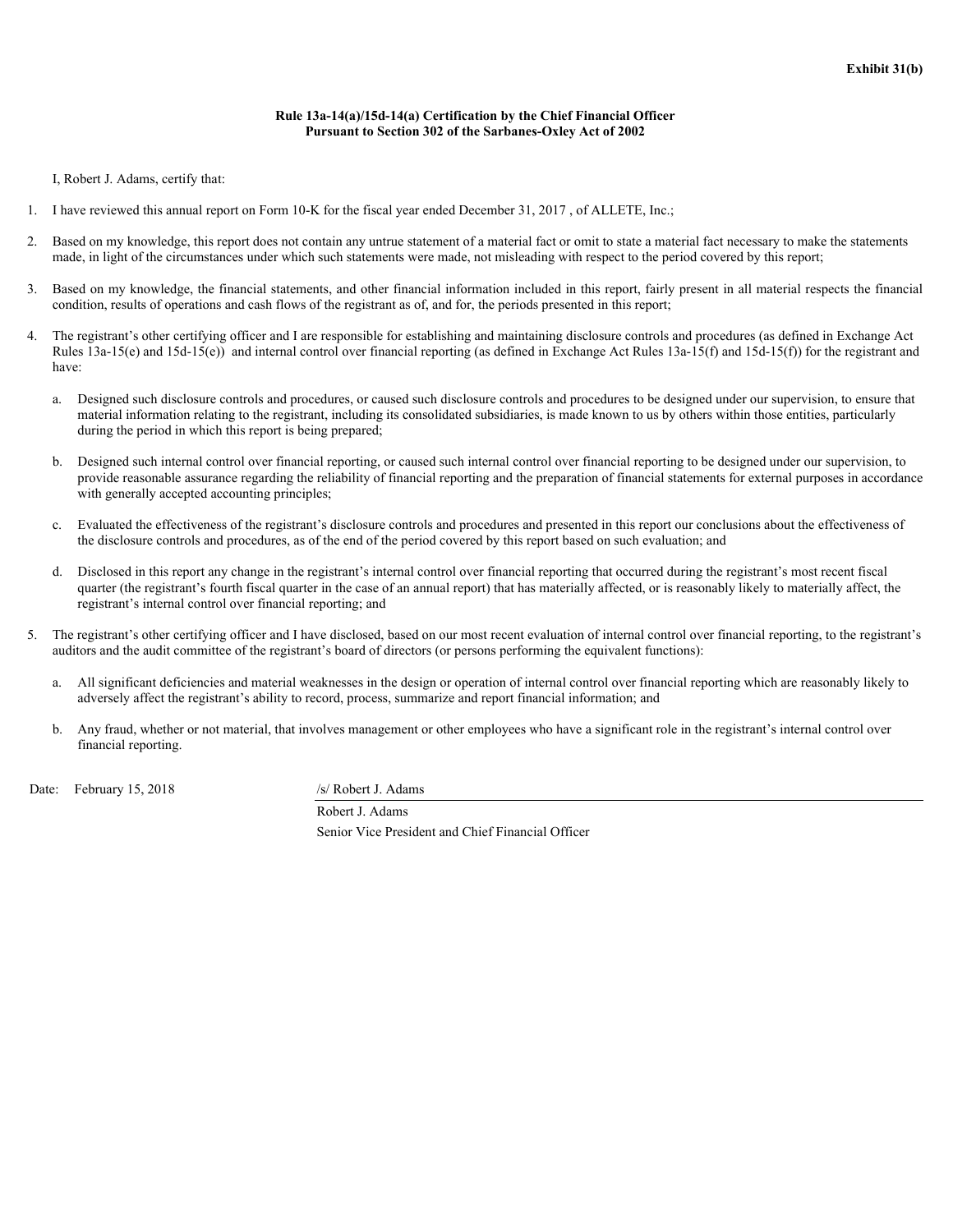#### **Rule 13a-14(a)/15d-14(a) Certification by the Chief Financial Officer Pursuant to Section 302 of the Sarbanes-Oxley Act of 2002**

I, Robert J. Adams, certify that:

- 1. I have reviewed this annual report on Form 10-K for the fiscal year ended December 31, 2017 , of ALLETE, Inc.;
- 2. Based on my knowledge, this report does not contain any untrue statement of a material fact or omit to state a material fact necessary to make the statements made, in light of the circumstances under which such statements were made, not misleading with respect to the period covered by this report;
- 3. Based on my knowledge, the financial statements, and other financial information included in this report, fairly present in all material respects the financial condition, results of operations and cash flows of the registrant as of, and for, the periods presented in this report;
- 4. The registrant's other certifying officer and I are responsible for establishing and maintaining disclosure controls and procedures (as defined in Exchange Act Rules 13a-15(e) and 15d-15(e)) and internal control over financial reporting (as defined in Exchange Act Rules 13a-15(f) and 15d-15(f)) for the registrant and have:
	- a. Designed such disclosure controls and procedures, or caused such disclosure controls and procedures to be designed under our supervision, to ensure that material information relating to the registrant, including its consolidated subsidiaries, is made known to us by others within those entities, particularly during the period in which this report is being prepared;
	- b. Designed such internal control over financial reporting, or caused such internal control over financial reporting to be designed under our supervision, to provide reasonable assurance regarding the reliability of financial reporting and the preparation of financial statements for external purposes in accordance with generally accepted accounting principles;
	- c. Evaluated the effectiveness of the registrant's disclosure controls and procedures and presented in this report our conclusions about the effectiveness of the disclosure controls and procedures, as of the end of the period covered by this report based on such evaluation; and
	- d. Disclosed in this report any change in the registrant's internal control over financial reporting that occurred during the registrant's most recent fiscal quarter (the registrant's fourth fiscal quarter in the case of an annual report) that has materially affected, or is reasonably likely to materially affect, the registrant's internal control over financial reporting; and
- 5. The registrant's other certifying officer and I have disclosed, based on our most recent evaluation of internal control over financial reporting, to the registrant's auditors and the audit committee of the registrant's board of directors (or persons performing the equivalent functions):
	- a. All significant deficiencies and material weaknesses in the design or operation of internal control over financial reporting which are reasonably likely to adversely affect the registrant's ability to record, process, summarize and report financial information; and
	- b. Any fraud, whether or not material, that involves management or other employees who have a significant role in the registrant's internal control over financial reporting.

Date: February 15, 2018 /s/ Robert J. Adams

Robert J. Adams Senior Vice President and Chief Financial Officer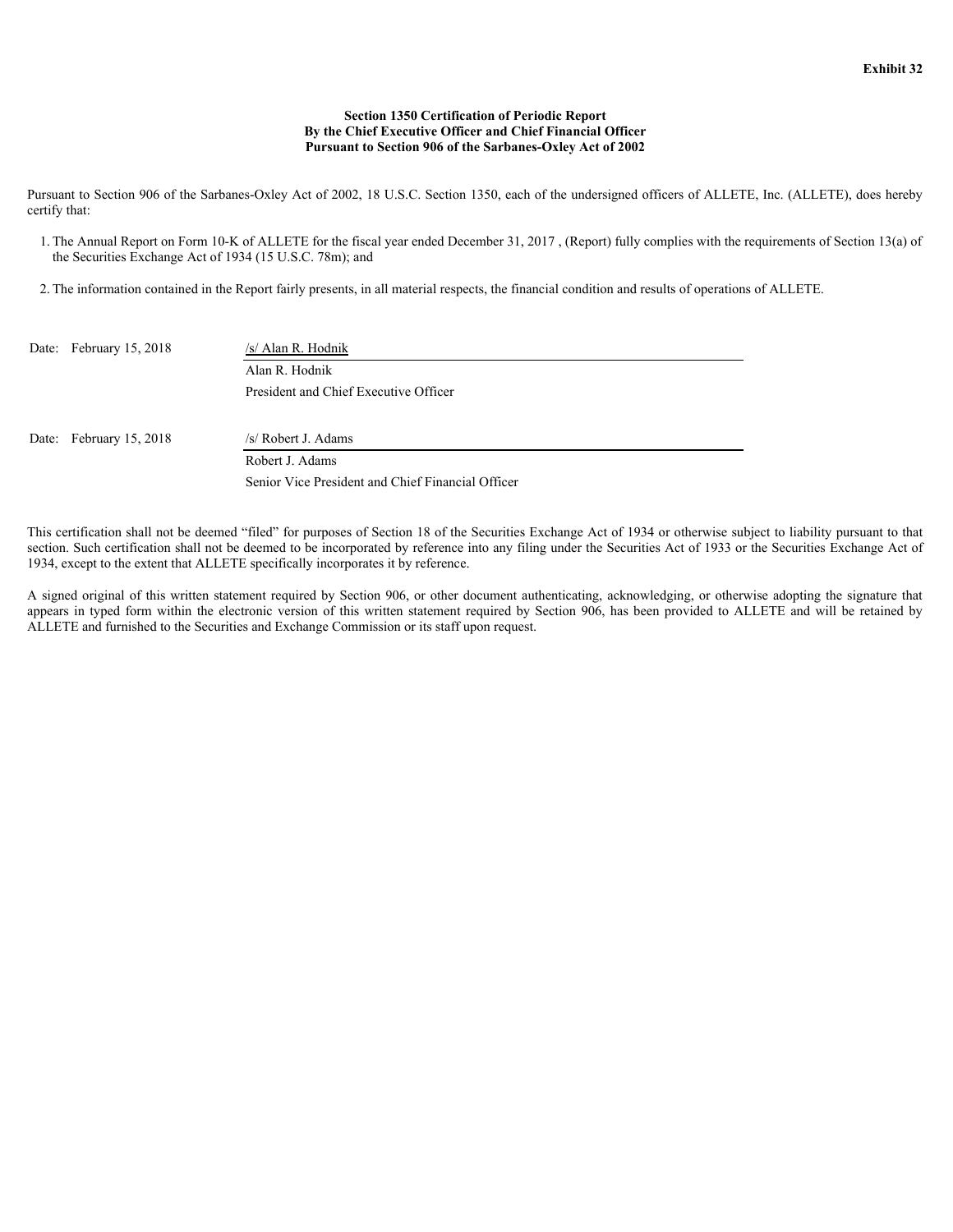#### **Section 1350 Certification of Periodic Report By the Chief Executive Officer and Chief Financial Officer Pursuant to Section 906 of the Sarbanes-Oxley Act of 2002**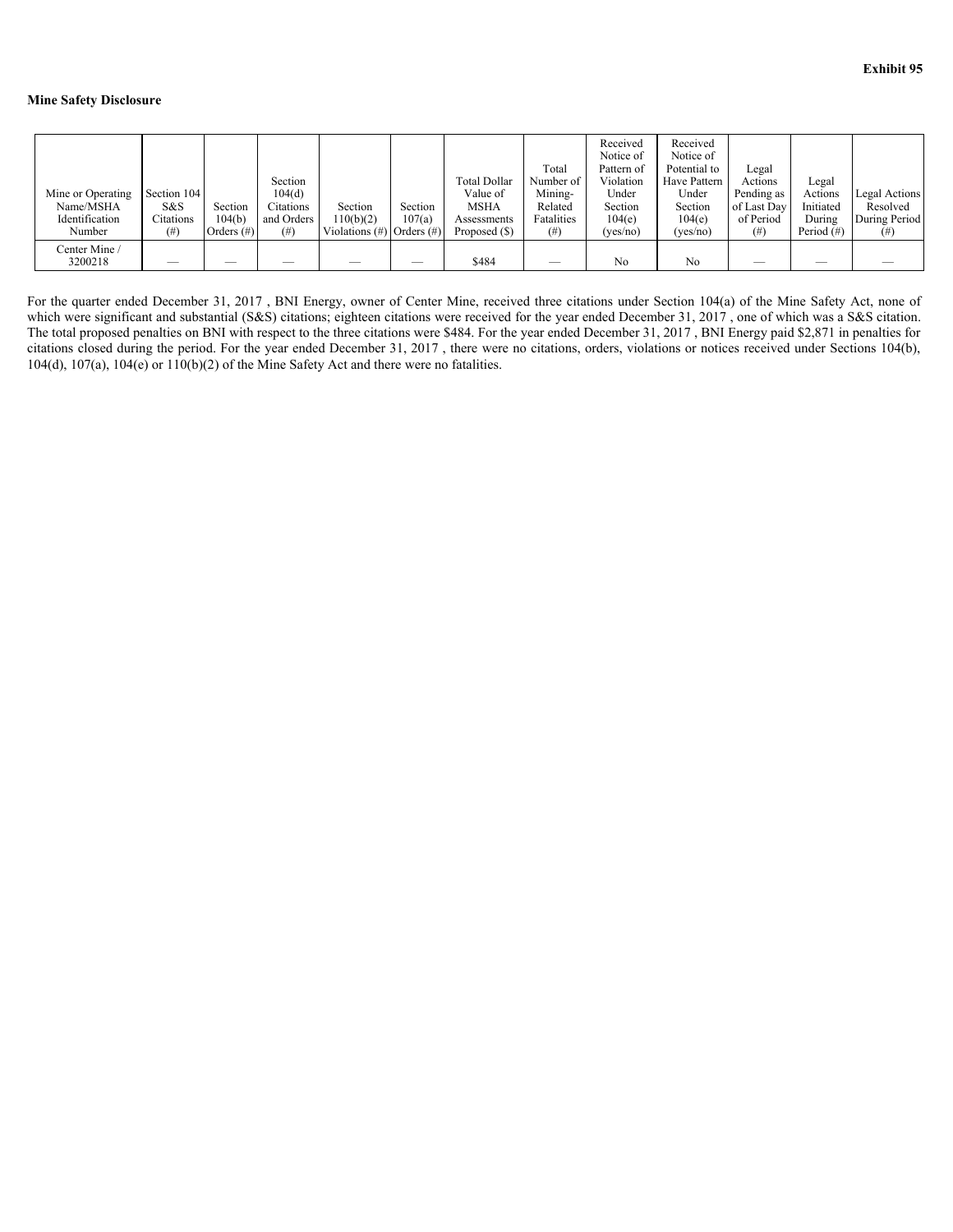#### **Mine Safety Disclosure**

| Mine or Operating Section 104<br>Name/MSHA<br>Identification<br>Number | S&S<br>Citations               | Section<br>104(b)<br>Orders $(\#)$ | Section<br>104(d)<br>Citations<br>and Orders<br>(# ) | Section<br>110(b)(2)<br>Violations ( | Section<br>107(a)<br>$(\#)$ Orders $(\#)$ | Total Dollar<br>Value of<br><b>MSHA</b><br>Assessments<br>Proposed (\$) | Total<br>Number of<br>Mining-<br>Related<br>Fatalities<br>$^{(#)}$ | Received<br>Notice of<br>Pattern of<br>Violation<br>Under<br>Section<br>104(e)<br>(yes/no) | Received<br>Notice of<br>Potential to<br>Have Pattern<br>Under<br>Section<br>104(e)<br>(yes/no) | Legal<br>Actions<br>Pending as<br>of Last Day<br>of Period | Legal<br>Actions<br>Initiated<br>During<br>Period | Legal Actions<br>Resolved<br>During Period |
|------------------------------------------------------------------------|--------------------------------|------------------------------------|------------------------------------------------------|--------------------------------------|-------------------------------------------|-------------------------------------------------------------------------|--------------------------------------------------------------------|--------------------------------------------------------------------------------------------|-------------------------------------------------------------------------------------------------|------------------------------------------------------------|---------------------------------------------------|--------------------------------------------|
| Center Mine<br>3200218                                                 | $\overbrace{\hspace{25mm}}^{}$ | $\hspace{0.1mm}-\hspace{0.1mm}$    | $\hspace{0.1mm}-\hspace{0.1mm}$                      |                                      |                                           | \$484                                                                   |                                                                    | No                                                                                         | N <sub>0</sub>                                                                                  | $\overline{\phantom{a}}$                                   | $\overline{\phantom{a}}$                          | $\hspace{0.1mm}-\hspace{0.1mm}$            |

For the quarter ended December 31, 2017 , BNI Energy, owner of Center Mine, received three citations under Section 104(a) of the Mine Safety Act, none of which were significant and substantial (S&S) citations; eighteen citations were received for the year ended December 31, 2017, one of which was a S&S citation. The total proposed penalties on BNI with respect to the three citations were \$484. For the year ended December 31, 2017 , BNI Energy paid \$2,871 in penalties for citations closed during the period. For the year ended December 31, 2017 , there were no citations, orders, violations or notices received under Sections 104(b), 104(d), 107(a), 104(e) or 110(b)(2) of the Mine Safety Act and there were no fatalities.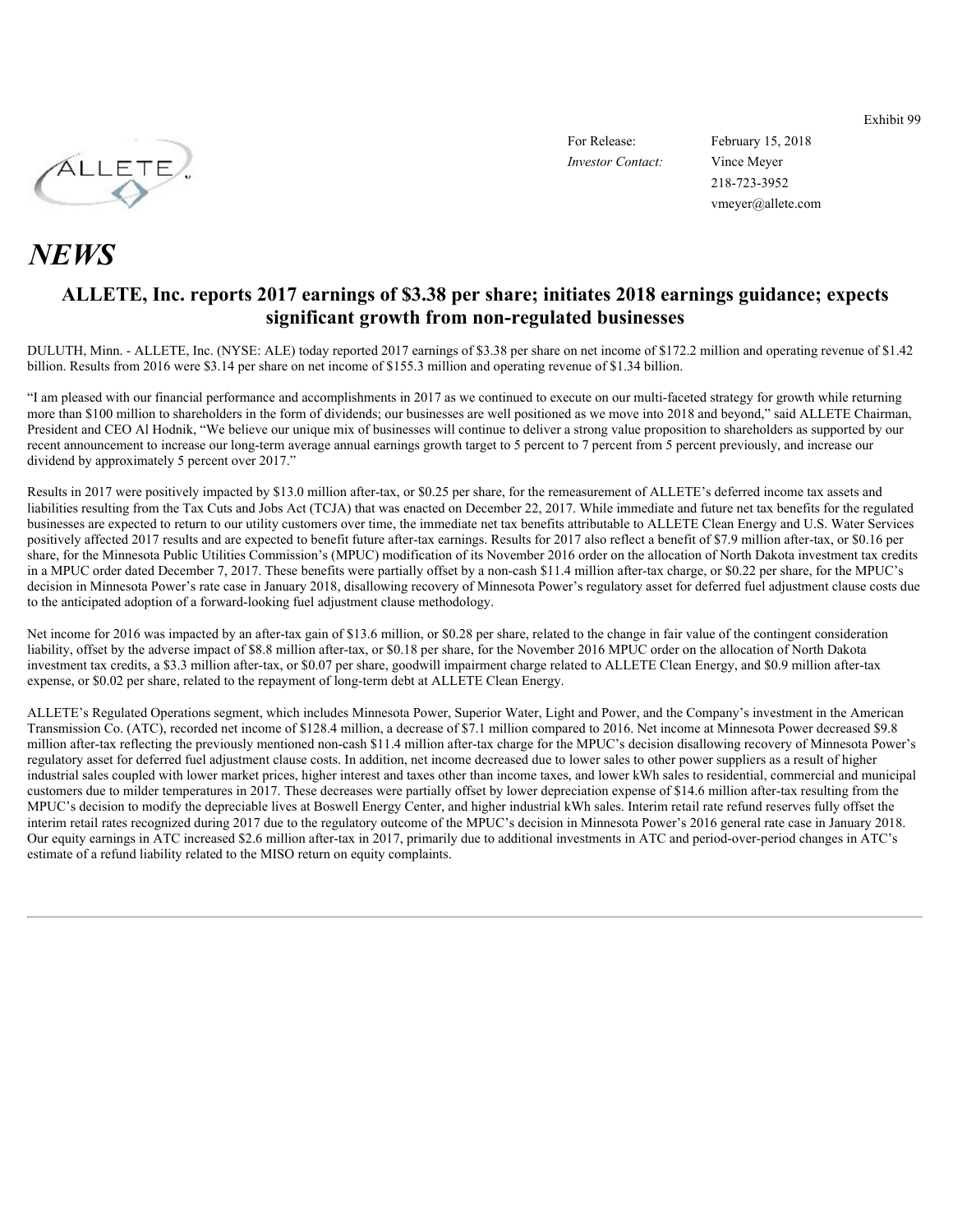

*Investor Contact:* Vince Meyer

For Release: February 15, 2018 218-723-3952 vmeyer@allete.com

# *NEWS*

# **ALLETE, Inc. reports 2017 earnings of \$3.38 per share; initiates 2018 earnings guidance; expects significant growth from non-regulated businesses**

DULUTH, Minn. - ALLETE, Inc. (NYSE: ALE) today reported 2017 earnings of \$3.38 per share on net income of \$172.2 million and operating revenue of \$1.42 billion. Results from 2016 were \$3.14 per share on net income of \$155.3 million and operating revenue of \$1.34 billion.

"I am pleased with our financial performance and accomplishments in 2017 as we continued to execute on our multi-faceted strategy for growth while returning more than \$100 million to shareholders in the form of dividends; our businesses are well positioned as we move into 2018 and beyond," said ALLETE Chairman, President and CEO Al Hodnik, "We believe our unique mix of businesses will continue to deliver a strong value proposition to shareholders as supported by our recent announcement to increase our long-term average annual earnings growth target to 5 percent to 7 percent from 5 percent previously, and increase our dividend by approximately 5 percent over 2017."

Results in 2017 were positively impacted by \$13.0 million after-tax, or \$0.25 per share, for the remeasurement of ALLETE's deferred income tax assets and liabilities resulting from the Tax Cuts and Jobs Act (TCJA) that was enacted on December 22, 2017. While immediate and future net tax benefits for the regulated businesses are expected to return to our utility customers over time, the immediate net tax benefits attributable to ALLETE Clean Energy and U.S. Water Services positively affected 2017 results and are expected to benefit future after-tax earnings. Results for 2017 also reflect a benefit of \$7.9 million after-tax, or \$0.16 per share, for the Minnesota Public Utilities Commission's (MPUC) modification of its November 2016 order on the allocation of North Dakota investment tax credits in a MPUC order dated December 7, 2017. These benefits were partially offset by a non-cash \$11.4 million after-tax charge, or \$0.22 per share, for the MPUC's decision in Minnesota Power's rate case in January 2018, disallowing recovery of Minnesota Power's regulatory asset for deferred fuel adjustment clause costs due to the anticipated adoption of a forward-looking fuel adjustment clause methodology.

Net income for 2016 was impacted by an after-tax gain of \$13.6 million, or \$0.28 per share, related to the change in fair value of the contingent consideration liability, offset by the adverse impact of \$8.8 million after-tax, or \$0.18 per share, for the November 2016 MPUC order on the allocation of North Dakota investment tax credits, a \$3.3 million after-tax, or \$0.07 per share, goodwill impairment charge related to ALLETE Clean Energy, and \$0.9 million after-tax expense, or \$0.02 per share, related to the repayment of long-term debt at ALLETE Clean Energy.

ALLETE's Regulated Operations segment, which includes Minnesota Power, Superior Water, Light and Power, and the Company's investment in the American Transmission Co. (ATC), recorded net income of \$128.4 million, a decrease of \$7.1 million compared to 2016. Net income at Minnesota Power decreased \$9.8 million after-tax reflecting the previously mentioned non-cash \$11.4 million after-tax charge for the MPUC's decision disallowing recovery of Minnesota Power's regulatory asset for deferred fuel adjustment clause costs. In addition, net income decreased due to lower sales to other power suppliers as a result of higher industrial sales coupled with lower market prices, higher interest and taxes other than income taxes, and lower kWh sales to residential, commercial and municipal customers due to milder temperatures in 2017. These decreases were partially offset by lower depreciation expense of \$14.6 million after-tax resulting from the MPUC's decision to modify the depreciable lives at Boswell Energy Center, and higher industrial kWh sales. Interim retail rate refund reserves fully offset the interim retail rates recognized during 2017 due to the regulatory outcome of the MPUC's decision in Minnesota Power's 2016 general rate case in January 2018. Our equity earnings in ATC increased \$2.6 million after-tax in 2017, primarily due to additional investments in ATC and period-over-period changes in ATC's estimate of a refund liability related to the MISO return on equity complaints.

Exhibit 99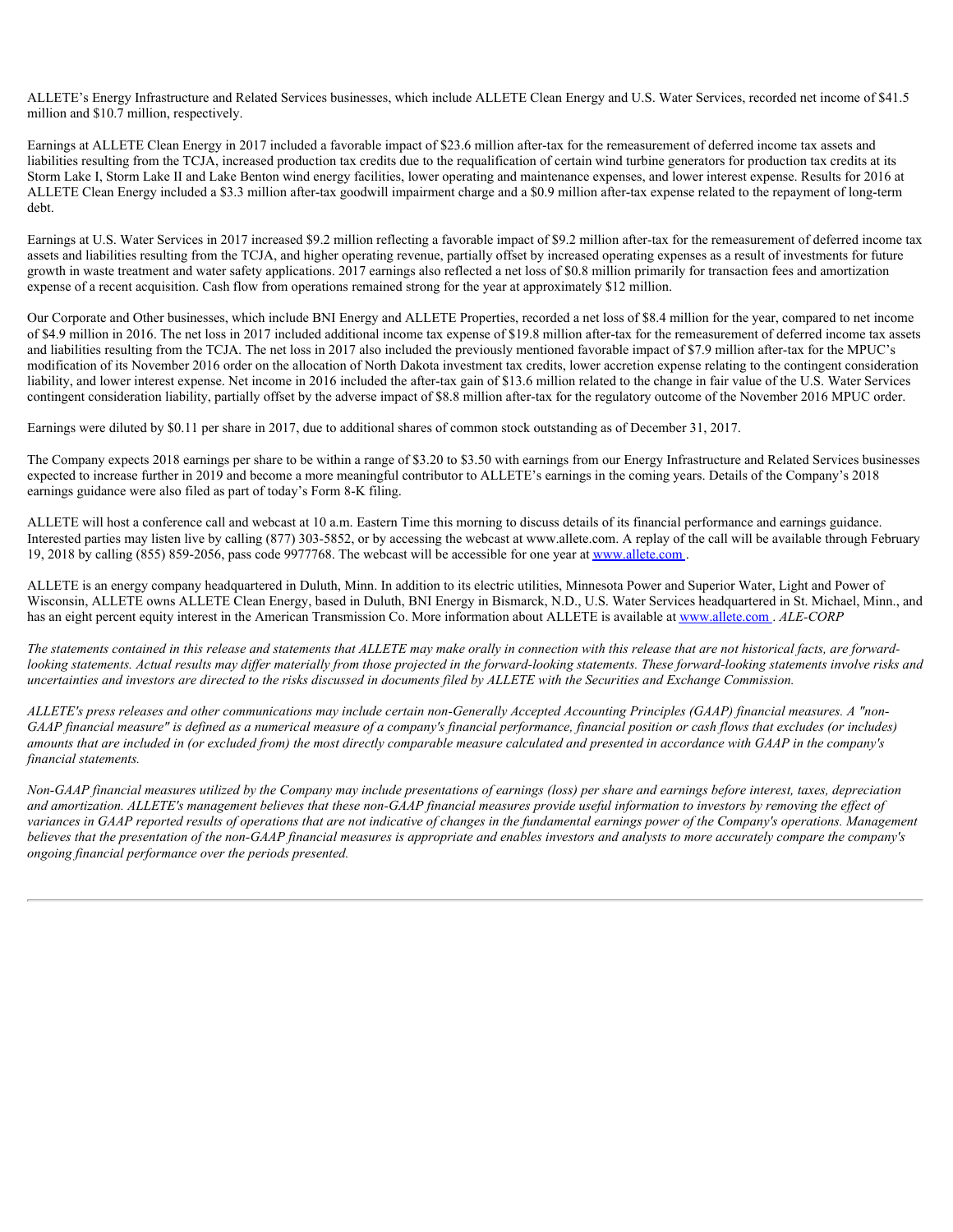ALLETE's Energy Infrastructure and Related Services businesses, which include ALLETE Clean Energy and U.S. Water Services, recorded net income of \$41.5 million and \$10.7 million, respectively.

Earnings at ALLETE Clean Energy in 2017 included a favorable impact of \$23.6 million after-tax for the remeasurement of deferred income tax assets and liabilities resulting from the TCJA, increased production tax credits due to the requalification of certain wind turbine generators for production tax credits at its Storm Lake I, Storm Lake II and Lake Benton wind energy facilities, lower operating and maintenance expenses, and lower interest expense. Results for 2016 at ALLETE Clean Energy included a \$3.3 million after-tax goodwill impairment charge and a \$0.9 million after-tax expense related to the repayment of long-term debt.

Earnings at U.S. Water Services in 2017 increased \$9.2 million reflecting a favorable impact of \$9.2 million after-tax for the remeasurement of deferred income tax assets and liabilities resulting from the TCJA, and higher operating revenue, partially offset by increased operating expenses as a result of investments for future growth in waste treatment and water safety applications. 2017 earnings also reflected a net loss of \$0.8 million primarily for transaction fees and amortization expense of a recent acquisition. Cash flow from operations remained strong for the year at approximately \$12 million.

Our Corporate and Other businesses, which include BNI Energy and ALLETE Properties, recorded a net loss of \$8.4 million for the year, compared to net income of \$4.9 million in 2016. The net loss in 2017 included additional income tax expense of \$19.8 million after-tax for the remeasurement of deferred income tax assets and liabilities resulting from the TCJA. The net loss in 2017 also included the previously mentioned favorable impact of \$7.9 million after-tax for the MPUC's modification of its November 2016 order on the allocation of North Dakota investment tax credits, lower accretion expense relating to the contingent consideration liability, and lower interest expense. Net income in 2016 included the after-tax gain of \$13.6 million related to the change in fair value of the U.S. Water Services contingent consideration liability, partially offset by the adverse impact of \$8.8 million after-tax for the regulatory outcome of the November 2016 MPUC order.

Earnings were diluted by \$0.11 per share in 2017, due to additional shares of common stock outstanding as of December 31, 2017.

The Company expects 2018 earnings per share to be within a range of \$3.20 to \$3.50 with earnings from our Energy Infrastructure and Related Services businesses expected to increase further in 2019 and become a more meaningful contributor to ALLETE's earnings in the coming years. Details of the Company's 2018 earnings guidance were also filed as part of today's Form 8-K filing.

ALLETE will host a conference call and webcast at 10 a.m. Eastern Time this morning to discuss details of its financial performance and earnings guidance. Interested parties may listen live by calling (877) 303-5852, or by accessing the webcast at www.allete.com. A replay of the call will be available through February 19, 2018 by calling (855) 859-2056, pass code 9977768. The webcast will be accessible for one year at www.allete.com .

ALLETE is an energy company headquartered in Duluth, Minn. In addition to its electric utilities, Minnesota Power and Superior Water, Light and Power of Wisconsin, ALLETE owns ALLETE Clean Energy, based in Duluth, BNI Energy in Bismarck, N.D., U.S. Water Services headquartered in St. Michael, Minn., and has an eight percent equity interest in the American Transmission Co. More information about ALLETE is available at www.allete.com . *ALE-CORP*

*The statements contained in this release and statements that ALLETE may make orally in connection with this release that are not historical facts, are forwardlooking statements. Actual results may differ materially from those projected in the forward-looking statements. These forward-looking statements involve risks and uncertainties and investors are directed to the risks discussed in documents filed by ALLETE with the Securities and Exchange Commission.*

*ALLETE's press releases and other communications may include certain non-Generally Accepted Accounting Principles (GAAP) financial measures. A "non-GAAP financial measure" is defined as a numerical measure of a company's financial performance, financial position or cash flows that excludes (or includes) amounts that are included in (or excluded from) the most directly comparable measure calculated and presented in accordance with GAAP in the company's financial statements.*

*Non-GAAP financial measures utilized by the Company may include presentations of earnings (loss) per share and earnings before interest, taxes, depreciation and amortization. ALLETE's management believes that these non-GAAP financial measures provide useful information to investors by removing the effect of variances in GAAP reported results of operations that are not indicative of changes in the fundamental earnings power of the Company's operations. Management believes that the presentation of the non-GAAP financial measures is appropriate and enables investors and analysts to more accurately compare the company's ongoing financial performance over the periods presented.*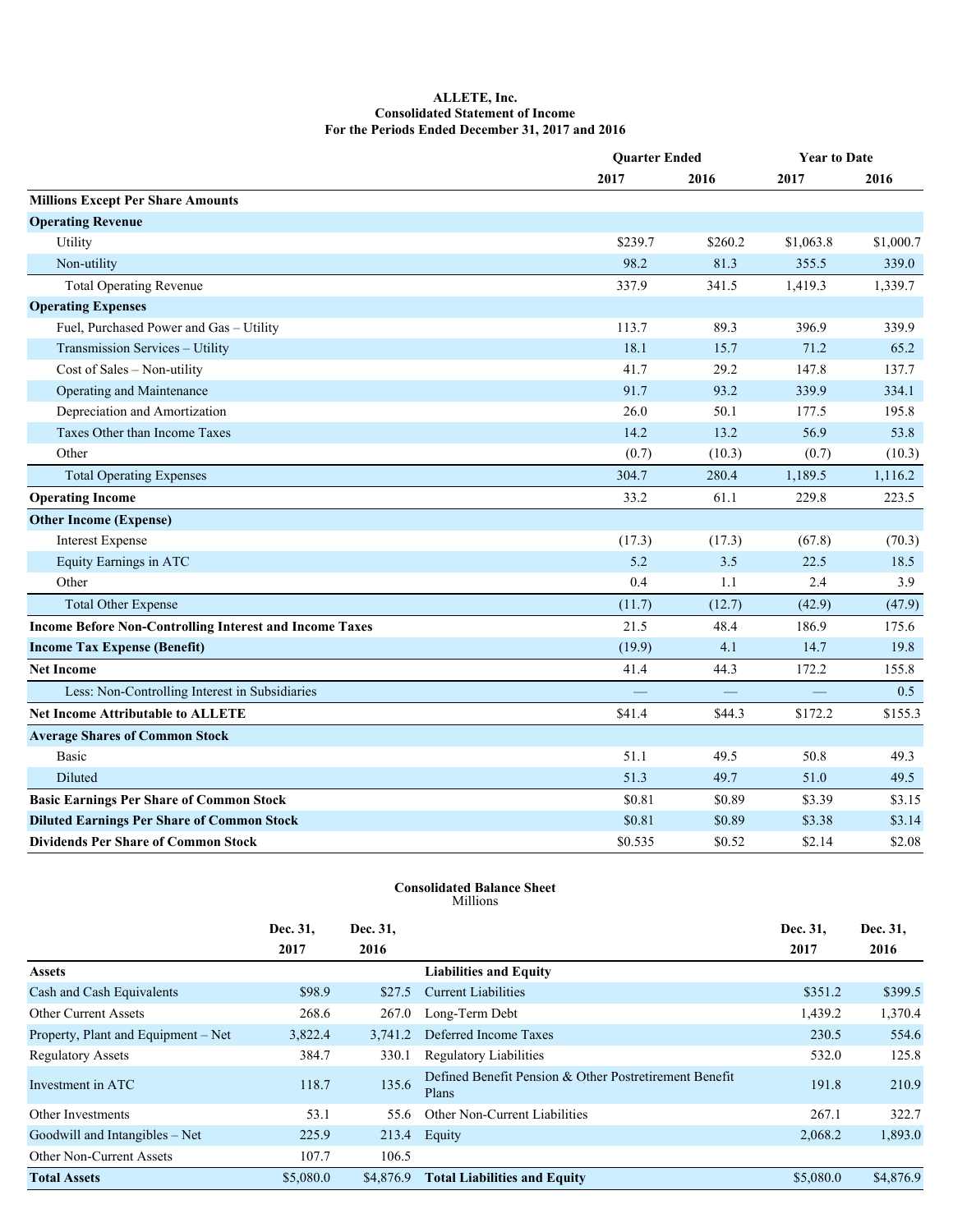#### **ALLETE, Inc. Consolidated Statement of Income For the Periods Ended December 31, 2017 and 2016**

|                                                                | <b>Quarter Ended</b> |         | <b>Year to Date</b>      |           |
|----------------------------------------------------------------|----------------------|---------|--------------------------|-----------|
|                                                                | 2017                 | 2016    | 2017                     | 2016      |
| <b>Millions Except Per Share Amounts</b>                       |                      |         |                          |           |
| <b>Operating Revenue</b>                                       |                      |         |                          |           |
| Utility                                                        | \$239.7              | \$260.2 | \$1,063.8                | \$1,000.7 |
| Non-utility                                                    | 98.2                 | 81.3    | 355.5                    | 339.0     |
| <b>Total Operating Revenue</b>                                 | 337.9                | 341.5   | 1,419.3                  | 1,339.7   |
| <b>Operating Expenses</b>                                      |                      |         |                          |           |
| Fuel, Purchased Power and Gas - Utility                        | 113.7                | 89.3    | 396.9                    | 339.9     |
| Transmission Services - Utility                                | 18.1                 | 15.7    | 71.2                     | 65.2      |
| Cost of Sales - Non-utility                                    | 41.7                 | 29.2    | 147.8                    | 137.7     |
| Operating and Maintenance                                      | 91.7                 | 93.2    | 339.9                    | 334.1     |
| Depreciation and Amortization                                  | 26.0                 | 50.1    | 177.5                    | 195.8     |
| Taxes Other than Income Taxes                                  | 14.2                 | 13.2    | 56.9                     | 53.8      |
| Other                                                          | (0.7)                | (10.3)  | (0.7)                    | (10.3)    |
| <b>Total Operating Expenses</b>                                | 304.7                | 280.4   | 1,189.5                  | 1,116.2   |
| <b>Operating Income</b>                                        | 33.2                 | 61.1    | 229.8                    | 223.5     |
| <b>Other Income (Expense)</b>                                  |                      |         |                          |           |
| <b>Interest Expense</b>                                        | (17.3)               | (17.3)  | (67.8)                   | (70.3)    |
| Equity Earnings in ATC                                         | 5.2                  | 3.5     | 22.5                     | 18.5      |
| Other                                                          | 0.4                  | 1.1     | 2.4                      | 3.9       |
| <b>Total Other Expense</b>                                     | (11.7)               | (12.7)  | (42.9)                   | (47.9)    |
| <b>Income Before Non-Controlling Interest and Income Taxes</b> | 21.5                 | 48.4    | 186.9                    | 175.6     |
| <b>Income Tax Expense (Benefit)</b>                            | (19.9)               | 4.1     | 14.7                     | 19.8      |
| <b>Net Income</b>                                              | 41.4                 | 44.3    | 172.2                    | 155.8     |
| Less: Non-Controlling Interest in Subsidiaries                 | $\hspace{0.05cm}$    |         | $\overline{\phantom{m}}$ | 0.5       |
| <b>Net Income Attributable to ALLETE</b>                       | \$41.4               | \$44.3  | \$172.2                  | \$155.3   |
| <b>Average Shares of Common Stock</b>                          |                      |         |                          |           |
| <b>Basic</b>                                                   | 51.1                 | 49.5    | 50.8                     | 49.3      |
| Diluted                                                        | 51.3                 | 49.7    | 51.0                     | 49.5      |
| <b>Basic Earnings Per Share of Common Stock</b>                | \$0.81               | \$0.89  | \$3.39                   | \$3.15    |
| <b>Diluted Earnings Per Share of Common Stock</b>              | \$0.81               | \$0.89  | \$3.38                   | \$3.14    |
| <b>Dividends Per Share of Common Stock</b>                     | \$0.535              | \$0.52  | \$2.14                   | \$2.08    |

#### **Consolidated Balance Sheet** Millions and the state of the state of the state of the state of the state of the state of the state of the state of the state of the state of the state of the state of the state of the state of the state of the state of t

|                                     | Dec. 31,  | Dec. 31,  |                                                                 | Dec. 31,  | Dec. 31,  |
|-------------------------------------|-----------|-----------|-----------------------------------------------------------------|-----------|-----------|
|                                     | 2017      | 2016      |                                                                 | 2017      | 2016      |
| <b>Assets</b>                       |           |           | <b>Liabilities and Equity</b>                                   |           |           |
| Cash and Cash Equivalents           | \$98.9    | \$27.5    | <b>Current Liabilities</b>                                      | \$351.2   | \$399.5   |
| <b>Other Current Assets</b>         | 268.6     | 267.0     | Long-Term Debt                                                  | 1,439.2   | 1,370.4   |
| Property, Plant and Equipment - Net | 3,822.4   | 3,741.2   | Deferred Income Taxes                                           | 230.5     | 554.6     |
| <b>Regulatory Assets</b>            | 384.7     | 330.1     | <b>Regulatory Liabilities</b>                                   | 532.0     | 125.8     |
| Investment in ATC                   | 118.7     | 135.6     | Defined Benefit Pension & Other Postretirement Benefit<br>Plans | 191.8     | 210.9     |
| Other Investments                   | 53.1      | 55.6      | Other Non-Current Liabilities                                   | 267.1     | 322.7     |
| Goodwill and Intangibles - Net      | 225.9     | 213.4     | Equity                                                          | 2,068.2   | 1,893.0   |
| Other Non-Current Assets            | 107.7     | 106.5     |                                                                 |           |           |
| <b>Total Assets</b>                 | \$5,080.0 | \$4,876.9 | <b>Total Liabilities and Equity</b>                             | \$5,080.0 | \$4,876.9 |
|                                     |           |           |                                                                 |           |           |